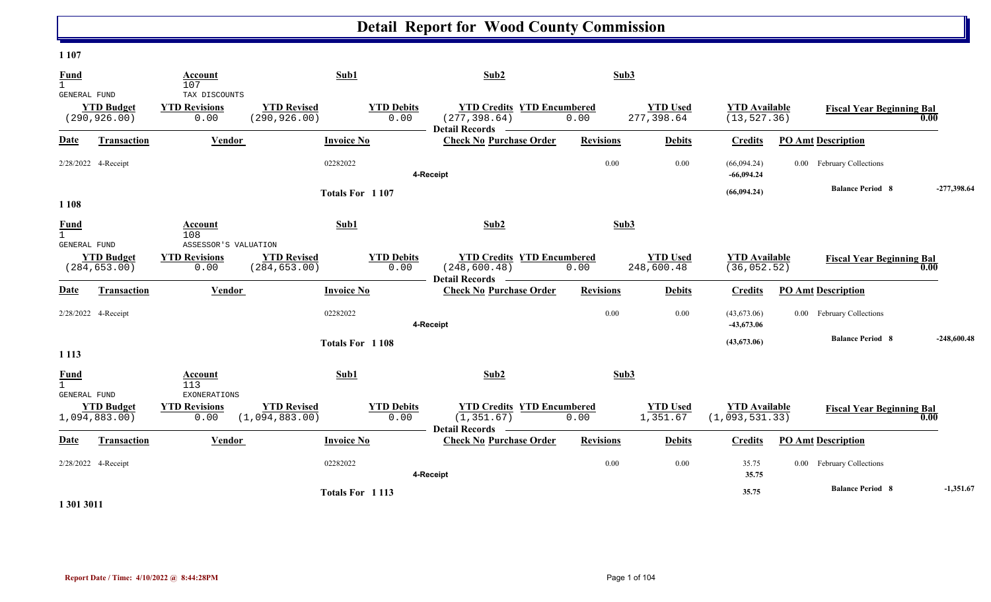#### **1 107**

| <b>Fund</b><br>$\mathbf{1}$        |                                    | Account<br>107                                       |                                      | Sub1                      | Sub2                                                                      | Sub3             |                               |                                        |                                  |               |
|------------------------------------|------------------------------------|------------------------------------------------------|--------------------------------------|---------------------------|---------------------------------------------------------------------------|------------------|-------------------------------|----------------------------------------|----------------------------------|---------------|
| <b>GENERAL FUND</b>                | <b>YTD Budget</b><br>(290, 926.00) | TAX DISCOUNTS<br><b>YTD Revisions</b><br>0.00        | <b>YTD Revised</b><br>(290, 926.00)  | <b>YTD Debits</b><br>0.00 | <b>YTD Credits YTD Encumbered</b><br>(277, 398.64)<br>Detail Records -    | 0.00             | <b>YTD Used</b><br>277,398.64 | <b>YTD</b> Available<br>(13, 527.36)   | <b>Fiscal Year Beginning Bal</b> | 0.00          |
| Date                               | <b>Transaction</b>                 | Vendor                                               |                                      | <b>Invoice No</b>         | <b>Check No Purchase Order</b>                                            | <b>Revisions</b> | <b>Debits</b>                 | <b>Credits</b>                         | <b>PO Amt Description</b>        |               |
|                                    | 2/28/2022 4-Receipt                |                                                      |                                      | 02282022                  | 4-Receipt                                                                 | 0.00             | 0.00                          | (66,094.24)<br>$-66,094.24$            | 0.00 February Collections        |               |
| 1 1 0 8                            |                                    |                                                      |                                      | Totals For 1107           |                                                                           |                  |                               | (66,094.24)                            | <b>Balance Period 8</b>          | $-277,398.64$ |
| <b>Fund</b><br>$\mathbf{1}$        |                                    | Account<br>108                                       |                                      | Sub1                      | Sub2                                                                      | Sub3             |                               |                                        |                                  |               |
| <b>GENERAL FUND</b>                | <b>YTD Budget</b><br>(284, 653.00) | ASSESSOR'S VALUATION<br><b>YTD Revisions</b><br>0.00 | <b>YTD Revised</b><br>(284, 653.00)  | <b>YTD Debits</b><br>0.00 | <b>YTD Credits YTD Encumbered</b><br>(248, 600.48)<br>Detail Records -    | 0.00             | <b>YTD</b> Used<br>248,600.48 | <b>YTD</b> Available<br>(36, 052.52)   | <b>Fiscal Year Beginning Bal</b> | 0.00          |
| Date                               | Transaction                        | Vendor                                               |                                      | <b>Invoice No</b>         | <b>Check No Purchase Order</b>                                            | <b>Revisions</b> | <b>Debits</b>                 | <b>Credits</b>                         | <b>PO Amt Description</b>        |               |
|                                    | 2/28/2022 4-Receipt                |                                                      |                                      | 02282022                  | 4-Receipt                                                                 | 0.00             | 0.00                          | (43,673.06)<br>-43,673.06              | 0.00 February Collections        |               |
| 1 1 1 3                            |                                    |                                                      |                                      | <b>Totals For 1108</b>    |                                                                           |                  |                               | (43,673.06)                            | <b>Balance Period 8</b>          | $-248,600.48$ |
| <b>Fund</b><br><b>GENERAL FUND</b> |                                    | Account<br>113<br><b>EXONERATIONS</b>                |                                      | Sub1                      | Sub2                                                                      | Sub3             |                               |                                        |                                  |               |
|                                    | <b>YTD Budget</b><br>1,094,883.00) | <b>YTD Revisions</b><br>0.00                         | <b>YTD Revised</b><br>(1,094,883.00) | <b>YTD Debits</b><br>0.00 | <b>YTD Credits YTD Encumbered</b><br>(1, 351.67)<br><b>Detail Records</b> | 0.00             | <b>YTD Used</b><br>1,351.67   | <b>YTD Available</b><br>(1,093,531.33) | <b>Fiscal Year Beginning Bal</b> | 0.00          |
| Date                               | Transaction                        | Vendor                                               |                                      | <b>Invoice No</b>         | <b>Check No Purchase Order</b>                                            | <b>Revisions</b> | <b>Debits</b>                 | <b>Credits</b>                         | <b>PO Amt Description</b>        |               |
|                                    | 2/28/2022 4-Receipt                |                                                      |                                      | 02282022                  | 4-Receipt                                                                 | 0.00             | 0.00                          | 35.75<br>35.75                         | 0.00 February Collections        |               |
|                                    |                                    |                                                      |                                      | Totals For 1113           |                                                                           |                  |                               | 35.75                                  | <b>Balance Period 8</b>          | $-1,351.67$   |

**1 301 3011**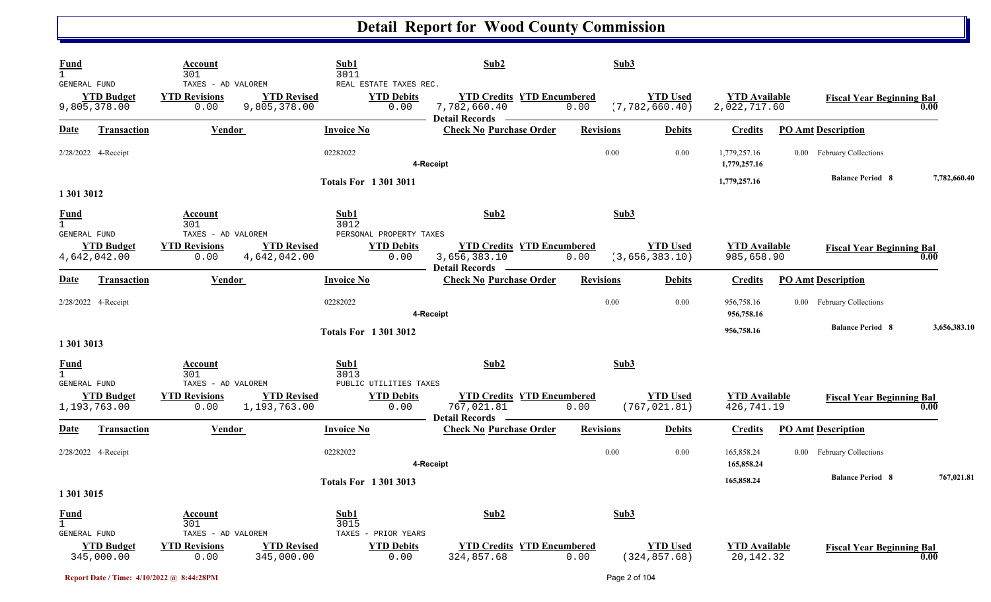| <b>Fund</b><br>$\mathbf{1}$<br><b>GENERAL FUND</b> | Account<br>301<br>TAXES - AD VALOREM               | Sub1<br>3011<br>REAL ESTATE TAXES REC.<br><b>YTD Debits</b>                                | Sub2                                                                  | Sub3<br><b>YTD Used</b>                   |                                      |                                  |              |
|----------------------------------------------------|----------------------------------------------------|--------------------------------------------------------------------------------------------|-----------------------------------------------------------------------|-------------------------------------------|--------------------------------------|----------------------------------|--------------|
| <b>YTD Budget</b><br>9,805,378.00                  | <b>YTD Revisions</b><br>0.00                       | <b>YTD Revised</b><br>9,805,378.00<br>0.00                                                 | <b>YTD Credits YTD Encumbered</b><br>7,782,660.40<br>Detail Records — | (7, 782, 660.40)<br>0.00                  | <b>YTD Available</b><br>2,022,717.60 | <b>Fiscal Year Beginning Bal</b> | 0.00         |
| <b>Date</b><br><b>Transaction</b>                  | <b>Vendor</b>                                      | <b>Invoice No</b>                                                                          | <b>Check No Purchase Order</b>                                        | <b>Revisions</b><br><b>Debits</b>         | <b>Credits</b>                       | <b>PO Amt Description</b>        |              |
| 2/28/2022 4-Receipt                                |                                                    | 02282022                                                                                   | 4-Receipt                                                             | 0.00<br>0.00                              | 1,779,257.16<br>1,779,257.16         | 0.00 February Collections        |              |
| 1 301 3012                                         |                                                    | <b>Totals For 13013011</b>                                                                 |                                                                       |                                           | 1,779,257.16                         | <b>Balance Period 8</b>          | 7,782,660.40 |
| <b>Fund</b><br>$\mathbf{1}$                        | Account<br>301                                     | Sub1<br>3012                                                                               | Sub2                                                                  | Sub3                                      |                                      |                                  |              |
| GENERAL FUND<br><b>YTD Budget</b><br>4,642,042.00  | TAXES - AD VALOREM<br><b>YTD Revisions</b><br>0.00 | PERSONAL PROPERTY TAXES<br><b>YTD Revised</b><br><b>YTD Debits</b><br>4,642,042.00<br>0.00 | <b>YTD Credits YTD Encumbered</b><br>3,656,383.10                     | <b>YTD Used</b><br>(3,656,383.10)<br>0.00 | <b>YTD</b> Available<br>985,658.90   | <b>Fiscal Year Beginning Bal</b> | 0.00         |
| Date<br>Transaction                                | Vendor                                             | <b>Invoice No</b>                                                                          | <b>Detail Records</b><br><b>Check No Purchase Order</b>               | <b>Debits</b><br><b>Revisions</b>         | <b>Credits</b>                       | <b>PO Amt Description</b>        |              |
| 2/28/2022 4-Receipt                                |                                                    | 02282022                                                                                   | 4-Receipt                                                             | 0.00<br>0.00                              | 956,758.16<br>956,758.16             | 0.00 February Collections        |              |
| 1 301 3013                                         |                                                    | <b>Totals For 13013012</b>                                                                 |                                                                       |                                           | 956,758.16                           | <b>Balance Period 8</b>          | 3,656,383.10 |
| <b>Fund</b><br>$\mathbf{1}$                        | <b>Account</b><br>301                              | Sub1<br>3013                                                                               | Sub2                                                                  | Sub3                                      |                                      |                                  |              |
| GENERAL FUND<br><b>YTD Budget</b><br>1,193,763.00  | TAXES - AD VALOREM<br><b>YTD Revisions</b><br>0.00 | PUBLIC UTILITIES TAXES<br><b>YTD Revised</b><br><b>YTD Debits</b><br>1,193,763.00<br>0.00  | <b>YTD Credits YTD Encumbered</b><br>767,021.81                       | <b>YTD Used</b><br>(767, 021.81)<br>0.00  | <b>YTD</b> Available<br>426,741.19   | <b>Fiscal Year Beginning Bal</b> | 0.00         |
| <u>Date</u><br><b>Transaction</b>                  | <b>Vendor</b>                                      | <b>Invoice No</b>                                                                          | <b>Detail Records</b><br><b>Check No Purchase Order</b>               | <b>Revisions</b><br><b>Debits</b>         | <b>Credits</b>                       | <b>PO Amt Description</b>        |              |
| 2/28/2022 4-Receipt                                |                                                    | 02282022                                                                                   | 4-Receipt                                                             | 0.00<br>0.00                              | 165,858.24<br>165,858.24             | 0.00 February Collections        |              |
| 1 301 3015                                         |                                                    | <b>Totals For 13013013</b>                                                                 |                                                                       |                                           | 165,858.24                           | <b>Balance Period 8</b>          | 767,021.81   |
| <b>Fund</b><br>$\overline{1}$                      | <b>Account</b><br>301                              | Sub1<br>3015                                                                               | Sub2                                                                  | Sub3                                      |                                      |                                  |              |
| GENERAL FUND<br><b>YTD Budget</b><br>345,000.00    | TAXES - AD VALOREM<br><b>YTD Revisions</b><br>0.00 | TAXES<br>- PRIOR YEARS<br><b>YTD Revised</b><br><b>YTD Debits</b><br>345,000.00<br>0.00    | <b>YTD Credits YTD Encumbered</b><br>324,857.68                       | <b>YTD Used</b><br>(324, 857.68)<br>0.00  | <b>YTD</b> Available<br>20,142.32    | <b>Fiscal Year Beginning Bal</b> | 0.00         |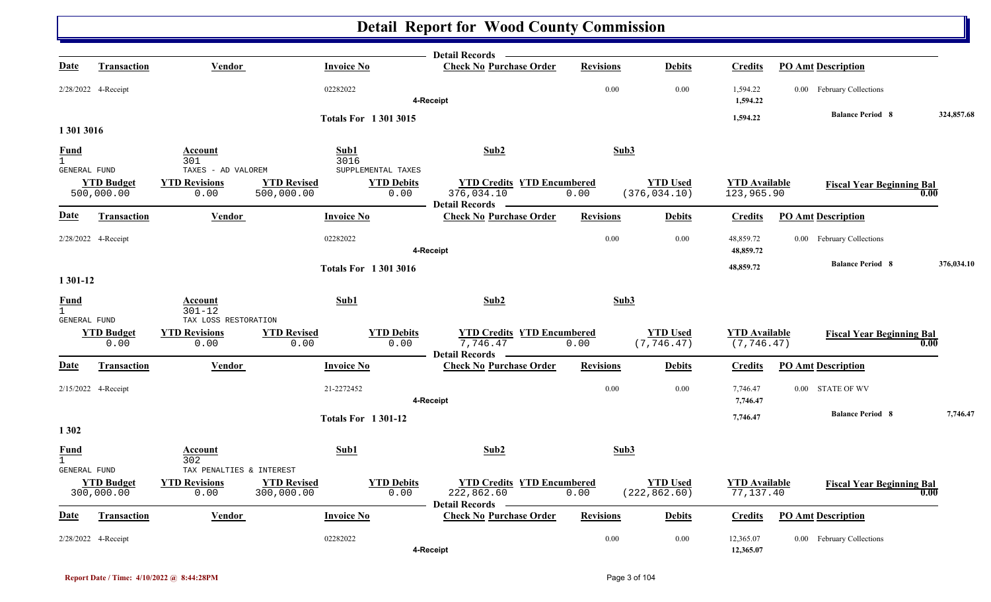|                             |                                 |                                                          |                                  |                                                 | <b>Detail Records</b>                                                    |                  |                                  |                                     |                                  |            |
|-----------------------------|---------------------------------|----------------------------------------------------------|----------------------------------|-------------------------------------------------|--------------------------------------------------------------------------|------------------|----------------------------------|-------------------------------------|----------------------------------|------------|
| Date                        | <b>Transaction</b>              | Vendor                                                   | <b>Invoice No</b>                |                                                 | <b>Check No Purchase Order</b>                                           | <b>Revisions</b> | <b>Debits</b>                    | <b>Credits</b>                      | <b>PO Amt Description</b>        |            |
|                             | 2/28/2022 4-Receipt             |                                                          | 02282022                         |                                                 | 4-Receipt                                                                | 0.00             | 0.00                             | 1,594.22<br>1,594.22                | 0.00 February Collections        |            |
|                             |                                 |                                                          |                                  | <b>Totals For 13013015</b>                      |                                                                          |                  |                                  | 1,594.22                            | <b>Balance Period 8</b>          | 324,857.68 |
| 1 301 3016                  |                                 |                                                          |                                  |                                                 |                                                                          |                  |                                  |                                     |                                  |            |
| <b>Fund</b><br>$\mathbf{1}$ |                                 | Account<br>301                                           | Sub1<br>3016                     |                                                 | Sub2                                                                     | Sub3             |                                  |                                     |                                  |            |
| GENERAL FUND                | <b>YTD Budget</b><br>500,000.00 | TAXES - AD VALOREM<br><b>YTD Revisions</b><br>0.00       | <b>YTD Revised</b><br>500,000.00 | SUPPLEMENTAL TAXES<br><b>YTD Debits</b><br>0.00 | <b>YTD Credits YTD Encumbered</b><br>376,034.10<br><b>Detail Records</b> | 0.00             | <b>YTD Used</b><br>(376, 034.10) | <b>YTD Available</b><br>123,965.90  | <b>Fiscal Year Beginning Bal</b> | 0.00       |
| Date                        | <b>Transaction</b>              | Vendor                                                   | <b>Invoice No</b>                |                                                 | <b>Check No Purchase Order</b>                                           | <b>Revisions</b> | <b>Debits</b>                    | <b>Credits</b>                      | <b>PO Amt Description</b>        |            |
|                             | 2/28/2022 4-Receipt             |                                                          | 02282022                         |                                                 | 4-Receipt                                                                | 0.00             | 0.00                             | 48,859.72<br>48,859.72              | 0.00 February Collections        |            |
| 1 301-12                    |                                 |                                                          |                                  | <b>Totals For 13013016</b>                      |                                                                          |                  |                                  | 48,859.72                           | <b>Balance Period 8</b>          | 376,034.10 |
| <b>Fund</b><br>$\mathbf{1}$ |                                 | Account<br>$301 - 12$                                    | Sub1                             |                                                 | Sub2                                                                     | Sub3             |                                  |                                     |                                  |            |
| GENERAL FUND                | <b>YTD Budget</b><br>0.00       | TAX LOSS RESTORATION<br><b>YTD Revisions</b><br>0.00     | <b>YTD Revised</b><br>0.00       | <b>YTD Debits</b><br>0.00                       | <b>YTD Credits YTD Encumbered</b><br>7,746.47<br><b>Detail Records</b>   | 0.00             | <b>YTD Used</b><br>(7, 746.47)   | <b>YTD Available</b><br>(7, 746.47) | <b>Fiscal Year Beginning Bal</b> | 0.00       |
| Date                        | <b>Transaction</b>              | Vendor                                                   | <b>Invoice No</b>                |                                                 | <b>Check No Purchase Order</b>                                           | <b>Revisions</b> | <b>Debits</b>                    | <b>Credits</b>                      | <b>PO Amt Description</b>        |            |
|                             | 2/15/2022 4-Receipt             |                                                          | 21-2272452                       |                                                 | 4-Receipt                                                                | 0.00             | 0.00                             | 7,746.47<br>7,746.47                | 0.00 STATE OF WV                 |            |
| 1 3 0 2                     |                                 |                                                          |                                  | <b>Totals For 1301-12</b>                       |                                                                          |                  |                                  | 7,746.47                            | <b>Balance Period 8</b>          | 7,746.47   |
| <b>Fund</b><br>$\mathbf{1}$ |                                 | <u>Account</u><br>302                                    | Sub1                             |                                                 | Sub2                                                                     | Sub3             |                                  |                                     |                                  |            |
| <b>GENERAL FUND</b>         | <b>YTD Budget</b><br>300,000.00 | TAX PENALTIES & INTEREST<br><b>YTD Revisions</b><br>0.00 | <b>YTD Revised</b><br>300,000.00 | <b>YTD Debits</b><br>0.00                       | <b>YTD Credits YTD Encumbered</b><br>222,862.60<br><b>Detail Records</b> | 0.00             | <b>YTD Used</b><br>(222, 862.60) | <b>YTD Available</b><br>77,137.40   | <b>Fiscal Year Beginning Bal</b> | 0.00       |
| Date                        | <b>Transaction</b>              | <b>Vendor</b>                                            | <b>Invoice No</b>                |                                                 | <b>Check No Purchase Order</b>                                           | <b>Revisions</b> | <b>Debits</b>                    | <b>Credits</b>                      | <b>PO Amt Description</b>        |            |
|                             | 2/28/2022 4-Receipt             |                                                          | 02282022                         |                                                 | 4-Receipt                                                                | 0.00             | 0.00                             | 12,365.07<br>12,365.07              | 0.00 February Collections        |            |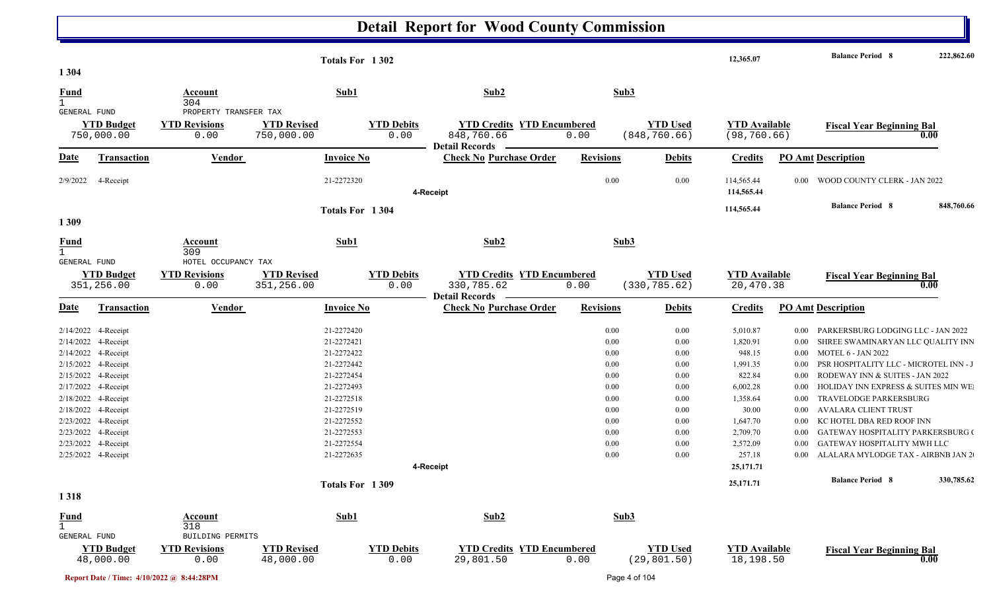|                                     |                                            |                              | Totals For 1302          |                   |                                                         |                                   |                  |                 | 12,365.07            |                      | <b>Balance Period 8</b>                                                | 222,862.60 |
|-------------------------------------|--------------------------------------------|------------------------------|--------------------------|-------------------|---------------------------------------------------------|-----------------------------------|------------------|-----------------|----------------------|----------------------|------------------------------------------------------------------------|------------|
| 1 3 0 4                             |                                            |                              |                          |                   |                                                         |                                   |                  |                 |                      |                      |                                                                        |            |
| <b>Fund</b>                         |                                            | Account                      | Sub1                     |                   | Sub2                                                    |                                   | Sub3             |                 |                      |                      |                                                                        |            |
| GENERAL FUND                        |                                            | 304<br>PROPERTY TRANSFER TAX |                          |                   |                                                         |                                   |                  |                 |                      |                      |                                                                        |            |
|                                     | <b>YTD Budget</b>                          | <b>YTD Revisions</b>         | <b>YTD Revised</b>       | <b>YTD Debits</b> |                                                         | <b>YTD Credits YTD Encumbered</b> |                  | <b>YTD Used</b> | <b>YTD</b> Available |                      | <b>Fiscal Year Beginning Bal</b>                                       |            |
|                                     | 750,000.00                                 | 0.00                         | 750,000.00               | 0.00              | 848,760.66<br><b>Detail Records</b>                     | 0.00                              |                  | (848, 760.66)   | (98, 760.66)         |                      |                                                                        | 0.00       |
| Date                                | <b>Transaction</b>                         | <b>Vendor</b>                | <b>Invoice No</b>        |                   | <b>Check No Purchase Order</b>                          |                                   | <b>Revisions</b> | <b>Debits</b>   | <b>Credits</b>       |                      | <b>PO Amt Description</b>                                              |            |
| 2/9/2022                            | 4-Receipt                                  |                              | 21-2272320               |                   |                                                         |                                   | 0.00             | 0.00            | 114,565.44           | $0.00\,$             | WOOD COUNTY CLERK - JAN 2022                                           |            |
|                                     |                                            |                              |                          |                   | 4-Receipt                                               |                                   |                  |                 | 114,565.44           |                      |                                                                        |            |
|                                     |                                            |                              | Totals For 1304          |                   |                                                         |                                   |                  |                 | 114,565.44           |                      | <b>Balance Period 8</b>                                                | 848,760.66 |
| 1309                                |                                            |                              |                          |                   |                                                         |                                   |                  |                 |                      |                      |                                                                        |            |
| <b>Fund</b>                         |                                            | Account                      | Sub1                     |                   | Sub2                                                    |                                   | Sub3             |                 |                      |                      |                                                                        |            |
| $\mathbf{1}$<br><b>GENERAL FUND</b> |                                            | 309<br>HOTEL OCCUPANCY TAX   |                          |                   |                                                         |                                   |                  |                 |                      |                      |                                                                        |            |
|                                     | <b>YTD Budget</b>                          | <b>YTD Revisions</b>         | <b>YTD Revised</b>       | <b>YTD Debits</b> |                                                         | <b>YTD Credits YTD Encumbered</b> |                  | <b>YTD Used</b> | <b>YTD Available</b> |                      | <b>Fiscal Year Beginning Bal</b>                                       |            |
|                                     | 351,256.00                                 | 0.00                         | 351,256.00               | 0.00              | 330,785.62                                              | 0.00                              |                  | (330, 785.62)   | 20,470.38            |                      |                                                                        | 0.00       |
| <b>Date</b>                         | Transaction                                | <b>Vendor</b>                | <b>Invoice No</b>        |                   | <b>Detail Records</b><br><b>Check No Purchase Order</b> |                                   | <b>Revisions</b> | <b>Debits</b>   | <b>Credits</b>       |                      | <b>PO Amt Description</b>                                              |            |
|                                     |                                            |                              |                          |                   |                                                         |                                   |                  |                 |                      |                      |                                                                        |            |
|                                     | 2/14/2022 4-Receipt                        |                              | 21-2272420               |                   |                                                         |                                   | 0.00             | 0.00            | 5,010.87             | $0.00\,$             | PARKERSBURG LODGING LLC - JAN 2022                                     |            |
|                                     | 2/14/2022 4-Receipt                        |                              | 21-2272421               |                   |                                                         |                                   | 0.00             | 0.00            | 1,820.91             | $0.00\,$             | SHREE SWAMINARYAN LLC QUALITY INN                                      |            |
|                                     | 2/14/2022 4-Receipt                        |                              | 21-2272422               |                   |                                                         |                                   | $0.00\,$         | 0.00            | 948.15               | $0.00\,$             | <b>MOTEL 6 - JAN 2022</b>                                              |            |
|                                     | 2/15/2022 4-Receipt                        |                              | 21-2272442               |                   |                                                         |                                   | 0.00             | 0.00            | 1,991.35             | $0.00\,$             | PSR HOSPITALITY LLC - MICROTEL INN - J                                 |            |
|                                     | 2/15/2022 4-Receipt                        |                              | 21-2272454<br>21-2272493 |                   |                                                         |                                   | 0.00             | 0.00            | 822.84<br>6,002.28   | 0.00                 | RODEWAY INN & SUITES - JAN 2022<br>HOLIDAY INN EXPRESS & SUITES MIN WE |            |
|                                     | 2/17/2022 4-Receipt                        |                              | 21-2272518               |                   |                                                         |                                   | $0.00\,$<br>0.00 | 0.00            | 1,358.64             | $0.00\,$<br>$0.00\,$ | TRAVELODGE PARKERSBURG                                                 |            |
|                                     | 2/18/2022 4-Receipt<br>2/18/2022 4-Receipt |                              | 21-2272519               |                   |                                                         |                                   | 0.00             | 0.00<br>0.00    | 30.00                | 0.00                 | <b>AVALARA CLIENT TRUST</b>                                            |            |
|                                     | 2/23/2022 4-Receipt                        |                              | 21-2272552               |                   |                                                         |                                   | $0.00\,$         | 0.00            | 1,647.70             | $0.00\,$             | KC HOTEL DBA RED ROOF INN                                              |            |
|                                     | 2/23/2022 4-Receipt                        |                              | 21-2272553               |                   |                                                         |                                   | $0.00\,$         | 0.00            | 2,709.70             | $0.00\,$             | GATEWAY HOSPITALITY PARKERSBURG (                                      |            |
|                                     | 2/23/2022 4-Receipt                        |                              | 21-2272554               |                   |                                                         |                                   | 0.00             | 0.00            | 2,572.09             | $0.00\,$             | GATEWAY HOSPITALITY MWH LLC                                            |            |
|                                     | 2/25/2022 4-Receipt                        |                              | 21-2272635               |                   |                                                         |                                   | $0.00\,$         | 0.00            | 257.18               | $0.00\,$             | ALALARA MYLODGE TAX - AIRBNB JAN 2                                     |            |
|                                     |                                            |                              |                          |                   | 4-Receipt                                               |                                   |                  |                 | 25,171.71            |                      |                                                                        |            |
|                                     |                                            |                              |                          |                   |                                                         |                                   |                  |                 | 25,171.71            |                      | <b>Balance Period 8</b>                                                | 330,785.62 |
| 1318                                |                                            |                              | Totals For 1309          |                   |                                                         |                                   |                  |                 |                      |                      |                                                                        |            |
|                                     |                                            |                              |                          |                   |                                                         |                                   |                  |                 |                      |                      |                                                                        |            |
| <b>Fund</b><br>$\mathbf{1}$         |                                            | <b>Account</b><br>318        | Sub1                     |                   | Sub2                                                    |                                   | Sub3             |                 |                      |                      |                                                                        |            |
| GENERAL FUND                        |                                            | BUILDING PERMITS             |                          |                   |                                                         |                                   |                  |                 |                      |                      |                                                                        |            |
|                                     | <b>YTD Budget</b>                          | <b>YTD Revisions</b>         | <b>YTD Revised</b>       | <b>YTD Debits</b> |                                                         | <b>YTD Credits YTD Encumbered</b> |                  | <b>YTD</b> Used | <b>YTD Available</b> |                      | <b>Fiscal Year Beginning Bal</b>                                       |            |
|                                     | 48,000.00                                  | 0.00                         | 48,000.00                | 0.00              | 29,801.50                                               | 0.00                              |                  | (29, 801.50)    | 18,198.50            |                      |                                                                        | 0.00       |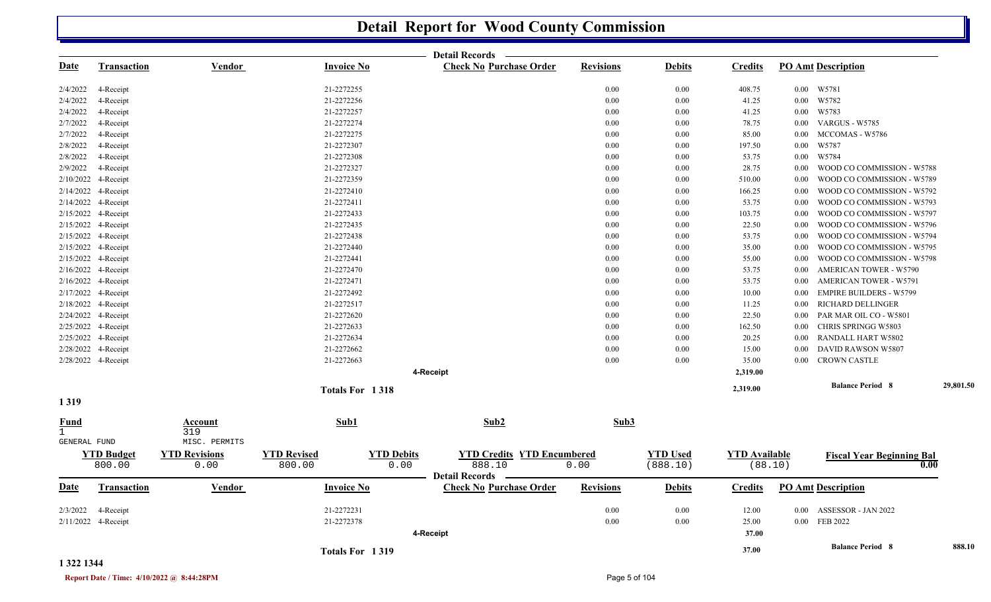|                             |                             |                              |                                                   | <b>Detail Records</b>                                   |                  |                             |                                 |          |                                          |           |
|-----------------------------|-----------------------------|------------------------------|---------------------------------------------------|---------------------------------------------------------|------------------|-----------------------------|---------------------------------|----------|------------------------------------------|-----------|
| <b>Date</b>                 | <b>Transaction</b>          | Vendor                       | <b>Invoice No</b>                                 | <b>Check No Purchase Order</b>                          | <b>Revisions</b> | <b>Debits</b>               | <b>Credits</b>                  |          | <b>PO Amt Description</b>                |           |
| 2/4/2022                    | 4-Receipt                   |                              | 21-2272255                                        |                                                         | 0.00             | 0.00                        | 408.75                          |          | 0.00 W5781                               |           |
| 2/4/2022                    | 4-Receipt                   |                              | 21-2272256                                        |                                                         | 0.00             | 0.00                        | 41.25                           | $0.00\,$ | W5782                                    |           |
| 2/4/2022                    | 4-Receipt                   |                              | 21-2272257                                        |                                                         | 0.00             | 0.00                        | 41.25                           | $0.00\,$ | W5783                                    |           |
| 2/7/2022                    | 4-Receipt                   |                              | 21-2272274                                        |                                                         | 0.00             | 0.00                        | 78.75                           | $0.00\,$ | VARGUS - W5785                           |           |
| 2/7/2022                    | 4-Receipt                   |                              | 21-2272275                                        |                                                         | 0.00             | 0.00                        | 85.00                           | $0.00\,$ | MCCOMAS - W5786                          |           |
| 2/8/2022                    | 4-Receipt                   |                              | 21-2272307                                        |                                                         | 0.00             | 0.00                        | 197.50                          | 0.00     | W5787                                    |           |
| 2/8/2022                    | 4-Receipt                   |                              | 21-2272308                                        |                                                         | 0.00             | 0.00                        | 53.75                           | 0.00     | W5784                                    |           |
| 2/9/2022                    | 4-Receipt                   |                              | 21-2272327                                        |                                                         | 0.00             | 0.00                        | 28.75                           | $0.00\,$ | WOOD CO COMMISSION - W5788               |           |
| 2/10/2022                   | 4-Receipt                   |                              | 21-2272359                                        |                                                         | 0.00             | 0.00                        | 510.00                          | 0.00     | WOOD CO COMMISSION - W5789               |           |
| 2/14/2022                   | 4-Receipt                   |                              | 21-2272410                                        |                                                         | 0.00             | 0.00                        | 166.25                          | $0.00\,$ | WOOD CO COMMISSION - W5792               |           |
|                             | 2/14/2022 4-Receipt         |                              | 21-2272411                                        |                                                         | 0.00             | 0.00                        | 53.75                           | $0.00\,$ | WOOD CO COMMISSION - W5793               |           |
| 2/15/2022                   | 4-Receipt                   |                              | 21-2272433                                        |                                                         | 0.00             | 0.00                        | 103.75                          | 0.00     | WOOD CO COMMISSION - W5797               |           |
|                             | 2/15/2022 4-Receipt         |                              | 21-2272435                                        |                                                         | 0.00             | 0.00                        | 22.50                           | 0.00     | WOOD CO COMMISSION - W5796               |           |
|                             | 2/15/2022 4-Receipt         |                              | 21-2272438                                        |                                                         | 0.00             | 0.00                        | 53.75                           | 0.00     | WOOD CO COMMISSION - W5794               |           |
|                             | 2/15/2022 4-Receipt         |                              | 21-2272440                                        |                                                         | 0.00             | 0.00                        | 35.00                           | 0.00     | WOOD CO COMMISSION - W5795               |           |
|                             | 2/15/2022 4-Receipt         |                              | 21-2272441                                        |                                                         | 0.00             | 0.00                        | 55.00                           | 0.00     | WOOD CO COMMISSION - W5798               |           |
|                             | 2/16/2022 4-Receipt         |                              | 21-2272470                                        |                                                         | 0.00             | 0.00                        | 53.75                           | $0.00\,$ | <b>AMERICAN TOWER - W5790</b>            |           |
|                             | 2/16/2022 4-Receipt         |                              | 21-2272471                                        |                                                         | 0.00             | 0.00                        | 53.75                           | 0.00     | <b>AMERICAN TOWER - W5791</b>            |           |
|                             | 2/17/2022 4-Receipt         |                              | 21-2272492                                        |                                                         | 0.00             | 0.00                        | 10.00                           | 0.00     | <b>EMPIRE BUILDERS - W5799</b>           |           |
|                             | 2/18/2022 4-Receipt         |                              | 21-2272517                                        |                                                         | 0.00             | 0.00                        | 11.25                           | 0.00     | RICHARD DELLINGER                        |           |
|                             | 2/24/2022 4-Receipt         |                              | 21-2272620                                        |                                                         | 0.00             | 0.00                        | 22.50                           | 0.00     | PAR MAR OIL CO - W5801                   |           |
|                             | 2/25/2022 4-Receipt         |                              | 21-2272633                                        |                                                         | 0.00             | 0.00                        | 162.50                          | 0.00     | CHRIS SPRINGG W5803                      |           |
|                             | 2/25/2022 4-Receipt         |                              | 21-2272634                                        |                                                         | 0.00             | 0.00                        | 20.25                           | 0.00     | RANDALL HART W5802                       |           |
|                             | 2/28/2022 4-Receipt         |                              | 21-2272662                                        |                                                         | 0.00             | 0.00                        | 15.00                           | 0.00     | DAVID RAWSON W5807                       |           |
|                             | 2/28/2022 4-Receipt         |                              | 21-2272663                                        |                                                         | 0.00             | 0.00                        | 35.00                           | $0.00\,$ | <b>CROWN CASTLE</b>                      |           |
|                             |                             |                              |                                                   | 4-Receipt                                               |                  |                             | 2,319.00                        |          |                                          |           |
|                             |                             |                              | Totals For 1318                                   |                                                         |                  |                             | 2,319.00                        |          | <b>Balance Period 8</b>                  | 29,801.50 |
| 1319                        |                             |                              |                                                   |                                                         |                  |                             |                                 |          |                                          |           |
| <b>Fund</b><br>$\mathbf{1}$ |                             | Account<br>319               | Sub1                                              | Sub2                                                    | Sub3             |                             |                                 |          |                                          |           |
| GENERAL FUND                |                             | MISC. PERMITS                |                                                   |                                                         |                  |                             |                                 |          |                                          |           |
|                             | <b>YTD Budget</b><br>800.00 | <b>YTD Revisions</b><br>0.00 | <b>YTD Revised</b><br><b>YTD Debits</b><br>800.00 | <b>YTD Credits YTD Encumbered</b><br>0.00<br>888.10     | 0.00             | <b>YTD Used</b><br>(888.10) | <b>YTD Available</b><br>(88.10) |          | <b>Fiscal Year Beginning Bal</b><br>0.00 |           |
| <b>Date</b>                 | Transaction                 | <u>Vendor</u>                | <b>Invoice No</b>                                 | <b>Detail Records</b><br><b>Check No Purchase Order</b> | <b>Revisions</b> | <b>Debits</b>               | <b>Credits</b>                  |          | <b>PO Amt Description</b>                |           |
| 2/3/2022                    | 4-Receipt                   |                              | 21-2272231                                        |                                                         | 0.00             | 0.00                        | 12.00                           | 0.00     | ASSESSOR - JAN 2022                      |           |
|                             | 2/11/2022 4-Receipt         |                              | 21-2272378                                        |                                                         | 0.00             | 0.00                        | 25.00                           |          | 0.00 FEB 2022                            |           |
|                             |                             |                              |                                                   | 4-Receipt                                               |                  |                             | 37.00                           |          |                                          |           |
|                             |                             |                              |                                                   |                                                         |                  |                             |                                 |          |                                          |           |
|                             |                             |                              | Totals For 1319                                   |                                                         |                  |                             | 37.00                           |          | <b>Balance Period 8</b>                  | 888.10    |

#### **1 322 1344**

**Report Date / Time: 4/10/2022 @ 8:44:28PM** Page 5 of 104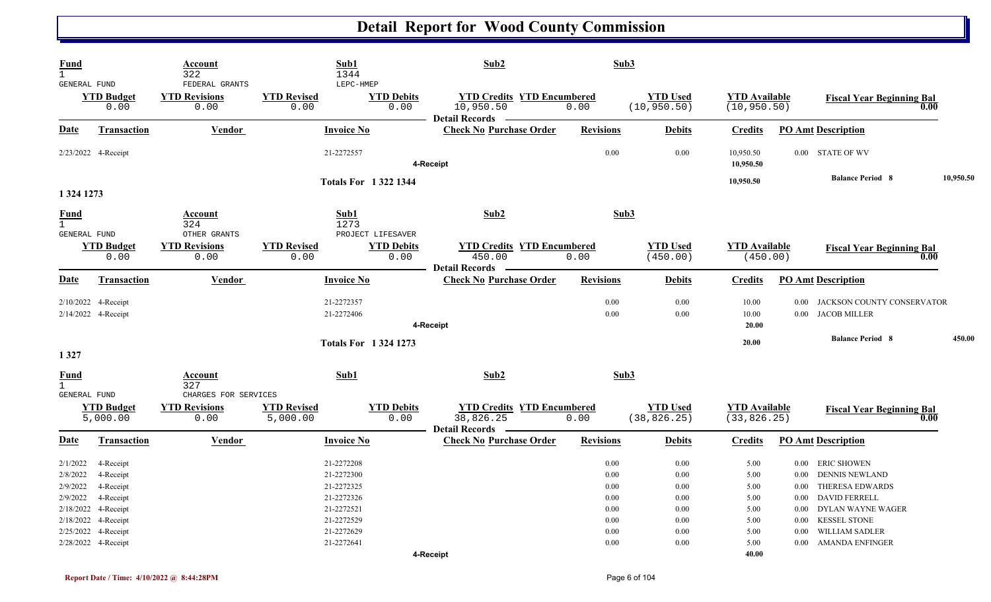| Fund<br>$\mathbf{1}$<br>GENERAL FUND                      |                                                               | Account<br>322<br>FEDERAL GRANTS              |                                | Sub1<br>1344<br>LEPC-HMEP                                          | Sub2                                                                      | Sub3                                 |                                      |                                      |                                                                                                                                                           |           |
|-----------------------------------------------------------|---------------------------------------------------------------|-----------------------------------------------|--------------------------------|--------------------------------------------------------------------|---------------------------------------------------------------------------|--------------------------------------|--------------------------------------|--------------------------------------|-----------------------------------------------------------------------------------------------------------------------------------------------------------|-----------|
|                                                           | <b>YTD Budget</b><br>0.00                                     | <b>YTD Revisions</b><br>0.00                  | <b>YTD Revised</b><br>0.00     | <b>YTD Debits</b><br>0.00                                          | <b>YTD Credits YTD Encumbered</b><br>10,950.50<br>Detail Records -        | 0.00                                 | <b>YTD Used</b><br>(10, 950.50)      | <b>YTD Available</b><br>(10, 950.50) | <b>Fiscal Year Beginning Bal</b><br>0.00                                                                                                                  |           |
| Date                                                      | <b>Transaction</b>                                            | Vendor                                        |                                | <b>Invoice No</b>                                                  | <b>Check No Purchase Order</b>                                            | <b>Revisions</b>                     | <b>Debits</b>                        | <b>Credits</b>                       | <b>PO Amt Description</b>                                                                                                                                 |           |
|                                                           | 2/23/2022 4-Receipt                                           |                                               |                                | 21-2272557                                                         | 4-Receipt                                                                 | 0.00                                 | 0.00                                 | 10,950.50<br>10.950.50               | 0.00 STATE OF WV                                                                                                                                          |           |
| 1 324 1273                                                |                                                               |                                               |                                | <b>Totals For 13221344</b>                                         |                                                                           |                                      |                                      | 10,950.50                            | <b>Balance Period 8</b>                                                                                                                                   | 10,950.50 |
| <u>Fund</u><br>$\mathbf{1}$<br><b>GENERAL FUND</b>        |                                                               | Account<br>324<br>OTHER GRANTS                |                                | Sub1<br>1273<br>PROJECT LIFESAVER                                  | Sub2                                                                      | Sub3                                 |                                      |                                      |                                                                                                                                                           |           |
|                                                           | <b>YTD Budget</b><br>0.00                                     | <b>YTD Revisions</b><br>0.00                  | <b>YTD Revised</b><br>0.00     | <b>YTD Debits</b><br>0.00                                          | <b>YTD Credits YTD Encumbered</b><br>450.00<br><b>Detail Records</b>      | 0.00                                 | <b>YTD Used</b><br>(450.00)          | <b>YTD</b> Available<br>(450.00)     | <b>Fiscal Year Beginning Bal</b><br>0.00                                                                                                                  |           |
| Date                                                      | Transaction                                                   | <b>Vendor</b>                                 |                                | <b>Invoice No</b>                                                  | <b>Check No Purchase Order</b>                                            | <b>Revisions</b>                     | <b>Debits</b>                        | <b>Credits</b>                       | <b>PO Amt Description</b>                                                                                                                                 |           |
|                                                           | 2/10/2022 4-Receipt<br>2/14/2022 4-Receipt                    |                                               |                                | 21-2272357<br>21-2272406                                           |                                                                           | 0.00<br>0.00                         | 0.00<br>0.00                         | 10.00<br>10.00<br>20.00              | JACKSON COUNTY CONSERVATOR<br>0.00<br>0.00 JACOB MILLER                                                                                                   |           |
|                                                           |                                                               |                                               |                                | <b>Totals For 13241273</b>                                         | 4-Receipt                                                                 |                                      |                                      | 20.00                                | <b>Balance Period 8</b>                                                                                                                                   | 450.00    |
| 1327                                                      |                                                               |                                               |                                |                                                                    |                                                                           |                                      |                                      |                                      |                                                                                                                                                           |           |
| <u>Fund</u><br>$\mathbf{1}$<br><b>GENERAL FUND</b>        |                                                               | <b>Account</b><br>327<br>CHARGES FOR SERVICES |                                | Sub1                                                               | Sub2                                                                      | Sub3                                 |                                      |                                      |                                                                                                                                                           |           |
|                                                           | <b>YTD Budget</b><br>5,000.00                                 | <b>YTD Revisions</b><br>0.00                  | <b>YTD Revised</b><br>5,000.00 | <b>YTD Debits</b><br>0.00                                          | <b>YTD Credits YTD Encumbered</b><br>38,826.25<br><b>Detail Records</b> - | 0.00                                 | <b>YTD Used</b><br>(38, 826.25)      | <b>YTD Available</b><br>(33, 826.25) | <b>Fiscal Year Beginning Bal</b><br>0.00                                                                                                                  |           |
| Date                                                      | Transaction                                                   | <b>Vendor</b>                                 |                                | <b>Invoice No</b>                                                  | <b>Check No Purchase Order</b>                                            | <b>Revisions</b>                     | <b>Debits</b>                        | <b>Credits</b>                       | <b>PO Amt Description</b>                                                                                                                                 |           |
| 2/1/2022<br>2/8/2022<br>2/9/2022<br>2/9/2022<br>2/18/2022 | 4-Receipt<br>4-Receipt<br>4-Receipt<br>4-Receipt<br>4-Receipt |                                               |                                | 21-2272208<br>21-2272300<br>21-2272325<br>21-2272326<br>21-2272521 |                                                                           | 0.00<br>0.00<br>0.00<br>0.00<br>0.00 | 0.00<br>0.00<br>0.00<br>0.00<br>0.00 | 5.00<br>5.00<br>5.00<br>5.00<br>5.00 | 0.00 ERIC SHOWEN<br><b>DENNIS NEWLAND</b><br>$0.00\,$<br>THERESA EDWARDS<br>$0.00\,$<br><b>DAVID FERRELL</b><br>$0.00\,$<br>DYLAN WAYNE WAGER<br>$0.00\,$ |           |
| 2/18/2022                                                 | 4-Receipt<br>2/25/2022 4-Receipt<br>2/28/2022 4-Receipt       |                                               |                                | 21-2272529<br>21-2272629<br>21-2272641                             | 4-Receipt                                                                 | 0.00<br>0.00<br>0.00                 | 0.00<br>0.00<br>0.00                 | 5.00<br>5.00<br>5.00<br>40.00        | <b>KESSEL STONE</b><br>0.00<br><b>WILLIAM SADLER</b><br>0.00<br><b>AMANDA ENFINGER</b><br>$0.00\,$                                                        |           |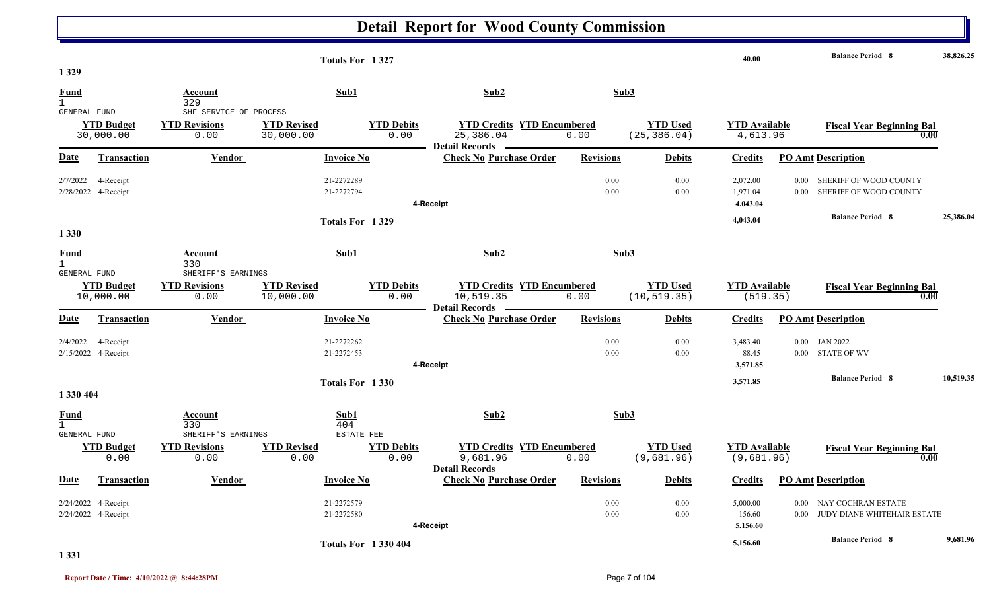|                      |                           |                                            | Totals For 1327            |                           |                                                                        |                  |                               | 40.00                              |          | <b>Balance Period 8</b>                  | 38,826.25 |
|----------------------|---------------------------|--------------------------------------------|----------------------------|---------------------------|------------------------------------------------------------------------|------------------|-------------------------------|------------------------------------|----------|------------------------------------------|-----------|
| 1329                 |                           |                                            |                            |                           |                                                                        |                  |                               |                                    |          |                                          |           |
| Fund<br>$\mathbf{1}$ |                           | Account<br>329                             | Sub1                       |                           | Sub2                                                                   | Sub3             |                               |                                    |          |                                          |           |
| GENERAL FUND         |                           | SHF SERVICE OF PROCESS                     |                            |                           |                                                                        |                  |                               |                                    |          |                                          |           |
|                      | <b>YTD Budget</b>         | <b>YTD Revisions</b>                       | <b>YTD Revised</b>         | <b>YTD Debits</b>         | <b>YTD Credits YTD Encumbered</b>                                      |                  | <b>YTD Used</b>               | <b>YTD</b> Available               |          | <b>Fiscal Year Beginning Bal</b>         |           |
|                      | 30,000.00                 | 0.00                                       | 30,000.00                  | 0.00                      | 25,386.04<br>Detail Records -                                          | 0.00             | (25, 386.04)                  | 4,613.96                           |          | 0.00                                     |           |
| Date                 | <b>Transaction</b>        | Vendor                                     | <b>Invoice No</b>          |                           | <b>Check No Purchase Order</b>                                         | <b>Revisions</b> | <b>Debits</b>                 | <b>Credits</b>                     |          | <b>PO Amt Description</b>                |           |
| 2/7/2022             | 4-Receipt                 |                                            | 21-2272289                 |                           |                                                                        | 0.00             | 0.00                          | 2,072.00                           | 0.00     | SHERIFF OF WOOD COUNTY                   |           |
|                      | 2/28/2022 4-Receipt       |                                            | 21-2272794                 |                           |                                                                        | 0.00             | 0.00                          | 1,971.04                           | $0.00\,$ | SHERIFF OF WOOD COUNTY                   |           |
|                      |                           |                                            |                            |                           | 4-Receipt                                                              |                  |                               | 4,043.04                           |          |                                          |           |
|                      |                           |                                            | Totals For 1329            |                           |                                                                        |                  |                               | 4,043.04                           |          | <b>Balance Period 8</b>                  | 25,386.04 |
| 1 3 3 0              |                           |                                            |                            |                           |                                                                        |                  |                               |                                    |          |                                          |           |
| <b>Fund</b>          |                           | <b>Account</b>                             | Sub1                       |                           | Sub2                                                                   | Sub3             |                               |                                    |          |                                          |           |
| $\mathbf{1}$         |                           | 330                                        |                            |                           |                                                                        |                  |                               |                                    |          |                                          |           |
| GENERAL FUND         | <b>YTD Budget</b>         | SHERIFF'S EARNINGS<br><b>YTD Revisions</b> | <b>YTD Revised</b>         | <b>YTD Debits</b>         | <b>YTD Credits YTD Encumbered</b>                                      |                  | <b>YTD</b> Used               | <b>YTD</b> Available               |          |                                          |           |
|                      | 10,000.00                 | 0.00                                       | 10,000.00                  | 0.00                      | 10,519.35                                                              | 0.00             | (10, 519.35)                  | (519.35)                           |          | <b>Fiscal Year Beginning Bal</b><br>0.00 |           |
|                      |                           |                                            |                            |                           | <b>Detail Records</b>                                                  |                  |                               |                                    |          |                                          |           |
| Date                 | <b>Transaction</b>        | <b>Vendor</b>                              | <b>Invoice No</b>          |                           | <b>Check No Purchase Order</b>                                         | <b>Revisions</b> | <b>Debits</b>                 | <b>Credits</b>                     |          | <b>PO Amt Description</b>                |           |
| 2/4/2022             | 4-Receipt                 |                                            | 21-2272262                 |                           |                                                                        | 0.00             | 0.00                          | 3,483.40                           |          | 0.00 JAN 2022                            |           |
|                      | 2/15/2022 4-Receipt       |                                            | 21-2272453                 |                           |                                                                        | 0.00             | 0.00                          | 88.45                              |          | 0.00 STATE OF WV                         |           |
|                      |                           |                                            |                            |                           | 4-Receipt                                                              |                  |                               | 3,571.85                           |          |                                          |           |
|                      |                           |                                            | Totals For 1330            |                           |                                                                        |                  |                               | 3,571.85                           |          | <b>Balance Period 8</b>                  | 10,519.35 |
| 1 330 404            |                           |                                            |                            |                           |                                                                        |                  |                               |                                    |          |                                          |           |
| <u>Fund</u>          |                           | Account                                    | Sub1                       |                           | Sub2                                                                   | Sub3             |                               |                                    |          |                                          |           |
| $\mathbf{1}$         |                           | 330                                        | 404                        |                           |                                                                        |                  |                               |                                    |          |                                          |           |
| <b>GENERAL FUND</b>  |                           | SHERIFF'S EARNINGS                         | ESTATE FEE                 |                           |                                                                        |                  |                               |                                    |          |                                          |           |
|                      | <b>YTD Budget</b><br>0.00 | <b>YTD Revisions</b><br>0.00               | <b>YTD Revised</b><br>0.00 | <b>YTD Debits</b><br>0.00 | <b>YTD Credits YTD Encumbered</b><br>9,681.96<br><b>Detail Records</b> | 0.00             | <b>YTD Used</b><br>(9,681.96) | <b>YTD Available</b><br>(9,681.96) |          | <b>Fiscal Year Beginning Bal</b><br>0.00 |           |
| Date                 | <b>Transaction</b>        | <b>Vendor</b>                              | <b>Invoice No</b>          |                           | <b>Check No Purchase Order</b>                                         | <b>Revisions</b> | <b>Debits</b>                 | <b>Credits</b>                     |          | <b>PO Amt Description</b>                |           |
|                      | 2/24/2022 4-Receipt       |                                            | 21-2272579                 |                           |                                                                        | 0.00             | 0.00                          | 5,000.00                           | $0.00\,$ | NAY COCHRAN ESTATE                       |           |
|                      | 2/24/2022 4-Receipt       |                                            | 21-2272580                 |                           |                                                                        | 0.00             | 0.00                          | 156.60                             | $0.00\,$ | JUDY DIANE WHITEHAIR ESTATE              |           |
|                      |                           |                                            |                            |                           | 4-Receipt                                                              |                  |                               | 5,156.60                           |          |                                          |           |
|                      |                           |                                            | <b>Totals For 1330404</b>  |                           |                                                                        |                  |                               | 5,156.60                           |          | <b>Balance Period 8</b>                  | 9,681.96  |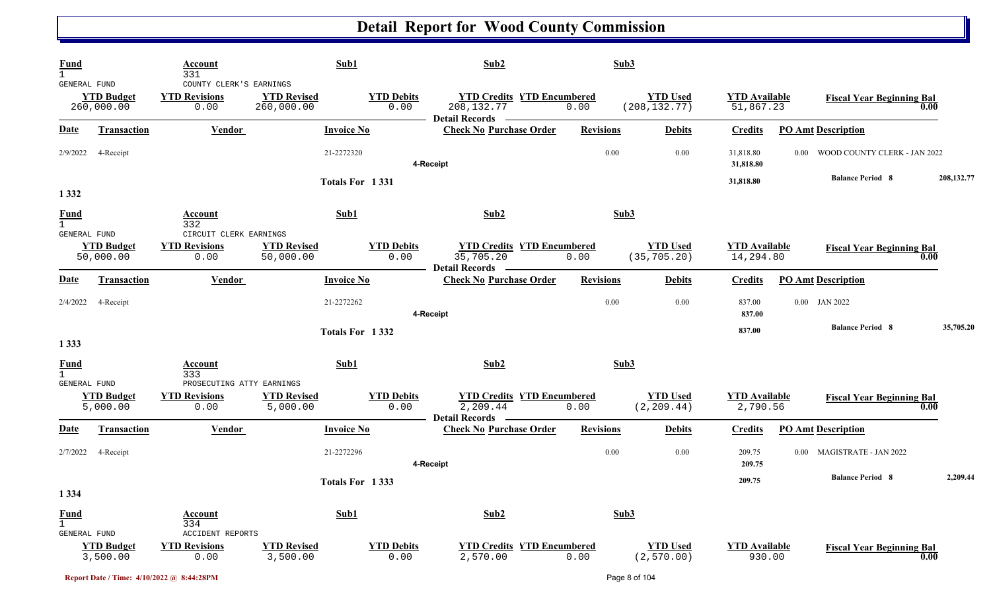| <b>Fund</b><br>$\mathbf{1}$<br>GENERAL FUND |                                 | Account<br>331<br>COUNTY CLERK'S EARNINGS                 | Sub1                             |                           | Sub2                                                                      | Sub3             |                                  |                                   |                                          |              |
|---------------------------------------------|---------------------------------|-----------------------------------------------------------|----------------------------------|---------------------------|---------------------------------------------------------------------------|------------------|----------------------------------|-----------------------------------|------------------------------------------|--------------|
|                                             | <b>YTD Budget</b><br>260,000.00 | <b>YTD Revisions</b><br>0.00                              | <b>YTD Revised</b><br>260,000.00 | <b>YTD Debits</b><br>0.00 | <b>YTD Credits YTD Encumbered</b><br>208, 132. 77                         | 0.00             | <b>YTD</b> Used<br>(208, 132.77) | <b>YTD Available</b><br>51,867.23 | <b>Fiscal Year Beginning Bal</b>         | 0.00         |
| <u>Date</u>                                 | <b>Transaction</b>              | <b>Vendor</b>                                             | <b>Invoice No</b>                |                           | - Detail Records -<br><b>Check No Purchase Order</b>                      | <b>Revisions</b> | <b>Debits</b>                    | <b>Credits</b>                    | <b>PO Amt Description</b>                |              |
| 2/9/2022                                    | 4-Receipt                       |                                                           | 21-2272320                       |                           | 4-Receipt                                                                 | 0.00             | 0.00                             | 31,818.80<br>31,818.80            | WOOD COUNTY CLERK - JAN 2022<br>$0.00\,$ |              |
| 1 3 3 2                                     |                                 |                                                           |                                  | Totals For 1331           |                                                                           |                  |                                  | 31,818.80                         | <b>Balance Period 8</b>                  | 208, 132. 77 |
| <b>Fund</b><br>$\mathbf{1}$<br>GENERAL FUND |                                 | Account<br>332<br>CIRCUIT CLERK EARNINGS                  | Sub1                             |                           | Sub2                                                                      | Sub3             |                                  |                                   |                                          |              |
|                                             | <b>YTD Budget</b><br>50,000.00  | <b>YTD Revisions</b><br>0.00                              | <b>YTD Revised</b><br>50,000.00  | <b>YTD Debits</b><br>0.00 | <b>YTD Credits YTD Encumbered</b><br>35,705.20<br>Detail Records ________ | 0.00             | <b>YTD Used</b><br>(35, 705.20)  | <b>YTD Available</b><br>14,294.80 | <b>Fiscal Year Beginning Bal</b>         | 0.00         |
| Date                                        | <b>Transaction</b>              | Vendor                                                    | <b>Invoice No</b>                |                           | <b>Check No Purchase Order</b>                                            | <b>Revisions</b> | <b>Debits</b>                    | <b>Credits</b>                    | <b>PO Amt Description</b>                |              |
| 2/4/2022                                    | 4-Receipt                       |                                                           | 21-2272262                       |                           | 4-Receipt                                                                 | 0.00             | 0.00                             | 837.00<br>837.00                  | $0.00$ JAN 2022                          |              |
| 1 3 3 3                                     |                                 |                                                           |                                  | Totals For 1332           |                                                                           |                  |                                  | 837.00                            | <b>Balance Period 8</b>                  | 35,705.20    |
| Fund                                        |                                 | Account<br>333                                            | Sub1                             |                           | Sub2                                                                      | Sub3             |                                  |                                   |                                          |              |
| GENERAL FUND                                | <b>YTD Budget</b><br>5,000.00   | PROSECUTING ATTY EARNINGS<br><b>YTD Revisions</b><br>0.00 | <b>YTD Revised</b><br>5,000.00   | <b>YTD Debits</b><br>0.00 | <b>YTD Credits YTD Encumbered</b><br>2,209.44<br>Detail Records —         | 0.00             | <b>YTD Used</b><br>(2, 209.44)   | <b>YTD Available</b><br>2,790.56  | <b>Fiscal Year Beginning Bal</b>         | 0.00         |
| Date                                        | <b>Transaction</b>              | Vendor                                                    | <b>Invoice No</b>                |                           | <b>Check No Purchase Order</b>                                            | <b>Revisions</b> | <b>Debits</b>                    | <b>Credits</b>                    | <b>PO Amt Description</b>                |              |
| 2/7/2022                                    | 4-Receipt                       |                                                           | 21-2272296                       |                           | 4-Receipt                                                                 | 0.00             | 0.00                             | 209.75<br>209.75                  | 0.00 MAGISTRATE - JAN 2022               |              |
|                                             |                                 |                                                           |                                  | Totals For 1333           |                                                                           |                  |                                  | 209.75                            | <b>Balance Period 8</b>                  | 2,209.44     |
| 1 3 3 4<br><b>Fund</b><br>1<br>GENERAL FUND |                                 | <b>Account</b><br>334<br><b>ACCIDENT REPORTS</b>          | Sub1                             |                           | Sub2                                                                      | Sub3             |                                  |                                   |                                          |              |
|                                             | <b>YTD</b> Budget<br>3,500.00   | <b>YTD Revisions</b><br>0.00                              | <b>YTD Revised</b><br>3,500.00   | <b>YTD Debits</b><br>0.00 | <b>YTD Credits YTD Encumbered</b><br>2,570.00                             | 0.00             | <b>YTD Used</b><br>(2, 570.00)   | <b>YTD Available</b><br>930.00    | <b>Fiscal Year Beginning Bal</b>         | 0.00         |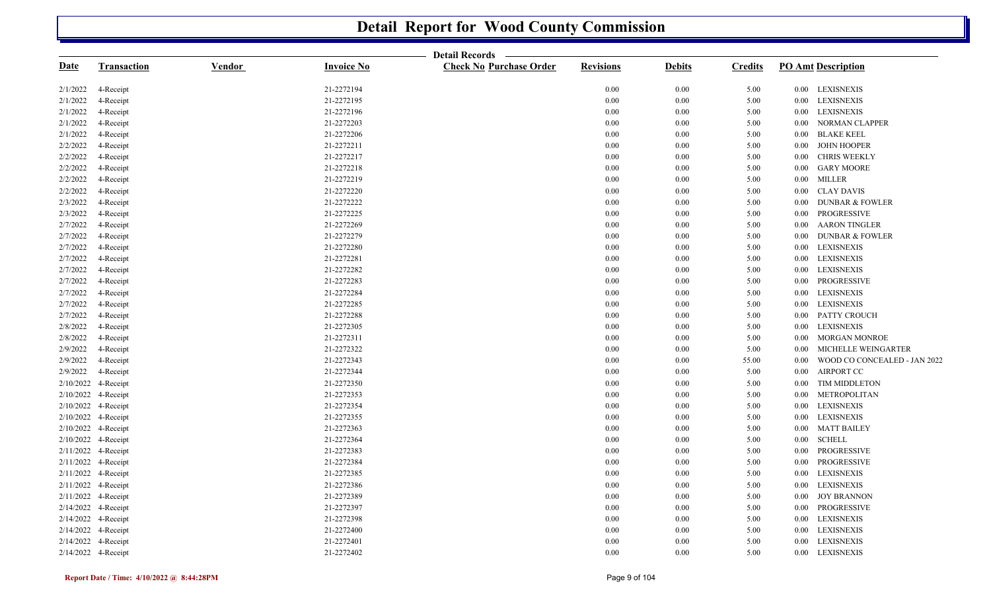|             |                     |               |                   | <b>Detail Records</b>          |                  |               |                |                                          |
|-------------|---------------------|---------------|-------------------|--------------------------------|------------------|---------------|----------------|------------------------------------------|
| <u>Date</u> | <b>Transaction</b>  | <b>Vendor</b> | <b>Invoice No</b> | <b>Check No Purchase Order</b> | <b>Revisions</b> | <b>Debits</b> | <b>Credits</b> | <b>PO Amt Description</b>                |
| 2/1/2022    | 4-Receipt           |               | 21-2272194        |                                | 0.00             | 0.00          | 5.00           | 0.00 LEXISNEXIS                          |
| 2/1/2022    | 4-Receipt           |               | 21-2272195        |                                | $0.00\,$         | 0.00          | 5.00           | <b>LEXISNEXIS</b><br>$0.00\,$            |
| 2/1/2022    | 4-Receipt           |               | 21-2272196        |                                | 0.00             | 0.00          | 5.00           | 0.00 LEXISNEXIS                          |
| 2/1/2022    | 4-Receipt           |               | 21-2272203        |                                | 0.00             | 0.00          | 5.00           | NORMAN CLAPPER<br>$0.00\,$               |
| 2/1/2022    | 4-Receipt           |               | 21-2272206        |                                | $0.00\,$         | 0.00          | 5.00           | <b>BLAKE KEEL</b><br>$0.00\,$            |
| 2/2/2022    | 4-Receipt           |               | 21-2272211        |                                | 0.00             | 0.00          | 5.00           | <b>JOHN HOOPER</b><br>$0.00\,$           |
| 2/2/2022    | 4-Receipt           |               | 21-2272217        |                                | 0.00             | 0.00          | 5.00           | <b>CHRIS WEEKLY</b><br>$0.00\,$          |
| 2/2/2022    | 4-Receipt           |               | 21-2272218        |                                | 0.00             | 0.00          | 5.00           | <b>GARY MOORE</b><br>$0.00\,$            |
| 2/2/2022    | 4-Receipt           |               | 21-2272219        |                                | 0.00             | 0.00          | 5.00           | 0.00 MILLER                              |
| 2/2/2022    | 4-Receipt           |               | 21-2272220        |                                | 0.00             | 0.00          | 5.00           | 0.00 CLAY DAVIS                          |
| 2/3/2022    | 4-Receipt           |               | 21-2272222        |                                | 0.00             | 0.00          | 5.00           | <b>DUNBAR &amp; FOWLER</b><br>$0.00\,$   |
| 2/3/2022    | 4-Receipt           |               | 21-2272225        |                                | 0.00             | 0.00          | 5.00           | PROGRESSIVE<br>$0.00\,$                  |
| 2/7/2022    | 4-Receipt           |               | 21-2272269        |                                | 0.00             | $0.00\,$      | 5.00           | <b>AARON TINGLER</b><br>$0.00\,$         |
| 2/7/2022    | 4-Receipt           |               | 21-2272279        |                                | 0.00             | 0.00          | 5.00           | <b>DUNBAR &amp; FOWLER</b><br>0.00       |
| 2/7/2022    | 4-Receipt           |               | 21-2272280        |                                | 0.00             | 0.00          | 5.00           | <b>LEXISNEXIS</b><br>$0.00\,$            |
| 2/7/2022    | 4-Receipt           |               | 21-2272281        |                                | 0.00             | 0.00          | 5.00           | <b>LEXISNEXIS</b><br>$0.00\,$            |
| 2/7/2022    | 4-Receipt           |               | 21-2272282        |                                | 0.00             | 0.00          | 5.00           | <b>LEXISNEXIS</b><br>$0.00\,$            |
| 2/7/2022    | 4-Receipt           |               | 21-2272283        |                                | 0.00             | 0.00          | 5.00           | PROGRESSIVE<br>$0.00\,$                  |
| 2/7/2022    | 4-Receipt           |               | 21-2272284        |                                | 0.00             | 0.00          | 5.00           | <b>LEXISNEXIS</b><br>$0.00\,$            |
| 2/7/2022    | 4-Receipt           |               | 21-2272285        |                                | $0.00\,$         | 0.00          | 5.00           | <b>LEXISNEXIS</b><br>$0.00\,$            |
| 2/7/2022    | 4-Receipt           |               | 21-2272288        |                                | 0.00             | 0.00          | 5.00           | PATTY CROUCH<br>0.00                     |
| 2/8/2022    | 4-Receipt           |               | 21-2272305        |                                | 0.00             | 0.00          | 5.00           | $0.00\,$<br><b>LEXISNEXIS</b>            |
| 2/8/2022    | 4-Receipt           |               | 21-2272311        |                                | 0.00             | 0.00          | 5.00           | <b>MORGAN MONROE</b><br>$0.00\,$         |
| 2/9/2022    | 4-Receipt           |               | 21-2272322        |                                | 0.00             | 0.00          | 5.00           | MICHELLE WEINGARTER<br>$0.00\,$          |
| 2/9/2022    | 4-Receipt           |               | 21-2272343        |                                | 0.00             | 0.00          | 55.00          | WOOD CO CONCEALED - JAN 2022<br>$0.00\,$ |
| 2/9/2022    | 4-Receipt           |               | 21-2272344        |                                | 0.00             | 0.00          | 5.00           | <b>AIRPORT CC</b><br>$0.00\,$            |
|             | 2/10/2022 4-Receipt |               | 21-2272350        |                                | 0.00             | 0.00          | 5.00           | <b>TIM MIDDLETON</b><br>$0.00\,$         |
|             | 2/10/2022 4-Receipt |               | 21-2272353        |                                | $0.00\,$         | 0.00          | 5.00           | METROPOLITAN<br>$0.00\,$                 |
|             | 2/10/2022 4-Receipt |               | 21-2272354        |                                | $0.00\,$         | $0.00\,$      | 5.00           | <b>LEXISNEXIS</b><br>$0.00\,$            |
|             | 2/10/2022 4-Receipt |               | 21-2272355        |                                | 0.00             | 0.00          | 5.00           | <b>LEXISNEXIS</b><br>$0.00\,$            |
|             | 2/10/2022 4-Receipt |               | 21-2272363        |                                | 0.00             | 0.00          | 5.00           | <b>MATT BAILEY</b><br>$0.00\,$           |
|             | 2/10/2022 4-Receipt |               | 21-2272364        |                                | 0.00             | 0.00          | 5.00           | <b>SCHELL</b><br>$0.00\,$                |
|             | 2/11/2022 4-Receipt |               | 21-2272383        |                                | 0.00             | 0.00          | 5.00           | PROGRESSIVE<br>$0.00\,$                  |
|             | 2/11/2022 4-Receipt |               | 21-2272384        |                                | 0.00             | 0.00          | 5.00           | PROGRESSIVE<br>$0.00\,$                  |
|             | 2/11/2022 4-Receipt |               | 21-2272385        |                                | $0.00\,$         | $0.00\,$      | 5.00           | <b>LEXISNEXIS</b><br>$0.00\,$            |
|             | 2/11/2022 4-Receipt |               | 21-2272386        |                                | 0.00             | 0.00          | 5.00           | <b>LEXISNEXIS</b><br>$0.00\,$            |
|             | 2/11/2022 4-Receipt |               | 21-2272389        |                                | 0.00             | 0.00          | 5.00           | <b>JOY BRANNON</b><br>$0.00\,$           |
|             | 2/14/2022 4-Receipt |               | 21-2272397        |                                | 0.00             | 0.00          | 5.00           | PROGRESSIVE<br>$0.00\,$                  |
|             | 2/14/2022 4-Receipt |               | 21-2272398        |                                | 0.00             | 0.00          | 5.00           | <b>LEXISNEXIS</b><br>$0.00\,$            |
|             | 2/14/2022 4-Receipt |               | 21-2272400        |                                | 0.00             | 0.00          | 5.00           | <b>LEXISNEXIS</b><br>$0.00\,$            |
|             | 2/14/2022 4-Receipt |               | 21-2272401        |                                | 0.00             | 0.00          | 5.00           | 0.00 LEXISNEXIS                          |
|             | 2/14/2022 4-Receipt |               | 21-2272402        |                                | 0.00             | 0.00          | 5.00           | 0.00 LEXISNEXIS                          |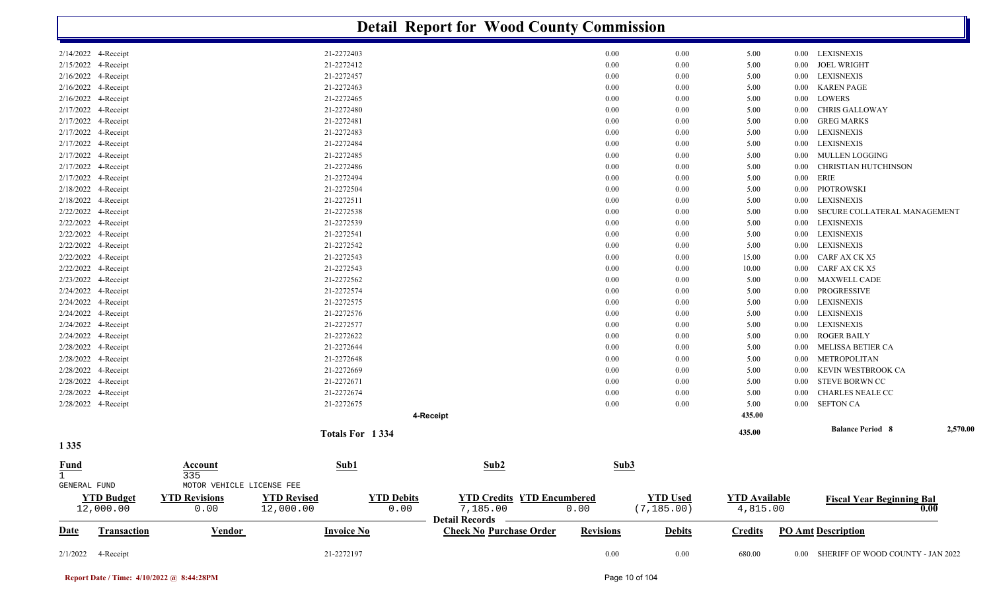|                                             |                                             |                                 |                           | <b>Detail Report for Wood County Commission</b>                   |                  |                                |                                  |                      |                                        |          |
|---------------------------------------------|---------------------------------------------|---------------------------------|---------------------------|-------------------------------------------------------------------|------------------|--------------------------------|----------------------------------|----------------------|----------------------------------------|----------|
| 2/14/2022 4-Receipt                         |                                             | 21-2272403                      |                           |                                                                   | 0.00             | 0.00                           | 5.00                             |                      | 0.00 LEXISNEXIS                        |          |
| 2/15/2022 4-Receipt                         |                                             | 21-2272412                      |                           |                                                                   | 0.00             | 0.00                           | 5.00                             | $0.00\,$             | <b>JOEL WRIGHT</b>                     |          |
| 2/16/2022 4-Receipt                         |                                             | 21-2272457                      |                           |                                                                   | 0.00             | 0.00                           | 5.00                             | $0.00\,$             | <b>LEXISNEXIS</b>                      |          |
| 2/16/2022 4-Receipt                         |                                             | 21-2272463                      |                           |                                                                   | 0.00             | 0.00                           | 5.00                             | $0.00\,$             | <b>KAREN PAGE</b>                      |          |
| 2/16/2022 4-Receipt                         |                                             | 21-2272465                      |                           |                                                                   | 0.00             | 0.00                           | 5.00                             | $0.00\,$             | LOWERS                                 |          |
| 2/17/2022 4-Receipt                         |                                             | 21-2272480                      |                           |                                                                   | 0.00             | 0.00                           | 5.00                             | $0.00\,$             | <b>CHRIS GALLOWAY</b>                  |          |
| 2/17/2022 4-Receipt                         |                                             | 21-2272481                      |                           |                                                                   | 0.00             | 0.00                           | 5.00                             | $0.00\,$             | <b>GREG MARKS</b>                      |          |
| 2/17/2022 4-Receipt                         |                                             | 21-2272483                      |                           |                                                                   | 0.00             | 0.00                           | 5.00                             | $0.00\,$             | LEXISNEXIS                             |          |
| 2/17/2022 4-Receipt                         |                                             | 21-2272484                      |                           |                                                                   | 0.00             | 0.00                           | 5.00                             | $0.00\,$             | LEXISNEXIS                             |          |
| 2/17/2022 4-Receipt                         |                                             | 21-2272485                      |                           |                                                                   | 0.00             | 0.00                           | 5.00                             | $0.00\,$             | MULLEN LOGGING                         |          |
| 2/17/2022 4-Receipt                         |                                             | 21-2272486                      |                           |                                                                   | 0.00             | 0.00                           | 5.00                             | $0.00\,$             | CHRISTIAN HUTCHINSON                   |          |
| 2/17/2022 4-Receipt                         |                                             | 21-2272494                      |                           |                                                                   | 0.00             | 0.00                           | 5.00                             | $0.00\,$             | ERIE                                   |          |
| 2/18/2022 4-Receipt                         |                                             | 21-2272504<br>21-2272511        |                           |                                                                   | 0.00<br>0.00     | 0.00                           | 5.00                             | $0.00\,$             | PIOTROWSKI<br><b>LEXISNEXIS</b>        |          |
| 2/18/2022 4-Receipt<br>2/22/2022 4-Receipt  |                                             | 21-2272538                      |                           |                                                                   | 0.00             | 0.00<br>0.00                   | 5.00<br>5.00                     | $0.00\,$<br>$0.00\,$ | SECURE COLLATERAL MANAGEMENT           |          |
| 2/22/2022 4-Receipt                         |                                             | 21-2272539                      |                           |                                                                   | 0.00             | 0.00                           | 5.00                             | $0.00\,$             | LEXISNEXIS                             |          |
| 2/22/2022 4-Receipt                         |                                             | 21-2272541                      |                           |                                                                   | 0.00             | 0.00                           | 5.00                             | $0.00\,$             | LEXISNEXIS                             |          |
| 2/22/2022 4-Receipt                         |                                             | 21-2272542                      |                           |                                                                   | 0.00             | 0.00                           | 5.00                             | $0.00\,$             | LEXISNEXIS                             |          |
| 2/22/2022 4-Receipt                         |                                             | 21-2272543                      |                           |                                                                   | 0.00             | 0.00                           | 15.00                            | $0.00\,$             | CARF AX CK X5                          |          |
| 2/22/2022 4-Receipt                         |                                             | 21-2272543                      |                           |                                                                   | 0.00             | 0.00                           | 10.00                            | $0.00\,$             | CARF AX CK X5                          |          |
| 2/23/2022<br>4-Receipt                      |                                             | 21-2272562                      |                           |                                                                   | 0.00             | 0.00                           | 5.00                             | $0.00\,$             | <b>MAXWELL CADE</b>                    |          |
| 2/24/2022 4-Receipt                         |                                             | 21-2272574                      |                           |                                                                   | 0.00             | 0.00                           | 5.00                             | $0.00\,$             | PROGRESSIVE                            |          |
| 2/24/2022<br>4-Receipt                      |                                             | 21-2272575                      |                           |                                                                   | 0.00             | 0.00                           | 5.00                             | $0.00\,$             | <b>LEXISNEXIS</b>                      |          |
| 2/24/2022 4-Receipt                         |                                             | 21-2272576                      |                           |                                                                   | 0.00             | 0.00                           | 5.00                             | $0.00\,$             | <b>LEXISNEXIS</b>                      |          |
| 2/24/2022 4-Receipt                         |                                             | 21-2272577                      |                           |                                                                   | 0.00             | 0.00                           | 5.00                             | $0.00\,$             | <b>LEXISNEXIS</b>                      |          |
| 2/24/2022 4-Receipt                         |                                             | 21-2272622                      |                           |                                                                   | 0.00             | 0.00                           | 5.00                             | $0.00\,$             | <b>ROGER BAILY</b>                     |          |
| 2/28/2022 4-Receipt                         |                                             | 21-2272644                      |                           |                                                                   | 0.00             | 0.00                           | 5.00                             | $0.00\,$             | MELISSA BETIER CA                      |          |
| 2/28/2022 4-Receipt                         |                                             | 21-2272648                      |                           |                                                                   | 0.00             | 0.00                           | 5.00                             | $0.00\,$             | METROPOLITAN                           |          |
| 2/28/2022 4-Receipt                         |                                             | 21-2272669                      |                           |                                                                   | 0.00             | 0.00                           | 5.00                             | $0.00\,$             | KEVIN WESTBROOK CA                     |          |
| 2/28/2022 4-Receipt                         |                                             | 21-2272671                      |                           |                                                                   | 0.00             | 0.00                           | 5.00                             | $0.00\,$             | STEVE BORWN CC                         |          |
| 2/28/2022 4-Receipt                         |                                             | 21-2272674                      |                           |                                                                   | 0.00             | 0.00                           | 5.00                             | 0.00                 | CHARLES NEALE CC                       |          |
| 2/28/2022 4-Receipt                         |                                             | 21-2272675                      |                           |                                                                   | 0.00             | 0.00                           | 5.00                             | 0.00                 | <b>SEFTON CA</b>                       |          |
|                                             |                                             |                                 |                           | 4-Receipt                                                         |                  |                                | 435.00                           |                      |                                        |          |
| 1 3 3 5                                     |                                             | Totals For 1334                 |                           |                                                                   |                  |                                | 435.00                           |                      | <b>Balance Period 8</b>                | 2,570.00 |
| <b>Fund</b><br>$\mathbf{1}$<br>GENERAL FUND | Account<br>335<br>MOTOR VEHICLE LICENSE FEE | Sub1                            |                           | Sub2                                                              | Sub3             |                                |                                  |                      |                                        |          |
| <b>YTD Budget</b><br>12,000.00              | <b>YTD Revisions</b><br>0.00                | <b>YTD Revised</b><br>12,000.00 | <b>YTD Debits</b><br>0.00 | <b>YTD Credits YTD Encumbered</b><br>7,185.00<br>Detail Records — | 0.00             | <b>YTD Used</b><br>(7, 185.00) | <b>YTD Available</b><br>4,815.00 |                      | <b>Fiscal Year Beginning Bal</b>       | 0.00     |
| <b>Date</b>                                 | <b>Transaction</b><br><b>Vendor</b>         | <b>Invoice No</b>               |                           | <b>Check No Purchase Order</b>                                    | <b>Revisions</b> | <b>Debits</b>                  | <b>Credits</b>                   |                      | <b>PO Amt Description</b>              |          |
| 2/1/2022<br>4-Receipt                       |                                             | 21-2272197                      |                           |                                                                   | $0.00\,$         | $0.00\,$                       | 680.00                           |                      | 0.00 SHERIFF OF WOOD COUNTY - JAN 2022 |          |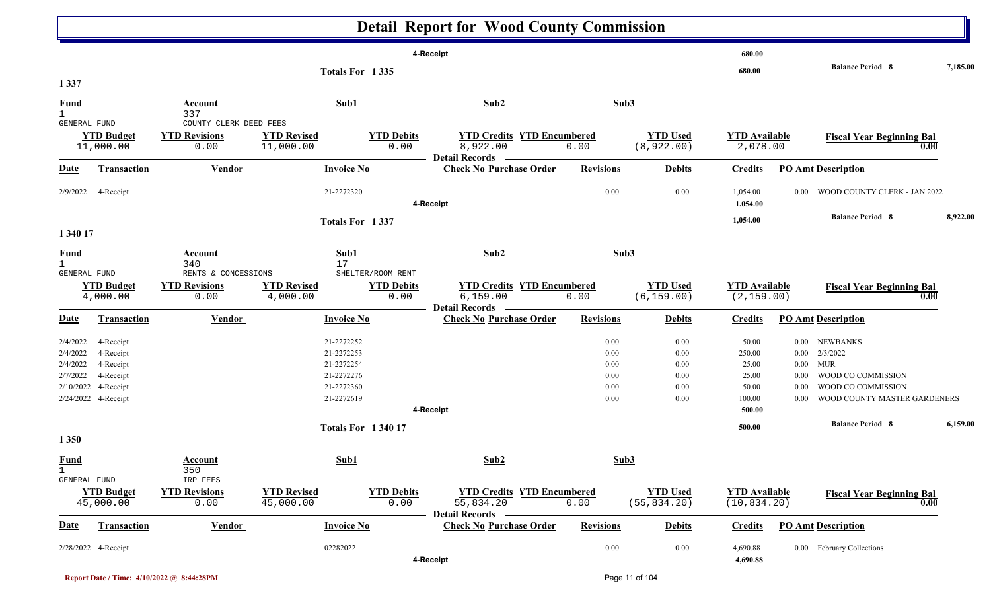|                               |                               |                                                |                                |                           | <b>Detail Report for Wood County Commission</b> |                  |                                |                                     |                   |                                          |          |
|-------------------------------|-------------------------------|------------------------------------------------|--------------------------------|---------------------------|-------------------------------------------------|------------------|--------------------------------|-------------------------------------|-------------------|------------------------------------------|----------|
|                               |                               |                                                |                                |                           | 4-Receipt                                       |                  |                                | 680.00                              |                   |                                          |          |
|                               |                               |                                                |                                | Totals For 1335           |                                                 |                  |                                | 680.00                              |                   | <b>Balance Period 8</b>                  | 7,185.00 |
| 1 3 3 7                       |                               |                                                |                                |                           |                                                 |                  |                                |                                     |                   |                                          |          |
| <b>Fund</b><br>$\mathbf{1}$   |                               | Account<br>337                                 |                                | Sub1                      | Sub2                                            | Sub3             |                                |                                     |                   |                                          |          |
| GENERAL FUND                  | <b>YTD Budget</b>             | COUNTY CLERK DEED FEES<br><b>YTD Revisions</b> | <b>YTD Revised</b>             | <b>YTD Debits</b>         | <b>YTD Credits YTD Encumbered</b>               |                  | <b>YTD Used</b>                | <b>YTD Available</b>                |                   | <b>Fiscal Year Beginning Bal</b>         |          |
|                               | 11,000.00                     | 0.00                                           | 11,000.00                      | 0.00                      | 8,922.00<br><b>Detail Records</b>               | 0.00             | (8, 922.00)                    | 2,078.00                            |                   | 0.00                                     |          |
| Date                          | Transaction                   | <b>Vendor</b>                                  |                                | <b>Invoice No</b>         | <b>Check No Purchase Order</b>                  | <b>Revisions</b> | <b>Debits</b>                  | <b>Credits</b>                      |                   | <b>PO Amt Description</b>                |          |
| 2/9/2022                      | 4-Receipt                     |                                                |                                | 21-2272320                | 4-Receipt                                       | 0.00             | 0.00                           | 1,054.00<br>1,054.00                | 0.00 <sub>1</sub> | WOOD COUNTY CLERK - JAN 2022             |          |
|                               |                               |                                                |                                | Totals For 1337           |                                                 |                  |                                | 1,054.00                            |                   | <b>Balance Period 8</b>                  | 8,922.00 |
| 1 340 17                      |                               |                                                |                                |                           |                                                 |                  |                                |                                     |                   |                                          |          |
| <b>Fund</b><br>$\mathbf{1}$   |                               | Account<br>340                                 |                                | Sub1<br>17                | Sub2                                            | Sub3             |                                |                                     |                   |                                          |          |
| <b>GENERAL FUND</b>           |                               | RENTS & CONCESSIONS                            |                                | SHELTER/ROOM RENT         |                                                 |                  |                                |                                     |                   |                                          |          |
|                               | <b>YTD Budget</b><br>4,000.00 | <b>YTD Revisions</b><br>0.00                   | <b>YTD Revised</b><br>4,000.00 | <b>YTD Debits</b><br>0.00 | <b>YTD Credits YTD Encumbered</b><br>6,159.00   | 0.00             | <b>YTD Used</b><br>(6, 159.00) | <b>YTD Available</b><br>(2, 159.00) |                   | <b>Fiscal Year Beginning Bal</b><br>0.00 |          |
|                               |                               |                                                |                                |                           | <b>Detail Records</b>                           |                  |                                |                                     |                   |                                          |          |
| <u>Date</u>                   | Transaction                   | Vendor                                         |                                | <b>Invoice No</b>         | <b>Check No Purchase Order</b>                  | <b>Revisions</b> | <b>Debits</b>                  | <b>Credits</b>                      |                   | <b>PO Amt Description</b>                |          |
| 2/4/2022                      | 4-Receipt                     |                                                |                                | 21-2272252                |                                                 | 0.00             | 0.00                           | 50.00                               |                   | 0.00 NEWBANKS                            |          |
| 2/4/2022                      | 4-Receipt                     |                                                |                                | 21-2272253                |                                                 | 0.00             | 0.00                           | 250.00                              | $0.00\,$          | 2/3/2022                                 |          |
| 2/4/2022                      | 4-Receipt                     |                                                |                                | 21-2272254                |                                                 | 0.00             | 0.00                           | 25.00                               | $0.00\,$          | <b>MUR</b>                               |          |
| 2/7/2022                      | 4-Receipt                     |                                                |                                | 21-2272276                |                                                 | 0.00             | 0.00                           | 25.00                               | 0.00              | WOOD CO COMMISSION                       |          |
| 2/10/2022                     | 4-Receipt                     |                                                |                                | 21-2272360                |                                                 | 0.00             | 0.00                           | 50.00                               | 0.00              | WOOD CO COMMISSION                       |          |
|                               | 2/24/2022 4-Receipt           |                                                |                                | 21-2272619                |                                                 | 0.00             | 0.00                           | 100.00                              | 0.00              | <b>WOOD COUNTY MASTER GARDENERS</b>      |          |
|                               |                               |                                                |                                |                           | 4-Receipt                                       |                  |                                | 500.00                              |                   |                                          |          |
|                               |                               |                                                |                                | <b>Totals For 134017</b>  |                                                 |                  |                                | 500.00                              |                   | <b>Balance Period 8</b>                  | 6,159.00 |
| 1 3 5 0                       |                               |                                                |                                |                           |                                                 |                  |                                |                                     |                   |                                          |          |
| <b>Fund</b><br>$\overline{1}$ |                               | <b>Account</b><br>350                          |                                | Sub1                      | Sub2                                            | Sub3             |                                |                                     |                   |                                          |          |
| <b>GENERAL FUND</b>           |                               | IRP FEES                                       |                                |                           |                                                 |                  |                                |                                     |                   |                                          |          |
|                               | <b>YTD Budget</b>             | <b>YTD Revisions</b>                           | <b>YTD Revised</b>             | <b>YTD Debits</b>         | <b>YTD Credits YTD Encumbered</b>               |                  | <b>YTD Used</b>                | <b>YTD Available</b>                |                   | <b>Fiscal Year Beginning Bal</b>         |          |
|                               | 45,000.00                     | 0.00                                           | 45,000.00                      | 0.00                      | 55,834.20<br><b>Detail Records</b>              | 0.00             | (55, 834.20)                   | (10, 834.20)                        |                   | 0.00                                     |          |
| <b>Date</b>                   | <b>Transaction</b>            | <b>Vendor</b>                                  |                                | <b>Invoice No</b>         | <b>Check No Purchase Order</b>                  | <b>Revisions</b> | <b>Debits</b>                  | <b>Credits</b>                      |                   | <b>PO Amt Description</b>                |          |
|                               | 2/28/2022 4-Receipt           |                                                | 02282022                       |                           | 4-Receipt                                       | 0.00             | 0.00                           | 4,690.88<br>4,690.88                |                   | 0.00 February Collections                |          |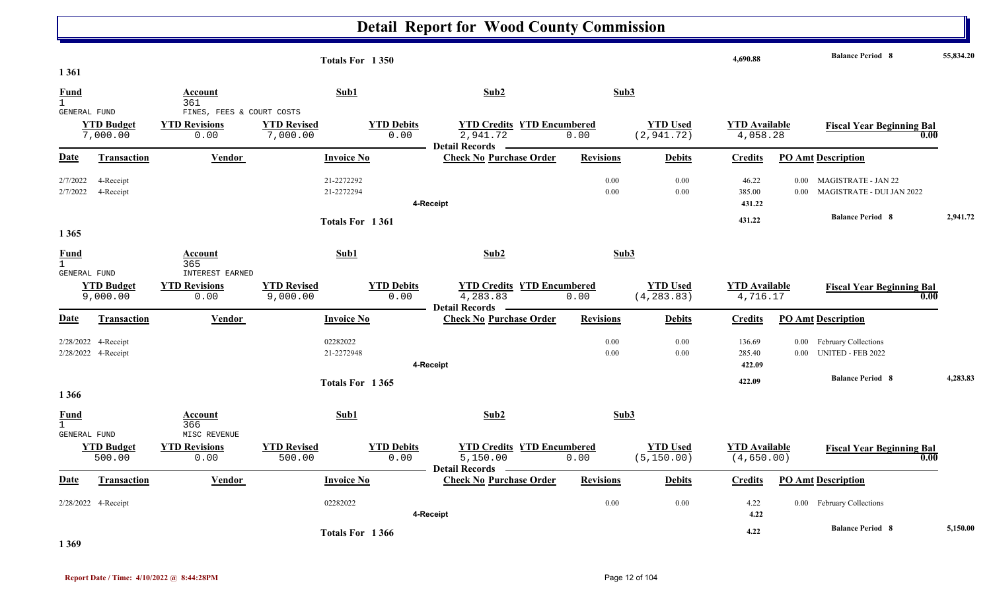|                                             |                                            |                                                           | Totals For 1350                                             |                                                                        |                  |                                | 4,690.88                           | <b>Balance Period 8</b>                                                         | 55,834.20 |
|---------------------------------------------|--------------------------------------------|-----------------------------------------------------------|-------------------------------------------------------------|------------------------------------------------------------------------|------------------|--------------------------------|------------------------------------|---------------------------------------------------------------------------------|-----------|
| 1 3 6 1<br>Fund<br>$\mathbf{1}$             |                                            | Account<br>361                                            | Sub1                                                        | Sub2                                                                   | Sub3             |                                |                                    |                                                                                 |           |
| GENERAL FUND                                | <b>YTD Budget</b><br>7,000.00              | FINES, FEES & COURT COSTS<br><b>YTD Revisions</b><br>0.00 | <b>YTD Revised</b><br><b>YTD Debits</b><br>7,000.00<br>0.00 | <b>YTD Credits YTD Encumbered</b><br>2,941.72<br><b>Detail Records</b> | 0.00             | <b>YTD Used</b><br>(2, 941.72) | <b>YTD Available</b><br>4,058.28   | <b>Fiscal Year Beginning Bal</b><br>0.00                                        |           |
| Date                                        | Transaction                                | Vendor                                                    | <b>Invoice No</b>                                           | <b>Check No Purchase Order</b>                                         | <b>Revisions</b> | <b>Debits</b>                  | <b>Credits</b>                     | <b>PO Amt Description</b>                                                       |           |
| 2/7/2022<br>2/7/2022                        | 4-Receipt<br>4-Receipt                     |                                                           | 21-2272292<br>21-2272294                                    | 4-Receipt                                                              | 0.00<br>0.00     | 0.00<br>0.00                   | 46.22<br>385.00<br>431.22          | <b>MAGISTRATE - JAN 22</b><br>0.00<br>MAGISTRATE - DUI JAN 2022<br>0.00         |           |
| 1 3 6 5                                     |                                            |                                                           | Totals For 1361                                             |                                                                        |                  |                                | 431.22                             | <b>Balance Period 8</b>                                                         | 2,941.72  |
| Fund<br>$\mathbf{1}$<br>GENERAL FUND        |                                            | Account<br>365<br>INTEREST EARNED                         | Sub1                                                        | Sub2                                                                   | Sub3             |                                |                                    |                                                                                 |           |
|                                             | <b>YTD Budget</b><br>9,000.00              | <b>YTD Revisions</b><br>0.00                              | <b>YTD Revised</b><br><b>YTD Debits</b><br>0.00<br>9,000.00 | <b>YTD Credits YTD Encumbered</b><br>4,283.83<br><b>Detail Records</b> | 0.00             | <b>YTD Used</b><br>(4, 283.83) | <b>YTD Available</b><br>4,716.17   | <b>Fiscal Year Beginning Bal</b><br>0.00                                        |           |
| Date                                        | Transaction                                | Vendor                                                    | <b>Invoice No</b>                                           | <b>Check No Purchase Order</b>                                         | <b>Revisions</b> | <b>Debits</b>                  | <b>Credits</b>                     | <b>PO Amt Description</b>                                                       |           |
|                                             | 2/28/2022 4-Receipt<br>2/28/2022 4-Receipt |                                                           | 02282022<br>21-2272948                                      | 4-Receipt                                                              | 0.00<br>0.00     | 0.00<br>0.00                   | 136.69<br>285.40<br>422.09         | $0.00\,$<br><b>February Collections</b><br><b>UNITED - FEB 2022</b><br>$0.00 -$ |           |
| 1 3 6 6                                     |                                            |                                                           | Totals For 1365                                             |                                                                        |                  |                                | 422.09                             | <b>Balance Period 8</b>                                                         | 4,283.83  |
| Fund<br>$\mathbf{1}$<br><b>GENERAL FUND</b> |                                            | Account<br>366<br>MISC REVENUE                            | Sub1                                                        | Sub2                                                                   | Sub3             |                                |                                    |                                                                                 |           |
|                                             | <b>YTD Budget</b><br>500.00                | <b>YTD Revisions</b><br>0.00                              | <b>YTD Revised</b><br><b>YTD Debits</b><br>0.00<br>500.00   | <b>YTD Credits YTD Encumbered</b><br>5,150.00<br><b>Detail Records</b> | 0.00             | <b>YTD Used</b><br>(5, 150.00) | <b>YTD Available</b><br>(4,650.00) | <b>Fiscal Year Beginning Bal</b><br>0.00                                        |           |
| Date                                        | <b>Transaction</b>                         | Vendor                                                    | <b>Invoice No</b>                                           | <b>Check No Purchase Order</b>                                         | <b>Revisions</b> | <b>Debits</b>                  | <b>Credits</b>                     | <b>PO Amt Description</b>                                                       |           |
|                                             | 2/28/2022 4-Receipt                        |                                                           | 02282022                                                    | 4-Receipt                                                              | 0.00             | 0.00                           | 4.22<br>4.22                       | 0.00 February Collections                                                       |           |
|                                             |                                            |                                                           | Totals For 1366                                             |                                                                        |                  |                                | 4.22                               | <b>Balance Period 8</b>                                                         | 5,150.00  |

**1 369**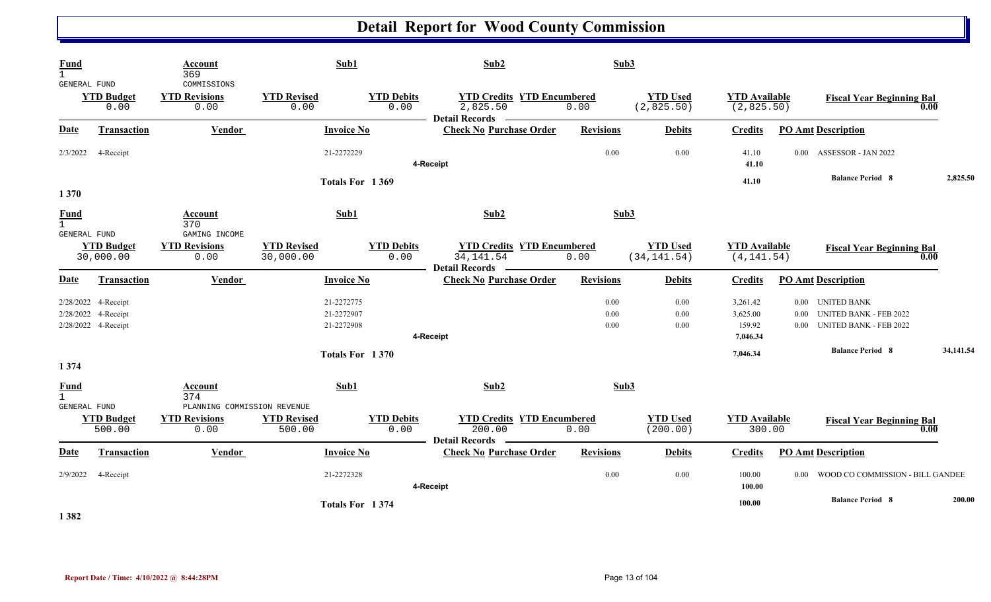| <b>Fund</b><br>$\mathbf{1}$<br>GENERAL FUND            |                                                                   | Account<br>369<br>COMMISSIONS                 | Sub1                                   |                           | Sub2                                       |                                           | Sub3                            |                                            |                                      |                                                                |           |
|--------------------------------------------------------|-------------------------------------------------------------------|-----------------------------------------------|----------------------------------------|---------------------------|--------------------------------------------|-------------------------------------------|---------------------------------|--------------------------------------------|--------------------------------------|----------------------------------------------------------------|-----------|
|                                                        | <b>YTD Budget</b><br>0.00                                         | <b>YTD Revisions</b><br>0.00                  | <b>YTD Revised</b><br>0.00             | <b>YTD Debits</b><br>0.00 | 2,825.50<br>Detail Records <b>No. 1886</b> | <b>YTD Credits YTD Encumbered</b><br>0.00 | <b>YTD Used</b><br>(2,825.50)   | <b>YTD Available</b><br>(2,825.50)         |                                      | <b>Fiscal Year Beginning Bal</b>                               | 0.00      |
| Date                                                   | <b>Transaction</b>                                                | <b>Vendor</b>                                 | <b>Invoice No</b>                      |                           | <b>Check No Purchase Order</b>             | <b>Revisions</b>                          | <b>Debits</b>                   | <b>Credits</b>                             | <b>PO Amt Description</b>            |                                                                |           |
| 2/3/2022                                               | 4-Receipt                                                         |                                               | 21-2272229                             |                           | 4-Receipt                                  | 0.00                                      | 0.00                            | 41.10<br>41.10                             | $0.00 -$                             | <b>ASSESSOR - JAN 2022</b>                                     |           |
| 1370                                                   |                                                                   |                                               | Totals For 1369                        |                           |                                            |                                           |                                 | 41.10                                      |                                      | <b>Balance Period 8</b>                                        | 2,825.50  |
| <b>Fund</b><br>$\mathbf{1}$<br>GENERAL FUND            |                                                                   | Account<br>370<br>GAMING INCOME               | Sub1                                   |                           | Sub2                                       |                                           | Sub3                            |                                            |                                      |                                                                |           |
|                                                        | <b>YTD Budget</b><br>30,000.00                                    | <b>YTD Revisions</b><br>0.00                  | <b>YTD Revised</b><br>30,000.00        | <b>YTD Debits</b><br>0.00 | 34, 141.54<br><b>Detail Records</b>        | <b>YTD Credits YTD Encumbered</b><br>0.00 | <b>YTD Used</b><br>(34, 141.54) | <b>YTD Available</b><br>(4, 141.54)        |                                      | <b>Fiscal Year Beginning Bal</b>                               | 0.00      |
| Date                                                   | Transaction                                                       | Vendor                                        | <b>Invoice No</b>                      |                           | <b>Check No Purchase Order</b>             | <b>Revisions</b>                          | <b>Debits</b>                   | <b>Credits</b>                             | <b>PO Amt Description</b>            |                                                                |           |
|                                                        | 2/28/2022 4-Receipt<br>2/28/2022 4-Receipt<br>2/28/2022 4-Receipt |                                               | 21-2272775<br>21-2272907<br>21-2272908 |                           | 4-Receipt                                  | 0.00<br>$0.00\,$<br>0.00                  | 0.00<br>0.00<br>0.00            | 3,261.42<br>3,625.00<br>159.92<br>7,046.34 | 0.00 UNITED BANK<br>0.00<br>$0.00 -$ | <b>UNITED BANK - FEB 2022</b><br><b>UNITED BANK - FEB 2022</b> |           |
|                                                        |                                                                   |                                               | Totals For 1370                        |                           |                                            |                                           |                                 | 7,046.34                                   |                                      | <b>Balance Period 8</b>                                        | 34,141.54 |
| 1 3 7 4<br><b>Fund</b><br>$\mathbf{1}$<br>GENERAL FUND |                                                                   | Account<br>374<br>PLANNING COMMISSION REVENUE | Sub1                                   |                           | Sub2                                       |                                           | Sub3                            |                                            |                                      |                                                                |           |
|                                                        | <b>YTD Budget</b><br>500.00                                       | <b>YTD Revisions</b><br>0.00                  | <b>YTD Revised</b><br>500.00           | <b>YTD Debits</b><br>0.00 | 200.00<br><b>Detail Records</b>            | <b>YTD Credits YTD Encumbered</b><br>0.00 | <b>YTD Used</b><br>(200.00)     | <b>YTD</b> Available<br>300.00             |                                      | <b>Fiscal Year Beginning Bal</b>                               | 0.00      |
| <b>Date</b>                                            | Transaction                                                       | Vendor                                        | <b>Invoice No</b>                      |                           | <b>Check No Purchase Order</b>             | <b>Revisions</b>                          | <b>Debits</b>                   | <b>Credits</b>                             | <b>PO Amt Description</b>            |                                                                |           |
| 2/9/2022                                               | 4-Receipt                                                         |                                               | 21-2272328                             |                           | 4-Receipt                                  | 0.00                                      | 0.00                            | 100.00<br>100.00                           |                                      | 0.00 WOOD CO COMMISSION - BILL GANDEE                          |           |
| 1.202                                                  |                                                                   |                                               | Totals For 1374                        |                           |                                            |                                           |                                 | 100.00                                     |                                      | <b>Balance Period 8</b>                                        | 200.00    |

**1 382**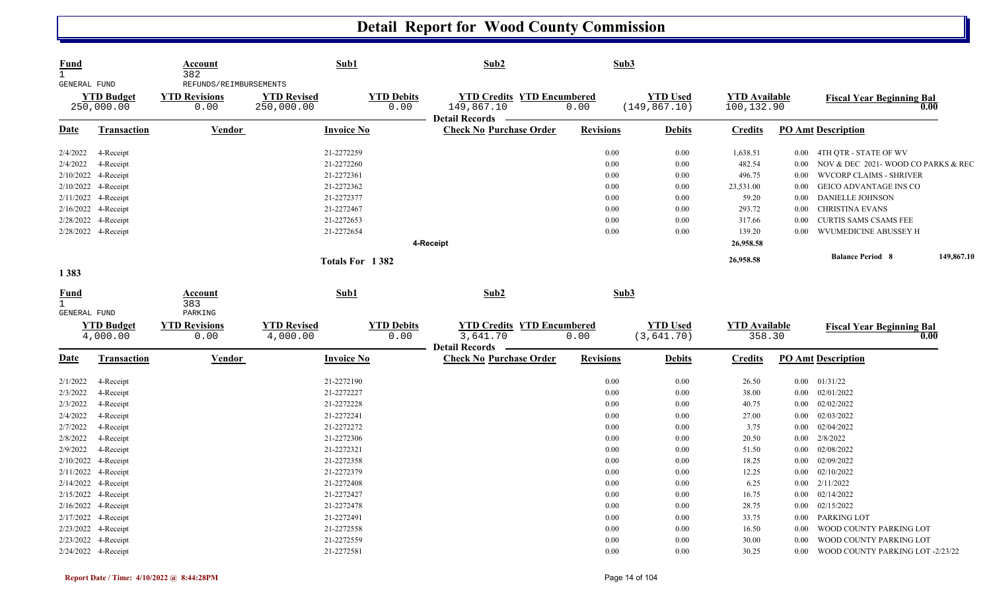| <b>Fund</b><br>$\mathbf{1}$<br>GENERAL FUND |                                 | Account<br>382<br>REFUNDS/REIMBURSEMENTS | Sub1                             |                           | Sub2                                                                     | Sub3             |                                  |                                    |          |                                    |            |
|---------------------------------------------|---------------------------------|------------------------------------------|----------------------------------|---------------------------|--------------------------------------------------------------------------|------------------|----------------------------------|------------------------------------|----------|------------------------------------|------------|
|                                             | <b>YTD Budget</b><br>250,000.00 | <b>YTD Revisions</b><br>0.00             | <b>YTD Revised</b><br>250,000.00 | <b>YTD Debits</b><br>0.00 | <b>YTD Credits YTD Encumbered</b><br>149,867.10<br><b>Detail Records</b> | 0.00             | <b>YTD Used</b><br>(149, 867.10) | <b>YTD Available</b><br>100,132.90 |          | <b>Fiscal Year Beginning Bal</b>   | 0.00       |
| Date                                        | <b>Transaction</b>              | Vendor                                   | <b>Invoice No</b>                |                           | <b>Check No Purchase Order</b>                                           | <b>Revisions</b> | <b>Debits</b>                    | <b>Credits</b>                     |          | <b>PO Amt Description</b>          |            |
| 2/4/2022                                    | 4-Receipt                       |                                          | 21-2272259                       |                           |                                                                          | 0.00             | 0.00                             | 1,638.51                           |          | 0.00 4TH QTR - STATE OF WV         |            |
| 2/4/2022                                    | 4-Receipt                       |                                          | 21-2272260                       |                           |                                                                          | 0.00             | 0.00                             | 482.54                             | $0.00\,$ | NOV & DEC 2021-WOOD CO PARKS & REC |            |
|                                             | 2/10/2022 4-Receipt             |                                          | 21-2272361                       |                           |                                                                          | 0.00             | 0.00                             | 496.75                             | $0.00\,$ | <b>WVCORP CLAIMS - SHRIVER</b>     |            |
|                                             | 2/10/2022 4-Receipt             |                                          | 21-2272362                       |                           |                                                                          | 0.00             | 0.00                             | 23,531.00                          | 0.00     | <b>GEICO ADVANTAGE INS CO</b>      |            |
|                                             | 2/11/2022 4-Receipt             |                                          | 21-2272377                       |                           |                                                                          | 0.00             | 0.00                             | 59.20                              | 0.00     | <b>DANIELLE JOHNSON</b>            |            |
|                                             | 2/16/2022 4-Receipt             |                                          | 21-2272467                       |                           |                                                                          | 0.00             | 0.00                             | 293.72                             | $0.00\,$ | <b>CHRISTINA EVANS</b>             |            |
|                                             | 2/28/2022 4-Receipt             |                                          | 21-2272653                       |                           |                                                                          | 0.00             | 0.00                             | 317.66                             | $0.00\,$ | <b>CURTIS SAMS CSAMS FEE</b>       |            |
|                                             | 2/28/2022 4-Receipt             |                                          | 21-2272654                       |                           |                                                                          | 0.00             | 0.00                             | 139.20                             | 0.00     | WVUMEDICINE ABUSSEY H              |            |
|                                             |                                 |                                          |                                  |                           | 4-Receipt                                                                |                  |                                  | 26,958.58                          |          |                                    |            |
|                                             |                                 |                                          | Totals For 1382                  |                           |                                                                          |                  |                                  | 26,958.58                          |          | <b>Balance Period 8</b>            | 149,867.10 |
| 1 3 8 3                                     |                                 |                                          |                                  |                           |                                                                          |                  |                                  |                                    |          |                                    |            |
| <b>Fund</b><br>$\mathbf{1}$<br>GENERAL FUND |                                 | Account<br>383<br>PARKING                | Sub1                             |                           | Sub2                                                                     | Sub3             |                                  |                                    |          |                                    |            |
|                                             | <b>YTD Budget</b>               | <b>YTD Revisions</b>                     | <b>YTD Revised</b>               | <b>YTD Debits</b>         | <b>YTD Credits YTD Encumbered</b>                                        |                  | <b>YTD Used</b>                  | <b>YTD Available</b>               |          |                                    |            |
|                                             | 4,000.00                        | 0.00                                     | 4,000.00                         | 0.00                      | 3,641.70                                                                 | 0.00             | (3,641.70)                       | 358.30                             |          | <b>Fiscal Year Beginning Bal</b>   | 0.00       |
|                                             |                                 |                                          |                                  |                           | <b>Detail Records</b>                                                    |                  |                                  |                                    |          |                                    |            |
| <b>Date</b>                                 | <b>Transaction</b>              | <b>Vendor</b>                            | <b>Invoice No</b>                |                           | <b>Check No Purchase Order</b>                                           | <b>Revisions</b> | <b>Debits</b>                    | <b>Credits</b>                     |          | <b>PO Amt Description</b>          |            |
| 2/1/2022                                    | 4-Receipt                       |                                          | 21-2272190                       |                           |                                                                          | 0.00             | 0.00                             | 26.50                              |          | $0.00$ $01/31/22$                  |            |
| 2/3/2022                                    | 4-Receipt                       |                                          | 21-2272227                       |                           |                                                                          | 0.00             | 0.00                             | 38.00                              | $0.00\,$ | 02/01/2022                         |            |
| 2/3/2022                                    | 4-Receipt                       |                                          | 21-2272228                       |                           |                                                                          | 0.00             | 0.00                             | 40.75                              | 0.00     | 02/02/2022                         |            |
| 2/4/2022                                    | 4-Receipt                       |                                          | 21-2272241                       |                           |                                                                          | 0.00             | 0.00                             | 27.00                              |          | $0.00$ $02/03/2022$                |            |
| 2/7/2022                                    | 4-Receipt                       |                                          | 21-2272272                       |                           |                                                                          | 0.00             | 0.00                             | 3.75                               | $0.00\,$ | 02/04/2022                         |            |
| 2/8/2022                                    | 4-Receipt                       |                                          | 21-2272306                       |                           |                                                                          | 0.00             | 0.00                             | 20.50                              | 0.00     | 2/8/2022                           |            |
| 2/9/2022                                    | 4-Receipt                       |                                          | 21-2272321                       |                           |                                                                          | 0.00             | 0.00                             | 51.50                              | $0.00\,$ | 02/08/2022                         |            |
| 2/10/2022                                   | 4-Receipt                       |                                          | 21-2272358                       |                           |                                                                          | 0.00             | 0.00                             | 18.25                              | 0.00     | 02/09/2022                         |            |
| 2/11/2022                                   | 4-Receipt                       |                                          | 21-2272379                       |                           |                                                                          | 0.00             | 0.00                             | 12.25                              | $0.00\,$ | 02/10/2022                         |            |
|                                             | 2/14/2022 4-Receipt             |                                          | 21-2272408                       |                           |                                                                          | 0.00             | 0.00                             | 6.25                               |          | $0.00$ $2/11/2022$                 |            |
|                                             | 2/15/2022 4-Receipt             |                                          | 21-2272427                       |                           |                                                                          | 0.00             | 0.00                             | 16.75                              | $0.00\,$ | 02/14/2022                         |            |
|                                             | 2/16/2022 4-Receipt             |                                          | 21-2272478                       |                           |                                                                          | 0.00             | 0.00                             | 28.75                              | $0.00\,$ | 02/15/2022                         |            |
|                                             | 2/17/2022 4-Receipt             |                                          | 21-2272491                       |                           |                                                                          | 0.00             | 0.00                             | 33.75                              | $0.00\,$ | PARKING LOT                        |            |
|                                             | 2/23/2022 4-Receipt             |                                          | 21-2272558                       |                           |                                                                          | 0.00             | 0.00                             | 16.50                              | $0.00\,$ | WOOD COUNTY PARKING LOT            |            |
|                                             | 2/23/2022 4-Receipt             |                                          | 21-2272559                       |                           |                                                                          | 0.00             | 0.00                             | 30.00                              | 0.00     | WOOD COUNTY PARKING LOT            |            |
|                                             | 2/24/2022 4-Receipt             |                                          | 21-2272581                       |                           |                                                                          | 0.00             | 0.00                             | 30.25                              | $0.00\,$ | WOOD COUNTY PARKING LOT -2/23/22   |            |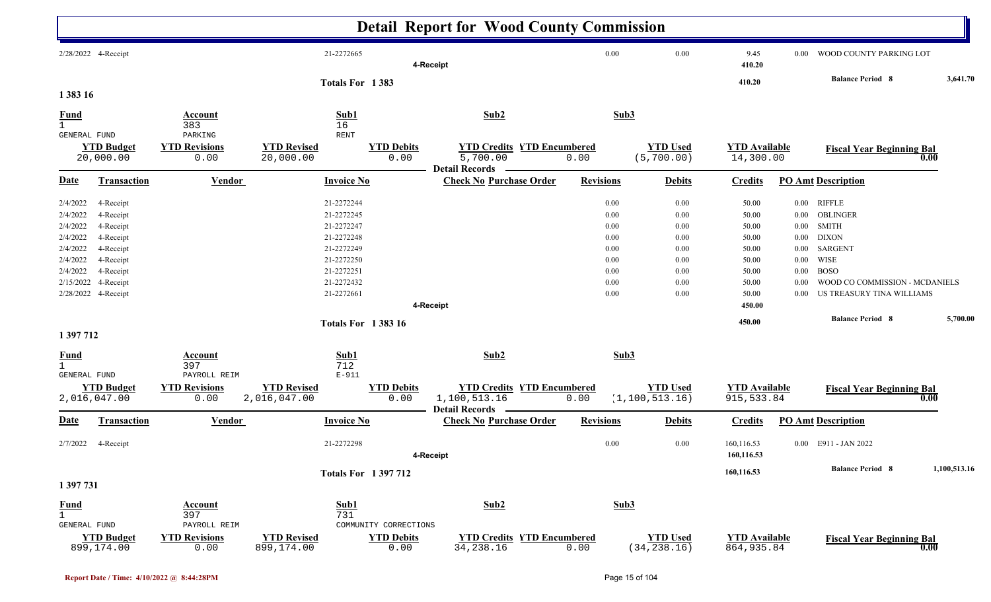|                                                                                                                                                                                                                              |                                                                |                                                                                                                            |                           | <b>Detail Report for Wood County Commission</b>           |                                                                      |                                                                      |                                                                                         |                                                                  |                                                                                                                                                                 |              |
|------------------------------------------------------------------------------------------------------------------------------------------------------------------------------------------------------------------------------|----------------------------------------------------------------|----------------------------------------------------------------------------------------------------------------------------|---------------------------|-----------------------------------------------------------|----------------------------------------------------------------------|----------------------------------------------------------------------|-----------------------------------------------------------------------------------------|------------------------------------------------------------------|-----------------------------------------------------------------------------------------------------------------------------------------------------------------|--------------|
| 2/28/2022 4-Receipt                                                                                                                                                                                                          |                                                                | 21-2272665                                                                                                                 |                           | 4-Receipt                                                 | 0.00                                                                 | 0.00                                                                 | 9.45<br>410.20                                                                          | $0.00\,$                                                         | WOOD COUNTY PARKING LOT                                                                                                                                         |              |
| 1 383 16                                                                                                                                                                                                                     |                                                                | Totals For 1383                                                                                                            |                           |                                                           |                                                                      |                                                                      | 410.20                                                                                  |                                                                  | <b>Balance Period 8</b>                                                                                                                                         | 3,641.70     |
| <b>Fund</b>                                                                                                                                                                                                                  | Account<br>383                                                 | Sub1<br>16                                                                                                                 |                           | Sub2                                                      | Sub3                                                                 |                                                                      |                                                                                         |                                                                  |                                                                                                                                                                 |              |
| GENERAL FUND<br><b>YTD Budget</b><br>20,000.00                                                                                                                                                                               | PARKING<br><b>YTD Revisions</b><br>0.00                        | <b>RENT</b><br><b>YTD Revised</b><br>20,000.00                                                                             | <b>YTD Debits</b><br>0.00 | <b>YTD Credits YTD Encumbered</b><br>5,700.00             | 0.00                                                                 | <b>YTD Used</b><br>(5, 700.00)                                       | <b>YTD</b> Available<br>14,300.00                                                       |                                                                  | <b>Fiscal Year Beginning Bal</b>                                                                                                                                | 0.00         |
| <b>Date</b><br><b>Transaction</b>                                                                                                                                                                                            | <b>Vendor</b>                                                  | <b>Invoice No</b>                                                                                                          |                           | <b>Detail Records</b><br><b>Check No Purchase Order</b>   | <b>Revisions</b>                                                     | <b>Debits</b>                                                        | <b>Credits</b>                                                                          |                                                                  | <b>PO Amt Description</b>                                                                                                                                       |              |
| 2/4/2022<br>4-Receipt<br>2/4/2022<br>4-Receipt<br>2/4/2022<br>4-Receipt<br>2/4/2022<br>4-Receipt<br>2/4/2022<br>4-Receipt<br>2/4/2022<br>4-Receipt<br>2/4/2022<br>4-Receipt<br>2/15/2022<br>4-Receipt<br>2/28/2022 4-Receipt |                                                                | 21-2272244<br>21-2272245<br>21-2272247<br>21-2272248<br>21-2272249<br>21-2272250<br>21-2272251<br>21-2272432<br>21-2272661 |                           | 4-Receipt                                                 | 0.00<br>0.00<br>0.00<br>0.00<br>0.00<br>0.00<br>0.00<br>0.00<br>0.00 | 0.00<br>0.00<br>0.00<br>0.00<br>0.00<br>0.00<br>0.00<br>0.00<br>0.00 | 50.00<br>50.00<br>50.00<br>50.00<br>50.00<br>50.00<br>50.00<br>50.00<br>50.00<br>450.00 | $0.00\,$<br>$0.00\,$<br>$0.00\,$<br>0.00<br>0.00<br>0.00<br>0.00 | $0.00$ RIFFLE<br>0.00 OBLINGER<br><b>SMITH</b><br><b>DIXON</b><br>SARGENT<br>WISE<br><b>BOSO</b><br>WOOD CO COMMISSION - MCDANIELS<br>US TREASURY TINA WILLIAMS |              |
| 1 397 712                                                                                                                                                                                                                    |                                                                |                                                                                                                            | <b>Totals For 138316</b>  |                                                           |                                                                      |                                                                      | 450.00                                                                                  |                                                                  | <b>Balance Period 8</b>                                                                                                                                         | 5,700.00     |
| <u>Fund</u><br>1<br>GENERAL FUND<br><b>YTD Budget</b><br>2,016,047.00                                                                                                                                                        | Account<br>397<br>PAYROLL REIM<br><b>YTD Revisions</b><br>0.00 | Sub1<br>712<br>$E-911$<br><b>YTD Revised</b><br>2,016,047.00                                                               | <b>YTD Debits</b><br>0.00 | Sub2<br><b>YTD Credits YTD Encumbered</b><br>1,100,513.16 | Sub3<br>0.00                                                         | <b>YTD Used</b><br>(1, 100, 513.16)                                  | <b>YTD Available</b><br>915,533.84                                                      |                                                                  | <b>Fiscal Year Beginning Bal</b>                                                                                                                                | 0.00         |
| <u>Date</u><br><b>Transaction</b>                                                                                                                                                                                            | <b>Vendor</b>                                                  | <b>Invoice No</b>                                                                                                          |                           | <b>Detail Records</b><br><b>Check No Purchase Order</b>   | <b>Revisions</b>                                                     | <b>Debits</b>                                                        | <b>Credits</b>                                                                          |                                                                  | <b>PO Amt Description</b>                                                                                                                                       |              |
| 2/7/2022<br>4-Receipt                                                                                                                                                                                                        |                                                                | 21-2272298                                                                                                                 | <b>Totals For 1397712</b> | 4-Receipt                                                 | 0.00                                                                 | 0.00                                                                 | 160,116.53<br>160,116.53<br>160,116.53                                                  |                                                                  | $0.00$ E911 - JAN 2022<br><b>Balance Period 8</b>                                                                                                               | 1,100,513.16 |
| 1 397 731<br><b>Fund</b><br>$\mathbf{1}$<br>GENERAL FUND                                                                                                                                                                     | <b>Account</b><br>397<br>PAYROLL REIM                          | Sub1<br>731                                                                                                                | COMMUNITY CORRECTIONS     | Sub2                                                      | Sub3                                                                 |                                                                      |                                                                                         |                                                                  |                                                                                                                                                                 |              |
| <b>YTD Budget</b><br>899,174.00                                                                                                                                                                                              | <b>YTD Revisions</b><br>0.00                                   | <b>YTD Revised</b><br>899,174.00                                                                                           | <b>YTD Debits</b><br>0.00 | <b>YTD Credits YTD Encumbered</b><br>34,238.16            | 0.00                                                                 | <b>YTD Used</b><br>(34, 238.16)                                      | <b>YTD Available</b><br>864, 935.84                                                     |                                                                  | <b>Fiscal Year Beginning Bal</b>                                                                                                                                | 0.00         |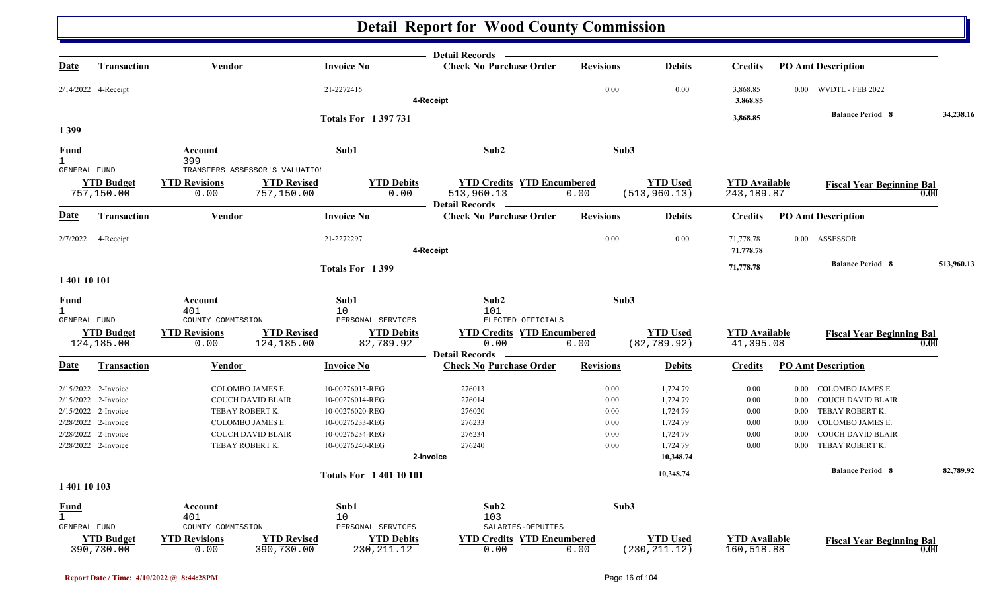|                              |                                 |                                       |                                                                      | <b>Detail Records</b>                              |                  |                                  |                                     |                           |                                  |            |
|------------------------------|---------------------------------|---------------------------------------|----------------------------------------------------------------------|----------------------------------------------------|------------------|----------------------------------|-------------------------------------|---------------------------|----------------------------------|------------|
| <u>Date</u>                  | <b>Transaction</b>              | Vendor                                | <b>Invoice No</b>                                                    | <b>Check No Purchase Order</b>                     | <b>Revisions</b> | <b>Debits</b>                    | <b>Credits</b>                      | <b>PO Amt Description</b> |                                  |            |
|                              | 2/14/2022 4-Receipt             |                                       | 21-2272415                                                           | 4-Receipt                                          | 0.00             | 0.00                             | 3,868.85<br>3,868.85                |                           | 0.00 WVDTL - FEB 2022            |            |
|                              |                                 |                                       |                                                                      |                                                    |                  |                                  |                                     |                           | <b>Balance Period 8</b>          | 34,238.16  |
| 1399                         |                                 |                                       | <b>Totals For 1397731</b>                                            |                                                    |                  |                                  | 3,868.85                            |                           |                                  |            |
|                              |                                 |                                       |                                                                      |                                                    |                  |                                  |                                     |                           |                                  |            |
| Fund                         |                                 | Account                               | Sub1                                                                 | Sub2                                               | Sub3             |                                  |                                     |                           |                                  |            |
| $\mathbf{1}$<br>GENERAL FUND |                                 | 399<br>TRANSFERS ASSESSOR'S VALUATION |                                                                      |                                                    |                  |                                  |                                     |                           |                                  |            |
|                              | <b>YTD Budget</b><br>757,150.00 | <b>YTD Revisions</b><br>0.00          | <b>YTD Revised</b><br><b>YTD Debits</b><br>0.00<br>757,150.00        | <b>YTD Credits YTD Encumbered</b><br>513,960.13    | 0.00             | <b>YTD Used</b><br>(513, 960.13) | <b>YTD Available</b><br>243, 189.87 |                           | <b>Fiscal Year Beginning Bal</b> | 0.00       |
| Date                         | <b>Transaction</b>              | Vendor                                | <b>Invoice No</b>                                                    | Detail Records -<br><b>Check No Purchase Order</b> | <b>Revisions</b> | <b>Debits</b>                    | <b>Credits</b>                      | <b>PO Amt Description</b> |                                  |            |
| 2/7/2022                     | 4-Receipt                       |                                       | 21-2272297                                                           | 4-Receipt                                          | $0.00\,$         | 0.00                             | 71,778.78<br>71,778.78              | 0.00 ASSESSOR             |                                  |            |
|                              |                                 |                                       | Totals For 1399                                                      |                                                    |                  |                                  | 71,778.78                           |                           | <b>Balance Period 8</b>          | 513,960.13 |
| 1 401 10 101                 |                                 |                                       |                                                                      |                                                    |                  |                                  |                                     |                           |                                  |            |
| <b>Fund</b>                  |                                 | Account                               | Sub1                                                                 | Sub2                                               | Sub3             |                                  |                                     |                           |                                  |            |
| <b>GENERAL FUND</b>          |                                 | 401<br>COUNTY COMMISSION              | 10<br>PERSONAL SERVICES                                              | 101<br>ELECTED OFFICIALS                           |                  |                                  |                                     |                           |                                  |            |
|                              | <b>YTD Budget</b>               | <b>YTD Revisions</b>                  | <b>YTD Revised</b><br><b>YTD Debits</b>                              | <b>YTD Credits YTD Encumbered</b>                  |                  | <b>YTD Used</b>                  | <b>YTD Available</b>                |                           | <b>Fiscal Year Beginning Bal</b> |            |
|                              | 124,185.00                      | 0.00                                  | 124,185.00<br>82,789.92                                              | 0.00                                               | 0.00             | (82, 789.92)                     | 41,395.08                           |                           |                                  | 0.00       |
|                              |                                 |                                       |                                                                      | <b>Detail Records</b>                              |                  |                                  |                                     |                           |                                  |            |
| <u>Date</u>                  | Transaction                     | Vendor                                | Invoice No                                                           | <b>Check No Purchase Order</b>                     | <b>Revisions</b> | <b>Debits</b>                    | <b>Credits</b>                      | <b>PO Amt Description</b> |                                  |            |
|                              | 2/15/2022 2-Invoice             | COLOMBO JAMES E.                      | 10-00276013-REG                                                      | 276013                                             | 0.00             | 1,724.79                         | 0.00                                | $0.00\,$                  | COLOMBO JAMES E.                 |            |
|                              | 2/15/2022 2-Invoice             | <b>COUCH DAVID BLAIR</b>              | 10-00276014-REG                                                      | 276014                                             | $0.00\,$         | 1,724.79                         | 0.00                                | $0.00\,$                  | <b>COUCH DAVID BLAIR</b>         |            |
|                              | 2/15/2022 2-Invoice             | TEBAY ROBERT K.                       | 10-00276020-REG                                                      | 276020                                             | 0.00             | 1,724.79                         | 0.00                                | $0.00\,$                  | TEBAY ROBERT K.                  |            |
|                              | 2/28/2022 2-Invoice             | COLOMBO JAMES E.                      | 10-00276233-REG                                                      | 276233                                             | 0.00             | 1,724.79                         | 0.00                                | 0.00                      | COLOMBO JAMES E.                 |            |
|                              | 2/28/2022 2-Invoice             | <b>COUCH DAVID BLAIR</b>              | 10-00276234-REG                                                      | 276234                                             | 0.00             | 1,724.79                         | 0.00                                | 0.00                      | <b>COUCH DAVID BLAIR</b>         |            |
|                              | 2/28/2022 2-Invoice             | TEBAY ROBERT K.                       | 10-00276240-REG                                                      | 276240                                             | 0.00             | 1,724.79                         | 0.00                                | 0.00                      | TEBAY ROBERT K.                  |            |
|                              |                                 |                                       |                                                                      | 2-Invoice                                          |                  | 10,348.74                        |                                     |                           |                                  |            |
|                              |                                 |                                       | <b>Totals For 140110101</b>                                          |                                                    |                  | 10,348.74                        |                                     |                           | <b>Balance Period 8</b>          | 82,789.92  |
| 1 401 10 103                 |                                 |                                       |                                                                      |                                                    |                  |                                  |                                     |                           |                                  |            |
| <u>Fund</u>                  |                                 | Account                               | Sub1                                                                 | Sub2                                               | Sub3             |                                  |                                     |                           |                                  |            |
| $\mathbf{1}$                 |                                 | 401                                   | 10 <sup>°</sup>                                                      | 103                                                |                  |                                  |                                     |                           |                                  |            |
| <b>GENERAL FUND</b>          |                                 | COUNTY COMMISSION                     | PERSONAL SERVICES                                                    | SALARIES-DEPUTIES                                  |                  |                                  |                                     |                           |                                  |            |
|                              | <b>YTD Budget</b><br>390,730.00 | <b>YTD Revisions</b><br>0.00          | <b>YTD Revised</b><br><b>YTD Debits</b><br>390,730.00<br>230, 211.12 | <b>YTD Credits YTD Encumbered</b><br>0.00          | 0.00             | <b>YTD Used</b><br>(230, 211.12) | <b>YTD Available</b><br>160,518.88  |                           | <b>Fiscal Year Beginning Bal</b> | 0.00       |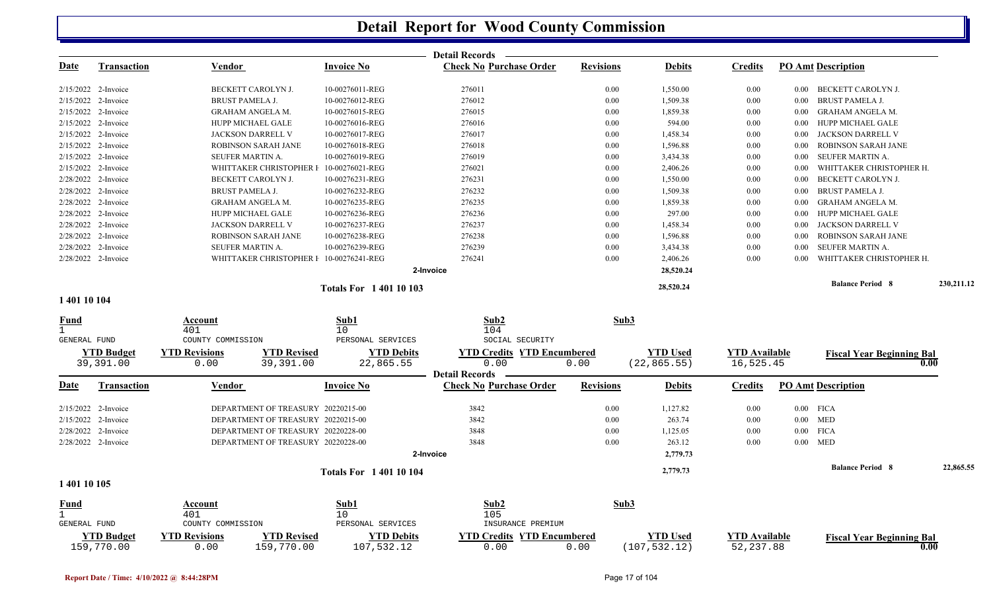|                      |                     |                        |                                         |                             | <b>Detail Records</b>             |                  |                 |                      |             |                                          |            |
|----------------------|---------------------|------------------------|-----------------------------------------|-----------------------------|-----------------------------------|------------------|-----------------|----------------------|-------------|------------------------------------------|------------|
| <u>Date</u>          | <b>Transaction</b>  | <b>Vendor</b>          |                                         | <b>Invoice No</b>           | <b>Check No Purchase Order</b>    | <b>Revisions</b> | <b>Debits</b>   | <b>Credits</b>       |             | <b>PO Amt Description</b>                |            |
|                      | 2/15/2022 2-Invoice |                        | BECKETT CAROLYN J.                      | 10-00276011-REG             | 276011                            | 0.00             | 1,550.00        | 0.00                 |             | 0.00 BECKETT CAROLYN J.                  |            |
|                      | 2/15/2022 2-Invoice | <b>BRUST PAMELA J.</b> |                                         | 10-00276012-REG             | 276012                            | 0.00             | 1,509.38        | 0.00                 | 0.00        | <b>BRUST PAMELA J</b>                    |            |
|                      | 2/15/2022 2-Invoice |                        | <b>GRAHAM ANGELA M.</b>                 | 10-00276015-REG             | 276015                            | 0.00             | 1,859.38        | 0.00                 | $0.00\,$    | GRAHAM ANGELA M.                         |            |
|                      | 2/15/2022 2-Invoice |                        | HUPP MICHAEL GALE                       | 10-00276016-REG             | 276016                            | 0.00             | 594.00          | 0.00                 | $0.00\,$    | HUPP MICHAEL GALE                        |            |
|                      | 2/15/2022 2-Invoice |                        | JACKSON DARRELL V                       | 10-00276017-REG             | 276017                            | 0.00             | 1,458.34        | 0.00                 | $0.00\,$    | JACKSON DARRELL V                        |            |
|                      | 2/15/2022 2-Invoice |                        | ROBINSON SARAH JANE                     | 10-00276018-REG             | 276018                            | 0.00             | 1,596.88        | 0.00                 | 0.00        | ROBINSON SARAH JANE                      |            |
|                      | 2/15/2022 2-Invoice | SEUFER MARTIN A.       |                                         | 10-00276019-REG             | 276019                            | 0.00             | 3,434.38        | 0.00                 | $0.00\,$    | SEUFER MARTIN A.                         |            |
|                      | 2/15/2022 2-Invoice |                        | WHITTAKER CHRISTOPHER I                 | 10-00276021-REG             | 276021                            | 0.00             | 2,406.26        | 0.00                 | 0.00        | WHITTAKER CHRISTOPHER H.                 |            |
|                      | 2/28/2022 2-Invoice |                        | BECKETT CAROLYN J.                      | 10-00276231-REG             | 276231                            | 0.00             | 1,550.00        | 0.00                 | 0.00        | BECKETT CAROLYN J.                       |            |
|                      | 2/28/2022 2-Invoice | <b>BRUST PAMELA J.</b> |                                         | 10-00276232-REG             | 276232                            | 0.00             | 1,509.38        | 0.00                 | $0.00\,$    | BRUST PAMELA J.                          |            |
|                      | 2/28/2022 2-Invoice |                        | <b>GRAHAM ANGELA M.</b>                 | 10-00276235-REG             | 276235                            | 0.00             | 1,859.38        | 0.00                 | 0.00        | <b>GRAHAM ANGELA M.</b>                  |            |
|                      | 2/28/2022 2-Invoice |                        | HUPP MICHAEL GALE                       | 10-00276236-REG             | 276236                            | 0.00             | 297.00          | 0.00                 | 0.00        | <b>HUPP MICHAEL GALE</b>                 |            |
|                      | 2/28/2022 2-Invoice |                        | JACKSON DARRELL V                       | 10-00276237-REG             | 276237                            | 0.00             | 1,458.34        | 0.00                 | $0.00\,$    | JACKSON DARRELL V                        |            |
|                      | 2/28/2022 2-Invoice |                        | ROBINSON SARAH JANE                     | 10-00276238-REG             | 276238                            | 0.00             | 1,596.88        | 0.00                 | 0.00        | ROBINSON SARAH JANE                      |            |
|                      | 2/28/2022 2-Invoice | SEUFER MARTIN A.       |                                         | 10-00276239-REG             | 276239                            | 0.00             | 3,434.38        | 0.00                 | 0.00        | SEUFER MARTIN A.                         |            |
|                      | 2/28/2022 2-Invoice |                        | WHITTAKER CHRISTOPHER F 10-00276241-REG |                             | 276241                            | 0.00             | 2,406.26        | 0.00                 | 0.00        | WHITTAKER CHRISTOPHER H.                 |            |
|                      |                     |                        |                                         |                             | 2-Invoice                         |                  | 28,520.24       |                      |             |                                          |            |
|                      |                     |                        |                                         | <b>Totals For 140110103</b> |                                   |                  | 28,520.24       |                      |             | <b>Balance Period 8</b>                  | 230,211.12 |
| 1 401 10 104         |                     |                        |                                         |                             |                                   |                  |                 |                      |             |                                          |            |
| Fund                 |                     | Account<br>401         |                                         | Sub1<br>10                  | Sub <sub>2</sub><br>104           | Sub3             |                 |                      |             |                                          |            |
| <b>GENERAL FUND</b>  |                     | COUNTY COMMISSION      |                                         | PERSONAL SERVICES           | SOCIAL SECURITY                   |                  |                 |                      |             |                                          |            |
|                      | <b>YTD Budget</b>   | <b>YTD Revisions</b>   | <b>YTD Revised</b>                      | <b>YTD Debits</b>           | <b>YTD Credits YTD Encumbered</b> |                  | <b>YTD</b> Used | <b>YTD</b> Available |             | <b>Fiscal Year Beginning Bal</b>         |            |
|                      | 39,391.00           | 0.00                   | 39,391.00                               | 22,865.55                   | 0.00<br><b>Detail Records</b>     | 0.00             | (22, 865.55)    | 16,525.45            |             | 0.00                                     |            |
| <u>Date</u>          | Transaction         | <b>Vendor</b>          |                                         | <b>Invoice No</b>           | <b>Check No Purchase Order</b>    | <b>Revisions</b> | <b>Debits</b>   | <b>Credits</b>       |             | <b>PO Amt Description</b>                |            |
|                      | 2/15/2022 2-Invoice |                        | DEPARTMENT OF TREASURY 20220215-00      |                             | 3842                              | 0.00             | 1,127.82        | 0.00                 | $0.00$ FICA |                                          |            |
|                      | 2/15/2022 2-Invoice |                        | DEPARTMENT OF TREASURY 20220215-00      |                             | 3842                              | 0.00             | 263.74          | 0.00                 | $0.00$ MED  |                                          |            |
|                      | 2/28/2022 2-Invoice |                        | DEPARTMENT OF TREASURY 20220228-00      |                             | 3848                              | 0.00             | 1,125.05        | 0.00                 | $0.00$ FICA |                                          |            |
|                      | 2/28/2022 2-Invoice |                        | DEPARTMENT OF TREASURY 20220228-00      |                             | 3848                              | 0.00             | 263.12          | 0.00                 | $0.00$ MED  |                                          |            |
|                      |                     |                        |                                         |                             | 2-Invoice                         |                  | 2,779.73        |                      |             |                                          |            |
|                      |                     |                        |                                         |                             |                                   |                  |                 |                      |             | <b>Balance Period 8</b>                  | 22,865.55  |
| 1 401 10 105         |                     |                        |                                         | <b>Totals For 140110104</b> |                                   |                  | 2,779.73        |                      |             |                                          |            |
|                      |                     |                        |                                         |                             |                                   |                  |                 |                      |             |                                          |            |
| Fund<br>$\mathbf{1}$ |                     | Account<br>401         |                                         | Sub1<br>10                  | Sub2<br>105                       | Sub3             |                 |                      |             |                                          |            |
| GENERAL FUND         |                     | COUNTY COMMISSION      |                                         | PERSONAL SERVICES           | INSURANCE PREMIUM                 |                  |                 |                      |             |                                          |            |
|                      | <b>YTD Budget</b>   | <b>YTD Revisions</b>   | <b>YTD Revised</b>                      | <b>YTD Debits</b>           | <b>YTD Credits YTD Encumbered</b> |                  | <b>YTD</b> Used | <b>YTD</b> Available |             |                                          |            |
|                      | 159,770.00          | 0.00                   | 159,770.00                              | 107,532.12                  | 0.00                              | 0.00             | (107, 532.12)   | 52, 237.88           |             | <b>Fiscal Year Beginning Bal</b><br>0.00 |            |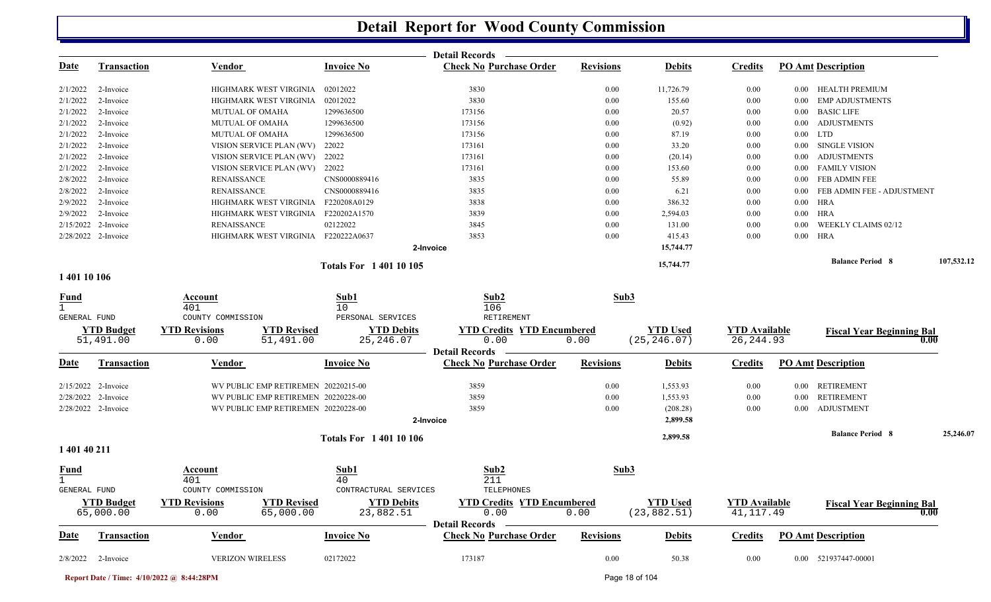|                             |                       |                                            |                             | <b>Detail Records</b>                                   |                  |                 |                      |            |                                  |            |
|-----------------------------|-----------------------|--------------------------------------------|-----------------------------|---------------------------------------------------------|------------------|-----------------|----------------------|------------|----------------------------------|------------|
| Date                        | <b>Transaction</b>    | <b>Vendor</b>                              | <b>Invoice No</b>           | <b>Check No Purchase Order</b>                          | <b>Revisions</b> | <b>Debits</b>   | <b>Credits</b>       |            | <b>PO Amt Description</b>        |            |
| 2/1/2022                    | 2-Invoice             | HIGHMARK WEST VIRGINIA                     | 02012022                    | 3830                                                    | 0.00             | 11,726.79       | 0.00                 |            | 0.00 HEALTH PREMIUM              |            |
| 2/1/2022                    | 2-Invoice             | HIGHMARK WEST VIRGINIA                     | 02012022                    | 3830                                                    | 0.00             | 155.60          | 0.00                 | 0.00       | <b>EMP ADJUSTMENTS</b>           |            |
| 2/1/2022                    | 2-Invoice             | <b>MUTUAL OF OMAHA</b>                     | 1299636500                  | 173156                                                  | 0.00             | 20.57           | 0.00                 | $0.00\,$   | <b>BASIC LIFE</b>                |            |
| 2/1/2022                    | 2-Invoice             | <b>MUTUAL OF OMAHA</b>                     | 1299636500                  | 173156                                                  | $0.00\,$         | (0.92)          | 0.00                 | $0.00\,$   | <b>ADJUSTMENTS</b>               |            |
| 2/1/2022                    | 2-Invoice             | <b>MUTUAL OF OMAHA</b>                     | 1299636500                  | 173156                                                  | 0.00             | 87.19           | 0.00                 | $0.00$ LTD |                                  |            |
| 2/1/2022                    | 2-Invoice             | VISION SERVICE PLAN (WV)                   | 22022                       | 173161                                                  | 0.00             | 33.20           | 0.00                 | $0.00\,$   | <b>SINGLE VISION</b>             |            |
| 2/1/2022                    | 2-Invoice             | VISION SERVICE PLAN (WV)                   | 22022                       | 173161                                                  | 0.00             | (20.14)         | 0.00                 | $0.00\,$   | <b>ADJUSTMENTS</b>               |            |
| 2/1/2022                    | 2-Invoice             | VISION SERVICE PLAN (WV) 22022             |                             | 173161                                                  | 0.00             | 153.60          | $0.00\,$             |            | 0.00 FAMILY VISION               |            |
| 2/8/2022                    | 2-Invoice             | <b>RENAISSANCE</b>                         | CNS0000889416               | 3835                                                    | 0.00             | 55.89           | 0.00                 |            | 0.00 FEB ADMIN FEE               |            |
| 2/8/2022                    | 2-Invoice             | <b>RENAISSANCE</b>                         | CNS0000889416               | 3835                                                    | 0.00             | 6.21            | 0.00                 | $0.00\,$   | FEB ADMIN FEE - ADJUSTMENT       |            |
| 2/9/2022                    | 2-Invoice             | HIGHMARK WEST VIRGINIA                     | F220208A0129                | 3838                                                    | 0.00             | 386.32          | 0.00                 | 0.00 HRA   |                                  |            |
| 2/9/2022                    | 2-Invoice             | HIGHMARK WEST VIRGINIA                     | F220202A1570                | 3839                                                    | 0.00             | 2,594.03        | 0.00                 | $0.00$ HRA |                                  |            |
| 2/15/2022                   | 2-Invoice             | <b>RENAISSANCE</b>                         | 02122022                    | 3845                                                    | 0.00             | 131.00          | 0.00                 | 0.00       | WEEKLY CLAIMS 02/12              |            |
|                             | 2/28/2022 2-Invoice   | HIGHMARK WEST VIRGINIA F220222A0637        |                             | 3853                                                    | 0.00             | 415.43          | 0.00                 | $0.00$ HRA |                                  |            |
|                             |                       |                                            | 2-Invoice                   |                                                         |                  | 15,744.77       |                      |            |                                  |            |
|                             |                       |                                            | <b>Totals For 140110105</b> |                                                         |                  | 15,744.77       |                      |            | <b>Balance Period 8</b>          | 107,532.12 |
| 1 401 10 106                |                       |                                            |                             |                                                         |                  |                 |                      |            |                                  |            |
| <u>Fund</u><br>$\mathbf{1}$ |                       | Account<br>401                             | Sub1<br>10                  | Sub2<br>106                                             | Sub3             |                 |                      |            |                                  |            |
| GENERAL FUND                |                       | COUNTY COMMISSION                          | PERSONAL SERVICES           | RETIREMENT                                              |                  |                 |                      |            |                                  |            |
|                             | <b>YTD Budget</b>     | <b>YTD Revisions</b><br><b>YTD Revised</b> | <b>YTD Debits</b>           | <b>YTD Credits YTD Encumbered</b>                       |                  | <b>YTD</b> Used | <b>YTD Available</b> |            | <b>Fiscal Year Beginning Bal</b> |            |
|                             | 51,491.00             | 0.00<br>51,491.00                          | 25, 246.07                  | 0.00                                                    | 0.00             | (25, 246.07)    | 26, 244.93           |            | 0.00                             |            |
| <u>Date</u>                 | <b>Transaction</b>    | <b>Vendor</b>                              | <b>Invoice No</b>           | <b>Detail Records</b><br><b>Check No Purchase Order</b> | <b>Revisions</b> | <b>Debits</b>   | <b>Credits</b>       |            | <b>PO Amt Description</b>        |            |
|                             |                       |                                            |                             |                                                         |                  |                 |                      |            |                                  |            |
|                             | $2/15/2022$ 2-Invoice | WV PUBLIC EMP RETIREMEN 20220215-00        |                             | 3859                                                    | 0.00             | 1,553.93        | 0.00                 |            | 0.00 RETIREMENT                  |            |
|                             | 2/28/2022 2-Invoice   | WV PUBLIC EMP RETIREMEN 20220228-00        |                             | 3859                                                    | 0.00             | 1,553.93        | $0.00\,$             |            | 0.00 RETIREMENT                  |            |
|                             | 2/28/2022 2-Invoice   | WV PUBLIC EMP RETIREMEN 20220228-00        |                             | 3859                                                    | 0.00             | (208.28)        | $0.00\,$             |            | 0.00 ADJUSTMENT                  |            |
|                             |                       |                                            | 2-Invoice                   |                                                         |                  | 2,899.58        |                      |            |                                  |            |
|                             |                       |                                            | <b>Totals For 140110106</b> |                                                         |                  | 2,899.58        |                      |            | <b>Balance Period 8</b>          | 25,246.07  |
| 1 401 40 211                |                       |                                            |                             |                                                         |                  |                 |                      |            |                                  |            |
| <b>Fund</b>                 |                       | Account                                    | Sub1                        | Sub2                                                    | Sub3             |                 |                      |            |                                  |            |
| $\mathbf{1}$                |                       | 401                                        | 40                          | 211                                                     |                  |                 |                      |            |                                  |            |
| GENERAL FUND                |                       | COUNTY COMMISSION                          | CONTRACTURAL SERVICES       | TELEPHONES                                              |                  |                 |                      |            |                                  |            |
|                             | <b>YTD Budget</b>     | <b>YTD Revised</b><br><b>YTD Revisions</b> | <b>YTD Debits</b>           | <b>YTD Credits YTD Encumbered</b>                       |                  | <b>YTD Used</b> | <b>YTD Available</b> |            | <b>Fiscal Year Beginning Bal</b> |            |
|                             | 65,000.00             | 0.00<br>65,000.00                          | 23,882.51                   | 0.00<br>Detail Records –                                | 0.00             | (23, 882.51)    | 41, 117.49           |            | 0.00                             |            |
| <u>Date</u>                 | <b>Transaction</b>    | Vendor                                     | <b>Invoice No</b>           | <b>Check No Purchase Order</b>                          | <b>Revisions</b> | <b>Debits</b>   | <b>Credits</b>       |            | <b>PO Amt Description</b>        |            |
|                             |                       | <b>VERIZON WIRELESS</b>                    |                             |                                                         |                  |                 |                      |            |                                  |            |
|                             | $2/8/2022$ 2-Invoice  |                                            | 02172022                    | 173187                                                  | $0.00\,$         | 50.38           | $0.00\,$             |            | 0.00 521937447-00001             |            |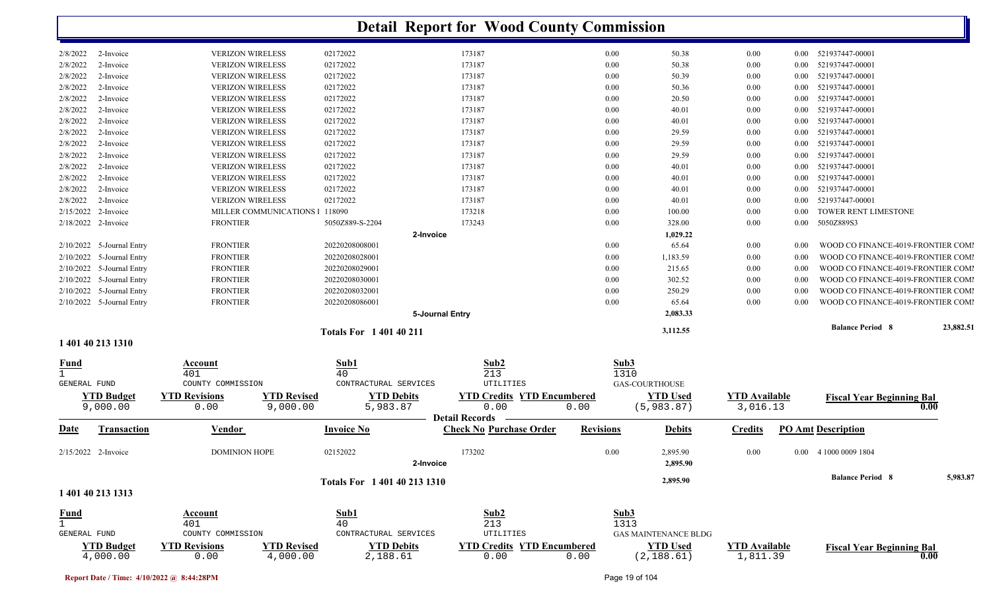|                               |                                                                |                                | <b>Detail Report for Wood County Commission</b>         |                  |                                |                                  |          |                                    |           |
|-------------------------------|----------------------------------------------------------------|--------------------------------|---------------------------------------------------------|------------------|--------------------------------|----------------------------------|----------|------------------------------------|-----------|
| 2/8/2022<br>2-Invoice         | <b>VERIZON WIRELESS</b>                                        | 02172022                       | 173187                                                  | $0.00\,$         | 50.38                          | $0.00\,$                         | $0.00\,$ | 521937447-00001                    |           |
| 2/8/2022<br>2-Invoice         | <b>VERIZON WIRELESS</b>                                        | 02172022                       | 173187                                                  | 0.00             | 50.38                          | $0.00\,$                         | 0.00     | 521937447-00001                    |           |
| 2/8/2022<br>2-Invoice         | <b>VERIZON WIRELESS</b>                                        | 02172022                       | 173187                                                  | $0.00\,$         | 50.39                          | $0.00\,$                         | 0.00     | 521937447-00001                    |           |
| 2/8/2022<br>2-Invoice         | <b>VERIZON WIRELESS</b>                                        | 02172022                       | 173187                                                  | $0.00\,$         | 50.36                          | $0.00\,$                         | 0.00     | 521937447-00001                    |           |
| 2/8/2022<br>2-Invoice         | <b>VERIZON WIRELESS</b>                                        | 02172022                       | 173187                                                  | 0.00             | 20.50                          | $0.00\,$                         | 0.00     | 521937447-00001                    |           |
| 2/8/2022<br>2-Invoice         | <b>VERIZON WIRELESS</b>                                        | 02172022                       | 173187                                                  | 0.00             | 40.01                          | $0.00\,$                         | $0.00\,$ | 521937447-00001                    |           |
| 2/8/2022<br>2-Invoice         | <b>VERIZON WIRELESS</b>                                        | 02172022                       | 173187                                                  | 0.00             | 40.01                          | $0.00\,$                         | 0.00     | 521937447-00001                    |           |
| 2/8/2022<br>2-Invoice         | <b>VERIZON WIRELESS</b>                                        | 02172022                       | 173187                                                  | $0.00\,$         | 29.59                          | $0.00\,$                         | 0.00     | 521937447-00001                    |           |
| 2/8/2022<br>2-Invoice         | <b>VERIZON WIRELESS</b>                                        | 02172022                       | 173187                                                  | $0.00\,$         | 29.59                          | $0.00\,$                         | 0.00     | 521937447-00001                    |           |
| 2/8/2022<br>2-Invoice         | <b>VERIZON WIRELESS</b>                                        | 02172022                       | 173187                                                  | 0.00             | 29.59                          | 0.00                             | 0.00     | 521937447-00001                    |           |
| 2/8/2022<br>2-Invoice         | <b>VERIZON WIRELESS</b>                                        | 02172022                       | 173187                                                  | 0.00             | 40.01                          | 0.00                             | 0.00     | 521937447-00001                    |           |
| 2/8/2022<br>2-Invoice         | <b>VERIZON WIRELESS</b>                                        | 02172022                       | 173187                                                  | 0.00             | 40.01                          | 0.00                             | $0.00\,$ | 521937447-00001                    |           |
| 2/8/2022<br>2-Invoice         | <b>VERIZON WIRELESS</b>                                        | 02172022                       | 173187                                                  | 0.00             | 40.01                          | 0.00                             | 0.00     | 521937447-00001                    |           |
| 2/8/2022<br>2-Invoice         | <b>VERIZON WIRELESS</b>                                        | 02172022                       | 173187                                                  | 0.00             | 40.01                          | $0.00\,$                         | 0.00     | 521937447-00001                    |           |
| 2/15/2022<br>2-Invoice        | MILLER COMMUNICATIONS                                          | 118090                         | 173218                                                  | $0.00\,$         | 100.00                         | 0.00                             | 0.00     | TOWER RENT LIMESTONE               |           |
| 2/18/2022 2-Invoice           | <b>FRONTIER</b>                                                | 5050Z889-S-2204                | 173243                                                  | 0.00             | 328.00                         | $0.00\,$                         | $0.00\,$ | 5050Z889S3                         |           |
|                               |                                                                | 2-Invoice                      |                                                         |                  | 1,029.22                       |                                  |          |                                    |           |
| 2/10/2022 5-Journal Entry     | <b>FRONTIER</b>                                                | 20220208008001                 |                                                         | $0.00\,$         | 65.64                          | $0.00\,$                         | 0.00     | WOOD CO FINANCE-4019-FRONTIER COMI |           |
| 5-Journal Entry<br>2/10/2022  | <b>FRONTIER</b>                                                | 20220208028001                 |                                                         | 0.00             | 1,183.59                       | $0.00\,$                         | 0.00     | WOOD CO FINANCE-4019-FRONTIER COMI |           |
| 2/10/2022<br>5-Journal Entry  | <b>FRONTIER</b>                                                | 20220208029001                 |                                                         | 0.00             | 215.65                         | $0.00\,$                         | 0.00     | WOOD CO FINANCE-4019-FRONTIER COMI |           |
| 2/10/2022<br>5-Journal Entry  | <b>FRONTIER</b>                                                | 20220208030001                 |                                                         | $0.00\,$         | 302.52                         | $0.00\,$                         | 0.00     | WOOD CO FINANCE-4019-FRONTIER COMI |           |
| 2/10/2022<br>5-Journal Entry  | <b>FRONTIER</b>                                                | 20220208032001                 |                                                         | 0.00             | 250.29                         | 0.00                             | 0.00     | WOOD CO FINANCE-4019-FRONTIER COMI |           |
| 2/10/2022 5-Journal Entry     | <b>FRONTIER</b>                                                | 20220208086001                 |                                                         | 0.00             | 65.64                          | $0.00\,$                         | 0.00     | WOOD CO FINANCE-4019-FRONTIER COMI |           |
|                               |                                                                |                                | 5-Journal Entry                                         |                  | 2,083.33                       |                                  |          |                                    |           |
| 1 401 40 213 1310             |                                                                | <b>Totals For 1 401 40 211</b> |                                                         |                  | 3,112.55                       |                                  |          | <b>Balance Period 8</b>            | 23,882.51 |
|                               |                                                                |                                |                                                         |                  |                                |                                  |          |                                    |           |
| <u>Fund</u>                   | Account                                                        | Sub1                           | Sub <sub>2</sub>                                        |                  | Sub3                           |                                  |          |                                    |           |
| $\mathbf{1}$                  | 401                                                            | 40                             | 213                                                     |                  | 1310                           |                                  |          |                                    |           |
| GENERAL FUND                  | COUNTY COMMISSION                                              | CONTRACTURAL SERVICES          | UTILITIES                                               |                  | <b>GAS-COURTHOUSE</b>          |                                  |          |                                    |           |
| <b>YTD</b> Budget             | <b>YTD Revised</b><br><b>YTD Revisions</b>                     | <b>YTD Debits</b>              | <b>YTD Credits YTD Encumbered</b>                       |                  | <b>YTD Used</b>                | <b>YTD Available</b>             |          | <b>Fiscal Year Beginning Bal</b>   |           |
| 9,000.00                      | 0.00<br>9,000.00                                               | 5,983.87                       | 0.00                                                    | 0.00             | (5, 983.87)                    | 3,016.13                         |          |                                    | 0.00      |
| Date<br><b>Transaction</b>    | Vendor                                                         | <b>Invoice No</b>              | <b>Detail Records</b><br><b>Check No Purchase Order</b> | <b>Revisions</b> | <b>Debits</b>                  | <b>Credits</b>                   |          | <b>PO Amt Description</b>          |           |
|                               |                                                                |                                |                                                         |                  |                                |                                  |          |                                    |           |
| 2/15/2022 2-Invoice           | DOMINION HOPE                                                  | 02152022<br>2-Invoice          | 173202                                                  | $0.00\,$         | 2,895.90<br>2,895.90           | 0.00                             |          | 0.00 4 1000 0009 1804              |           |
|                               |                                                                |                                |                                                         |                  |                                |                                  |          |                                    |           |
| 1 401 40 213 1313             |                                                                | Totals For 1 401 40 213 1310   |                                                         |                  | 2,895.90                       |                                  |          | <b>Balance Period 8</b>            | 5,983.87  |
|                               |                                                                |                                |                                                         |                  |                                |                                  |          |                                    |           |
| <b>Fund</b>                   | <b>Account</b>                                                 | Sub1                           | Sub2                                                    |                  | Sub3                           |                                  |          |                                    |           |
| $\mathbf{1}$                  | 401                                                            | 40                             | 213                                                     |                  | 1313                           |                                  |          |                                    |           |
| GENERAL FUND                  | COUNTY COMMISSION                                              | CONTRACTURAL SERVICES          | UTILITIES                                               |                  | <b>GAS MAINTENANCE BLDG</b>    |                                  |          |                                    |           |
| <b>YTD Budget</b><br>4,000.00 | <b>YTD Revised</b><br><b>YTD Revisions</b><br>0.00<br>4,000.00 | <b>YTD Debits</b><br>2,188.61  | <b>YTD Credits YTD Encumbered</b><br>0.00               | 0.00             | <b>YTD Used</b><br>(2, 188.61) | <b>YTD</b> Available<br>1,811.39 |          | <b>Fiscal Year Beginning Bal</b>   | 0.00      |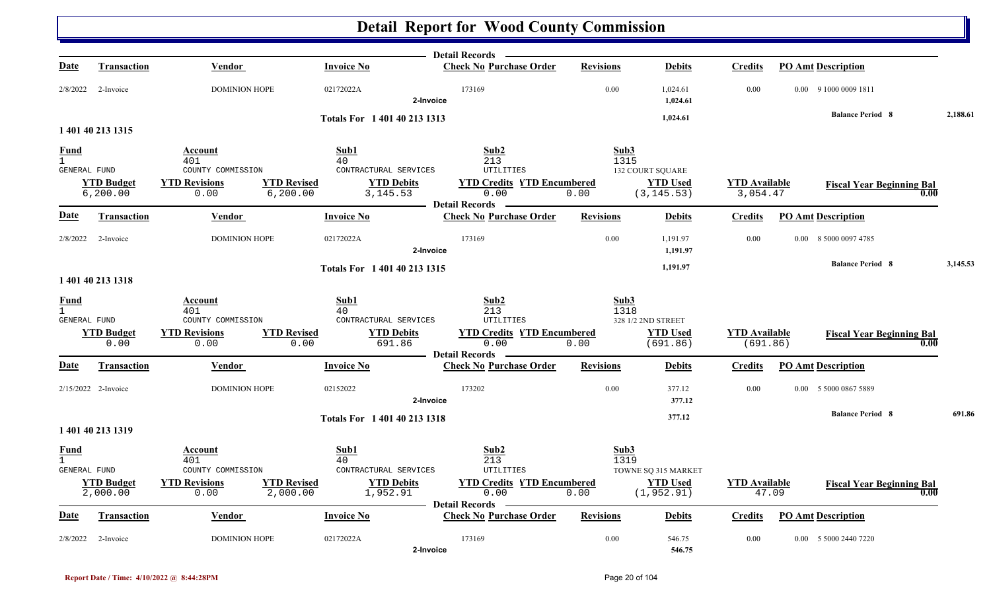|                                             |                                |                                                                 |                                     | Detail Records —                                                   |                  |                                |                                  |                           |                                  |          |
|---------------------------------------------|--------------------------------|-----------------------------------------------------------------|-------------------------------------|--------------------------------------------------------------------|------------------|--------------------------------|----------------------------------|---------------------------|----------------------------------|----------|
| <u>Date</u>                                 | <b>Transaction</b>             | Vendor                                                          | <b>Invoice No</b>                   | <b>Check No Purchase Order</b>                                     | <b>Revisions</b> | <b>Debits</b>                  | <b>Credits</b>                   | <b>PO Amt Description</b> |                                  |          |
| 2/8/2022                                    | 2-Invoice                      | <b>DOMINION HOPE</b>                                            | 02172022A                           | 173169<br>2-Invoice                                                | 0.00             | 1,024.61<br>1,024.61           | 0.00                             | 0.00 9 1000 0009 1811     |                                  |          |
|                                             |                                |                                                                 | Totals For 1401402131313            |                                                                    |                  | 1,024.61                       |                                  |                           | <b>Balance Period 8</b>          | 2,188.61 |
|                                             | 1 401 40 213 1315              |                                                                 |                                     |                                                                    |                  |                                |                                  |                           |                                  |          |
| <u>Fund</u>                                 |                                | Account                                                         | Sub1                                | Sub2                                                               | Sub3             |                                |                                  |                           |                                  |          |
| $\mathbf{1}$<br>GENERAL FUND                |                                | 401<br>COUNTY COMMISSION                                        | 40<br>CONTRACTURAL SERVICES         | 213<br>UTILITIES                                                   | 1315             | <b>132 COURT SQUARE</b>        |                                  |                           |                                  |          |
|                                             | <b>YTD Budget</b><br>6, 200.00 | <b>YTD Revisions</b><br><b>YTD Revised</b><br>6, 200.00<br>0.00 | <b>YTD Debits</b><br>3, 145.53      | <b>YTD Credits YTD Encumbered</b><br>0.00                          | 0.00             | <b>YTD Used</b><br>(3, 145.53) | <b>YTD Available</b><br>3,054.47 |                           | <b>Fiscal Year Beginning Bal</b> | 0.00     |
| Date                                        | Transaction                    | Vendor                                                          | <b>Invoice No</b>                   | - Detail Records -<br><b>Check No Purchase Order</b>               | <b>Revisions</b> | <b>Debits</b>                  | <b>Credits</b>                   | <b>PO Amt Description</b> |                                  |          |
| 2/8/2022                                    | 2-Invoice                      | <b>DOMINION HOPE</b>                                            | 02172022A                           | 173169<br>2-Invoice                                                | 0.00             | 1,191.97<br>1,191.97           | 0.00                             | 0.00 8 5000 0097 4785     |                                  |          |
|                                             | 1 401 40 213 1318              |                                                                 | Totals For 1 401 40 213 1315        |                                                                    |                  | 1,191.97                       |                                  |                           | <b>Balance Period 8</b>          | 3,145.53 |
| Fund                                        |                                | Account                                                         | Sub1                                | Sub2                                                               | Sub3             |                                |                                  |                           |                                  |          |
| $\overline{1}$<br>GENERAL FUND              |                                | 401<br>COUNTY COMMISSION                                        | 40<br>CONTRACTURAL SERVICES         | 213<br><b>UTILITIES</b>                                            | 1318             | 328 1/2 2ND STREET             |                                  |                           |                                  |          |
|                                             | <b>YTD Budget</b><br>0.00      | <b>YTD Revisions</b><br><b>YTD Revised</b><br>0.00              | <b>YTD Debits</b><br>0.00<br>691.86 | <b>YTD Credits YTD Encumbered</b><br>0.00                          | 0.00             | <b>YTD</b> Used<br>(691.86)    | <b>YTD</b> Available<br>(691.86) |                           | <b>Fiscal Year Beginning Bal</b> | 0.00     |
|                                             |                                |                                                                 |                                     | — Detail Records ——                                                |                  |                                |                                  |                           |                                  |          |
| Date                                        | <b>Transaction</b>             | Vendor                                                          | <b>Invoice No</b>                   | <b>Check No Purchase Order</b>                                     | <b>Revisions</b> | <b>Debits</b>                  | <b>Credits</b>                   | <b>PO Amt Description</b> |                                  |          |
|                                             | 2/15/2022 2-Invoice            | <b>DOMINION HOPE</b>                                            | 02152022                            | 173202<br>2-Invoice                                                | 0.00             | 377.12<br>377.12               | 0.00                             | 0.00 5 5000 0867 5889     |                                  |          |
|                                             |                                |                                                                 | Totals For 1401402131318            |                                                                    |                  | 377.12                         |                                  |                           | <b>Balance Period 8</b>          | 691.86   |
|                                             | 1 401 40 213 1319              |                                                                 |                                     |                                                                    |                  |                                |                                  |                           |                                  |          |
| <b>Fund</b><br>$\mathbf{1}$<br>GENERAL FUND |                                | Account<br>401<br>COUNTY COMMISSION                             | Sub1<br>40<br>CONTRACTURAL SERVICES | Sub2<br>213<br>UTILITIES                                           | Sub3<br>1319     | TOWNE SQ 315 MARKET            |                                  |                           |                                  |          |
|                                             | <b>YTD Budget</b><br>2,000.00  | <b>YTD Revisions</b><br><b>YTD Revised</b><br>0.00<br>2,000.00  | <b>YTD Debits</b><br>1,952.91       | <b>YTD Credits YTD Encumbered</b><br>0.00<br><b>Detail Records</b> | 0.00             | <b>YTD Used</b><br>(1, 952.91) | <b>YTD Available</b>             | 47.09                     | <b>Fiscal Year Beginning Bal</b> | 0.00     |
| Date                                        | <b>Transaction</b>             | <b>Vendor</b>                                                   | <b>Invoice No</b>                   | <b>Check No Purchase Order</b>                                     | <b>Revisions</b> | <b>Debits</b>                  | <b>Credits</b>                   | <b>PO Amt Description</b> |                                  |          |
| 2/8/2022                                    | 2-Invoice                      | <b>DOMINION HOPE</b>                                            | 02172022A                           | 173169<br>2-Invoice                                                | 0.00             | 546.75<br>546.75               | 0.00                             | 0.00 5 5000 2440 7220     |                                  |          |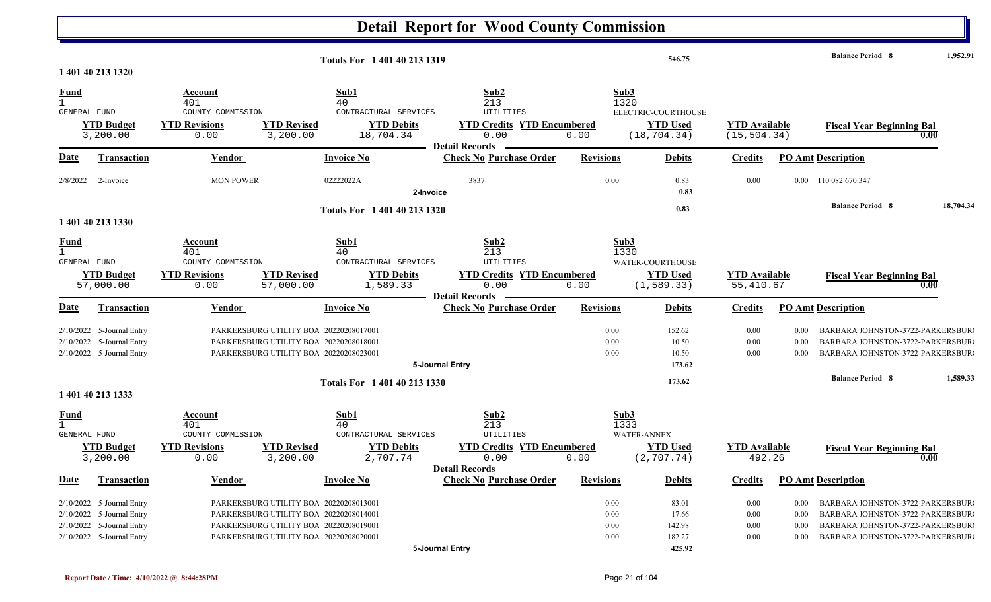|                  |                                                        |                          |                                                                                  |                              | <b>Detail Report for Wood County Commission</b>         |                  |                             |                      |                  |                                                                      |           |
|------------------|--------------------------------------------------------|--------------------------|----------------------------------------------------------------------------------|------------------------------|---------------------------------------------------------|------------------|-----------------------------|----------------------|------------------|----------------------------------------------------------------------|-----------|
|                  | 1 401 40 213 1320                                      |                          |                                                                                  | Totals For 1 401 40 213 1319 |                                                         |                  | 546.75                      |                      |                  | <b>Balance Period 8</b>                                              | 1,952.91  |
|                  |                                                        |                          |                                                                                  |                              |                                                         |                  |                             |                      |                  |                                                                      |           |
| $\frac{Fund}{1}$ |                                                        | Account                  |                                                                                  | Sub1                         | Sub2                                                    |                  | Sub3                        |                      |                  |                                                                      |           |
| GENERAL FUND     |                                                        | 401<br>COUNTY COMMISSION |                                                                                  | 40<br>CONTRACTURAL SERVICES  | 213<br>UTILITIES                                        |                  | 1320<br>ELECTRIC-COURTHOUSE |                      |                  |                                                                      |           |
|                  | <b>YTD Budget</b>                                      | <b>YTD Revisions</b>     | <b>YTD Revised</b>                                                               | <b>YTD Debits</b>            | <b>YTD Credits YTD Encumbered</b>                       |                  | <b>YTD Used</b>             | <b>YTD</b> Available |                  | <b>Fiscal Year Beginning Bal</b>                                     |           |
|                  | 3,200.00                                               | 0.00                     | 3,200.00                                                                         | 18,704.34                    | 0.00                                                    | 0.00             | (18, 704.34)                | (15, 504.34)         |                  |                                                                      | 0.00      |
|                  |                                                        |                          |                                                                                  |                              | <b>Detail Records</b>                                   |                  |                             |                      |                  |                                                                      |           |
| <u>Date</u>      | <b>Transaction</b>                                     | Vendor                   |                                                                                  | <b>Invoice No</b>            | <b>Check No Purchase Order</b>                          | <b>Revisions</b> | <b>Debits</b>               | <b>Credits</b>       |                  | <b>PO Amt Description</b>                                            |           |
| 2/8/2022         | 2-Invoice                                              | <b>MON POWER</b>         |                                                                                  | 02222022A<br>2-Invoice       | 3837                                                    | 0.00             | 0.83<br>0.83                | 0.00                 | $0.00\,$         | 110 082 670 347                                                      |           |
|                  |                                                        |                          |                                                                                  | Totals For 1 401 40 213 1320 |                                                         |                  | 0.83                        |                      |                  | <b>Balance Period 8</b>                                              | 18,704.34 |
|                  | 1 401 40 213 1330                                      |                          |                                                                                  |                              |                                                         |                  |                             |                      |                  |                                                                      |           |
|                  |                                                        |                          |                                                                                  |                              |                                                         |                  |                             |                      |                  |                                                                      |           |
| $\frac{Fund}{1}$ |                                                        | Account<br>401           |                                                                                  | Sub1<br>40                   | Sub2<br>213                                             |                  | Sub3<br>1330                |                      |                  |                                                                      |           |
| GENERAL FUND     |                                                        | COUNTY COMMISSION        |                                                                                  | CONTRACTURAL SERVICES        | <b>UTILITIES</b>                                        |                  | WATER-COURTHOUSE            |                      |                  |                                                                      |           |
|                  | <b>YTD Budget</b>                                      | <b>YTD Revisions</b>     | <b>YTD Revised</b>                                                               | <b>YTD Debits</b>            | <b>YTD Credits YTD Encumbered</b>                       |                  | <b>YTD Used</b>             | <b>YTD Available</b> |                  | <b>Fiscal Year Beginning Bal</b>                                     |           |
|                  | 57,000.00                                              | 0.00                     | 57,000.00                                                                        | 1,589.33                     | 0.00                                                    | 0.00             | (1, 589.33)                 | 55,410.67            |                  |                                                                      | 0.00      |
|                  | <b>Transaction</b>                                     | Vendor                   |                                                                                  | <b>Invoice No</b>            | <b>Detail Records</b><br><b>Check No Purchase Order</b> | <b>Revisions</b> | <b>Debits</b>               | <b>Credits</b>       |                  | <b>PO Amt Description</b>                                            |           |
| <u>Date</u>      |                                                        |                          |                                                                                  |                              |                                                         |                  |                             |                      |                  |                                                                      |           |
|                  | 2/10/2022 5-Journal Entry                              |                          | PARKERSBURG UTILITY BOA 20220208017001                                           |                              |                                                         | 0.00             | 152.62                      | $0.00\,$             | 0.00             | BARBARA JOHNSTON-3722-PARKERSBUR                                     |           |
|                  | 2/10/2022 5-Journal Entry                              |                          | PARKERSBURG UTILITY BOA 20220208018001                                           |                              |                                                         | 0.00             | 10.50                       | 0.00                 | 0.00             | BARBARA JOHNSTON-3722-PARKERSBUR                                     |           |
|                  | 2/10/2022 5-Journal Entry                              |                          | PARKERSBURG UTILITY BOA 20220208023001                                           |                              |                                                         | 0.00             | 10.50                       | 0.00                 | 0.00             | BARBARA JOHNSTON-3722-PARKERSBUR                                     |           |
|                  |                                                        |                          |                                                                                  |                              | 5-Journal Entry                                         |                  | 173.62                      |                      |                  |                                                                      |           |
|                  |                                                        |                          |                                                                                  | Totals For 1 401 40 213 1330 |                                                         |                  | 173.62                      |                      |                  | <b>Balance Period 8</b>                                              | 1,589.33  |
|                  | 1 401 40 213 1333                                      |                          |                                                                                  |                              |                                                         |                  |                             |                      |                  |                                                                      |           |
|                  |                                                        | <b>Account</b>           |                                                                                  | Sub1                         | Sub2                                                    |                  | Sub3                        |                      |                  |                                                                      |           |
| $\frac{Fund}{1}$ |                                                        | 401                      |                                                                                  | 40                           | 213                                                     |                  | 1333                        |                      |                  |                                                                      |           |
| GENERAL FUND     |                                                        | COUNTY COMMISSION        |                                                                                  | CONTRACTURAL SERVICES        | UTILITIES                                               |                  | <b>WATER-ANNEX</b>          |                      |                  |                                                                      |           |
|                  | <b>YTD Budget</b>                                      | <b>YTD Revisions</b>     | <b>YTD Revised</b>                                                               | <b>YTD Debits</b>            | <b>YTD Credits YTD Encumbered</b>                       |                  | <b>YTD Used</b>             | <b>YTD</b> Available |                  | <b>Fiscal Year Beginning Bal</b>                                     |           |
|                  | 3,200.00                                               | 0.00                     | 3,200.00                                                                         | 2,707.74                     | 0.00                                                    | 0.00             | (2, 707.74)                 | 492.26               |                  |                                                                      | 0.00      |
| <b>Date</b>      | <b>Transaction</b>                                     | <b>Vendor</b>            |                                                                                  | <b>Invoice No</b>            | Detail Records -<br><b>Check No Purchase Order</b>      | <b>Revisions</b> | <b>Debits</b>               | <b>Credits</b>       |                  | <b>PO Amt Description</b>                                            |           |
|                  |                                                        |                          |                                                                                  |                              |                                                         |                  |                             |                      |                  |                                                                      |           |
|                  | $2/10/2022$ 5-Journal Entry                            |                          | PARKERSBURG UTILITY BOA 20220208013001                                           |                              |                                                         | 0.00             | 83.01                       | $0.00\,$             | $0.00\,$         | BARBARA JOHNSTON-3722-PARKERSBUR                                     |           |
|                  | 2/10/2022 5-Journal Entry<br>2/10/2022 5-Journal Entry |                          | PARKERSBURG UTILITY BOA 20220208014001<br>PARKERSBURG UTILITY BOA 20220208019001 |                              |                                                         | 0.00<br>0.00     | 17.66<br>142.98             | $0.00\,$<br>$0.00\,$ | 0.00             | BARBARA JOHNSTON-3722-PARKERSBUR<br>BARBARA JOHNSTON-3722-PARKERSBUR |           |
|                  | 2/10/2022 5-Journal Entry                              |                          | PARKERSBURG UTILITY BOA 20220208020001                                           |                              |                                                         | 0.00             | 182.27                      | $0.00\,$             | 0.00<br>$0.00\,$ | BARBARA JOHNSTON-3722-PARKERSBUR                                     |           |
|                  |                                                        |                          |                                                                                  |                              | 5-Journal Entry                                         |                  | 425.92                      |                      |                  |                                                                      |           |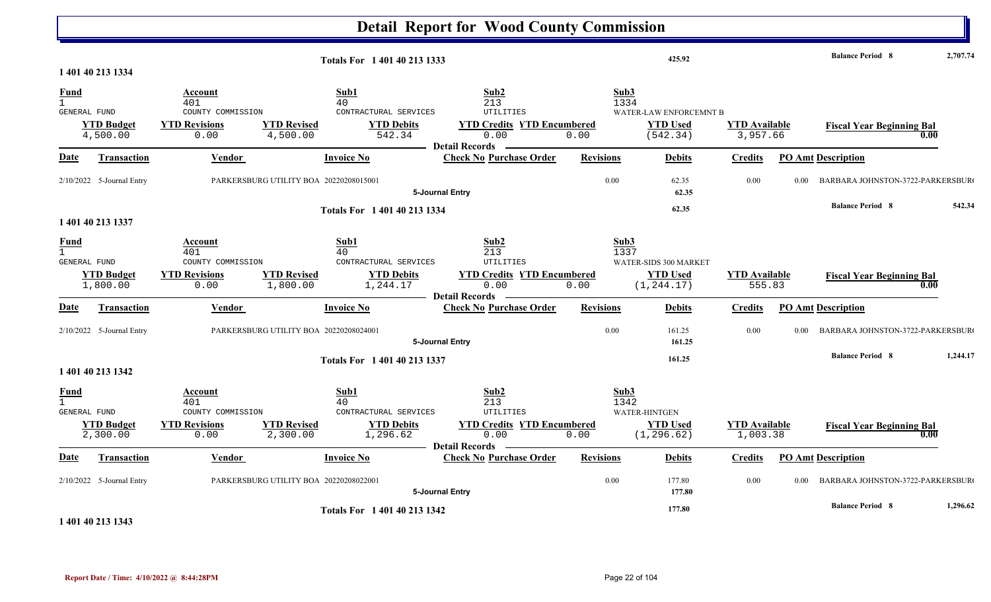|                                                    |                               |                                                                     |                                                                                                        | <b>Detail Report for Wood County Commission</b>                                                |                      |                                                                |                                  |      |                                          |          |
|----------------------------------------------------|-------------------------------|---------------------------------------------------------------------|--------------------------------------------------------------------------------------------------------|------------------------------------------------------------------------------------------------|----------------------|----------------------------------------------------------------|----------------------------------|------|------------------------------------------|----------|
|                                                    | 1 401 40 213 1334             |                                                                     | Totals For 1 401 40 213 1333                                                                           |                                                                                                |                      | 425.92                                                         |                                  |      | <b>Balance Period 8</b>                  | 2,707.74 |
| <b>Fund</b><br>$\mathbf{1}$<br>GENERAL FUND        | <b>YTD Budget</b><br>4,500.00 | Account<br>401<br>COUNTY COMMISSION<br><b>YTD Revisions</b><br>0.00 | Sub1<br>40<br>CONTRACTURAL SERVICES<br><b>YTD Revised</b><br><b>YTD Debits</b><br>4,500.00<br>542.34   | Sub2<br>213<br>UTILITIES<br><b>YTD Credits YTD Encumbered</b><br>0.00<br><b>Detail Records</b> | Sub3<br>1334<br>0.00 | WATER-LAW ENFORCEMNT B<br><b>YTD Used</b><br>(542.34)          | <b>YTD Available</b><br>3,957.66 |      | <b>Fiscal Year Beginning Bal</b><br>0.00 |          |
| Date                                               | Transaction                   | Vendor                                                              | <b>Invoice No</b>                                                                                      | <b>Check No Purchase Order</b>                                                                 | <b>Revisions</b>     | <b>Debits</b>                                                  | <b>Credits</b>                   |      | <b>PO Amt Description</b>                |          |
|                                                    | 2/10/2022 5-Journal Entry     |                                                                     | PARKERSBURG UTILITY BOA 20220208015001                                                                 | 5-Journal Entry                                                                                | 0.00                 | 62.35<br>62.35                                                 | 0.00                             | 0.00 | BARBARA JOHNSTON-3722-PARKERSBUR         |          |
|                                                    | 1 401 40 213 1337             |                                                                     | Totals For 1 401 40 213 1334                                                                           |                                                                                                |                      | 62.35                                                          |                                  |      | <b>Balance Period 8</b>                  | 542.34   |
| <b>Fund</b><br>$\mathbf{1}$<br>GENERAL FUND        | <b>YTD Budget</b><br>1,800.00 | Account<br>401<br>COUNTY COMMISSION<br><b>YTD Revisions</b><br>0.00 | Sub1<br>40<br>CONTRACTURAL SERVICES<br><b>YTD Revised</b><br><b>YTD Debits</b><br>1,800.00<br>1,244.17 | Sub2<br>213<br>UTILITIES<br><b>YTD Credits YTD Encumbered</b><br>0.00<br>- Detail Records      | Sub3<br>1337<br>0.00 | <b>WATER-SIDS 300 MARKET</b><br><b>YTD Used</b><br>(1, 244.17) | <b>YTD Available</b><br>555.83   |      | <b>Fiscal Year Beginning Bal</b><br>0.00 |          |
| <b>Date</b>                                        | Transaction                   | <b>Vendor</b>                                                       | <b>Invoice No</b>                                                                                      | <b>Check No Purchase Order</b>                                                                 | <b>Revisions</b>     | <b>Debits</b>                                                  | <b>Credits</b>                   |      | <b>PO Amt Description</b>                |          |
|                                                    | 2/10/2022 5-Journal Entry     |                                                                     | PARKERSBURG UTILITY BOA 20220208024001                                                                 | 5-Journal Entry                                                                                | 0.00                 | 161.25<br>161.25                                               | 0.00                             | 0.00 | BARBARA JOHNSTON-3722-PARKERSBUR         |          |
|                                                    | 1 401 40 213 1342             |                                                                     | Totals For 1 401 40 213 1337                                                                           |                                                                                                |                      | 161.25                                                         |                                  |      | <b>Balance Period 8</b>                  | 1,244.17 |
| <b>Fund</b><br>$\mathbf{1}$<br><b>GENERAL FUND</b> | <b>YTD Budget</b><br>2,300.00 | Account<br>401<br>COUNTY COMMISSION<br><b>YTD Revisions</b><br>0.00 | Sub1<br>40<br>CONTRACTURAL SERVICES<br><b>YTD Revised</b><br><b>YTD Debits</b><br>2,300.00<br>1,296.62 | Sub2<br>213<br>UTILITIES<br><b>YTD Credits YTD Encumbered</b><br>0.00<br>Detail Records        | Sub3<br>1342<br>0.00 | WATER-HINTGEN<br><b>YTD Used</b><br>(1, 296.62)                | <b>YTD</b> Available<br>1,003.38 |      | <b>Fiscal Year Beginning Bal</b><br>0.00 |          |
| <b>Date</b>                                        | <b>Transaction</b>            | Vendor                                                              | <b>Invoice No</b>                                                                                      | <b>Check No Purchase Order</b>                                                                 | <b>Revisions</b>     | <b>Debits</b>                                                  | <b>Credits</b>                   |      | <b>PO Amt Description</b>                |          |
|                                                    | $2/10/2022$ 5-Journal Entry   |                                                                     | PARKERSBURG UTILITY BOA 20220208022001                                                                 | 5-Journal Entry                                                                                | 0.00                 | 177.80<br>177.80                                               | 0.00                             | 0.00 | BARBARA JOHNSTON-3722-PARKERSBUR         |          |
|                                                    |                               |                                                                     | Totals For 1 401 40 213 1342                                                                           |                                                                                                |                      | 177.80                                                         |                                  |      | <b>Balance Period 8</b>                  | 1,296.62 |

**1 401 40 213 1343**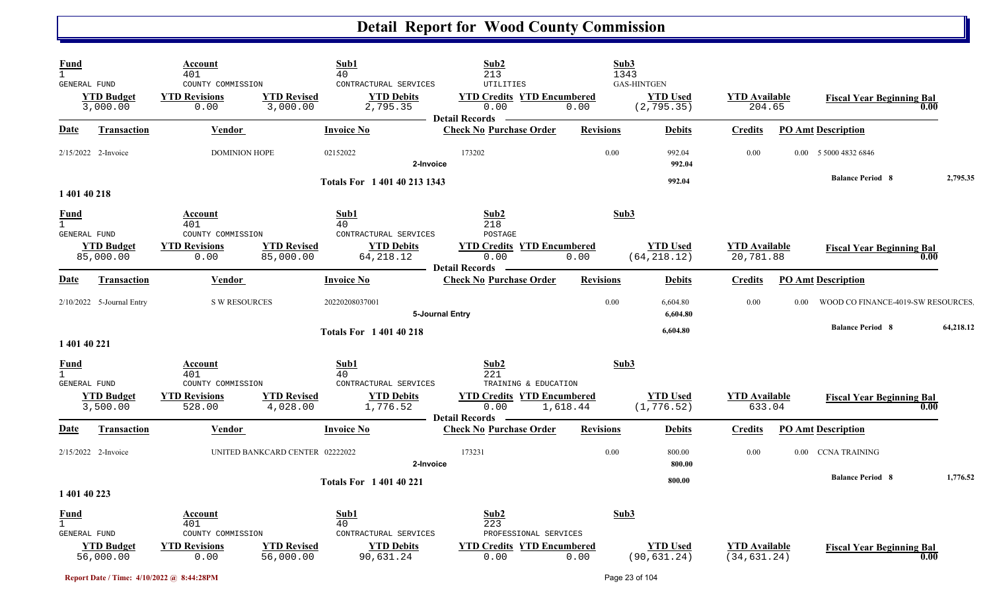| Fund<br>$\mathbf{1}$<br><b>GENERAL FUND</b> |                                | Account<br>401<br>COUNTY COMMISSION                                 | Sub1<br>40<br>CONTRACTURAL SERVICES                                                                      | Sub2<br>213<br><b>UTILITIES</b>                                                   | Sub3<br>1343     | <b>GAS-HINTGEN</b>              |                                      |      |                                    |      |           |
|---------------------------------------------|--------------------------------|---------------------------------------------------------------------|----------------------------------------------------------------------------------------------------------|-----------------------------------------------------------------------------------|------------------|---------------------------------|--------------------------------------|------|------------------------------------|------|-----------|
|                                             | <b>YTD Budget</b><br>3,000.00  | <b>YTD Revisions</b><br>0.00                                        | <b>YTD Revised</b><br><b>YTD Debits</b><br>3,000.00<br>2,795.35                                          | <b>YTD Credits YTD Encumbered</b><br>0.00<br><b>Detail Records</b>                | 0.00             | <b>YTD Used</b><br>(2, 795.35)  | <b>YTD Available</b><br>204.65       |      | <b>Fiscal Year Beginning Bal</b>   | 0.00 |           |
| Date                                        | <b>Transaction</b>             | Vendor                                                              | <b>Invoice No</b>                                                                                        | <b>Check No Purchase Order</b>                                                    | <b>Revisions</b> | <b>Debits</b>                   | <b>Credits</b>                       |      | <b>PO Amt Description</b>          |      |           |
|                                             | $2/15/2022$ 2-Invoice          | <b>DOMINION HOPE</b>                                                | 02152022                                                                                                 | 173202<br>2-Invoice                                                               | 0.00             | 992.04<br>992.04                | 0.00                                 |      | 0.00 5 5000 4832 6846              |      |           |
| 1 401 40 218                                |                                |                                                                     | Totals For 1 401 40 213 1343                                                                             |                                                                                   |                  | 992.04                          |                                      |      | <b>Balance Period 8</b>            |      | 2,795.35  |
| <u>Fund</u><br>$\mathbf{1}$                 |                                | Account<br>401                                                      | Sub1<br>40                                                                                               | Sub2<br>218<br>POSTAGE                                                            | Sub3             |                                 |                                      |      |                                    |      |           |
| GENERAL FUND                                | <b>YTD Budget</b><br>85,000.00 | COUNTY COMMISSION<br><b>YTD Revisions</b><br>0.00                   | CONTRACTURAL SERVICES<br><b>YTD Revised</b><br><b>YTD Debits</b><br>85,000.00<br>64, 218.12              | <b>YTD Credits YTD Encumbered</b><br>0.00<br><b>Detail Records</b>                | 0.00             | <b>YTD Used</b><br>(64, 218.12) | <b>YTD</b> Available<br>20,781.88    |      | <b>Fiscal Year Beginning Bal</b>   | 0.00 |           |
| Date                                        | <b>Transaction</b>             | Vendor                                                              | <b>Invoice No</b>                                                                                        | <b>Check No Purchase Order</b>                                                    | <b>Revisions</b> | <b>Debits</b>                   | Credits                              |      | <b>PO Amt Description</b>          |      |           |
|                                             | $2/10/2022$ 5-Journal Entry    | <b>S W RESOURCES</b>                                                | 20220208037001                                                                                           | 5-Journal Entry                                                                   | 0.00             | 6,604.80<br>6,604.80            | 0.00                                 | 0.00 | WOOD CO FINANCE-4019-SW RESOURCES. |      |           |
| 1 401 40 221                                |                                |                                                                     | <b>Totals For 140140218</b>                                                                              |                                                                                   |                  | 6,604.80                        |                                      |      | <b>Balance Period 8</b>            |      | 64,218.12 |
| Fund<br>GENERAL FUND                        |                                | Account<br>401<br>COUNTY COMMISSION                                 | Sub1<br>40<br>CONTRACTURAL SERVICES                                                                      | Sub <sub>2</sub><br>221<br>TRAINING & EDUCATION                                   | Sub3             |                                 |                                      |      |                                    |      |           |
|                                             | <b>YTD Budget</b><br>3,500.00  | <b>YTD Revisions</b><br>528.00                                      | <b>YTD Revised</b><br><b>YTD Debits</b><br>4,028.00<br>1,776.52                                          | <b>YTD Credits YTD Encumbered</b><br>0.00<br><b>Detail Records</b>                | 1,618.44         | <b>YTD Used</b><br>(1, 776.52)  | <b>YTD Available</b><br>633.04       |      | <b>Fiscal Year Beginning Bal</b>   | 0.00 |           |
| Date                                        | <b>Transaction</b>             | Vendor                                                              | <b>Invoice No</b>                                                                                        | <b>Check No Purchase Order</b>                                                    | <b>Revisions</b> | <b>Debits</b>                   | <u>Credits</u>                       |      | <b>PO Amt Description</b>          |      |           |
|                                             | 2/15/2022 2-Invoice            |                                                                     | UNITED BANKCARD CENTER 02222022                                                                          | 173231<br>2-Invoice                                                               | 0.00             | 800.00<br>800.00                | 0.00                                 |      | 0.00 CCNA TRAINING                 |      |           |
| 1 401 40 223                                |                                |                                                                     | <b>Totals For 140140221</b>                                                                              |                                                                                   |                  | 800.00                          |                                      |      | <b>Balance Period 8</b>            |      | 1,776.52  |
| Fund<br>GENERAL FUND                        | <b>YTD Budget</b><br>56,000.00 | Account<br>401<br>COUNTY COMMISSION<br><b>YTD Revisions</b><br>0.00 | Sub1<br>40<br>CONTRACTURAL SERVICES<br><b>YTD Revised</b><br><b>YTD Debits</b><br>56,000.00<br>90,631.24 | Sub2<br>223<br>PROFESSIONAL SERVICES<br><b>YTD Credits YTD Encumbered</b><br>0.00 | Sub3<br>0.00     | <b>YTD Used</b><br>(90, 631.24) | <b>YTD</b> Available<br>(34, 631.24) |      | <b>Fiscal Year Beginning Bal</b>   | 0.00 |           |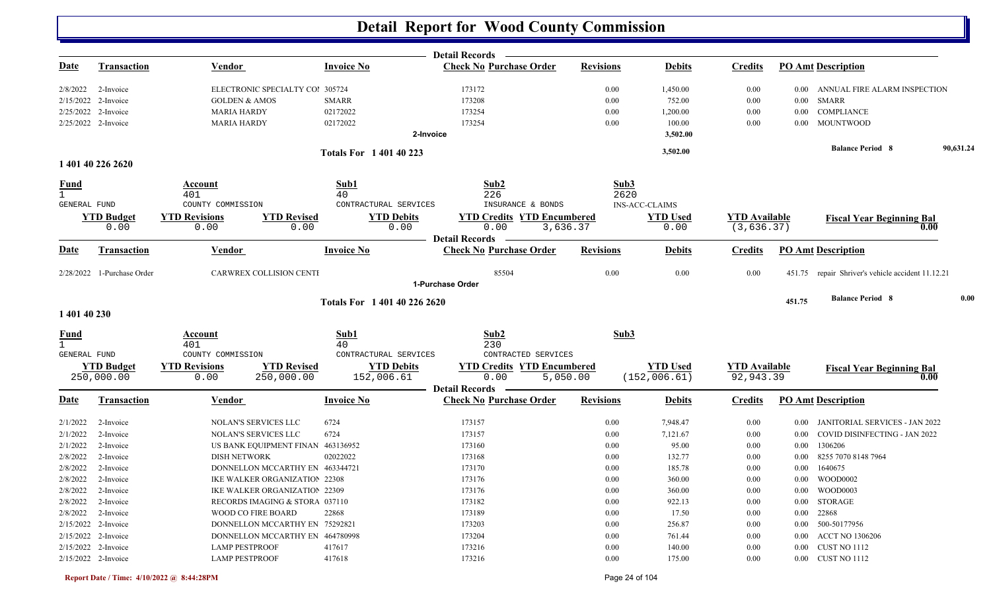|                     |                            |                                                            |                              | <b>Detail Records</b>                     |                  |                         |                                     |          |                                                   |           |
|---------------------|----------------------------|------------------------------------------------------------|------------------------------|-------------------------------------------|------------------|-------------------------|-------------------------------------|----------|---------------------------------------------------|-----------|
| <u>Date</u>         | <b>Transaction</b>         | <b>Vendor</b>                                              | <b>Invoice No</b>            | <b>Check No Purchase Order</b>            | <b>Revisions</b> | <b>Debits</b>           | <b>Credits</b>                      |          | <b>PO Amt Description</b>                         |           |
| 2/8/2022            | 2-Invoice                  | ELECTRONIC SPECIALTY COl 305724                            |                              | 173172                                    | 0.00             | 1,450.00                | 0.00                                | $0.00\,$ | ANNUAL FIRE ALARM INSPECTION                      |           |
|                     | 2/15/2022 2-Invoice        | <b>GOLDEN &amp; AMOS</b>                                   | <b>SMARR</b>                 | 173208                                    | 0.00             | 752.00                  | 0.00                                | $0.00\,$ | SMARR                                             |           |
|                     | 2/25/2022 2-Invoice        | <b>MARIA HARDY</b>                                         | 02172022                     | 173254                                    | 0.00             | 1,200.00                | 0.00                                | $0.00\,$ | COMPLIANCE                                        |           |
|                     | 2/25/2022 2-Invoice        | <b>MARIA HARDY</b>                                         | 02172022                     | 173254                                    | 0.00             | 100.00                  | 0.00                                | 0.00     | <b>MOUNTWOOD</b>                                  |           |
|                     |                            |                                                            | 2-Invoice                    |                                           |                  | 3,502.00                |                                     |          |                                                   |           |
|                     |                            |                                                            | <b>Totals For 140140223</b>  |                                           |                  | 3,502.00                |                                     |          | <b>Balance Period 8</b>                           | 90,631.24 |
|                     | 1 401 40 226 2620          |                                                            |                              |                                           |                  |                         |                                     |          |                                                   |           |
| <b>Fund</b>         |                            | Account                                                    | Sub1                         | Sub2                                      | Sub3             |                         |                                     |          |                                                   |           |
| GENERAL FUND        |                            | 401<br>COUNTY COMMISSION                                   | 40<br>CONTRACTURAL SERVICES  | 226<br>INSURANCE & BONDS                  | 2620             | <b>INS-ACC-CLAIMS</b>   |                                     |          |                                                   |           |
|                     |                            |                                                            |                              |                                           |                  |                         |                                     |          |                                                   |           |
|                     | <b>YTD Budget</b><br>0.00  | <b>YTD Revisions</b><br><b>YTD Revised</b><br>0.00<br>0.00 | <b>YTD Debits</b><br>0.00    | <b>YTD Credits YTD Encumbered</b><br>0.00 | 3,636.37         | <b>YTD Used</b><br>0.00 | <b>YTD Available</b><br>(3, 636.37) |          | <b>Fiscal Year Beginning Bal</b><br>0.00          |           |
|                     |                            |                                                            |                              | <b>Detail Records</b>                     |                  |                         |                                     |          |                                                   |           |
| <u>Date</u>         | <b>Transaction</b>         | Vendor                                                     | <b>Invoice No</b>            | <b>Check No Purchase Order</b>            | <b>Revisions</b> | <b>Debits</b>           | <b>Credits</b>                      |          | <b>PO Amt Description</b>                         |           |
|                     | 2/28/2022 1-Purchase Order | CARWREX COLLISION CENTI                                    |                              | 85504                                     | 0.00             | 0.00                    | 0.00                                |          | 451.75 repair Shriver's vehicle accident 11.12.21 |           |
|                     |                            |                                                            |                              | 1-Purchase Order                          |                  |                         |                                     |          |                                                   |           |
|                     |                            |                                                            | Totals For 1 401 40 226 2620 |                                           |                  |                         |                                     | 451.75   | <b>Balance Period 8</b>                           | 0.00      |
| 1 401 40 230        |                            |                                                            |                              |                                           |                  |                         |                                     |          |                                                   |           |
| $\frac{Fund}{1}$    |                            | Account<br>401                                             | Sub1<br>40                   | Sub2<br>230                               | Sub3             |                         |                                     |          |                                                   |           |
| <b>GENERAL FUND</b> |                            | COUNTY COMMISSION                                          | CONTRACTURAL SERVICES        | CONTRACTED SERVICES                       |                  |                         |                                     |          |                                                   |           |
|                     | <b>YTD Budget</b>          | <b>YTD Revised</b><br><b>YTD Revisions</b>                 | <b>YTD Debits</b>            | <b>YTD Credits YTD Encumbered</b>         |                  | <b>YTD Used</b>         | <b>YTD</b> Available                |          | <b>Fiscal Year Beginning Bal</b>                  |           |
|                     | 250,000.00                 | 250,000.00<br>0.00                                         | 152,006.61                   | 0.00                                      | 5,050.00         | (152, 006.61)           | 92,943.39                           |          | 0.00                                              |           |
|                     |                            |                                                            |                              | <b>Detail Records</b>                     |                  |                         |                                     |          |                                                   |           |
| <u>Date</u>         | <b>Transaction</b>         | <b>Vendor</b>                                              | <b>Invoice No</b>            | <b>Check No Purchase Order</b>            | <b>Revisions</b> | <b>Debits</b>           | <b>Credits</b>                      |          | <b>PO Amt Description</b>                         |           |
| 2/1/2022            | 2-Invoice                  | NOLAN'S SERVICES LLC                                       | 6724                         | 173157                                    | 0.00             | 7,948.47                | 0.00                                | 0.00     | JANITORIAL SERVICES - JAN 2022                    |           |
| 2/1/2022            | 2-Invoice                  | <b>NOLAN'S SERVICES LLC</b>                                | 6724                         | 173157                                    | 0.00             | 7,121.67                | 0.00                                | 0.00     | COVID DISINFECTING - JAN 2022                     |           |
| 2/1/2022            | 2-Invoice                  | US BANK EQUIPMENT FINAN 463136952                          |                              | 173160                                    | 0.00             | 95.00                   | 0.00                                | 0.00     | 1306206                                           |           |
| 2/8/2022            | 2-Invoice                  | <b>DISH NETWORK</b>                                        | 02022022                     | 173168                                    | 0.00             | 132.77                  | 0.00                                | 0.00     | 8255 7070 8148 7964                               |           |
| 2/8/2022            | 2-Invoice                  | DONNELLON MCCARTHY EN 463344721                            |                              | 173170                                    | 0.00             | 185.78                  | 0.00                                | 0.00     | 1640675                                           |           |
|                     | $2/8/2022$ 2-Invoice       | IKE WALKER ORGANIZATION 22308                              |                              | 173176                                    | 0.00             | 360.00                  | 0.00                                | $0.00\,$ | WOOD0002                                          |           |
|                     | 2/8/2022 2-Invoice         | IKE WALKER ORGANIZATION 22309                              |                              | 173176                                    | 0.00             | 360.00                  | 0.00                                |          | 0.00 WOOD0003                                     |           |
|                     | $2/8/2022$ 2-Invoice       | RECORDS IMAGING & STORA 037110                             |                              | 173182                                    | 0.00             | 922.13                  | 0.00                                |          | 0.00 STORAGE                                      |           |
|                     | $2/8/2022$ 2-Invoice       | WOOD CO FIRE BOARD                                         | 22868                        | 173189                                    | 0.00             | 17.50                   | $0.00\,$                            |          | 0.00 22868                                        |           |
|                     | $2/15/2022$ 2-Invoice      | DONNELLON MCCARTHY EN 75292821                             |                              | 173203                                    | 0.00             | 256.87                  | 0.00                                |          | 0.00 500-50177956                                 |           |
|                     | $2/15/2022$ 2-Invoice      | DONNELLON MCCARTHY EN 464780998                            |                              | 173204                                    | 0.00             | 761.44                  | 0.00                                |          | 0.00 ACCT NO 1306206                              |           |
|                     | $2/15/2022$ 2-Invoice      | <b>LAMP PESTPROOF</b>                                      | 417617                       | 173216                                    | 0.00             | 140.00                  | 0.00                                |          | 0.00 CUST NO 1112                                 |           |
|                     | 2/15/2022 2-Invoice        | <b>LAMP PESTPROOF</b>                                      | 417618                       | 173216                                    | 0.00             | 175.00                  | 0.00                                |          | 0.00 CUST NO 1112                                 |           |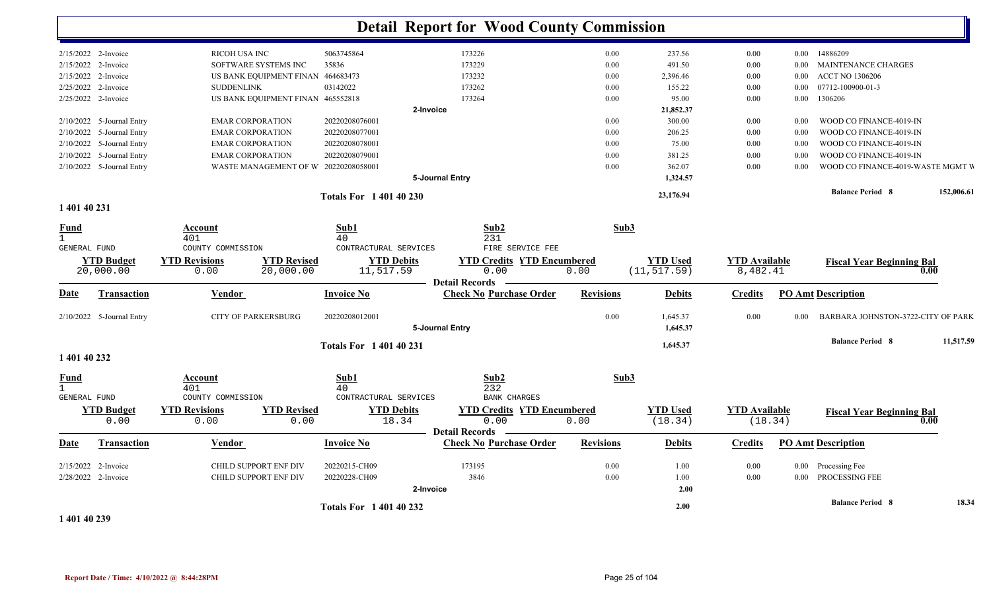|                     |                           |                            |                                      |                             | <b>Detail Report for Wood County Commission</b>         |                  |                 |                      |          |                                    |            |
|---------------------|---------------------------|----------------------------|--------------------------------------|-----------------------------|---------------------------------------------------------|------------------|-----------------|----------------------|----------|------------------------------------|------------|
|                     | 2/15/2022 2-Invoice       | RICOH USA INC              |                                      | 5063745864                  | 173226                                                  | 0.00             | 237.56          | 0.00                 | $0.00\,$ | 14886209                           |            |
| 2/15/2022           | 2-Invoice                 |                            | SOFTWARE SYSTEMS INC                 | 35836                       | 173229                                                  | 0.00             | 491.50          | 0.00                 | $0.00\,$ | MAINTENANCE CHARGES                |            |
|                     | 2/15/2022 2-Invoice       |                            | US BANK EQUIPMENT FINAN 464683473    |                             | 173232                                                  | 0.00             | 2,396.46        | 0.00                 | 0.00     | <b>ACCT NO 1306206</b>             |            |
|                     | 2/25/2022 2-Invoice       | <b>SUDDENLINK</b>          |                                      | 03142022                    | 173262                                                  | 0.00             | 155.22          | 0.00                 | $0.00\,$ | 07712-100900-01-3                  |            |
|                     | 2/25/2022 2-Invoice       |                            | US BANK EQUIPMENT FINAN 465552818    |                             | 173264                                                  | 0.00             | 95.00           | 0.00                 | 0.00     | 1306206                            |            |
|                     |                           |                            |                                      |                             | 2-Invoice                                               |                  | 21,852.37       |                      |          |                                    |            |
|                     | 2/10/2022 5-Journal Entry | <b>EMAR CORPORATION</b>    |                                      | 20220208076001              |                                                         | 0.00             | 300.00          | 0.00                 | 0.00     | WOOD CO FINANCE-4019-IN            |            |
| 2/10/2022           | 5-Journal Entry           | <b>EMAR CORPORATION</b>    |                                      | 20220208077001              |                                                         | 0.00             | 206.25          | 0.00                 | 0.00     | WOOD CO FINANCE-4019-IN            |            |
|                     | 2/10/2022 5-Journal Entry | <b>EMAR CORPORATION</b>    |                                      | 20220208078001              |                                                         | 0.00             | 75.00           | 0.00                 | 0.00     | WOOD CO FINANCE-4019-IN            |            |
|                     | 2/10/2022 5-Journal Entry | <b>EMAR CORPORATION</b>    |                                      | 20220208079001              |                                                         | 0.00             | 381.25          | 0.00                 | 0.00     | WOOD CO FINANCE-4019-IN            |            |
|                     | 2/10/2022 5-Journal Entry |                            | WASTE MANAGEMENT OF W 20220208058001 |                             |                                                         | 0.00             | 362.07          | 0.00                 | 0.00     | WOOD CO FINANCE-4019-WASTE MGMT V  |            |
|                     |                           |                            |                                      |                             | 5-Journal Entry                                         |                  | 1,324.57        |                      |          |                                    |            |
|                     |                           |                            |                                      |                             |                                                         |                  |                 |                      |          | <b>Balance Period 8</b>            | 152,006.61 |
|                     |                           |                            |                                      | <b>Totals For 140140230</b> |                                                         |                  | 23,176.94       |                      |          |                                    |            |
| 1 401 40 231        |                           |                            |                                      |                             |                                                         |                  |                 |                      |          |                                    |            |
| <u>Fund</u>         |                           | <b>Account</b>             |                                      | Sub1                        | Sub2                                                    | Sub3             |                 |                      |          |                                    |            |
| $\mathbf{1}$        |                           | 401                        |                                      | 40                          | 231                                                     |                  |                 |                      |          |                                    |            |
| <b>GENERAL FUND</b> |                           | COUNTY COMMISSION          |                                      | CONTRACTURAL SERVICES       | FIRE SERVICE FEE                                        |                  |                 |                      |          |                                    |            |
|                     | <b>YTD Budget</b>         | <b>YTD Revisions</b>       | <b>YTD Revised</b>                   | <b>YTD Debits</b>           | <b>YTD Credits YTD Encumbered</b>                       |                  | <b>YTD Used</b> | <b>YTD Available</b> |          | <b>Fiscal Year Beginning Bal</b>   |            |
|                     | 20,000.00                 | 0.00                       | 20,000.00                            | 11,517.59                   | 0.00                                                    | 0.00             | (11, 517.59)    | 8,482.41             |          |                                    | 0.00       |
|                     |                           |                            |                                      |                             | <b>Detail Records</b>                                   |                  |                 |                      |          |                                    |            |
| Date                | <b>Transaction</b>        | Vendor                     |                                      | <b>Invoice No</b>           | <b>Check No Purchase Order</b>                          | <b>Revisions</b> | <b>Debits</b>   | <b>Credits</b>       |          | <b>PO Amt Description</b>          |            |
|                     | 2/10/2022 5-Journal Entry | <b>CITY OF PARKERSBURG</b> |                                      | 20220208012001              |                                                         | 0.00             | 1,645.37        | 0.00                 | 0.00     | BARBARA JOHNSTON-3722-CITY OF PARK |            |
|                     |                           |                            |                                      |                             | 5-Journal Entry                                         |                  | 1,645.37        |                      |          |                                    |            |
|                     |                           |                            |                                      | <b>Totals For 140140231</b> |                                                         |                  | 1,645.37        |                      |          | <b>Balance Period 8</b>            | 11,517.59  |
| 1 401 40 232        |                           |                            |                                      |                             |                                                         |                  |                 |                      |          |                                    |            |
| <u>Fund</u>         |                           | <b>Account</b>             |                                      | Sub1                        | Sub <sub>2</sub>                                        | Sub3             |                 |                      |          |                                    |            |
| $\mathbf{1}$        |                           | 401                        |                                      | 40                          | 232                                                     |                  |                 |                      |          |                                    |            |
| <b>GENERAL FUND</b> |                           | COUNTY COMMISSION          |                                      | CONTRACTURAL SERVICES       | <b>BANK CHARGES</b>                                     |                  |                 |                      |          |                                    |            |
|                     | <b>YTD Budget</b>         | <b>YTD Revisions</b>       | <b>YTD Revised</b>                   | <b>YTD Debits</b>           | <b>YTD Credits YTD Encumbered</b>                       |                  | <b>YTD Used</b> | <b>YTD Available</b> |          | <b>Fiscal Year Beginning Bal</b>   |            |
|                     | 0.00                      | 0.00                       | 0.00                                 | 18.34                       | 0.00                                                    | 0.00             | (18.34)         | (18.34)              |          |                                    | $0.00\,$   |
| Date                | Transaction               | <b>Vendor</b>              |                                      | <b>Invoice No</b>           | <b>Detail Records</b><br><b>Check No Purchase Order</b> | <b>Revisions</b> | <b>Debits</b>   | <b>Credits</b>       |          | <b>PO Amt Description</b>          |            |
|                     |                           |                            |                                      |                             |                                                         |                  |                 |                      |          |                                    |            |
|                     | 2/15/2022 2-Invoice       | CHILD SUPPORT ENF DIV      |                                      | 20220215-CH09               | 173195                                                  | 0.00             | 1.00            | 0.00                 |          | 0.00 Processing Fee                |            |
|                     | 2/28/2022 2-Invoice       | CHILD SUPPORT ENF DIV      |                                      | 20220228-CH09               | 3846                                                    | 0.00             | 1.00            | 0.00                 | $0.00\,$ | PROCESSING FEE                     |            |
|                     |                           |                            |                                      |                             | 2-Invoice                                               |                  | 2.00            |                      |          |                                    |            |
|                     |                           |                            |                                      |                             |                                                         |                  |                 |                      |          | <b>Balance Period 8</b>            | 18.34      |
|                     |                           |                            |                                      | <b>Totals For 140140232</b> |                                                         |                  | 2.00            |                      |          |                                    |            |
| 1 401 40 239        |                           |                            |                                      |                             |                                                         |                  |                 |                      |          |                                    |            |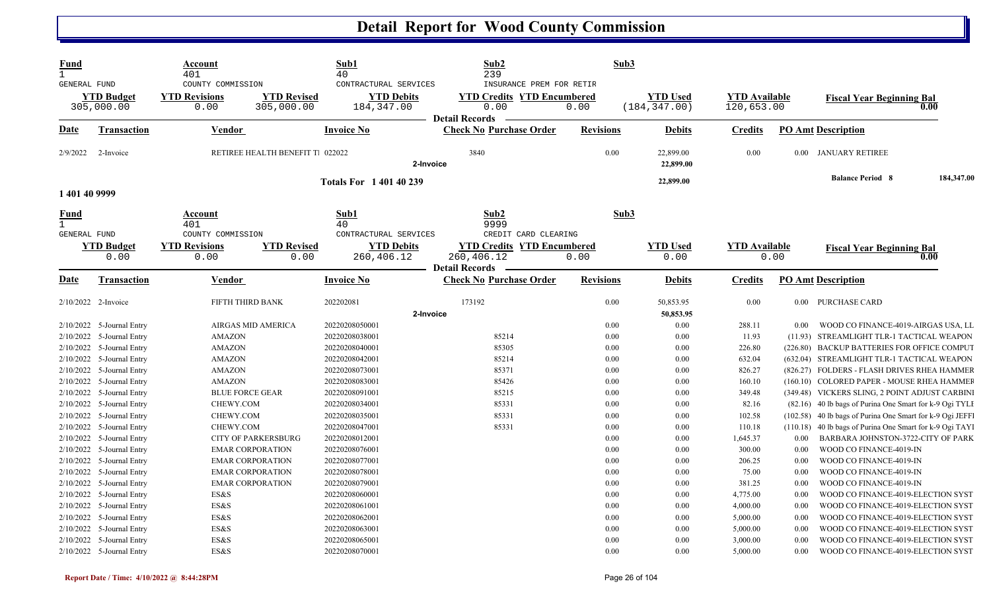| <b>Fund</b>                 |                                              | Account<br>401                                    |                                  | Sub1<br>40                                               | Sub2<br>239                                                                                    | Sub3             |                                  |                                    |          |                                                                                                                     |            |
|-----------------------------|----------------------------------------------|---------------------------------------------------|----------------------------------|----------------------------------------------------------|------------------------------------------------------------------------------------------------|------------------|----------------------------------|------------------------------------|----------|---------------------------------------------------------------------------------------------------------------------|------------|
| <b>GENERAL FUND</b>         | <b>YTD Budget</b><br>305,000.00              | COUNTY COMMISSION<br><b>YTD Revisions</b><br>0.00 | <b>YTD Revised</b><br>305,000.00 | CONTRACTURAL SERVICES<br><b>YTD Debits</b><br>184,347.00 | INSURANCE PREM FOR RETIR<br><b>YTD Credits YTD Encumbered</b><br>0.00<br><b>Detail Records</b> | 0.00             | <b>YTD Used</b><br>(184, 347.00) | <b>YTD Available</b><br>120,653.00 |          | <b>Fiscal Year Beginning Bal</b>                                                                                    | 0.00       |
| Date                        | <b>Transaction</b>                           | <b>Vendor</b>                                     |                                  | <b>Invoice No</b>                                        | <b>Check No Purchase Order</b>                                                                 | <b>Revisions</b> | <b>Debits</b>                    | <b>Credits</b>                     |          | <b>PO Amt Description</b>                                                                                           |            |
| 2/9/2022                    | 2-Invoice                                    |                                                   | RETIREE HEALTH BENEFIT T 022022  |                                                          | 3840<br>2-Invoice                                                                              | 0.00             | 22,899.00<br>22,899.00           | 0.00                               |          | 0.00 JANUARY RETIREE                                                                                                |            |
| 1 401 40 9999               |                                              |                                                   |                                  | <b>Totals For 1 401 40 239</b>                           |                                                                                                |                  | 22,899.00                        |                                    |          | <b>Balance Period 8</b>                                                                                             | 184,347.00 |
| <u>Fund</u><br>$\mathbf{1}$ |                                              | <b>Account</b><br>401                             |                                  | <u>Sub1</u><br>40                                        | Sub2<br>9999                                                                                   | Sub3             |                                  |                                    |          |                                                                                                                     |            |
| <b>GENERAL FUND</b>         | <b>YTD Budget</b><br>0.00                    | COUNTY COMMISSION<br><b>YTD Revisions</b><br>0.00 | <b>YTD Revised</b><br>0.00       | CONTRACTURAL SERVICES<br><b>YTD Debits</b><br>260,406.12 | CREDIT CARD CLEARING<br><b>YTD Credits YTD Encumbered</b><br>260,406.12                        | 0.00             | <b>YTD Used</b><br>0.00          | <b>YTD</b> Available               | 0.00     | <b>Fiscal Year Beginning Bal</b>                                                                                    | 0.00       |
| Date                        | Transaction                                  | Vendor                                            |                                  | <b>Invoice No</b>                                        | <b>Detail Records</b><br><b>Check No Purchase Order</b>                                        | <b>Revisions</b> | <b>Debits</b>                    | Credits                            |          | <b>PO Amt Description</b>                                                                                           |            |
| 2/10/2022 2-Invoice         |                                              | FIFTH THIRD BANK                                  |                                  | 202202081                                                | 173192<br>2-Invoice                                                                            | 0.00             | 50,853.95<br>50,853.95           | 0.00                               |          | 0.00 PURCHASE CARD                                                                                                  |            |
|                             | 2/10/2022 5-Journal Entry                    | AIRGAS MID AMERICA                                |                                  | 20220208050001                                           |                                                                                                | 0.00             | 0.00                             | 288.11                             | 0.00     | WOOD CO FINANCE-4019-AIRGAS USA, LL                                                                                 |            |
| 2/10/2022                   | 5-Journal Entry                              | <b>AMAZON</b>                                     |                                  | 20220208038001                                           | 85214                                                                                          | 0.00             | 0.00                             | 11.93                              |          | (11.93) STREAMLIGHT TLR-1 TACTICAL WEAPON                                                                           |            |
|                             | 2/10/2022 5-Journal Entry                    | <b>AMAZON</b>                                     |                                  | 20220208040001                                           | 85305                                                                                          | 0.00             | 0.00                             | 226.80                             |          | (226.80) BACKUP BATTERIES FOR OFFICE COMPUT                                                                         |            |
|                             | 2/10/2022 5-Journal Entry                    | <b>AMAZON</b>                                     |                                  | 20220208042001                                           | 85214                                                                                          | 0.00             | 0.00                             | 632.04                             |          | (632.04) STREAMLIGHT TLR-1 TACTICAL WEAPON                                                                          |            |
| 2/10/2022                   | 5-Journal Entry                              | <b>AMAZON</b>                                     |                                  | 20220208073001                                           | 85371                                                                                          | 0.00             | 0.00                             | 826.27                             |          | (826.27) FOLDERS - FLASH DRIVES RHEA HAMMER                                                                         |            |
|                             | 2/10/2022 5-Journal Entry                    | <b>AMAZON</b>                                     |                                  | 20220208083001                                           | 85426                                                                                          | 0.00             | 0.00                             | 160.10                             |          | (160.10) COLORED PAPER - MOUSE RHEA HAMMEF                                                                          |            |
| 2/10/2022                   | 5-Journal Entry                              | <b>BLUE FORCE GEAR</b>                            |                                  | 20220208091001                                           | 85215                                                                                          | 0.00             | 0.00                             | 349.48                             |          | (349.48) VICKERS SLING, 2 POINT ADJUST CARBINI                                                                      |            |
| 2/10/2022                   | 5-Journal Entry<br>2/10/2022 5-Journal Entry | CHEWY.COM<br>CHEWY.COM                            |                                  | 20220208034001<br>20220208035001                         | 85331<br>85331                                                                                 | 0.00<br>0.00     | 0.00<br>0.00                     | 82.16<br>102.58                    |          | (82.16) 40 lb bags of Purina One Smart for k-9 Ogi TYLI<br>(102.58) 40 lb bags of Purina One Smart for k-9 Ogi JEFF |            |
|                             | 2/10/2022 5-Journal Entry                    | CHEWY.COM                                         |                                  | 20220208047001                                           | 85331                                                                                          | 0.00             | 0.00                             | 110.18                             |          | (110.18) 40 lb bags of Purina One Smart for k-9 Ogi TAYI                                                            |            |
| 2/10/2022                   | 5-Journal Entry                              | <b>CITY OF PARKERSBURG</b>                        |                                  | 20220208012001                                           |                                                                                                | 0.00             | 0.00                             | 1,645.37                           | 0.00     | BARBARA JOHNSTON-3722-CITY OF PARK                                                                                  |            |
|                             | 2/10/2022 5-Journal Entry                    | <b>EMAR CORPORATION</b>                           |                                  | 20220208076001                                           |                                                                                                | 0.00             | 0.00                             | 300.00                             | $0.00\,$ | WOOD CO FINANCE-4019-IN                                                                                             |            |
|                             | 2/10/2022 5-Journal Entry                    | <b>EMAR CORPORATION</b>                           |                                  | 20220208077001                                           |                                                                                                | 0.00             | 0.00                             | 206.25                             | $0.00\,$ | WOOD CO FINANCE-4019-IN                                                                                             |            |
| 2/10/2022                   | 5-Journal Entry                              | <b>EMAR CORPORATION</b>                           |                                  | 20220208078001                                           |                                                                                                | 0.00             | 0.00                             | 75.00                              | 0.00     | WOOD CO FINANCE-4019-IN                                                                                             |            |
|                             | 2/10/2022 5-Journal Entry                    | <b>EMAR CORPORATION</b>                           |                                  | 20220208079001                                           |                                                                                                | 0.00             | 0.00                             | 381.25                             | 0.00     | WOOD CO FINANCE-4019-IN                                                                                             |            |
|                             | 2/10/2022 5-Journal Entry                    | ES&S                                              |                                  | 20220208060001                                           |                                                                                                | 0.00             | 0.00                             | 4,775.00                           | 0.00     | WOOD CO FINANCE-4019-ELECTION SYST                                                                                  |            |
| 2/10/2022                   | 5-Journal Entry                              | ES&S                                              |                                  | 20220208061001                                           |                                                                                                | 0.00             | 0.00                             | 4,000.00                           | 0.00     | WOOD CO FINANCE-4019-ELECTION SYST                                                                                  |            |
|                             | 2/10/2022 5-Journal Entry                    | ES&S                                              |                                  | 20220208062001                                           |                                                                                                | 0.00             | 0.00                             | 5,000.00                           | 0.00     | WOOD CO FINANCE-4019-ELECTION SYST                                                                                  |            |
|                             | 2/10/2022 5-Journal Entry                    | ES&S                                              |                                  | 20220208063001                                           |                                                                                                | 0.00             | 0.00                             | 5,000.00                           | 0.00     | WOOD CO FINANCE-4019-ELECTION SYST                                                                                  |            |
| 2/10/2022                   | 5-Journal Entry                              | ES&S                                              |                                  | 20220208065001                                           |                                                                                                | 0.00             | 0.00                             | 3,000.00                           | 0.00     | WOOD CO FINANCE-4019-ELECTION SYST                                                                                  |            |
|                             | 2/10/2022 5-Journal Entry                    | ES&S                                              |                                  | 20220208070001                                           |                                                                                                | 0.00             | 0.00                             | 5,000.00                           | 0.00     | WOOD CO FINANCE-4019-ELECTION SYST                                                                                  |            |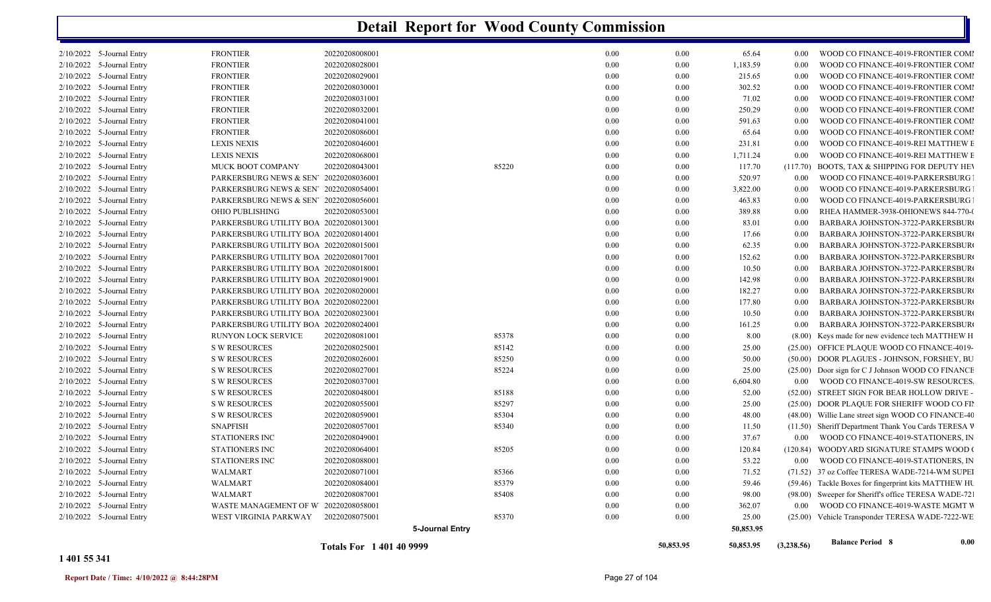|           |                             |                                        | <b>Totals For 1401409999</b> |                 |          | 50,853.95 | 50,853.95 | (3,238.56) | <b>Balance Period 8</b>                              | 0.00 |
|-----------|-----------------------------|----------------------------------------|------------------------------|-----------------|----------|-----------|-----------|------------|------------------------------------------------------|------|
|           |                             |                                        |                              | 5-Journal Entry |          |           | 50,853.95 |            |                                                      |      |
|           | 2/10/2022 5-Journal Entry   | WEST VIRGINIA PARKWAY                  | 20220208075001               | 85370           | 0.00     | 0.00      | 25.00     |            | (25.00) Vehicle Transponder TERESA WADE-7222-WE      |      |
|           | 2/10/2022 5-Journal Entry   | WASTE MANAGEMENT OF W 20220208058001   |                              |                 | 0.00     | 0.00      | 362.07    | 0.00       | WOOD CO FINANCE-4019-WASTE MGMT W                    |      |
|           | 2/10/2022 5-Journal Entry   | WALMART                                | 20220208087001               | 85408           | 0.00     | 0.00      | 98.00     |            | (98.00) Sweeper for Sheriff's office TERESA WADE-72. |      |
|           | 2/10/2022 5-Journal Entry   | WALMART                                | 20220208084001               | 85379           | 0.00     | 0.00      | 59.46     |            | (59.46) Tackle Boxes for fingerprint kits MATTHEW HU |      |
| 2/10/2022 | 5-Journal Entry             | <b>WALMART</b>                         | 20220208071001               | 85366           | 0.00     | 0.00      | 71.52     |            | (71.52) 37 oz Coffee TERESA WADE-7214-WM SUPEI       |      |
| 2/10/2022 | 5-Journal Entry             | STATIONERS INC                         | 20220208088001               |                 | 0.00     | 0.00      | 53.22     | 0.00       | WOOD CO FINANCE-4019-STATIONERS, IN                  |      |
| 2/10/2022 | 5-Journal Entry             | <b>STATIONERS INC</b>                  | 20220208064001               | 85205           | 0.00     | 0.00      | 120.84    |            | (120.84) WOODYARD SIGNATURE STAMPS WOOD 0            |      |
| 2/10/2022 | 5-Journal Entry             | STATIONERS INC                         | 20220208049001               |                 | 0.00     | 0.00      | 37.67     | $0.00\,$   | WOOD CO FINANCE-4019-STATIONERS, IN                  |      |
| 2/10/2022 | 5-Journal Entry             | <b>SNAPFISH</b>                        | 20220208057001               | 85340           | 0.00     | 0.00      | 11.50     |            | (11.50) Sheriff Department Thank You Cards TERESA V  |      |
| 2/10/2022 | 5-Journal Entry             | <b>S W RESOURCES</b>                   | 20220208059001               | 85304           | 0.00     | 0.00      | 48.00     |            | (48.00) Willie Lane street sign WOOD CO FINANCE-40   |      |
| 2/10/2022 | 5-Journal Entry             | <b>S W RESOURCES</b>                   | 20220208055001               | 85297           | 0.00     | 0.00      | 25.00     |            | (25.00) DOOR PLAQUE FOR SHERIFF WOOD CO FII          |      |
| 2/10/2022 | 5-Journal Entry             | <b>S W RESOURCES</b>                   | 20220208048001               | 85188           | 0.00     | 0.00      | 52.00     |            | (52.00) STREET SIGN FOR BEAR HOLLOW DRIVE -          |      |
| 2/10/2022 | 5-Journal Entry             | <b>S W RESOURCES</b>                   | 20220208037001               |                 | 0.00     | 0.00      | 6,604.80  | 0.00       | WOOD CO FINANCE-4019-SW RESOURCES.                   |      |
| 2/10/2022 | 5-Journal Entry             | <b>S W RESOURCES</b>                   | 20220208027001               | 85224           | 0.00     | 0.00      | 25.00     |            | (25.00) Door sign for C J Johnson WOOD CO FINANCE    |      |
| 2/10/2022 | 5-Journal Entry             | <b>S W RESOURCES</b>                   | 20220208026001               | 85250           | 0.00     | 0.00      | 50.00     |            | (50.00) DOOR PLAGUES - JOHNSON, FORSHEY, BU          |      |
| 2/10/2022 | 5-Journal Entry             | <b>S W RESOURCES</b>                   | 20220208025001               | 85142           | 0.00     | 0.00      | 25.00     |            | (25.00) OFFICE PLAQUE WOOD CO FINANCE-4019-          |      |
| 2/10/2022 | 5-Journal Entry             | RUNYON LOCK SERVICE                    | 20220208081001               | 85378           | 0.00     | 0.00      | 8.00      |            | (8.00) Keys made for new evidence tech MATTHEW H     |      |
| 2/10/2022 | 5-Journal Entry             | PARKERSBURG UTILITY BOA 20220208024001 |                              |                 | 0.00     | 0.00      | 161.25    | 0.00       | BARBARA JOHNSTON-3722-PARKERSBUR                     |      |
| 2/10/2022 | 5-Journal Entry             | PARKERSBURG UTILITY BOA 20220208023001 |                              |                 | 0.00     | 0.00      | 10.50     | 0.00       | BARBARA JOHNSTON-3722-PARKERSBUR                     |      |
|           | 2/10/2022 5-Journal Entry   | PARKERSBURG UTILITY BOA 20220208022001 |                              |                 | 0.00     | 0.00      | 177.80    | 0.00       | BARBARA JOHNSTON-3722-PARKERSBUR                     |      |
|           | $2/10/2022$ 5-Journal Entry | PARKERSBURG UTILITY BOA 20220208020001 |                              |                 | 0.00     | 0.00      | 182.27    | 0.00       | BARBARA JOHNSTON-3722-PARKERSBUR                     |      |
| 2/10/2022 | 5-Journal Entry             | PARKERSBURG UTILITY BOA 20220208019001 |                              |                 | 0.00     | 0.00      | 142.98    | 0.00       | BARBARA JOHNSTON-3722-PARKERSBUR                     |      |
|           | 2/10/2022 5-Journal Entry   | PARKERSBURG UTILITY BOA 20220208018001 |                              |                 | 0.00     | 0.00      | 10.50     | 0.00       | BARBARA JOHNSTON-3722-PARKERSBUR                     |      |
|           | $2/10/2022$ 5-Journal Entry | PARKERSBURG UTILITY BOA 20220208017001 |                              |                 | 0.00     | 0.00      | 152.62    | 0.00       | BARBARA JOHNSTON-3722-PARKERSBUR                     |      |
|           | 2/10/2022 5-Journal Entry   | PARKERSBURG UTILITY BOA 20220208015001 |                              |                 | 0.00     | 0.00      | 62.35     | 0.00       | BARBARA JOHNSTON-3722-PARKERSBUR                     |      |
|           | 2/10/2022 5-Journal Entry   | PARKERSBURG UTILITY BOA 20220208014001 |                              |                 | 0.00     | 0.00      | 17.66     | 0.00       | BARBARA JOHNSTON-3722-PARKERSBUR                     |      |
|           | $2/10/2022$ 5-Journal Entry | PARKERSBURG UTILITY BOA 20220208013001 |                              |                 | 0.00     | 0.00      | 83.01     | 0.00       | BARBARA JOHNSTON-3722-PARKERSBUR                     |      |
|           | 2/10/2022 5-Journal Entry   | OHIO PUBLISHING                        | 20220208053001               |                 | 0.00     | 0.00      | 389.88    | 0.00       | RHEA HAMMER-3938-OHIONEWS 844-770-0                  |      |
|           | 2/10/2022 5-Journal Entry   | PARKERSBURG NEWS & SEN' 20220208056001 |                              |                 | 0.00     | 0.00      | 463.83    | 0.00       | WOOD CO FINANCE-4019-PARKERSBURG                     |      |
|           | $2/10/2022$ 5-Journal Entry | PARKERSBURG NEWS & SEN' 20220208054001 |                              |                 | 0.00     | 0.00      | 3,822.00  | 0.00       | WOOD CO FINANCE-4019-PARKERSBURG                     |      |
|           | 2/10/2022 5-Journal Entry   | PARKERSBURG NEWS & SEN 20220208036001  |                              |                 | 0.00     | 0.00      | 520.97    | 0.00       | WOOD CO FINANCE-4019-PARKERSBURG                     |      |
|           | 2/10/2022 5-Journal Entry   | MUCK BOOT COMPANY                      | 20220208043001               | 85220           | 0.00     | 0.00      | 117.70    | (117.70)   | BOOTS, TAX & SHIPPING FOR DEPUTY HEV                 |      |
|           | $2/10/2022$ 5-Journal Entry | <b>LEXIS NEXIS</b>                     | 20220208068001               |                 | 0.00     | 0.00      | 1,711.24  | 0.00       | WOOD CO FINANCE-4019-REI MATTHEW E                   |      |
|           | 2/10/2022 5-Journal Entry   | <b>LEXIS NEXIS</b>                     | 20220208046001               |                 | 0.00     | 0.00      | 231.81    | 0.00       | WOOD CO FINANCE-4019-REI MATTHEW E                   |      |
|           | 2/10/2022 5-Journal Entry   | <b>FRONTIER</b>                        | 20220208086001               |                 | 0.00     | 0.00      | 65.64     | 0.00       | WOOD CO FINANCE-4019-FRONTIER COMI                   |      |
|           | $2/10/2022$ 5-Journal Entry | <b>FRONTIER</b>                        | 20220208041001               |                 | 0.00     | 0.00      | 591.63    | 0.00       | WOOD CO FINANCE-4019-FRONTIER COMI                   |      |
|           | 2/10/2022 5-Journal Entry   | <b>FRONTIER</b>                        | 20220208032001               |                 | 0.00     | 0.00      | 250.29    | 0.00       | WOOD CO FINANCE-4019-FRONTIER COMI                   |      |
|           | 2/10/2022 5-Journal Entry   | <b>FRONTIER</b>                        | 20220208031001               |                 | 0.00     | 0.00      | 71.02     | 0.00       | WOOD CO FINANCE-4019-FRONTIER COMI                   |      |
|           | $2/10/2022$ 5-Journal Entry | <b>FRONTIER</b>                        | 20220208030001               |                 | 0.00     | 0.00      | 302.52    | 0.00       | WOOD CO FINANCE-4019-FRONTIER COMI                   |      |
|           | 2/10/2022 5-Journal Entry   | <b>FRONTIER</b>                        | 20220208029001               |                 | $0.00\,$ | 0.00      | 215.65    | 0.00       | WOOD CO FINANCE-4019-FRONTIER COMI                   |      |
|           | 2/10/2022 5-Journal Entry   | <b>FRONTIER</b>                        | 20220208028001               |                 | 0.00     | 0.00      | 1,183.59  | 0.00       | WOOD CO FINANCE-4019-FRONTIER COMI                   |      |
|           | 2/10/2022 5-Journal Entry   | <b>FRONTIER</b>                        | 20220208008001               |                 | 0.00     | 0.00      | 65.64     | 0.00       | WOOD CO FINANCE-4019-FRONTIER COMI                   |      |
|           |                             |                                        |                              |                 |          |           |           |            |                                                      |      |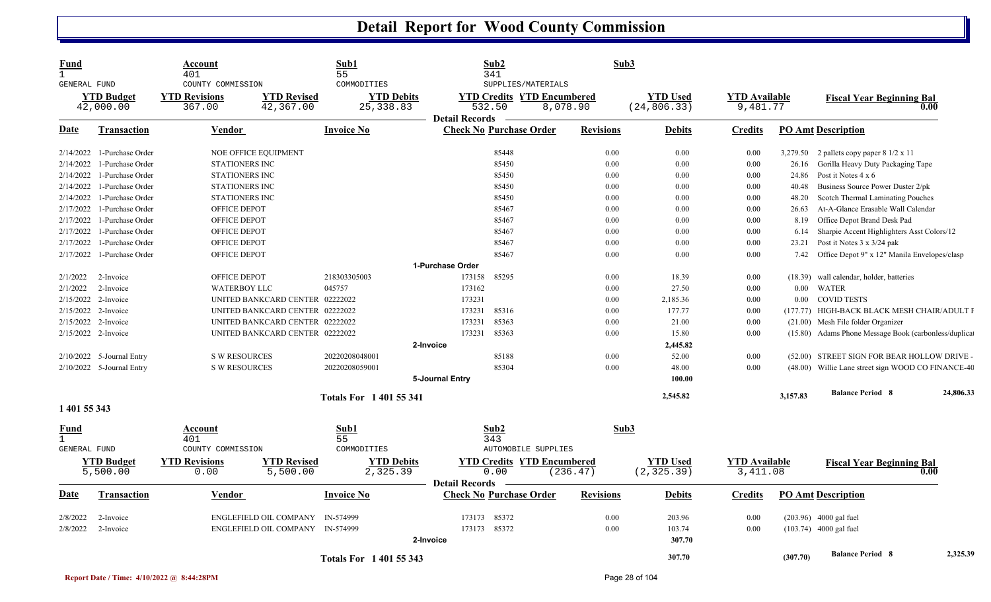| Fund<br>$\mathbf{1}$<br>GENERAL FUND |                                | Account<br>401<br>COUNTY COMMISSION |                                  | Sub1<br>55<br>COMMODITIES       | Sub2<br>341<br>SUPPLIES/MATERIALS                                    | Sub3             |                                 |                                  |          |                                                          |           |
|--------------------------------------|--------------------------------|-------------------------------------|----------------------------------|---------------------------------|----------------------------------------------------------------------|------------------|---------------------------------|----------------------------------|----------|----------------------------------------------------------|-----------|
|                                      | <b>YTD Budget</b><br>42,000.00 | <b>YTD Revisions</b><br>367.00      | <b>YTD Revised</b><br>42,367.00  | <b>YTD Debits</b><br>25, 338.83 | <b>YTD Credits YTD Encumbered</b><br>532.50<br><b>Detail Records</b> | 8,078.90         | <b>YTD Used</b><br>(24, 806.33) | <b>YTD</b> Available<br>9,481.77 |          | <b>Fiscal Year Beginning Bal</b>                         | 0.00      |
| Date                                 | <b>Transaction</b>             | <b>Vendor</b>                       |                                  | <b>Invoice No</b>               | <b>Check No Purchase Order</b>                                       | <b>Revisions</b> | <b>Debits</b>                   | <b>Credits</b>                   |          | <b>PO Amt Description</b>                                |           |
|                                      | 2/14/2022 1-Purchase Order     |                                     | NOE OFFICE EQUIPMENT             |                                 | 85448                                                                | 0.00             | 0.00                            | 0.00                             |          | 3,279.50 2 pallets copy paper $8 \frac{1}{2} \times 11$  |           |
| 2/14/2022                            | 1-Purchase Order               | <b>STATIONERS INC</b>               |                                  |                                 | 85450                                                                | 0.00             | 0.00                            | 0.00                             | 26.16    | Gorilla Heavy Duty Packaging Tape                        |           |
| 2/14/2022                            | 1-Purchase Order               | <b>STATIONERS INC</b>               |                                  |                                 | 85450                                                                | 0.00             | 0.00                            | 0.00                             | 24.86    | Post it Notes $4 \times 6$                               |           |
|                                      | $2/14/2022$ 1-Purchase Order   | <b>STATIONERS INC</b>               |                                  |                                 | 85450                                                                | 0.00             | 0.00                            | 0.00                             | 40.48    | Business Source Power Duster 2/pk                        |           |
| 2/14/2022                            | 1-Purchase Order               | STATIONERS INC                      |                                  |                                 | 85450                                                                | 0.00             | 0.00                            | 0.00                             | 48.20    | Scotch Thermal Laminating Pouches                        |           |
| 2/17/2022                            | 1-Purchase Order               | OFFICE DEPOT                        |                                  |                                 | 85467                                                                | 0.00             | 0.00                            | 0.00                             | 26.63    | At-A-Glance Erasable Wall Calendar                       |           |
| 2/17/2022                            | 1-Purchase Order               | OFFICE DEPOT                        |                                  |                                 | 85467                                                                | 0.00             | 0.00                            | 0.00                             | 8.19     | Office Depot Brand Desk Pad                              |           |
|                                      | 2/17/2022 1-Purchase Order     | OFFICE DEPOT                        |                                  |                                 | 85467                                                                | 0.00             | 0.00                            | 0.00                             | 6.14     | Sharpie Accent Highlighters Asst Colors/12               |           |
| 2/17/2022                            | 1-Purchase Order               | OFFICE DEPOT                        |                                  |                                 | 85467                                                                | 0.00             | 0.00                            | 0.00                             | 23.21    | Post it Notes 3 x 3/24 pak                               |           |
|                                      | 2/17/2022 1-Purchase Order     | OFFICE DEPOT                        |                                  |                                 | 85467                                                                | 0.00             | 0.00                            | 0.00                             |          | 7.42 Office Depot 9" x 12" Manila Envelopes/clasp        |           |
|                                      |                                |                                     |                                  |                                 | 1-Purchase Order                                                     |                  |                                 |                                  |          |                                                          |           |
| 2/1/2022                             | 2-Invoice                      | OFFICE DEPOT                        |                                  | 218303305003                    | 173158<br>85295                                                      | 0.00             | 18.39                           | 0.00                             |          | (18.39) wall calendar, holder, batteries                 |           |
| 2/1/2022                             | 2-Invoice                      | <b>WATERBOY LLC</b>                 |                                  | 045757                          | 173162                                                               | 0.00             | 27.50                           | 0.00                             |          | 0.00 WATER                                               |           |
|                                      | 2/15/2022 2-Invoice            |                                     | UNITED BANKCARD CENTER 02222022  |                                 | 173231                                                               | 0.00             | 2,185.36                        | 0.00                             | $0.00\,$ | <b>COVID TESTS</b>                                       |           |
|                                      | 2/15/2022 2-Invoice            |                                     | UNITED BANKCARD CENTER 02222022  |                                 | 173231<br>85316                                                      | 0.00             | 177.77                          | 0.00                             |          | (177.77) HIGH-BACK BLACK MESH CHAIR/ADULT I              |           |
|                                      | $2/15/2022$ 2-Invoice          |                                     | UNITED BANKCARD CENTER 02222022  |                                 | 173231<br>85363                                                      | 0.00             | 21.00                           | 0.00                             |          | (21.00) Mesh File folder Organizer                       |           |
|                                      | 2/15/2022 2-Invoice            |                                     | UNITED BANKCARD CENTER 02222022  |                                 | 173231<br>85363                                                      | 0.00             | 15.80                           | 0.00                             |          | (15.80) Adams Phone Message Book (carbonless/duplication |           |
|                                      |                                |                                     |                                  |                                 | 2-Invoice                                                            |                  | 2,445.82                        |                                  |          |                                                          |           |
|                                      | $2/10/2022$ 5-Journal Entry    | <b>S W RESOURCES</b>                |                                  | 20220208048001                  | 85188                                                                | 0.00             | 52.00                           | 0.00                             |          | (52.00) STREET SIGN FOR BEAR HOLLOW DRIVE                |           |
|                                      | 2/10/2022 5-Journal Entry      | <b>S W RESOURCES</b>                |                                  | 20220208059001                  | 85304                                                                | 0.00             | 48.00                           | 0.00                             |          | (48.00) Willie Lane street sign WOOD CO FINANCE-40       |           |
|                                      |                                |                                     |                                  |                                 | 5-Journal Entry                                                      |                  | 100.00                          |                                  |          |                                                          |           |
| 1 401 55 343                         |                                |                                     |                                  | <b>Totals For 140155341</b>     |                                                                      |                  | 2,545.82                        |                                  | 3,157.83 | <b>Balance Period 8</b>                                  | 24,806.33 |
|                                      |                                | Account                             |                                  | Sub1                            | Sub2                                                                 | Sub3             |                                 |                                  |          |                                                          |           |
| Fund<br>$\mathbf{1}$                 |                                | 401                                 |                                  | 55                              | 343                                                                  |                  |                                 |                                  |          |                                                          |           |
| GENERAL FUND                         |                                | COUNTY COMMISSION                   |                                  | COMMODITIES                     | <b>AUTOMOBILE SUPPLIES</b>                                           |                  |                                 |                                  |          |                                                          |           |
|                                      | <b>YTD</b> Budget              | <b>YTD Revisions</b>                | <b>YTD Revised</b>               | <b>YTD Debits</b>               | <b>YTD Credits YTD Encumbered</b>                                    |                  | <b>YTD Used</b>                 | <b>YTD</b> Available             |          | <b>Fiscal Year Beginning Bal</b>                         |           |
|                                      | 5,500.00                       | 0.00                                | 5,500.00                         | 2,325.39                        | 0.00<br><b>Detail Records</b>                                        | (236.47)         | (2, 325.39)                     | 3, 411.08                        |          |                                                          | 0.00      |
| <b>Date</b>                          | <b>Transaction</b>             | <b>Vendor</b>                       |                                  | <b>Invoice No</b>               | <b>Check No Purchase Order</b>                                       | Revisions        | <b>Debits</b>                   | Credits                          |          | <b>PO Amt Description</b>                                |           |
| 2/8/2022                             | 2-Invoice                      |                                     | <b>ENGLEFIELD OIL COMPANY</b>    | IN-574999                       | 173173<br>85372                                                      | 0.00             | 203.96                          | 0.00                             |          | (203.96) 4000 gal fuel                                   |           |
| 2/8/2022                             | 2-Invoice                      |                                     | ENGLEFIELD OIL COMPANY IN-574999 |                                 | 173173 85372                                                         | 0.00             | 103.74                          | 0.00                             |          | $(103.74)$ 4000 gal fuel                                 |           |
|                                      |                                |                                     |                                  |                                 | 2-Invoice                                                            |                  | 307.70                          |                                  |          |                                                          |           |
|                                      |                                |                                     |                                  | <b>Totals For 140155343</b>     |                                                                      |                  | 307.70                          |                                  | (307.70) | <b>Balance Period 8</b>                                  | 2,325.39  |
|                                      |                                |                                     |                                  |                                 |                                                                      |                  |                                 |                                  |          |                                                          |           |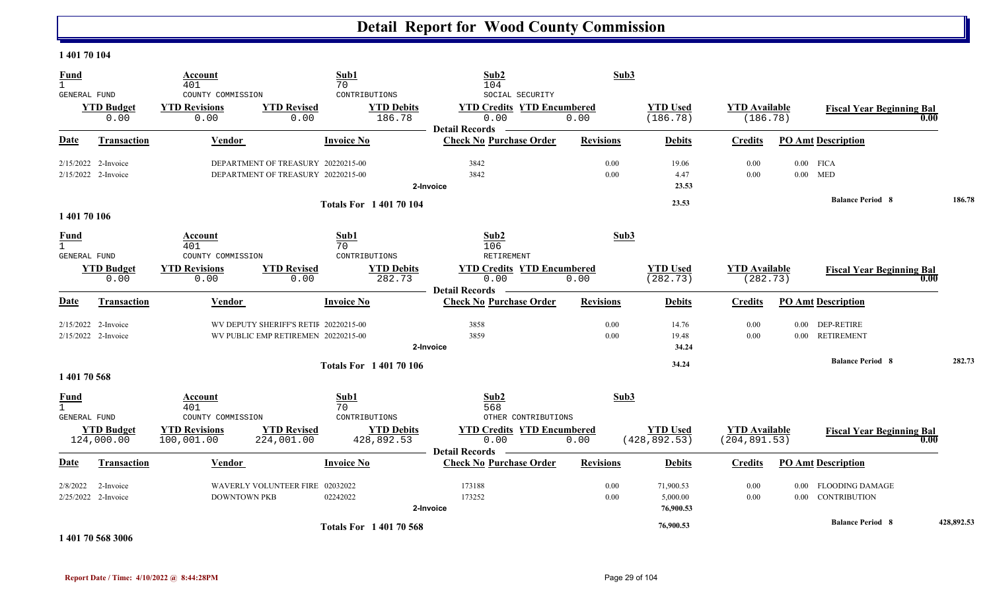#### **1 401 70 104**

| <b>Fund</b><br>$\mathbf{1}$                        |                                              | <b>Account</b><br>401                             |                                                                              | Sub1<br>70                                   | Sub2<br>104                                                                           | Sub3             |                                    |                                       |          |                                           |            |        |
|----------------------------------------------------|----------------------------------------------|---------------------------------------------------|------------------------------------------------------------------------------|----------------------------------------------|---------------------------------------------------------------------------------------|------------------|------------------------------------|---------------------------------------|----------|-------------------------------------------|------------|--------|
| GENERAL FUND                                       | <b>YTD Budget</b><br>0.00                    | COUNTY COMMISSION<br><b>YTD Revisions</b><br>0.00 | <b>YTD Revised</b><br>0.00                                                   | CONTRIBUTIONS<br><b>YTD Debits</b><br>186.78 | SOCIAL SECURITY<br><b>YTD Credits YTD Encumbered</b><br>0.00<br><b>Detail Records</b> | 0.00             | <b>YTD Used</b><br>(186.78)        | <b>YTD Available</b><br>(186.78)      |          | <b>Fiscal Year Beginning Bal</b>          | 0.00       |        |
| <b>Date</b>                                        | <b>Transaction</b>                           | Vendor                                            |                                                                              | <b>Invoice No</b>                            | <b>Check No Purchase Order</b>                                                        | <b>Revisions</b> | <b>Debits</b>                      | <b>Credits</b>                        |          | <b>PO Amt Description</b>                 |            |        |
|                                                    | $2/15/2022$ 2-Invoice<br>2/15/2022 2-Invoice |                                                   | DEPARTMENT OF TREASURY 20220215-00<br>DEPARTMENT OF TREASURY 20220215-00     |                                              | 3842<br>3842<br>2-Invoice                                                             | 0.00<br>0.00     | 19.06<br>4.47<br>23.53             | 0.00<br>0.00                          |          | $0.00$ FICA<br>$0.00$ MED                 |            |        |
| 1 401 70 106                                       |                                              |                                                   |                                                                              | <b>Totals For 140170104</b>                  |                                                                                       |                  | 23.53                              |                                       |          | <b>Balance Period 8</b>                   |            | 186.78 |
| <b>Fund</b><br>$\mathbf{1}$<br>GENERAL FUND        |                                              | Account<br>401<br>COUNTY COMMISSION               |                                                                              | Sub1<br>70<br>CONTRIBUTIONS                  | Sub2<br>106<br>RETIREMENT                                                             | Sub3             |                                    |                                       |          |                                           |            |        |
|                                                    | <b>YTD Budget</b><br>0.00                    | <b>YTD Revisions</b><br>0.00                      | <b>YTD Revised</b><br>0.00                                                   | <b>YTD Debits</b><br>282.73                  | <b>YTD Credits YTD Encumbered</b><br>0.00<br><b>Detail Records</b>                    | 0.00             | <b>YTD Used</b><br>(282.73)        | <b>YTD Available</b><br>(282.73)      |          | <b>Fiscal Year Beginning Bal</b>          | 0.00       |        |
| Date                                               | <b>Transaction</b>                           | Vendor                                            |                                                                              | <b>Invoice No</b>                            | <b>Check No Purchase Order</b>                                                        | <b>Revisions</b> | <b>Debits</b>                      | <b>Credits</b>                        |          | <b>PO Amt Description</b>                 |            |        |
|                                                    | 2/15/2022 2-Invoice<br>2/15/2022 2-Invoice   |                                                   | WV DEPUTY SHERIFF'S RETIF 20220215-00<br>WV PUBLIC EMP RETIREMEN 20220215-00 |                                              | 3858<br>3859<br>2-Invoice                                                             | 0.00<br>0.00     | 14.76<br>19.48<br>34.24            | 0.00<br>0.00                          | $0.00\,$ | 0.00 DEP-RETIRE<br><b>RETIREMENT</b>      |            |        |
| 1 401 70 568                                       |                                              |                                                   |                                                                              | <b>Totals For 140170106</b>                  |                                                                                       |                  | 34.24                              |                                       |          | <b>Balance Period 8</b>                   |            | 282.73 |
| <u>Fund</u><br>$\mathbf{1}$<br><b>GENERAL FUND</b> |                                              | Account<br>401<br>COUNTY COMMISSION               |                                                                              | Sub1<br>70<br>CONTRIBUTIONS                  | Sub2<br>568<br>OTHER CONTRIBUTIONS                                                    | Sub3             |                                    |                                       |          |                                           |            |        |
|                                                    | <b>YTD Budget</b><br>124,000.00              | <b>YTD Revisions</b><br>100,001.00                | <b>YTD Revised</b><br>224,001.00                                             | <b>YTD Debits</b><br>428,892.53              | <b>YTD Credits YTD Encumbered</b><br>0.00<br><b>Detail Records</b>                    | 0.00             | <b>YTD Used</b><br>(428, 892.53)   | <b>YTD Available</b><br>(204, 891.53) |          | <b>Fiscal Year Beginning Bal</b>          | 0.00       |        |
| Date                                               | Transaction                                  | Vendor                                            |                                                                              | <b>Invoice No</b>                            | <b>Check No Purchase Order</b>                                                        | <b>Revisions</b> | <b>Debits</b>                      | <b>Credits</b>                        |          | <b>PO Amt Description</b>                 |            |        |
| 2/8/2022                                           | 2-Invoice<br>2/25/2022 2-Invoice             | <b>DOWNTOWN PKB</b>                               | WAVERLY VOLUNTEER FIRE 02032022                                              | 02242022                                     | 173188<br>173252<br>2-Invoice                                                         | 0.00<br>0.00     | 71,900.53<br>5,000.00<br>76,900.53 | 0.00<br>0.00                          |          | 0.00 FLOODING DAMAGE<br>0.00 CONTRIBUTION |            |        |
|                                                    |                                              |                                                   |                                                                              | <b>Totals For 140170568</b>                  |                                                                                       |                  | 76,900.53                          |                                       |          | <b>Balance Period 8</b>                   | 428,892.53 |        |

**1 401 70 568 3006**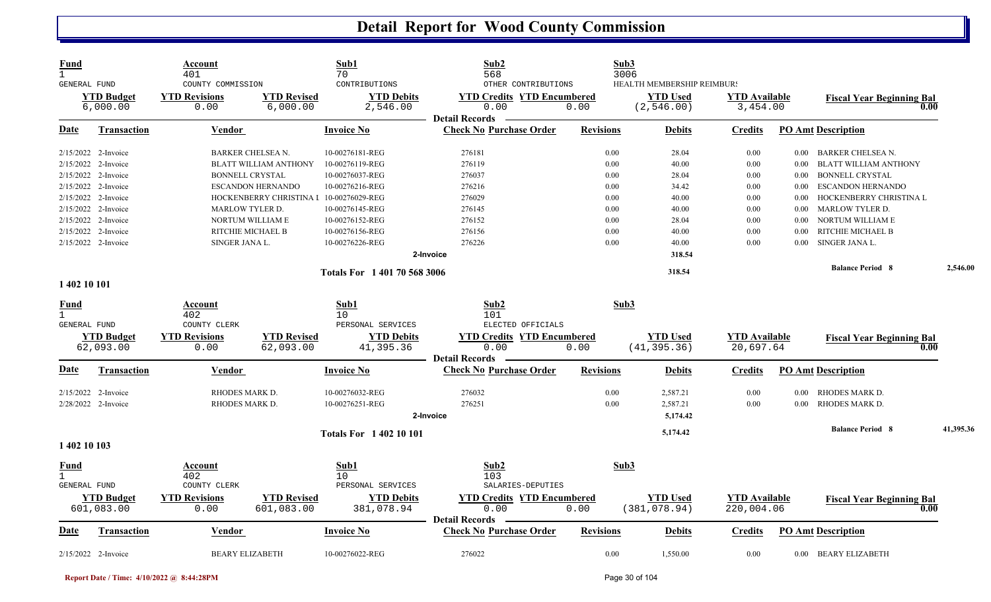| <b>Fund</b><br>$\mathbf{1}$ | GENERAL FUND                                                                                                                                                                               | Account<br>401<br>COUNTY COMMISSION                                                                     |                                                                                              | Sub1<br>70<br>CONTRIBUTIONS                                                                                                       | Sub2<br>568<br>OTHER CONTRIBUTIONS                                            |                                                              | Sub3<br>3006<br>HEALTH MEMBERSHIP REIMBUR!                           |                                                                  |                                                      |                                                                                                                                                                                                            |           |
|-----------------------------|--------------------------------------------------------------------------------------------------------------------------------------------------------------------------------------------|---------------------------------------------------------------------------------------------------------|----------------------------------------------------------------------------------------------|-----------------------------------------------------------------------------------------------------------------------------------|-------------------------------------------------------------------------------|--------------------------------------------------------------|----------------------------------------------------------------------|------------------------------------------------------------------|------------------------------------------------------|------------------------------------------------------------------------------------------------------------------------------------------------------------------------------------------------------------|-----------|
|                             | <b>YTD Budget</b><br>6,000.00                                                                                                                                                              | <b>YTD Revisions</b><br>0.00                                                                            | <b>YTD Revised</b><br>6,000.00                                                               | <b>YTD Debits</b><br>2,546.00                                                                                                     | <b>YTD Credits YTD Encumbered</b><br>0.00<br><b>Detail Records</b>            | 0.00                                                         | <b>YTD Used</b><br>(2, 546.00)                                       | <b>YTD Available</b><br>3,454.00                                 |                                                      | <b>Fiscal Year Beginning Bal</b><br>0.00                                                                                                                                                                   |           |
| Date                        | <b>Transaction</b>                                                                                                                                                                         | Vendor                                                                                                  |                                                                                              | <b>Invoice No</b>                                                                                                                 | <b>Check No Purchase Order</b>                                                | <b>Revisions</b>                                             | <b>Debits</b>                                                        | <b>Credits</b>                                                   |                                                      | <b>PO Amt Description</b>                                                                                                                                                                                  |           |
|                             | 2/15/2022 2-Invoice<br>$2/15/2022$ 2-Invoice<br>$2/15/2022$ 2-Invoice<br>2/15/2022 2-Invoice<br>$2/15/2022$ 2-Invoice<br>2/15/2022 2-Invoice<br>2/15/2022 2-Invoice<br>2/15/2022 2-Invoice | BARKER CHELSEA N.<br><b>BONNELL CRYSTAL</b><br>MARLOW TYLER D.<br>NORTUM WILLIAM E<br>RITCHIE MICHAEL B | BLATT WILLIAM ANTHONY<br><b>ESCANDON HERNANDO</b><br>HOCKENBERRY CHRISTINA I 10-00276029-REG | 10-00276181-REG<br>10-00276119-REG<br>10-00276037-REG<br>10-00276216-REG<br>10-00276145-REG<br>10-00276152-REG<br>10-00276156-REG | 276181<br>276119<br>276037<br>276216<br>276029<br>276145<br>276152<br>276156  | 0.00<br>0.00<br>0.00<br>0.00<br>0.00<br>0.00<br>0.00<br>0.00 | 28.04<br>40.00<br>28.04<br>34.42<br>40.00<br>40.00<br>28.04<br>40.00 | 0.00<br>$0.00\,$<br>0.00<br>0.00<br>0.00<br>0.00<br>0.00<br>0.00 | 0.00<br>0.00<br>0.00<br>0.00<br>0.00<br>0.00<br>0.00 | 0.00 BARKER CHELSEA N.<br><b>BLATT WILLIAM ANTHONY</b><br><b>BONNELL CRYSTAL</b><br><b>ESCANDON HERNANDO</b><br>HOCKENBERRY CHRISTINA L<br><b>MARLOW TYLER D.</b><br>NORTUM WILLIAM E<br>RITCHIE MICHAEL B |           |
|                             | 2/15/2022 2-Invoice                                                                                                                                                                        | SINGER JANA L.                                                                                          |                                                                                              | 10-00276226-REG<br>Totals For 140170 568 3006                                                                                     | 276226<br>2-Invoice                                                           | 0.00                                                         | 40.00<br>318.54<br>318.54                                            | 0.00                                                             | $0.00\,$                                             | SINGER JANA L.<br><b>Balance Period 8</b>                                                                                                                                                                  | 2,546.00  |
| 1 402 10 101                |                                                                                                                                                                                            |                                                                                                         |                                                                                              |                                                                                                                                   |                                                                               |                                                              |                                                                      |                                                                  |                                                      |                                                                                                                                                                                                            |           |
| Fund<br>$\mathbf{1}$        | <b>GENERAL FUND</b><br><b>YTD Budget</b><br>62,093.00                                                                                                                                      | Account<br>402<br>COUNTY CLERK<br><b>YTD Revisions</b><br>0.00                                          | <b>YTD Revised</b><br>62,093.00                                                              | Sub1<br>10<br>PERSONAL SERVICES<br><b>YTD Debits</b><br>41,395.36                                                                 | Sub2<br>101<br>ELECTED OFFICIALS<br><b>YTD Credits YTD Encumbered</b><br>0.00 | 0.00                                                         | Sub3<br><b>YTD</b> Used<br>(41, 395.36)                              | <b>YTD</b> Available<br>20,697.64                                |                                                      | <b>Fiscal Year Beginning Bal</b><br>0.00                                                                                                                                                                   |           |
| Date                        | <b>Transaction</b>                                                                                                                                                                         | Vendor                                                                                                  |                                                                                              | <b>Invoice No</b>                                                                                                                 | <b>Detail Records</b><br><b>Check No Purchase Order</b>                       | <b>Revisions</b>                                             | <b>Debits</b>                                                        | <b>Credits</b>                                                   |                                                      | <b>PO Amt Description</b>                                                                                                                                                                                  |           |
|                             | 2/15/2022 2-Invoice<br>2/28/2022 2-Invoice                                                                                                                                                 | RHODES MARK D.<br>RHODES MARK D.                                                                        |                                                                                              | 10-00276032-REG<br>10-00276251-REG                                                                                                | 276032<br>276251<br>2-Invoice                                                 | 0.00<br>0.00                                                 | 2,587.21<br>2,587.21<br>5,174.42                                     | 0.00<br>0.00                                                     | 0.00<br>0.00                                         | RHODES MARK D.<br><b>RHODES MARK D.</b><br><b>Balance Period 8</b>                                                                                                                                         | 41,395.36 |
| 1 402 10 103                |                                                                                                                                                                                            |                                                                                                         |                                                                                              | <b>Totals For 140210101</b>                                                                                                       |                                                                               |                                                              | 5,174.42                                                             |                                                                  |                                                      |                                                                                                                                                                                                            |           |
| <u>Fund</u><br>$\mathbf{1}$ | <b>GENERAL FUND</b><br><b>YTD Budget</b>                                                                                                                                                   | Account<br>402<br>COUNTY CLERK<br><b>YTD Revisions</b>                                                  | <b>YTD Revised</b>                                                                           | Sub1<br>10<br>PERSONAL SERVICES<br><b>YTD Debits</b>                                                                              | Sub2<br>103<br>SALARIES-DEPUTIES<br><b>YTD Credits YTD Encumbered</b>         |                                                              | Sub3<br><b>YTD</b> Used                                              | <b>YTD</b> Available                                             |                                                      | <b>Fiscal Year Beginning Bal</b>                                                                                                                                                                           |           |
|                             | 601,083.00                                                                                                                                                                                 | 0.00                                                                                                    | 601,083.00                                                                                   | 381,078.94                                                                                                                        | 0.00<br><b>Detail Records</b>                                                 | 0.00                                                         | (381, 078.94)                                                        | 220,004.06                                                       |                                                      | 0.00                                                                                                                                                                                                       |           |
| Date                        | <b>Transaction</b>                                                                                                                                                                         | <b>Vendor</b>                                                                                           |                                                                                              | <b>Invoice No</b>                                                                                                                 | <b>Check No Purchase Order</b>                                                | <b>Revisions</b>                                             | <b>Debits</b>                                                        | <b>Credits</b>                                                   |                                                      | <b>PO Amt Description</b>                                                                                                                                                                                  |           |
|                             | 2/15/2022 2-Invoice                                                                                                                                                                        | <b>BEARY ELIZABETH</b>                                                                                  |                                                                                              | 10-00276022-REG                                                                                                                   | 276022                                                                        | 0.00                                                         | 1,550.00                                                             | 0.00                                                             |                                                      | 0.00 BEARY ELIZABETH                                                                                                                                                                                       |           |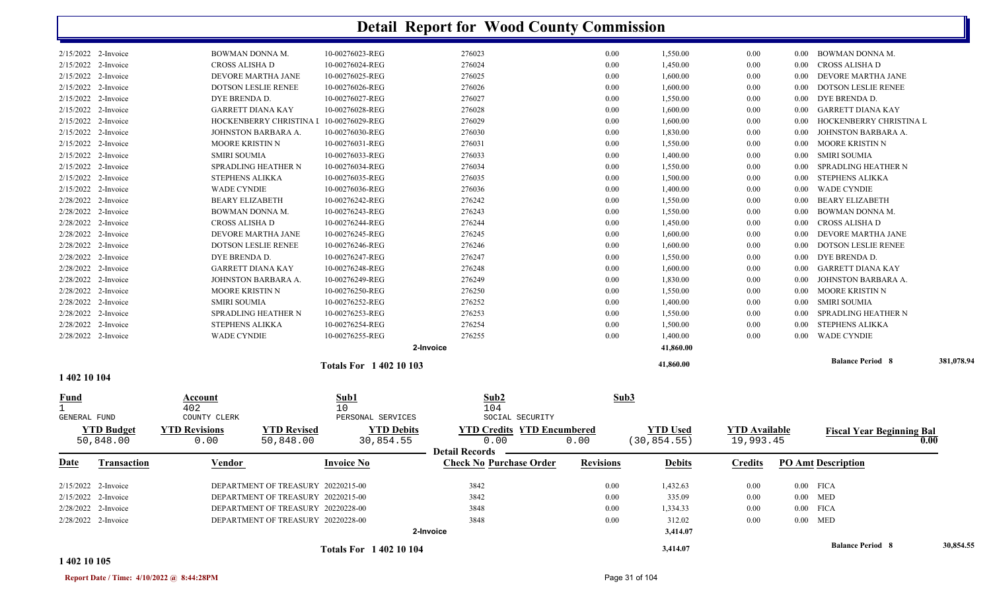|                              |                                            |                                                     |                                         | <b>Totals For 140210104</b>        |                                                     |                                                                                              |                  | 3,414.07                        |                                   |                      | <b>Balance Period 8</b>                | 30,854.55  |
|------------------------------|--------------------------------------------|-----------------------------------------------------|-----------------------------------------|------------------------------------|-----------------------------------------------------|----------------------------------------------------------------------------------------------|------------------|---------------------------------|-----------------------------------|----------------------|----------------------------------------|------------|
|                              |                                            |                                                     |                                         |                                    | 2-Invoice                                           |                                                                                              |                  | 3,414.07                        |                                   |                      |                                        |            |
|                              | 2/28/2022 2-Invoice                        |                                                     | DEPARTMENT OF TREASURY 20220228-00      |                                    |                                                     | 3848                                                                                         | 0.00             | 312.02                          | 0.00                              |                      | $0.00$ MED                             |            |
|                              | 2/28/2022 2-Invoice                        |                                                     | DEPARTMENT OF TREASURY 20220228-00      |                                    |                                                     | 3848                                                                                         | 0.00             | 1,334.33                        | 0.00                              |                      | $0.00$ FICA                            |            |
|                              | 2/15/2022 2-Invoice                        |                                                     | DEPARTMENT OF TREASURY 20220215-00      |                                    |                                                     | 3842                                                                                         | 0.00             | 335.09                          | 0.00                              |                      | $0.00$ MED                             |            |
|                              | 2/15/2022 2-Invoice                        |                                                     | DEPARTMENT OF TREASURY 20220215-00      |                                    |                                                     | 3842                                                                                         | 0.00             | 1,432.63                        | 0.00                              |                      | $0.00$ FICA                            |            |
| Date                         | <b>Transaction</b>                         | Vendor                                              |                                         | <b>Invoice No</b>                  |                                                     | <b>Check No Purchase Order</b>                                                               | <b>Revisions</b> | <b>Debits</b>                   | <b>Credits</b>                    |                      | <b>PO Amt Description</b>              |            |
| $\mathbf{1}$<br>GENERAL FUND | <b>YTD Budget</b><br>50,848.00             | 402<br>COUNTY CLERK<br><b>YTD Revisions</b><br>0.00 | <b>YTD Revised</b><br>50,848.00         | 10                                 | PERSONAL SERVICES<br><b>YTD Debits</b><br>30,854.55 | 104<br>SOCIAL SECURITY<br><b>YTD Credits YTD Encumbered</b><br>0.00<br><b>Detail Records</b> | 0.00             | <b>YTD</b> Used<br>(30, 854.55) | <b>YTD Available</b><br>19,993.45 |                      | <b>Fiscal Year Beginning Bal</b>       | 0.00       |
| <u>Fund</u>                  |                                            | Account                                             |                                         | Sub1                               |                                                     | Sub2                                                                                         |                  | Sub3                            |                                   |                      |                                        |            |
| 1 402 10 104                 |                                            |                                                     |                                         | <b>Totals For 1 402 10 103</b>     |                                                     |                                                                                              |                  | 41,860.00                       |                                   |                      |                                        |            |
|                              |                                            |                                                     |                                         |                                    |                                                     |                                                                                              |                  |                                 |                                   |                      | <b>Balance Period 8</b>                | 381,078.94 |
|                              |                                            |                                                     |                                         |                                    | 2-Invoice                                           |                                                                                              |                  | 1,400.00<br>41,860.00           |                                   |                      |                                        |            |
|                              | 2/28/2022 2-Invoice<br>2/28/2022 2-Invoice | <b>STEPHENS ALIKKA</b><br><b>WADE CYNDIE</b>        |                                         | 10-00276254-REG<br>10-00276255-REG |                                                     | 276254<br>276255                                                                             | 0.00<br>0.00     | 1,500.00                        | 0.00<br>0.00                      | $0.00\,$<br>$0.00\,$ | STEPHENS ALIKKA<br><b>WADE CYNDIE</b>  |            |
|                              | 2/28/2022 2-Invoice                        |                                                     | <b>SPRADLING HEATHER N</b>              | 10-00276253-REG                    |                                                     | 276253                                                                                       | 0.00             | 1,550.00                        | 0.00                              | $0.00\,$             | SPRADLING HEATHER N                    |            |
|                              | 2/28/2022 2-Invoice                        | <b>SMIRI SOUMIA</b>                                 |                                         | 10-00276252-REG                    |                                                     | 276252                                                                                       | 0.00             | 1,400.00                        | 0.00                              | $0.00\,$             | <b>SMIRI SOUMIA</b>                    |            |
|                              | 2/28/2022 2-Invoice                        | <b>MOORE KRISTIN N</b>                              |                                         | 10-00276250-REG                    |                                                     | 276250                                                                                       | 0.00             | 1,550.00                        | 0.00                              | $0.00\,$             | MOORE KRISTIN N                        |            |
|                              | 2/28/2022 2-Invoice                        |                                                     | JOHNSTON BARBARA A.                     | 10-00276249-REG                    |                                                     | 276249                                                                                       | 0.00             | 1,830.00                        | 0.00                              | $0.00\,$             | JOHNSTON BARBARA A.                    |            |
|                              | 2/28/2022 2-Invoice                        | <b>GARRETT DIANA KAY</b>                            |                                         | 10-00276248-REG                    |                                                     | 276248                                                                                       | 0.00             | 1,600.00                        | 0.00                              | $0.00\,$             | <b>GARRETT DIANA KAY</b>               |            |
|                              | 2/28/2022 2-Invoice                        | DYE BRENDA D.                                       |                                         | 10-00276247-REG                    |                                                     | 276247                                                                                       | 0.00             | 1,550.00                        | 0.00                              | $0.00\,$             | DYE BRENDA D.                          |            |
|                              | 2/28/2022 2-Invoice                        |                                                     | <b>DOTSON LESLIE RENEE</b>              | 10-00276246-REG                    |                                                     | 276246                                                                                       | 0.00             | 1,600.00                        | 0.00                              | $0.00\,$             | <b>DOTSON LESLIE RENEE</b>             |            |
|                              | 2/28/2022 2-Invoice                        |                                                     | DEVORE MARTHA JANE                      | 10-00276245-REG                    |                                                     | 276245                                                                                       | 0.00             | 1,600.00                        | 0.00                              | $0.00\,$             | DEVORE MARTHA JANE                     |            |
|                              | 2/28/2022 2-Invoice                        | CROSS ALISHA D                                      |                                         | 10-00276244-REG                    |                                                     | 276244                                                                                       | 0.00             | 1,450.00                        | 0.00                              | 0.00                 | CROSS ALISHA D                         |            |
|                              | 2/28/2022 2-Invoice                        | BOWMAN DONNA M.                                     |                                         | 10-00276243-REG                    |                                                     | 276243                                                                                       | 0.00             | 1,550.00                        | 0.00                              | $0.00\,$             | BOWMAN DONNA M.                        |            |
|                              | 2/28/2022 2-Invoice                        | <b>BEARY ELIZABETH</b>                              |                                         | 10-00276242-REG                    |                                                     | 276242                                                                                       | 0.00             | 1,550.00                        | 0.00                              | $0.00\,$             | BEARY ELIZABETH                        |            |
|                              | 2/15/2022 2-Invoice                        | <b>WADE CYNDIE</b>                                  |                                         | 10-00276036-REG                    |                                                     | 276036                                                                                       | 0.00             | 1,400.00                        | 0.00                              | $0.00\,$             | <b>WADE CYNDIE</b>                     |            |
|                              | 2/15/2022 2-Invoice                        | STEPHENS ALIKKA                                     |                                         | 10-00276035-REG                    |                                                     | 276035                                                                                       | 0.00             | 1,500.00                        | 0.00                              | $0.00\,$             | <b>STEPHENS ALIKKA</b>                 |            |
|                              | 2/15/2022 2-Invoice                        |                                                     | SPRADLING HEATHER N                     | 10-00276034-REG                    |                                                     | 276034                                                                                       | 0.00             | 1,550.00                        | 0.00                              | 0.00                 | SPRADLING HEATHER N                    |            |
|                              | 2/15/2022 2-Invoice                        | <b>SMIRI SOUMIA</b>                                 |                                         | 10-00276033-REG                    |                                                     | 276033                                                                                       | 0.00             | 1,400.00                        | 0.00                              | $0.00\,$             | SMIRI SOUMIA                           |            |
|                              | 2/15/2022 2-Invoice                        | MOORE KRISTIN N                                     |                                         | 10-00276031-REG                    |                                                     | 276031                                                                                       | 0.00             | 1,550.00                        | 0.00                              | $0.00\,$             | MOORE KRISTIN N                        |            |
|                              | 2/15/2022 2-Invoice                        |                                                     | JOHNSTON BARBARA A.                     | 10-00276030-REG                    |                                                     | 276030                                                                                       | 0.00             | 1,830.00                        | 0.00                              | 0.00                 | JOHNSTON BARBARA A.                    |            |
|                              | 2/15/2022 2-Invoice                        |                                                     | HOCKENBERRY CHRISTINA I 10-00276029-REG |                                    |                                                     | 276029                                                                                       | 0.00             | 1,600.00                        | 0.00                              | 0.00                 | HOCKENBERRY CHRISTINA L                |            |
|                              | 2/15/2022 2-Invoice                        | <b>GARRETT DIANA KAY</b>                            |                                         | 10-00276028-REG                    |                                                     | 276028                                                                                       | 0.00             | 1,600.00                        | 0.00                              | $0.00\,$             | <b>GARRETT DIANA KAY</b>               |            |
|                              | 2/15/2022 2-Invoice                        | DYE BRENDA D.                                       |                                         | 10-00276027-REG                    |                                                     | 276027                                                                                       | 0.00             | 1,550.00                        | 0.00                              | $0.00\,$             | DYE BRENDA D.                          |            |
|                              | 2/15/2022 2-Invoice                        |                                                     | DOTSON LESLIE RENEE                     | 10-00276026-REG                    |                                                     | 276026                                                                                       | 0.00             | 1,600.00                        | 0.00                              | 0.00                 | <b>DOTSON LESLIE RENEE</b>             |            |
|                              | 2/15/2022 2-Invoice                        |                                                     | DEVORE MARTHA JANE                      | 10-00276024-REG<br>10-00276025-REG |                                                     | 276024<br>276025                                                                             | 0.00             | 1,450.00<br>1,600.00            | 0.00                              |                      | 0.00 DEVORE MARTHA JANE                |            |
|                              | 2/15/2022 2-Invoice<br>2/15/2022 2-Invoice | BOWMAN DONNA M.<br>CROSS ALISHA D                   |                                         | 10-00276023-REG                    |                                                     | 276023                                                                                       | 0.00<br>0.00     | 1,550.00                        | 0.00<br>0.00                      | $0.00\,$             | 0.00 BOWMAN DONNA M.<br>CROSS ALISHA D |            |
|                              |                                            |                                                     |                                         |                                    |                                                     |                                                                                              |                  |                                 |                                   |                      |                                        |            |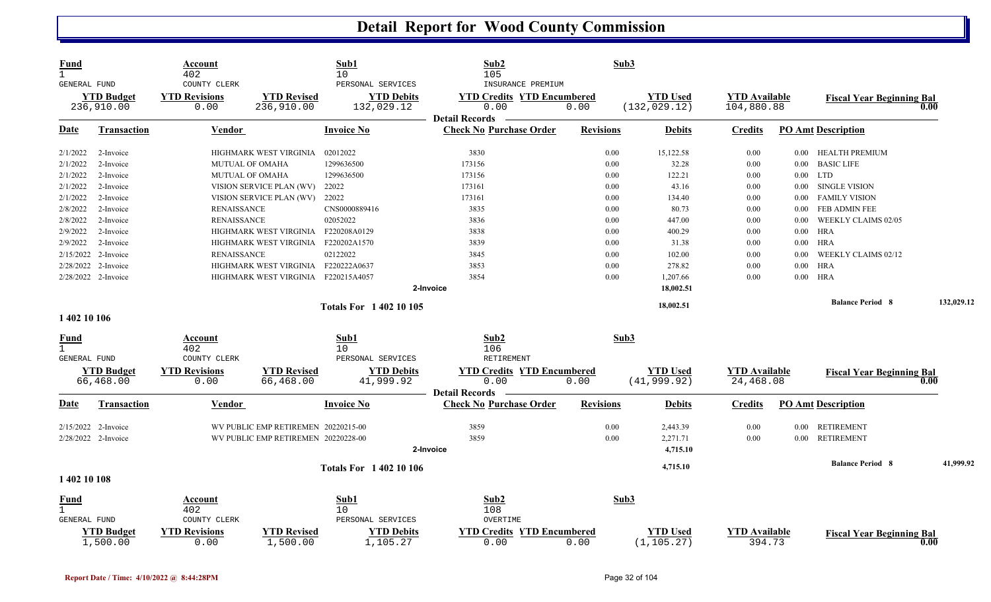|                                                                                                                                                                                                                      | <b>YTD Used</b>                 |                                    |                                  |            |
|----------------------------------------------------------------------------------------------------------------------------------------------------------------------------------------------------------------------|---------------------------------|------------------------------------|----------------------------------|------------|
| <b>YTD Revisions</b><br><b>YTD Revised</b><br><b>YTD Budget</b><br><b>YTD Debits</b><br><b>YTD Credits YTD Encumbered</b><br>0.00<br>236,910.00<br>132,029.12<br>0.00<br>236,910.00<br>0.00<br><b>Detail Records</b> | (132, 029.12)                   | <b>YTD Available</b><br>104,880.88 | <b>Fiscal Year Beginning Bal</b> | 0.00       |
| <b>Check No Purchase Order</b><br>Date<br><b>Invoice No</b><br><b>Revisions</b><br>Transaction<br>Vendor                                                                                                             | <b>Debits</b>                   | <b>Credits</b>                     | <b>PO Amt Description</b>        |            |
| 02012022<br>3830<br>2/1/2022<br>HIGHMARK WEST VIRGINIA<br>0.00<br>2-Invoice                                                                                                                                          | 15,122.58                       | 0.00                               | HEALTH PREMIUM<br>$0.00\,$       |            |
| 2/1/2022<br>1299636500<br>173156<br>0.00<br>2-Invoice<br><b>MUTUAL OF OMAHA</b>                                                                                                                                      | 32.28                           | 0.00                               | <b>BASIC LIFE</b><br>0.00        |            |
| 2/1/2022<br>1299636500<br>173156<br>0.00<br>2-Invoice<br><b>MUTUAL OF OMAHA</b>                                                                                                                                      | 122.21                          | 0.00                               | $0.00$ LTD                       |            |
| 2/1/2022<br>2-Invoice<br>22022<br>173161<br>0.00<br>VISION SERVICE PLAN (WV)                                                                                                                                         | 43.16                           | 0.00                               | <b>SINGLE VISION</b><br>$0.00\,$ |            |
| 2/1/2022<br>2-Invoice<br>22022<br>173161<br>0.00<br>VISION SERVICE PLAN (WV)                                                                                                                                         | 134.40                          | 0.00                               | <b>FAMILY VISION</b><br>0.00     |            |
| 3835<br>2/8/2022<br>2-Invoice<br><b>RENAISSANCE</b><br>CNS0000889416<br>0.00                                                                                                                                         | 80.73                           | 0.00                               | FEB ADMIN FEE<br>$0.00\,$        |            |
| 02052022<br>3836<br>2/8/2022<br>2-Invoice<br>0.00<br><b>RENAISSANCE</b>                                                                                                                                              | 447.00                          | 0.00                               | 0.00<br>WEEKLY CLAIMS 02/05      |            |
| 2/9/2022<br>HIGHMARK WEST VIRGINIA<br>F220208A0129<br>3838<br>0.00<br>2-Invoice                                                                                                                                      | 400.29                          | 0.00                               | <b>HRA</b><br>$0.00\,$           |            |
| 2/9/2022<br>2-Invoice<br>HIGHMARK WEST VIRGINIA<br>F220202A1570<br>3839<br>0.00                                                                                                                                      | 31.38                           | 0.00                               | <b>HRA</b><br>0.00               |            |
| 02122022<br>2/15/2022 2-Invoice<br>3845<br>0.00<br><b>RENAISSANCE</b>                                                                                                                                                | 102.00                          | 0.00                               | $0.00\,$<br>WEEKLY CLAIMS 02/12  |            |
| 2/28/2022 2-Invoice<br>F220222A0637<br>3853<br>0.00<br>HIGHMARK WEST VIRGINIA                                                                                                                                        | 278.82                          | 0.00                               | $0.00\,$<br>HRA                  |            |
| 2/28/2022 2-Invoice<br>HIGHMARK WEST VIRGINIA F220215A4057<br>3854<br>0.00                                                                                                                                           | 1,207.66                        | 0.00                               | $0.00\,$<br>HRA                  |            |
| 2-Invoice                                                                                                                                                                                                            | 18,002.51                       |                                    |                                  |            |
|                                                                                                                                                                                                                      |                                 |                                    | <b>Balance Period 8</b>          | 132,029.12 |
| <b>Totals For 140210105</b><br>1 402 10 106                                                                                                                                                                          | 18,002.51                       |                                    |                                  |            |
|                                                                                                                                                                                                                      |                                 |                                    |                                  |            |
| Sub1<br>Sub2<br>Sub3<br>Fund<br>Account                                                                                                                                                                              |                                 |                                    |                                  |            |
| 402<br>10<br>106                                                                                                                                                                                                     |                                 |                                    |                                  |            |
| COUNTY CLERK<br>PERSONAL SERVICES<br>RETIREMENT<br><b>GENERAL FUND</b>                                                                                                                                               |                                 |                                    |                                  |            |
| <b>YTD Revised</b><br><b>YTD Revisions</b><br><b>YTD Debits</b><br><b>YTD Credits YTD Encumbered</b><br><b>YTD Budget</b><br>0.00<br>0.00<br>66,468.00<br>0.00<br>66,468.00<br>41,999.92                             | <b>YTD</b> Used<br>(41, 999.92) | <b>YTD Available</b><br>24,468.08  | <b>Fiscal Year Beginning Bal</b> | 0.00       |
| <b>Detail Records</b><br><b>Check No Purchase Order</b><br><b>Invoice No</b><br>Transaction<br><b>Vendor</b><br><b>Revisions</b><br>Date                                                                             | <b>Debits</b>                   | <b>Credits</b>                     | <b>PO Amt Description</b>        |            |
| WV PUBLIC EMP RETIREMEN 20220215-00<br>3859<br>2/15/2022 2-Invoice<br>0.00                                                                                                                                           | 2,443.39                        | 0.00                               | $0.00\,$<br>RETIREMENT           |            |
| 2/28/2022 2-Invoice<br>3859<br>0.00<br>WV PUBLIC EMP RETIREMEN 20220228-00                                                                                                                                           | 2,271.71                        | 0.00                               | 0.00<br>RETIREMENT               |            |
| 2-Invoice                                                                                                                                                                                                            | 4,715.10                        |                                    |                                  |            |
|                                                                                                                                                                                                                      |                                 |                                    |                                  |            |
| <b>Totals For 1 402 10 106</b>                                                                                                                                                                                       | 4,715.10                        |                                    | <b>Balance Period 8</b>          | 41,999.92  |
| 1 402 10 108                                                                                                                                                                                                         |                                 |                                    |                                  |            |
| Sub1<br>Sub2<br>Sub3<br>Account<br><b>Fund</b>                                                                                                                                                                       |                                 |                                    |                                  |            |
| 402<br>108<br>10                                                                                                                                                                                                     |                                 |                                    |                                  |            |
| <b>GENERAL FUND</b><br>COUNTY CLERK<br>PERSONAL SERVICES<br>OVERTIME                                                                                                                                                 |                                 |                                    |                                  |            |
| <b>YTD Revisions</b><br><b>YTD Credits YTD Encumbered</b><br><b>YTD</b> Budget<br><b>YTD Revised</b><br><b>YTD Debits</b><br>1,500.00<br>0.00<br>1,500.00<br>1,105.27<br>0.00<br>0.00                                | <b>YTD Used</b><br>(1, 105.27)  | <b>YTD</b> Available<br>394.73     | <b>Fiscal Year Beginning Bal</b> | 0.00       |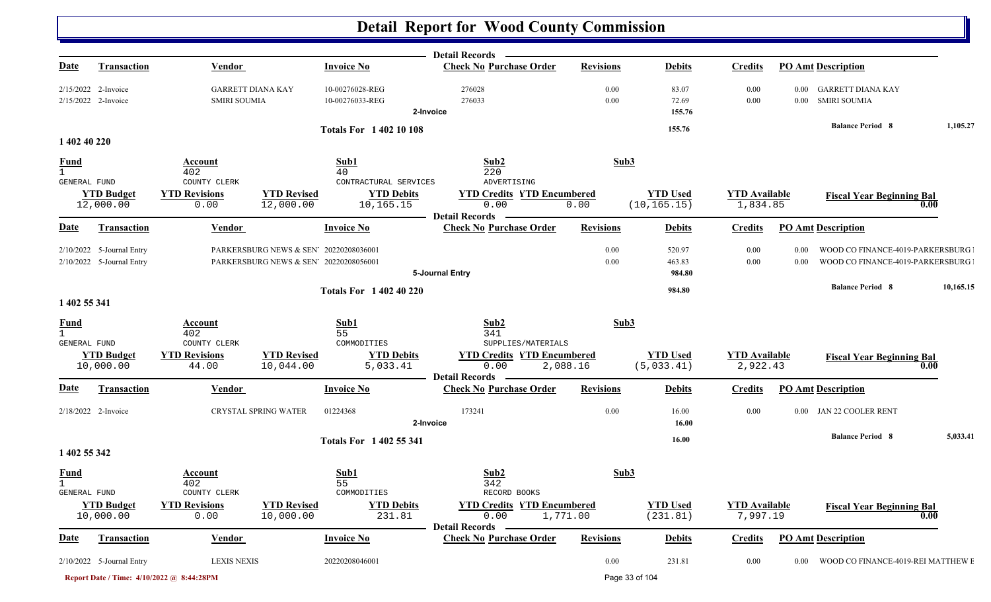| <u>Date</u>                                 | <b>Transaction</b>                                       | <b>Vendor</b>                                   |                                                                                  | <b>Invoice No</b>                            | Detail Records —<br><b>Check No Purchase Order</b>                                       | <b>Revisions</b> | <b>Debits</b>                   | <b>Credits</b>                   |              | <b>PO Amt Description</b>                                            |           |
|---------------------------------------------|----------------------------------------------------------|-------------------------------------------------|----------------------------------------------------------------------------------|----------------------------------------------|------------------------------------------------------------------------------------------|------------------|---------------------------------|----------------------------------|--------------|----------------------------------------------------------------------|-----------|
|                                             | $2/15/2022$ 2-Invoice<br>2/15/2022 2-Invoice             | <b>GARRETT DIANA KAY</b><br><b>SMIRI SOUMIA</b> |                                                                                  | 10-00276028-REG<br>10-00276033-REG           | 276028<br>276033<br>2-Invoice                                                            | 0.00<br>0.00     | 83.07<br>72.69<br>155.76        | 0.00<br>0.00                     |              | 0.00 GARRETT DIANA KAY<br>0.00 SMIRI SOUMIA                          |           |
|                                             |                                                          |                                                 |                                                                                  | <b>Totals For 140210108</b>                  |                                                                                          |                  | 155.76                          |                                  |              | <b>Balance Period 8</b>                                              | 1,105.27  |
| 1 402 40 220                                |                                                          |                                                 |                                                                                  |                                              |                                                                                          |                  |                                 |                                  |              |                                                                      |           |
| <b>Fund</b><br>$\mathbf{1}$<br>GENERAL FUND |                                                          | Account<br>402<br>COUNTY CLERK                  |                                                                                  | Sub1<br>40<br>CONTRACTURAL SERVICES          | Sub2<br>220<br>ADVERTISING                                                               | Sub3             |                                 |                                  |              |                                                                      |           |
|                                             | <b>YTD Budget</b><br>12,000.00                           | <b>YTD Revisions</b><br>0.00                    | <b>YTD Revised</b><br>12,000.00                                                  | <b>YTD Debits</b><br>10,165.15               | <b>YTD Credits YTD Encumbered</b><br>0.00<br><b>Detail Records</b>                       | 0.00             | <b>YTD Used</b><br>(10, 165.15) | <b>YTD Available</b><br>1,834.85 |              | <b>Fiscal Year Beginning Bal</b><br>0.00                             |           |
| <u>Date</u>                                 | <b>Transaction</b>                                       | <b>Vendor</b>                                   |                                                                                  | <b>Invoice No</b>                            | <b>Check No Purchase Order</b>                                                           | <b>Revisions</b> | <b>Debits</b>                   | <b>Credits</b>                   |              | <b>PO Amt Description</b>                                            |           |
|                                             | 2/10/2022 5-Journal Entry<br>$2/10/2022$ 5-Journal Entry |                                                 | PARKERSBURG NEWS & SEN' 20220208036001<br>PARKERSBURG NEWS & SEN' 20220208056001 |                                              | 5-Journal Entry                                                                          | 0.00<br>0.00     | 520.97<br>463.83<br>984.80      | 0.00<br>0.00                     | 0.00<br>0.00 | WOOD CO FINANCE-4019-PARKERSBURG<br>WOOD CO FINANCE-4019-PARKERSBURG |           |
|                                             |                                                          |                                                 |                                                                                  | <b>Totals For 1 402 40 220</b>               |                                                                                          |                  | 984.80                          |                                  |              | <b>Balance Period 8</b>                                              | 10,165.15 |
| 1 402 55 341                                |                                                          |                                                 |                                                                                  |                                              |                                                                                          |                  |                                 |                                  |              |                                                                      |           |
| <b>Fund</b><br>$\mathbf{1}$                 |                                                          | Account<br>402                                  |                                                                                  | Sub1<br>55                                   | Sub2<br>341                                                                              | Sub3             |                                 |                                  |              |                                                                      |           |
| GENERAL FUND                                | <b>YTD Budget</b><br>10,000.00                           | COUNTY CLERK<br><b>YTD Revisions</b><br>44.00   | <b>YTD Revised</b><br>10,044.00                                                  | COMMODITIES<br><b>YTD Debits</b><br>5,033.41 | SUPPLIES/MATERIALS<br><b>YTD Credits YTD Encumbered</b><br>0.00<br><b>Detail Records</b> | 2,088.16         | <b>YTD Used</b><br>(5,033.41)   | <b>YTD</b> Available<br>2,922.43 |              | <b>Fiscal Year Beginning Bal</b><br>0.00                             |           |
| <b>Date</b>                                 | <b>Transaction</b>                                       | <b>Vendor</b>                                   |                                                                                  | <b>Invoice No</b>                            | <b>Check No Purchase Order</b>                                                           | <b>Revisions</b> | <b>Debits</b>                   | <b>Credits</b>                   |              | <b>PO Amt Description</b>                                            |           |
|                                             | 2/18/2022 2-Invoice                                      | CRYSTAL SPRING WATER                            |                                                                                  | 01224368                                     | 173241<br>2-Invoice                                                                      | 0.00             | 16.00<br>16.00                  | 0.00                             | 0.00         | JAN 22 COOLER RENT                                                   |           |
|                                             |                                                          |                                                 |                                                                                  | <b>Totals For 1402 55 341</b>                |                                                                                          |                  | 16.00                           |                                  |              | <b>Balance Period 8</b>                                              | 5,033.41  |
| 1 402 55 342                                |                                                          |                                                 |                                                                                  |                                              |                                                                                          |                  |                                 |                                  |              |                                                                      |           |
| <u>Fund</u><br>$\mathbf{1}$<br>GENERAL FUND |                                                          | Account<br>402<br>COUNTY CLERK                  |                                                                                  | Sub1<br>55<br>COMMODITIES                    | Sub2<br>342<br>RECORD BOOKS                                                              | Sub3             |                                 |                                  |              |                                                                      |           |
|                                             | <b>YTD Budget</b><br>10,000.00                           | <b>YTD Revisions</b><br>0.00                    | <b>YTD Revised</b><br>10,000.00                                                  | <b>YTD Debits</b><br>231.81                  | <b>YTD Credits YTD Encumbered</b><br>0.00<br><b>Detail Records</b>                       | 1,771.00         | <b>YTD Used</b><br>(231.81)     | <b>YTD Available</b><br>7,997.19 |              | <b>Fiscal Year Beginning Bal</b><br>0.00                             |           |
| <b>Date</b>                                 | <b>Transaction</b>                                       | <b>Vendor</b>                                   |                                                                                  | <b>Invoice No</b>                            | <b>Check No Purchase Order</b>                                                           | <b>Revisions</b> | <b>Debits</b>                   | <b>Credits</b>                   |              | <b>PO Amt Description</b>                                            |           |
|                                             | $2/10/2022$ 5-Journal Entry                              | <b>LEXIS NEXIS</b>                              |                                                                                  | 20220208046001                               |                                                                                          | 0.00             | 231.81                          | 0.00                             |              | 0.00 WOOD CO FINANCE-4019-REI MATTHEW E                              |           |
|                                             |                                                          | Report Date / Time: 4/10/2022 @ 8:44:28PM       |                                                                                  |                                              |                                                                                          |                  | Page 33 of 104                  |                                  |              |                                                                      |           |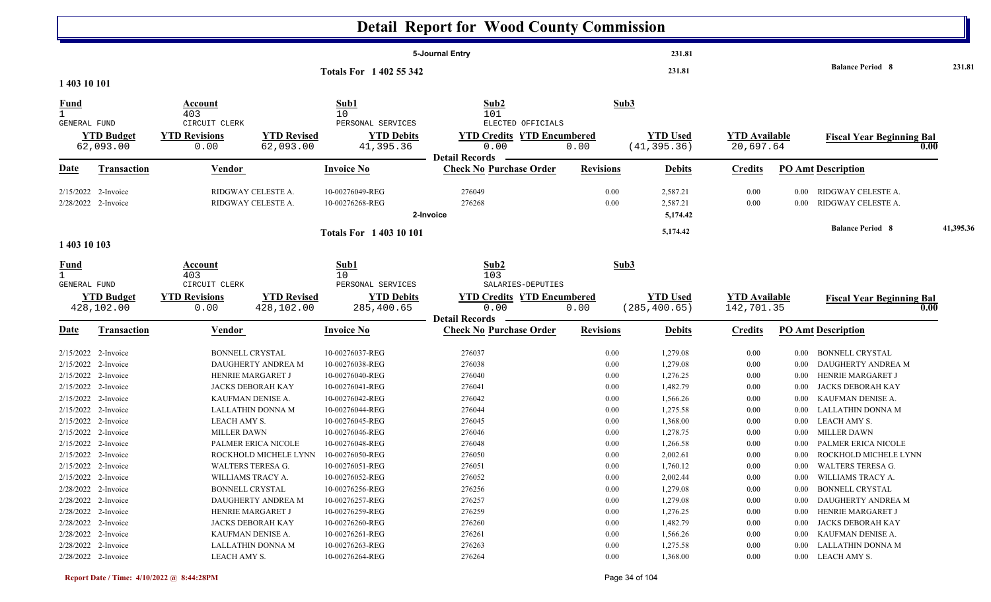|                                            |                                 |                                               |                                          |                                                     | <b>Detail Report for Wood County Commission</b>                |                  |                                  |                                    |                      |                                          |           |
|--------------------------------------------|---------------------------------|-----------------------------------------------|------------------------------------------|-----------------------------------------------------|----------------------------------------------------------------|------------------|----------------------------------|------------------------------------|----------------------|------------------------------------------|-----------|
|                                            |                                 |                                               |                                          |                                                     | 5-Journal Entry                                                |                  | 231.81                           |                                    |                      |                                          |           |
| 1 403 10 101                               |                                 |                                               |                                          | Totals For 1 402 55 342                             |                                                                |                  | 231.81                           |                                    |                      | <b>Balance Period 8</b>                  | 231.81    |
| <b>Fund</b>                                |                                 | Account                                       |                                          | Sub1                                                | Sub2                                                           | Sub3             |                                  |                                    |                      |                                          |           |
|                                            |                                 | 403                                           |                                          | 10 <sup>°</sup>                                     | 101                                                            |                  |                                  |                                    |                      |                                          |           |
| <b>GENERAL FUND</b>                        | <b>YTD Budget</b><br>62,093.00  | CIRCUIT CLERK<br><b>YTD Revisions</b><br>0.00 | <b>YTD Revised</b><br>62,093.00          | PERSONAL SERVICES<br><b>YTD Debits</b><br>41,395.36 | ELECTED OFFICIALS<br><b>YTD Credits YTD Encumbered</b><br>0.00 | 0.00             | <b>YTD Used</b><br>(41, 395.36)  | <b>YTD</b> Available<br>20,697.64  |                      | <b>Fiscal Year Beginning Bal</b><br>0.00 |           |
| <u>Date</u>                                | <b>Transaction</b>              | Vendor                                        |                                          | <b>Invoice No</b>                                   | <b>Detail Records</b><br><b>Check No Purchase Order</b>        | <b>Revisions</b> | <b>Debits</b>                    | <b>Credits</b>                     |                      | <b>PO Amt Description</b>                |           |
| 2/15/2022 2-Invoice<br>2/28/2022 2-Invoice |                                 |                                               | RIDGWAY CELESTE A.<br>RIDGWAY CELESTE A. | 10-00276049-REG<br>10-00276268-REG                  | 276049<br>276268<br>2-Invoice                                  | 0.00<br>0.00     | 2,587.21<br>2,587.21<br>5,174.42 | 0.00<br>0.00                       | $0.00\,$<br>$0.00\,$ | RIDGWAY CELESTE A.<br>RIDGWAY CELESTE A. |           |
| 1 403 10 103                               |                                 |                                               |                                          | <b>Totals For 140310101</b>                         |                                                                |                  | 5,174.42                         |                                    |                      | <b>Balance Period 8</b>                  | 41,395.36 |
| <u>Fund</u>                                |                                 | Account                                       |                                          | Sub1                                                | Sub2                                                           | Sub3             |                                  |                                    |                      |                                          |           |
| $\mathbf{1}$<br>GENERAL FUND               |                                 | 403<br>CIRCUIT CLERK                          |                                          | 10 <sup>°</sup><br>PERSONAL SERVICES                | 103<br>SALARIES-DEPUTIES                                       |                  |                                  |                                    |                      |                                          |           |
|                                            | <b>YTD Budget</b><br>428,102.00 | <b>YTD Revisions</b><br>0.00                  | <b>YTD Revised</b><br>428,102.00         | <b>YTD Debits</b><br>285,400.65                     | <b>YTD Credits YTD Encumbered</b><br>0.00                      | 0.00             | <b>YTD Used</b><br>(285, 400.65) | <b>YTD Available</b><br>142,701.35 |                      | <b>Fiscal Year Beginning Bal</b><br>0.00 |           |
| Date                                       | <b>Transaction</b>              | <b>Vendor</b>                                 |                                          | <b>Invoice No</b>                                   | <b>Detail Records</b><br><b>Check No Purchase Order</b>        | <b>Revisions</b> | <b>Debits</b>                    | <b>Credits</b>                     |                      | <b>PO Amt Description</b>                |           |
| 2/15/2022 2-Invoice                        |                                 | <b>BONNELL CRYSTAL</b>                        |                                          | 10-00276037-REG                                     | 276037                                                         | 0.00             | 1,279.08                         | 0.00                               | 0.00                 | <b>BONNELL CRYSTAL</b>                   |           |
| 2/15/2022 2-Invoice                        |                                 |                                               | DAUGHERTY ANDREA M                       | 10-00276038-REG                                     | 276038                                                         | 0.00             | 1,279.08                         | 0.00                               | $0.00\,$             | DAUGHERTY ANDREA M                       |           |
| 2/15/2022 2-Invoice                        |                                 |                                               | HENRIE MARGARET J                        | 10-00276040-REG                                     | 276040                                                         | 0.00             | 1,276.25                         | 0.00                               | $0.00\,$             | HENRIE MARGARET J                        |           |
| 2/15/2022 2-Invoice                        |                                 |                                               | <b>JACKS DEBORAH KAY</b>                 | 10-00276041-REG                                     | 276041                                                         | 0.00             | 1,482.79                         | 0.00                               | 0.00                 | JACKS DEBORAH KAY                        |           |
| 2/15/2022 2-Invoice                        |                                 |                                               | KAUFMAN DENISE A.                        | 10-00276042-REG                                     | 276042                                                         | 0.00             | 1,566.26                         | 0.00                               | 0.00                 | KAUFMAN DENISE A.                        |           |
| 2/15/2022 2-Invoice                        |                                 |                                               | LALLATHIN DONNA M                        | 10-00276044-REG                                     | 276044                                                         | 0.00             | 1,275.58                         | 0.00                               | 0.00                 | LALLATHIN DONNA M                        |           |
| 2/15/2022 2-Invoice                        |                                 | LEACH AMY S.                                  |                                          | 10-00276045-REG                                     | 276045                                                         | 0.00             | 1,368.00                         | 0.00                               | $0.00\,$             | LEACH AMY S.                             |           |
| 2/15/2022 2-Invoice                        |                                 | <b>MILLER DAWN</b>                            |                                          | 10-00276046-REG                                     | 276046                                                         | 0.00             | 1,278.75                         | 0.00                               | $0.00\,$             | <b>MILLER DAWN</b>                       |           |
| 2/15/2022 2-Invoice                        |                                 |                                               | PALMER ERICA NICOLE                      | 10-00276048-REG                                     | 276048                                                         | 0.00             | 1,266.58                         | 0.00                               |                      | 0.00 PALMER ERICA NICOLE                 |           |
| 2/15/2022 2-Invoice                        |                                 |                                               | ROCKHOLD MICHELE LYNN 10-00276050-REG    |                                                     | 276050                                                         | $0.00\,$         | 2,002.61                         | $0.00\,$                           |                      | 0.00 ROCKHOLD MICHELE LYNN               |           |
| $2/15/2022$ 2-Invoice                      |                                 |                                               | WALTERS TERESA G.                        | 10-00276051-REG                                     | 276051                                                         | 0.00             | 1,760.12                         | 0.00                               | $0.00\,$             | WALTERS TERESA G.                        |           |
| 2/15/2022 2-Invoice                        |                                 |                                               | WILLIAMS TRACY A.                        | 10-00276052-REG                                     | 276052                                                         | 0.00             | 2,002.44                         | 0.00                               | $0.00\,$             | WILLIAMS TRACY A.                        |           |
| 2/28/2022 2-Invoice                        |                                 | <b>BONNELL CRYSTAL</b>                        |                                          | 10-00276256-REG                                     | 276256                                                         | 0.00             | 1,279.08                         | 0.00                               | $0.00\,$             | <b>BONNELL CRYSTAL</b>                   |           |
| 2/28/2022 2-Invoice                        |                                 |                                               | DAUGHERTY ANDREA M                       | 10-00276257-REG                                     | 276257                                                         | 0.00             | 1,279.08                         | 0.00                               | $0.00\,$             | DAUGHERTY ANDREA M                       |           |
| 2/28/2022 2-Invoice                        |                                 |                                               | HENRIE MARGARET J                        | 10-00276259-REG                                     | 276259                                                         | 0.00             | 1,276.25                         | 0.00                               | $0.00\,$             | HENRIE MARGARET J                        |           |
| 2/28/2022 2-Invoice                        |                                 |                                               | JACKS DEBORAH KAY                        | 10-00276260-REG                                     | 276260                                                         | 0.00             | 1,482.79                         | 0.00                               | $0.00\,$             | JACKS DEBORAH KAY                        |           |
|                                            | 2/28/2022 2-Invoice             |                                               | KAUFMAN DENISE A.                        | 10-00276261-REG                                     | 276261                                                         | 0.00             | 1,566.26                         | 0.00                               | $0.00\,$             | KAUFMAN DENISE A.                        |           |
|                                            |                                 |                                               |                                          |                                                     |                                                                |                  |                                  |                                    |                      |                                          |           |
| 2/28/2022 2-Invoice                        |                                 |                                               | LALLATHIN DONNA M                        | 10-00276263-REG                                     | 276263                                                         | 0.00             | 1,275.58                         | $0.00\,$                           |                      | 0.00 LALLATHIN DONNA M                   |           |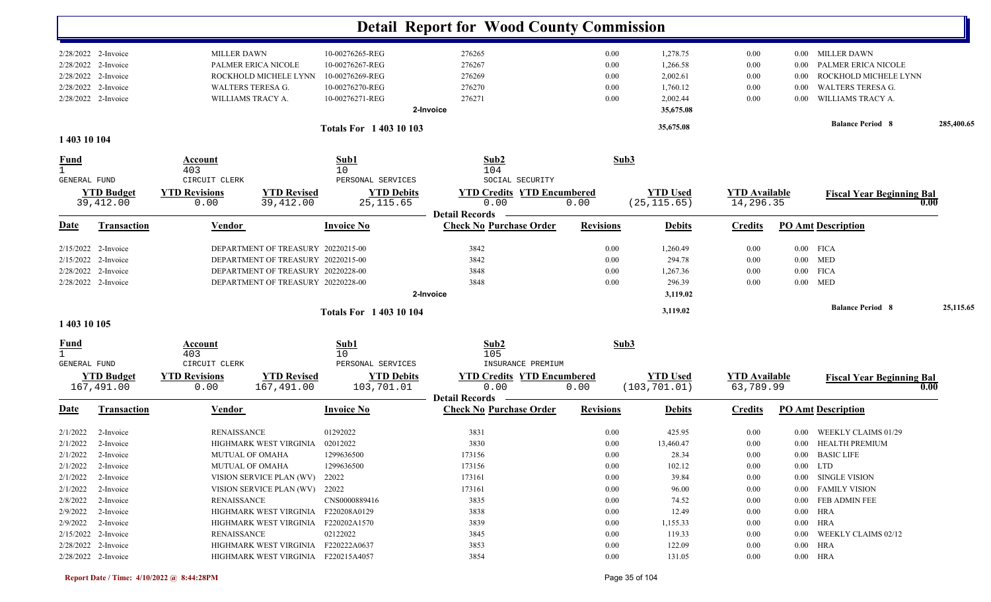|                                             |                                            |                                           |                                     |                                    | <b>Detail Report for Wood County Commission</b> |                  |                       |                      |          |                                         |            |
|---------------------------------------------|--------------------------------------------|-------------------------------------------|-------------------------------------|------------------------------------|-------------------------------------------------|------------------|-----------------------|----------------------|----------|-----------------------------------------|------------|
|                                             | 2/28/2022 2-Invoice<br>2/28/2022 2-Invoice | <b>MILLER DAWN</b><br>PALMER ERICA NICOLE |                                     | 10-00276265-REG<br>10-00276267-REG | 276265<br>276267                                | 0.00<br>0.00     | 1,278.75<br>1,266.58  | 0.00<br>0.00         | 0.00     | 0.00 MILLER DAWN<br>PALMER ERICA NICOLE |            |
|                                             | 2/28/2022 2-Invoice                        |                                           | ROCKHOLD MICHELE LYNN               | 10-00276269-REG                    | 276269                                          | 0.00             | 2,002.61              | 0.00                 | 0.00     | ROCKHOLD MICHELE LYNN                   |            |
|                                             | 2/28/2022 2-Invoice                        | WALTERS TERESA G.                         |                                     | 10-00276270-REG                    | 276270                                          | 0.00             | 1,760.12              | 0.00                 | 0.00     | <b>WALTERS TERESA G.</b>                |            |
|                                             | 2/28/2022 2-Invoice                        | WILLIAMS TRACY A.                         |                                     | 10-00276271-REG                    | 276271<br>2-Invoice                             | 0.00             | 2,002.44<br>35,675.08 | 0.00                 | 0.00     | WILLIAMS TRACY A.                       |            |
|                                             |                                            |                                           |                                     |                                    |                                                 |                  |                       |                      |          | <b>Balance Period 8</b>                 | 285,400.65 |
| 1 403 10 104                                |                                            |                                           |                                     | <b>Totals For 140310103</b>        |                                                 |                  | 35,675.08             |                      |          |                                         |            |
|                                             |                                            |                                           |                                     |                                    |                                                 |                  |                       |                      |          |                                         |            |
| <b>Fund</b><br>GENERAL FUND                 |                                            | Account<br>403<br>CIRCUIT CLERK           |                                     | Sub1<br>10<br>PERSONAL SERVICES    | Sub2<br>104<br>SOCIAL SECURITY                  |                  | Sub3                  |                      |          |                                         |            |
|                                             | <b>YTD Budget</b>                          | <b>YTD Revisions</b>                      | <b>YTD Revised</b>                  | <b>YTD Debits</b>                  | <b>YTD Credits YTD Encumbered</b>               |                  | <b>YTD Used</b>       | <b>YTD</b> Available |          | <b>Fiscal Year Beginning Bal</b>        |            |
|                                             | 39,412.00                                  | 0.00                                      | 39,412.00                           | 25, 115.65                         | 0.00                                            | 0.00             | (25, 115.65)          | 14,296.35            |          |                                         | 0.00       |
|                                             |                                            |                                           |                                     |                                    | <b>Detail Records</b>                           |                  |                       |                      |          |                                         |            |
| <b>Date</b>                                 | <b>Transaction</b>                         | <b>Vendor</b>                             |                                     | <b>Invoice No</b>                  | <b>Check No Purchase Order</b>                  | <b>Revisions</b> | <b>Debits</b>         | <b>Credits</b>       |          | <b>PO Amt Description</b>               |            |
|                                             | 2/15/2022 2-Invoice                        |                                           | DEPARTMENT OF TREASURY 20220215-00  |                                    | 3842                                            | 0.00             | 1,260.49              | 0.00                 |          | $0.00$ FICA                             |            |
|                                             | 2/15/2022 2-Invoice                        |                                           | DEPARTMENT OF TREASURY 20220215-00  |                                    | 3842                                            | 0.00             | 294.78                | 0.00                 |          | $0.00$ MED                              |            |
|                                             | 2/28/2022 2-Invoice                        |                                           | DEPARTMENT OF TREASURY 20220228-00  |                                    | 3848                                            | 0.00             | 1,267.36              | 0.00                 | $0.00\,$ | <b>FICA</b>                             |            |
|                                             | 2/28/2022 2-Invoice                        |                                           | DEPARTMENT OF TREASURY 20220228-00  |                                    | 3848                                            | 0.00             | 296.39                | 0.00                 |          | $0.00$ MED                              |            |
|                                             |                                            |                                           |                                     |                                    | 2-Invoice                                       |                  | 3,119.02              |                      |          |                                         |            |
|                                             |                                            |                                           |                                     | <b>Totals For 140310104</b>        |                                                 |                  | 3,119.02              |                      |          | <b>Balance Period 8</b>                 | 25,115.65  |
| 1 403 10 105                                |                                            |                                           |                                     |                                    |                                                 |                  |                       |                      |          |                                         |            |
| <b>Fund</b><br>$\mathbf{1}$<br>GENERAL FUND |                                            | Account<br>403<br>CIRCUIT CLERK           |                                     | Sub1<br>10<br>PERSONAL SERVICES    | Sub2<br>105<br>INSURANCE PREMIUM                |                  | Sub3                  |                      |          |                                         |            |
|                                             | <b>YTD Budget</b>                          | <b>YTD Revisions</b>                      | <b>YTD Revised</b>                  | <b>YTD Debits</b>                  | <b>YTD Credits YTD Encumbered</b>               |                  | <b>YTD Used</b>       | <b>YTD Available</b> |          |                                         |            |
|                                             | 167,491.00                                 | 0.00                                      | 167,491.00                          | 103,701.01                         | 0.00<br><b>Detail Records</b>                   | 0.00             | (103, 701.01)         | 63,789.99            |          | <b>Fiscal Year Beginning Bal</b>        | 0.00       |
| <u>Date</u>                                 | <b>Transaction</b>                         | <b>Vendor</b>                             |                                     | <b>Invoice No</b>                  | <b>Check No Purchase Order</b>                  | <b>Revisions</b> | <b>Debits</b>         | <b>Credits</b>       |          | <b>PO Amt Description</b>               |            |
| 2/1/2022                                    | 2-Invoice                                  | <b>RENAISSANCE</b>                        |                                     | 01292022                           | 3831                                            | 0.00             | 425.95                | 0.00                 | 0.00     | WEEKLY CLAIMS 01/29                     |            |
| 2/1/2022                                    | 2-Invoice                                  |                                           | HIGHMARK WEST VIRGINIA              | 02012022                           | 3830                                            | 0.00             | 13,460.47             | 0.00                 |          | 0.00 HEALTH PREMIUM                     |            |
|                                             | $2/1/2022$ 2-Invoice                       | MUTUAL OF OMAHA                           |                                     | 1299636500                         | 173156                                          | $0.00\,$         | 28.34                 | $0.00\,$             |          | 0.00 BASIC LIFE                         |            |
|                                             | $2/1/2022$ 2-Invoice                       | MUTUAL OF OMAHA                           |                                     | 1299636500                         | 173156                                          | $0.00\,$         | 102.12                | 0.00                 |          | $0.00$ LTD                              |            |
|                                             | $2/1/2022$ 2-Invoice                       |                                           | VISION SERVICE PLAN (WV) 22022      |                                    | 173161                                          | $0.00\,$         | 39.84                 | 0.00                 |          | 0.00 SINGLE VISION                      |            |
|                                             | $2/1/2022$ 2-Invoice                       |                                           | VISION SERVICE PLAN (WV) 22022      |                                    | 173161                                          | 0.00             | 96.00                 | 0.00                 |          | 0.00 FAMILY VISION                      |            |
|                                             | $2/8/2022$ 2-Invoice                       | <b>RENAISSANCE</b>                        |                                     | CNS0000889416                      | 3835                                            | 0.00             | 74.52                 | 0.00                 |          | 0.00 FEB ADMIN FEE                      |            |
|                                             | $2/9/2022$ 2-Invoice                       |                                           | HIGHMARK WEST VIRGINIA F220208A0129 |                                    | 3838                                            | 0.00             | 12.49                 | 0.00                 |          | $0.00$ HRA                              |            |
|                                             | $2/9/2022$ 2-Invoice                       |                                           | HIGHMARK WEST VIRGINIA F220202A1570 |                                    | 3839                                            | $0.00\,$         | 1,155.33              | 0.00                 |          | $0.00$ HRA                              |            |
|                                             | 2/15/2022 2-Invoice                        | RENAISSANCE                               |                                     | 02122022                           | 3845                                            | 0.00             | 119.33                | 0.00                 |          | 0.00 WEEKLY CLAIMS 02/12                |            |
|                                             | 2/28/2022 2-Invoice                        |                                           | HIGHMARK WEST VIRGINIA F220222A0637 |                                    | 3853                                            | 0.00             | 122.09                | 0.00                 |          | $0.00$ HRA                              |            |
|                                             | 2/28/2022 2-Invoice                        |                                           | HIGHMARK WEST VIRGINIA F220215A4057 |                                    | 3854                                            | $0.00\,$         | 131.05                | 0.00                 |          | $0.00$ HRA                              |            |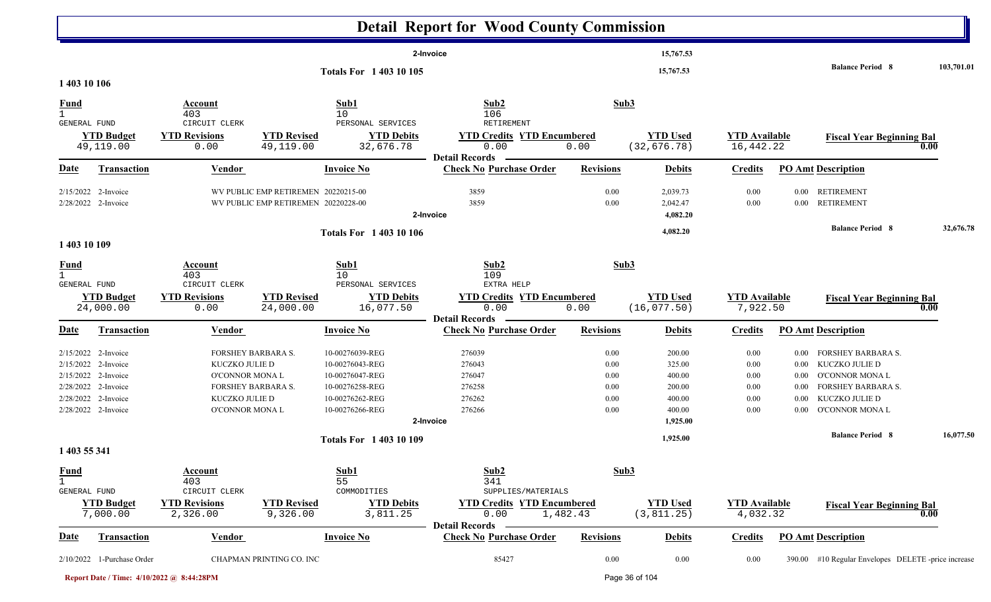|                                             |                                                                                                                                        |                                                                                                                    |                                                                            |                                                                                                                | <b>Detail Report for Wood County Commission</b>                                         |                                              |                                                                                  |                                              |                                                          |                                                                                                                                                                       |                   |
|---------------------------------------------|----------------------------------------------------------------------------------------------------------------------------------------|--------------------------------------------------------------------------------------------------------------------|----------------------------------------------------------------------------|----------------------------------------------------------------------------------------------------------------|-----------------------------------------------------------------------------------------|----------------------------------------------|----------------------------------------------------------------------------------|----------------------------------------------|----------------------------------------------------------|-----------------------------------------------------------------------------------------------------------------------------------------------------------------------|-------------------|
| 1 403 10 106                                |                                                                                                                                        |                                                                                                                    |                                                                            | Totals For 1 403 10 105                                                                                        | 2-Invoice                                                                               |                                              | 15,767.53<br>15,767.53                                                           |                                              |                                                          | <b>Balance Period 8</b>                                                                                                                                               | 103,701.01        |
| <b>Fund</b>                                 |                                                                                                                                        | Account                                                                                                            |                                                                            | Sub1                                                                                                           | Sub2                                                                                    | Sub3                                         |                                                                                  |                                              |                                                          |                                                                                                                                                                       |                   |
| GENERAL FUND                                | <b>YTD Budget</b><br>49,119.00                                                                                                         | 403<br>CIRCUIT CLERK<br><b>YTD Revisions</b><br>0.00                                                               | <b>YTD Revised</b><br>49,119.00                                            | 10<br>PERSONAL SERVICES<br><b>YTD Debits</b><br>32,676.78                                                      | 106<br>RETIREMENT<br><b>YTD Credits YTD Encumbered</b><br>0.00<br><b>Detail Records</b> | 0.00                                         | <b>YTD Used</b><br>(32, 676.78)                                                  | <b>YTD</b> Available<br>16,442.22            |                                                          | <b>Fiscal Year Beginning Bal</b>                                                                                                                                      | $\overline{0.00}$ |
| <b>Date</b>                                 | <b>Transaction</b>                                                                                                                     | <b>Vendor</b>                                                                                                      |                                                                            | <b>Invoice No</b>                                                                                              | <b>Check No Purchase Order</b>                                                          | <b>Revisions</b>                             | <b>Debits</b>                                                                    | <b>Credits</b>                               |                                                          | <b>PO Amt Description</b>                                                                                                                                             |                   |
|                                             | 2/15/2022 2-Invoice<br>2/28/2022 2-Invoice                                                                                             |                                                                                                                    | WV PUBLIC EMP RETIREMEN 20220215-00<br>WV PUBLIC EMP RETIREMEN 20220228-00 |                                                                                                                | 3859<br>3859<br>2-Invoice                                                               | 0.00<br>0.00                                 | 2,039.73<br>2,042.47<br>4,082.20                                                 | 0.00<br>$0.00\,$                             | $0.00\,$<br>$0.00\,$                                     | <b>RETIREMENT</b><br><b>RETIREMENT</b>                                                                                                                                |                   |
| 1 403 10 109                                |                                                                                                                                        |                                                                                                                    |                                                                            | <b>Totals For 1 403 10 106</b>                                                                                 |                                                                                         |                                              | 4,082.20                                                                         |                                              |                                                          | <b>Balance Period 8</b>                                                                                                                                               | 32,676.78         |
| $\frac{Fund}{1}$<br><b>GENERAL FUND</b>     | <b>YTD Budget</b><br>24,000.00                                                                                                         | Account<br>403<br>CIRCUIT CLERK<br><b>YTD Revisions</b><br>0.00                                                    | <b>YTD Revised</b><br>24,000.00                                            | Sub1<br>10<br>PERSONAL SERVICES<br><b>YTD Debits</b><br>16,077.50                                              | Sub2<br>109<br>EXTRA HELP<br><b>YTD Credits YTD Encumbered</b><br>0.00                  | Sub3<br>0.00                                 | <b>YTD Used</b><br>(16, 077.50)                                                  | <b>YTD Available</b><br>7,922.50             |                                                          | <b>Fiscal Year Beginning Bal</b>                                                                                                                                      | $\overline{0.00}$ |
| <b>Date</b>                                 | <b>Transaction</b>                                                                                                                     | <b>Vendor</b>                                                                                                      |                                                                            | <b>Invoice No</b>                                                                                              | <b>Detail Records</b><br><b>Check No Purchase Order</b>                                 | <b>Revisions</b>                             | <b>Debits</b>                                                                    | <b>Credits</b>                               |                                                          | <b>PO Amt Description</b>                                                                                                                                             |                   |
|                                             | 2/15/2022 2-Invoice<br>2/15/2022 2-Invoice<br>2/15/2022 2-Invoice<br>2/28/2022 2-Invoice<br>2/28/2022 2-Invoice<br>2/28/2022 2-Invoice | FORSHEY BARBARA S.<br>KUCZKO JULIE D<br>O'CONNOR MONA L<br>FORSHEY BARBARA S.<br>KUCZKO JULIE D<br>O'CONNOR MONA L |                                                                            | 10-00276039-REG<br>10-00276043-REG<br>10-00276047-REG<br>10-00276258-REG<br>10-00276262-REG<br>10-00276266-REG | 276039<br>276043<br>276047<br>276258<br>276262<br>276266<br>2-Invoice                   | 0.00<br>0.00<br>0.00<br>0.00<br>0.00<br>0.00 | 200.00<br>325.00<br>400.00<br>200.00<br>400.00<br>400.00<br>1,925.00<br>1,925.00 | 0.00<br>0.00<br>0.00<br>0.00<br>0.00<br>0.00 | $0.00\,$<br>$0.00\,$<br>$0.00\,$<br>$0.00\,$<br>$0.00\,$ | <b>FORSHEY BARBARA S.</b><br>KUCZKO JULIE D<br><b>O'CONNOR MONAL</b><br><b>FORSHEY BARBARA S.</b><br>KUCZKO JULIE D<br>0.00 O'CONNOR MONAL<br><b>Balance Period 8</b> | 16,077.50         |
| 1 403 55 341                                |                                                                                                                                        |                                                                                                                    |                                                                            | <b>Totals For 140310109</b>                                                                                    |                                                                                         |                                              |                                                                                  |                                              |                                                          |                                                                                                                                                                       |                   |
| <b>Fund</b><br>$\mathbf{1}$<br>GENERAL FUND | <b>YTD Budget</b><br>7,000.00                                                                                                          | Account<br>403<br>CIRCUIT CLERK<br><b>YTD Revisions</b><br>2,326.00                                                | <b>YTD Revised</b><br>9,326.00                                             | Sub1<br>55<br>COMMODITIES<br><b>YTD Debits</b><br>3,811.25                                                     | Sub2<br>341<br>SUPPLIES/MATERIALS<br><b>YTD Credits YTD Encumbered</b><br>0.00          | Sub3<br>1,482.43                             | <b>YTD Used</b><br>(3, 811.25)                                                   | <b>YTD Available</b><br>4,032.32             |                                                          | <b>Fiscal Year Beginning Bal</b>                                                                                                                                      | 0.00              |
| <u>Date</u>                                 | Transaction                                                                                                                            | Vendor                                                                                                             |                                                                            | <b>Invoice No</b>                                                                                              | <b>Detail Records</b><br><b>Check No Purchase Order</b>                                 | <b>Revisions</b>                             | <b>Debits</b>                                                                    | <b>Credits</b>                               |                                                          | <b>PO Amt Description</b>                                                                                                                                             |                   |
|                                             | $2/10/2022$ 1-Purchase Order                                                                                                           |                                                                                                                    | CHAPMAN PRINTING CO. INC                                                   |                                                                                                                | 85427                                                                                   | 0.00                                         | $0.00\,$                                                                         | 0.00                                         |                                                          | 390.00 #10 Regular Envelopes DELETE-price increase                                                                                                                    |                   |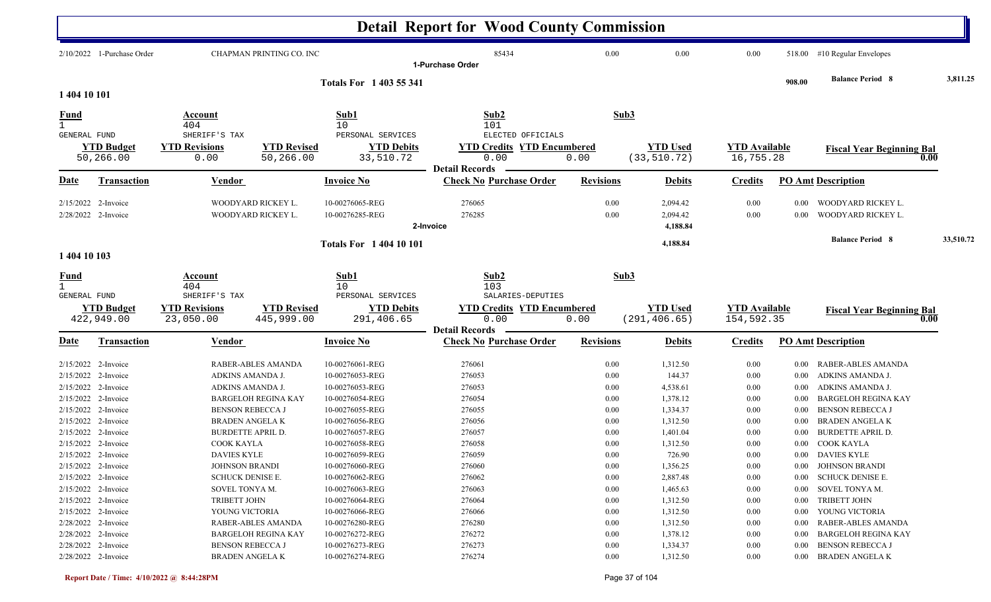|                                            |                                                                   |                                                                             |                                                  |                                                                          | <b>Detail Report for Wood County Commission</b>                    |                                  |                                              |                                      |                                  |                                                                                |           |
|--------------------------------------------|-------------------------------------------------------------------|-----------------------------------------------------------------------------|--------------------------------------------------|--------------------------------------------------------------------------|--------------------------------------------------------------------|----------------------------------|----------------------------------------------|--------------------------------------|----------------------------------|--------------------------------------------------------------------------------|-----------|
|                                            | $2/10/2022$ 1-Purchase Order                                      |                                                                             | CHAPMAN PRINTING CO. INC                         |                                                                          | 85434<br>1-Purchase Order                                          | 0.00                             | 0.00                                         | 0.00                                 | 518.00                           | #10 Regular Envelopes                                                          |           |
| 1 404 10 101                               |                                                                   |                                                                             |                                                  | <b>Totals For 1403 55 341</b>                                            |                                                                    |                                  |                                              |                                      | 908.00                           | <b>Balance Period 8</b>                                                        | 3,811.25  |
| <u>Fund</u><br>$\mathbf{1}$                |                                                                   | Account<br>404<br>SHERIFF'S TAX                                             |                                                  | Sub1<br>10<br>PERSONAL SERVICES                                          | Sub2<br>101<br>ELECTED OFFICIALS                                   | Sub3                             |                                              |                                      |                                  |                                                                                |           |
| <b>GENERAL FUND</b>                        | <b>YTD Budget</b><br>50,266.00                                    | <b>YTD Revisions</b><br>0.00                                                | <b>YTD Revised</b><br>50,266.00                  | <b>YTD Debits</b><br>33,510.72                                           | <b>YTD Credits YTD Encumbered</b><br>0.00<br><b>Detail Records</b> | 0.00                             | <b>YTD Used</b><br>(33, 510.72)              | <b>YTD</b> Available<br>16,755.28    |                                  | <b>Fiscal Year Beginning Bal</b><br>0.00                                       |           |
| Date                                       | <b>Transaction</b>                                                | <u>Vendor</u>                                                               |                                                  | <b>Invoice No</b>                                                        | <b>Check No Purchase Order</b>                                     | <b>Revisions</b>                 | <b>Debits</b>                                | <b>Credits</b>                       |                                  | <b>PO Amt Description</b>                                                      |           |
|                                            | 2/15/2022 2-Invoice<br>2/28/2022 2-Invoice                        | WOODYARD RICKEY L.                                                          | WOODYARD RICKEY L.                               | 10-00276065-REG<br>10-00276285-REG                                       | 276065<br>276285<br>2-Invoice                                      | 0.00<br>0.00                     | 2,094.42<br>2,094.42<br>4,188.84             | 0.00<br>0.00                         | 0.00<br>0.00                     | WOODYARD RICKEY L.<br>WOODYARD RICKEY L.                                       |           |
| 1 404 10 103                               |                                                                   |                                                                             |                                                  | <b>Totals For 140410101</b>                                              |                                                                    |                                  | 4,188.84                                     |                                      |                                  | <b>Balance Period 8</b>                                                        | 33,510.72 |
| <u>Fund</u><br><b>GENERAL FUND</b>         |                                                                   | Account<br>404<br>SHERIFF'S TAX                                             |                                                  | Sub1<br>10<br>PERSONAL SERVICES                                          | Sub2<br>103<br>SALARIES-DEPUTIES                                   | Sub3                             |                                              |                                      |                                  |                                                                                |           |
|                                            | <b>YTD Budget</b><br>422,949.00                                   | <b>YTD Revisions</b><br>23,050.00                                           | <b>YTD Revised</b><br>445,999.00                 | <b>YTD Debits</b><br>291,406.65                                          | <b>YTD Credits YTD Encumbered</b><br>0.00<br><b>Detail Records</b> | 0.00                             | <b>YTD Used</b><br>(291, 406.65)             | <b>YTD Available</b><br>154,592.35   |                                  | <b>Fiscal Year Beginning Bal</b><br>0.00                                       |           |
| <u>Date</u>                                | Transaction                                                       | Vendor                                                                      |                                                  | <b>Invoice No</b>                                                        | <b>Check No Purchase Order</b>                                     | <b>Revisions</b>                 | <b>Debits</b>                                | <b>Credits</b>                       |                                  | <b>PO Amt Description</b>                                                      |           |
| 2/15/2022 2-Invoice                        | $2/15/2022$ 2-Invoice<br>2/15/2022 2-Invoice                      | ADKINS AMANDA J.<br>ADKINS AMANDA J.                                        | RABER-ABLES AMANDA                               | 10-00276061-REG<br>10-00276053-REG<br>10-00276053-REG                    | 276061<br>276053<br>276053                                         | 0.00<br>0.00<br>0.00             | 1,312.50<br>144.37<br>4,538.61               | 0.00<br>0.00<br>0.00                 | 0.00<br>0.00<br>0.00             | RABER-ABLES AMANDA<br>ADKINS AMANDA J.<br>ADKINS AMANDA J.                     |           |
| 2/15/2022 2-Invoice                        | 2/15/2022 2-Invoice<br>$2/15/2022$ 2-Invoice                      | <b>BENSON REBECCA J</b><br><b>BRADEN ANGELAK</b>                            | <b>BARGELOH REGINA KAY</b>                       | 10-00276054-REG<br>10-00276055-REG<br>10-00276056-REG                    | 276054<br>276055<br>276056                                         | 0.00<br>0.00<br>0.00             | 1,378.12<br>1,334.37<br>1,312.50             | 0.00<br>0.00<br>0.00                 | 0.00<br>0.00<br>0.00             | <b>BARGELOH REGINA KAY</b><br><b>BENSON REBECCA J</b><br><b>BRADEN ANGELAK</b> |           |
| 2/15/2022 2-Invoice<br>2/15/2022 2-Invoice | 2/15/2022 2-Invoice                                               | <b>BURDETTE APRIL D.</b><br>COOK KAYLA<br>DAVIES KYLE                       |                                                  | 10-00276057-REG<br>10-00276058-REG<br>10-00276059-REG                    | 276057<br>276058<br>276059                                         | 0.00<br>0.00<br>$0.00\,$         | 1,401.04<br>1,312.50<br>726.90               | 0.00<br>0.00<br>$0.00\,$             | 0.00                             | <b>BURDETTE APRIL D.</b><br>0.00 COOK KAYLA<br>0.00 DAVIES KYLE                |           |
| 2/15/2022 2-Invoice                        | 2/15/2022 2-Invoice<br>2/15/2022 2-Invoice<br>2/15/2022 2-Invoice | <b>JOHNSON BRANDI</b><br>SCHUCK DENISE E.<br>SOVEL TONYA M.<br>TRIBETT JOHN |                                                  | 10-00276060-REG<br>10-00276062-REG<br>10-00276063-REG<br>10-00276064-REG | 276060<br>276062<br>276063<br>276064                               | $0.00\,$<br>0.00<br>0.00<br>0.00 | 1,356.25<br>2,887.48<br>1,465.63<br>1,312.50 | $0.00\,$<br>$0.00\,$<br>0.00<br>0.00 | $0.00\,$<br>$0.00\,$<br>$0.00\,$ | 0.00 JOHNSON BRANDI<br>SCHUCK DENISE E.<br>SOVEL TONYA M.<br>TRIBETT JOHN      |           |
|                                            | 2/15/2022 2-Invoice<br>2/28/2022 2-Invoice<br>2/28/2022 2-Invoice | YOUNG VICTORIA                                                              | RABER-ABLES AMANDA<br><b>BARGELOH REGINA KAY</b> | 10-00276066-REG<br>10-00276280-REG<br>10-00276272-REG                    | 276066<br>276280<br>276272                                         | 0.00<br>0.00<br>0.00             | 1,312.50<br>1,312.50<br>1,378.12             | $0.00\,$<br>0.00<br>$0.00\,$         | $0.00\,$<br>0.00<br>0.00         | YOUNG VICTORIA<br>RABER-ABLES AMANDA<br><b>BARGELOH REGINA KAY</b>             |           |
| 2/28/2022 2-Invoice                        | 2/28/2022 2-Invoice                                               | <b>BENSON REBECCA J</b><br>BRADEN ANGELA K                                  |                                                  | 10-00276273-REG<br>10-00276274-REG                                       | 276273<br>276274                                                   | 0.00<br>0.00                     | 1,334.37<br>1,312.50                         | $0.00\,$<br>$0.00\,$                 | 0.00                             | <b>BENSON REBECCA J</b><br>0.00 BRADEN ANGELA K                                |           |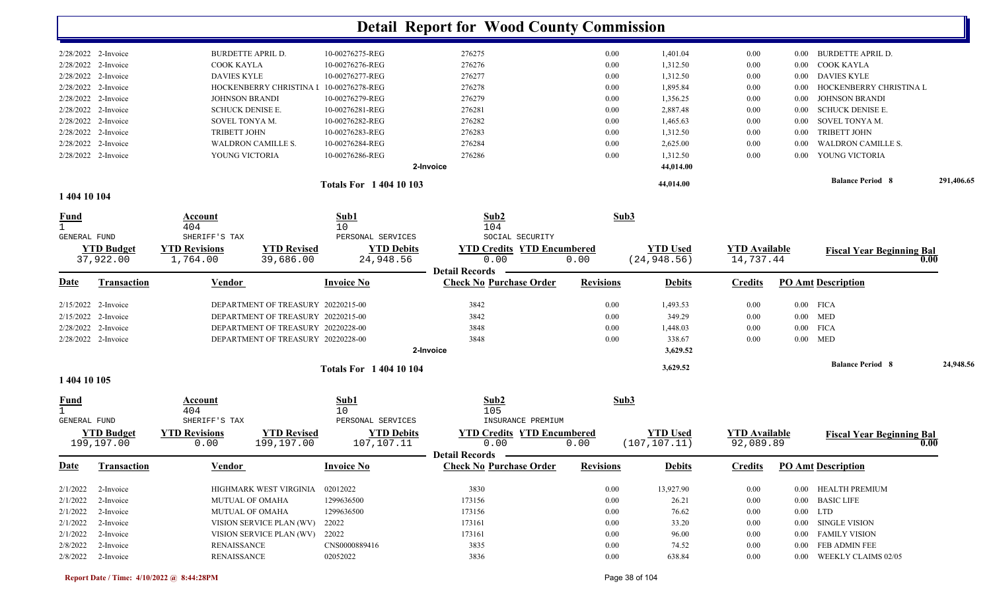|                       | Totals For 1404 10 103   |                 |           |        |      | 44,014.00 |      |                   | <b>Balance Period 8</b> | 291,406.65 |
|-----------------------|--------------------------|-----------------|-----------|--------|------|-----------|------|-------------------|-------------------------|------------|
|                       |                          |                 | 2-Invoice |        |      | 44,014.00 |      |                   |                         |            |
| 2/28/2022 2-Invoice   | YOUNG VICTORIA           | 10-00276286-REG |           | 276286 | 0.00 | 1,312.50  | 0.00 | 0.00 <sub>1</sub> | YOUNG VICTORIA          |            |
| 2/28/2022 2-Invoice   | WALDRON CAMILLE S.       | 10-00276284-REG |           | 276284 | 0.00 | 2,625.00  | 0.00 | 0.00              | WALDRON CAMILLE S.      |            |
| 2/28/2022 2-Invoice   | <b>TRIBETT JOHN</b>      | 10-00276283-REG |           | 276283 | 0.00 | 1,312.50  | 0.00 | 0.00              | TRIBETT JOHN            |            |
| 2/28/2022 2-Invoice   | SOVEL TONYA M.           | 10-00276282-REG |           | 276282 | 0.00 | 1,465.63  | 0.00 | $0.00 -$          | SOVEL TONYA M.          |            |
| $2/28/2022$ 2-Invoice | SCHUCK DENISE E.         | 10-00276281-REG |           | 276281 | 0.00 | 2,887.48  | 0.00 | $0.00 -$          | SCHUCK DENISE E.        |            |
| 2/28/2022 2-Invoice   | <b>JOHNSON BRANDI</b>    | 10-00276279-REG |           | 276279 | 0.00 | 1,356.25  | 0.00 | $0.00 -$          | JOHNSON BRANDI          |            |
| 2/28/2022 2-Invoice   | HOCKENBERRY CHRISTINA I  | 10-00276278-REG |           | 276278 | 0.00 | 1,895.84  | 0.00 | $0.00 -$          | HOCKENBERRY CHRISTINA L |            |
| 2/28/2022 2-Invoice   | <b>DAVIES KYLE</b>       | 10-00276277-REG |           | 276277 | 0.00 | 1,312.50  | 0.00 |                   | 0.00 DAVIES KYLE        |            |
| 2/28/2022 2-Invoice   | COOK KAYLA               | 10-00276276-REG |           | 276276 | 0.00 | 1,312.50  | 0.00 |                   | 0.00 COOK KAYLA         |            |
| 2/28/2022 2-Invoice   | <b>BURDETTE APRIL D.</b> | 10-00276275-REG |           | 276275 | 0.00 | 1,401.04  | 0.00 | 0.00 <sub>1</sub> | BURDETTE APRIL D.       |            |
|                       |                          |                 |           |        |      |           |      |                   |                         |            |

#### **1 404 10 104**

| $\frac{Fund}{1}$    |                                | Account<br>404                   |                                    | Sub1<br>10                           | Sub2<br>104                               | Sub3             |                                 |                                   |      |                                  |           |
|---------------------|--------------------------------|----------------------------------|------------------------------------|--------------------------------------|-------------------------------------------|------------------|---------------------------------|-----------------------------------|------|----------------------------------|-----------|
| <b>GENERAL FUND</b> |                                | SHERIFF'S TAX                    |                                    | PERSONAL SERVICES                    | SOCIAL SECURITY                           |                  |                                 |                                   |      |                                  |           |
|                     | <b>YTD Budget</b><br>37,922.00 | <b>YTD Revisions</b><br>1,764.00 | <b>YTD Revised</b><br>39,686.00    | <b>YTD Debits</b><br>24,948.56       | <b>YTD Credits YTD Encumbered</b><br>0.00 | 0.00             | <b>YTD Used</b><br>(24, 948.56) | <b>YTD</b> Available<br>14,737.44 |      | <b>Fiscal Year Beginning Bal</b> | 0.00      |
|                     |                                |                                  |                                    |                                      | <b>Detail Records</b>                     |                  |                                 |                                   |      |                                  |           |
| Date                | <b>Transaction</b>             | Vendor                           |                                    | <b>Invoice No</b>                    | <b>Check No Purchase Order</b>            | <b>Revisions</b> | <b>Debits</b>                   | <b>Credits</b>                    |      | PO Amt Description               |           |
|                     | 2/15/2022 2-Invoice            |                                  | DEPARTMENT OF TREASURY 20220215-00 |                                      | 3842                                      | 0.00             | 1,493.53                        | 0.00                              |      | $0.00$ FICA                      |           |
|                     | 2/15/2022 2-Invoice            |                                  | DEPARTMENT OF TREASURY 20220215-00 |                                      | 3842                                      | 0.00             | 349.29                          | 0.00                              |      | $0.00$ MED                       |           |
|                     | 2/28/2022 2-Invoice            |                                  | DEPARTMENT OF TREASURY 20220228-00 |                                      | 3848                                      | 0.00             | 1,448.03                        | 0.00                              | 0.00 | <b>FICA</b>                      |           |
|                     | 2/28/2022 2-Invoice            |                                  | DEPARTMENT OF TREASURY 20220228-00 |                                      | 3848                                      | 0.00             | 338.67                          | 0.00                              |      | $0.00$ MED                       |           |
|                     |                                |                                  |                                    |                                      | 2-Invoice                                 |                  | 3,629.52                        |                                   |      |                                  |           |
|                     |                                |                                  |                                    | <b>Totals For 1 404 10 104</b>       |                                           |                  | 3,629.52                        |                                   |      | <b>Balance Period 8</b>          | 24,948.56 |
| 1 404 10 105        |                                |                                  |                                    |                                      |                                           |                  |                                 |                                   |      |                                  |           |
| <u>Fund</u>         |                                | Account                          |                                    | Sub1                                 | Sub2                                      | Sub3             |                                 |                                   |      |                                  |           |
| <b>GENERAL FUND</b> |                                | 404<br>SHERIFF'S TAX             |                                    | 10 <sup>°</sup><br>PERSONAL SERVICES | 105<br>INSURANCE PREMIUM                  |                  |                                 |                                   |      |                                  |           |
|                     | <b>YTD Budget</b>              | <b>YTD Revisions</b>             | <b>YTD Revised</b>                 | <b>YTD Debits</b>                    | <b>YTD Credits YTD Encumbered</b>         |                  | <b>YTD Used</b>                 | <b>YTD</b> Available              |      | <b>Fiscal Year Beginning Bal</b> |           |
|                     | 199,197.00                     | 0.00                             | 199,197.00                         | 107,107.11                           | 0.00                                      | 0.00             | (107, 107.11)                   | 92,089.89                         |      |                                  | 0.00      |
|                     |                                |                                  |                                    |                                      | <b>Detail Records</b>                     |                  |                                 |                                   |      |                                  |           |
| <u>Date</u>         | <b>Transaction</b>             | <b>Vendor</b>                    |                                    | <b>Invoice No</b>                    | <b>Check No Purchase Order</b>            | <b>Revisions</b> | <b>Debits</b>                   | <b>Credits</b>                    |      | <b>PO Amt Description</b>        |           |
| 2/1/2022            | 2-Invoice                      |                                  | HIGHMARK WEST VIRGINIA             | 02012022                             | 3830                                      | 0.00             | 13,927.90                       | 0.00                              | 0.00 | HEALTH PREMIUM                   |           |
| 2/1/2022            | 2-Invoice                      | <b>MUTUAL OF OMAHA</b>           |                                    | 1299636500                           | 173156                                    | 0.00             | 26.21                           | 0.00                              | 0.00 | <b>BASIC LIFE</b>                |           |
| 2/1/2022            | 2-Invoice                      | <b>MUTUAL OF OMAHA</b>           |                                    | 1299636500                           | 173156                                    | 0.00             | 76.62                           | 0.00                              | 0.00 | <b>LTD</b>                       |           |
| 2/1/2022            | 2-Invoice                      |                                  | VISION SERVICE PLAN (WV)           | 22022                                | 173161                                    | 0.00             | 33.20                           | 0.00                              | 0.00 | <b>SINGLE VISION</b>             |           |
| 2/1/2022            | 2-Invoice                      |                                  | VISION SERVICE PLAN (WV)           | 22022                                | 173161                                    | 0.00             | 96.00                           | 0.00                              | 0.00 | <b>FAMILY VISION</b>             |           |
| 2/8/2022            | 2-Invoice                      | <b>RENAISSANCE</b>               |                                    | CNS0000889416                        | 3835                                      | 0.00             | 74.52                           | 0.00                              | 0.00 | FEB ADMIN FEE                    |           |
| 2/8/2022            | 2-Invoice                      | <b>RENAISSANCE</b>               |                                    | 02052022                             | 3836                                      | 0.00             | 638.84                          | 0.00                              | 0.00 | <b>WEEKLY CLAIMS 02/05</b>       |           |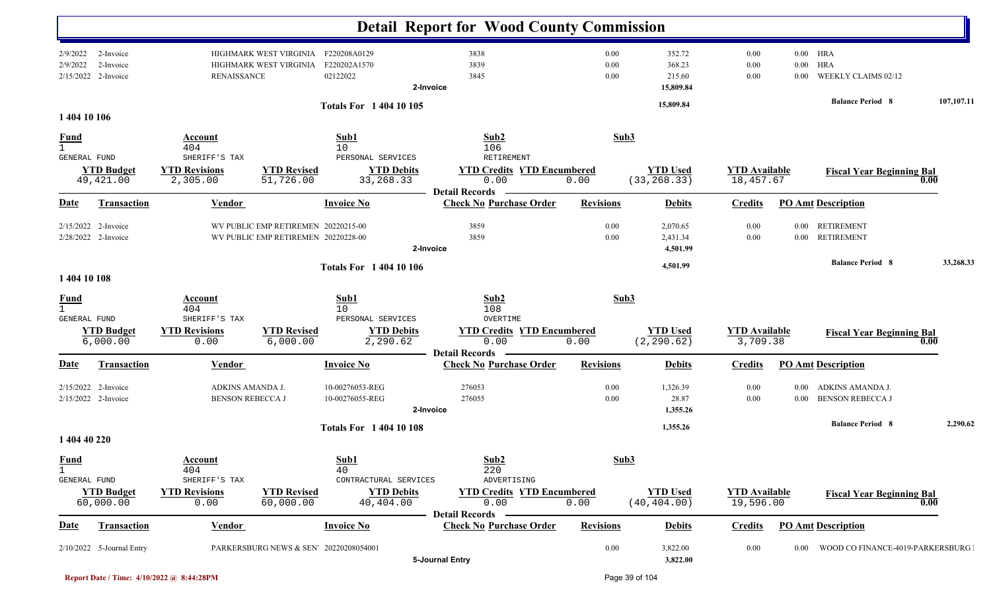|                                                    |                                               |                                                                 |                                                                            |                                                                  | <b>Detail Report for Wood County Commission</b>                      |                      |                                         |                                   |                      |                                                                            |            |
|----------------------------------------------------|-----------------------------------------------|-----------------------------------------------------------------|----------------------------------------------------------------------------|------------------------------------------------------------------|----------------------------------------------------------------------|----------------------|-----------------------------------------|-----------------------------------|----------------------|----------------------------------------------------------------------------|------------|
| 2/9/2022<br>2/9/2022                               | 2-Invoice<br>2-Invoice<br>2/15/2022 2-Invoice | <b>RENAISSANCE</b>                                              | HIGHMARK WEST VIRGINIA<br>HIGHMARK WEST VIRGINIA                           | F220208A0129<br>F220202A1570<br>02122022                         | 3838<br>3839<br>3845<br>2-Invoice                                    | 0.00<br>0.00<br>0.00 | 352.72<br>368.23<br>215.60<br>15,809.84 | $0.00\,$<br>$0.00\,$<br>$0.00\,$  | $0.00\,$<br>$0.00\,$ | $0.00$ HRA<br><b>HRA</b><br>WEEKLY CLAIMS 02/12<br><b>Balance Period 8</b> | 107,107.11 |
| 1 404 10 106                                       |                                               |                                                                 |                                                                            | <b>Totals For 1 404 10 105</b>                                   |                                                                      |                      | 15,809.84                               |                                   |                      |                                                                            |            |
| <u>Fund</u><br>$\mathbf{1}$<br><b>GENERAL FUND</b> |                                               | Account<br>404<br>SHERIFF'S TAX                                 |                                                                            | Sub1<br>10<br>PERSONAL SERVICES                                  | Sub2<br>106<br>RETIREMENT                                            | Sub3                 |                                         |                                   |                      |                                                                            |            |
|                                                    | <b>YTD Budget</b><br>49,421.00                | <b>YTD Revisions</b><br>2,305.00                                | <b>YTD Revised</b><br>51,726.00                                            | <b>YTD Debits</b><br>33, 268. 33                                 | <b>YTD Credits YTD Encumbered</b><br>0.00                            | 0.00                 | <b>YTD Used</b><br>(33, 268.33)         | <b>YTD Available</b><br>18,457.67 |                      | <b>Fiscal Year Beginning Bal</b><br>0.00                                   |            |
| <u>Date</u>                                        | <b>Transaction</b>                            | <b>Vendor</b>                                                   |                                                                            | <b>Invoice No</b>                                                | <b>Detail Records</b><br><b>Check No Purchase Order</b>              | <b>Revisions</b>     | <b>Debits</b>                           | <b>Credits</b>                    |                      | <b>PO Amt Description</b>                                                  |            |
|                                                    | 2/15/2022 2-Invoice<br>2/28/2022 2-Invoice    |                                                                 | WV PUBLIC EMP RETIREMEN 20220215-00<br>WV PUBLIC EMP RETIREMEN 20220228-00 |                                                                  | 3859<br>3859<br>2-Invoice                                            | $0.00\,$<br>0.00     | 2,070.65<br>2,431.34<br>4,501.99        | 0.00<br>$0.00\,$                  | $0.00\,$             | 0.00 RETIREMENT<br><b>RETIREMENT</b>                                       |            |
| 1 404 10 108                                       |                                               |                                                                 |                                                                            | <b>Totals For 1 404 10 106</b>                                   |                                                                      |                      | 4,501.99                                |                                   |                      | <b>Balance Period 8</b>                                                    | 33,268.33  |
| <b>Fund</b><br>$\mathbf{1}$<br>GENERAL FUND        | <b>YTD</b> Budget<br>6,000.00                 | Account<br>404<br>SHERIFF'S TAX<br><b>YTD Revisions</b><br>0.00 | <b>YTD Revised</b><br>6,000.00                                             | Sub1<br>10<br>PERSONAL SERVICES<br><b>YTD Debits</b><br>2,290.62 | Sub2<br>108<br>OVERTIME<br><b>YTD Credits YTD Encumbered</b><br>0.00 | Sub3<br>0.00         | <b>YTD Used</b><br>(2, 290.62)          | <b>YTD Available</b><br>3,709.38  |                      | <b>Fiscal Year Beginning Bal</b><br>0.00                                   |            |
| Date                                               | <b>Transaction</b>                            | <b>Vendor</b>                                                   |                                                                            | <b>Invoice No</b>                                                | <b>Detail Records</b><br><b>Check No Purchase Order</b>              | <b>Revisions</b>     | <b>Debits</b>                           | <b>Credits</b>                    |                      | <b>PO Amt Description</b>                                                  |            |
|                                                    | 2/15/2022 2-Invoice<br>2/15/2022 2-Invoice    | ADKINS AMANDA J.<br><b>BENSON REBECCA J</b>                     |                                                                            | 10-00276053-REG<br>10-00276055-REG                               | 276053<br>276055<br>2-Invoice                                        | 0.00<br>0.00         | 1,326.39<br>28.87<br>1,355.26           | $0.00\,$<br>$0.00\,$              |                      | 0.00 ADKINS AMANDA J.<br>0.00 BENSON REBECCA J                             |            |
| 1 404 40 220                                       |                                               |                                                                 |                                                                            | <b>Totals For 140410108</b>                                      |                                                                      |                      | 1,355.26                                |                                   |                      | <b>Balance Period 8</b>                                                    | 2,290.62   |
| <b>Fund</b><br>$\mathbf{1}$<br>GENERAL FUND        | <b>YTD Budget</b>                             | <b>Account</b><br>404<br>SHERIFF'S TAX<br><b>YTD Revisions</b>  | <b>YTD Revised</b>                                                         | Sub1<br>40<br>CONTRACTURAL SERVICES<br><b>YTD Debits</b>         | Sub2<br>220<br>ADVERTISING<br><b>YTD Credits YTD Encumbered</b>      | Sub3                 | <b>YTD Used</b>                         | <b>YTD Available</b>              |                      |                                                                            |            |
|                                                    | 60,000.00                                     | 0.00                                                            | 60,000.00                                                                  | 40,404.00                                                        | 0.00<br><b>Detail Records</b>                                        | 0.00                 | (40, 404.00)                            | 19,596.00                         |                      | <b>Fiscal Year Beginning Bal</b><br>0.00                                   |            |
| Date                                               | <b>Transaction</b>                            | <b>Vendor</b>                                                   |                                                                            | <b>Invoice No</b>                                                | <b>Check No Purchase Order</b>                                       | <b>Revisions</b>     | <b>Debits</b>                           | <b>Credits</b>                    |                      | <b>PO Amt Description</b>                                                  |            |
|                                                    | 2/10/2022 5-Journal Entry                     |                                                                 | PARKERSBURG NEWS & SEN' 20220208054001                                     |                                                                  | 5-Journal Entry                                                      | $0.00\,$             | 3,822.00<br>3,822.00                    | $0.00\,$                          | $0.00\,$             | WOOD CO FINANCE-4019-PARKERSBURG                                           |            |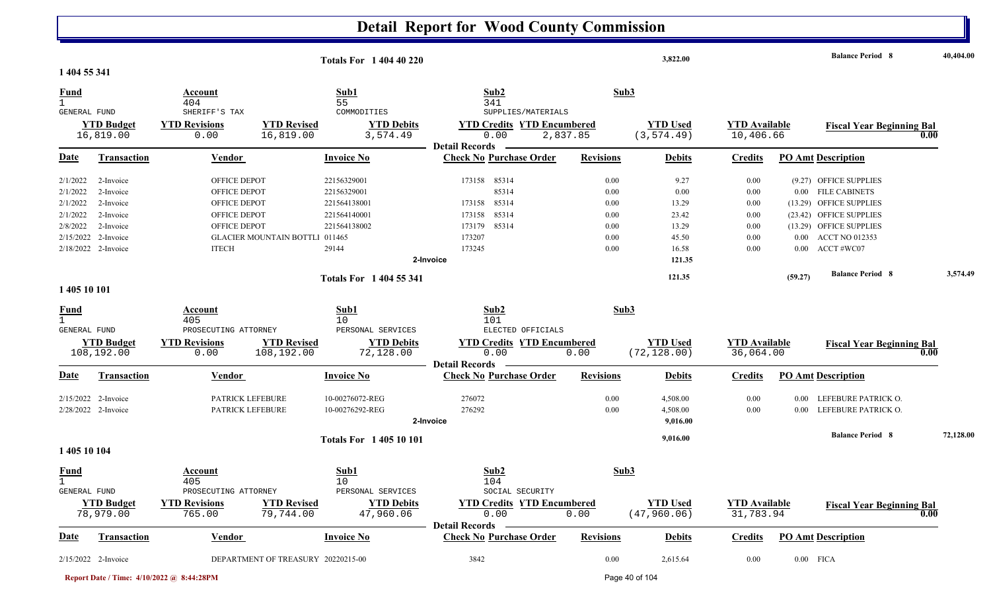| 1 404 55 341                |                                            |                                                      |                                       | <b>Totals For 1 404 40 220</b>                      |                                                                 |                  | 3,822.00                         |                                   |              | <b>Balance Period 8</b>                            |      | 40,404.00 |
|-----------------------------|--------------------------------------------|------------------------------------------------------|---------------------------------------|-----------------------------------------------------|-----------------------------------------------------------------|------------------|----------------------------------|-----------------------------------|--------------|----------------------------------------------------|------|-----------|
| <u>Fund</u>                 |                                            | Account<br>404                                       |                                       | Sub1<br>55                                          | Sub2<br>341                                                     |                  | Sub3                             |                                   |              |                                                    |      |           |
| GENERAL FUND                | <b>YTD Budget</b><br>16,819.00             | SHERIFF'S TAX<br><b>YTD Revisions</b><br>0.00        | <b>YTD Revised</b><br>16,819.00       | COMMODITIES<br><b>YTD Debits</b><br>3,574.49        | SUPPLIES/MATERIALS<br><b>YTD Credits YTD Encumbered</b><br>0.00 | 2,837.85         | <b>YTD Used</b><br>(3, 574.49)   | <b>YTD Available</b><br>10,406.66 |              | <b>Fiscal Year Beginning Bal</b>                   | 0.00 |           |
| <b>Date</b>                 | <b>Transaction</b>                         | Vendor                                               |                                       | <b>Invoice No</b>                                   | <b>Detail Records</b><br><b>Check No Purchase Order</b>         | <b>Revisions</b> | <b>Debits</b>                    | <b>Credits</b>                    |              | <b>PO Amt Description</b>                          |      |           |
| 2/1/2022<br>2/1/2022        | 2-Invoice<br>2-Invoice                     | OFFICE DEPOT<br>OFFICE DEPOT                         |                                       | 22156329001<br>22156329001                          | 173158<br>85314<br>85314                                        | 0.00<br>0.00     | 9.27<br>0.00                     | 0.00<br>0.00                      |              | (9.27) OFFICE SUPPLIES<br>0.00 FILE CABINETS       |      |           |
| 2/1/2022<br>2/1/2022        | 2-Invoice<br>2-Invoice                     | OFFICE DEPOT<br>OFFICE DEPOT                         |                                       | 221564138001<br>221564140001                        | 85314<br>173158<br>173158 85314                                 | 0.00<br>0.00     | 13.29<br>23.42                   | 0.00<br>0.00                      |              | (13.29) OFFICE SUPPLIES<br>(23.42) OFFICE SUPPLIES |      |           |
| 2/8/2022<br>2/15/2022       | 2-Invoice<br>2-Invoice                     | <b>OFFICE DEPOT</b>                                  | <b>GLACIER MOUNTAIN BOTTL1 011465</b> | 221564138002                                        | 173179 85314<br>173207                                          | 0.00<br>0.00     | 13.29<br>45.50                   | 0.00<br>0.00                      |              | (13.29) OFFICE SUPPLIES<br>0.00 ACCT NO 012353     |      |           |
|                             | 2/18/2022 2-Invoice                        | <b>ITECH</b>                                         |                                       | 29144                                               | 173245<br>2-Invoice                                             | 0.00             | 16.58<br>121.35                  | 0.00                              |              | $0.00$ ACCT #WC07                                  |      |           |
| 1 405 10 101                |                                            |                                                      |                                       | <b>Totals For 1404 55 341</b>                       |                                                                 |                  | 121.35                           |                                   | (59.27)      | <b>Balance Period 8</b>                            |      | 3,574.49  |
| <u>Fund</u><br>$\mathbf{1}$ |                                            | Account<br>405                                       |                                       | Sub1<br>10                                          | Sub2<br>101                                                     |                  | Sub3                             |                                   |              |                                                    |      |           |
| GENERAL FUND                | <b>YTD Budget</b><br>108,192.00            | PROSECUTING ATTORNEY<br><b>YTD Revisions</b><br>0.00 | <b>YTD Revised</b><br>108,192.00      | PERSONAL SERVICES<br><b>YTD Debits</b><br>72,128.00 | ELECTED OFFICIALS<br><b>YTD Credits YTD Encumbered</b><br>0.00  | 0.00             | <b>YTD Used</b><br>(72, 128.00)  | <b>YTD Available</b><br>36,064.00 |              | <b>Fiscal Year Beginning Bal</b>                   | 0.00 |           |
| <u>Date</u>                 | <b>Transaction</b>                         | Vendor                                               |                                       | <b>Invoice No</b>                                   | <b>Detail Records</b><br><b>Check No Purchase Order</b>         | <b>Revisions</b> | <b>Debits</b>                    | <b>Credits</b>                    |              | <b>PO Amt Description</b>                          |      |           |
|                             | 2/15/2022 2-Invoice<br>2/28/2022 2-Invoice | PATRICK LEFEBURE<br>PATRICK LEFEBURE                 |                                       | 10-00276072-REG<br>10-00276292-REG                  | 276072<br>276292<br>2-Invoice                                   | 0.00<br>0.00     | 4,508.00<br>4,508.00<br>9,016.00 | 0.00<br>0.00                      | 0.00<br>0.00 | LEFEBURE PATRICK O.<br>LEFEBURE PATRICK O.         |      |           |
| 1 405 10 104                |                                            |                                                      |                                       | <b>Totals For 140510101</b>                         |                                                                 |                  | 9,016.00                         |                                   |              | <b>Balance Period 8</b>                            |      | 72,128.00 |
| <b>Fund</b><br>GENERAL FUND |                                            | Account<br>405<br>PROSECUTING ATTORNEY               |                                       | Sub1<br>10<br>PERSONAL SERVICES                     | Sub2<br>104<br>SOCIAL SECURITY                                  |                  | Sub3                             |                                   |              |                                                    |      |           |
|                             | <b>YTD Budget</b><br>78,979.00             | <b>YTD Revisions</b><br>765.00                       | <b>YTD Revised</b><br>79,744.00       | <b>YTD Debits</b><br>47,960.06                      | <b>YTD Credits YTD Encumbered</b><br>0.00                       | 0.00             | <b>YTD Used</b><br>(47, 960.06)  | <b>YTD Available</b><br>31,783.94 |              | <b>Fiscal Year Beginning Bal</b>                   | 0.00 |           |
| <b>Date</b>                 | <b>Transaction</b>                         | Vendor                                               |                                       | <b>Invoice No</b>                                   | <b>Detail Records</b><br><b>Check No Purchase Order</b>         | <b>Revisions</b> | <b>Debits</b>                    | <b>Credits</b>                    |              | <b>PO Amt Description</b>                          |      |           |
|                             | 2/15/2022 2-Invoice                        |                                                      | DEPARTMENT OF TREASURY 20220215-00    |                                                     | 3842                                                            | 0.00             | 2,615.64                         | 0.00                              |              | $0.00$ FICA                                        |      |           |

**Report Date / Time: 4/10/2022 @ 8:44:28PM** Page 40 of 104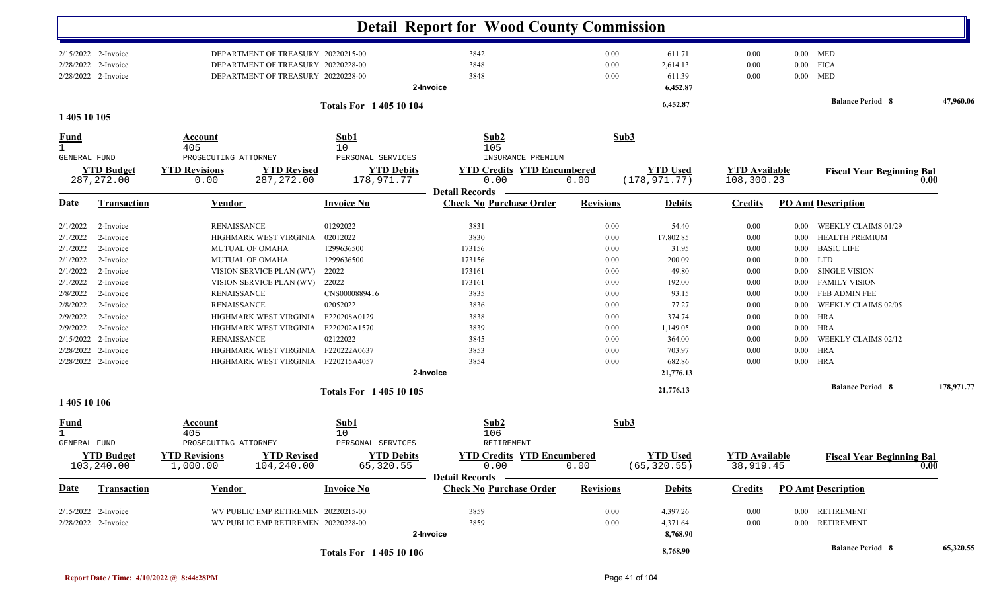|                     |                                  |                                  |                                                 | <b>Detail Report for Wood County Commission</b>                |                  |                                 |                                    |          |                                  |            |
|---------------------|----------------------------------|----------------------------------|-------------------------------------------------|----------------------------------------------------------------|------------------|---------------------------------|------------------------------------|----------|----------------------------------|------------|
|                     | 2/15/2022 2-Invoice              |                                  | DEPARTMENT OF TREASURY 20220215-00              | 3842                                                           | 0.00             | 611.71                          | 0.00                               |          | $0.00$ MED                       |            |
| 2/28/2022           | 2-Invoice                        |                                  | DEPARTMENT OF TREASURY 20220228-00              | 3848                                                           | 0.00             | 2,614.13                        | 0.00                               |          | $0.00$ FICA                      |            |
|                     | 2/28/2022 2-Invoice              |                                  | DEPARTMENT OF TREASURY 20220228-00              | 3848<br>2-Invoice                                              | 0.00             | 611.39<br>6,452.87              | 0.00                               | $0.00\,$ | <b>MED</b>                       |            |
|                     |                                  |                                  |                                                 |                                                                |                  |                                 |                                    |          |                                  |            |
| 1 405 10 105        |                                  |                                  | <b>Totals For 140510104</b>                     |                                                                |                  | 6,452.87                        |                                    |          | <b>Balance Period 8</b>          | 47,960.06  |
| <u>Fund</u>         |                                  | Account                          | Sub1                                            | Sub2                                                           | Sub3             |                                 |                                    |          |                                  |            |
|                     |                                  | 405                              | 10                                              | 105                                                            |                  |                                 |                                    |          |                                  |            |
| GENERAL FUND        |                                  | PROSECUTING ATTORNEY             | PERSONAL SERVICES                               | INSURANCE PREMIUM                                              |                  | <b>YTD Used</b>                 |                                    |          |                                  |            |
|                     | <b>YTD Budget</b><br>287, 272.00 | <b>YTD Revisions</b><br>0.00     | <b>YTD Revised</b><br>287, 272.00<br>178,971.77 | <b>YTD Credits YTD Encumbered</b><br><b>YTD Debits</b><br>0.00 | 0.00             | (178, 971.77)                   | <b>YTD Available</b><br>108,300.23 |          | <b>Fiscal Year Beginning Bal</b> | 0.00       |
|                     |                                  |                                  |                                                 | <b>Detail Records</b>                                          |                  |                                 |                                    |          |                                  |            |
| <u>Date</u>         | Transaction                      | <b>Vendor</b>                    | <b>Invoice No</b>                               | <b>Check No Purchase Order</b>                                 | <b>Revisions</b> | <b>Debits</b>                   | <b>Credits</b>                     |          | <b>PO Amt Description</b>        |            |
| 2/1/2022            | 2-Invoice                        | <b>RENAISSANCE</b>               | 01292022                                        | 3831                                                           | 0.00             | 54.40                           | 0.00                               | $0.00\,$ | WEEKLY CLAIMS 01/29              |            |
| 2/1/2022            | 2-Invoice                        | HIGHMARK WEST VIRGINIA           | 02012022                                        | 3830                                                           | 0.00             | 17,802.85                       | 0.00                               | $0.00\,$ | <b>HEALTH PREMIUM</b>            |            |
| 2/1/2022            | 2-Invoice                        | <b>MUTUAL OF OMAHA</b>           | 1299636500                                      | 173156                                                         | 0.00             | 31.95                           | 0.00                               | $0.00\,$ | <b>BASIC LIFE</b>                |            |
| 2/1/2022            | 2-Invoice                        | MUTUAL OF OMAHA                  | 1299636500                                      | 173156                                                         | 0.00             | 200.09                          | 0.00                               |          | $0.00$ LTD                       |            |
| 2/1/2022            | 2-Invoice                        | VISION SERVICE PLAN (WV)         | 22022                                           | 173161                                                         | 0.00             | 49.80                           | 0.00                               | $0.00\,$ | <b>SINGLE VISION</b>             |            |
| 2/1/2022            | 2-Invoice                        | VISION SERVICE PLAN (WV)         | 22022                                           | 173161                                                         | 0.00             | 192.00                          | 0.00                               | $0.00\,$ | <b>FAMILY VISION</b>             |            |
| 2/8/2022            | 2-Invoice                        | <b>RENAISSANCE</b>               | CNS0000889416                                   | 3835                                                           | 0.00             | 93.15                           | 0.00                               | 0.00     | <b>FEB ADMIN FEE</b>             |            |
| 2/8/2022            | 2-Invoice                        | <b>RENAISSANCE</b>               | 02052022                                        | 3836                                                           | 0.00             | 77.27                           | 0.00                               | 0.00     | <b>WEEKLY CLAIMS 02/05</b>       |            |
| 2/9/2022            | 2-Invoice                        | HIGHMARK WEST VIRGINIA           | F220208A0129                                    | 3838                                                           | 0.00             | 374.74                          | 0.00                               | $0.00\,$ | <b>HRA</b>                       |            |
| 2/9/2022            | 2-Invoice                        | HIGHMARK WEST VIRGINIA           | F220202A1570                                    | 3839                                                           | 0.00             | 1,149.05                        | 0.00                               |          | $0.00$ HRA                       |            |
| 2/15/2022           | 2-Invoice                        | <b>RENAISSANCE</b>               | 02122022                                        | 3845                                                           | 0.00             | 364.00                          | 0.00                               | $0.00\,$ | WEEKLY CLAIMS 02/12              |            |
| 2/28/2022           | 2-Invoice                        | HIGHMARK WEST VIRGINIA           | F220222A0637                                    | 3853                                                           | 0.00             | 703.97                          | 0.00                               |          | $0.00$ HRA                       |            |
|                     | 2/28/2022 2-Invoice              |                                  | HIGHMARK WEST VIRGINIA F220215A4057             | 3854                                                           | 0.00             | 682.86                          | 0.00                               |          | $0.00$ HRA                       |            |
|                     |                                  |                                  |                                                 | 2-Invoice                                                      |                  | 21,776.13                       |                                    |          |                                  |            |
|                     |                                  |                                  | Totals For 1 405 10 105                         |                                                                |                  | 21,776.13                       |                                    |          | <b>Balance Period 8</b>          | 178,971.77 |
| 1 405 10 106        |                                  |                                  |                                                 |                                                                |                  |                                 |                                    |          |                                  |            |
| <u>Fund</u>         |                                  | Account                          | Sub1                                            | Sub2                                                           | Sub3             |                                 |                                    |          |                                  |            |
| $\mathbf{1}$        |                                  | 405                              | 10                                              | 106                                                            |                  |                                 |                                    |          |                                  |            |
| <b>GENERAL FUND</b> |                                  | PROSECUTING ATTORNEY             | PERSONAL SERVICES                               | RETIREMENT                                                     |                  |                                 |                                    |          |                                  |            |
|                     | <b>YTD Budget</b><br>103,240.00  | <b>YTD Revisions</b><br>1,000.00 | <b>YTD Revised</b><br>104,240.00<br>65,320.55   | <b>YTD Debits</b><br><b>YTD Credits YTD Encumbered</b><br>0.00 | 0.00             | <b>YTD Used</b><br>(65, 320.55) | <b>YTD</b> Available<br>38,919.45  |          | <b>Fiscal Year Beginning Bal</b> | 0.00       |
| <b>Date</b>         | Transaction                      | <b>Vendor</b>                    | <b>Invoice No</b>                               | <b>Detail Records</b><br><b>Check No Purchase Order</b>        | <b>Revisions</b> | <b>Debits</b>                   | <b>Credits</b>                     |          | <b>PO Amt Description</b>        |            |
|                     | $2/15/2022$ 2-Invoice            |                                  | WV PUBLIC EMP RETIREMEN 20220215-00             | 3859                                                           | $0.00\,$         | 4,397.26                        | 0.00                               |          | 0.00 RETIREMENT                  |            |
|                     | 2/28/2022 2-Invoice              |                                  | WV PUBLIC EMP RETIREMEN 20220228-00             | 3859                                                           | 0.00             | 4,371.64                        | 0.00                               |          | 0.00 RETIREMENT                  |            |
|                     |                                  |                                  |                                                 | 2-Invoice                                                      |                  | 8,768.90                        |                                    |          |                                  |            |
|                     |                                  |                                  | <b>Totals For 140510106</b>                     |                                                                |                  | 8,768.90                        |                                    |          | <b>Balance Period 8</b>          | 65,320.55  |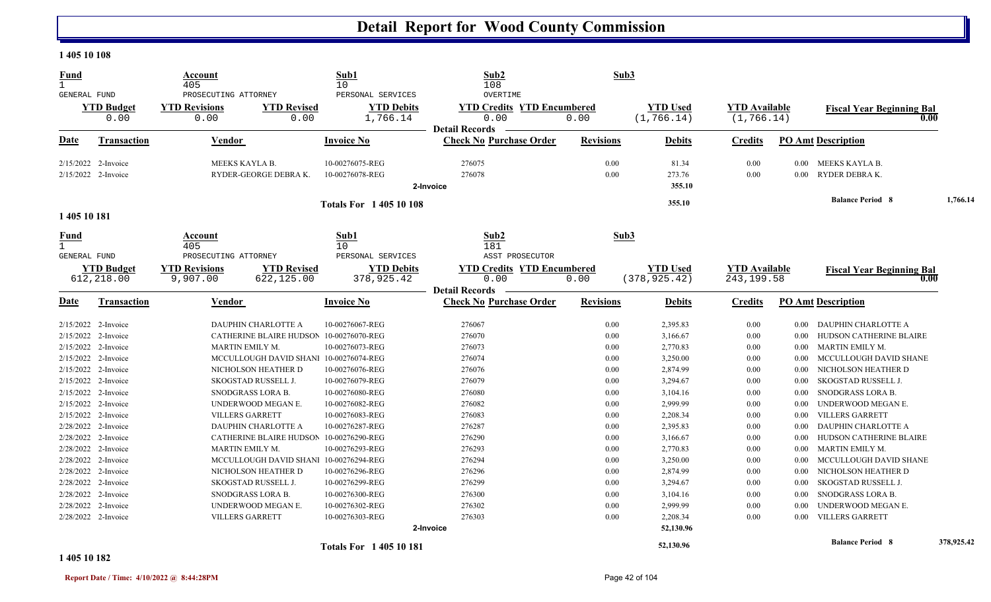#### **1 405 10 108**

| <b>Fund</b>  |                       | Account<br>405                               |                                         | Sub1<br>10                             | Sub2<br>108                                   |                  | Sub3            |                      |          |                                          |            |
|--------------|-----------------------|----------------------------------------------|-----------------------------------------|----------------------------------------|-----------------------------------------------|------------------|-----------------|----------------------|----------|------------------------------------------|------------|
| GENERAL FUND | <b>YTD Budget</b>     | PROSECUTING ATTORNEY<br><b>YTD Revisions</b> | <b>YTD Revised</b>                      | PERSONAL SERVICES<br><b>YTD Debits</b> | OVERTIME<br><b>YTD Credits YTD Encumbered</b> |                  | <b>YTD Used</b> | <b>YTD Available</b> |          |                                          |            |
|              | 0.00                  | 0.00                                         | 0.00                                    | 1,766.14                               | 0.00                                          | 0.00             | (1, 766.14)     | (1, 766.14)          |          | <b>Fiscal Year Beginning Bal</b><br>0.00 |            |
|              |                       |                                              |                                         |                                        | <b>Detail Records</b>                         |                  |                 |                      |          |                                          |            |
| Date         | <b>Transaction</b>    | Vendor                                       |                                         | <b>Invoice No</b>                      | <b>Check No Purchase Order</b>                | <b>Revisions</b> | <b>Debits</b>   | <b>Credits</b>       |          | <b>PO Amt Description</b>                |            |
|              | $2/15/2022$ 2-Invoice | MEEKS KAYLA B.                               |                                         | 10-00276075-REG                        | 276075                                        | 0.00             | 81.34           | 0.00                 | $0.00 -$ | MEEKS KAYLA B.                           |            |
|              | 2/15/2022 2-Invoice   |                                              | RYDER-GEORGE DEBRA K.                   | 10-00276078-REG                        | 276078                                        | 0.00             | 273.76          | 0.00                 | 0.00     | RYDER DEBRA K.                           |            |
|              |                       |                                              |                                         |                                        | 2-Invoice                                     |                  | 355.10          |                      |          |                                          |            |
|              |                       |                                              |                                         | <b>Totals For 140510108</b>            |                                               |                  | 355.10          |                      |          | <b>Balance Period 8</b>                  | 1,766.14   |
| 1 405 10 181 |                       |                                              |                                         |                                        |                                               |                  |                 |                      |          |                                          |            |
| <u>Fund</u>  |                       | Account<br>405                               |                                         | Sub1<br>10                             | Sub2<br>181                                   |                  | Sub3            |                      |          |                                          |            |
| GENERAL FUND |                       | PROSECUTING ATTORNEY                         |                                         | PERSONAL SERVICES                      | ASST PROSECUTOR                               |                  |                 |                      |          |                                          |            |
|              | <b>YTD Budget</b>     | <b>YTD Revisions</b>                         | <b>YTD Revised</b>                      | <b>YTD Debits</b>                      | <b>YTD Credits YTD Encumbered</b>             |                  | <b>YTD Used</b> | <b>YTD Available</b> |          | <b>Fiscal Year Beginning Bal</b>         |            |
|              | 612,218.00            | 9,907.00                                     | 622,125.00                              | 378,925.42                             | 0.00                                          | 0.00             | (378, 925.42)   | 243, 199.58          |          | 0.00                                     |            |
|              |                       |                                              |                                         |                                        | <b>Detail Records</b>                         |                  |                 |                      |          |                                          |            |
| Date         | <b>Transaction</b>    | Vendor                                       |                                         | <b>Invoice No</b>                      | <b>Check No Purchase Order</b>                | <b>Revisions</b> | <b>Debits</b>   | <b>Credits</b>       |          | <b>PO Amt Description</b>                |            |
|              | 2/15/2022 2-Invoice   |                                              | DAUPHIN CHARLOTTE A                     | 10-00276067-REG                        | 276067                                        | 0.00             | 2,395.83        | 0.00                 | 0.00     | <b>DAUPHIN CHARLOTTE A</b>               |            |
|              | $2/15/2022$ 2-Invoice |                                              | CATHERINE BLAIRE HUDSON                 | 10-00276070-REG                        | 276070                                        | 0.00             | 3,166.67        | 0.00                 | 0.00     | HUDSON CATHERINE BLAIRE                  |            |
|              | 2/15/2022 2-Invoice   |                                              | MARTIN EMILY M.                         | 10-00276073-REG                        | 276073                                        | 0.00             | 2,770.83        | $0.00\,$             | $0.00\,$ | MARTIN EMILY M.                          |            |
|              | 2/15/2022 2-Invoice   |                                              | MCCULLOUGH DAVID SHANI 10-00276074-REG  |                                        | 276074                                        | 0.00             | 3,250.00        | $0.00\,$             | $0.00\,$ | MCCULLOUGH DAVID SHANE                   |            |
|              | 2/15/2022 2-Invoice   |                                              | NICHOLSON HEATHER D                     | 10-00276076-REG                        | 276076                                        | 0.00             | 2,874.99        | 0.00                 | 0.00     | NICHOLSON HEATHER D                      |            |
|              | 2/15/2022 2-Invoice   |                                              | SKOGSTAD RUSSELL J.                     | 10-00276079-REG                        | 276079                                        | 0.00             | 3,294.67        | 0.00                 | 0.00     | SKOGSTAD RUSSELL J.                      |            |
|              | $2/15/2022$ 2-Invoice |                                              | SNODGRASS LORA B.                       | 10-00276080-REG                        | 276080                                        | 0.00             | 3,104.16        | 0.00                 | 0.00     | SNODGRASS LORA B.                        |            |
|              | 2/15/2022 2-Invoice   |                                              | UNDERWOOD MEGAN E.                      | 10-00276082-REG                        | 276082                                        | 0.00             | 2,999.99        | 0.00                 | 0.00     | UNDERWOOD MEGAN E.                       |            |
|              | 2/15/2022 2-Invoice   |                                              | <b>VILLERS GARRETT</b>                  | 10-00276083-REG                        | 276083                                        | 0.00             | 2,208.34        | 0.00                 | $0.00\,$ | <b>VILLERS GARRETT</b>                   |            |
|              | 2/28/2022 2-Invoice   |                                              | DAUPHIN CHARLOTTE A                     | 10-00276287-REG                        | 276287                                        | 0.00             | 2,395.83        | 0.00                 | 0.00     | DAUPHIN CHARLOTTE A                      |            |
|              | 2/28/2022 2-Invoice   |                                              | CATHERINE BLAIRE HUDSON 10-00276290-REG |                                        | 276290                                        | 0.00             | 3,166.67        | $0.00\,$             | $0.00\,$ | HUDSON CATHERINE BLAIRE                  |            |
|              | 2/28/2022 2-Invoice   |                                              | MARTIN EMILY M.                         | 10-00276293-REG                        | 276293                                        | 0.00             | 2,770.83        | $0.00\,$             | $0.00\,$ | MARTIN EMILY M.                          |            |
|              | 2/28/2022 2-Invoice   |                                              | MCCULLOUGH DAVID SHANI 10-00276294-REG  |                                        | 276294                                        | 0.00             | 3,250.00        | 0.00                 | 0.00     | MCCULLOUGH DAVID SHANE                   |            |
|              | 2/28/2022 2-Invoice   |                                              | NICHOLSON HEATHER D                     | 10-00276296-REG                        | 276296                                        | 0.00             | 2,874.99        | 0.00                 | 0.00     | NICHOLSON HEATHER D                      |            |
|              | 2/28/2022 2-Invoice   |                                              | SKOGSTAD RUSSELL J.                     | 10-00276299-REG                        | 276299                                        | 0.00             | 3,294.67        | 0.00                 | 0.00     | SKOGSTAD RUSSELL J.                      |            |
|              | 2/28/2022 2-Invoice   |                                              | SNODGRASS LORA B.                       | 10-00276300-REG                        | 276300                                        | 0.00             | 3,104.16        | 0.00                 | $0.00\,$ | SNODGRASS LORA B.                        |            |
|              | 2/28/2022 2-Invoice   |                                              | UNDERWOOD MEGAN E.                      | 10-00276302-REG                        | 276302                                        | 0.00             | 2,999.99        | 0.00                 | 0.00     | UNDERWOOD MEGAN E.                       |            |
|              | 2/28/2022 2-Invoice   |                                              | <b>VILLERS GARRETT</b>                  | 10-00276303-REG                        | 276303                                        | 0.00             | 2,208.34        | 0.00                 | $0.00\,$ | <b>VILLERS GARRETT</b>                   |            |
|              |                       |                                              |                                         |                                        | 2-Invoice                                     |                  | 52,130.96       |                      |          |                                          |            |
|              |                       |                                              |                                         | <b>Totals For 140510181</b>            |                                               |                  | 52,130.96       |                      |          | <b>Balance Period 8</b>                  | 378,925.42 |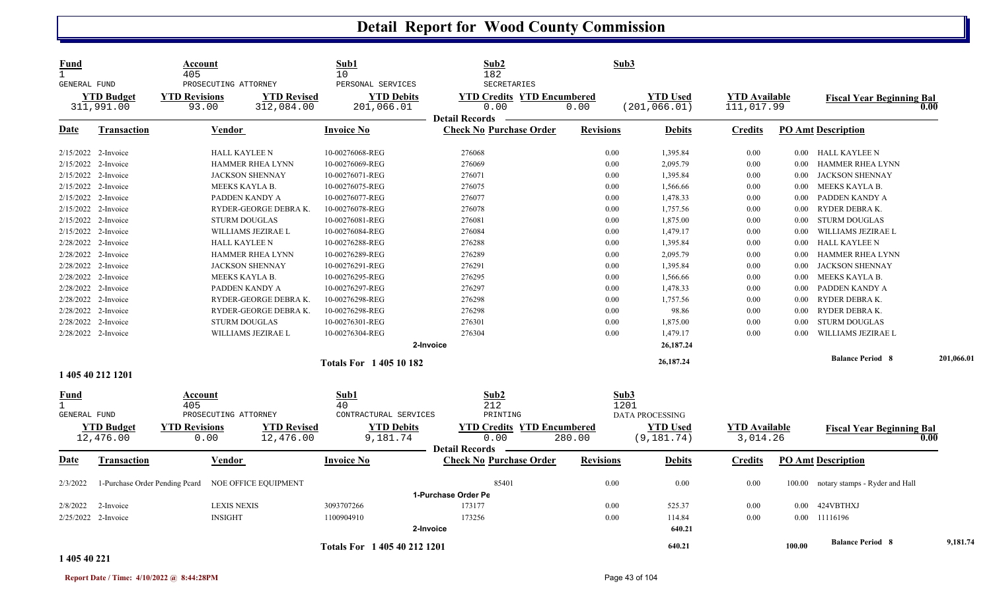| Fund<br>$\mathbf{1}$<br>GENERAL FUND |                                 | Account<br>405<br>PROSECUTING ATTORNEY |                                  | Sub1<br>10<br>PERSONAL SERVICES     | Sub2<br>182<br>SECRETARIES                | Sub3             |                                  |                                    |          |                                  |            |
|--------------------------------------|---------------------------------|----------------------------------------|----------------------------------|-------------------------------------|-------------------------------------------|------------------|----------------------------------|------------------------------------|----------|----------------------------------|------------|
|                                      | <b>YTD Budget</b><br>311,991.00 | <b>YTD Revisions</b><br>93.00          | <b>YTD Revised</b><br>312,084.00 | <b>YTD Debits</b><br>201,066.01     | <b>YTD Credits YTD Encumbered</b><br>0.00 | 0.00             | <b>YTD Used</b><br>(201, 066.01) | <b>YTD</b> Available<br>111,017.99 |          | <b>Fiscal Year Beginning Bal</b> | 0.00       |
|                                      |                                 |                                        |                                  |                                     | <b>Detail Records</b>                     |                  |                                  |                                    |          |                                  |            |
| Date                                 | <b>Transaction</b>              | Vendor                                 |                                  | <b>Invoice No</b>                   | <b>Check No Purchase Order</b>            | <b>Revisions</b> | <b>Debits</b>                    | <b>Credits</b>                     |          | <b>PO Amt Description</b>        |            |
|                                      | 2/15/2022 2-Invoice             | <b>HALL KAYLEE N</b>                   |                                  | 10-00276068-REG                     | 276068                                    | 0.00             | 1,395.84                         | 0.00                               | $0.00\,$ | HALL KAYLEE N                    |            |
|                                      | 2/15/2022 2-Invoice             |                                        | HAMMER RHEA LYNN                 | 10-00276069-REG                     | 276069                                    | 0.00             | 2,095.79                         | 0.00                               | 0.00     | HAMMER RHEA LYNN                 |            |
| 2/15/2022                            | 2-Invoice                       |                                        | <b>JACKSON SHENNAY</b>           | 10-00276071-REG                     | 276071                                    | 0.00             | 1,395.84                         | 0.00                               | 0.00     | JACKSON SHENNAY                  |            |
| 2/15/2022                            | 2-Invoice                       | MEEKS KAYLA B.                         |                                  | 10-00276075-REG                     | 276075                                    | 0.00             | 1,566.66                         | 0.00                               | $0.00\,$ | MEEKS KAYLA B.                   |            |
|                                      | 2/15/2022 2-Invoice             | PADDEN KANDY A                         |                                  | 10-00276077-REG                     | 276077                                    | 0.00             | 1,478.33                         | 0.00                               | 0.00     | PADDEN KANDY A                   |            |
|                                      | 2/15/2022 2-Invoice             |                                        | RYDER-GEORGE DEBRAK.             | 10-00276078-REG                     | 276078                                    | 0.00             | 1,757.56                         | 0.00                               | $0.00\,$ | RYDER DEBRA K.                   |            |
|                                      | 2/15/2022 2-Invoice             | <b>STURM DOUGLAS</b>                   |                                  | 10-00276081-REG                     | 276081                                    | 0.00             | 1,875.00                         | 0.00                               | $0.00\,$ | <b>STURM DOUGLAS</b>             |            |
|                                      | 2/15/2022 2-Invoice             |                                        | WILLIAMS JEZIRAE L               | 10-00276084-REG                     | 276084                                    | 0.00             | 1,479.17                         | 0.00                               | 0.00     | WILLIAMS JEZIRAE L               |            |
|                                      | 2/28/2022 2-Invoice             | <b>HALL KAYLEE N</b>                   |                                  | 10-00276288-REG                     | 276288                                    | 0.00             | 1,395.84                         | 0.00                               | $0.00\,$ | HALL KAYLEE N                    |            |
|                                      | 2/28/2022 2-Invoice             |                                        | HAMMER RHEA LYNN                 | 10-00276289-REG                     | 276289                                    | 0.00             | 2,095.79                         | 0.00                               | 0.00     | HAMMER RHEA LYNN                 |            |
| 2/28/2022                            | 2-Invoice                       |                                        | <b>JACKSON SHENNAY</b>           | 10-00276291-REG                     | 276291                                    | 0.00             | 1,395.84                         | 0.00                               | 0.00     | <b>JACKSON SHENNAY</b>           |            |
|                                      | 2/28/2022 2-Invoice             | MEEKS KAYLA B.                         |                                  | 10-00276295-REG                     | 276295                                    | 0.00             | 1,566.66                         | 0.00                               | $0.00\,$ | MEEKS KAYLA B.                   |            |
|                                      | 2/28/2022 2-Invoice             | PADDEN KANDY A                         |                                  | 10-00276297-REG                     | 276297                                    | 0.00             | 1,478.33                         | 0.00                               | 0.00     | PADDEN KANDY A                   |            |
|                                      | 2/28/2022 2-Invoice             |                                        | RYDER-GEORGE DEBRAK.             | 10-00276298-REG                     | 276298                                    | 0.00             | 1,757.56                         | 0.00                               | 0.00     | RYDER DEBRAK.                    |            |
|                                      | 2/28/2022 2-Invoice             |                                        | RYDER-GEORGE DEBRA K.            | 10-00276298-REG                     | 276298                                    | 0.00             | 98.86                            | 0.00                               | 0.00     | RYDER DEBRAK.                    |            |
|                                      | 2/28/2022 2-Invoice             | <b>STURM DOUGLAS</b>                   |                                  | 10-00276301-REG                     | 276301                                    | 0.00             | 1,875.00                         | 0.00                               | 0.00     | <b>STURM DOUGLAS</b>             |            |
|                                      | 2/28/2022 2-Invoice             |                                        | WILLIAMS JEZIRAE L               | 10-00276304-REG                     | 276304                                    | 0.00             | 1,479.17                         | 0.00                               | 0.00     | WILLIAMS JEZIRAE L               |            |
|                                      |                                 |                                        |                                  |                                     | 2-Invoice                                 |                  | 26,187.24                        |                                    |          |                                  |            |
|                                      |                                 |                                        |                                  | <b>Totals For 140510182</b>         |                                           |                  | 26,187.24                        |                                    |          | <b>Balance Period 8</b>          | 201,066.01 |
|                                      | 1 405 40 212 1201               |                                        |                                  |                                     |                                           |                  |                                  |                                    |          |                                  |            |
| Fund<br>$\mathbf{1}$<br>GENERAL FUND |                                 | Account<br>405<br>PROSECUTING ATTORNEY |                                  | Sub1<br>40<br>CONTRACTURAL SERVICES | Sub2<br>212<br>PRINTING                   | Sub3<br>1201     | <b>DATA PROCESSING</b>           |                                    |          |                                  |            |
|                                      | <b>YTD Budget</b>               | <b>YTD Revisions</b>                   | <b>YTD Revised</b>               | <b>YTD Debits</b>                   | <b>YTD Credits YTD Encumbered</b>         |                  | <b>YTD Used</b>                  | <b>YTD Available</b>               |          |                                  |            |
|                                      | 12,476.00                       | 0.00                                   | 12,476.00                        | 9,181.74                            | 0.00<br><b>Detail Records</b>             | 280.00           | (9, 181.74)                      | 3,014.26                           |          | <b>Fiscal Year Beginning Bal</b> | 0.00       |
| Date                                 | Transaction                     | Vendor                                 |                                  | <b>Invoice No</b>                   | <b>Check No Purchase Order</b>            | <b>Revisions</b> | <b>Debits</b>                    | <b>Credits</b>                     |          | <b>PO Amt Description</b>        |            |
| 2/3/2022                             | 1-Purchase Order Pending Pcard  |                                        | NOE OFFICE EQUIPMENT             |                                     | 85401                                     | 0.00             | 0.00                             | 0.00                               | 100.00   | notary stamps - Ryder and Hall   |            |
|                                      |                                 |                                        |                                  |                                     | 1-Purchase Order Pe                       |                  |                                  |                                    |          |                                  |            |
| 2/8/2022                             | 2-Invoice                       | <b>LEXIS NEXIS</b>                     |                                  | 3093707266                          | 173177                                    | 0.00             | 525.37                           | 0.00                               | 0.00     | 424VBTHXJ                        |            |
|                                      | 2/25/2022 2-Invoice             | <b>INSIGHT</b>                         |                                  | 1100904910                          | 173256                                    | 0.00             | 114.84                           | 0.00                               | $0.00\,$ | 11116196                         |            |
|                                      |                                 |                                        |                                  |                                     | 2-Invoice                                 |                  | 640.21                           |                                    |          |                                  |            |
|                                      |                                 |                                        |                                  | Totals For 1 405 40 212 1201        |                                           |                  | 640.21                           |                                    | 100.00   | <b>Balance Period 8</b>          | 9,181.74   |

#### **1 405 40 221**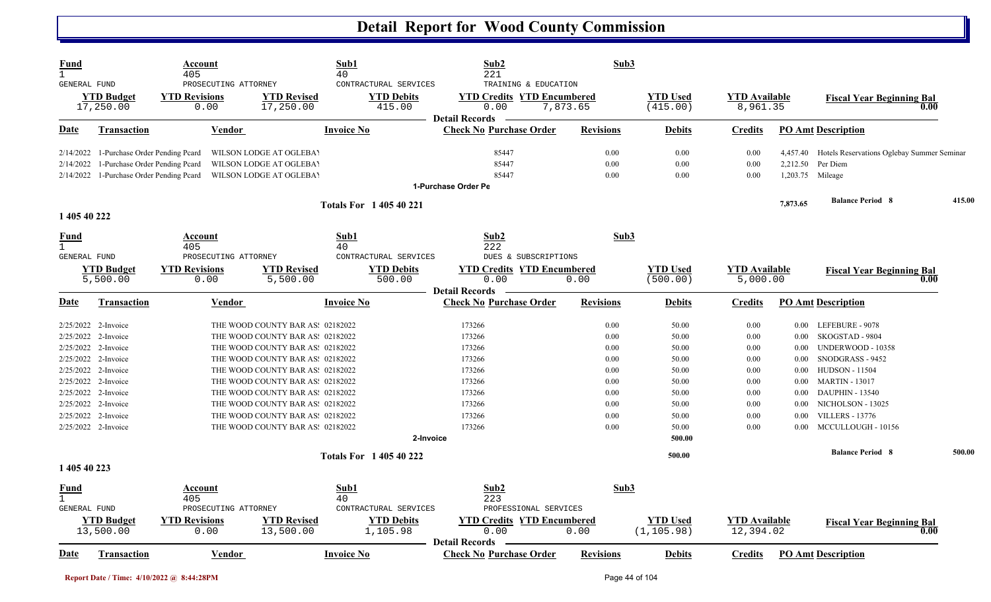| <u>Fund</u><br>$\mathbf{1}$          |                                | Account<br>405                                       |                                  | Sub1<br>40                                           | Sub2<br>221                                                       | Sub3             |                                |                                   |          |                                            |        |
|--------------------------------------|--------------------------------|------------------------------------------------------|----------------------------------|------------------------------------------------------|-------------------------------------------------------------------|------------------|--------------------------------|-----------------------------------|----------|--------------------------------------------|--------|
| GENERAL FUND                         | <b>YTD Budget</b><br>17,250.00 | PROSECUTING ATTORNEY<br><b>YTD Revisions</b><br>0.00 | <b>YTD Revised</b><br>17,250.00  | CONTRACTURAL SERVICES<br><b>YTD Debits</b><br>415.00 | TRAINING & EDUCATION<br><b>YTD Credits YTD Encumbered</b><br>0.00 | 7,873.65         | <b>YTD Used</b><br>(415.00)    | <b>YTD</b> Available<br>8,961.35  |          | <b>Fiscal Year Beginning Bal</b><br>0.00   |        |
| <u>Date</u>                          | Transaction                    | Vendor                                               |                                  | <b>Invoice No</b>                                    | <b>Detail Records</b><br><b>Check No Purchase Order</b>           | <b>Revisions</b> | <b>Debits</b>                  | <b>Credits</b>                    |          | <b>PO Amt Description</b>                  |        |
|                                      |                                |                                                      |                                  |                                                      |                                                                   |                  |                                |                                   |          |                                            |        |
| 2/14/2022                            | 1-Purchase Order Pending Peard |                                                      | WILSON LODGE AT OGLEBA'          |                                                      | 85447                                                             | 0.00             | 0.00                           | 0.00                              | 4,457.40 | Hotels Reservations Oglebay Summer Seminar |        |
| 2/14/2022                            | 1-Purchase Order Pending Pcard |                                                      | <b>WILSON LODGE AT OGLEBAY</b>   |                                                      | 85447                                                             | 0.00             | 0.00                           | 0.00                              | 2,212.50 | Per Diem                                   |        |
| 2/14/2022                            | 1-Purchase Order Pending Pcard |                                                      | WILSON LODGE AT OGLEBA'          |                                                      | 85447                                                             | 0.00             | 0.00                           | 0.00                              |          | 1,203.75 Mileage                           |        |
|                                      |                                |                                                      |                                  |                                                      | 1-Purchase Order Pe                                               |                  |                                |                                   |          |                                            |        |
| 1 405 40 222                         |                                |                                                      |                                  | <b>Totals For 140540221</b>                          |                                                                   |                  |                                |                                   | 7,873.65 | <b>Balance Period 8</b>                    | 415.00 |
| <u>Fund</u>                          |                                | <b>Account</b>                                       |                                  | Sub1                                                 | Sub2                                                              | Sub3             |                                |                                   |          |                                            |        |
| $\mathbf{1}$                         |                                | 405                                                  |                                  | 40                                                   | 222                                                               |                  |                                |                                   |          |                                            |        |
| GENERAL FUND                         |                                | PROSECUTING ATTORNEY                                 |                                  | CONTRACTURAL SERVICES                                | DUES & SUBSCRIPTIONS                                              |                  |                                |                                   |          |                                            |        |
|                                      | <b>YTD Budget</b>              | <b>YTD Revisions</b>                                 | <b>YTD Revised</b>               | <b>YTD Debits</b>                                    | <b>YTD Credits YTD Encumbered</b>                                 |                  | <b>YTD Used</b>                | <b>YTD</b> Available              |          | <b>Fiscal Year Beginning Bal</b>           |        |
|                                      | 5,500.00                       | 0.00                                                 | 5,500.00                         | 500.00                                               | 0.00                                                              | 0.00             | (500.00)                       | 5,000.00                          |          | 0.00                                       |        |
|                                      |                                |                                                      |                                  |                                                      | <b>Detail Records</b>                                             |                  |                                |                                   |          |                                            |        |
| <u>Date</u>                          | Transaction                    | Vendor                                               |                                  | <b>Invoice No</b>                                    | <b>Check No Purchase Order</b>                                    | <b>Revisions</b> | <b>Debits</b>                  | <b>Credits</b>                    |          | <b>PO Amt Description</b>                  |        |
|                                      | $2/25/2022$ 2-Invoice          |                                                      | THE WOOD COUNTY BAR AS: 02182022 |                                                      | 173266                                                            | 0.00             | 50.00                          | 0.00                              | $0.00\,$ | LEFEBURE - 9078                            |        |
| 2/25/2022                            | 2-Invoice                      |                                                      | THE WOOD COUNTY BAR AS: 02182022 |                                                      | 173266                                                            | 0.00             | 50.00                          | 0.00                              | 0.00     | SKOGSTAD - 9804                            |        |
|                                      | 2/25/2022 2-Invoice            |                                                      | THE WOOD COUNTY BAR AS: 02182022 |                                                      | 173266                                                            | 0.00             | 50.00                          | 0.00                              | 0.00     | UNDERWOOD - 10358                          |        |
|                                      | 2/25/2022 2-Invoice            |                                                      | THE WOOD COUNTY BAR AS: 02182022 |                                                      | 173266                                                            | 0.00             | 50.00                          | 0.00                              | $0.00\,$ | SNODGRASS - 9452                           |        |
| 2/25/2022                            | 2-Invoice                      |                                                      | THE WOOD COUNTY BAR AS: 02182022 |                                                      | 173266                                                            | 0.00             | 50.00                          | 0.00                              | 0.00     | <b>HUDSON - 11504</b>                      |        |
|                                      | 2/25/2022 2-Invoice            |                                                      | THE WOOD COUNTY BAR AS: 02182022 |                                                      | 173266                                                            | 0.00             | 50.00                          | 0.00                              | $0.00\,$ | <b>MARTIN - 13017</b>                      |        |
|                                      | 2/25/2022 2-Invoice            |                                                      | THE WOOD COUNTY BAR AS: 02182022 |                                                      | 173266                                                            | 0.00             | 50.00                          | 0.00                              | 0.00     | <b>DAUPHIN - 13540</b>                     |        |
| 2/25/2022                            | 2-Invoice                      |                                                      | THE WOOD COUNTY BAR AS: 02182022 |                                                      | 173266                                                            | 0.00             | 50.00                          | 0.00                              | 0.00     | NICHOLSON - 13025                          |        |
|                                      | 2/25/2022 2-Invoice            |                                                      | THE WOOD COUNTY BAR AS: 02182022 |                                                      | 173266                                                            | 0.00             | 50.00                          | 0.00                              | 0.00     | <b>VILLERS - 13776</b>                     |        |
|                                      | 2/25/2022 2-Invoice            |                                                      | THE WOOD COUNTY BAR AS: 02182022 | 2-Invoice                                            | 173266                                                            | 0.00             | 50.00<br>500.00                | 0.00                              | 0.00     | MCCULLOUGH - 10156                         |        |
|                                      |                                |                                                      |                                  |                                                      |                                                                   |                  | 500.00                         |                                   |          | <b>Balance Period 8</b>                    | 500.00 |
| 1 405 40 223                         |                                |                                                      |                                  | <b>Totals For 140540222</b>                          |                                                                   |                  |                                |                                   |          |                                            |        |
| Fund<br>$\mathbf{1}$<br>GENERAL FUND |                                | Account<br>405<br>PROSECUTING ATTORNEY               |                                  | $\mathbf{Sub1}$<br>40<br>CONTRACTURAL SERVICES       | Sub2<br>223<br>PROFESSIONAL SERVICES                              | Sub3             |                                |                                   |          |                                            |        |
|                                      | <b>YTD Budget</b><br>13,500.00 | <b>YTD Revisions</b><br>0.00                         | <b>YTD Revised</b><br>13,500.00  | <b>YTD Debits</b><br>1,105.98                        | <b>YTD Credits YTD Encumbered</b><br>0.00                         | 0.00             | <b>YTD Used</b><br>(1, 105.98) | <b>YTD</b> Available<br>12,394.02 |          | <b>Fiscal Year Beginning Bal</b><br>0.00   |        |
|                                      |                                |                                                      |                                  |                                                      | <b>Detail Records</b>                                             |                  |                                |                                   |          |                                            |        |
| <b>Date</b>                          | <b>Transaction</b>             | Vendor                                               |                                  | <b>Invoice No</b>                                    | <b>Check No Purchase Order</b>                                    | <b>Revisions</b> | <b>Debits</b>                  | <b>Credits</b>                    |          | <b>PO Amt Description</b>                  |        |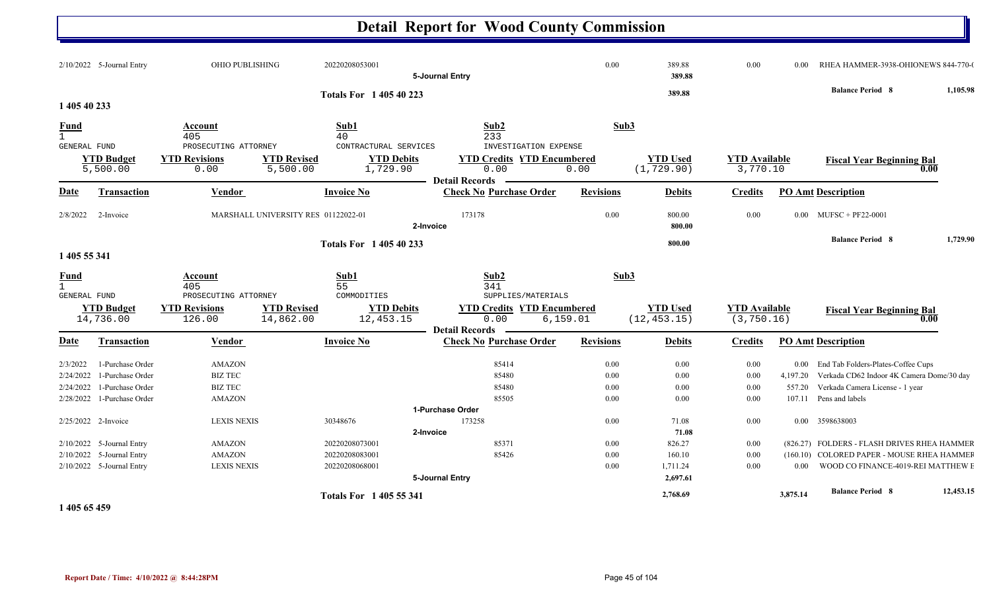|                                      |                                |                                                        |                                     |                                               | <b>Detail Report for Wood County Commission</b> |                                                                      |                  |                                 |                                     |          |                                                                |           |
|--------------------------------------|--------------------------------|--------------------------------------------------------|-------------------------------------|-----------------------------------------------|-------------------------------------------------|----------------------------------------------------------------------|------------------|---------------------------------|-------------------------------------|----------|----------------------------------------------------------------|-----------|
|                                      | 2/10/2022 5-Journal Entry      | OHIO PUBLISHING                                        |                                     | 20220208053001                                | 5-Journal Entry                                 |                                                                      | 0.00             | 389.88<br>389.88                | 0.00                                | 0.00     | RHEA HAMMER-3938-OHIONEWS 844-770-0<br><b>Balance Period 8</b> | 1,105.98  |
|                                      |                                |                                                        |                                     | <b>Totals For 140540223</b>                   |                                                 |                                                                      |                  | 389.88                          |                                     |          |                                                                |           |
| 1 405 40 233                         |                                |                                                        |                                     |                                               |                                                 |                                                                      |                  |                                 |                                     |          |                                                                |           |
| Fund<br>$\mathbf{1}$<br>GENERAL FUND |                                | Account<br>405<br>PROSECUTING ATTORNEY                 |                                     | Sub1<br>40<br>CONTRACTURAL SERVICES           | Sub2<br>233                                     | INVESTIGATION EXPENSE                                                | Sub3             |                                 |                                     |          |                                                                |           |
|                                      | <b>YTD Budget</b><br>5,500.00  | <b>YTD Revisions</b><br>0.00                           | <b>YTD Revised</b><br>5,500.00      | <b>YTD Debits</b><br>1,729.90                 | 0.00<br><b>Detail Records</b>                   | <b>YTD Credits YTD Encumbered</b><br>0.00                            |                  | <b>YTD Used</b><br>(1, 729.90)  | <b>YTD Available</b><br>3,770.10    |          | <b>Fiscal Year Beginning Bal</b>                               | 0.00      |
| <b>Date</b>                          | Transaction                    | Vendor                                                 |                                     | <b>Invoice No</b>                             | <b>Check No Purchase Order</b>                  |                                                                      | <b>Revisions</b> | <b>Debits</b>                   | <b>Credits</b>                      |          | <b>PO Amt Description</b>                                      |           |
| 2/8/2022                             | 2-Invoice                      |                                                        | MARSHALL UNIVERSITY RES 01122022-01 |                                               | 173178<br>2-Invoice                             |                                                                      | 0.00             | 800.00<br>800.00                | 0.00                                |          | $0.00$ MUFSC + PF22-0001                                       |           |
| 1 405 55 341                         |                                |                                                        |                                     | <b>Totals For 140540233</b>                   |                                                 |                                                                      |                  | 800.00                          |                                     |          | <b>Balance Period 8</b>                                        | 1,729.90  |
| <b>Fund</b><br>$\mathbf{1}$          |                                | Account<br>405                                         |                                     | Sub1<br>55                                    | Sub2<br>341                                     |                                                                      | Sub3             |                                 |                                     |          |                                                                |           |
| <b>GENERAL FUND</b>                  | <b>YTD Budget</b><br>14,736.00 | PROSECUTING ATTORNEY<br><b>YTD Revisions</b><br>126.00 | <b>YTD Revised</b><br>14,862.00     | COMMODITIES<br><b>YTD Debits</b><br>12,453.15 | 0.00<br><b>Detail Records</b>                   | SUPPLIES/MATERIALS<br><b>YTD Credits YTD Encumbered</b><br>6, 159.01 |                  | <b>YTD Used</b><br>(12, 453.15) | <b>YTD Available</b><br>(3, 750.16) |          | <b>Fiscal Year Beginning Bal</b>                               | 0.00      |
| Date                                 | Transaction                    | Vendor                                                 |                                     | <b>Invoice No</b>                             | <b>Check No Purchase Order</b>                  |                                                                      | <b>Revisions</b> | <b>Debits</b>                   | <b>Credits</b>                      |          | <b>PO Amt Description</b>                                      |           |
| 2/3/2022                             | 1-Purchase Order               | <b>AMAZON</b>                                          |                                     |                                               | 85414                                           |                                                                      | 0.00             | 0.00                            | 0.00                                |          | 0.00 End Tab Folders-Plates-Coffee Cups                        |           |
| 2/24/2022                            | 1-Purchase Order               | <b>BIZ TEC</b>                                         |                                     |                                               | 85480                                           |                                                                      | 0.00             | 0.00                            | 0.00                                | 4,197.20 | Verkada CD62 Indoor 4K Camera Dome/30 day                      |           |
| 2/24/2022                            | 1-Purchase Order               | <b>BIZ TEC</b>                                         |                                     |                                               | 85480                                           |                                                                      | 0.00             | 0.00                            | 0.00                                | 557.20   | Verkada Camera License - 1 year                                |           |
| 2/28/2022                            | 1-Purchase Order               | <b>AMAZON</b>                                          |                                     |                                               | 85505                                           |                                                                      | 0.00             | 0.00                            | 0.00                                |          | 107.11 Pens and labels                                         |           |
|                                      |                                |                                                        |                                     |                                               | 1-Purchase Order                                |                                                                      |                  |                                 |                                     |          |                                                                |           |
|                                      | 2/25/2022 2-Invoice            | <b>LEXIS NEXIS</b>                                     |                                     | 30348676                                      | 173258                                          |                                                                      | 0.00             | 71.08                           | 0.00                                |          | 0.00 3598638003                                                |           |
|                                      |                                |                                                        |                                     |                                               | 2-Invoice                                       |                                                                      |                  | 71.08                           |                                     |          |                                                                |           |
|                                      | 2/10/2022 5-Journal Entry      | <b>AMAZON</b>                                          |                                     | 20220208073001                                | 85371                                           |                                                                      | 0.00             | 826.27                          | 0.00                                |          | (826.27) FOLDERS - FLASH DRIVES RHEA HAMMER                    |           |
|                                      | 2/10/2022 5-Journal Entry      | <b>AMAZON</b>                                          |                                     | 20220208083001                                | 85426                                           |                                                                      | 0.00             | 160.10                          | 0.00                                |          | (160.10) COLORED PAPER - MOUSE RHEA HAMMEF                     |           |
|                                      | 2/10/2022 5-Journal Entry      | <b>LEXIS NEXIS</b>                                     |                                     | 20220208068001                                | 5-Journal Entry                                 |                                                                      | 0.00             | 1,711.24<br>2,697.61            | 0.00                                | $0.00\,$ | WOOD CO FINANCE-4019-REI MATTHEW E                             |           |
|                                      |                                |                                                        |                                     | <b>Totals For 1405 55 341</b>                 |                                                 |                                                                      |                  | 2,768.69                        |                                     | 3,875.14 | <b>Balance Period 8</b>                                        | 12,453.15 |

**1 405 65 459**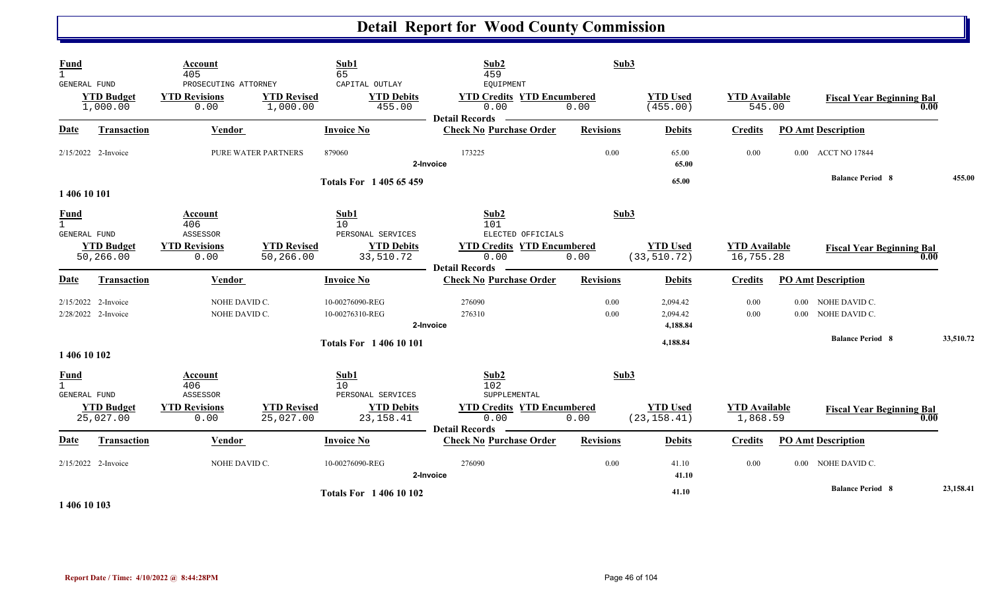| <b>Fund</b><br>GENERAL FUND                                        | <b>YTD Budget</b><br>1,000.00                | Account<br>405<br>PROSECUTING ATTORNEY<br><b>YTD Revisions</b><br>0.00 | <b>YTD Revised</b><br>1,000.00  | Sub1<br>65<br>CAPITAL OUTLAY<br><b>YTD Debits</b><br>455.00        | Sub2<br>459<br>EQUIPMENT<br><b>YTD Credits YTD Encumbered</b><br>0.00                                  | Sub3<br>0.00     | <b>YTD Used</b><br>(455.00)      | <b>YTD</b> Available<br>545.00    |                      | <b>Fiscal Year Beginning Bal</b> | 0.00 |           |
|--------------------------------------------------------------------|----------------------------------------------|------------------------------------------------------------------------|---------------------------------|--------------------------------------------------------------------|--------------------------------------------------------------------------------------------------------|------------------|----------------------------------|-----------------------------------|----------------------|----------------------------------|------|-----------|
| Date                                                               | Transaction                                  | Vendor                                                                 |                                 | <b>Invoice No</b>                                                  | <b>Detail Records</b><br><b>Check No Purchase Order</b>                                                | <b>Revisions</b> | <b>Debits</b>                    | <b>Credits</b>                    |                      | <b>PO Amt Description</b>        |      |           |
|                                                                    | 2/15/2022 2-Invoice                          |                                                                        | <b>PURE WATER PARTNERS</b>      | 879060                                                             | 173225<br>2-Invoice                                                                                    | 0.00             | 65.00<br>65.00                   | 0.00                              |                      | 0.00 ACCT NO 17844               |      |           |
|                                                                    |                                              |                                                                        |                                 | Totals For 1 405 65 459                                            |                                                                                                        |                  | 65.00                            |                                   |                      | <b>Balance Period 8</b>          |      | 455.00    |
| 1 406 10 101<br><b>Fund</b><br>$\mathbf{1}$<br><b>GENERAL FUND</b> | <b>YTD Budget</b><br>50,266.00               | Account<br>406<br>ASSESSOR<br><b>YTD Revisions</b><br>0.00             | <b>YTD Revised</b><br>50,266.00 | Sub1<br>10<br>PERSONAL SERVICES<br><b>YTD Debits</b><br>33,510.72  | Sub2<br>101<br>ELECTED OFFICIALS<br><b>YTD Credits YTD Encumbered</b><br>0.00<br><b>Detail Records</b> | Sub3<br>0.00     | <b>YTD Used</b><br>(33, 510.72)  | <b>YTD</b> Available<br>16,755.28 |                      | <b>Fiscal Year Beginning Bal</b> | 0.00 |           |
| Date                                                               | Transaction                                  | Vendor                                                                 |                                 | <b>Invoice No</b>                                                  | <b>Check No Purchase Order</b>                                                                         | <b>Revisions</b> | <b>Debits</b>                    | <b>Credits</b>                    |                      | <b>PO Amt Description</b>        |      |           |
|                                                                    | $2/15/2022$ 2-Invoice<br>2/28/2022 2-Invoice | NOHE DAVID C.<br>NOHE DAVID C.                                         |                                 | 10-00276090-REG<br>10-00276310-REG                                 | 276090<br>276310<br>2-Invoice                                                                          | 0.00<br>0.00     | 2,094.42<br>2,094.42<br>4,188.84 | 0.00<br>0.00                      | $0.00\,$<br>$0.00\,$ | NOHE DAVID C.<br>NOHE DAVID C.   |      |           |
| 1 406 10 102                                                       |                                              |                                                                        |                                 | <b>Totals For 140610101</b>                                        |                                                                                                        |                  | 4,188.84                         |                                   |                      | <b>Balance Period 8</b>          |      | 33,510.72 |
| <b>Fund</b><br>$\mathbf{1}$<br><b>GENERAL FUND</b>                 | <b>YTD Budget</b><br>25,027.00               | Account<br>406<br>ASSESSOR<br><b>YTD Revisions</b><br>0.00             | <b>YTD Revised</b><br>25,027.00 | Sub1<br>10<br>PERSONAL SERVICES<br><b>YTD Debits</b><br>23, 158.41 | Sub2<br>102<br>SUPPLEMENTAL<br><b>YTD Credits YTD Encumbered</b><br>0.00                               | Sub3<br>0.00     | <b>YTD Used</b><br>(23, 158.41)  | <b>YTD</b> Available<br>1,868.59  |                      | <b>Fiscal Year Beginning Bal</b> | 0.00 |           |
| Date                                                               | <b>Transaction</b>                           | Vendor                                                                 |                                 | <b>Invoice No</b>                                                  | <b>Detail Records</b><br><b>Check No Purchase Order</b>                                                | <b>Revisions</b> | <b>Debits</b>                    | <b>Credits</b>                    |                      | <b>PO Amt Description</b>        |      |           |
|                                                                    | 2/15/2022 2-Invoice                          | NOHE DAVID C.                                                          |                                 | 10-00276090-REG                                                    | 276090<br>2-Invoice                                                                                    | 0.00             | 41.10<br>41.10                   | 0.00                              |                      | 0.00 NOHE DAVID C.               |      |           |
|                                                                    |                                              |                                                                        |                                 | <b>Totals For 140610102</b>                                        |                                                                                                        |                  | 41.10                            |                                   |                      | <b>Balance Period 8</b>          |      | 23,158.41 |

**1 406 10 103**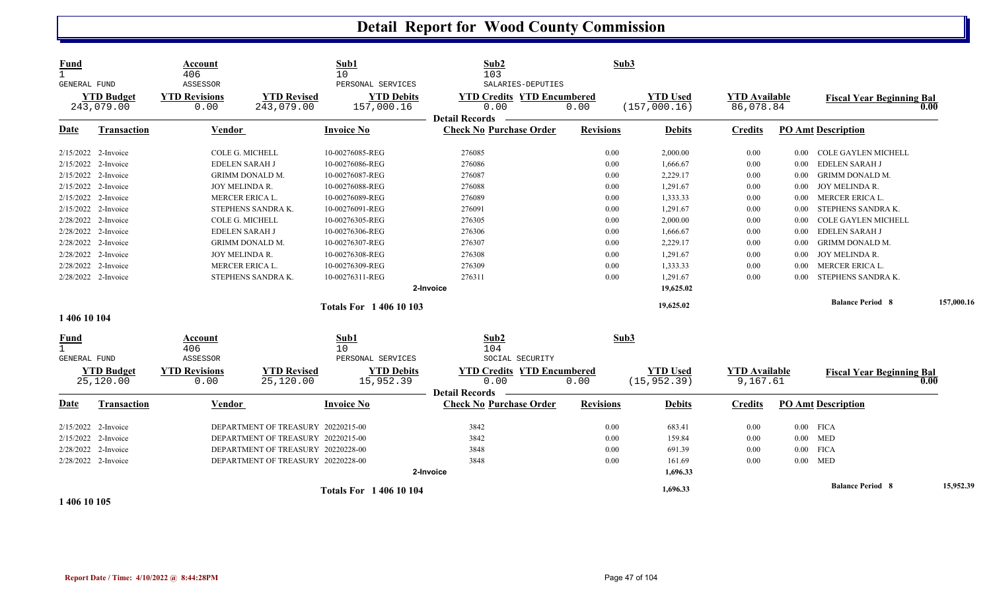| <b>Fund</b><br>$\mathbf{1}$<br>GENERAL FUND | <b>YTD Budget</b><br>243,079.00 | Account<br>406<br>ASSESSOR<br><b>YTD Revisions</b><br>0.00 | <b>YTD Revised</b><br>243,079.00   | Sub1<br>10<br>PERSONAL SERVICES<br><b>YTD Debits</b><br>157,000.16 | Sub2<br>103<br>SALARIES-DEPUTIES<br><b>YTD Credits YTD Encumbered</b><br>0.00 | Sub3<br>0.00     | <b>YTD Used</b><br>(157,000.16) | <b>YTD</b> Available<br>86,078.84 |             | <b>Fiscal Year Beginning Bal</b> | 0.00       |
|---------------------------------------------|---------------------------------|------------------------------------------------------------|------------------------------------|--------------------------------------------------------------------|-------------------------------------------------------------------------------|------------------|---------------------------------|-----------------------------------|-------------|----------------------------------|------------|
| Date                                        | Transaction                     | Vendor                                                     |                                    | <b>Invoice No</b>                                                  | <b>Detail Records</b><br><b>Check No Purchase Order</b>                       | <b>Revisions</b> | <b>Debits</b>                   | <b>Credits</b>                    |             | <b>PO Amt Description</b>        |            |
|                                             | $2/15/2022$ 2-Invoice           | COLE G. MICHELL                                            |                                    | 10-00276085-REG                                                    | 276085                                                                        | 0.00             | 2,000.00                        | 0.00                              | $0.00\,$    | <b>COLE GAYLEN MICHELL</b>       |            |
|                                             | 2/15/2022 2-Invoice             | <b>EDELEN SARAH J</b>                                      |                                    | 10-00276086-REG                                                    | 276086                                                                        | 0.00             | 1,666.67                        | 0.00                              | $0.00\,$    | EDELEN SARAH J                   |            |
|                                             | 2/15/2022 2-Invoice             |                                                            | GRIMM DONALD M.                    | 10-00276087-REG                                                    | 276087                                                                        | 0.00             | 2,229.17                        | 0.00                              | 0.00        | <b>GRIMM DONALD M.</b>           |            |
|                                             | 2/15/2022 2-Invoice             | JOY MELINDA R.                                             |                                    | 10-00276088-REG                                                    | 276088                                                                        | 0.00             | 1,291.67                        | 0.00                              | 0.00        | JOY MELINDA R.                   |            |
|                                             | 2/15/2022 2-Invoice             | MERCER ERICA L.                                            |                                    | 10-00276089-REG                                                    | 276089                                                                        | 0.00             | 1,333.33                        | $0.00\,$                          | $0.00\,$    | MERCER ERICA L.                  |            |
|                                             | 2/15/2022 2-Invoice             |                                                            | STEPHENS SANDRA K.                 | 10-00276091-REG                                                    | 276091                                                                        | 0.00             | 1,291.67                        | 0.00                              | $0.00\,$    | STEPHENS SANDRA K.               |            |
|                                             | 2/28/2022 2-Invoice             | COLE G. MICHELL                                            |                                    | 10-00276305-REG                                                    | 276305                                                                        | 0.00             | 2,000.00                        | 0.00                              | $0.00\,$    | <b>COLE GAYLEN MICHELL</b>       |            |
|                                             | 2/28/2022 2-Invoice             | <b>EDELEN SARAH J</b>                                      |                                    | 10-00276306-REG                                                    | 276306                                                                        | 0.00             | 1,666.67                        | 0.00                              | 0.00        | EDELEN SARAH J                   |            |
|                                             | 2/28/2022 2-Invoice             |                                                            | <b>GRIMM DONALD M.</b>             | 10-00276307-REG                                                    | 276307                                                                        | 0.00             | 2,229.17                        | 0.00                              | 0.00        | <b>GRIMM DONALD M</b>            |            |
|                                             | 2/28/2022 2-Invoice             | JOY MELINDA R.                                             |                                    | 10-00276308-REG                                                    | 276308                                                                        | 0.00             | 1,291.67                        | 0.00                              | $0.00\,$    | JOY MELINDA R.                   |            |
|                                             | 2/28/2022 2-Invoice             | MERCER ERICA L.                                            |                                    | 10-00276309-REG                                                    | 276309                                                                        | 0.00             | 1,333.33                        | 0.00                              | 0.00        | MERCER ERICA L.                  |            |
|                                             | 2/28/2022 2-Invoice             |                                                            | STEPHENS SANDRA K.                 | 10-00276311-REG                                                    | 276311                                                                        | 0.00             | 1,291.67                        | 0.00                              | 0.00        | STEPHENS SANDRA K.               |            |
|                                             |                                 |                                                            |                                    |                                                                    | 2-Invoice                                                                     |                  | 19,625.02                       |                                   |             |                                  |            |
|                                             |                                 |                                                            |                                    | <b>Totals For 140610103</b>                                        |                                                                               |                  | 19,625.02                       |                                   |             | <b>Balance Period 8</b>          | 157,000.16 |
| 1 406 10 104                                |                                 |                                                            |                                    |                                                                    |                                                                               |                  |                                 |                                   |             |                                  |            |
| <u>Fund</u><br>$\mathbf{1}$<br>GENERAL FUND |                                 | <b>Account</b><br>406<br>ASSESSOR                          |                                    | Sub1<br>10<br>PERSONAL SERVICES                                    | Sub2<br>104<br>SOCIAL SECURITY                                                | Sub3             |                                 |                                   |             |                                  |            |
|                                             | <b>YTD Budget</b><br>25,120.00  | <b>YTD Revisions</b><br>0.00                               | <b>YTD Revised</b><br>25,120.00    | <b>YTD Debits</b><br>15,952.39                                     | <b>YTD Credits YTD Encumbered</b><br>0.00<br><b>Detail Records</b>            | 0.00             | <b>YTD Used</b><br>(15, 952.39) | <b>YTD</b> Available<br>9,167.61  |             | <b>Fiscal Year Beginning Bal</b> | 0.00       |
| Date                                        | <b>Transaction</b>              | Vendor                                                     |                                    | <b>Invoice No</b>                                                  | <b>Check No Purchase Order</b>                                                | <b>Revisions</b> | <b>Debits</b>                   | <b>Credits</b>                    |             | <b>PO Amt Description</b>        |            |
|                                             | $2/15/2022$ 2-Invoice           |                                                            | DEPARTMENT OF TREASURY 20220215-00 |                                                                    | 3842                                                                          | 0.00             | 683.41                          | 0.00                              | $0.00$ FICA |                                  |            |
|                                             | 2/15/2022 2-Invoice             |                                                            | DEPARTMENT OF TREASURY 20220215-00 |                                                                    | 3842                                                                          | 0.00             | 159.84                          | 0.00                              | $0.00$ MED  |                                  |            |
|                                             | 2/28/2022 2-Invoice             |                                                            | DEPARTMENT OF TREASURY 20220228-00 |                                                                    | 3848                                                                          | 0.00             | 691.39                          | 0.00                              | $0.00\,$    | <b>FICA</b>                      |            |
|                                             | 2/28/2022 2-Invoice             |                                                            | DEPARTMENT OF TREASURY 20220228-00 |                                                                    | 3848                                                                          | 0.00             | 161.69                          | 0.00                              | $0.00$ MED  |                                  |            |
|                                             |                                 |                                                            |                                    |                                                                    | 2-Invoice                                                                     |                  | 1,696.33                        |                                   |             |                                  |            |
|                                             |                                 |                                                            |                                    | <b>Totals For 140610104</b>                                        |                                                                               |                  | 1,696.33                        |                                   |             | <b>Balance Period 8</b>          | 15,952.39  |

**1 406 10 105**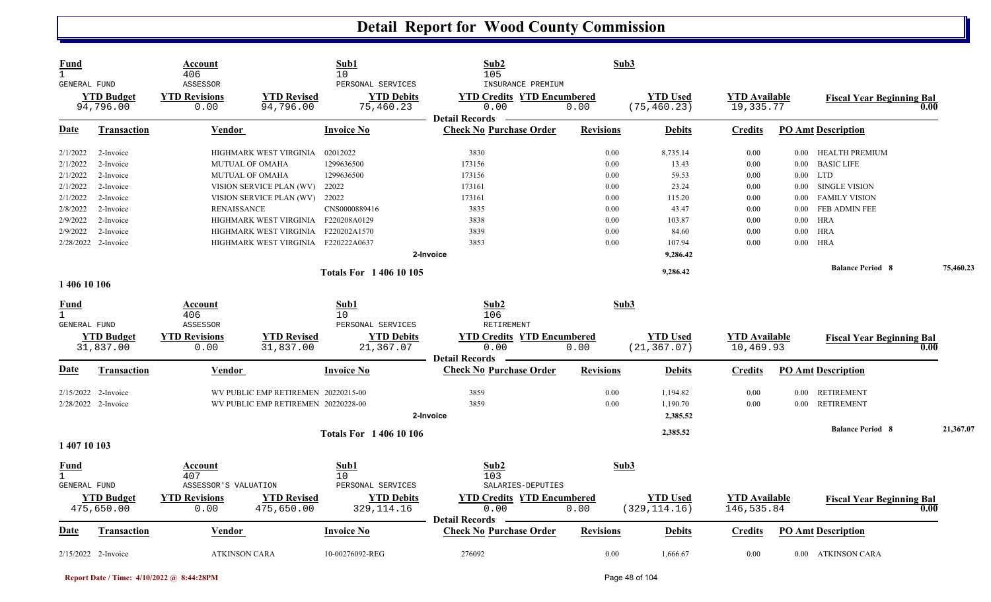| Fund<br>$\mathbf{1}$<br><b>GENERAL FUND</b> |                                | Account<br>406<br>ASSESSOR   |                                     | Sub1<br>10<br>PERSONAL SERVICES | Sub2<br>105<br>INSURANCE PREMIUM                        | Sub3             |                                 |                                   |          |                                  |           |
|---------------------------------------------|--------------------------------|------------------------------|-------------------------------------|---------------------------------|---------------------------------------------------------|------------------|---------------------------------|-----------------------------------|----------|----------------------------------|-----------|
|                                             | <b>YTD</b> Budget<br>94,796.00 | <b>YTD Revisions</b><br>0.00 | <b>YTD Revised</b><br>94,796.00     | <b>YTD Debits</b><br>75,460.23  | <b>YTD Credits YTD Encumbered</b><br>0.00               | 0.00             | <b>YTD</b> Used<br>(75, 460.23) | <b>YTD Available</b><br>19,335.77 |          | <b>Fiscal Year Beginning Bal</b> | 0.00      |
| Date                                        | <b>Transaction</b>             | Vendor                       |                                     | <b>Invoice No</b>               | <b>Detail Records</b><br><b>Check No Purchase Order</b> | <b>Revisions</b> | <b>Debits</b>                   | <b>Credits</b>                    |          | <b>PO Amt Description</b>        |           |
| 2/1/2022                                    | 2-Invoice                      |                              | HIGHMARK WEST VIRGINIA              | 02012022                        | 3830                                                    | 0.00             | 8,735.14                        | 0.00                              | $0.00\,$ | HEALTH PREMIUM                   |           |
| 2/1/2022                                    | 2-Invoice                      | MUTUAL OF OMAHA              |                                     | 1299636500                      | 173156                                                  | 0.00             | 13.43                           | 0.00                              |          | 0.00 BASIC LIFE                  |           |
| 2/1/2022                                    | 2-Invoice                      | <b>MUTUAL OF OMAHA</b>       |                                     | 1299636500                      | 173156                                                  | 0.00             | 59.53                           | 0.00                              |          | $0.00$ LTD                       |           |
| 2/1/2022                                    | 2-Invoice                      |                              | VISION SERVICE PLAN (WV)            | 22022                           | 173161                                                  | 0.00             | 23.24                           | 0.00                              | 0.00     | <b>SINGLE VISION</b>             |           |
| 2/1/2022                                    | 2-Invoice                      |                              | VISION SERVICE PLAN (WV)            | 22022                           | 173161                                                  | 0.00             | 115.20                          | 0.00                              |          | 0.00 FAMILY VISION               |           |
| 2/8/2022                                    | 2-Invoice                      | <b>RENAISSANCE</b>           |                                     | CNS0000889416                   | 3835                                                    | 0.00             | 43.47                           | 0.00                              | 0.00     | <b>FEB ADMIN FEE</b>             |           |
| 2/9/2022                                    | 2-Invoice                      |                              | HIGHMARK WEST VIRGINIA F220208A0129 |                                 | 3838                                                    | 0.00             | 103.87                          | 0.00                              | 0.00     | HRA                              |           |
| 2/9/2022                                    | 2-Invoice                      |                              | HIGHMARK WEST VIRGINIA F220202A1570 |                                 | 3839                                                    | 0.00             | 84.60                           | 0.00                              | $0.00\,$ | HRA                              |           |
|                                             | 2/28/2022 2-Invoice            |                              | HIGHMARK WEST VIRGINIA F220222A0637 |                                 | 3853                                                    | 0.00             | 107.94                          | 0.00                              | 0.00     | HRA                              |           |
|                                             |                                |                              |                                     |                                 | 2-Invoice                                               |                  | 9,286.42                        |                                   |          |                                  |           |
|                                             |                                |                              |                                     | <b>Totals For 140610105</b>     |                                                         |                  | 9,286.42                        |                                   |          | <b>Balance Period 8</b>          | 75,460.23 |
| 1 406 10 106                                |                                |                              |                                     |                                 |                                                         |                  |                                 |                                   |          |                                  |           |
| Fund                                        |                                | Account                      |                                     | Sub1                            | Sub <sub>2</sub>                                        | Sub3             |                                 |                                   |          |                                  |           |
| $\mathbf{1}$                                |                                | 406<br>ASSESSOR              |                                     | 10                              | 106                                                     |                  |                                 |                                   |          |                                  |           |
| GENERAL FUND                                |                                |                              |                                     | PERSONAL SERVICES               | RETIREMENT                                              |                  |                                 |                                   |          |                                  |           |
|                                             | <b>YTD Budget</b><br>31,837.00 | <b>YTD Revisions</b><br>0.00 | <b>YTD Revised</b><br>31,837.00     | <b>YTD Debits</b><br>21,367.07  | <b>YTD Credits YTD Encumbered</b><br>0.00               | 0.00             | <b>YTD</b> Used<br>(21, 367.07) | <b>YTD</b> Available<br>10,469.93 |          | <b>Fiscal Year Beginning Bal</b> | 0.00      |
|                                             |                                |                              |                                     |                                 | <b>Detail Records</b>                                   |                  |                                 |                                   |          |                                  |           |
| Date                                        | <b>Transaction</b>             | <b>Vendor</b>                |                                     | <b>Invoice No</b>               | <b>Check No Purchase Order</b>                          | <b>Revisions</b> | <b>Debits</b>                   | <b>Credits</b>                    |          | <b>PO Amt Description</b>        |           |
|                                             | $2/15/2022$ 2-Invoice          |                              | WV PUBLIC EMP RETIREMEN 20220215-00 |                                 | 3859                                                    | 0.00             | 1,194.82                        | 0.00                              | 0.00     | RETIREMENT                       |           |
|                                             | 2/28/2022 2-Invoice            |                              | WV PUBLIC EMP RETIREMEN 20220228-00 |                                 | 3859                                                    | 0.00             | 1,190.70                        | 0.00                              | 0.00     | <b>RETIREMENT</b>                |           |
|                                             |                                |                              |                                     |                                 | 2-Invoice                                               |                  | 2,385.52                        |                                   |          |                                  |           |
|                                             |                                |                              |                                     | <b>Totals For 140610106</b>     |                                                         |                  | 2,385.52                        |                                   |          | <b>Balance Period 8</b>          | 21,367.07 |
| 1 407 10 103                                |                                |                              |                                     |                                 |                                                         |                  |                                 |                                   |          |                                  |           |
| <b>Fund</b><br>$\mathbf{1}$                 |                                | Account<br>407               |                                     | Sub1<br>10                      | Sub2<br>103                                             | Sub3             |                                 |                                   |          |                                  |           |
| <b>GENERAL FUND</b>                         |                                | ASSESSOR'S VALUATION         |                                     | PERSONAL SERVICES               | SALARIES-DEPUTIES                                       |                  |                                 |                                   |          |                                  |           |
|                                             | <b>YTD Budget</b>              | <b>YTD Revisions</b>         | <b>YTD Revised</b>                  | <b>YTD Debits</b>               | <b>YTD Credits YTD Encumbered</b>                       |                  | <b>YTD</b> Used                 | <b>YTD</b> Available              |          | <b>Fiscal Year Beginning Bal</b> |           |
|                                             | 475,650.00                     | 0.00                         | 475,650.00                          | 329, 114. 16                    | 0.00                                                    | 0.00             | (329, 114.16)                   | 146,535.84                        |          |                                  | 0.00      |
|                                             |                                |                              |                                     |                                 | <b>Detail Records</b>                                   |                  |                                 |                                   |          |                                  |           |
| Date                                        | <b>Transaction</b>             | Vendor                       |                                     | <b>Invoice No</b>               | <b>Check No Purchase Order</b>                          | <b>Revisions</b> | <b>Debits</b>                   | <b>Credits</b>                    |          | <b>PO Amt Description</b>        |           |
|                                             | 2/15/2022 2-Invoice            | <b>ATKINSON CARA</b>         |                                     | 10-00276092-REG                 | 276092                                                  | 0.00             | 1,666.67                        | 0.00                              |          | 0.00 ATKINSON CARA               |           |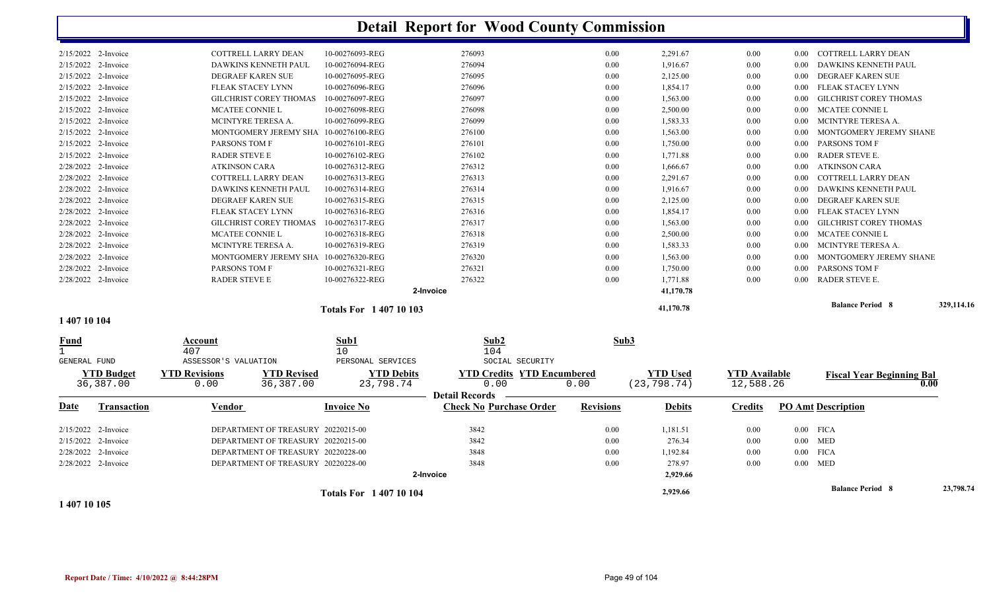|                        |                                  |                             |                                             | <b>Totals For 140710104</b>          |                                   |                  | 2,929.66             |                      |              | <b>Balance Period 8</b>                            | 23,798.74  |
|------------------------|----------------------------------|-----------------------------|---------------------------------------------|--------------------------------------|-----------------------------------|------------------|----------------------|----------------------|--------------|----------------------------------------------------|------------|
|                        |                                  |                             |                                             |                                      | 2-Invoice                         |                  | 2,929.66             |                      |              |                                                    |            |
|                        | 2/28/2022 2-Invoice              |                             | DEPARTMENT OF TREASURY 20220228-00          |                                      | 3848                              | 0.00             | 278.97               | 0.00                 |              | $0.00$ MED                                         |            |
|                        | 2/28/2022 2-Invoice              |                             | DEPARTMENT OF TREASURY 20220228-00          |                                      | 3848                              | 0.00             | 1,192.84             | 0.00                 | $0.00\,$     | <b>FICA</b>                                        |            |
|                        | 2/15/2022 2-Invoice              |                             | DEPARTMENT OF TREASURY 20220215-00          |                                      | 3842                              | 0.00             | 276.34               | 0.00                 |              | $0.00$ MED                                         |            |
|                        | 2/15/2022 2-Invoice              |                             | DEPARTMENT OF TREASURY 20220215-00          |                                      | 3842                              | 0.00             | 1,181.51             | 0.00                 |              | $0.00$ FICA                                        |            |
| <u>Date</u>            | <b>Transaction</b>               | Vendor                      |                                             | <b>Invoice No</b>                    | <b>Check No Purchase Order</b>    | <b>Revisions</b> | <b>Debits</b>        | <b>Credits</b>       |              | <b>PO Amt Description</b>                          |            |
|                        | 36,387.00                        | 0.00                        | 36, 387.00                                  | 23,798.74                            | 0.00<br><b>Detail Records</b>     | 0.00             | (23, 798.74)         | 12,588.26            |              |                                                    | 0.00       |
|                        | <b>YTD Budget</b>                | <b>YTD Revisions</b>        | <b>YTD Revised</b>                          | <b>YTD Debits</b>                    | <b>YTD Credits YTD Encumbered</b> |                  | <b>YTD Used</b>      | <b>YTD Available</b> |              | <b>Fiscal Year Beginning Bal</b>                   |            |
| GENERAL FUND           |                                  | 407<br>ASSESSOR'S VALUATION |                                             | 10 <sup>°</sup><br>PERSONAL SERVICES | 104<br>SOCIAL SECURITY            |                  |                      |                      |              |                                                    |            |
| <b>Fund</b>            |                                  | Account                     |                                             | Sub1                                 | Sub2                              | Sub3             |                      |                      |              |                                                    |            |
| 1 407 10 104           |                                  |                             |                                             |                                      |                                   |                  |                      |                      |              |                                                    |            |
|                        |                                  |                             |                                             | <b>Totals For 140710103</b>          |                                   |                  | 41,170.78            |                      |              | <b>Balance Period 8</b>                            | 329,114.16 |
|                        |                                  |                             |                                             |                                      | 2-Invoice                         |                  | 41,170.78            |                      |              |                                                    |            |
|                        | 2/28/2022 2-Invoice              | <b>RADER STEVE E</b>        |                                             | 10-00276322-REG                      | 276322                            | 0.00             | 1,771.88             | 0.00                 | 0.00         | <b>RADER STEVE E.</b>                              |            |
| 2/28/2022              | 2-Invoice                        | PARSONS TOM F               |                                             | 10-00276321-REG                      | 276321                            | 0.00             | 1,750.00             | 0.00                 | 0.00         | PARSONS TOM F                                      |            |
| 2/28/2022              | 2-Invoice                        |                             | MONTGOMERY JEREMY SHA                       | 10-00276320-REG                      | 276320                            | 0.00             | 1,563.00             | 0.00                 | 0.00         | MONTGOMERY JEREMY SHANE                            |            |
|                        | 2/28/2022 2-Invoice              |                             | MCINTYRE TERESA A.                          | 10-00276319-REG                      | 276319                            | 0.00             | 1,583.33             | 0.00                 | 0.00         | MCINTYRE TERESA A.                                 |            |
|                        | 2/28/2022 2-Invoice              | MCATEE CONNIE L             |                                             | 10-00276318-REG                      | 276318                            | 0.00             | 2,500.00             | 0.00                 | 0.00         | MCATEE CONNIE L                                    |            |
|                        | 2-Invoice<br>2/28/2022 2-Invoice |                             | FLEAK STACEY LYNN<br>GILCHRIST COREY THOMAS | 10-00276316-REG<br>10-00276317-REG   | 276317                            | 0.00<br>0.00     | 1,854.17<br>1,563.00 | 0.00<br>0.00         | 0.00<br>0.00 | FLEAK STACEY LYNN<br><b>GILCHRIST COREY THOMAS</b> |            |
| 2/28/2022<br>2/28/2022 | 2-Invoice                        |                             | DEGRAEF KAREN SUE                           | 10-00276315-REG                      | 276315<br>276316                  | 0.00             | 2,125.00             | 0.00                 | 0.00         | DEGRAEF KAREN SUE                                  |            |
|                        | 2/28/2022 2-Invoice              |                             | DAWKINS KENNETH PAUL                        | 10-00276314-REG                      | 276314                            | 0.00             | 1,916.67             | 0.00                 | 0.00         | DAWKINS KENNETH PAUL                               |            |
|                        | 2/28/2022 2-Invoice              |                             | COTTRELL LARRY DEAN                         | 10-00276313-REG                      | 276313                            | 0.00             | 2,291.67             | 0.00                 | 0.00         | COTTRELL LARRY DEAN                                |            |
|                        | 2/28/2022 2-Invoice              | <b>ATKINSON CARA</b>        |                                             | 10-00276312-REG                      | 276312                            | 0.00             | 1,666.67             | 0.00                 | 0.00         | ATKINSON CARA                                      |            |
|                        | 2/15/2022 2-Invoice              | <b>RADER STEVE E</b>        |                                             | 10-00276102-REG                      | 276102                            | 0.00             | 1,771.88             | 0.00                 | 0.00         | <b>RADER STEVE E.</b>                              |            |
| 2/15/2022              | 2-Invoice                        | PARSONS TOM F               |                                             | 10-00276101-REG                      | 276101                            | 0.00             | 1,750.00             | 0.00                 | 0.00         | <b>PARSONS TOM F</b>                               |            |
|                        | 2/15/2022 2-Invoice              |                             | MONTGOMERY JEREMY SHA 10-00276100-REG       |                                      | 276100                            | 0.00             | 1,563.00             | 0.00                 | 0.00         | MONTGOMERY JEREMY SHANE                            |            |
|                        | 2/15/2022 2-Invoice              |                             | MCINTYRE TERESA A.                          | 10-00276099-REG                      | 276099                            | 0.00             | 1,583.33             | 0.00                 | 0.00         | MCINTYRE TERESA A.                                 |            |
| 2/15/2022              | 2-Invoice                        | MCATEE CONNIE L             |                                             | 10-00276098-REG                      | 276098                            | 0.00             | 2,500.00             | 0.00                 | 0.00         | MCATEE CONNIE L                                    |            |
|                        | 2/15/2022 2-Invoice              |                             | GILCHRIST COREY THOMAS                      | 10-00276097-REG                      | 276097                            | 0.00             | 1,563.00             | 0.00                 | 0.00         | <b>GILCHRIST COREY THOMAS</b>                      |            |
|                        | 2/15/2022 2-Invoice              |                             | FLEAK STACEY LYNN                           | 10-00276096-REG                      | 276096                            | 0.00             | 1,854.17             | 0.00                 | 0.00         | FLEAK STACEY LYNN                                  |            |
|                        | 2/15/2022 2-Invoice              |                             | DEGRAEF KAREN SUE                           | 10-00276095-REG                      | 276095                            | 0.00             | 2,125.00             | 0.00                 | 0.00         | DEGRAEF KAREN SUE                                  |            |
|                        | 2/15/2022 2-Invoice              |                             | DAWKINS KENNETH PAUL                        | 10-00276094-REG                      | 276094                            | 0.00             | 1,916.67             | 0.00                 | 0.00         | DAWKINS KENNETH PAUL                               |            |
| 2/15/2022 2-Invoice    |                                  |                             | COTTRELL LARRY DEAN                         |                                      |                                   | 0.00             | 2,291.67             |                      |              | COTTRELL LARRY DEAN                                |            |

**1 407 10 105**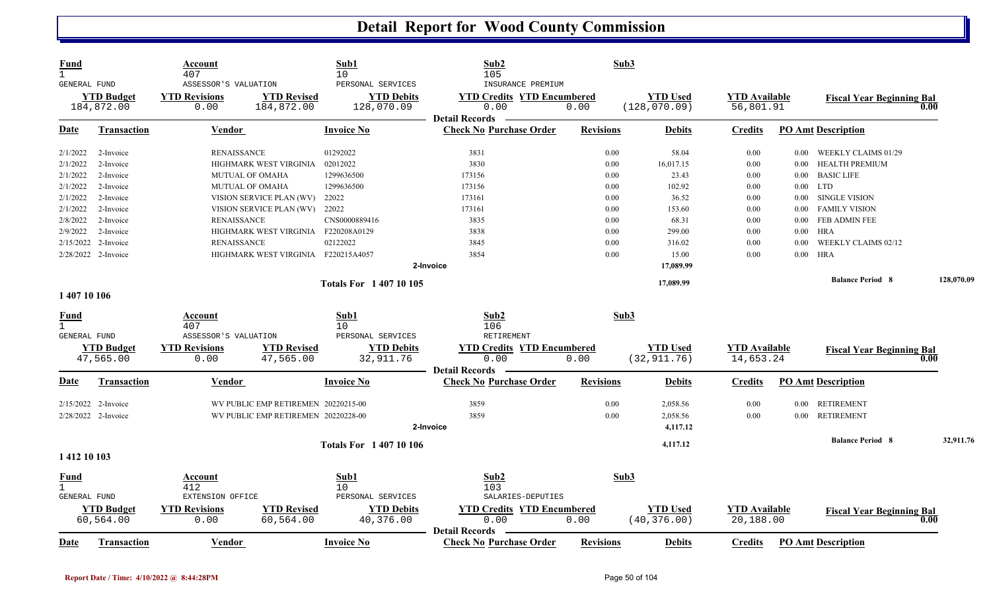| <b>Fund</b><br>1.   |                                 | Account<br>407                                       |                                     | Sub1<br>10                                           | Sub2<br>105                                                    | Sub3             |                                  |                                   |          |                                  |      |            |
|---------------------|---------------------------------|------------------------------------------------------|-------------------------------------|------------------------------------------------------|----------------------------------------------------------------|------------------|----------------------------------|-----------------------------------|----------|----------------------------------|------|------------|
| <b>GENERAL FUND</b> | <b>YTD Budget</b><br>184,872.00 | ASSESSOR'S VALUATION<br><b>YTD Revisions</b><br>0.00 | <b>YTD Revised</b><br>184,872.00    | PERSONAL SERVICES<br><b>YTD Debits</b><br>128,070.09 | INSURANCE PREMIUM<br><b>YTD Credits YTD Encumbered</b><br>0.00 | 0.00             | <b>YTD Used</b><br>(128, 070.09) | <b>YTD Available</b><br>56,801.91 |          | <b>Fiscal Year Beginning Bal</b> | 0.00 |            |
| Date                | <b>Transaction</b>              | Vendor                                               |                                     | Invoice No                                           | <b>Detail Records</b><br><b>Check No Purchase Order</b>        | <b>Revisions</b> | <b>Debits</b>                    | <b>Credits</b>                    |          | <b>PO Amt Description</b>        |      |            |
| 2/1/2022            | 2-Invoice                       | <b>RENAISSANCE</b>                                   |                                     | 01292022                                             | 3831                                                           | 0.00             | 58.04                            | 0.00                              | 0.00     | WEEKLY CLAIMS 01/29              |      |            |
| 2/1/2022            | 2-Invoice                       |                                                      | HIGHMARK WEST VIRGINIA              | 02012022                                             | 3830                                                           | 0.00             | 16,017.15                        | 0.00                              | 0.00     | <b>HEALTH PREMIUM</b>            |      |            |
| 2/1/2022            | 2-Invoice                       |                                                      | <b>MUTUAL OF OMAHA</b>              | 1299636500                                           | 173156                                                         | 0.00             | 23.43                            | 0.00                              | $0.00\,$ | <b>BASIC LIFE</b>                |      |            |
| 2/1/2022            | 2-Invoice                       |                                                      | MUTUAL OF OMAHA                     | 1299636500                                           | 173156                                                         | 0.00             | 102.92                           | 0.00                              |          | $0.00$ LTD                       |      |            |
| 2/1/2022            | 2-Invoice                       |                                                      | VISION SERVICE PLAN (WV)            | 22022                                                | 173161                                                         | 0.00             | 36.52                            | 0.00                              | 0.00     | <b>SINGLE VISION</b>             |      |            |
| 2/1/2022            | 2-Invoice                       |                                                      | VISION SERVICE PLAN (WV)            | 22022                                                | 173161                                                         | 0.00             | 153.60                           | 0.00                              | 0.00     | <b>FAMILY VISION</b>             |      |            |
| 2/8/2022            | 2-Invoice                       | <b>RENAISSANCE</b>                                   |                                     | CNS0000889416                                        | 3835                                                           | 0.00             | 68.31                            | 0.00                              | 0.00     | FEB ADMIN FEE                    |      |            |
| 2/9/2022            | 2-Invoice                       |                                                      | HIGHMARK WEST VIRGINIA              | F220208A0129                                         | 3838                                                           | 0.00             | 299.00                           | 0.00                              | 0.00     | <b>HRA</b>                       |      |            |
|                     | 2/15/2022 2-Invoice             | <b>RENAISSANCE</b>                                   |                                     | 02122022                                             | 3845                                                           | 0.00             | 316.02                           | 0.00                              | 0.00     | WEEKLY CLAIMS 02/12              |      |            |
|                     | 2/28/2022 2-Invoice             |                                                      | HIGHMARK WEST VIRGINIA F220215A4057 |                                                      | 3854                                                           | 0.00             | 15.00                            | 0.00                              | 0.00     | <b>HRA</b>                       |      |            |
|                     |                                 |                                                      |                                     |                                                      | 2-Invoice                                                      |                  | 17,089.99                        |                                   |          |                                  |      |            |
|                     |                                 |                                                      |                                     | <b>Totals For 140710105</b>                          |                                                                |                  | 17,089.99                        |                                   |          | <b>Balance Period 8</b>          |      | 128,070.09 |
| 1 407 10 106        |                                 |                                                      |                                     |                                                      |                                                                |                  |                                  |                                   |          |                                  |      |            |
| <u>Fund</u>         |                                 | Account                                              |                                     | Sub1                                                 | Sub2                                                           | Sub3             |                                  |                                   |          |                                  |      |            |
| $\mathbf{1}$        |                                 | 407                                                  |                                     | 10                                                   | 106                                                            |                  |                                  |                                   |          |                                  |      |            |
| <b>GENERAL FUND</b> |                                 | ASSESSOR'S VALUATION                                 |                                     | PERSONAL SERVICES                                    | <b>RETIREMENT</b>                                              |                  |                                  |                                   |          |                                  |      |            |
|                     | <b>YTD Budget</b>               | <b>YTD Revisions</b>                                 | <b>YTD Revised</b>                  | <b>YTD Debits</b>                                    | <b>YTD Credits YTD Encumbered</b>                              |                  | <b>YTD Used</b>                  | <b>YTD Available</b>              |          | <b>Fiscal Year Beginning Bal</b> |      |            |
|                     | 47,565.00                       | 0.00                                                 | 47,565.00                           | 32,911.76                                            | 0.00                                                           | 0.00             | (32, 911.76)                     | 14,653.24                         |          |                                  | 0.00 |            |
|                     |                                 |                                                      |                                     |                                                      | <b>Detail Records</b>                                          |                  |                                  |                                   |          |                                  |      |            |
| Date                | <b>Transaction</b>              | Vendor                                               |                                     | <b>Invoice No</b>                                    | <b>Check No Purchase Order</b>                                 | <b>Revisions</b> | <b>Debits</b>                    | <b>Credits</b>                    |          | <b>PO Amt Description</b>        |      |            |
|                     | 2/15/2022 2-Invoice             |                                                      | WV PUBLIC EMP RETIREMEN 20220215-00 |                                                      | 3859                                                           | 0.00             | 2,058.56                         | 0.00                              | $0.00\,$ | <b>RETIREMENT</b>                |      |            |
|                     | 2/28/2022 2-Invoice             |                                                      | WV PUBLIC EMP RETIREMEN 20220228-00 |                                                      | 3859                                                           | 0.00             | 2,058.56                         | 0.00                              | 0.00     | <b>RETIREMENT</b>                |      |            |
|                     |                                 |                                                      |                                     |                                                      | 2-Invoice                                                      |                  | 4,117.12                         |                                   |          |                                  |      |            |
|                     |                                 |                                                      |                                     | <b>Totals For 140710106</b>                          |                                                                |                  | 4,117.12                         |                                   |          | <b>Balance Period 8</b>          |      | 32,911.76  |
| 1 412 10 103        |                                 |                                                      |                                     |                                                      |                                                                |                  |                                  |                                   |          |                                  |      |            |
| <u>Fund</u>         |                                 | Account                                              |                                     | Sub1                                                 | Sub <sub>2</sub>                                               | Sub3             |                                  |                                   |          |                                  |      |            |
| $\mathbf{1}$        |                                 | 412                                                  |                                     | 10                                                   | 103                                                            |                  |                                  |                                   |          |                                  |      |            |
| <b>GENERAL FUND</b> |                                 | EXTENSION OFFICE                                     |                                     | PERSONAL SERVICES                                    | SALARIES-DEPUTIES                                              |                  |                                  |                                   |          |                                  |      |            |
|                     | <b>YTD Budget</b>               | <b>YTD Revisions</b>                                 | <b>YTD Revised</b>                  | <b>YTD Debits</b>                                    | <b>YTD Credits YTD Encumbered</b>                              |                  | <b>YTD Used</b>                  | <b>YTD Available</b>              |          | <b>Fiscal Year Beginning Bal</b> |      |            |
|                     | 60,564.00                       | 0.00                                                 | 60,564.00                           | 40,376.00                                            | 0.00                                                           | 0.00             | (40, 376.00)                     | 20,188.00                         |          |                                  | 0.00 |            |
|                     |                                 |                                                      |                                     |                                                      | <b>Detail Records</b>                                          |                  |                                  |                                   |          |                                  |      |            |
| Date                | <b>Transaction</b>              | Vendor                                               |                                     | <b>Invoice No</b>                                    | <b>Check No Purchase Order</b>                                 | <b>Revisions</b> | <b>Debits</b>                    | <b>Credits</b>                    |          | <b>PO Amt Description</b>        |      |            |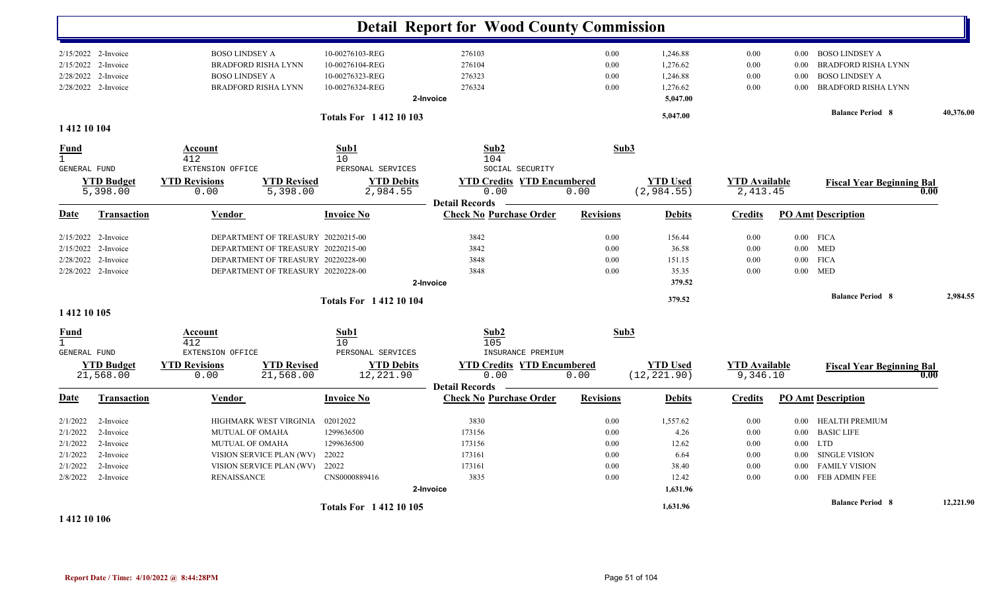|                              |                               |                              |                                    |                               | <b>Detail Report for Wood County Commission</b>         |                  |                                |                                  |          |                                  |           |
|------------------------------|-------------------------------|------------------------------|------------------------------------|-------------------------------|---------------------------------------------------------|------------------|--------------------------------|----------------------------------|----------|----------------------------------|-----------|
|                              |                               |                              |                                    |                               |                                                         |                  |                                |                                  |          |                                  |           |
|                              | 2/15/2022 2-Invoice           | <b>BOSO LINDSEY A</b>        |                                    | 10-00276103-REG               | 276103                                                  | 0.00             | 1,246.88                       | 0.00                             |          | 0.00 BOSO LINDSEY A              |           |
| 2/15/2022                    | 2-Invoice                     |                              | <b>BRADFORD RISHA LYNN</b>         | 10-00276104-REG               | 276104                                                  | 0.00             | 1,276.62                       | 0.00                             | 0.00     | <b>BRADFORD RISHA LYNN</b>       |           |
|                              | 2/28/2022 2-Invoice           | <b>BOSO LINDSEY A</b>        |                                    | 10-00276323-REG               | 276323                                                  | 0.00             | 1,246.88                       | 0.00                             | 0.00     | <b>BOSO LINDSEY A</b>            |           |
|                              | 2/28/2022 2-Invoice           |                              | <b>BRADFORD RISHA LYNN</b>         | 10-00276324-REG               | 276324                                                  | 0.00             | 1,276.62                       | 0.00                             | $0.00\,$ | BRADFORD RISHA LYNN              |           |
|                              |                               |                              |                                    |                               | 2-Invoice                                               |                  | 5,047.00                       |                                  |          |                                  |           |
|                              |                               |                              |                                    | <b>Totals For 141210103</b>   |                                                         |                  | 5,047.00                       |                                  |          | <b>Balance Period 8</b>          | 40,376.00 |
| 1 412 10 104                 |                               |                              |                                    |                               |                                                         |                  |                                |                                  |          |                                  |           |
| <b>Fund</b>                  |                               | <b>Account</b>               |                                    | Sub1                          | Sub2                                                    | Sub3             |                                |                                  |          |                                  |           |
| $\mathbf{1}$<br>GENERAL FUND |                               | 412<br>EXTENSION OFFICE      |                                    | 10<br>PERSONAL SERVICES       | 104<br>SOCIAL SECURITY                                  |                  |                                |                                  |          |                                  |           |
|                              |                               |                              | <b>YTD Revised</b>                 |                               |                                                         |                  |                                |                                  |          |                                  |           |
|                              | <b>YTD Budget</b><br>5,398.00 | <b>YTD Revisions</b><br>0.00 | 5,398.00                           | <b>YTD Debits</b><br>2,984.55 | <b>YTD Credits YTD Encumbered</b><br>0.00               | 0.00             | <b>YTD Used</b><br>(2, 984.55) | <b>YTD Available</b><br>2,413.45 |          | <b>Fiscal Year Beginning Bal</b> | 0.00      |
|                              |                               |                              |                                    |                               | <b>Detail Records</b>                                   |                  |                                |                                  |          |                                  |           |
| Date                         | <b>Transaction</b>            | <b>Vendor</b>                |                                    | <b>Invoice No</b>             | <b>Check No Purchase Order</b>                          | <b>Revisions</b> | <b>Debits</b>                  | <b>Credits</b>                   |          | <b>PO Amt Description</b>        |           |
|                              | 2/15/2022 2-Invoice           |                              | DEPARTMENT OF TREASURY 20220215-00 |                               | 3842                                                    | 0.00             | 156.44                         | 0.00                             |          | $0.00$ FICA                      |           |
| 2/15/2022                    | 2-Invoice                     |                              | DEPARTMENT OF TREASURY 20220215-00 |                               | 3842                                                    | 0.00             | 36.58                          | 0.00                             |          | $0.00$ MED                       |           |
|                              | 2/28/2022 2-Invoice           |                              | DEPARTMENT OF TREASURY 20220228-00 |                               | 3848                                                    | 0.00             | 151.15                         | 0.00                             |          | $0.00$ FICA                      |           |
|                              | 2/28/2022 2-Invoice           |                              | DEPARTMENT OF TREASURY 20220228-00 |                               | 3848                                                    | 0.00             | 35.35                          | 0.00                             |          | $0.00$ MED                       |           |
|                              |                               |                              |                                    |                               | 2-Invoice                                               |                  | 379.52                         |                                  |          |                                  |           |
|                              |                               |                              |                                    | <b>Totals For 141210104</b>   |                                                         |                  | 379.52                         |                                  |          | <b>Balance Period 8</b>          | 2,984.55  |
| 1 412 10 105                 |                               |                              |                                    |                               |                                                         |                  |                                |                                  |          |                                  |           |
| <b>Fund</b>                  |                               | Account                      |                                    | Sub1                          | Sub2                                                    | Sub3             |                                |                                  |          |                                  |           |
| $\mathbf{1}$<br>GENERAL FUND |                               | 412<br>EXTENSION OFFICE      |                                    | 10<br>PERSONAL SERVICES       | 105<br>INSURANCE PREMIUM                                |                  |                                |                                  |          |                                  |           |
|                              | <b>YTD Budget</b>             | <b>YTD Revisions</b>         | <b>YTD Revised</b>                 | <b>YTD Debits</b>             | <b>YTD Credits YTD Encumbered</b>                       |                  | <b>YTD Used</b>                | <b>YTD Available</b>             |          | <b>Fiscal Year Beginning Bal</b> |           |
|                              | 21,568.00                     | 0.00                         | 21,568.00                          | 12,221.90                     | 0.00                                                    | 0.00             | (12, 221.90)                   | 9,346.10                         |          |                                  | 0.00      |
| Date                         | <b>Transaction</b>            | <b>Vendor</b>                |                                    | <b>Invoice No</b>             | <b>Detail Records</b><br><b>Check No Purchase Order</b> | <b>Revisions</b> | <b>Debits</b>                  | <b>Credits</b>                   |          | <b>PO Amt Description</b>        |           |
|                              |                               |                              |                                    |                               |                                                         |                  |                                |                                  |          |                                  |           |
| 2/1/2022                     | 2-Invoice                     |                              | HIGHMARK WEST VIRGINIA             | 02012022                      | 3830                                                    | 0.00             | 1,557.62                       | 0.00                             | $0.00\,$ | <b>HEALTH PREMIUM</b>            |           |
| 2/1/2022                     | 2-Invoice                     | <b>MUTUAL OF OMAHA</b>       |                                    | 1299636500                    | 173156                                                  | 0.00             | 4.26                           | 0.00                             | $0.00\,$ | <b>BASIC LIFE</b>                |           |
| 2/1/2022                     | 2-Invoice                     | <b>MUTUAL OF OMAHA</b>       |                                    | 1299636500                    | 173156                                                  | 0.00             | 12.62                          | 0.00                             |          | $0.00$ LTD                       |           |
| 2/1/2022                     | 2-Invoice                     |                              | VISION SERVICE PLAN (WV)           | 22022                         | 173161                                                  | 0.00             | 6.64                           | 0.00                             | $0.00\,$ | <b>SINGLE VISION</b>             |           |
| 2/1/2022                     | 2-Invoice                     |                              | VISION SERVICE PLAN (WV)           | 22022                         | 173161                                                  | 0.00             | 38.40                          | 0.00                             | 0.00     | <b>FAMILY VISION</b>             |           |
| 2/8/2022                     | 2-Invoice                     | <b>RENAISSANCE</b>           |                                    | CNS0000889416                 | 3835                                                    | 0.00             | 12.42                          | 0.00                             |          | 0.00 FEB ADMIN FEE               |           |
|                              |                               |                              |                                    |                               | 2-Invoice                                               |                  | 1,631.96                       |                                  |          |                                  |           |
|                              |                               |                              |                                    | <b>Totals For 141210105</b>   |                                                         |                  | 1,631.96                       |                                  |          | <b>Balance Period 8</b>          | 12,221.90 |
| 1 412 10 106                 |                               |                              |                                    |                               |                                                         |                  |                                |                                  |          |                                  |           |

**Report Date / Time: 4/10/2022 @ 8:44:28PM** Page 51 of 104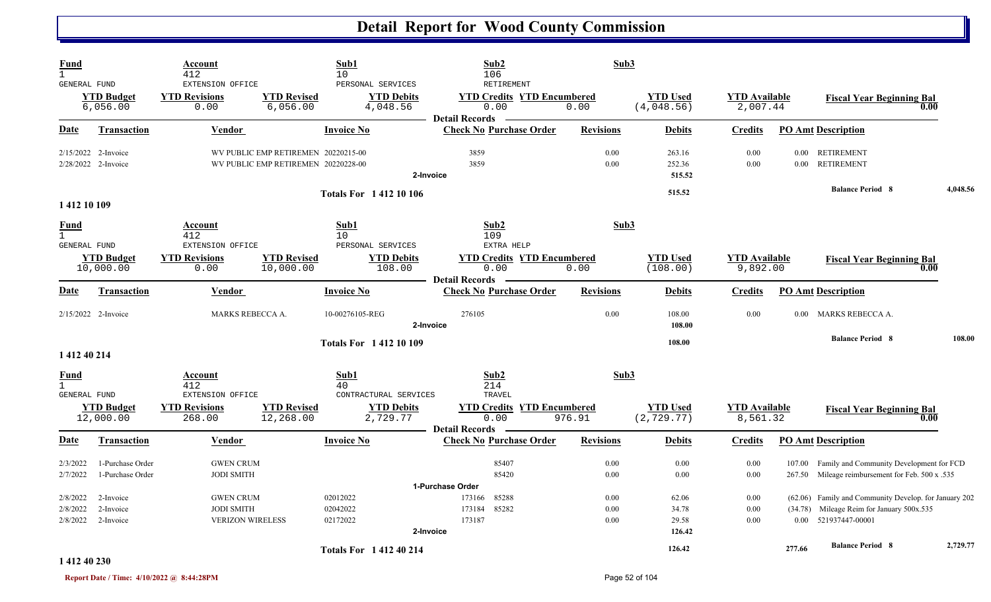| Fund<br>$\mathbf{1}$                        |                                            | Account<br>412                                   |                                                                            | Sub1<br>10                                         | Sub2<br>106                                                        | Sub3             |                                |                                  |        |                                                       |          |
|---------------------------------------------|--------------------------------------------|--------------------------------------------------|----------------------------------------------------------------------------|----------------------------------------------------|--------------------------------------------------------------------|------------------|--------------------------------|----------------------------------|--------|-------------------------------------------------------|----------|
| GENERAL FUND                                | <b>YTD Budget</b><br>6,056.00              | EXTENSION OFFICE<br><b>YTD Revisions</b><br>0.00 | <b>YTD Revised</b><br>6,056.00                                             | PERSONAL SERVICES<br><b>YTD Debits</b><br>4,048.56 | RETIREMENT<br><b>YTD Credits YTD Encumbered</b><br>0.00            | 0.00             | <b>YTD Used</b><br>(4,048.56)  | <b>YTD</b> Available<br>2,007.44 |        | <b>Fiscal Year Beginning Bal</b><br>0.00              |          |
| <b>Date</b>                                 | <b>Transaction</b>                         | <b>Vendor</b>                                    |                                                                            | <b>Invoice No</b>                                  | <b>Detail Records</b><br><b>Check No Purchase Order</b>            | <b>Revisions</b> | <b>Debits</b>                  | <b>Credits</b>                   |        | <b>PO Amt Description</b>                             |          |
|                                             | 2/15/2022 2-Invoice<br>2/28/2022 2-Invoice |                                                  | WV PUBLIC EMP RETIREMEN 20220215-00<br>WV PUBLIC EMP RETIREMEN 20220228-00 |                                                    | 3859<br>3859<br>2-Invoice                                          | 0.00<br>0.00     | 263.16<br>252.36<br>515.52     | 0.00<br>0.00                     |        | 0.00 RETIREMENT<br>0.00 RETIREMENT                    |          |
|                                             |                                            |                                                  |                                                                            | <b>Totals For 141210106</b>                        |                                                                    |                  | 515.52                         |                                  |        | <b>Balance Period 8</b>                               | 4,048.56 |
| 1412 10 109                                 |                                            |                                                  |                                                                            |                                                    |                                                                    |                  |                                |                                  |        |                                                       |          |
| Fund<br>$\mathbf{1}$<br><b>GENERAL FUND</b> |                                            | Account<br>412<br>EXTENSION OFFICE               |                                                                            | Sub1<br>10<br>PERSONAL SERVICES                    | Sub2<br>109<br>EXTRA HELP                                          | Sub3             |                                |                                  |        |                                                       |          |
|                                             | <b>YTD Budget</b><br>10,000.00             | <b>YTD Revisions</b><br>0.00                     | <b>YTD Revised</b><br>10,000.00                                            | <b>YTD Debits</b><br>108.00                        | <b>YTD Credits YTD Encumbered</b><br>0.00<br><b>Detail Records</b> | 0.00             | <b>YTD Used</b><br>(108.00)    | <b>YTD</b> Available<br>9,892.00 |        | <b>Fiscal Year Beginning Bal</b><br>0.00              |          |
| <u>Date</u>                                 | <b>Transaction</b>                         | <b>Vendor</b>                                    |                                                                            | <b>Invoice No</b>                                  | <b>Check No Purchase Order</b>                                     | <b>Revisions</b> | <b>Debits</b>                  | <b>Credits</b>                   |        | <b>PO Amt Description</b>                             |          |
|                                             | 2/15/2022 2-Invoice                        | MARKS REBECCA A.                                 |                                                                            | 10-00276105-REG                                    | 276105<br>2-Invoice                                                | 0.00             | 108.00<br>108.00               | 0.00                             | 0.00   | MARKS REBECCA A.                                      |          |
| 1 412 40 214                                |                                            |                                                  |                                                                            | <b>Totals For 141210109</b>                        |                                                                    |                  | 108.00                         |                                  |        | <b>Balance Period 8</b>                               | 108.00   |
| <u>Fund</u>                                 |                                            | <b>Account</b>                                   |                                                                            | Sub1                                               | Sub <sub>2</sub>                                                   | Sub3             |                                |                                  |        |                                                       |          |
| $\mathbf{1}$<br><b>GENERAL FUND</b>         |                                            | 412<br>EXTENSION OFFICE                          |                                                                            | 40<br>CONTRACTURAL SERVICES                        | 214<br>TRAVEL                                                      |                  |                                |                                  |        |                                                       |          |
|                                             | <b>YTD Budget</b><br>12,000.00             | <b>YTD Revisions</b><br>268.00                   | <b>YTD Revised</b><br>12,268.00                                            | <b>YTD Debits</b><br>2,729.77                      | <b>YTD Credits YTD Encumbered</b><br>0.00<br><b>Detail Records</b> | 976.91           | <b>YTD Used</b><br>(2, 729.77) | <b>YTD</b> Available<br>8,561.32 |        | <b>Fiscal Year Beginning Bal</b><br>0.00              |          |
| <u>Date</u>                                 | Transaction                                | <b>Vendor</b>                                    |                                                                            | <b>Invoice No</b>                                  | <b>Check No Purchase Order</b>                                     | <b>Revisions</b> | <b>Debits</b>                  | <b>Credits</b>                   |        | <b>PO Amt Description</b>                             |          |
| 2/3/2022                                    | 1-Purchase Order                           | <b>GWEN CRUM</b>                                 |                                                                            |                                                    | 85407                                                              | 0.00             | 0.00                           | 0.00                             |        | 107.00 Family and Community Development for FCD       |          |
| 2/7/2022                                    | 1-Purchase Order                           | <b>JODI SMITH</b>                                |                                                                            |                                                    | 85420<br>1-Purchase Order                                          | 0.00             | 0.00                           | 0.00                             |        | 267.50 Mileage reimbursement for Feb. 500 x .535      |          |
| 2/8/2022                                    | 2-Invoice                                  | <b>GWEN CRUM</b>                                 |                                                                            | 02012022                                           | 85288<br>173166                                                    | 0.00             | 62.06                          | 0.00                             |        | (62.06) Family and Community Develop. for January 202 |          |
| 2/8/2022                                    | 2-Invoice                                  | <b>JODI SMITH</b>                                |                                                                            | 02042022                                           | 85282<br>173184                                                    | 0.00             | 34.78                          | 0.00                             |        | (34.78) Mileage Reim for January 500x.535             |          |
| 2/8/2022                                    | 2-Invoice                                  | <b>VERIZON WIRELESS</b>                          |                                                                            | 02172022                                           | 173187<br>2-Invoice                                                | 0.00             | 29.58<br>126.42                | 0.00                             |        | 0.00 521937447-00001                                  |          |
|                                             |                                            |                                                  |                                                                            | <b>Totals For 141240214</b>                        |                                                                    |                  | 126.42                         |                                  | 277.66 | <b>Balance Period 8</b>                               | 2,729.77 |

#### **1 412 40 230**

**Report Date / Time: 4/10/2022 @ 8:44:28PM** Page 52 of 104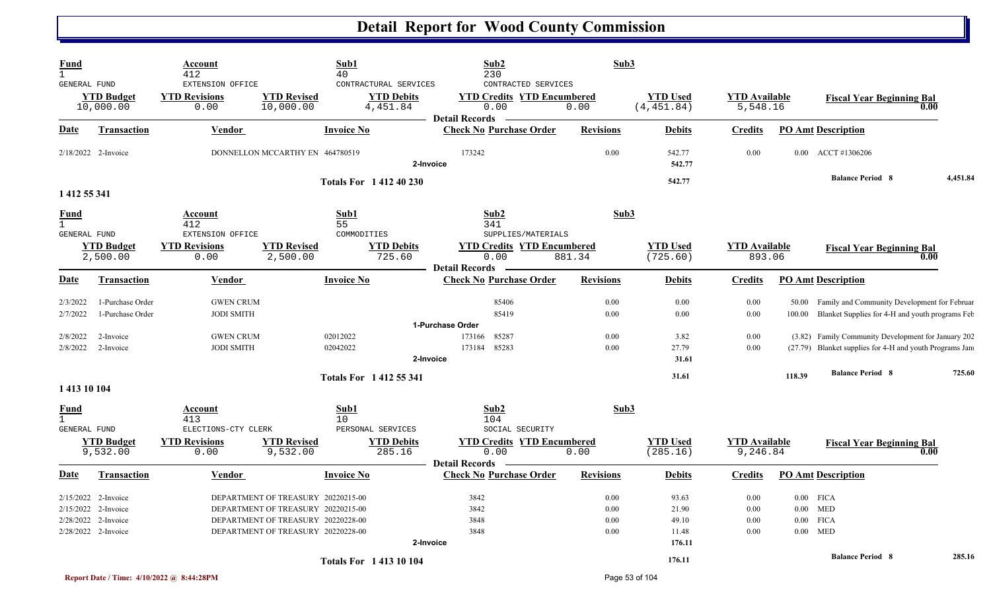| <b>Fund</b><br>$\mathbf{1}$                        |                                      | Account<br>412                                   |                                    | Sub1<br>40                                             | Sub2<br>230                                                                               | Sub3             |                                |                                  |          |                                                                                                       |          |
|----------------------------------------------------|--------------------------------------|--------------------------------------------------|------------------------------------|--------------------------------------------------------|-------------------------------------------------------------------------------------------|------------------|--------------------------------|----------------------------------|----------|-------------------------------------------------------------------------------------------------------|----------|
| GENERAL FUND                                       | <b>YTD Budget</b><br>10,000.00       | EXTENSION OFFICE<br><b>YTD Revisions</b><br>0.00 | <b>YTD Revised</b><br>10,000.00    | CONTRACTURAL SERVICES<br><b>YTD Debits</b><br>4,451.84 | CONTRACTED SERVICES<br><b>YTD Credits YTD Encumbered</b><br>0.00<br><b>Detail Records</b> | 0.00             | <b>YTD Used</b><br>(4, 451.84) | <b>YTD</b> Available<br>5,548.16 |          | <b>Fiscal Year Beginning Bal</b>                                                                      | 0.00     |
| Date                                               | <b>Transaction</b>                   | Vendor                                           |                                    | <b>Invoice No</b>                                      | <b>Check No Purchase Order</b>                                                            | <b>Revisions</b> | <b>Debits</b>                  | <b>Credits</b>                   |          | <b>PO Amt Description</b>                                                                             |          |
|                                                    | 2/18/2022 2-Invoice                  |                                                  | DONNELLON MCCARTHY EN 464780519    |                                                        | 173242<br>2-Invoice                                                                       | 0.00             | 542.77<br>542.77               | 0.00                             |          | 0.00 ACCT #1306206                                                                                    |          |
| 1 412 55 341                                       |                                      |                                                  |                                    | <b>Totals For 141240230</b>                            |                                                                                           |                  | 542.77                         |                                  |          | <b>Balance Period 8</b>                                                                               | 4,451.84 |
| <b>Fund</b><br>$\mathbf{1}$<br><b>GENERAL FUND</b> |                                      | <b>Account</b><br>412<br>EXTENSION OFFICE        |                                    | Sub1<br>55<br>COMMODITIES                              | Sub2<br>341<br>SUPPLIES/MATERIALS                                                         | Sub3             |                                |                                  |          |                                                                                                       |          |
|                                                    | <b>YTD Budget</b><br>2,500.00        | <b>YTD Revisions</b><br>0.00                     | <b>YTD Revised</b><br>2,500.00     | <b>YTD Debits</b><br>725.60                            | <b>YTD Credits YTD Encumbered</b><br>0.00<br><b>Detail Records</b>                        | 881.34           | <b>YTD Used</b><br>(725.60)    | <b>YTD Available</b><br>893.06   |          | <b>Fiscal Year Beginning Bal</b>                                                                      | 0.00     |
| Date                                               | <b>Transaction</b>                   | Vendor                                           |                                    | <b>Invoice No</b>                                      | <b>Check No Purchase Order</b>                                                            | <b>Revisions</b> | <b>Debits</b>                  | <b>Credits</b>                   |          | <b>PO Amt Description</b>                                                                             |          |
| 2/3/2022<br>2/7/2022                               | 1-Purchase Order<br>1-Purchase Order | <b>GWEN CRUM</b><br><b>JODI SMITH</b>            |                                    |                                                        | 85406<br>85419                                                                            | 0.00<br>0.00     | 0.00<br>0.00                   | 0.00<br>0.00                     | 100.00   | 50.00 Family and Community Development for Februar<br>Blanket Supplies for 4-H and youth programs Feb |          |
|                                                    |                                      |                                                  |                                    |                                                        | 1-Purchase Order                                                                          |                  |                                |                                  |          |                                                                                                       |          |
| 2/8/2022                                           | 2-Invoice                            | <b>GWEN CRUM</b>                                 |                                    | 02012022                                               | 173166<br>85287                                                                           | 0.00             | 3.82                           | 0.00                             |          | (3.82) Family Community Development for January 202                                                   |          |
| 2/8/2022                                           | 2-Invoice                            | <b>JODI SMITH</b>                                |                                    | 02042022                                               | 85283<br>173184<br>2-Invoice                                                              | 0.00             | 27.79<br>31.61                 | 0.00                             |          | (27.79) Blanket supplies for 4-H and youth Programs Jan                                               |          |
|                                                    |                                      |                                                  |                                    | <b>Totals For 141255341</b>                            |                                                                                           |                  | 31.61                          |                                  | 118.39   | <b>Balance Period 8</b>                                                                               | 725.60   |
| 1 413 10 104                                       |                                      |                                                  |                                    |                                                        |                                                                                           |                  |                                |                                  |          |                                                                                                       |          |
| <u>Fund</u><br>$\mathbf{1}$<br><b>GENERAL FUND</b> |                                      | Account<br>413<br>ELECTIONS-CTY CLERK            |                                    | Sub1<br>10 <sup>°</sup><br>PERSONAL SERVICES           | Sub2<br>104<br>SOCIAL SECURITY                                                            | Sub3             |                                |                                  |          |                                                                                                       |          |
|                                                    | <b>YTD Budget</b><br>9,532.00        | <b>YTD Revisions</b><br>0.00                     | <b>YTD Revised</b><br>9,532.00     | <b>YTD Debits</b><br>285.16                            | <b>YTD Credits YTD Encumbered</b><br>0.00<br><b>Detail Records</b>                        | 0.00             | <b>YTD Used</b><br>(285.16)    | <b>YTD</b> Available<br>9,246.84 |          | <b>Fiscal Year Beginning Bal</b>                                                                      | 0.00     |
| Date                                               | <b>Transaction</b>                   | Vendor                                           |                                    | <b>Invoice No</b>                                      | <b>Check No Purchase Order</b>                                                            | <b>Revisions</b> | <b>Debits</b>                  | <b>Credits</b>                   |          | <b>PO Amt Description</b>                                                                             |          |
|                                                    | 2/15/2022 2-Invoice                  |                                                  | DEPARTMENT OF TREASURY 20220215-00 |                                                        | 3842                                                                                      | 0.00             | 93.63                          | 0.00                             |          | $0.00$ FICA                                                                                           |          |
| 2/15/2022                                          | 2-Invoice                            |                                                  | DEPARTMENT OF TREASURY 20220215-00 |                                                        | 3842                                                                                      | 0.00             | 21.90                          | 0.00                             |          | $0.00$ MED                                                                                            |          |
| 2/28/2022                                          | 2-Invoice                            |                                                  | DEPARTMENT OF TREASURY 20220228-00 |                                                        | 3848                                                                                      | 0.00             | 49.10                          | 0.00                             | $0.00\,$ | <b>FICA</b>                                                                                           |          |
|                                                    | 2/28/2022 2-Invoice                  |                                                  | DEPARTMENT OF TREASURY 20220228-00 |                                                        | 3848                                                                                      | 0.00             | 11.48                          | 0.00                             |          | $0.00$ MED                                                                                            |          |
|                                                    |                                      |                                                  |                                    |                                                        | 2-Invoice                                                                                 |                  | 176.11                         |                                  |          |                                                                                                       |          |
|                                                    |                                      |                                                  |                                    | <b>Totals For 141310104</b>                            |                                                                                           |                  | 176.11                         |                                  |          | <b>Balance Period 8</b>                                                                               | 285.16   |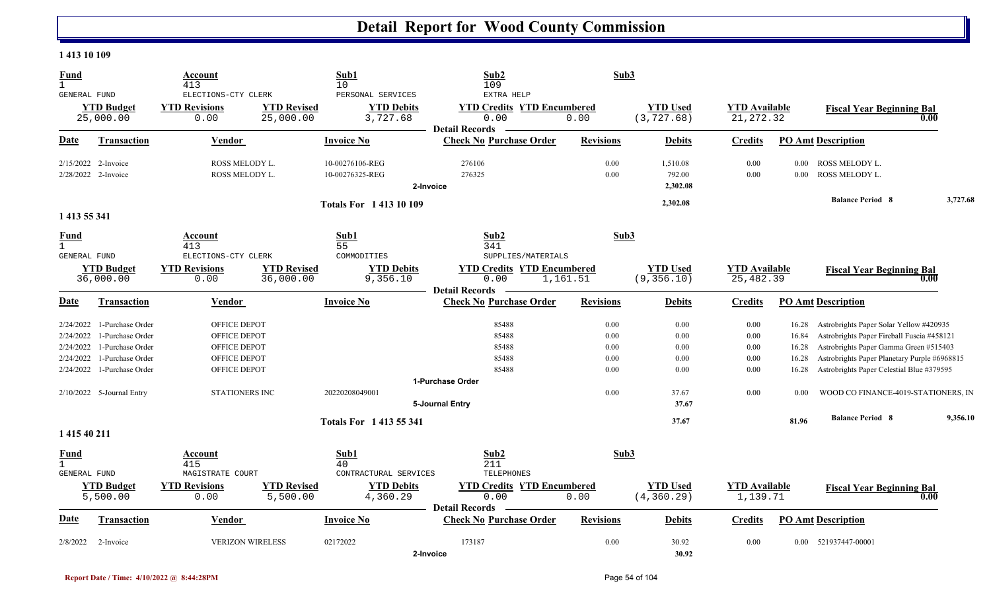#### **1 413 10 109**

| <b>Fund</b><br>$\mathbf{1}$<br><b>GENERAL FUND</b> |                                            | Account<br>413<br>ELECTIONS-CTY CLERK            | Sub1<br>10<br>PERSONAL SERVICES                                                          | Sub2<br>109<br>EXTRA HELP                                          | Sub3             |                                |                                    |                  |                                                                                       |          |
|----------------------------------------------------|--------------------------------------------|--------------------------------------------------|------------------------------------------------------------------------------------------|--------------------------------------------------------------------|------------------|--------------------------------|------------------------------------|------------------|---------------------------------------------------------------------------------------|----------|
|                                                    | <b>YTD Budget</b><br>25,000.00             | <b>YTD Revisions</b><br>0.00                     | <b>YTD Revised</b><br><b>YTD Debits</b><br>25,000.00<br>3,727.68                         | <b>YTD Credits YTD Encumbered</b><br>0.00<br><b>Detail Records</b> | 0.00             | <b>YTD Used</b><br>(3, 727.68) | <b>YTD Available</b><br>21, 272.32 |                  | <b>Fiscal Year Beginning Bal</b>                                                      | 0.00     |
| <b>Date</b>                                        | <b>Transaction</b>                         | <b>Vendor</b>                                    | <b>Invoice No</b>                                                                        | <b>Check No Purchase Order</b>                                     | <b>Revisions</b> | <b>Debits</b>                  | <b>Credits</b>                     |                  | <b>PO Amt Description</b>                                                             |          |
|                                                    | 2/15/2022 2-Invoice<br>2/28/2022 2-Invoice | ROSS MELODY L.<br>ROSS MELODY L.                 | 10-00276106-REG<br>10-00276325-REG                                                       | 276106<br>276325<br>2-Invoice                                      | 0.00<br>0.00     | 1,510.08<br>792.00<br>2,302.08 | 0.00<br>0.00                       | $0.00\,$<br>0.00 | ROSS MELODY L.<br>ROSS MELODY L.                                                      |          |
|                                                    |                                            |                                                  | <b>Totals For 141310109</b>                                                              |                                                                    |                  | 2,302.08                       |                                    |                  | <b>Balance Period 8</b>                                                               | 3,727.68 |
| 1 413 55 341                                       |                                            |                                                  |                                                                                          |                                                                    |                  |                                |                                    |                  |                                                                                       |          |
| <b>Fund</b><br>$\mathbf{1}$<br>GENERAL FUND        |                                            | <b>Account</b><br>413<br>ELECTIONS-CTY CLERK     | Sub1<br>55<br>COMMODITIES                                                                | Sub2<br>341<br>SUPPLIES/MATERIALS                                  | Sub3             |                                |                                    |                  |                                                                                       |          |
|                                                    | <b>YTD Budget</b><br>36,000.00             | <b>YTD Revisions</b><br>0.00                     | <b>YTD Revised</b><br><b>YTD Debits</b><br>36,000.00<br>9,356.10                         | <b>YTD Credits YTD Encumbered</b><br>0.00<br><b>Detail Records</b> | 1,161.51         | <b>YTD Used</b><br>(9, 356.10) | <b>YTD Available</b><br>25,482.39  |                  | <b>Fiscal Year Beginning Bal</b>                                                      | 0.00     |
| Date                                               | Transaction                                | Vendor                                           | <b>Invoice No</b>                                                                        | <b>Check No Purchase Order</b>                                     | <b>Revisions</b> | <b>Debits</b>                  | <b>Credits</b>                     |                  | <b>PO Amt Description</b>                                                             |          |
| 2/24/2022<br>2/24/2022                             | 1-Purchase Order<br>1-Purchase Order       | OFFICE DEPOT<br>OFFICE DEPOT                     |                                                                                          | 85488<br>85488                                                     | 0.00<br>0.00     | 0.00<br>0.00                   | 0.00<br>0.00                       | 16.28<br>16.84   | Astrobrights Paper Solar Yellow #420935<br>Astrobrights Paper Fireball Fuscia #458121 |          |
| 2/24/2022                                          | 1-Purchase Order                           | OFFICE DEPOT                                     |                                                                                          | 85488                                                              | 0.00             | 0.00                           | 0.00                               | 16.28            | Astrobrights Paper Gamma Green #515403                                                |          |
| 2/24/2022                                          | 1-Purchase Order                           | OFFICE DEPOT                                     |                                                                                          | 85488                                                              | 0.00             | 0.00                           | 0.00                               | 16.28            | Astrobrights Paper Planetary Purple #6968815                                          |          |
| 2/24/2022                                          | 1-Purchase Order                           | OFFICE DEPOT                                     |                                                                                          | 85488                                                              | 0.00             | 0.00                           | 0.00                               | 16.28            | Astrobrights Paper Celestial Blue #379595                                             |          |
|                                                    |                                            |                                                  |                                                                                          | 1-Purchase Order                                                   |                  |                                |                                    |                  |                                                                                       |          |
|                                                    | $2/10/2022$ 5-Journal Entry                | <b>STATIONERS INC</b>                            | 20220208049001                                                                           | 5-Journal Entry                                                    | 0.00             | 37.67<br>37.67                 | 0.00                               | 0.00             | WOOD CO FINANCE-4019-STATIONERS, IN                                                   |          |
|                                                    |                                            |                                                  | <b>Totals For 1413 55 341</b>                                                            |                                                                    |                  | 37.67                          |                                    | 81.96            | <b>Balance Period 8</b>                                                               | 9,356.10 |
| 1 415 40 211                                       |                                            |                                                  |                                                                                          |                                                                    |                  |                                |                                    |                  |                                                                                       |          |
| <b>Fund</b><br>$\mathbf{1}$                        |                                            | Account<br>415                                   | Sub1<br>40                                                                               | Sub2<br>211                                                        | Sub3             |                                |                                    |                  |                                                                                       |          |
| GENERAL FUND                                       | <b>YTD Budget</b><br>5,500.00              | MAGISTRATE COURT<br><b>YTD Revisions</b><br>0.00 | CONTRACTURAL SERVICES<br><b>YTD Revised</b><br><b>YTD Debits</b><br>4,360.29<br>5,500.00 | TELEPHONES<br><b>YTD Credits YTD Encumbered</b><br>0.00            | 0.00             | <b>YTD Used</b><br>(4, 360.29) | <b>YTD Available</b><br>1,139.71   |                  | <b>Fiscal Year Beginning Bal</b>                                                      | 0.00     |
| <b>Date</b>                                        | <b>Transaction</b>                         | Vendor                                           | <b>Invoice No</b>                                                                        | <b>Detail Records</b><br><b>Check No Purchase Order</b>            | <b>Revisions</b> | <b>Debits</b>                  | <b>Credits</b>                     |                  | <b>PO Amt Description</b>                                                             |          |
| 2/8/2022                                           | 2-Invoice                                  | <b>VERIZON WIRELESS</b>                          | 02172022                                                                                 | 173187<br>2-Invoice                                                | 0.00             | 30.92<br>30.92                 | 0.00                               |                  | 0.00 521937447-00001                                                                  |          |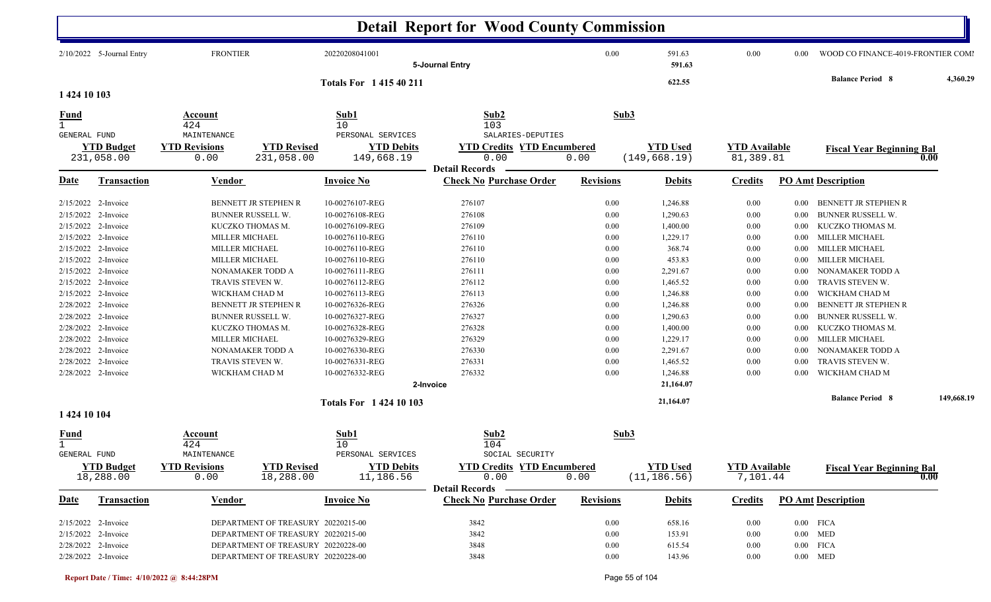|                     |                           |                              |                                    |                                        | <b>Detail Report for Wood County Commission</b>    |                  |                  |                                   |          |                                    |            |
|---------------------|---------------------------|------------------------------|------------------------------------|----------------------------------------|----------------------------------------------------|------------------|------------------|-----------------------------------|----------|------------------------------------|------------|
|                     | 2/10/2022 5-Journal Entry | <b>FRONTIER</b>              |                                    | 20220208041001                         | 5-Journal Entry                                    | 0.00             | 591.63<br>591.63 | 0.00                              | 0.00     | WOOD CO FINANCE-4019-FRONTIER COMI |            |
|                     |                           |                              |                                    | <b>Totals For 141540211</b>            |                                                    |                  | 622.55           |                                   |          | <b>Balance Period 8</b>            | 4,360.29   |
| 1 424 10 103        |                           |                              |                                    |                                        |                                                    |                  |                  |                                   |          |                                    |            |
| <u>Fund</u>         |                           | <b>Account</b><br>424        |                                    | Sub1<br>10                             | Sub2<br>103                                        |                  | Sub3             |                                   |          |                                    |            |
| <b>GENERAL FUND</b> | <b>YTD Budget</b>         | MAINTENANCE                  | <b>YTD Revised</b>                 | PERSONAL SERVICES<br><b>YTD Debits</b> | SALARIES-DEPUTIES                                  |                  | <b>YTD Used</b>  |                                   |          |                                    |            |
|                     | 231,058.00                | <b>YTD Revisions</b><br>0.00 | 231,058.00                         | 149,668.19                             | <b>YTD Credits YTD Encumbered</b><br>0.00          | 0.00             | (149, 668.19)    | <b>YTD Available</b><br>81,389.81 |          | <b>Fiscal Year Beginning Bal</b>   | 0.00       |
|                     |                           |                              |                                    |                                        | <b>Detail Records</b>                              |                  |                  |                                   |          |                                    |            |
| Date                | <b>Transaction</b>        | <b>Vendor</b>                |                                    | <b>Invoice No</b>                      | <b>Check No Purchase Order</b>                     | <b>Revisions</b> | <b>Debits</b>    | <b>Credits</b>                    |          | <b>PO Amt Description</b>          |            |
| 2/15/2022           | 2-Invoice                 |                              | BENNETT JR STEPHEN R               | 10-00276107-REG                        | 276107                                             | 0.00             | 1,246.88         | 0.00                              | $0.00\,$ | BENNETT JR STEPHEN R               |            |
| 2/15/2022           | 2-Invoice                 |                              | <b>BUNNER RUSSELL W.</b>           | 10-00276108-REG                        | 276108                                             | 0.00             | 1,290.63         | 0.00                              | $0.00\,$ | <b>BUNNER RUSSELL W.</b>           |            |
| 2/15/2022           | 2-Invoice                 |                              | KUCZKO THOMAS M.                   | 10-00276109-REG                        | 276109                                             | 0.00             | 1,400.00         | 0.00                              | $0.00\,$ | KUCZKO THOMAS M.                   |            |
| 2/15/2022           | 2-Invoice                 | MILLER MICHAEL               |                                    | 10-00276110-REG                        | 276110                                             | 0.00             | 1,229.17         | 0.00                              | $0.00\,$ | <b>MILLER MICHAEL</b>              |            |
| 2/15/2022           | 2-Invoice                 |                              | MILLER MICHAEL                     | 10-00276110-REG                        | 276110                                             | 0.00             | 368.74           | 0.00                              | $0.00\,$ | <b>MILLER MICHAEL</b>              |            |
| 2/15/2022           | 2-Invoice                 | MILLER MICHAEL               |                                    | 10-00276110-REG                        | 276110                                             | 0.00             | 453.83           | 0.00                              | $0.00\,$ | <b>MILLER MICHAEL</b>              |            |
|                     | 2/15/2022 2-Invoice       |                              | NONAMAKER TODD A                   | 10-00276111-REG                        | 276111                                             | 0.00             | 2,291.67         | 0.00                              | 0.00     | NONAMAKER TODD A                   |            |
|                     | 2/15/2022 2-Invoice       |                              | TRAVIS STEVEN W.                   | 10-00276112-REG                        | 276112                                             | 0.00             | 1,465.52         | 0.00                              | 0.00     | TRAVIS STEVEN W.                   |            |
|                     | 2/15/2022 2-Invoice       |                              | WICKHAM CHAD M                     | 10-00276113-REG                        | 276113                                             | 0.00             | 1,246.88         | 0.00                              | 0.00     | WICKHAM CHAD M                     |            |
|                     | 2/28/2022 2-Invoice       |                              | <b>BENNETT JR STEPHEN R</b>        | 10-00276326-REG                        | 276326                                             | 0.00             | 1,246.88         | 0.00                              | 0.00     | BENNETT JR STEPHEN R               |            |
|                     | 2/28/2022 2-Invoice       |                              | BUNNER RUSSELL W.                  | 10-00276327-REG                        | 276327                                             | 0.00             | 1,290.63         | 0.00                              | $0.00\,$ | <b>BUNNER RUSSELL W.</b>           |            |
|                     | 2/28/2022 2-Invoice       |                              | KUCZKO THOMAS M.                   | 10-00276328-REG                        | 276328                                             | 0.00             | 1,400.00         | 0.00                              | $0.00\,$ | KUCZKO THOMAS M.                   |            |
|                     | 2/28/2022 2-Invoice       | MILLER MICHAEL               |                                    | 10-00276329-REG                        | 276329                                             | 0.00             | 1,229.17         | 0.00                              | $0.00\,$ | <b>MILLER MICHAEL</b>              |            |
|                     | 2/28/2022 2-Invoice       |                              | NONAMAKER TODD A                   | 10-00276330-REG                        | 276330                                             | 0.00             | 2,291.67         | 0.00                              | $0.00\,$ | NONAMAKER TODD A                   |            |
| 2/28/2022           | 2-Invoice                 |                              | TRAVIS STEVEN W.                   | 10-00276331-REG                        | 276331                                             | 0.00             | 1,465.52         | 0.00                              | 0.00     | TRAVIS STEVEN W.                   |            |
|                     | 2/28/2022 2-Invoice       |                              | WICKHAM CHAD M                     | 10-00276332-REG                        | 276332                                             | 0.00             | 1,246.88         | 0.00                              | 0.00     | WICKHAM CHAD M                     |            |
|                     |                           |                              |                                    |                                        | 2-Invoice                                          |                  | 21,164.07        |                                   |          |                                    |            |
|                     |                           |                              |                                    | Totals For 1 424 10 103                |                                                    |                  | 21,164.07        |                                   |          | <b>Balance Period 8</b>            | 149,668.19 |
| 1 424 10 104        |                           |                              |                                    |                                        |                                                    |                  |                  |                                   |          |                                    |            |
| <u>Fund</u>         |                           | Account<br>424               |                                    | Sub1<br>10                             | Sub2<br>104                                        |                  | Sub3             |                                   |          |                                    |            |
| <b>GENERAL FUND</b> |                           | MAINTENANCE                  |                                    | PERSONAL SERVICES                      | SOCIAL SECURITY                                    |                  |                  |                                   |          |                                    |            |
|                     | <b>YTD Budget</b>         | <b>YTD Revisions</b>         | <b>YTD Revised</b>                 | <b>YTD Debits</b>                      | <b>YTD Credits YTD Encumbered</b>                  |                  | <b>YTD Used</b>  | <b>YTD Available</b>              |          | <b>Fiscal Year Beginning Bal</b>   |            |
|                     | 18,288.00                 | 0.00                         | 18,288.00                          | 11,186.56                              | 0.00                                               | 0.00             | (11, 186.56)     | 7,101.44                          |          |                                    | 0.00       |
| <b>Date</b>         | <b>Transaction</b>        | Vendor                       |                                    | <b>Invoice No</b>                      | Detail Records –<br><b>Check No Purchase Order</b> | <b>Revisions</b> | <b>Debits</b>    | <b>Credits</b>                    |          | <b>PO Amt Description</b>          |            |
|                     |                           |                              |                                    |                                        |                                                    |                  |                  |                                   |          |                                    |            |
|                     | $2/15/2022$ 2-Invoice     |                              | DEPARTMENT OF TREASURY 20220215-00 |                                        | 3842                                               | 0.00             | 658.16           | 0.00                              |          | $0.00$ FICA                        |            |
|                     | 2/15/2022 2-Invoice       |                              | DEPARTMENT OF TREASURY 20220215-00 |                                        | 3842                                               | 0.00             | 153.91           | 0.00                              |          | $0.00$ MED                         |            |
|                     | 2/28/2022 2-Invoice       |                              | DEPARTMENT OF TREASURY 20220228-00 |                                        | 3848                                               | $0.00\,$         | 615.54           | $0.00\,$                          |          | $0.00$ FICA                        |            |
|                     | 2/28/2022 2-Invoice       |                              | DEPARTMENT OF TREASURY 20220228-00 |                                        | 3848                                               | $0.00\,$         | 143.96           | 0.00                              |          | $0.00$ MED                         |            |

 $\mathbf{I}$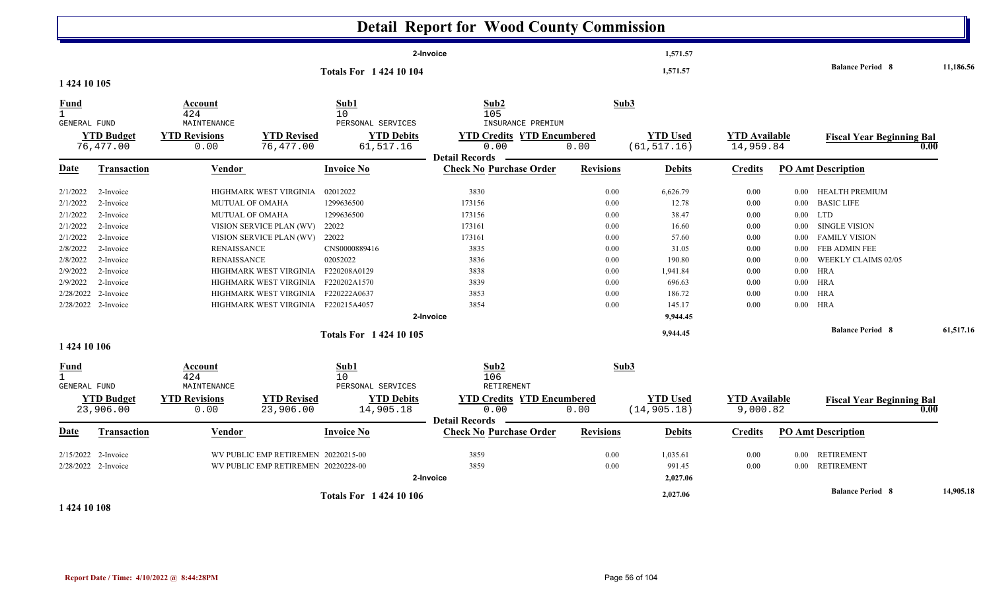|                                                                                                                                       |                                                                                                                                                       |                                                                                       |                                                                                                                                                                                                     |                                                                                                                                                                    | <b>Detail Report for Wood County Commission</b>                                                                                   |                                                                                      |                                                                                                                                   |                                                                                      |                                                                                      |                                                                                                                                                                                                                            |           |
|---------------------------------------------------------------------------------------------------------------------------------------|-------------------------------------------------------------------------------------------------------------------------------------------------------|---------------------------------------------------------------------------------------|-----------------------------------------------------------------------------------------------------------------------------------------------------------------------------------------------------|--------------------------------------------------------------------------------------------------------------------------------------------------------------------|-----------------------------------------------------------------------------------------------------------------------------------|--------------------------------------------------------------------------------------|-----------------------------------------------------------------------------------------------------------------------------------|--------------------------------------------------------------------------------------|--------------------------------------------------------------------------------------|----------------------------------------------------------------------------------------------------------------------------------------------------------------------------------------------------------------------------|-----------|
|                                                                                                                                       |                                                                                                                                                       |                                                                                       |                                                                                                                                                                                                     | <b>Totals For 142410104</b>                                                                                                                                        | 2-Invoice                                                                                                                         |                                                                                      | 1,571.57<br>1,571.57                                                                                                              |                                                                                      |                                                                                      | <b>Balance Period 8</b>                                                                                                                                                                                                    | 11,186.56 |
| 1 424 10 105                                                                                                                          |                                                                                                                                                       |                                                                                       |                                                                                                                                                                                                     |                                                                                                                                                                    |                                                                                                                                   |                                                                                      |                                                                                                                                   |                                                                                      |                                                                                      |                                                                                                                                                                                                                            |           |
| <b>Fund</b><br>$\mathbf{1}$<br>GENERAL FUND                                                                                           |                                                                                                                                                       | Account<br>424<br>MAINTENANCE                                                         |                                                                                                                                                                                                     | Sub1<br>10<br>PERSONAL SERVICES                                                                                                                                    | Sub2<br>105<br>INSURANCE PREMIUM                                                                                                  | Sub3                                                                                 |                                                                                                                                   |                                                                                      |                                                                                      |                                                                                                                                                                                                                            |           |
|                                                                                                                                       | <b>YTD Budget</b><br>76,477.00                                                                                                                        | <b>YTD Revisions</b><br>0.00                                                          | <b>YTD Revised</b><br>76,477.00                                                                                                                                                                     | <b>YTD Debits</b><br>61,517.16                                                                                                                                     | <b>YTD Credits YTD Encumbered</b><br>0.00<br><b>Detail Records</b>                                                                | 0.00                                                                                 | <b>YTD Used</b><br>(61, 517.16)                                                                                                   | <b>YTD Available</b><br>14,959.84                                                    |                                                                                      | <b>Fiscal Year Beginning Bal</b>                                                                                                                                                                                           | 0.00      |
| Date                                                                                                                                  | <b>Transaction</b>                                                                                                                                    | <b>Vendor</b>                                                                         |                                                                                                                                                                                                     | <b>Invoice No</b>                                                                                                                                                  | <b>Check No Purchase Order</b>                                                                                                    | <b>Revisions</b>                                                                     | <b>Debits</b>                                                                                                                     | <b>Credits</b>                                                                       |                                                                                      | <b>PO Amt Description</b>                                                                                                                                                                                                  |           |
| 2/1/2022<br>2/1/2022<br>2/1/2022<br>2/1/2022<br>2/1/2022<br>2/8/2022<br>2/8/2022<br>2/9/2022<br>2/9/2022<br>2/28/2022<br>1 424 10 106 | 2-Invoice<br>2-Invoice<br>2-Invoice<br>2-Invoice<br>2-Invoice<br>2-Invoice<br>2-Invoice<br>2-Invoice<br>2-Invoice<br>2-Invoice<br>2/28/2022 2-Invoice | MUTUAL OF OMAHA<br><b>MUTUAL OF OMAHA</b><br><b>RENAISSANCE</b><br><b>RENAISSANCE</b> | HIGHMARK WEST VIRGINIA<br>VISION SERVICE PLAN (WV)<br>VISION SERVICE PLAN (WV)<br>HIGHMARK WEST VIRGINIA<br>HIGHMARK WEST VIRGINIA<br>HIGHMARK WEST VIRGINIA<br>HIGHMARK WEST VIRGINIA F220215A4057 | 02012022<br>1299636500<br>1299636500<br>22022<br>22022<br>CNS0000889416<br>02052022<br>F220208A0129<br>F220202A1570<br>F220222A0637<br><b>Totals For 142410105</b> | 3830<br>173156<br>173156<br>173161<br>173161<br>3835<br>3836<br>3838<br>3839<br>3853<br>3854<br>2-Invoice                         | 0.00<br>0.00<br>0.00<br>0.00<br>0.00<br>0.00<br>0.00<br>0.00<br>0.00<br>0.00<br>0.00 | 6,626.79<br>12.78<br>38.47<br>16.60<br>57.60<br>31.05<br>190.80<br>1,941.84<br>696.63<br>186.72<br>145.17<br>9,944.45<br>9,944.45 | 0.00<br>0.00<br>0.00<br>0.00<br>0.00<br>0.00<br>0.00<br>0.00<br>0.00<br>0.00<br>0.00 | $0.00\,$<br>$0.00\,$<br>$0.00\,$<br>$0.00\,$<br>0.00<br>$0.00\,$<br>0.00<br>$0.00\,$ | 0.00 HEALTH PREMIUM<br><b>BASIC LIFE</b><br>$0.00$ LTD<br><b>SINGLE VISION</b><br><b>FAMILY VISION</b><br>FEB ADMIN FEE<br>WEEKLY CLAIMS 02/05<br><b>HRA</b><br>$0.00$ HRA<br><b>HRA</b><br>HRA<br><b>Balance Period 8</b> | 61,517.16 |
| Fund<br>$\mathbf{1}$<br>GENERAL FUND<br>Date                                                                                          | <b>YTD Budget</b><br>23,906.00<br><b>Transaction</b>                                                                                                  | Account<br>424<br>MAINTENANCE<br><b>YTD Revisions</b><br>0.00<br><b>Vendor</b>        | <b>YTD Revised</b><br>23,906.00                                                                                                                                                                     | Sub1<br>10<br>PERSONAL SERVICES<br><b>YTD Debits</b><br>14,905.18<br><b>Invoice No</b>                                                                             | Sub2<br>106<br>RETIREMENT<br><b>YTD Credits YTD Encumbered</b><br>0.00<br><b>Detail Records</b><br><b>Check No Purchase Order</b> | Sub3<br>0.00<br><b>Revisions</b>                                                     | <b>YTD Used</b><br>(14, 905.18)<br><b>Debits</b>                                                                                  | <b>YTD Available</b><br>9,000.82<br><b>Credits</b>                                   |                                                                                      | <b>Fiscal Year Beginning Bal</b><br><b>PO Amt Description</b>                                                                                                                                                              | 0.00      |
| 2/15/2022                                                                                                                             | 2-Invoice<br>2/28/2022 2-Invoice                                                                                                                      |                                                                                       | WV PUBLIC EMP RETIREMEN 20220215-00<br>WV PUBLIC EMP RETIREMEN 20220228-00                                                                                                                          |                                                                                                                                                                    | 3859<br>3859<br>2-Invoice                                                                                                         | 0.00<br>0.00                                                                         | 1,035.61<br>991.45<br>2,027.06                                                                                                    | 0.00<br>0.00                                                                         |                                                                                      | 0.00 RETIREMENT<br>0.00 RETIREMENT                                                                                                                                                                                         |           |
|                                                                                                                                       |                                                                                                                                                       |                                                                                       |                                                                                                                                                                                                     | <b>Totals For 142410106</b>                                                                                                                                        |                                                                                                                                   |                                                                                      | 2,027.06                                                                                                                          |                                                                                      |                                                                                      | <b>Balance Period 8</b>                                                                                                                                                                                                    | 14,905.18 |

**1 424 10 108**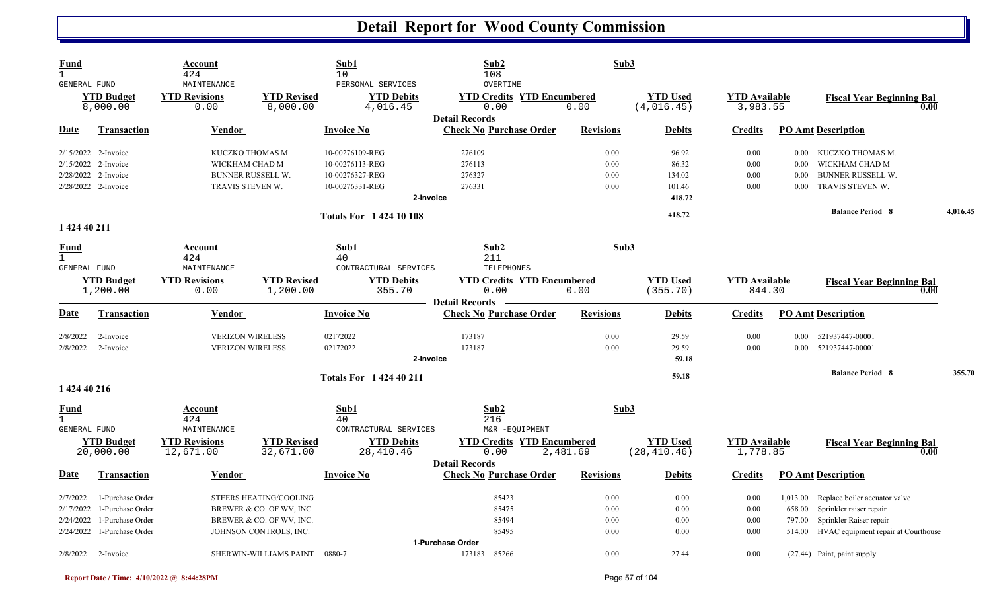| Fund<br>$\mathbf{1}$<br><b>GENERAL FUND</b>     |                                                                              | Account<br>424<br>MAINTENANCE                                                      |                                                                                                          | Sub1<br>10<br>PERSONAL SERVICES                                                       | Sub2<br>108<br>OVERTIME                                                                 | Sub3                         |                                              |                                  |                                      |                                                                                                                                   |          |
|-------------------------------------------------|------------------------------------------------------------------------------|------------------------------------------------------------------------------------|----------------------------------------------------------------------------------------------------------|---------------------------------------------------------------------------------------|-----------------------------------------------------------------------------------------|------------------------------|----------------------------------------------|----------------------------------|--------------------------------------|-----------------------------------------------------------------------------------------------------------------------------------|----------|
|                                                 | <b>YTD Budget</b><br>8,000.00                                                | <b>YTD Revisions</b><br>0.00                                                       | <b>YTD Revised</b><br>8,000.00                                                                           | <b>YTD Debits</b><br>4,016.45                                                         | <b>YTD Credits YTD Encumbered</b><br>0.00                                               | 0.00                         | <b>YTD</b> Used<br>(4,016.45)                | <b>YTD Available</b><br>3,983.55 |                                      | <b>Fiscal Year Beginning Bal</b><br>0.00                                                                                          |          |
| Date                                            | <b>Transaction</b>                                                           | <b>Vendor</b>                                                                      |                                                                                                          | <b>Invoice No</b>                                                                     | <b>Detail Records</b><br><b>Check No Purchase Order</b>                                 | <b>Revisions</b>             | <b>Debits</b>                                | <b>Credits</b>                   |                                      | <b>PO Amt Description</b>                                                                                                         |          |
| 2/15/2022<br>2/28/2022                          | 2/15/2022 2-Invoice<br>2-Invoice<br>2-Invoice<br>2/28/2022 2-Invoice         | KUCZKO THOMAS M.<br>WICKHAM CHAD M<br><b>BUNNER RUSSELL W.</b><br>TRAVIS STEVEN W. |                                                                                                          | 10-00276109-REG<br>10-00276113-REG<br>10-00276327-REG<br>10-00276331-REG<br>2-Invoice | 276109<br>276113<br>276327<br>276331                                                    | 0.00<br>0.00<br>0.00<br>0.00 | 96.92<br>86.32<br>134.02<br>101.46<br>418.72 | 0.00<br>0.00<br>0.00<br>0.00     | $0.00\,$<br>$0.00\,$<br>0.00<br>0.00 | KUCZKO THOMAS M.<br>WICKHAM CHAD M<br><b>BUNNER RUSSELL W.</b><br>TRAVIS STEVEN W.                                                |          |
|                                                 |                                                                              |                                                                                    |                                                                                                          | <b>Totals For 142410108</b>                                                           |                                                                                         |                              | 418.72                                       |                                  |                                      | <b>Balance Period 8</b>                                                                                                           | 4,016.45 |
| 1 424 40 211<br><b>Fund</b>                     |                                                                              | Account                                                                            |                                                                                                          | Sub1                                                                                  | Sub2                                                                                    | Sub3                         |                                              |                                  |                                      |                                                                                                                                   |          |
| $\mathbf{1}$<br><b>GENERAL FUND</b>             | <b>YTD Budget</b><br>1,200.00                                                | 424<br>MAINTENANCE<br><b>YTD Revisions</b><br>0.00                                 | <b>YTD Revised</b><br>1,200.00                                                                           | 40<br>CONTRACTURAL SERVICES<br><b>YTD Debits</b><br>355.70                            | 211<br>TELEPHONES<br><b>YTD Credits YTD Encumbered</b><br>0.00<br><b>Detail Records</b> | 0.00                         | <b>YTD</b> Used<br>(355.70)                  | <b>YTD</b> Available<br>844.30   |                                      | <b>Fiscal Year Beginning Bal</b><br>0.00                                                                                          |          |
| Date                                            | Transaction                                                                  | Vendor                                                                             |                                                                                                          | <b>Invoice No</b>                                                                     | <b>Check No Purchase Order</b>                                                          | <b>Revisions</b>             | <b>Debits</b>                                | <b>Credits</b>                   |                                      | <b>PO Amt Description</b>                                                                                                         |          |
| 2/8/2022<br>2/8/2022                            | 2-Invoice<br>2-Invoice                                                       | <b>VERIZON WIRELESS</b><br><b>VERIZON WIRELESS</b>                                 |                                                                                                          | 02172022<br>02172022<br>2-Invoice                                                     | 173187<br>173187                                                                        | 0.00<br>0.00                 | 29.59<br>29.59<br>59.18                      | 0.00<br>0.00                     |                                      | 0.00 521937447-00001<br>0.00 521937447-00001                                                                                      |          |
| 1 424 40 216                                    |                                                                              |                                                                                    |                                                                                                          | <b>Totals For 142440211</b>                                                           |                                                                                         |                              | 59.18                                        |                                  |                                      | <b>Balance Period 8</b>                                                                                                           | 355.70   |
| <u>Fund</u><br>$\mathbf{1}$<br>GENERAL FUND     | <b>YTD Budget</b><br>20,000.00                                               | Account<br>424<br>MAINTENANCE<br><b>YTD Revisions</b><br>12,671.00                 | <b>YTD Revised</b><br>32,671.00                                                                          | Sub1<br>40<br>CONTRACTURAL SERVICES<br><b>YTD Debits</b><br>28,410.46                 | Sub2<br>216<br>M&R -EQUIPMENT<br><b>YTD Credits YTD Encumbered</b><br>0.00              | Sub3<br>2,481.69             | <b>YTD Used</b><br>(28, 410.46)              | <b>YTD</b> Available<br>1,778.85 |                                      | <b>Fiscal Year Beginning Bal</b><br>0.00                                                                                          |          |
| Date                                            | <b>Transaction</b>                                                           | Vendor                                                                             |                                                                                                          | <b>Invoice No</b>                                                                     | <b>Detail Records</b><br><b>Check No Purchase Order</b>                                 | <b>Revisions</b>             | <b>Debits</b>                                | <b>Credits</b>                   |                                      | <b>PO Amt Description</b>                                                                                                         |          |
| 2/7/2022<br>2/17/2022<br>2/24/2022<br>2/24/2022 | 1-Purchase Order<br>1-Purchase Order<br>1-Purchase Order<br>1-Purchase Order |                                                                                    | STEERS HEATING/COOLING<br>BREWER & CO. OF WV, INC.<br>BREWER & CO. OF WV, INC.<br>JOHNSON CONTROLS, INC. |                                                                                       | 85423<br>85475<br>85494<br>85495                                                        | 0.00<br>0.00<br>0.00<br>0.00 | 0.00<br>0.00<br>0.00<br>0.00                 | 0.00<br>0.00<br>0.00<br>0.00     | 1,013.00<br>658.00<br>797.00         | Replace boiler accuator valve<br>Sprinkler raiser repair<br>Sprinkler Raiser repair<br>514.00 HVAC equipment repair at Courthouse |          |
| 2/8/2022                                        | 2-Invoice                                                                    |                                                                                    | SHERWIN-WILLIAMS PAINT 0880-7                                                                            |                                                                                       | 1-Purchase Order<br>85266<br>173183                                                     | 0.00                         | 27.44                                        | $0.00\,$                         |                                      | (27.44) Paint, paint supply                                                                                                       |          |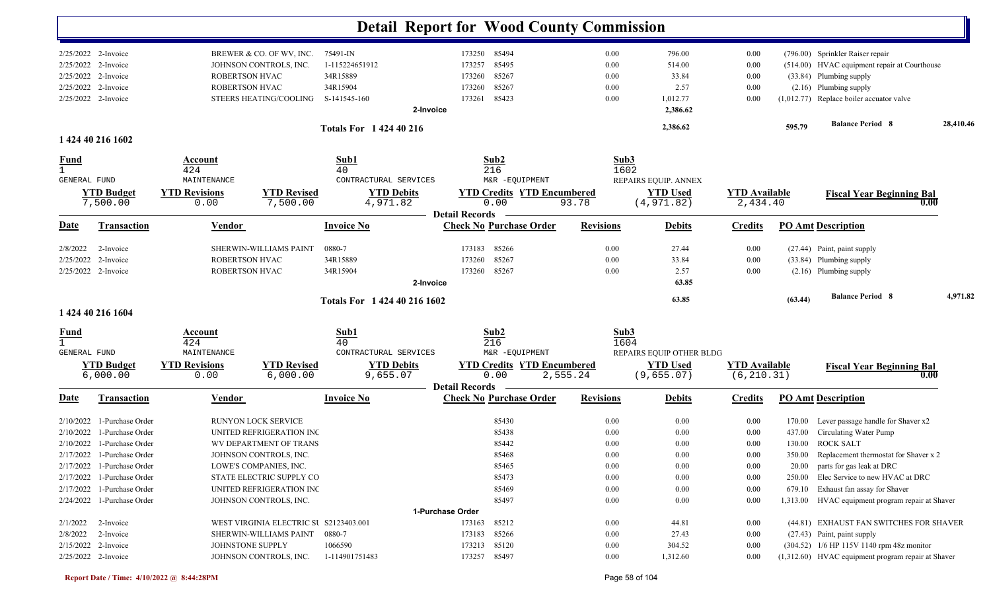|                     |                              |                      |                                        |                                |                  | <b>Detail Report for Wood County Commission</b>         |                  |          |                          |                      |         |                                                     |           |
|---------------------|------------------------------|----------------------|----------------------------------------|--------------------------------|------------------|---------------------------------------------------------|------------------|----------|--------------------------|----------------------|---------|-----------------------------------------------------|-----------|
|                     | $2/25/2022$ 2-Invoice        |                      | BREWER & CO. OF WV, INC.               | 75491-IN                       |                  | 173250 85494                                            |                  | 0.00     | 796.00                   | 0.00                 |         | (796.00) Sprinkler Raiser repair                    |           |
|                     | 2/25/2022 2-Invoice          |                      | JOHNSON CONTROLS, INC.                 | 1-115224651912                 |                  | 85495<br>173257                                         |                  | 0.00     | 514.00                   | 0.00                 |         | (514.00) HVAC equipment repair at Courthouse        |           |
|                     | 2/25/2022 2-Invoice          | ROBERTSON HVAC       |                                        | 34R15889                       |                  | 85267<br>173260                                         |                  | 0.00     | 33.84                    | 0.00                 |         |                                                     |           |
|                     | 2/25/2022 2-Invoice          |                      |                                        | 34R15904                       |                  | 85267<br>173260                                         |                  | 0.00     | 2.57                     | 0.00                 |         | (33.84) Plumbing supply<br>$(2.16)$ Plumbing supply |           |
|                     |                              | ROBERTSON HVAC       |                                        |                                |                  |                                                         |                  |          |                          |                      |         | $(1,012.77)$ Replace boiler accuator valve          |           |
|                     | 2/25/2022 2-Invoice          |                      | STEERS HEATING/COOLING                 | S-141545-160                   | 2-Invoice        | 85423<br>173261                                         |                  | 0.00     | 1,012.77<br>2,386.62     | 0.00                 |         |                                                     |           |
|                     |                              |                      |                                        | <b>Totals For 1 424 40 216</b> |                  |                                                         |                  |          | 2,386.62                 |                      | 595.79  | <b>Balance Period 8</b>                             | 28,410.46 |
|                     | 1 424 40 216 1602            |                      |                                        |                                |                  |                                                         |                  |          |                          |                      |         |                                                     |           |
| <u>Fund</u>         |                              | Account              |                                        | Sub1                           |                  | Sub2                                                    |                  | Sub3     |                          |                      |         |                                                     |           |
| $\mathbf{1}$        |                              | 424                  |                                        | 40                             |                  | 216                                                     |                  | 1602     |                          |                      |         |                                                     |           |
| <b>GENERAL FUND</b> |                              | MAINTENANCE          |                                        | CONTRACTURAL SERVICES          |                  | M&R -EQUIPMENT                                          |                  |          | REPAIRS EQUIP. ANNEX     |                      |         |                                                     |           |
|                     | <b>YTD Budget</b>            | <b>YTD Revisions</b> | <b>YTD Revised</b>                     | <b>YTD Debits</b>              |                  | <b>YTD Credits YTD Encumbered</b>                       |                  |          | <b>YTD Used</b>          | <b>YTD</b> Available |         | <b>Fiscal Year Beginning Bal</b>                    |           |
|                     | 7,500.00                     | 0.00                 | 7,500.00                               | 4,971.82                       |                  | 0.00<br><b>Detail Records</b>                           | 93.78            |          | (4, 971.82)              | 2,434.40             |         | 0.00                                                |           |
| Date                | <b>Transaction</b>           | Vendor               |                                        | <b>Invoice No</b>              |                  | <b>Check No Purchase Order</b>                          | <b>Revisions</b> |          | <b>Debits</b>            | <b>Credits</b>       |         | <b>PO Amt Description</b>                           |           |
| 2/8/2022            | 2-Invoice                    |                      | SHERWIN-WILLIAMS PAINT                 | 0880-7                         |                  | 85266<br>173183                                         |                  | 0.00     | 27.44                    | 0.00                 |         | (27.44) Paint, paint supply                         |           |
| 2/25/2022           | 2-Invoice                    | ROBERTSON HVAC       |                                        | 34R15889                       |                  | 85267<br>173260                                         |                  | 0.00     | 33.84                    | 0.00                 |         | (33.84) Plumbing supply                             |           |
|                     | 2/25/2022 2-Invoice          | ROBERTSON HVAC       |                                        | 34R15904                       |                  | 85267<br>173260                                         |                  | 0.00     | 2.57                     | 0.00                 |         | $(2.16)$ Plumbing supply                            |           |
|                     |                              |                      |                                        |                                | 2-Invoice        |                                                         |                  |          | 63.85                    |                      |         |                                                     |           |
|                     |                              |                      |                                        | Totals For 1 424 40 216 1602   |                  |                                                         |                  |          | 63.85                    |                      | (63.44) | <b>Balance Period 8</b>                             | 4,971.82  |
|                     | 1 424 40 216 1604            |                      |                                        |                                |                  |                                                         |                  |          |                          |                      |         |                                                     |           |
| <b>Fund</b>         |                              | Account              |                                        | Sub1                           |                  | Sub2                                                    |                  | Sub3     |                          |                      |         |                                                     |           |
|                     |                              | 424                  |                                        | 40                             |                  | 216                                                     |                  | 1604     |                          |                      |         |                                                     |           |
| <b>GENERAL FUND</b> |                              | MAINTENANCE          |                                        | CONTRACTURAL SERVICES          |                  | M&R -EQUIPMENT                                          |                  |          | REPAIRS EQUIP OTHER BLDG |                      |         |                                                     |           |
|                     | <b>YTD Budget</b>            | <b>YTD Revisions</b> | <b>YTD Revised</b>                     | <b>YTD Debits</b>              |                  | <b>YTD Credits YTD Encumbered</b>                       |                  |          | <b>YTD</b> Used          | <b>YTD Available</b> |         | <b>Fiscal Year Beginning Bal</b>                    |           |
|                     | 6,000.00                     | 0.00                 | 6,000.00                               | 9,655.07                       |                  | 0.00                                                    | 2,555.24         |          | (9, 655.07)              | (6, 210.31)          |         | 0.00                                                |           |
| Date                | <b>Transaction</b>           | <b>Vendor</b>        |                                        | <b>Invoice No</b>              |                  | <b>Detail Records</b><br><b>Check No Purchase Order</b> | <b>Revisions</b> |          | <b>Debits</b>            | <b>Credits</b>       |         | <b>PO Amt Description</b>                           |           |
| 2/10/2022           | 1-Purchase Order             |                      | RUNYON LOCK SERVICE                    |                                |                  | 85430                                                   |                  | 0.00     | 0.00                     | 0.00                 | 170.00  | Lever passage handle for Shaver x2                  |           |
| 2/10/2022           | 1-Purchase Order             |                      | UNITED REFRIGERATION INC               |                                |                  | 85438                                                   |                  | 0.00     | 0.00                     | 0.00                 | 437.00  | Circulating Water Pump                              |           |
|                     | $2/10/2022$ 1-Purchase Order |                      | WV DEPARTMENT OF TRANS                 |                                |                  | 85442                                                   |                  | 0.00     | 0.00                     | 0.00                 |         | 130.00 ROCK SALT                                    |           |
|                     | 2/17/2022 1-Purchase Order   |                      | JOHNSON CONTROLS, INC.                 |                                |                  | 85468                                                   |                  | 0.00     | $0.00\,$                 | 0.00                 |         | 350.00 Replacement thermostat for Shaver x 2        |           |
|                     | $2/17/2022$ 1-Purchase Order |                      | LOWE'S COMPANIES, INC.                 |                                |                  | 85465                                                   |                  | 0.00     | 0.00                     | 0.00                 |         | 20.00 parts for gas leak at DRC                     |           |
|                     | 2/17/2022 1-Purchase Order   |                      | STATE ELECTRIC SUPPLY CO               |                                |                  | 85473                                                   |                  | $0.00\,$ | 0.00                     | 0.00                 |         | 250.00 Elec Service to new HVAC at DRC              |           |
|                     | 2/17/2022 1-Purchase Order   |                      | UNITED REFRIGERATION INC               |                                |                  | 85469                                                   |                  | 0.00     | 0.00                     | 0.00                 |         | 679.10 Exhaust fan assay for Shaver                 |           |
|                     | 2/24/2022 1-Purchase Order   |                      | JOHNSON CONTROLS, INC.                 |                                |                  | 85497                                                   |                  | $0.00\,$ | 0.00                     | 0.00                 |         | 1,313.00 HVAC equipment program repair at Shaver    |           |
|                     |                              |                      |                                        |                                | 1-Purchase Order |                                                         |                  |          |                          |                      |         |                                                     |           |
| 2/1/2022            | 2-Invoice                    |                      | WEST VIRGINIA ELECTRIC SU S2123403.001 |                                |                  | 85212<br>173163                                         |                  | 0.00     | 44.81                    | $0.00\,$             |         | (44.81) EXHAUST FAN SWITCHES FOR SHAVER             |           |
| 2/8/2022            | 2-Invoice                    |                      | SHERWIN-WILLIAMS PAINT                 | 0880-7                         |                  | 173183 85266                                            |                  | $0.00\,$ | 27.43                    | $0.00\,$             |         | (27.43) Paint, paint supply                         |           |
|                     | 2/15/2022 2-Invoice          | JOHNSTONE SUPPLY     |                                        | 1066590                        |                  | 173213 85120                                            |                  | $0.00\,$ | 304.52                   | $0.00\,$             |         | (304.52) 1/6 HP 115V 1140 rpm 48z monitor           |           |
|                     | 2/25/2022 2-Invoice          |                      | JOHNSON CONTROLS, INC.                 | 1-114901751483                 |                  | 173257 85497                                            |                  | 0.00     | 1,312.60                 | 0.00                 |         | (1,312.60) HVAC equipment program repair at Shaver  |           |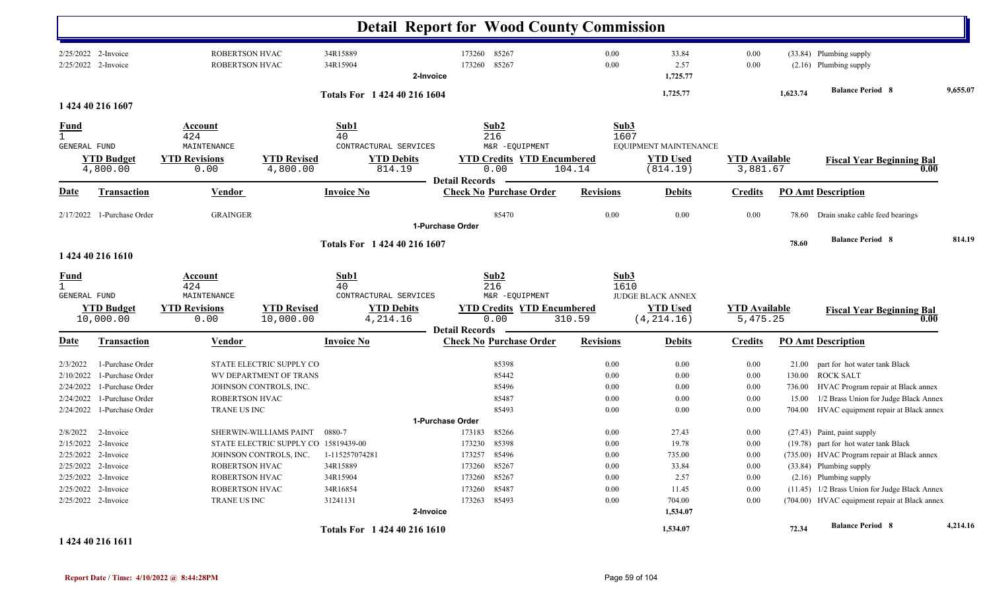|                                                              |                                                                                                                                                     |                                                                    |                                                                                          |                                                                          | <b>Detail Report for Wood County Commission</b>                                                                                     |                                                      |                                                                      |                                                                  |                                              |                                                                                                                                                                                                                                                                              |          |
|--------------------------------------------------------------|-----------------------------------------------------------------------------------------------------------------------------------------------------|--------------------------------------------------------------------|------------------------------------------------------------------------------------------|--------------------------------------------------------------------------|-------------------------------------------------------------------------------------------------------------------------------------|------------------------------------------------------|----------------------------------------------------------------------|------------------------------------------------------------------|----------------------------------------------|------------------------------------------------------------------------------------------------------------------------------------------------------------------------------------------------------------------------------------------------------------------------------|----------|
|                                                              | 2/25/2022 2-Invoice<br>2/25/2022 2-Invoice                                                                                                          | ROBERTSON HVAC<br>ROBERTSON HVAC                                   |                                                                                          | 34R15889<br>34R15904                                                     | 85267<br>173260<br>85267<br>173260<br>2-Invoice                                                                                     | 0.00<br>0.00                                         | 33.84<br>2.57<br>1,725.77                                            | 0.00<br>0.00                                                     |                                              | (33.84) Plumbing supply<br>(2.16) Plumbing supply                                                                                                                                                                                                                            |          |
|                                                              |                                                                                                                                                     |                                                                    |                                                                                          | Totals For 1 424 40 216 1604                                             |                                                                                                                                     |                                                      | 1,725.77                                                             |                                                                  | 1,623.74                                     | <b>Balance Period 8</b>                                                                                                                                                                                                                                                      | 9,655.07 |
|                                                              | 1 424 40 216 1607                                                                                                                                   |                                                                    |                                                                                          |                                                                          |                                                                                                                                     |                                                      |                                                                      |                                                                  |                                              |                                                                                                                                                                                                                                                                              |          |
| <b>Fund</b><br>$\mathbf{1}$<br>GENERAL FUND                  | <b>YTD Budget</b><br>4,800.00                                                                                                                       | Account<br>424<br>MAINTENANCE<br><b>YTD Revisions</b><br>0.00      | <b>YTD Revised</b><br>4,800.00                                                           | Sub1<br>40<br>CONTRACTURAL SERVICES<br><b>YTD Debits</b><br>814.19       | Sub2<br>216<br>M&R -EQUIPMENT<br><b>YTD Credits YTD Encumbered</b><br>0.00                                                          | 104.14                                               | Sub3<br>1607<br>EQUIPMENT MAINTENANCE<br><b>YTD Used</b><br>(814.19) | <b>YTD</b> Available<br>3,881.67                                 |                                              | <b>Fiscal Year Beginning Bal</b><br>0.00                                                                                                                                                                                                                                     |          |
| Date                                                         | <b>Transaction</b>                                                                                                                                  | Vendor                                                             |                                                                                          | <b>Invoice No</b>                                                        | <b>Detail Records</b><br><b>Check No Purchase Order</b>                                                                             | <b>Revisions</b>                                     | <b>Debits</b>                                                        | <b>Credits</b>                                                   |                                              | <b>PO Amt Description</b>                                                                                                                                                                                                                                                    |          |
|                                                              | 2/17/2022 1-Purchase Order                                                                                                                          | <b>GRAINGER</b>                                                    |                                                                                          |                                                                          | 85470                                                                                                                               | 0.00                                                 | 0.00                                                                 | 0.00                                                             | 78.60                                        | Drain snake cable feed bearings                                                                                                                                                                                                                                              |          |
|                                                              |                                                                                                                                                     |                                                                    |                                                                                          |                                                                          | 1-Purchase Order                                                                                                                    |                                                      |                                                                      |                                                                  |                                              |                                                                                                                                                                                                                                                                              |          |
|                                                              | 1 424 40 216 1610                                                                                                                                   |                                                                    |                                                                                          | Totals For 1 424 40 216 1607                                             |                                                                                                                                     |                                                      |                                                                      |                                                                  | 78.60                                        | <b>Balance Period 8</b>                                                                                                                                                                                                                                                      | 814.19   |
| <b>Fund</b><br>$\mathbf{1}$<br><b>GENERAL FUND</b>           | <b>YTD Budget</b>                                                                                                                                   | Account<br>424<br>MAINTENANCE<br><b>YTD Revisions</b>              | <b>YTD Revised</b>                                                                       | Sub1<br>40<br>CONTRACTURAL SERVICES<br><b>YTD Debits</b>                 | Sub2<br>216<br>M&R -EQUIPMENT<br><b>YTD Credits YTD Encumbered</b>                                                                  |                                                      | Sub3<br>1610<br><b>JUDGE BLACK ANNEX</b><br><b>YTD Used</b>          | <b>YTD</b> Available                                             |                                              | <b>Fiscal Year Beginning Bal</b>                                                                                                                                                                                                                                             |          |
|                                                              | 10,000.00                                                                                                                                           | 0.00                                                               | 10,000.00                                                                                | 4,214.16                                                                 | 0.00                                                                                                                                | 310.59                                               | (4, 214.16)                                                          | 5,475.25                                                         |                                              | 0.00                                                                                                                                                                                                                                                                         |          |
| Date                                                         | <b>Transaction</b>                                                                                                                                  | <b>Vendor</b>                                                      |                                                                                          | <b>Invoice No</b>                                                        | <b>Detail Records</b><br><b>Check No Purchase Order</b>                                                                             | <b>Revisions</b>                                     | <b>Debits</b>                                                        | <b>Credits</b>                                                   |                                              | <b>PO Amt Description</b>                                                                                                                                                                                                                                                    |          |
| 2/3/2022<br>2/10/2022<br>2/24/2022<br>2/24/2022<br>2/24/2022 | 1-Purchase Order<br>1-Purchase Order<br>1-Purchase Order<br>1-Purchase Order<br>1-Purchase Order                                                    | ROBERTSON HVAC<br><b>TRANE US INC</b>                              | STATE ELECTRIC SUPPLY CO<br>WV DEPARTMENT OF TRANS<br>JOHNSON CONTROLS, INC.             |                                                                          | 85398<br>85442<br>85496<br>85487<br>85493                                                                                           | 0.00<br>0.00<br>0.00<br>0.00<br>0.00                 | 0.00<br>0.00<br>0.00<br>0.00<br>0.00                                 | 0.00<br>0.00<br>0.00<br>0.00<br>0.00                             | 21.00<br>130.00<br>736.00<br>15.00<br>704.00 | part for hot water tank Black<br><b>ROCK SALT</b><br>HVAC Program repair at Black annex<br>1/2 Brass Union for Judge Black Annex<br>HVAC equipment repair at Black annex                                                                                                     |          |
| 2/8/2022                                                     | 2-Invoice<br>2/15/2022 2-Invoice<br>2/25/2022 2-Invoice<br>2/25/2022 2-Invoice<br>2/25/2022 2-Invoice<br>2/25/2022 2-Invoice<br>2/25/2022 2-Invoice | ROBERTSON HVAC<br>ROBERTSON HVAC<br>ROBERTSON HVAC<br>TRANE US INC | SHERWIN-WILLIAMS PAINT<br>STATE ELECTRIC SUPPLY CO 15819439-00<br>JOHNSON CONTROLS, INC. | 0880-7<br>1-115257074281<br>34R15889<br>34R15904<br>34R16854<br>31241131 | 1-Purchase Order<br>85266<br>173183<br>173230 85398<br>173257 85496<br>173260 85267<br>173260 85267<br>173260 85487<br>173263 85493 | 0.00<br>0.00<br>0.00<br>0.00<br>0.00<br>0.00<br>0.00 | 27.43<br>19.78<br>735.00<br>33.84<br>2.57<br>11.45<br>704.00         | 0.00<br>0.00<br>0.00<br>0.00<br>$0.00\,$<br>$0.00\,$<br>$0.00\,$ |                                              | (27.43) Paint, paint supply<br>(19.78) part for hot water tank Black<br>(735.00) HVAC Program repair at Black annex<br>(33.84) Plumbing supply<br>$(2.16)$ Plumbing supply<br>(11.45) 1/2 Brass Union for Judge Black Annex<br>(704.00) HVAC equipment repair at Black annex |          |
|                                                              |                                                                                                                                                     |                                                                    |                                                                                          | Totals For 1 424 40 216 1610                                             | 2-Invoice                                                                                                                           |                                                      | 1,534.07<br>1,534.07                                                 |                                                                  | 72.34                                        | <b>Balance Period 8</b>                                                                                                                                                                                                                                                      | 4,214.16 |

**1 424 40 216 1611**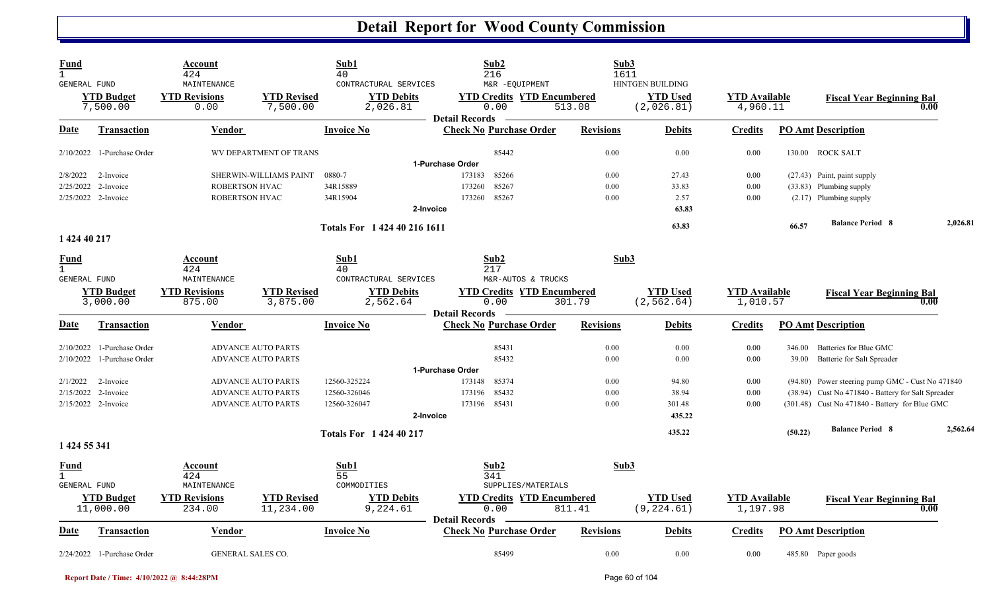| <b>Fund</b><br>$\mathbf{1}$<br>GENERAL FUND | <b>YTD Budget</b>              | Account<br>424<br>MAINTENANCE<br><b>YTD Revisions</b> | <b>YTD Revised</b>              | Sub1<br>40<br>CONTRACTURAL SERVICES<br><b>YTD Debits</b> | Sub2<br>216<br>M&R -EQUIPMENT<br><b>YTD Credits YTD Encumbered</b> | Sub3<br>1611     | <b>HINTGEN BUILDING</b><br><b>YTD Used</b> | <b>YTD</b> Available             |         | <b>Fiscal Year Beginning Bal</b>                   |          |
|---------------------------------------------|--------------------------------|-------------------------------------------------------|---------------------------------|----------------------------------------------------------|--------------------------------------------------------------------|------------------|--------------------------------------------|----------------------------------|---------|----------------------------------------------------|----------|
|                                             | 7,500.00                       | 0.00                                                  | 7,500.00                        | 2,026.81                                                 | 0.00<br><b>Detail Records</b>                                      | 513.08           | (2,026.81)                                 | 4,960.11                         |         |                                                    | 0.00     |
| <b>Date</b>                                 | <b>Transaction</b>             | <b>Vendor</b>                                         |                                 | <b>Invoice No</b>                                        | <b>Check No Purchase Order</b>                                     | <b>Revisions</b> | <b>Debits</b>                              | <b>Credits</b>                   |         | <b>PO Amt Description</b>                          |          |
|                                             | $2/10/2022$ 1-Purchase Order   |                                                       | WV DEPARTMENT OF TRANS          |                                                          | 85442                                                              | 0.00             | 0.00                                       | 0.00                             |         | 130.00 ROCK SALT                                   |          |
|                                             |                                |                                                       |                                 |                                                          | 1-Purchase Order                                                   |                  |                                            |                                  |         |                                                    |          |
| 2/8/2022                                    | 2-Invoice                      |                                                       | SHERWIN-WILLIAMS PAINT          | 0880-7                                                   | 173183<br>85266                                                    | 0.00             | 27.43                                      | 0.00                             |         | (27.43) Paint, paint supply                        |          |
|                                             | 2/25/2022 2-Invoice            | ROBERTSON HVAC                                        |                                 | 34R15889                                                 | 85267<br>173260                                                    | 0.00             | 33.83                                      | 0.00                             |         | (33.83) Plumbing supply                            |          |
|                                             | 2/25/2022 2-Invoice            | <b>ROBERTSON HVAC</b>                                 |                                 | 34R15904                                                 | 85267<br>173260                                                    | 0.00             | 2.57                                       | 0.00                             |         | $(2.17)$ Plumbing supply                           |          |
|                                             |                                |                                                       |                                 | 2-Invoice                                                |                                                                    |                  | 63.83                                      |                                  |         |                                                    |          |
|                                             |                                |                                                       |                                 | Totals For 1 424 40 216 1611                             |                                                                    |                  | 63.83                                      |                                  | 66.57   | <b>Balance Period 8</b>                            | 2,026.81 |
| 1 424 40 217                                |                                |                                                       |                                 |                                                          |                                                                    |                  |                                            |                                  |         |                                                    |          |
| <b>Fund</b>                                 |                                | Account                                               |                                 | Sub1                                                     | Sub2                                                               | Sub3             |                                            |                                  |         |                                                    |          |
| $\mathbf{1}$                                |                                | 424                                                   |                                 | 40                                                       | 217                                                                |                  |                                            |                                  |         |                                                    |          |
| <b>GENERAL FUND</b>                         |                                | MAINTENANCE                                           |                                 | CONTRACTURAL SERVICES                                    | M&R-AUTOS & TRUCKS                                                 |                  |                                            |                                  |         |                                                    |          |
|                                             | <b>YTD Budget</b>              | <b>YTD Revisions</b>                                  | <b>YTD Revised</b>              | <b>YTD Debits</b>                                        | <b>YTD Credits YTD Encumbered</b>                                  |                  | <b>YTD</b> Used                            | <b>YTD</b> Available             |         | <b>Fiscal Year Beginning Bal</b>                   |          |
|                                             | 3,000.00                       | 875.00                                                | 3,875.00                        | 2,562.64                                                 | 0.00<br><b>Detail Records</b>                                      | 301.79           | (2, 562.64)                                | 1,010.57                         |         |                                                    | 0.00     |
| <u>Date</u>                                 | <b>Transaction</b>             | <b>Vendor</b>                                         |                                 | <b>Invoice No</b>                                        | <b>Check No Purchase Order</b>                                     | <b>Revisions</b> | <b>Debits</b>                              | <b>Credits</b>                   |         | <b>PO Amt Description</b>                          |          |
| 2/10/2022                                   | 1-Purchase Order               |                                                       | <b>ADVANCE AUTO PARTS</b>       |                                                          | 85431                                                              | 0.00             | 0.00                                       | 0.00                             | 346.00  | Batteries for Blue GMC                             |          |
| 2/10/2022                                   | 1-Purchase Order               |                                                       | <b>ADVANCE AUTO PARTS</b>       |                                                          | 85432                                                              | 0.00             | 0.00                                       | 0.00                             | 39.00   | Batterie for Salt Spreader                         |          |
|                                             |                                |                                                       |                                 |                                                          | 1-Purchase Order                                                   |                  |                                            |                                  |         |                                                    |          |
| 2/1/2022                                    | 2-Invoice                      |                                                       | <b>ADVANCE AUTO PARTS</b>       | 12560-325224                                             | 85374<br>173148                                                    | 0.00             | 94.80                                      | 0.00                             |         | (94.80) Power steering pump GMC - Cust No 471840   |          |
| 2/15/2022                                   | 2-Invoice                      |                                                       | <b>ADVANCE AUTO PARTS</b>       | 12560-326046                                             | 85432<br>173196                                                    | 0.00             | 38.94                                      | 0.00                             |         | (38.94) Cust No 471840 - Battery for Salt Spreader |          |
|                                             | 2/15/2022 2-Invoice            |                                                       | <b>ADVANCE AUTO PARTS</b>       | 12560-326047                                             | 173196 85431                                                       | 0.00             | 301.48                                     | 0.00                             |         | (301.48) Cust No 471840 - Battery for Blue GMC     |          |
|                                             |                                |                                                       |                                 | 2-Invoice                                                |                                                                    |                  | 435.22                                     |                                  |         |                                                    |          |
|                                             |                                |                                                       |                                 | Totals For 1 424 40 217                                  |                                                                    |                  | 435.22                                     |                                  | (50.22) | <b>Balance Period 8</b>                            | 2,562.64 |
| 1 424 55 341                                |                                |                                                       |                                 |                                                          |                                                                    |                  |                                            |                                  |         |                                                    |          |
| <u>Fund</u><br>$\mathbf{1}$                 |                                | Account<br>424                                        |                                 | Sub1<br>55                                               | Sub2<br>341                                                        | Sub3             |                                            |                                  |         |                                                    |          |
| <b>GENERAL FUND</b>                         |                                | MAINTENANCE                                           |                                 | COMMODITIES                                              | SUPPLIES/MATERIALS                                                 |                  |                                            |                                  |         |                                                    |          |
|                                             | <b>YTD Budget</b><br>11,000.00 | <b>YTD Revisions</b><br>234.00                        | <b>YTD Revised</b><br>11,234.00 | <b>YTD Debits</b><br>9,224.61                            | <b>YTD Credits YTD Encumbered</b><br>0.00                          | 811.41           | <b>YTD Used</b><br>(9, 224.61)             | <b>YTD Available</b><br>1,197.98 |         | <b>Fiscal Year Beginning Bal</b>                   | 0.00     |
|                                             |                                |                                                       |                                 |                                                          | <b>Detail Records</b>                                              |                  |                                            |                                  |         |                                                    |          |
| <u>Date</u>                                 | <b>Transaction</b>             | <b>Vendor</b>                                         |                                 | <b>Invoice No</b>                                        | <b>Check No Purchase Order</b>                                     | <b>Revisions</b> | <b>Debits</b>                              | <b>Credits</b>                   |         | <b>PO Amt Description</b>                          |          |
|                                             | 2/24/2022 1-Purchase Order     | <b>GENERAL SALES CO.</b>                              |                                 |                                                          | 85499                                                              | 0.00             | 0.00                                       | 0.00                             |         | 485.80 Paper goods                                 |          |

**Report Date / Time: 4/10/2022 @ 8:44:28PM** Page 60 of 104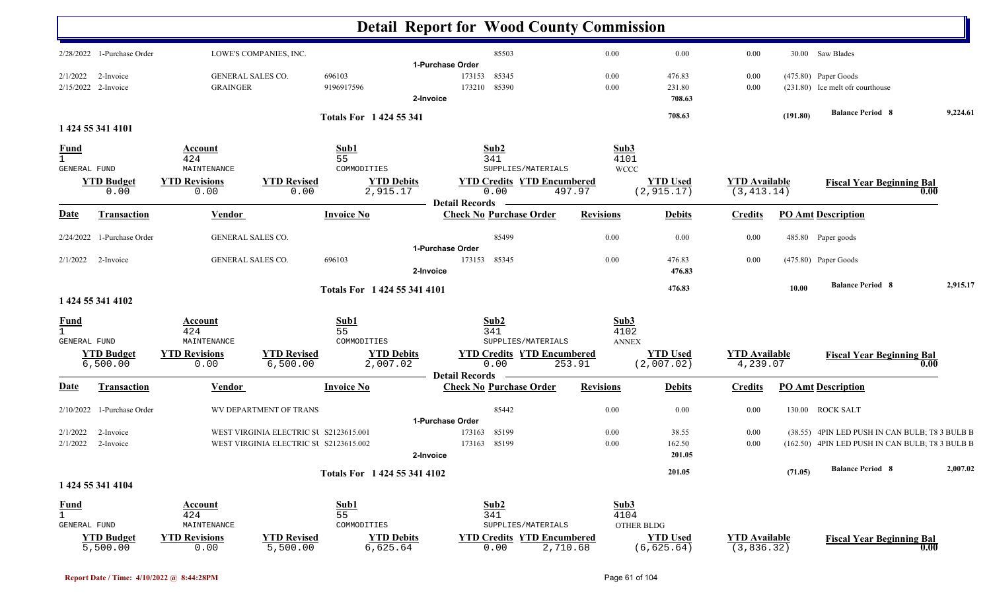|                                                    |                                      |                                        |                               | <b>Detail Report for Wood County Commission</b>                     |                              |                                |                                     |          |                                                           |          |
|----------------------------------------------------|--------------------------------------|----------------------------------------|-------------------------------|---------------------------------------------------------------------|------------------------------|--------------------------------|-------------------------------------|----------|-----------------------------------------------------------|----------|
| 2/28/2022 1-Purchase Order                         |                                      | LOWE'S COMPANIES, INC.                 |                               | 85503                                                               | 0.00                         | 0.00                           | 0.00                                |          | 30.00 Saw Blades                                          |          |
| 2/1/2022<br>2-Invoice<br>2/15/2022 2-Invoice       | GENERAL SALES CO.<br><b>GRAINGER</b> |                                        | 696103<br>9196917596          | 1-Purchase Order<br>85345<br>173153<br>85390<br>173210<br>2-Invoice | 0.00<br>0.00                 | 476.83<br>231.80<br>708.63     | 0.00<br>0.00                        |          | (475.80) Paper Goods<br>(231.80) Ice melt of r courthouse |          |
|                                                    |                                      |                                        | <b>Totals For 1424 55 341</b> |                                                                     |                              | 708.63                         |                                     | (191.80) | <b>Balance Period 8</b>                                   | 9,224.61 |
| 1 424 55 341 4101                                  |                                      |                                        |                               |                                                                     |                              |                                |                                     |          |                                                           |          |
| <u>Fund</u><br>$\mathbf{1}$<br><b>GENERAL FUND</b> | Account<br>424<br>MAINTENANCE        |                                        | Sub1<br>55<br>COMMODITIES     | Sub2<br>341<br>SUPPLIES/MATERIALS                                   | Sub3<br>4101<br><b>WCCC</b>  |                                |                                     |          |                                                           |          |
| <b>YTD Budget</b><br>0.00                          | <b>YTD Revisions</b><br>0.00         | <b>YTD Revised</b><br>0.00             | <b>YTD Debits</b><br>2,915.17 | <b>YTD Credits YTD Encumbered</b><br>0.00                           | 497.97                       | <b>YTD Used</b><br>(2, 915.17) | <b>YTD Available</b><br>(3, 413.14) |          | <b>Fiscal Year Beginning Bal</b><br>0.00                  |          |
| <u>Date</u><br>Transaction                         | <b>Vendor</b>                        |                                        | <b>Invoice No</b>             | <b>Detail Records</b><br><b>Check No Purchase Order</b>             | <b>Revisions</b>             | <b>Debits</b>                  | <b>Credits</b>                      |          | <b>PO Amt Description</b>                                 |          |
| 2/24/2022 1-Purchase Order                         | GENERAL SALES CO.                    |                                        |                               | 85499                                                               | 0.00                         | 0.00                           | 0.00                                |          | 485.80 Paper goods                                        |          |
| $2/1/2022$ 2-Invoice                               | <b>GENERAL SALES CO.</b>             |                                        | 696103                        | 1-Purchase Order<br>173153<br>85345<br>2-Invoice                    | 0.00                         | 476.83<br>476.83               | 0.00                                |          | (475.80) Paper Goods                                      |          |
|                                                    |                                      |                                        | Totals For 1 424 55 341 4101  |                                                                     |                              | 476.83                         |                                     | 10.00    | <b>Balance Period 8</b>                                   | 2,915.17 |
| 1 424 55 341 4102                                  |                                      |                                        |                               |                                                                     |                              |                                |                                     |          |                                                           |          |
| <u>Fund</u><br>$\mathbf{1}$<br>GENERAL FUND        | <b>Account</b><br>424<br>MAINTENANCE |                                        | Sub1<br>55<br>COMMODITIES     | Sub2<br>341<br>SUPPLIES/MATERIALS                                   | Sub3<br>4102<br><b>ANNEX</b> |                                |                                     |          |                                                           |          |
| <b>YTD Budget</b><br>6,500.00                      | <b>YTD Revisions</b><br>0.00         | <b>YTD Revised</b><br>6,500.00         | <b>YTD Debits</b><br>2,007.02 | <b>YTD Credits YTD Encumbered</b><br>0.00<br><b>Detail Records</b>  | 253.91                       | <b>YTD Used</b><br>(2,007.02)  | <b>YTD</b> Available<br>4,239.07    |          | <b>Fiscal Year Beginning Bal</b><br>0.00                  |          |
| <b>Transaction</b><br>Date                         | <b>Vendor</b>                        |                                        | <b>Invoice No</b>             | <b>Check No Purchase Order</b>                                      | <b>Revisions</b>             | <b>Debits</b>                  | <b>Credits</b>                      |          | PO Amt Description                                        |          |
| $2/10/2022$ 1-Purchase Order                       |                                      | WV DEPARTMENT OF TRANS                 |                               | 85442<br>1-Purchase Order                                           | 0.00                         | 0.00                           | 0.00                                |          | 130.00 ROCK SALT                                          |          |
| 2/1/2022<br>2-Invoice                              |                                      | WEST VIRGINIA ELECTRIC SU S2123615.001 |                               | 85199<br>173163                                                     | 0.00                         | 38.55                          | 0.00                                |          | (38.55) 4PIN LED PUSH IN CAN BULB; T8 3 BULB B            |          |
| 2/1/2022<br>2-Invoice                              |                                      | WEST VIRGINIA ELECTRIC SU S2123615.002 |                               | 173163 85199<br>2-Invoice                                           | 0.00                         | 162.50<br>201.05               | 0.00                                |          | (162.50) 4PIN LED PUSH IN CAN BULB; T8 3 BULB B           |          |
| 1 424 55 341 4104                                  |                                      |                                        | Totals For 1 424 55 341 4102  |                                                                     |                              | 201.05                         |                                     | (71.05)  | <b>Balance Period 8</b>                                   | 2,007.02 |
| <b>Fund</b>                                        | Account                              |                                        | Sub1                          | Sub2                                                                | Sub3                         |                                |                                     |          |                                                           |          |
| $\mathbf{1}$<br>GENERAL FUND                       | 424<br>MAINTENANCE                   |                                        | 55<br>COMMODITIES             | 341<br>SUPPLIES/MATERIALS                                           | 4104                         | OTHER BLDG                     |                                     |          |                                                           |          |
| <b>YTD Budget</b><br>5,500.00                      | <b>YTD Revisions</b><br>0.00         | <b>YTD Revised</b><br>5,500.00         | <b>YTD Debits</b><br>6,625.64 | <b>YTD Credits YTD Encumbered</b><br>0.00                           | 2,710.68                     | <b>YTD Used</b><br>(6, 625.64) | <b>YTD</b> Available<br>(3, 836.32) |          | <b>Fiscal Year Beginning Bal</b><br>0.00                  |          |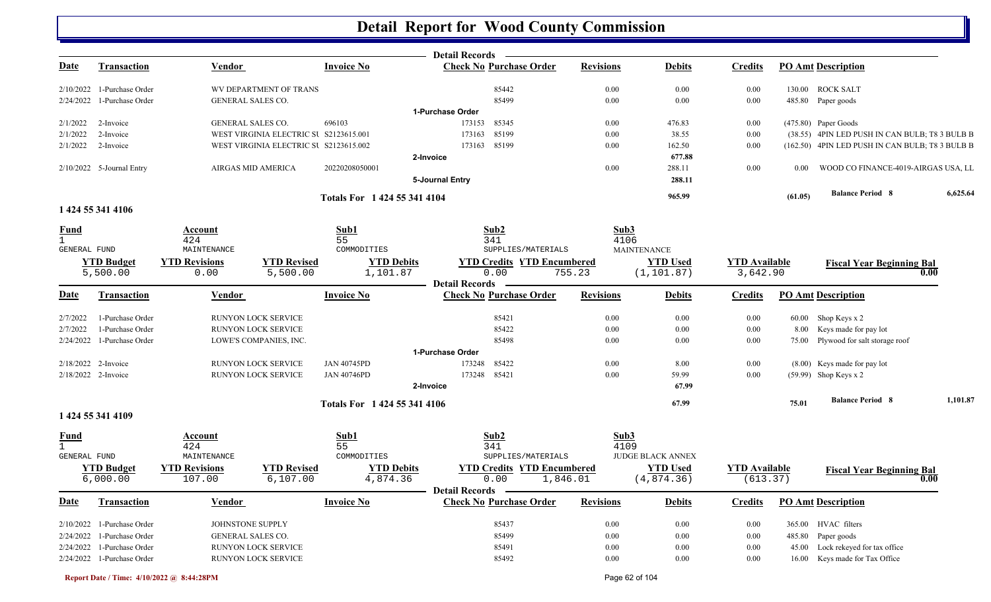|                                     |                              |                                                                    |                    |                              | <b>Detail Records</b>                                   |                  |                          |                      |          |                                                                        |          |
|-------------------------------------|------------------------------|--------------------------------------------------------------------|--------------------|------------------------------|---------------------------------------------------------|------------------|--------------------------|----------------------|----------|------------------------------------------------------------------------|----------|
| Date                                | <b>Transaction</b>           | <b>Vendor</b>                                                      |                    | <b>Invoice No</b>            | <b>Check No Purchase Order</b>                          | <b>Revisions</b> | <b>Debits</b>            | <b>Credits</b>       |          | <b>PO Amt Description</b>                                              |          |
|                                     | 2/10/2022 1-Purchase Order   | WV DEPARTMENT OF TRANS                                             |                    |                              | 85442                                                   | 0.00             | 0.00                     | 0.00                 |          | 130.00 ROCK SALT                                                       |          |
|                                     | 2/24/2022 1-Purchase Order   | GENERAL SALES CO.                                                  |                    |                              | 85499                                                   | 0.00             | 0.00                     | 0.00                 |          | 485.80 Paper goods                                                     |          |
|                                     |                              |                                                                    |                    |                              | 1-Purchase Order                                        |                  |                          |                      |          |                                                                        |          |
| 2/1/2022<br>2/1/2022                | 2-Invoice<br>2-Invoice       | <b>GENERAL SALES CO.</b><br>WEST VIRGINIA ELECTRIC SU S2123615.001 |                    | 696103                       | 173153<br>85345<br>85199<br>173163                      | 0.00             | 476.83<br>38.55          | 0.00<br>0.00         |          | (475.80) Paper Goods<br>(38.55) 4PIN LED PUSH IN CAN BULB; T8 3 BULB B |          |
| 2/1/2022                            | 2-Invoice                    | WEST VIRGINIA ELECTRIC SU S2123615.002                             |                    |                              | 85199<br>173163                                         | 0.00<br>0.00     | 162.50                   | 0.00                 |          | (162.50) 4PIN LED PUSH IN CAN BULB; T8 3 BULB B                        |          |
|                                     |                              |                                                                    |                    |                              | 2-Invoice                                               |                  | 677.88                   |                      |          |                                                                        |          |
|                                     | 2/10/2022 5-Journal Entry    | AIRGAS MID AMERICA                                                 |                    | 20220208050001               |                                                         | 0.00             | 288.11                   | 0.00                 | $0.00\,$ | WOOD CO FINANCE-4019-AIRGAS USA, LL                                    |          |
|                                     |                              |                                                                    |                    |                              | 5-Journal Entry                                         |                  | 288.11                   |                      |          |                                                                        |          |
|                                     |                              |                                                                    |                    | Totals For 1 424 55 341 4104 |                                                         |                  | 965.99                   |                      | (61.05)  | <b>Balance Period 8</b>                                                | 6,625.64 |
|                                     | 1 424 55 341 4106            |                                                                    |                    |                              |                                                         |                  |                          |                      |          |                                                                        |          |
| <b>Fund</b>                         |                              | <b>Account</b>                                                     |                    | Sub1                         | Sub2                                                    | Sub3             |                          |                      |          |                                                                        |          |
| $\mathbf{1}$<br><b>GENERAL FUND</b> |                              | 424<br>MAINTENANCE                                                 |                    | 55<br>COMMODITIES            | 341<br>SUPPLIES/MATERIALS                               | 4106             | <b>MAINTENANCE</b>       |                      |          |                                                                        |          |
|                                     | <b>YTD Budget</b>            | <b>YTD Revisions</b>                                               | <b>YTD Revised</b> | <b>YTD Debits</b>            | <b>YTD Credits YTD Encumbered</b>                       |                  | <b>YTD Used</b>          | <b>YTD Available</b> |          | <b>Fiscal Year Beginning Bal</b>                                       |          |
|                                     | 5,500.00                     | 0.00                                                               | 5,500.00           | 1,101.87                     | 0.00                                                    | 755.23           | (1, 101.87)              | 3,642.90             |          | 0.00                                                                   |          |
| <u>Date</u>                         | <b>Transaction</b>           | Vendor                                                             |                    | <b>Invoice No</b>            | <b>Detail Records</b><br><b>Check No Purchase Order</b> | <b>Revisions</b> | <b>Debits</b>            | <b>Credits</b>       |          | <b>PO Amt Description</b>                                              |          |
| 2/7/2022                            | 1-Purchase Order             | <b>RUNYON LOCK SERVICE</b>                                         |                    |                              | 85421                                                   | 0.00             | 0.00                     | 0.00                 |          | 60.00 Shop Keys x 2                                                    |          |
| 2/7/2022                            | 1-Purchase Order             | RUNYON LOCK SERVICE                                                |                    |                              | 85422                                                   | 0.00             | 0.00                     | 0.00                 |          | 8.00 Keys made for pay lot                                             |          |
|                                     | 2/24/2022 1-Purchase Order   | LOWE'S COMPANIES, INC.                                             |                    |                              | 85498                                                   | 0.00             | 0.00                     | 0.00                 |          | 75.00 Plywood for salt storage roof                                    |          |
|                                     |                              |                                                                    |                    |                              | 1-Purchase Order                                        |                  |                          |                      |          |                                                                        |          |
| 2/18/2022 2-Invoice                 |                              | RUNYON LOCK SERVICE                                                |                    | <b>JAN 40745PD</b>           | 85422<br>173248                                         | 0.00             | 8.00                     | 0.00                 |          | (8.00) Keys made for pay lot                                           |          |
| 2/18/2022 2-Invoice                 |                              | RUNYON LOCK SERVICE                                                |                    | <b>JAN 40746PD</b>           | 173248 85421                                            | 0.00             | 59.99                    | 0.00                 |          | (59.99) Shop Keys x 2                                                  |          |
|                                     |                              |                                                                    |                    |                              | 2-Invoice                                               |                  | 67.99                    |                      |          |                                                                        |          |
|                                     |                              |                                                                    |                    | Totals For 1 424 55 341 4106 |                                                         |                  | 67.99                    |                      | 75.01    | <b>Balance Period 8</b>                                                | 1,101.87 |
|                                     | 1 424 55 341 4109            |                                                                    |                    |                              |                                                         |                  |                          |                      |          |                                                                        |          |
| <b>Fund</b>                         |                              | <b>Account</b>                                                     |                    | Sub1                         | Sub2                                                    | Sub3             |                          |                      |          |                                                                        |          |
| $\mathbf{1}$<br><b>GENERAL FUND</b> |                              | 424<br>MAINTENANCE                                                 |                    | 55<br>COMMODITIES            | 341<br>SUPPLIES/MATERIALS                               | 4109             | <b>JUDGE BLACK ANNEX</b> |                      |          |                                                                        |          |
|                                     | <b>YTD Budget</b>            | <b>YTD Revisions</b>                                               | <b>YTD Revised</b> | <b>YTD Debits</b>            | <b>YTD Credits YTD Encumbered</b>                       |                  | <b>YTD Used</b>          | <b>YTD Available</b> |          |                                                                        |          |
|                                     | 6,000.00                     | 107.00                                                             | 6,107.00           | 4,874.36                     | 0.00                                                    | 1,846.01         | (4,874.36)               | (613.37)             |          | <b>Fiscal Year Beginning Bal</b><br>0.00                               |          |
|                                     |                              |                                                                    |                    |                              | <b>Detail Records</b>                                   |                  |                          |                      |          |                                                                        |          |
| <u>Date</u>                         | <b>Transaction</b>           | Vendor                                                             |                    | <b>Invoice No</b>            | <b>Check No Purchase Order</b>                          | <b>Revisions</b> | <b>Debits</b>            | <b>Credits</b>       |          | <b>PO Amt Description</b>                                              |          |
|                                     | 2/10/2022 1-Purchase Order   | JOHNSTONE SUPPLY                                                   |                    |                              | 85437                                                   | 0.00             | 0.00                     | 0.00                 |          | 365.00 HVAC filters                                                    |          |
|                                     | 2/24/2022 1-Purchase Order   | <b>GENERAL SALES CO.</b>                                           |                    |                              | 85499                                                   | 0.00             | 0.00                     | 0.00                 | 485.80   | Paper goods                                                            |          |
|                                     | $2/24/2022$ 1-Purchase Order | RUNYON LOCK SERVICE                                                |                    |                              | 85491                                                   | 0.00             | 0.00                     | 0.00                 |          | 45.00 Lock rekeyed for tax office                                      |          |
|                                     | 2/24/2022 1-Purchase Order   | RUNYON LOCK SERVICE                                                |                    |                              | 85492                                                   | 0.00             | 0.00                     | 0.00                 |          | 16.00 Keys made for Tax Office                                         |          |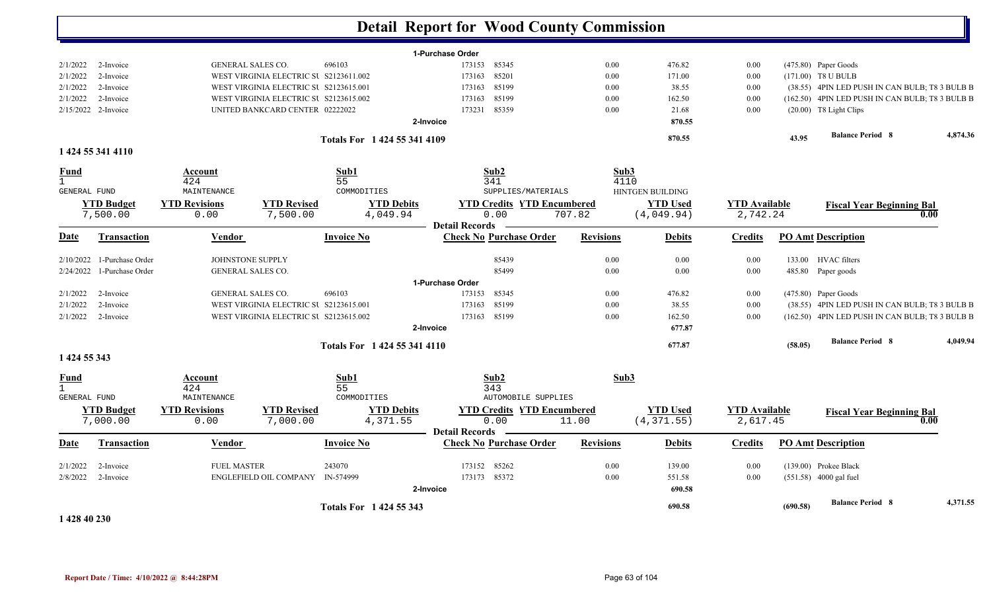|                     |                     |                          |                                        |                              | <b>Detail Report for Wood County Commission</b>         |                  |                  |                      |         |                                                 |          |
|---------------------|---------------------|--------------------------|----------------------------------------|------------------------------|---------------------------------------------------------|------------------|------------------|----------------------|---------|-------------------------------------------------|----------|
|                     |                     |                          |                                        |                              | 1-Purchase Order                                        |                  |                  |                      |         |                                                 |          |
| 2/1/2022            | 2-Invoice           | <b>GENERAL SALES CO.</b> |                                        | 696103                       | 173153<br>85345                                         | 0.00             | 476.82           | 0.00                 |         | (475.80) Paper Goods                            |          |
| 2/1/2022            | 2-Invoice           |                          | WEST VIRGINIA ELECTRIC SU S2123611.002 |                              | 85201<br>173163                                         | 0.00             | 171.00           | 0.00                 |         | (171.00) T8 U BULB                              |          |
| 2/1/2022            | 2-Invoice           |                          | WEST VIRGINIA ELECTRIC SU S2123615.001 |                              | 85199<br>173163                                         | 0.00             | 38.55            | 0.00                 |         | (38.55) 4PIN LED PUSH IN CAN BULB; T8 3 BULB B  |          |
| 2/1/2022            | 2-Invoice           |                          | WEST VIRGINIA ELECTRIC SU S2123615.002 |                              | 85199<br>173163                                         | 0.00             | 162.50           | 0.00                 |         | (162.50) 4PIN LED PUSH IN CAN BULB; T8 3 BULB B |          |
|                     | 2/15/2022 2-Invoice |                          | UNITED BANKCARD CENTER 02222022        |                              | 85359<br>173231                                         | 0.00             | 21.68            | 0.00                 |         | $(20.00)$ T8 Light Clips                        |          |
|                     |                     |                          |                                        |                              | 2-Invoice                                               |                  | 870.55           |                      |         |                                                 |          |
|                     |                     |                          |                                        | Totals For 1 424 55 341 4109 |                                                         |                  | 870.55           |                      | 43.95   | <b>Balance Period 8</b>                         | 4,874.36 |
|                     | 1 424 55 341 4110   |                          |                                        |                              |                                                         |                  |                  |                      |         |                                                 |          |
| <b>Fund</b>         |                     | Account                  |                                        | Sub1                         | Sub2                                                    | Sub3             |                  |                      |         |                                                 |          |
| $\mathbf{1}$        |                     | 424                      |                                        | 55                           | 341                                                     | 4110             |                  |                      |         |                                                 |          |
| GENERAL FUND        |                     | MAINTENANCE              |                                        | COMMODITIES                  | SUPPLIES/MATERIALS                                      |                  | HINTGEN BUILDING |                      |         |                                                 |          |
|                     | <b>YTD Budget</b>   | <b>YTD Revisions</b>     | <b>YTD Revised</b>                     | <b>YTD Debits</b>            | <b>YTD Credits YTD Encumbered</b>                       |                  | <b>YTD Used</b>  | <b>YTD Available</b> |         | <b>Fiscal Year Beginning Bal</b>                |          |
|                     | 7,500.00            | 0.00                     | 7,500.00                               | 4,049.94                     | 0.00                                                    | 707.82           | (4,049.94)       | 2,742.24             |         |                                                 | 0.00     |
| Date                | <b>Transaction</b>  | Vendor                   |                                        | <b>Invoice No</b>            | <b>Detail Records</b><br><b>Check No Purchase Order</b> | <b>Revisions</b> | <b>Debits</b>    | <b>Credits</b>       |         | <b>PO Amt Description</b>                       |          |
|                     |                     |                          |                                        |                              |                                                         |                  |                  |                      |         |                                                 |          |
| 2/10/2022           | 1-Purchase Order    | JOHNSTONE SUPPLY         |                                        |                              | 85439                                                   | 0.00             | $0.00\,$         | 0.00                 |         | 133.00 HVAC filters                             |          |
| 2/24/2022           | 1-Purchase Order    | <b>GENERAL SALES CO.</b> |                                        |                              | 85499                                                   | 0.00             | $0.00\,$         | 0.00                 |         | 485.80 Paper goods                              |          |
|                     |                     |                          |                                        |                              | 1-Purchase Order                                        |                  |                  |                      |         |                                                 |          |
| 2/1/2022            | 2-Invoice           | <b>GENERAL SALES CO.</b> |                                        | 696103                       | 85345<br>173153                                         | 0.00             | 476.82           | 0.00                 |         | (475.80) Paper Goods                            |          |
| 2/1/2022            | 2-Invoice           |                          | WEST VIRGINIA ELECTRIC SU S2123615.001 |                              | 85199<br>173163                                         | 0.00             | 38.55            | 0.00                 |         | (38.55) 4PIN LED PUSH IN CAN BULB; T8 3 BULB B  |          |
| 2/1/2022            | 2-Invoice           |                          | WEST VIRGINIA ELECTRIC SU S2123615.002 |                              | 173163 85199                                            | 0.00             | 162.50           | 0.00                 |         | (162.50) 4PIN LED PUSH IN CAN BULB; T8 3 BULB B |          |
|                     |                     |                          |                                        |                              | 2-Invoice                                               |                  | 677.87           |                      |         |                                                 |          |
|                     |                     |                          |                                        | Totals For 1 424 55 341 4110 |                                                         |                  | 677.87           |                      | (58.05) | <b>Balance Period 8</b>                         | 4.049.94 |
| 1 424 55 343        |                     |                          |                                        |                              |                                                         |                  |                  |                      |         |                                                 |          |
| <b>Fund</b>         |                     | Account                  |                                        | Sub1                         | Sub <sub>2</sub>                                        | Sub3             |                  |                      |         |                                                 |          |
| $\mathbf{1}$        |                     | 424                      |                                        | 55                           | 343                                                     |                  |                  |                      |         |                                                 |          |
| <b>GENERAL FUND</b> |                     | MAINTENANCE              |                                        | COMMODITIES                  | <b>AUTOMOBILE SUPPLIES</b>                              |                  |                  |                      |         |                                                 |          |
|                     | <b>YTD Budget</b>   | <b>YTD Revisions</b>     | <b>YTD Revised</b>                     | <b>YTD Debits</b>            | <b>YTD Credits YTD Encumbered</b>                       |                  | <b>YTD Used</b>  | <b>YTD</b> Available |         | <b>Fiscal Year Beginning Bal</b>                |          |
|                     | 7,000.00            | 0.00                     | 7,000.00                               | 4,371.55                     | 0.00                                                    | 11.00            | (4, 371.55)      | 2,617.45             |         |                                                 | 0.00     |
| <b>Date</b>         | Transaction         | Vendor                   |                                        | <b>Invoice No</b>            | <b>Detail Records</b><br><b>Check No Purchase Order</b> | <b>Revisions</b> | <b>Debits</b>    | <b>Credits</b>       |         | <b>PO Amt Description</b>                       |          |
|                     |                     |                          |                                        |                              |                                                         |                  |                  |                      |         |                                                 |          |
| 2/1/2022            | 2-Invoice           | <b>FUEL MASTER</b>       |                                        | 243070                       | 85262<br>173152                                         | 0.00             | 139.00           | 0.00                 |         | (139.00) Prokee Black                           |          |
| 2/8/2022            | 2-Invoice           |                          | ENGLEFIELD OIL COMPANY                 | IN-574999                    | 173173 85372                                            | 0.00             | 551.58           | 0.00                 |         | (551.58) 4000 gal fuel                          |          |
|                     |                     |                          |                                        |                              | 2-Invoice                                               |                  | 690.58           |                      |         |                                                 |          |

**1 428 40 230** 

**(690.58) Balance Period 4,371.55 <sup>8</sup> Totals For 1 424 55 343** 

**690.58**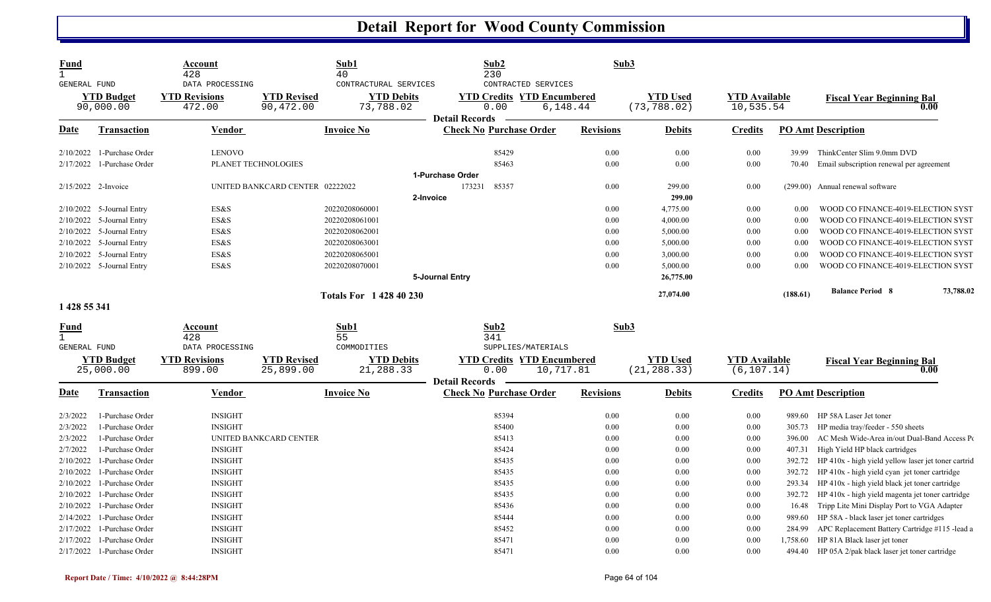| <b>Fund</b><br>$\mathbf{1}$         |                                                | Account<br>428                   |                                 | Sub1<br>40                     | Sub2<br>230           |                                                | Sub3             |                                 |                                     |                    |                                                                              |
|-------------------------------------|------------------------------------------------|----------------------------------|---------------------------------|--------------------------------|-----------------------|------------------------------------------------|------------------|---------------------------------|-------------------------------------|--------------------|------------------------------------------------------------------------------|
| <b>GENERAL FUND</b>                 |                                                | DATA PROCESSING                  |                                 | CONTRACTURAL SERVICES          |                       | CONTRACTED SERVICES                            |                  |                                 |                                     |                    |                                                                              |
|                                     | <b>YTD Budget</b>                              | <b>YTD Revisions</b>             | <b>YTD Revised</b>              | <b>YTD Debits</b>              |                       | <b>YTD Credits YTD Encumbered</b>              |                  | <b>YTD Used</b>                 | <b>YTD Available</b>                |                    | <b>Fiscal Year Beginning Bal</b>                                             |
|                                     | 90,000.00                                      | 472.00                           | 90,472.00                       | 73,788.02                      | 0.00                  | 6,148.44                                       |                  | (73, 788.02)                    | 10,535.54                           |                    | 0.00                                                                         |
| <b>Date</b>                         | <b>Transaction</b>                             | <b>Vendor</b>                    |                                 | <b>Invoice No</b>              | <b>Detail Records</b> | <b>Check No Purchase Order</b>                 | <b>Revisions</b> | <b>Debits</b>                   | <b>Credits</b>                      |                    | <b>PO Amt Description</b>                                                    |
| 2/10/2022                           | 1-Purchase Order                               | <b>LENOVO</b>                    |                                 |                                |                       | 85429                                          | 0.00             | 0.00                            | 0.00                                | 39.99              | ThinkCenter Slim 9.0mm DVD                                                   |
| 2/17/2022                           | 1-Purchase Order                               |                                  | PLANET TECHNOLOGIES             |                                |                       | 85463                                          | 0.00             | 0.00                            | 0.00                                | 70.40              | Email subscription renewal per agreement                                     |
|                                     |                                                |                                  |                                 |                                | 1-Purchase Order      |                                                |                  |                                 |                                     |                    |                                                                              |
|                                     | 2/15/2022 2-Invoice                            |                                  | UNITED BANKCARD CENTER 02222022 |                                | 173231                | 85357                                          | 0.00             | 299.00                          | 0.00                                |                    | (299.00) Annual renewal software                                             |
|                                     |                                                |                                  |                                 |                                | 2-Invoice             |                                                |                  | 299.00                          |                                     |                    |                                                                              |
|                                     | 2/10/2022 5-Journal Entry                      | ES&S                             |                                 | 20220208060001                 |                       |                                                | 0.00             | 4,775.00                        | 0.00                                | 0.00               | WOOD CO FINANCE-4019-ELECTION SYST                                           |
|                                     | 2/10/2022 5-Journal Entry                      | ES&S                             |                                 | 20220208061001                 |                       |                                                | 0.00             | 4,000.00                        | 0.00                                | 0.00               | WOOD CO FINANCE-4019-ELECTION SYST                                           |
|                                     | 2/10/2022 5-Journal Entry                      | ES&S                             |                                 | 20220208062001                 |                       |                                                | 0.00             | 5,000.00                        | 0.00                                | 0.00               | WOOD CO FINANCE-4019-ELECTION SYST                                           |
|                                     | 2/10/2022 5-Journal Entry                      | ES&S                             |                                 | 20220208063001                 |                       |                                                | 0.00             | 5,000.00                        | 0.00                                | 0.00               | WOOD CO FINANCE-4019-ELECTION SYST                                           |
|                                     | 2/10/2022 5-Journal Entry                      | ES&S                             |                                 | 20220208065001                 |                       |                                                | 0.00             | 3,000.00                        | 0.00                                | 0.00               | WOOD CO FINANCE-4019-ELECTION SYST                                           |
|                                     | 2/10/2022 5-Journal Entry                      | ES&S                             |                                 | 20220208070001                 |                       |                                                | 0.00             | 5,000.00                        | 0.00                                | 0.00               | WOOD CO FINANCE-4019-ELECTION SYST                                           |
|                                     |                                                |                                  |                                 |                                | 5-Journal Entry       |                                                |                  | 26,775.00                       |                                     |                    |                                                                              |
|                                     |                                                |                                  |                                 | <b>Totals For 1428 40 230</b>  |                       |                                                |                  | 27,074.00                       |                                     | (188.61)           | <b>Balance Period 8</b><br>73,788.02                                         |
| 1 428 55 341                        |                                                |                                  |                                 |                                |                       |                                                |                  |                                 |                                     |                    |                                                                              |
| Fund                                |                                                | Account                          |                                 | Sub1                           | Sub2                  |                                                | Sub3             |                                 |                                     |                    |                                                                              |
| $\mathbf{1}$<br><b>GENERAL FUND</b> |                                                | 428<br>DATA PROCESSING           |                                 | 55<br>COMMODITIES              | 341                   | SUPPLIES/MATERIALS                             |                  |                                 |                                     |                    |                                                                              |
|                                     | <b>YTD Budget</b><br>25,000.00                 | <b>YTD Revisions</b><br>899.00   | <b>YTD Revised</b><br>25,899.00 | <b>YTD Debits</b><br>21,288.33 | 0.00                  | <b>YTD Credits YTD Encumbered</b><br>10,717.81 |                  | <b>YTD Used</b><br>(21, 288.33) | <b>YTD</b> Available<br>(6, 107.14) |                    | <b>Fiscal Year Beginning Bal</b><br>0.00                                     |
|                                     |                                                |                                  |                                 |                                | <b>Detail Records</b> |                                                |                  |                                 |                                     |                    |                                                                              |
| <b>Date</b>                         | <b>Transaction</b>                             | <b>Vendor</b>                    |                                 | <b>Invoice No</b>              |                       | <b>Check No Purchase Order</b>                 | <b>Revisions</b> | <b>Debits</b>                   | <b>Credits</b>                      |                    | <b>PO Amt Description</b>                                                    |
| 2/3/2022                            | 1-Purchase Order                               | <b>INSIGHT</b>                   |                                 |                                |                       | 85394                                          | 0.00             | 0.00                            | 0.00                                |                    | 989.60 HP 58A Laser Jet toner                                                |
| 2/3/2022                            | 1-Purchase Order                               | <b>INSIGHT</b>                   |                                 |                                |                       | 85400                                          | 0.00             | 0.00                            | 0.00                                | 305.73             | HP media tray/feeder - 550 sheets                                            |
| 2/3/2022                            | 1-Purchase Order                               |                                  | UNITED BANKCARD CENTER          |                                |                       | 85413                                          | 0.00             | 0.00                            | 0.00                                | 396.00             | AC Mesh Wide-Area in/out Dual-Band Access Po                                 |
| 2/7/2022                            | 1-Purchase Order                               | <b>INSIGHT</b>                   |                                 |                                |                       | 85424                                          |                  |                                 | 0.00                                | 407.31             | High Yield HP black cartridges                                               |
| 2/10/2022                           |                                                |                                  |                                 |                                |                       |                                                | 0.00             | 0.00                            |                                     |                    |                                                                              |
| 2/10/2022                           | 1-Purchase Order                               | <b>INSIGHT</b>                   |                                 |                                |                       | 85435                                          | 0.00             | 0.00                            | 0.00                                | 392.72             | HP 410x - high yield yellow laser jet toner cartrid                          |
|                                     | 1-Purchase Order                               | <b>INSIGHT</b>                   |                                 |                                |                       | 85435                                          | 0.00             | 0.00                            | 0.00                                | 392.72             | HP 410x - high yield cyan jet toner cartridge                                |
| 2/10/2022                           | 1-Purchase Order                               | <b>INSIGHT</b>                   |                                 |                                |                       | 85435                                          | 0.00             | 0.00                            | 0.00                                | 293.34             | HP 410x - high yield black jet toner cartridge                               |
| 2/10/2022                           | 1-Purchase Order                               | <b>INSIGHT</b>                   |                                 |                                |                       | 85435                                          | 0.00             | 0.00                            | 0.00                                | 392.72             | HP 410x - high yield magenta jet toner cartridge                             |
| 2/10/2022                           | 1-Purchase Order                               | <b>INSIGHT</b>                   |                                 |                                |                       | 85436                                          | 0.00             | 0.00                            | 0.00                                | 16.48              | Tripp Lite Mini Display Port to VGA Adapter                                  |
| 2/14/2022                           | 1-Purchase Order                               | <b>INSIGHT</b>                   |                                 |                                |                       | 85444                                          | 0.00             | 0.00                            | 0.00                                | 989.60             | HP 58A - black laser jet toner cartridges                                    |
| 2/17/2022                           | 1-Purchase Order                               | <b>INSIGHT</b>                   |                                 |                                |                       | 85452                                          | 0.00             | 0.00                            | 0.00                                | 284.99             | APC Replacement Battery Cartridge #115 -lead a                               |
| 2/17/2022                           | 1-Purchase Order<br>2/17/2022 1-Purchase Order | <b>INSIGHT</b><br><b>INSIGHT</b> |                                 |                                |                       | 85471<br>85471                                 | 0.00<br>0.00     | 0.00<br>0.00                    | 0.00<br>0.00                        | 1,758.60<br>494.40 | HP 81A Black laser jet toner<br>HP 05A 2/pak black laser jet toner cartridge |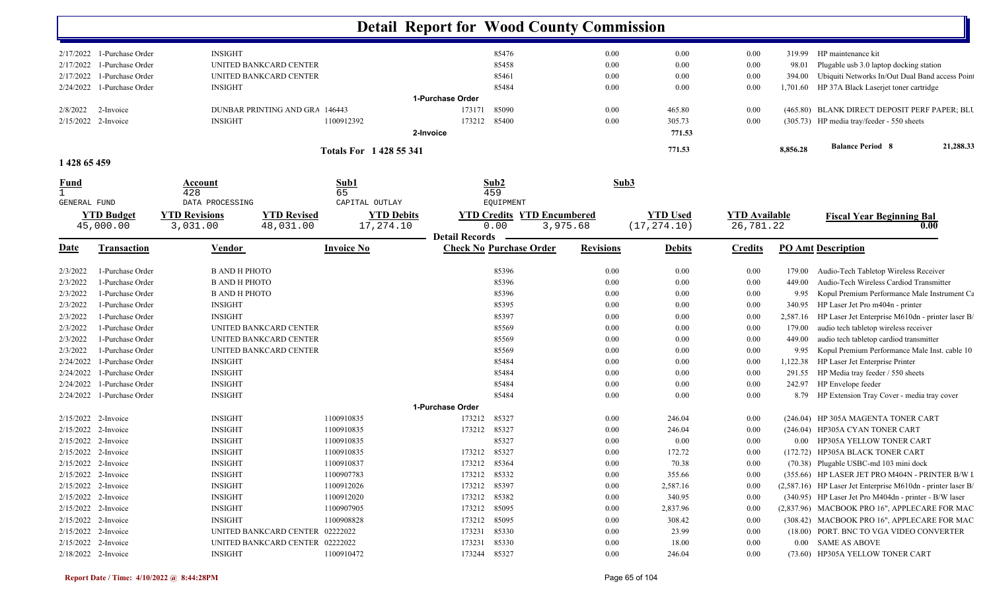|                             |                              |                                            |                        | <b>Detail Report for Wood County Commission</b> |                                |                  |                 |                      |          |                                                              |
|-----------------------------|------------------------------|--------------------------------------------|------------------------|-------------------------------------------------|--------------------------------|------------------|-----------------|----------------------|----------|--------------------------------------------------------------|
|                             | $2/17/2022$ 1-Purchase Order | <b>INSIGHT</b>                             |                        |                                                 | 85476                          | $0.00\,$         | 0.00            | 0.00                 | 319.99   | HP maintenance kit                                           |
| 2/17/2022                   | 1-Purchase Order             | UNITED BANKCARD CENTER                     |                        |                                                 | 85458                          | 0.00             | 0.00            | 0.00                 | 98.01    | Plugable usb 3.0 laptop docking station                      |
| 2/17/2022                   | 1-Purchase Order             | UNITED BANKCARD CENTER                     |                        |                                                 | 85461                          | 0.00             | 0.00            | 0.00                 | 394.00   | Ubiquiti Networks In/Out Dual Band access Poin               |
| 2/24/2022                   | 1-Purchase Order             | <b>INSIGHT</b>                             |                        |                                                 | 85484                          | $0.00\,$         | 0.00            | 0.00                 | 1,701.60 | HP 37A Black Laserjet toner cartridge                        |
|                             |                              |                                            |                        | 1-Purchase Order                                |                                |                  |                 |                      |          |                                                              |
| 2/8/2022                    | 2-Invoice                    | DUNBAR PRINTING AND GRA 146443             |                        | 173171                                          | 85090                          | 0.00             | 465.80          | 0.00                 |          | (465.80) BLANK DIRECT DEPOSIT PERF PAPER; BLU                |
| 2/15/2022 2-Invoice         |                              | <b>INSIGHT</b>                             | 1100912392             | 173212                                          | 85400                          | 0.00             | 305.73          | 0.00                 |          | (305.73) HP media tray/feeder - 550 sheets                   |
|                             |                              |                                            |                        | 2-Invoice                                       |                                |                  | 771.53          |                      |          |                                                              |
|                             |                              |                                            | Totals For 1428 55 341 |                                                 |                                |                  | 771.53          |                      | 8,856.28 | <b>Balance Period 8</b><br>21,288.33                         |
| 1 428 65 459                |                              |                                            |                        |                                                 |                                |                  |                 |                      |          |                                                              |
| <u>Fund</u><br>$\mathbf{1}$ |                              | Account<br>428                             | Sub1<br>65             | Sub2<br>459                                     |                                | Sub3             |                 |                      |          |                                                              |
| <b>GENERAL FUND</b>         |                              | DATA PROCESSING                            | CAPITAL OUTLAY         |                                                 | EQUIPMENT                      |                  |                 |                      |          |                                                              |
|                             | <b>YTD Budget</b>            | <b>YTD Revisions</b><br><b>YTD Revised</b> | <b>YTD Debits</b>      | <b>YTD Credits</b>                              | <b>YTD Encumbered</b>          |                  | <b>YTD Used</b> | <b>YTD</b> Available |          | <b>Fiscal Year Beginning Bal</b>                             |
|                             | 45,000.00                    | 48,031.00<br>3,031.00                      | 17,274.10              | 0.00                                            | 3,975.68                       |                  | (17, 274.10)    | 26,781.22            |          | 0.00                                                         |
|                             |                              |                                            |                        | <b>Detail Records</b>                           |                                |                  |                 |                      |          |                                                              |
| <u>Date</u>                 | Transaction                  | Vendor                                     | <b>Invoice No</b>      |                                                 | <b>Check No Purchase Order</b> | <b>Revisions</b> | <b>Debits</b>   | <b>Credits</b>       |          | <b>PO Amt Description</b>                                    |
| 2/3/2022                    | 1-Purchase Order             | <b>B AND H PHOTO</b>                       |                        |                                                 | 85396                          | 0.00             | 0.00            | 0.00                 | 179.00   | Audio-Tech Tabletop Wireless Receiver                        |
| 2/3/2022                    | 1-Purchase Order             | <b>B AND H PHOTO</b>                       |                        |                                                 | 85396                          | 0.00             | 0.00            | 0.00                 | 449.00   | Audio-Tech Wireless Cardiod Transmitter                      |
| 2/3/2022                    | 1-Purchase Order             | <b>B AND H PHOTO</b>                       |                        |                                                 | 85396                          | 0.00             | 0.00            | 0.00                 | 9.95     | Kopul Premium Performance Male Instrument Ca                 |
| 2/3/2022                    | 1-Purchase Order             | <b>INSIGHT</b>                             |                        |                                                 | 85395                          | 0.00             | 0.00            | 0.00                 | 340.95   | HP Laser Jet Pro m404n - printer                             |
| 2/3/2022                    | 1-Purchase Order             | <b>INSIGHT</b>                             |                        |                                                 | 85397                          | 0.00             | 0.00            | 0.00                 | 2,587.16 | HP Laser Jet Enterprise M610dn - printer laser B/            |
| 2/3/2022                    | 1-Purchase Order             | UNITED BANKCARD CENTER                     |                        |                                                 | 85569                          | 0.00             | 0.00            | 0.00                 | 179.00   | audio tech tabletop wireless receiver                        |
| 2/3/2022                    | 1-Purchase Order             | UNITED BANKCARD CENTER                     |                        |                                                 | 85569                          | 0.00             | 0.00            | 0.00                 | 449.00   | audio tech tabletop cardiod transmitter                      |
| 2/3/2022                    | 1-Purchase Order             | UNITED BANKCARD CENTER                     |                        |                                                 | 85569                          | 0.00             | 0.00            | 0.00                 | 9.95     | Kopul Premium Performance Male Inst. cable 10                |
| 2/24/2022                   | 1-Purchase Order             | <b>INSIGHT</b>                             |                        |                                                 | 85484                          | 0.00             | 0.00            | 0.00                 | 1,122.38 | HP Laser Jet Enterprise Printer                              |
| 2/24/2022                   | 1-Purchase Order             | <b>INSIGHT</b>                             |                        |                                                 | 85484                          | 0.00             | 0.00            | 0.00                 | 291.55   | HP Media tray feeder / 550 sheets                            |
| 2/24/2022                   | 1-Purchase Order             | <b>INSIGHT</b>                             |                        |                                                 | 85484                          | 0.00             | 0.00            | 0.00                 | 242.97   | HP Envelope feeder                                           |
| 2/24/2022                   | 1-Purchase Order             | <b>INSIGHT</b>                             |                        |                                                 | 85484                          | 0.00             | 0.00            | 0.00                 | 8.79     | HP Extension Tray Cover - media tray cover                   |
|                             |                              |                                            |                        | 1-Purchase Order                                |                                |                  |                 |                      |          |                                                              |
| 2/15/2022 2-Invoice         |                              | <b>INSIGHT</b>                             | 1100910835             | 173212                                          | 85327                          | 0.00             | 246.04          | 0.00                 |          | (246.04) HP 305A MAGENTA TONER CART                          |
|                             | $2/15/2022$ 2-Invoice        | <b>INSIGHT</b>                             | 1100910835             | 173212                                          | 85327                          | $0.00\,$         | 246.04          | 0.00                 |          | (246.04) HP305A CYAN TONER CART                              |
|                             | 2/15/2022 2-Invoice          | <b>INSIGHT</b>                             | 1100910835             |                                                 | 85327                          | 0.00             | 0.00            | 0.00                 |          | 0.00 HP305A YELLOW TONER CART                                |
|                             | 2/15/2022 2-Invoice          | <b>INSIGHT</b>                             | 1100910835             | 173212 85327                                    |                                | 0.00             | 172.72          | 0.00                 |          | (172.72) HP305A BLACK TONER CART                             |
|                             | $2/15/2022$ 2-Invoice        | <b>INSIGHT</b>                             | 1100910837             | 173212 85364                                    |                                | $0.00\,$         | 70.38           | $0.00\,$             |          | (70.38) Plugable USBC-md 103 mini dock                       |
| 2/15/2022 2-Invoice         |                              | <b>INSIGHT</b>                             | 1100907783             | 173212 85332                                    |                                | $0.00\,$         | 355.66          | 0.00                 |          | (355.66) HP LASER JET PRO M404N - PRINTER B/W I              |
| 2/15/2022 2-Invoice         |                              | <b>INSIGHT</b>                             | 1100912026             | 173212 85397                                    |                                | 0.00             | 2,587.16        | 0.00                 |          | (2,587.16) HP Laser Jet Enterprise M610dn - printer laser B/ |
|                             | $2/15/2022$ 2-Invoice        | <b>INSIGHT</b>                             | 1100912020             | 173212 85382                                    |                                | $0.00\,$         | 340.95          | 0.00                 |          | (340.95) HP Laser Jet Pro M404dn - printer - B/W laser       |
| 2/15/2022 2-Invoice         |                              | <b>INSIGHT</b>                             | 1100907905             | 173212 85095                                    |                                | $0.00\,$         | 2,837.96        | 0.00                 |          | (2,837.96) MACBOOK PRO 16", APPLECARE FOR MAC                |
|                             | 2/15/2022 2-Invoice          | <b>INSIGHT</b>                             | 1100908828             | 173212 85095                                    |                                | 0.00             | 308.42          | 0.00                 |          | (308.42) MACBOOK PRO 16", APPLECARE FOR MAC                  |
|                             | $2/15/2022$ 2-Invoice        | UNITED BANKCARD CENTER 02222022            |                        | 173231                                          | 85330                          | $0.00\,$         | 23.99           | 0.00                 |          | (18.00) PORT. BNC TO VGA VIDEO CONVERTER                     |
| 2/15/2022 2-Invoice         |                              | UNITED BANKCARD CENTER 02222022            |                        | 173231                                          | 85330                          | $0.00\,$         | 18.00           | $0.00\,$             |          | 0.00 SAME AS ABOVE                                           |
| 2/18/2022 2-Invoice         |                              | <b>INSIGHT</b>                             | 1100910472             | 173244 85327                                    |                                | $0.00\,$         | 246.04          | 0.00                 |          | (73.60) HP305A YELLOW TONER CART                             |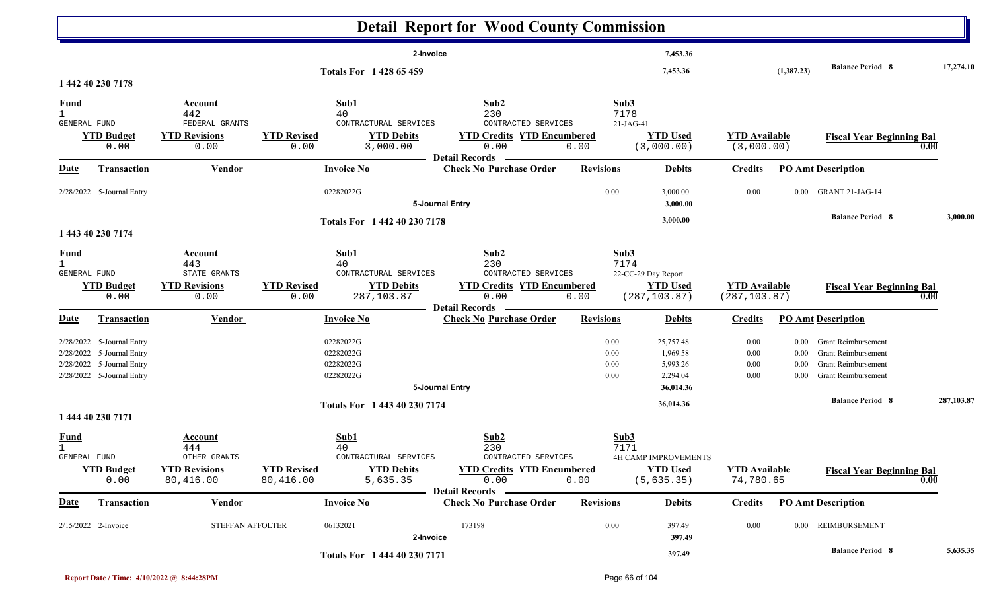|                                               |                                                                                                                  |                                                                     |                                 |                                                                        | <b>Detail Report for Wood County Commission</b>                                                                      |                              |                                                                         |                                          |                                          |                                                                                                                                          |            |
|-----------------------------------------------|------------------------------------------------------------------------------------------------------------------|---------------------------------------------------------------------|---------------------------------|------------------------------------------------------------------------|----------------------------------------------------------------------------------------------------------------------|------------------------------|-------------------------------------------------------------------------|------------------------------------------|------------------------------------------|------------------------------------------------------------------------------------------------------------------------------------------|------------|
|                                               | 1 442 40 230 7178                                                                                                |                                                                     |                                 | <b>Totals For 142865459</b>                                            | 2-Invoice                                                                                                            |                              | 7,453.36<br>7,453.36                                                    |                                          | (1,387.23)                               | <b>Balance Period 8</b>                                                                                                                  | 17,274.10  |
| <u>Fund</u><br>$\overline{1}$<br>GENERAL FUND | <b>YTD Budget</b><br>0.00                                                                                        | Account<br>442<br>FEDERAL GRANTS<br><b>YTD Revisions</b><br>0.00    | <b>YTD Revised</b><br>0.00      | Sub1<br>40<br>CONTRACTURAL SERVICES<br><b>YTD Debits</b><br>3,000.00   | Sub <sub>2</sub><br>230<br>CONTRACTED SERVICES<br><b>YTD Credits YTD Encumbered</b><br>0.00<br><b>Detail Records</b> | 0.00                         | Sub3<br>7178<br>$21-JAG-41$<br><b>YTD Used</b><br>(3,000.00)            | <b>YTD Available</b><br>(3,000.00)       |                                          | <b>Fiscal Year Beginning Bal</b>                                                                                                         | 0.00       |
| <b>Date</b>                                   | <b>Transaction</b>                                                                                               | <b>Vendor</b>                                                       |                                 | <b>Invoice No</b>                                                      | <b>Check No Purchase Order</b>                                                                                       | <b>Revisions</b>             | <b>Debits</b>                                                           | <b>Credits</b>                           |                                          | <b>PO Amt Description</b>                                                                                                                |            |
|                                               | 2/28/2022 5-Journal Entry                                                                                        |                                                                     |                                 | 02282022G                                                              | 5-Journal Entry                                                                                                      | $0.00\,$                     | 3,000.00<br>3,000.00                                                    | 0.00                                     | $0.00\,$                                 | GRANT 21-JAG-14                                                                                                                          |            |
|                                               | 1 443 40 230 7174                                                                                                |                                                                     |                                 | Totals For 1 442 40 230 7178                                           |                                                                                                                      |                              | 3,000.00                                                                |                                          |                                          | <b>Balance Period 8</b>                                                                                                                  | 3,000.00   |
| <u>Fund</u><br>GENERAL FUND                   | <b>YTD Budget</b><br>0.00                                                                                        | Account<br>443<br>STATE GRANTS<br><b>YTD Revisions</b><br>0.00      | <b>YTD Revised</b><br>0.00      | Sub1<br>40<br>CONTRACTURAL SERVICES<br><b>YTD Debits</b><br>287,103.87 | Sub <sub>2</sub><br>230<br>CONTRACTED SERVICES<br><b>YTD Credits YTD Encumbered</b><br>0.00<br><b>Detail Records</b> | 0.00                         | Sub3<br>7174<br>22-CC-29 Day Report<br><b>YTD Used</b><br>(287, 103.87) | <b>YTD Available</b><br>(287, 103.87)    |                                          | <b>Fiscal Year Beginning Bal</b>                                                                                                         | 0.00       |
| <b>Date</b>                                   | <b>Transaction</b>                                                                                               | Vendor                                                              |                                 | <b>Invoice No</b>                                                      | <b>Check No Purchase Order</b>                                                                                       | <b>Revisions</b>             | <b>Debits</b>                                                           | <b>Credits</b>                           |                                          | <b>PO Amt Description</b>                                                                                                                |            |
|                                               | 2/28/2022 5-Journal Entry<br>2/28/2022 5-Journal Entry<br>2/28/2022 5-Journal Entry<br>2/28/2022 5-Journal Entry |                                                                     |                                 | 02282022G<br>02282022G<br>02282022G<br>02282022G                       | 5-Journal Entry                                                                                                      | 0.00<br>0.00<br>0.00<br>0.00 | 25,757.48<br>1,969.58<br>5,993.26<br>2,294.04<br>36,014.36              | 0.00<br>$0.00\,$<br>$0.00\,$<br>$0.00\,$ | $0.00\,$<br>$0.00\,$<br>0.00<br>$0.00\,$ | <b>Grant Reimbursement</b><br><b>Grant Reimbursement</b><br><b>Grant Reimbursement</b><br>Grant Reimbursement<br><b>Balance Period 8</b> |            |
|                                               | 1 444 40 230 7171                                                                                                |                                                                     |                                 | Totals For 1 443 40 230 7174                                           |                                                                                                                      |                              | 36,014.36                                                               |                                          |                                          |                                                                                                                                          | 287,103.87 |
| <u>Fund</u><br>1<br>GENERAL FUND              | <b>YTD Budget</b><br>0.00                                                                                        | Account<br>444<br>OTHER GRANTS<br><b>YTD Revisions</b><br>80,416.00 | <b>YTD Revised</b><br>80,416.00 | Sub1<br>40<br>CONTRACTURAL SERVICES<br><b>YTD Debits</b><br>5,635.35   | Sub2<br>230<br>CONTRACTED SERVICES<br><b>YTD Credits YTD Encumbered</b><br>0.00<br><b>Detail Records</b>             | 0.00                         | Sub3<br>7171<br>4H CAMP IMPROVEMENTS<br><b>YTD Used</b><br>(5, 635.35)  | <b>YTD</b> Available<br>74,780.65        |                                          | <b>Fiscal Year Beginning Bal</b>                                                                                                         | 0.00       |
| <u>Date</u>                                   | <b>Transaction</b>                                                                                               | <b>Vendor</b>                                                       |                                 | <b>Invoice No</b>                                                      | <b>Check No Purchase Order</b>                                                                                       | <b>Revisions</b>             | <b>Debits</b>                                                           | <b>Credits</b>                           |                                          | <b>PO Amt Description</b>                                                                                                                |            |
|                                               | 2/15/2022 2-Invoice                                                                                              | STEFFAN AFFOLTER                                                    |                                 | 06132021                                                               | 173198<br>2-Invoice                                                                                                  | $0.00\,$                     | 397.49<br>397.49                                                        | 0.00                                     |                                          | 0.00 REIMBURSEMENT                                                                                                                       |            |
|                                               |                                                                                                                  |                                                                     |                                 | Totals For 1 444 40 230 7171                                           |                                                                                                                      |                              | 397.49                                                                  |                                          |                                          | <b>Balance Period 8</b>                                                                                                                  | 5,635.35   |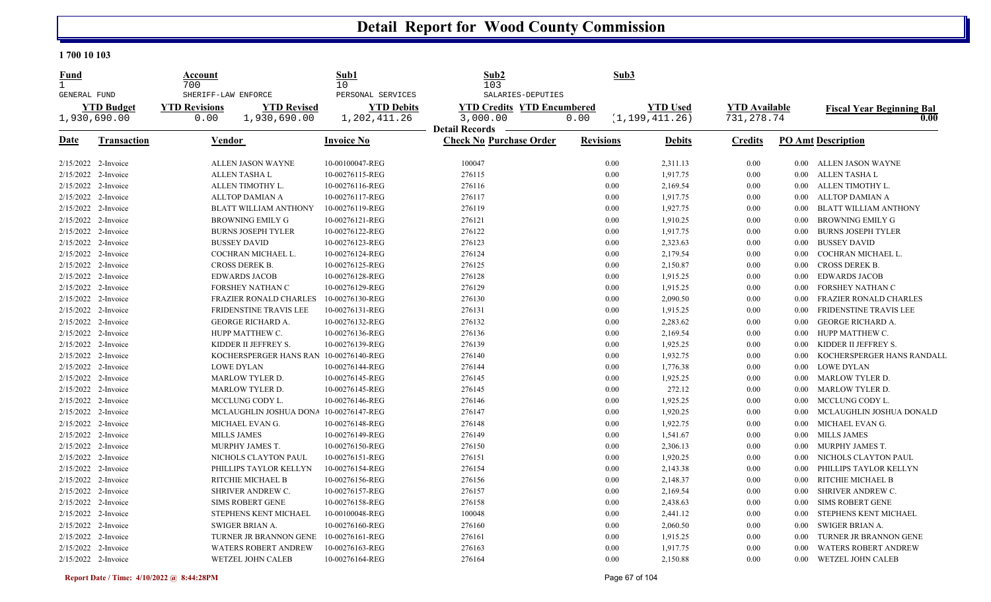| <b>Fund</b>                         |                     | Account              |                               | Sub1                    | Sub2                              | Sub3             |                  |                      |          |                                  |
|-------------------------------------|---------------------|----------------------|-------------------------------|-------------------------|-----------------------------------|------------------|------------------|----------------------|----------|----------------------------------|
| $\mathbf{1}$<br><b>GENERAL FUND</b> |                     | 700                  | SHERIFF-LAW ENFORCE           | 10<br>PERSONAL SERVICES | 103<br>SALARIES-DEPUTIES          |                  |                  |                      |          |                                  |
|                                     | <b>YTD Budget</b>   | <b>YTD Revisions</b> | <b>YTD Revised</b>            | <b>YTD Debits</b>       | <b>YTD Credits YTD Encumbered</b> |                  | <b>YTD Used</b>  | <b>YTD</b> Available |          | <b>Fiscal Year Beginning Bal</b> |
|                                     | 1,930,690.00        | 0.00                 | 1,930,690.00                  | 1,202,411.26            | 3,000.00                          | 0.00             | (1, 199, 411.26) | 731, 278.74          |          | 0.00                             |
|                                     |                     |                      |                               |                         | <b>Detail Records</b>             |                  |                  |                      |          |                                  |
| <b>Date</b>                         | <b>Transaction</b>  |                      | Vendor                        | <b>Invoice No</b>       | <b>Check No Purchase Order</b>    | <b>Revisions</b> | <b>Debits</b>    | <b>Credits</b>       |          | <b>PO Amt Description</b>        |
|                                     | 2/15/2022 2-Invoice |                      | ALLEN JASON WAYNE             | 10-00100047-REG         | 100047                            | 0.00             | 2,311.13         | 0.00                 |          | 0.00 ALLEN JASON WAYNE           |
|                                     | 2/15/2022 2-Invoice |                      | <b>ALLEN TASHA L</b>          | 10-00276115-REG         | 276115                            | 0.00             | 1,917.75         | 0.00                 | $0.00\,$ | ALLEN TASHA L                    |
|                                     | 2/15/2022 2-Invoice |                      | ALLEN TIMOTHY L.              | 10-00276116-REG         | 276116                            | 0.00             | 2,169.54         | 0.00                 | $0.00\,$ | ALLEN TIMOTHY L.                 |
|                                     | 2/15/2022 2-Invoice |                      | ALLTOP DAMIAN A               | 10-00276117-REG         | 276117                            | 0.00             | 1,917.75         | 0.00                 | $0.00\,$ | ALLTOP DAMIAN A                  |
|                                     | 2/15/2022 2-Invoice |                      | BLATT WILLIAM ANTHONY         | 10-00276119-REG         | 276119                            | 0.00             | 1,927.75         | 0.00                 | $0.00\,$ | <b>BLATT WILLIAM ANTHONY</b>     |
|                                     | 2/15/2022 2-Invoice |                      | <b>BROWNING EMILY G</b>       | 10-00276121-REG         | 276121                            | 0.00             | 1,910.25         | 0.00                 | 0.00     | <b>BROWNING EMILY G</b>          |
|                                     | 2/15/2022 2-Invoice |                      | <b>BURNS JOSEPH TYLER</b>     | 10-00276122-REG         | 276122                            | 0.00             | 1,917.75         | 0.00                 | $0.00\,$ | <b>BURNS JOSEPH TYLER</b>        |
|                                     | 2/15/2022 2-Invoice |                      | <b>BUSSEY DAVID</b>           | 10-00276123-REG         | 276123                            | 0.00             | 2,323.63         | 0.00                 | $0.00\,$ | <b>BUSSEY DAVID</b>              |
|                                     | 2/15/2022 2-Invoice |                      | COCHRAN MICHAEL L.            | 10-00276124-REG         | 276124                            | 0.00             | 2,179.54         | 0.00                 | $0.00\,$ | COCHRAN MICHAEL L.               |
|                                     | 2/15/2022 2-Invoice |                      | <b>CROSS DEREK B.</b>         | 10-00276125-REG         | 276125                            | 0.00             | 2,150.87         | 0.00                 | $0.00\,$ | <b>CROSS DEREK B.</b>            |
|                                     | 2/15/2022 2-Invoice |                      | <b>EDWARDS JACOB</b>          | 10-00276128-REG         | 276128                            | 0.00             | 1,915.25         | 0.00                 | $0.00\,$ | <b>EDWARDS JACOB</b>             |
|                                     | 2/15/2022 2-Invoice |                      | FORSHEY NATHAN C              | 10-00276129-REG         | 276129                            | 0.00             | 1,915.25         | 0.00                 | $0.00\,$ | FORSHEY NATHAN C                 |
|                                     | 2/15/2022 2-Invoice |                      | <b>FRAZIER RONALD CHARLES</b> | 10-00276130-REG         | 276130                            | 0.00             | 2,090.50         | 0.00                 | $0.00\,$ | FRAZIER RONALD CHARLES           |
|                                     | 2/15/2022 2-Invoice |                      | FRIDENSTINE TRAVIS LEE        | 10-00276131-REG         | 276131                            | 0.00             | 1,915.25         | 0.00                 | 0.00     | FRIDENSTINE TRAVIS LEE           |
|                                     | 2/15/2022 2-Invoice |                      | GEORGE RICHARD A.             | 10-00276132-REG         | 276132                            | 0.00             | 2,283.62         | $0.00\,$             | $0.00\,$ | GEORGE RICHARD A.                |
|                                     | 2/15/2022 2-Invoice |                      | HUPP MATTHEW C.               | 10-00276136-REG         | 276136                            | 0.00             | 2,169.54         | 0.00                 | $0.00\,$ | HUPP MATTHEW C.                  |
|                                     | 2/15/2022 2-Invoice |                      | KIDDER II JEFFREY S.          | 10-00276139-REG         | 276139                            | 0.00             | 1,925.25         | 0.00                 | $0.00\,$ | KIDDER II JEFFREY S.             |
|                                     | 2/15/2022 2-Invoice |                      | KOCHERSPERGER HANS RAN        | 10-00276140-REG         | 276140                            | 0.00             | 1,932.75         | 0.00                 | $0.00\,$ | KOCHERSPERGER HANS RANDALL       |
|                                     | 2/15/2022 2-Invoice |                      | <b>LOWE DYLAN</b>             | 10-00276144-REG         | 276144                            | 0.00             | 1,776.38         | 0.00                 | $0.00\,$ | <b>LOWE DYLAN</b>                |
|                                     | 2/15/2022 2-Invoice |                      | <b>MARLOW TYLER D.</b>        | 10-00276145-REG         | 276145                            | 0.00             | 1,925.25         | 0.00                 | $0.00\,$ | MARLOW TYLER D.                  |
|                                     | 2/15/2022 2-Invoice |                      | MARLOW TYLER D.               | 10-00276145-REG         | 276145                            | 0.00             | 272.12           | 0.00                 | $0.00\,$ | MARLOW TYLER D.                  |
|                                     | 2/15/2022 2-Invoice |                      | MCCLUNG CODY L.               | 10-00276146-REG         | 276146                            | 0.00             | 1,925.25         | 0.00                 | $0.00\,$ | MCCLUNG CODY L.                  |
|                                     | 2/15/2022 2-Invoice |                      | MCLAUGHLIN JOSHUA DONA        | 10-00276147-REG         | 276147                            | 0.00             | 1,920.25         | 0.00                 | $0.00\,$ | MCLAUGHLIN JOSHUA DONALD         |
|                                     | 2/15/2022 2-Invoice |                      | MICHAEL EVAN G.               | 10-00276148-REG         | 276148                            | 0.00             | 1,922.75         | 0.00                 | $0.00\,$ | MICHAEL EVAN G.                  |
|                                     | 2/15/2022 2-Invoice |                      | <b>MILLS JAMES</b>            | 10-00276149-REG         | 276149                            | 0.00             | 1,541.67         | 0.00                 |          | 0.00 MILLS JAMES                 |
|                                     | 2/15/2022 2-Invoice |                      | MURPHY JAMES T.               | 10-00276150-REG         | 276150                            | 0.00             | 2,306.13         | 0.00                 | $0.00\,$ | MURPHY JAMES T.                  |
|                                     | 2/15/2022 2-Invoice |                      | NICHOLS CLAYTON PAUL          | 10-00276151-REG         | 276151                            | 0.00             | 1,920.25         | 0.00                 | $0.00\,$ | NICHOLS CLAYTON PAUL             |
|                                     | 2/15/2022 2-Invoice |                      | PHILLIPS TAYLOR KELLYN        | 10-00276154-REG         | 276154                            | 0.00             | 2,143.38         | 0.00                 | $0.00\,$ | PHILLIPS TAYLOR KELLYN           |
|                                     | 2/15/2022 2-Invoice |                      | RITCHIE MICHAEL B             | 10-00276156-REG         | 276156                            | 0.00             | 2,148.37         | 0.00                 | $0.00\,$ | RITCHIE MICHAEL B                |
|                                     | 2/15/2022 2-Invoice |                      | SHRIVER ANDREW C.             | 10-00276157-REG         | 276157                            | 0.00             | 2,169.54         | 0.00                 | $0.00\,$ | SHRIVER ANDREW C.                |
|                                     | 2/15/2022 2-Invoice |                      | <b>SIMS ROBERT GENE</b>       | 10-00276158-REG         | 276158                            | 0.00             | 2,438.63         | 0.00                 | $0.00\,$ | <b>SIMS ROBERT GENE</b>          |
|                                     | 2/15/2022 2-Invoice |                      | STEPHENS KENT MICHAEL         | 10-00100048-REG         | 100048                            | 0.00             | 2,441.12         | 0.00                 | $0.00\,$ | STEPHENS KENT MICHAEL            |
|                                     | 2/15/2022 2-Invoice |                      | SWIGER BRIAN A.               | 10-00276160-REG         | 276160                            | 0.00             | 2,060.50         | 0.00                 | $0.00\,$ | SWIGER BRIAN A.                  |
|                                     | 2/15/2022 2-Invoice |                      | TURNER JR BRANNON GENE        | 10-00276161-REG         | 276161                            | 0.00             | 1,915.25         | 0.00                 | $0.00\,$ | TURNER JR BRANNON GENE           |
|                                     | 2/15/2022 2-Invoice |                      | <b>WATERS ROBERT ANDREW</b>   | 10-00276163-REG         | 276163                            | 0.00             | 1,917.75         | 0.00                 | 0.00     | <b>WATERS ROBERT ANDREW</b>      |
|                                     | 2/15/2022 2-Invoice |                      | WETZEL JOHN CALEB             | 10-00276164-REG         | 276164                            | 0.00             | 2,150.88         | 0.00                 | $0.00\,$ | WETZEL JOHN CALEB                |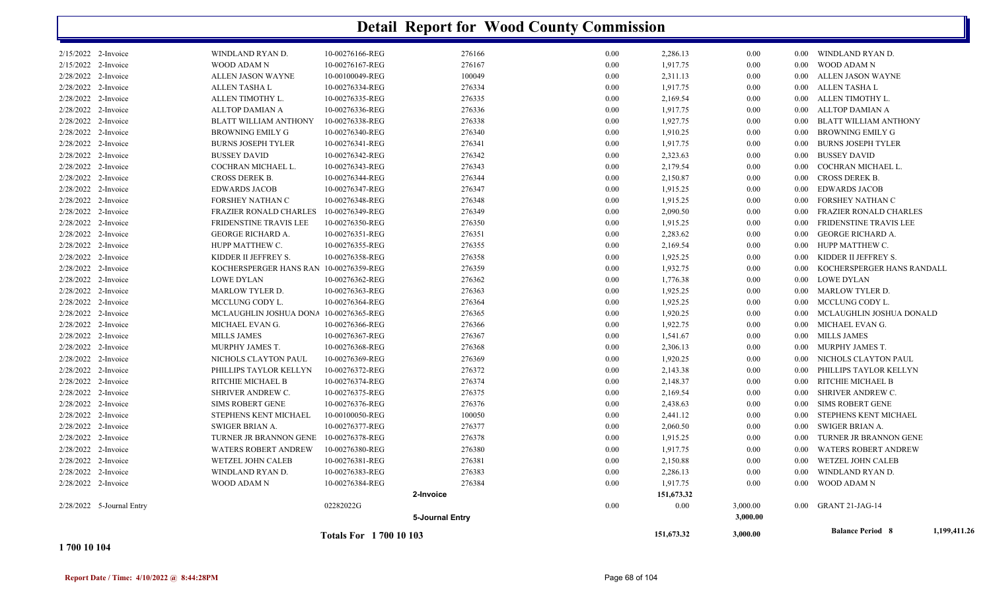|                     |                           |                                        | <b>Totals For 170010103</b> |                        |      | 151,673.32             | 3,000.00 |          | <b>Balance Period 8</b>     | 1,199,411.26 |
|---------------------|---------------------------|----------------------------------------|-----------------------------|------------------------|------|------------------------|----------|----------|-----------------------------|--------------|
|                     |                           |                                        |                             | <b>5-Journal Entry</b> |      |                        | 3,000.00 |          |                             |              |
|                     | 2/28/2022 5-Journal Entry |                                        | 02282022G                   |                        | 0.00 | 0.00                   | 3,000.00 |          | 0.00 GRANT 21-JAG-14        |              |
| 2/28/2022 2-Invoice |                           | WOOD ADAM N                            | 10-00276384-REG             | 276384<br>2-Invoice    | 0.00 | 1,917.75<br>151,673.32 | 0.00     | $0.00\,$ | WOOD ADAM N                 |              |
| 2/28/2022 2-Invoice |                           | WINDLAND RYAN D.                       | 10-00276383-REG             | 276383                 | 0.00 | 2,286.13               | 0.00     | 0.00     | WINDLAND RYAN D.            |              |
| 2/28/2022 2-Invoice |                           | WETZEL JOHN CALEB                      | 10-00276381-REG             | 276381                 | 0.00 | 2,150.88               | 0.00     | $0.00\,$ | WETZEL JOHN CALEB           |              |
| 2/28/2022 2-Invoice |                           | <b>WATERS ROBERT ANDREW</b>            | 10-00276380-REG             | 276380                 | 0.00 | 1,917.75               | 0.00     | $0.00\,$ | <b>WATERS ROBERT ANDREW</b> |              |
| 2/28/2022 2-Invoice |                           | TURNER JR BRANNON GENE                 | 10-00276378-REG             | 276378                 | 0.00 | 1,915.25               | 0.00     | $0.00\,$ | TURNER JR BRANNON GENE      |              |
| 2/28/2022 2-Invoice |                           | SWIGER BRIAN A.                        | 10-00276377-REG             | 276377                 | 0.00 | 2,060.50               | 0.00     | $0.00\,$ | SWIGER BRIAN A.             |              |
| 2/28/2022 2-Invoice |                           | STEPHENS KENT MICHAEL                  | 10-00100050-REG             | 100050                 | 0.00 | 2,441.12               | 0.00     | $0.00\,$ | STEPHENS KENT MICHAEL       |              |
| 2/28/2022 2-Invoice |                           | <b>SIMS ROBERT GENE</b>                | 10-00276376-REG             | 276376                 | 0.00 | 2,438.63               | 0.00     | $0.00\,$ | SIMS ROBERT GENE            |              |
| 2/28/2022 2-Invoice |                           | SHRIVER ANDREW C.                      | 10-00276375-REG             | 276375                 | 0.00 | 2,169.54               | 0.00     | $0.00\,$ | SHRIVER ANDREW C.           |              |
| 2/28/2022 2-Invoice |                           | RITCHIE MICHAEL B                      | 10-00276374-REG             | 276374                 | 0.00 | 2,148.37               | 0.00     | $0.00\,$ | RITCHIE MICHAEL B           |              |
| 2/28/2022 2-Invoice |                           | PHILLIPS TAYLOR KELLYN                 | 10-00276372-REG             | 276372                 | 0.00 | 2,143.38               | 0.00     | $0.00\,$ | PHILLIPS TAYLOR KELLYN      |              |
| 2/28/2022 2-Invoice |                           | NICHOLS CLAYTON PAUL                   | 10-00276369-REG             | 276369                 | 0.00 | 1,920.25               | 0.00     |          | 0.00 NICHOLS CLAYTON PAUL   |              |
| 2/28/2022 2-Invoice |                           | MURPHY JAMES T.                        | 10-00276368-REG             | 276368                 | 0.00 | 2,306.13               | 0.00     | $0.00\,$ | MURPHY JAMES T.             |              |
| 2/28/2022 2-Invoice |                           | <b>MILLS JAMES</b>                     | 10-00276367-REG             | 276367                 | 0.00 | 1,541.67               | 0.00     |          | 0.00 MILLS JAMES            |              |
| 2/28/2022 2-Invoice |                           | MICHAEL EVAN G.                        | 10-00276366-REG             | 276366                 | 0.00 | 1,922.75               | 0.00     |          | 0.00 MICHAEL EVAN G.        |              |
| 2/28/2022 2-Invoice |                           | MCLAUGHLIN JOSHUA DONA                 | 10-00276365-REG             | 276365                 | 0.00 | 1,920.25               | 0.00     | $0.00\,$ | MCLAUGHLIN JOSHUA DONALD    |              |
| 2/28/2022 2-Invoice |                           | MCCLUNG CODY L.                        | 10-00276364-REG             | 276364                 | 0.00 | 1,925.25               | 0.00     |          | 0.00 MCCLUNG CODY L.        |              |
| 2/28/2022 2-Invoice |                           | <b>MARLOW TYLER D.</b>                 | 10-00276363-REG             | 276363                 | 0.00 | 1,925.25               | 0.00     |          | 0.00 MARLOW TYLER D.        |              |
| 2/28/2022 2-Invoice |                           | <b>LOWE DYLAN</b>                      | 10-00276362-REG             | 276362                 | 0.00 | 1,776.38               | 0.00     |          | 0.00 LOWE DYLAN             |              |
| 2/28/2022 2-Invoice |                           | KOCHERSPERGER HANS RAN 10-00276359-REG |                             | 276359                 | 0.00 | 1,932.75               | 0.00     | 0.00     | KOCHERSPERGER HANS RANDALL  |              |
| 2/28/2022 2-Invoice |                           | KIDDER II JEFFREY S.                   | 10-00276358-REG             | 276358                 | 0.00 | 1,925.25               | 0.00     | 0.00     | KIDDER II JEFFREY S.        |              |
| 2/28/2022 2-Invoice |                           | HUPP MATTHEW C.                        | 10-00276355-REG             | 276355                 | 0.00 | 2,169.54               | 0.00     |          | 0.00 HUPP MATTHEW C.        |              |
| 2/28/2022 2-Invoice |                           | <b>GEORGE RICHARD A.</b>               | 10-00276351-REG             | 276351                 | 0.00 | 2,283.62               | 0.00     | 0.00     | <b>GEORGE RICHARD A.</b>    |              |
| 2/28/2022 2-Invoice |                           | FRIDENSTINE TRAVIS LEE                 | 10-00276350-REG             | 276350                 | 0.00 | 1,915.25               | 0.00     | 0.00     | FRIDENSTINE TRAVIS LEE      |              |
| 2/28/2022 2-Invoice |                           | <b>FRAZIER RONALD CHARLES</b>          | 10-00276349-REG             | 276349                 | 0.00 | 2,090.50               | 0.00     | $0.00\,$ | FRAZIER RONALD CHARLES      |              |
| 2/28/2022 2-Invoice |                           | FORSHEY NATHAN C                       | 10-00276348-REG             | 276348                 | 0.00 | 1,915.25               | 0.00     | $0.00\,$ | FORSHEY NATHAN C            |              |
| 2/28/2022 2-Invoice |                           | <b>EDWARDS JACOB</b>                   | 10-00276347-REG             | 276347                 | 0.00 | 1,915.25               | 0.00     | $0.00\,$ | <b>EDWARDS JACOB</b>        |              |
| 2/28/2022 2-Invoice |                           | CROSS DEREK B.                         | 10-00276344-REG             | 276344                 | 0.00 | 2,150.87               | 0.00     | $0.00\,$ | CROSS DEREK B.              |              |
| 2/28/2022 2-Invoice |                           | COCHRAN MICHAEL L.                     | 10-00276343-REG             | 276343                 | 0.00 | 2,179.54               | 0.00     | 0.00     | COCHRAN MICHAEL L.          |              |
| 2/28/2022 2-Invoice |                           | <b>BUSSEY DAVID</b>                    | 10-00276342-REG             | 276342                 | 0.00 | 2,323.63               | 0.00     | $0.00\,$ | BUSSEY DAVID                |              |
| 2/28/2022 2-Invoice |                           | BURNS JOSEPH TYLER                     | 10-00276341-REG             | 276341                 | 0.00 | 1,917.75               | 0.00     | $0.00\,$ | <b>BURNS JOSEPH TYLER</b>   |              |
| 2/28/2022 2-Invoice |                           | <b>BROWNING EMILY G</b>                | 10-00276340-REG             | 276340                 | 0.00 | 1,910.25               | 0.00     | $0.00\,$ | BROWNING EMILY G            |              |
| 2/28/2022 2-Invoice |                           | <b>BLATT WILLIAM ANTHONY</b>           | 10-00276338-REG             | 276338                 | 0.00 | 1,927.75               | 0.00     | $0.00\,$ | BLATT WILLIAM ANTHONY       |              |
| 2/28/2022 2-Invoice |                           | <b>ALLTOP DAMIAN A</b>                 | 10-00276336-REG             | 276336                 | 0.00 | 1,917.75               | 0.00     | 0.00     | ALLTOP DAMIAN A             |              |
| 2/28/2022 2-Invoice |                           | ALLEN TIMOTHY L.                       | 10-00276335-REG             | 276335                 | 0.00 | 2,169.54               | 0.00     | $0.00\,$ | ALLEN TIMOTHY L.            |              |
| 2/28/2022 2-Invoice |                           | ALLEN TASHA L                          | 10-00276334-REG             | 276334                 | 0.00 | 1,917.75               | 0.00     |          | 0.00 ALLEN TASHA L          |              |
| 2/28/2022 2-Invoice |                           | ALLEN JASON WAYNE                      | 10-00100049-REG             | 100049                 | 0.00 | 2,311.13               | 0.00     |          | 0.00 ALLEN JASON WAYNE      |              |
| 2/15/2022 2-Invoice |                           | WOOD ADAM N                            | 10-00276167-REG             | 276167                 | 0.00 | 1,917.75               | 0.00     | $0.00\,$ | WOOD ADAM N                 |              |
| 2/15/2022 2-Invoice |                           | WINDLAND RYAN D.                       | 10-00276166-REG             | 276166                 | 0.00 | 2,286.13               | 0.00     |          | 0.00 WINDLAND RYAN D.       |              |
|                     |                           |                                        |                             |                        |      |                        |          |          |                             |              |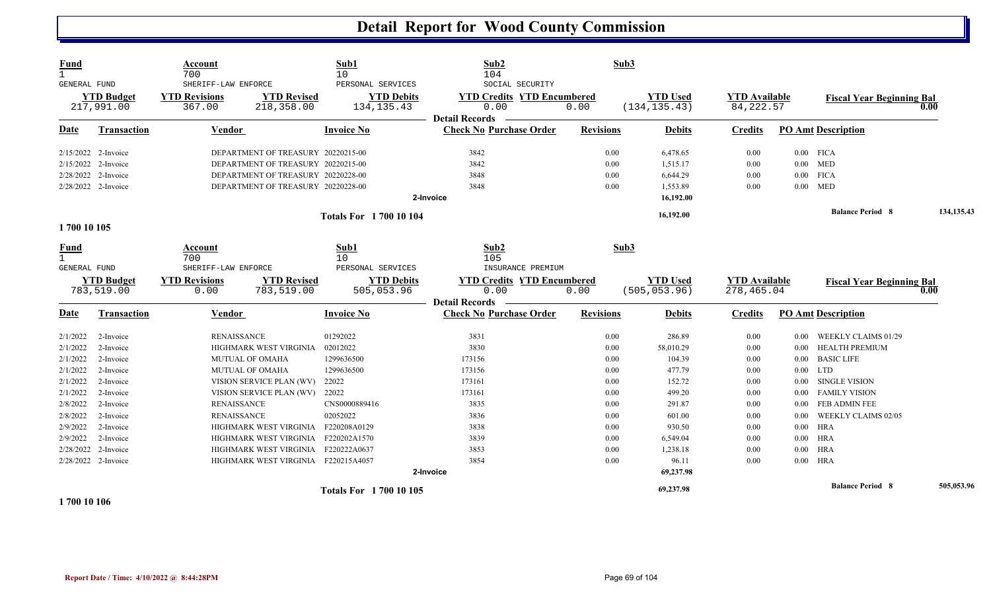| <b>Fund</b><br>$\mathbf{1}$<br>GENERAL FUND | <b>YTD Budget</b><br>217,991.00 | Account<br>700<br>SHERIFF-LAW ENFORCE<br><b>YTD Revisions</b><br>367.00 | <b>YTD Revised</b><br>218,358.00                                         | Sub1<br>10<br>PERSONAL SERVICES<br><b>YTD Debits</b><br>134, 135. 43 | Sub2<br>104<br>SOCIAL SECURITY<br><b>YTD Credits YTD Encumbered</b><br>0.00 | Sub3<br>0.00     | <b>YTD Used</b><br>(134, 135.43) | <b>YTD</b> Available<br>84, 222.57 |          | <b>Fiscal Year Beginning Bal</b> | 0.00       |
|---------------------------------------------|---------------------------------|-------------------------------------------------------------------------|--------------------------------------------------------------------------|----------------------------------------------------------------------|-----------------------------------------------------------------------------|------------------|----------------------------------|------------------------------------|----------|----------------------------------|------------|
| Date                                        | Transaction                     | <b>Vendor</b>                                                           |                                                                          | <b>Invoice No</b>                                                    | <b>Detail Records</b><br><b>Check No Purchase Order</b>                     | <b>Revisions</b> | <b>Debits</b>                    | <b>Credits</b>                     |          | <b>PO Amt Description</b>        |            |
| $2/15/2022$ 2-Invoice                       |                                 |                                                                         |                                                                          |                                                                      | 3842                                                                        | 0.00             |                                  | 0.00                               |          |                                  |            |
|                                             | 2/15/2022 2-Invoice             |                                                                         | DEPARTMENT OF TREASURY 20220215-00<br>DEPARTMENT OF TREASURY 20220215-00 |                                                                      | 3842                                                                        | 0.00             | 6,478.65<br>1,515.17             | 0.00                               |          | $0.00$ FICA<br>$0.00$ MED        |            |
|                                             | 2/28/2022 2-Invoice             |                                                                         | DEPARTMENT OF TREASURY 20220228-00                                       |                                                                      | 3848                                                                        | 0.00             | 6,644.29                         | 0.00                               |          | $0.00$ FICA                      |            |
|                                             | 2/28/2022 2-Invoice             |                                                                         | DEPARTMENT OF TREASURY 20220228-00                                       |                                                                      | 3848                                                                        | 0.00             | 1,553.89                         | 0.00                               |          | $0.00$ MED                       |            |
|                                             |                                 |                                                                         |                                                                          |                                                                      | 2-Invoice                                                                   |                  | 16,192.00                        |                                    |          |                                  |            |
|                                             |                                 |                                                                         |                                                                          |                                                                      |                                                                             |                  |                                  |                                    |          | <b>Balance Period 8</b>          | 134,135.43 |
|                                             |                                 |                                                                         |                                                                          | <b>Totals For 170010104</b>                                          |                                                                             |                  | 16,192.00                        |                                    |          |                                  |            |
| 1700 10 105                                 |                                 |                                                                         |                                                                          |                                                                      |                                                                             |                  |                                  |                                    |          |                                  |            |
| <b>Fund</b><br>$\mathbf{1}$                 |                                 | Account<br>700                                                          |                                                                          | Sub1<br>10                                                           | Sub2<br>105                                                                 | Sub3             |                                  |                                    |          |                                  |            |
| GENERAL FUND                                |                                 | SHERIFF-LAW ENFORCE                                                     |                                                                          | PERSONAL SERVICES                                                    | INSURANCE PREMIUM                                                           |                  |                                  |                                    |          |                                  |            |
|                                             | <b>YTD Budget</b>               | <b>YTD Revisions</b>                                                    | <b>YTD Revised</b>                                                       | <b>YTD Debits</b>                                                    | <b>YTD Credits YTD Encumbered</b>                                           |                  | <b>YTD Used</b>                  | <b>YTD Available</b>               |          | <b>Fiscal Year Beginning Bal</b> |            |
|                                             | 783,519.00                      | 0.00                                                                    | 783,519.00                                                               | 505,053.96                                                           | 0.00                                                                        | 0.00             | (505, 053.96)                    | 278,465.04                         |          |                                  | 0.00       |
|                                             |                                 |                                                                         |                                                                          |                                                                      | <b>Detail Records</b>                                                       |                  |                                  |                                    |          |                                  |            |
| Date                                        | <b>Transaction</b>              | Vendor                                                                  |                                                                          | <b>Invoice No</b>                                                    | <b>Check No Purchase Order</b>                                              | <b>Revisions</b> | <b>Debits</b>                    | <b>Credits</b>                     |          | <b>PO Amt Description</b>        |            |
| 2/1/2022                                    | 2-Invoice                       | <b>RENAISSANCE</b>                                                      |                                                                          | 01292022                                                             | 3831                                                                        | 0.00             | 286.89                           | 0.00                               | 0.00     | WEEKLY CLAIMS 01/29              |            |
| 2/1/2022                                    | 2-Invoice                       |                                                                         | HIGHMARK WEST VIRGINIA                                                   | 02012022                                                             | 3830                                                                        | 0.00             | 58,010.29                        | 0.00                               | 0.00     | <b>HEALTH PREMIUM</b>            |            |
| 2/1/2022                                    | 2-Invoice                       |                                                                         | <b>MUTUAL OF OMAHA</b>                                                   | 1299636500                                                           | 173156                                                                      | 0.00             | 104.39                           | 0.00                               | $0.00\,$ | <b>BASIC LIFE</b>                |            |
| 2/1/2022                                    | 2-Invoice                       |                                                                         | <b>MUTUAL OF OMAHA</b>                                                   | 1299636500                                                           | 173156                                                                      | 0.00             | 477.79                           | 0.00                               |          | $0.00$ LTD                       |            |
| 2/1/2022                                    | 2-Invoice                       |                                                                         | VISION SERVICE PLAN (WV)                                                 | 22022                                                                | 173161                                                                      | 0.00             | 152.72                           | 0.00                               | $0.00\,$ | <b>SINGLE VISION</b>             |            |
| 2/1/2022                                    | 2-Invoice                       |                                                                         | VISION SERVICE PLAN (WV)                                                 | 22022                                                                | 173161                                                                      | 0.00             | 499.20                           | 0.00                               | $0.00\,$ | <b>FAMILY VISION</b>             |            |
| 2/8/2022                                    | 2-Invoice                       | <b>RENAISSANCE</b>                                                      |                                                                          | CNS0000889416                                                        | 3835                                                                        | 0.00             | 291.87                           | $0.00\,$                           | 0.00     | FEB ADMIN FEE                    |            |
| 2/8/2022                                    | 2-Invoice                       | <b>RENAISSANCE</b>                                                      |                                                                          | 02052022                                                             | 3836                                                                        | 0.00             | 601.00                           | 0.00                               | 0.00     | WEEKLY CLAIMS 02/05              |            |
| 2/9/2022                                    | 2-Invoice                       |                                                                         | HIGHMARK WEST VIRGINIA                                                   | F220208A0129                                                         | 3838                                                                        | 0.00             | 930.50                           | 0.00                               | 0.00     | <b>HRA</b>                       |            |
| 2/9/2022                                    | 2-Invoice                       |                                                                         | HIGHMARK WEST VIRGINIA                                                   | F220202A1570                                                         | 3839                                                                        | 0.00             | 6,549.04                         | 0.00                               | $0.00\,$ | <b>HRA</b>                       |            |
| 2/28/2022                                   | 2-Invoice                       |                                                                         | HIGHMARK WEST VIRGINIA                                                   | F220222A0637                                                         | 3853                                                                        | 0.00             | 1,238.18                         | 0.00                               | $0.00\,$ | <b>HRA</b>                       |            |
|                                             | 2/28/2022 2-Invoice             |                                                                         | HIGHMARK WEST VIRGINIA F220215A4057                                      |                                                                      | 3854                                                                        | 0.00             | 96.11                            | 0.00                               | $0.00\,$ | <b>HRA</b>                       |            |
|                                             |                                 |                                                                         |                                                                          |                                                                      | 2-Invoice                                                                   |                  | 69,237.98                        |                                    |          |                                  |            |
|                                             |                                 |                                                                         |                                                                          | <b>Totals For 1700 10 105</b>                                        |                                                                             |                  | 69,237.98                        |                                    |          | <b>Balance Period 8</b>          | 505,053.96 |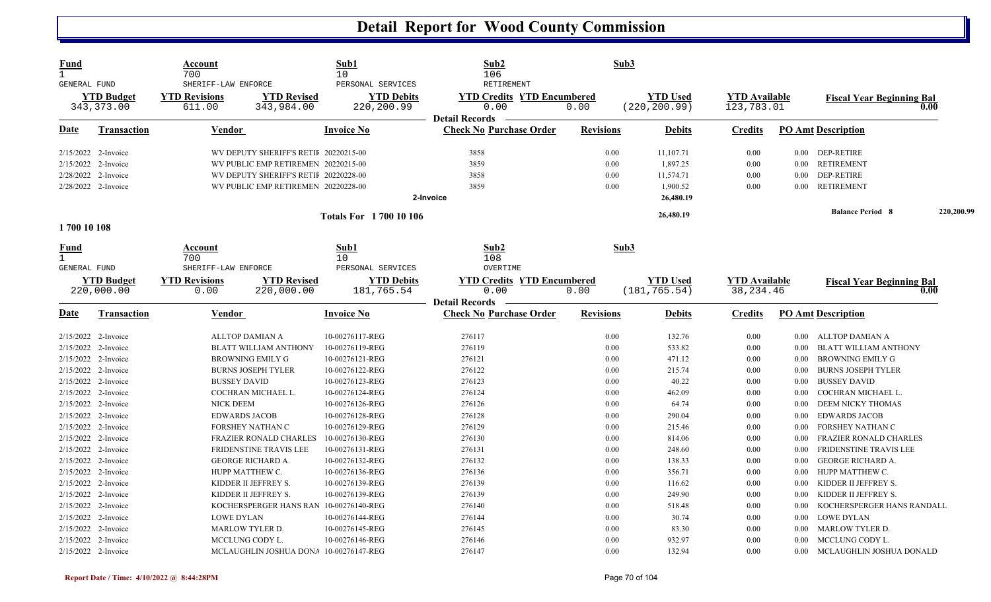| Fund<br>$\mathbf{1}$<br><b>GENERAL FUND</b>                       |                                  | Account<br>700<br>SHERIFF-LAW ENFORCE                         |                                                                                     | Sub1<br>10<br>PERSONAL SERVICES                       | Sub2<br>106<br>RETIREMENT                                           | Sub3                 |                                    |                                    |                              |                                                                                     |            |
|-------------------------------------------------------------------|----------------------------------|---------------------------------------------------------------|-------------------------------------------------------------------------------------|-------------------------------------------------------|---------------------------------------------------------------------|----------------------|------------------------------------|------------------------------------|------------------------------|-------------------------------------------------------------------------------------|------------|
|                                                                   | <b>YTD Budget</b><br>343, 373.00 | <b>YTD Revisions</b><br>611.00                                | <b>YTD Revised</b><br>343,984.00                                                    | <b>YTD Debits</b><br>220,200.99                       | <b>YTD Credits YTD Encumbered</b><br>0.00<br><b>Detail Records</b>  | 0.00                 | <b>YTD Used</b><br>(220, 200.99)   | <b>YTD Available</b><br>123,783.01 |                              | <b>Fiscal Year Beginning Bal</b><br>0.00                                            |            |
| Date                                                              | <b>Transaction</b>               | <b>Vendor</b>                                                 |                                                                                     | <b>Invoice No</b>                                     | <b>Check No Purchase Order</b>                                      | <b>Revisions</b>     | <b>Debits</b>                      | <b>Credits</b>                     |                              | <b>PO Amt Description</b>                                                           |            |
| 2/15/2022 2-Invoice<br>2/15/2022                                  | 2-Invoice                        |                                                               | WV DEPUTY SHERIFF'S RETIF 20220215-00<br>WV PUBLIC EMP RETIREMEN 20220215-00        |                                                       | 3858<br>3859                                                        | 0.00<br>0.00         | 11,107.71<br>1,897.25              | 0.00<br>0.00                       | $0.00\,$                     | 0.00 DEP-RETIRE<br>RETIREMENT                                                       |            |
| 2/28/2022<br>2/28/2022 2-Invoice                                  | 2-Invoice                        |                                                               | WV DEPUTY SHERIFF'S RETIF 20220228-00<br>WV PUBLIC EMP RETIREMEN 20220228-00        |                                                       | 3858<br>3859<br>2-Invoice                                           | 0.00<br>0.00         | 11,574.71<br>1,900.52<br>26,480.19 | 0.00<br>0.00                       | $0.00\,$<br>$0.00\,$         | DEP-RETIRE<br><b>RETIREMENT</b>                                                     |            |
|                                                                   |                                  |                                                               |                                                                                     | <b>Totals For 1700 10 106</b>                         |                                                                     |                      | 26,480.19                          |                                    |                              | <b>Balance Period 8</b>                                                             | 220,200.99 |
| 1700 10 108                                                       |                                  |                                                               |                                                                                     |                                                       |                                                                     |                      |                                    |                                    |                              |                                                                                     |            |
| <u>Fund</u><br>$\mathbf{1}$<br><b>GENERAL FUND</b>                | <b>YTD Budget</b>                | Account<br>700<br>SHERIFF-LAW ENFORCE<br><b>YTD Revisions</b> | <b>YTD Revised</b>                                                                  | Sub1<br>10<br>PERSONAL SERVICES<br><b>YTD Debits</b>  | Sub2<br>108<br><b>OVERTIME</b><br><b>YTD Credits YTD Encumbered</b> | Sub3                 | <b>YTD</b> Used                    | <b>YTD Available</b>               |                              |                                                                                     |            |
|                                                                   | 220,000.00                       | 0.00                                                          | 220,000.00                                                                          | 181,765.54                                            | 0.00<br><b>Detail Records</b>                                       | 0.00                 | (181, 765.54)                      | 38, 234.46                         |                              | <b>Fiscal Year Beginning Bal</b><br>0.00                                            |            |
| <u>Date</u>                                                       | <b>Transaction</b>               | Vendor                                                        |                                                                                     | <b>Invoice No</b>                                     | <b>Check No Purchase Order</b>                                      | <b>Revisions</b>     | <b>Debits</b>                      | <b>Credits</b>                     |                              | <b>PO Amt Description</b>                                                           |            |
| 2/15/2022<br>2/15/2022 2-Invoice                                  | 2-Invoice                        |                                                               | <b>ALLTOP DAMIAN A</b><br><b>BLATT WILLIAM ANTHONY</b>                              | 10-00276117-REG<br>10-00276119-REG                    | 276117<br>276119                                                    | 0.00<br>0.00         | 132.76<br>533.82                   | 0.00<br>0.00                       | 0.00<br>0.00                 | ALLTOP DAMIAN A<br><b>BLATT WILLIAM ANTHONY</b>                                     |            |
| 2/15/2022 2-Invoice<br>2/15/2022 2-Invoice<br>2/15/2022 2-Invoice |                                  | <b>BUSSEY DAVID</b>                                           | <b>BROWNING EMILY G</b><br><b>BURNS JOSEPH TYLER</b>                                | 10-00276121-REG<br>10-00276122-REG<br>10-00276123-REG | 276121<br>276122<br>276123                                          | 0.00<br>0.00<br>0.00 | 471.12<br>215.74<br>40.22          | 0.00<br>0.00<br>0.00               | 0.00<br>0.00<br>0.00         | <b>BROWNING EMILY G</b><br><b>BURNS JOSEPH TYLER</b><br><b>BUSSEY DAVID</b>         |            |
| 2/15/2022 2-Invoice<br>2/15/2022 2-Invoice                        |                                  | <b>NICK DEEM</b>                                              | COCHRAN MICHAEL L.                                                                  | 10-00276124-REG<br>10-00276126-REG                    | 276124<br>276126                                                    | 0.00<br>0.00         | 462.09<br>64.74                    | 0.00<br>0.00                       | 0.00<br>0.00                 | COCHRAN MICHAEL L.<br>DEEM NICKY THOMAS                                             |            |
| 2/15/2022 2-Invoice<br>2/15/2022 2-Invoice                        |                                  |                                                               | <b>EDWARDS JACOB</b><br>FORSHEY NATHAN C                                            | 10-00276128-REG<br>10-00276129-REG                    | 276128<br>276129                                                    | 0.00<br>0.00         | 290.04<br>215.46                   | 0.00<br>0.00                       | 0.00<br>0.00                 | <b>EDWARDS JACOB</b><br>FORSHEY NATHAN C                                            |            |
| 2/15/2022 2-Invoice<br>2/15/2022 2-Invoice<br>2/15/2022 2-Invoice |                                  |                                                               | FRAZIER RONALD CHARLES<br>FRIDENSTINE TRAVIS LEE<br><b>GEORGE RICHARD A.</b>        | 10-00276130-REG<br>10-00276131-REG<br>10-00276132-REG | 276130<br>276131<br>276132                                          | 0.00<br>0.00<br>0.00 | 814.06<br>248.60<br>138.33         | 0.00<br>0.00<br>0.00               | 0.00<br>0.00<br>0.00         | <b>FRAZIER RONALD CHARLES</b><br>FRIDENSTINE TRAVIS LEE<br><b>GEORGE RICHARD A.</b> |            |
| 2/15/2022 2-Invoice<br>2/15/2022 2-Invoice                        |                                  |                                                               | HUPP MATTHEW C.<br>KIDDER II JEFFREY S.                                             | 10-00276136-REG<br>10-00276139-REG                    | 276136<br>276139                                                    | 0.00<br>0.00         | 356.71<br>116.62                   | 0.00<br>0.00                       | $0.00\,$<br>0.00             | HUPP MATTHEW C.<br>KIDDER II JEFFREY S.                                             |            |
| 2/15/2022 2-Invoice<br>2/15/2022 2-Invoice<br>2/15/2022 2-Invoice |                                  | <b>LOWE DYLAN</b>                                             | KIDDER II JEFFREY S.<br>KOCHERSPERGER HANS RAN 10-00276140-REG                      | 10-00276139-REG<br>10-00276144-REG                    | 276139<br>276140<br>276144                                          | 0.00<br>0.00<br>0.00 | 249.90<br>518.48<br>30.74          | 0.00<br>0.00<br>0.00               | 0.00<br>0.00<br>0.00         | KIDDER II JEFFREY S.<br>KOCHERSPERGER HANS RANDALL<br><b>LOWE DYLAN</b>             |            |
| 2/15/2022 2-Invoice<br>2/15/2022 2-Invoice<br>2/15/2022 2-Invoice |                                  |                                                               | <b>MARLOW TYLER D.</b><br>MCCLUNG CODY L.<br>MCLAUGHLIN JOSHUA DONA 10-00276147-REG | 10-00276145-REG<br>10-00276146-REG                    | 276145<br>276146<br>276147                                          | 0.00<br>0.00<br>0.00 | 83.30<br>932.97<br>132.94          | 0.00<br>0.00<br>0.00               | $0.00\,$<br>0.00<br>$0.00\,$ | <b>MARLOW TYLER D.</b><br>MCCLUNG CODY L.<br>MCLAUGHLIN JOSHUA DONALD               |            |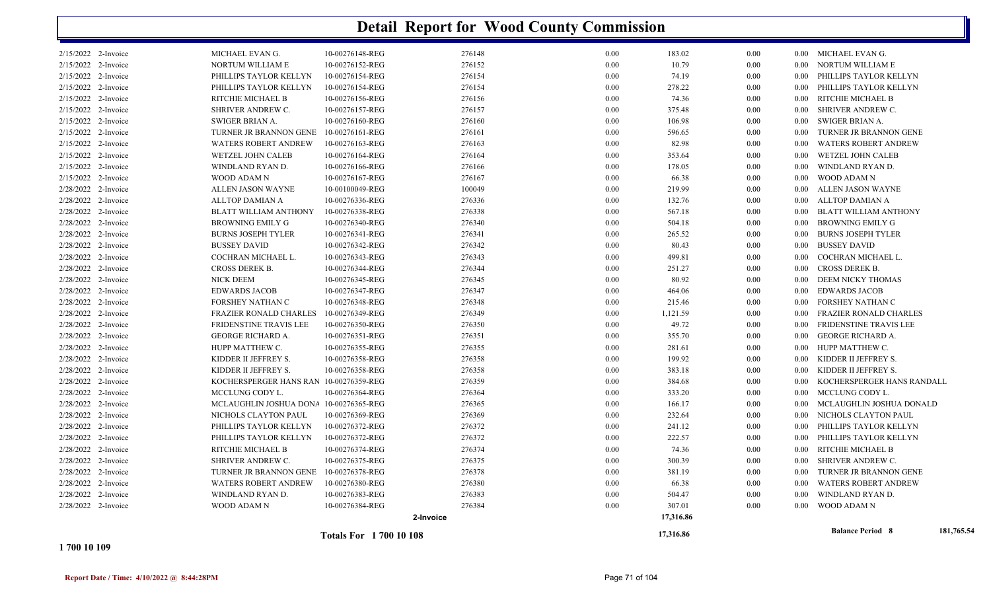|                     |                                        | <b>Totals For 1700 10 108</b> |        |      | 17,316.86 |          |          | <b>Balance Period 8</b>       | 181,765.54 |
|---------------------|----------------------------------------|-------------------------------|--------|------|-----------|----------|----------|-------------------------------|------------|
|                     |                                        | 2-Invoice                     |        |      | 17,316.86 |          |          |                               |            |
| 2/28/2022 2-Invoice | WOOD ADAM N                            | 10-00276384-REG               | 276384 | 0.00 | 307.01    | 0.00     |          | 0.00 WOOD ADAM N              |            |
| 2/28/2022 2-Invoice | WINDLAND RYAN D.                       | 10-00276383-REG               | 276383 | 0.00 | 504.47    | 0.00     | 0.00     | WINDLAND RYAN D.              |            |
| 2/28/2022 2-Invoice | <b>WATERS ROBERT ANDREW</b>            | 10-00276380-REG               | 276380 | 0.00 | 66.38     | 0.00     | 0.00     | WATERS ROBERT ANDREW          |            |
| 2/28/2022 2-Invoice | TURNER JR BRANNON GENE                 | 10-00276378-REG               | 276378 | 0.00 | 381.19    | 0.00     | 0.00     | TURNER JR BRANNON GENE        |            |
| 2/28/2022 2-Invoice | <b>SHRIVER ANDREW C.</b>               | 10-00276375-REG               | 276375 | 0.00 | 300.39    | 0.00     | 0.00     | SHRIVER ANDREW C.             |            |
| 2/28/2022 2-Invoice | RITCHIE MICHAEL B                      | 10-00276374-REG               | 276374 | 0.00 | 74.36     | 0.00     | 0.00     | RITCHIE MICHAEL B             |            |
| 2/28/2022 2-Invoice | PHILLIPS TAYLOR KELLYN                 | 10-00276372-REG               | 276372 | 0.00 | 222.57    | 0.00     | 0.00     | PHILLIPS TAYLOR KELLYN        |            |
| 2/28/2022 2-Invoice | PHILLIPS TAYLOR KELLYN                 | 10-00276372-REG               | 276372 | 0.00 | 241.12    | 0.00     | 0.00     | PHILLIPS TAYLOR KELLYN        |            |
| 2/28/2022 2-Invoice | NICHOLS CLAYTON PAUL                   | 10-00276369-REG               | 276369 | 0.00 | 232.64    | 0.00     | 0.00     | NICHOLS CLAYTON PAUL          |            |
| 2/28/2022 2-Invoice | MCLAUGHLIN JOSHUA DONA 10-00276365-REG |                               | 276365 | 0.00 | 166.17    | 0.00     | 0.00     | MCLAUGHLIN JOSHUA DONALD      |            |
| 2/28/2022 2-Invoice | MCCLUNG CODY L.                        | 10-00276364-REG               | 276364 | 0.00 | 333.20    | 0.00     | $0.00\,$ | MCCLUNG CODY L.               |            |
| 2/28/2022 2-Invoice | KOCHERSPERGER HANS RAN 10-00276359-REG |                               | 276359 | 0.00 | 384.68    | 0.00     | 0.00     | KOCHERSPERGER HANS RANDALL    |            |
| 2/28/2022 2-Invoice | KIDDER II JEFFREY S.                   | 10-00276358-REG               | 276358 | 0.00 | 383.18    | 0.00     | 0.00     | KIDDER II JEFFREY S.          |            |
| 2/28/2022 2-Invoice | KIDDER II JEFFREY S.                   | 10-00276358-REG               | 276358 | 0.00 | 199.92    | 0.00     | $0.00\,$ | KIDDER II JEFFREY S.          |            |
| 2/28/2022 2-Invoice | HUPP MATTHEW C.                        | 10-00276355-REG               | 276355 | 0.00 | 281.61    | 0.00     | 0.00     | HUPP MATTHEW C.               |            |
| 2/28/2022 2-Invoice | GEORGE RICHARD A.                      | 10-00276351-REG               | 276351 | 0.00 | 355.70    | 0.00     | 0.00     | GEORGE RICHARD A.             |            |
| 2/28/2022 2-Invoice | FRIDENSTINE TRAVIS LEE                 | 10-00276350-REG               | 276350 | 0.00 | 49.72     | 0.00     | 0.00     | <b>FRIDENSTINE TRAVIS LEE</b> |            |
| 2/28/2022 2-Invoice | <b>FRAZIER RONALD CHARLES</b>          | 10-00276349-REG               | 276349 | 0.00 | 1,121.59  | 0.00     | 0.00     | <b>FRAZIER RONALD CHARLES</b> |            |
| 2/28/2022 2-Invoice | FORSHEY NATHAN C                       | 10-00276348-REG               | 276348 | 0.00 | 215.46    | 0.00     | 0.00     | FORSHEY NATHAN C              |            |
| 2/28/2022 2-Invoice | <b>EDWARDS JACOB</b>                   | 10-00276347-REG               | 276347 | 0.00 | 464.06    | 0.00     | 0.00     | <b>EDWARDS JACOB</b>          |            |
| 2/28/2022 2-Invoice | NICK DEEM                              | 10-00276345-REG               | 276345 | 0.00 | 80.92     | 0.00     | 0.00     | DEEM NICKY THOMAS             |            |
| 2/28/2022 2-Invoice | CROSS DEREK B.                         | 10-00276344-REG               | 276344 | 0.00 | 251.27    | 0.00     | 0.00     | <b>CROSS DEREK B.</b>         |            |
| 2/28/2022 2-Invoice | COCHRAN MICHAEL L.                     | 10-00276343-REG               | 276343 | 0.00 | 499.81    | 0.00     | 0.00     | COCHRAN MICHAEL L.            |            |
| 2/28/2022 2-Invoice | <b>BUSSEY DAVID</b>                    | 10-00276342-REG               | 276342 | 0.00 | 80.43     | 0.00     | 0.00     | <b>BUSSEY DAVID</b>           |            |
| 2/28/2022 2-Invoice | <b>BURNS JOSEPH TYLER</b>              | 10-00276341-REG               | 276341 | 0.00 | 265.52    | 0.00     | 0.00     | <b>BURNS JOSEPH TYLER</b>     |            |
| 2/28/2022 2-Invoice | <b>BROWNING EMILY G</b>                | 10-00276340-REG               | 276340 | 0.00 | 504.18    | 0.00     | 0.00     | BROWNING EMILY G              |            |
| 2/28/2022 2-Invoice | <b>BLATT WILLIAM ANTHONY</b>           | 10-00276338-REG               | 276338 | 0.00 | 567.18    | 0.00     | 0.00     | <b>BLATT WILLIAM ANTHONY</b>  |            |
| 2/28/2022 2-Invoice | <b>ALLTOP DAMIAN A</b>                 | 10-00276336-REG               | 276336 | 0.00 | 132.76    | 0.00     | 0.00     | ALLTOP DAMIAN A               |            |
| 2/28/2022 2-Invoice | ALLEN JASON WAYNE                      | 10-00100049-REG               | 100049 | 0.00 | 219.99    | 0.00     | 0.00     | ALLEN JASON WAYNE             |            |
| 2/15/2022 2-Invoice | WOOD ADAM N                            | 10-00276167-REG               | 276167 | 0.00 | 66.38     | 0.00     | 0.00     | WOOD ADAM N                   |            |
| 2/15/2022 2-Invoice | WINDLAND RYAN D.                       | 10-00276166-REG               | 276166 | 0.00 | 178.05    | 0.00     | 0.00     | WINDLAND RYAN D.              |            |
| 2/15/2022 2-Invoice | <b>WETZEL JOHN CALEB</b>               | 10-00276164-REG               | 276164 | 0.00 | 353.64    | 0.00     | 0.00     | <b>WETZEL JOHN CALEB</b>      |            |
| 2/15/2022 2-Invoice | <b>WATERS ROBERT ANDREW</b>            | 10-00276163-REG               | 276163 | 0.00 | 82.98     | $0.00\,$ | 0.00     | <b>WATERS ROBERT ANDREW</b>   |            |
| 2/15/2022 2-Invoice | TURNER JR BRANNON GENE                 | 10-00276161-REG               | 276161 | 0.00 | 596.65    | 0.00     | 0.00     | TURNER JR BRANNON GENE        |            |
| 2/15/2022 2-Invoice | SWIGER BRIAN A.                        | 10-00276160-REG               | 276160 | 0.00 | 106.98    | 0.00     | 0.00     | SWIGER BRIAN A.               |            |
| 2/15/2022 2-Invoice | SHRIVER ANDREW C.                      | 10-00276157-REG               | 276157 | 0.00 | 375.48    | 0.00     | 0.00     | SHRIVER ANDREW C.             |            |
| 2/15/2022 2-Invoice | RITCHIE MICHAEL B                      | 10-00276156-REG               | 276156 | 0.00 | 74.36     | 0.00     | 0.00     | RITCHIE MICHAEL B             |            |
| 2/15/2022 2-Invoice | PHILLIPS TAYLOR KELLYN                 | 10-00276154-REG               | 276154 | 0.00 | 278.22    | 0.00     | 0.00     | PHILLIPS TAYLOR KELLYN        |            |
| 2/15/2022 2-Invoice | PHILLIPS TAYLOR KELLYN                 | 10-00276154-REG               | 276154 | 0.00 | 74.19     | 0.00     | 0.00     | PHILLIPS TAYLOR KELLYN        |            |
| 2/15/2022 2-Invoice | NORTUM WILLIAM E                       | 10-00276152-REG               | 276152 | 0.00 | 10.79     | 0.00     | $0.00\,$ | NORTUM WILLIAM E              |            |
| 2/15/2022 2-Invoice | MICHAEL EVAN G.                        | 10-00276148-REG               | 276148 | 0.00 | 183.02    | 0.00     |          | 0.00 MICHAEL EVAN G.          |            |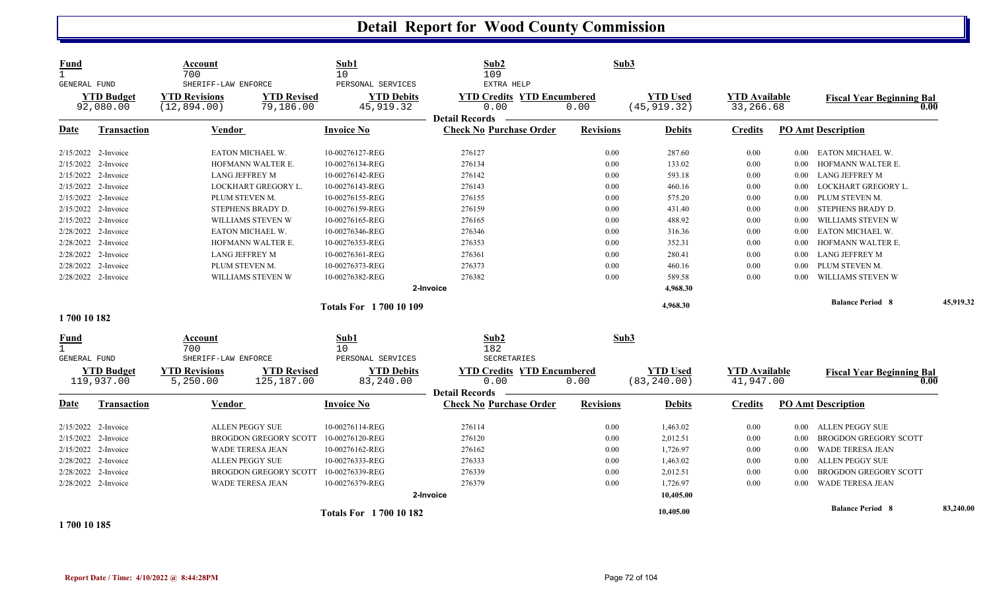| <b>Fund</b><br>$\mathbf{1}$<br>GENERAL FUND<br><b>YTD Budget</b><br>92,080.00 |                                                                                           | <b>Account</b><br>700<br>SHERIFF-LAW ENFORCE<br><b>YTD Revisions</b><br><b>YTD Revised</b><br>(12, 894.00)<br>79,186.00 |                                  | Sub1<br>10<br>PERSONAL SERVICES | Sub2<br>109<br>EXTRA HELP                                          | Sub3<br><b>YTD Used</b><br>(45, 919.32)<br>0.00 |                                 |                                   |                              |                                          |           |
|-------------------------------------------------------------------------------|-------------------------------------------------------------------------------------------|-------------------------------------------------------------------------------------------------------------------------|----------------------------------|---------------------------------|--------------------------------------------------------------------|-------------------------------------------------|---------------------------------|-----------------------------------|------------------------------|------------------------------------------|-----------|
|                                                                               |                                                                                           |                                                                                                                         |                                  | <b>YTD Debits</b><br>45,919.32  | <b>YTD Credits YTD Encumbered</b><br>0.00<br><b>Detail Records</b> |                                                 |                                 | <b>YTD</b> Available<br>33,266.68 |                              | <b>Fiscal Year Beginning Bal</b><br>0.00 |           |
| Date                                                                          | <b>Transaction</b>                                                                        | <b>Vendor</b>                                                                                                           |                                  | <b>Invoice No</b>               | <b>Check No Purchase Order</b>                                     | <b>Revisions</b>                                | <b>Debits</b>                   | <b>Credits</b>                    |                              | <b>PO Amt Description</b>                |           |
|                                                                               | 2/15/2022 2-Invoice                                                                       |                                                                                                                         | EATON MICHAEL W.                 | 10-00276127-REG                 | 276127                                                             | 0.00                                            | 287.60                          | 0.00                              | $0.00\,$                     | EATON MICHAEL W.                         |           |
|                                                                               | 2/15/2022 2-Invoice                                                                       |                                                                                                                         | HOFMANN WALTER E.                | 10-00276134-REG                 | 276134                                                             | 0.00                                            | 133.02                          | 0.00                              | 0.00                         | HOFMANN WALTER E.                        |           |
|                                                                               | 2/15/2022 2-Invoice                                                                       | <b>LANG JEFFREY M</b>                                                                                                   |                                  | 10-00276142-REG                 | 276142                                                             | 0.00                                            | 593.18                          | 0.00                              | $0.00\,$                     | LANG JEFFREY M                           |           |
|                                                                               | 2/15/2022 2-Invoice                                                                       |                                                                                                                         | LOCKHART GREGORY L.              | 10-00276143-REG                 | 276143                                                             | 0.00                                            | 460.16                          | 0.00                              | $0.00\,$                     | LOCKHART GREGORY L.                      |           |
|                                                                               | 2/15/2022 2-Invoice                                                                       | PLUM STEVEN M.                                                                                                          |                                  | 10-00276155-REG                 | 276155                                                             | 0.00                                            | 575.20                          | 0.00                              | $0.00\,$                     | PLUM STEVEN M.                           |           |
| 2/15/2022                                                                     | 2-Invoice                                                                                 |                                                                                                                         | STEPHENS BRADY D.                | 10-00276159-REG                 | 276159                                                             | 0.00                                            | 431.40                          | 0.00                              | $0.00\,$                     | STEPHENS BRADY D.                        |           |
|                                                                               | 2/15/2022 2-Invoice                                                                       |                                                                                                                         | WILLIAMS STEVEN W                | 10-00276165-REG                 | 276165                                                             | 0.00                                            | 488.92                          | 0.00                              | 0.00                         | WILLIAMS STEVEN W                        |           |
|                                                                               | 2/28/2022 2-Invoice                                                                       |                                                                                                                         | EATON MICHAEL W.                 | 10-00276346-REG                 | 276346                                                             | 0.00                                            | 316.36                          | 0.00                              | 0.00                         | EATON MICHAEL W.                         |           |
|                                                                               | 2/28/2022 2-Invoice                                                                       |                                                                                                                         | HOFMANN WALTER E.                | 10-00276353-REG                 | 276353                                                             | 0.00                                            | 352.31                          | 0.00                              | 0.00                         | HOFMANN WALTER E.                        |           |
|                                                                               | 2/28/2022 2-Invoice                                                                       | LANG JEFFREY M                                                                                                          |                                  | 10-00276361-REG                 | 276361                                                             | 0.00                                            | 280.41                          | 0.00                              | $0.00\,$                     | LANG JEFFREY M                           |           |
|                                                                               | 2/28/2022 2-Invoice                                                                       | PLUM STEVEN M.                                                                                                          |                                  | 10-00276373-REG                 | 276373                                                             | 0.00                                            | 460.16                          | 0.00                              | 0.00                         | PLUM STEVEN M.                           |           |
|                                                                               | 2/28/2022 2-Invoice                                                                       |                                                                                                                         | WILLIAMS STEVEN W                | 10-00276382-REG                 | 276382                                                             | 0.00                                            | 589.58                          | 0.00                              | 0.00                         | WILLIAMS STEVEN W                        |           |
|                                                                               |                                                                                           |                                                                                                                         |                                  |                                 | 2-Invoice                                                          |                                                 | 4,968.30                        |                                   |                              |                                          |           |
|                                                                               | <b>Totals For 1700 10 109</b>                                                             |                                                                                                                         |                                  |                                 |                                                                    |                                                 | 4,968.30                        |                                   |                              | <b>Balance Period 8</b>                  | 45,919.32 |
| 1700 10 182                                                                   |                                                                                           |                                                                                                                         |                                  |                                 |                                                                    |                                                 |                                 |                                   |                              |                                          |           |
| <b>Fund</b><br>1                                                              |                                                                                           | Account<br>700                                                                                                          |                                  | Sub1<br>10                      | Sub2<br>182                                                        | Sub3                                            |                                 |                                   |                              |                                          |           |
| <b>GENERAL FUND</b>                                                           |                                                                                           | SHERIFF-LAW ENFORCE                                                                                                     |                                  | PERSONAL SERVICES               | <b>SECRETARIES</b>                                                 |                                                 |                                 |                                   |                              |                                          |           |
|                                                                               | <b>YTD Budget</b><br>119,937.00                                                           | <b>YTD Revisions</b><br>5,250.00                                                                                        | <b>YTD Revised</b><br>125,187.00 | <b>YTD Debits</b><br>83,240.00  | <b>YTD Credits YTD Encumbered</b><br>0.00<br><b>Detail Records</b> | 0.00                                            | <b>YTD Used</b><br>(83, 240.00) | <b>YTD Available</b><br>41,947.00 |                              | <b>Fiscal Year Beginning Bal</b><br>0.00 |           |
| Date                                                                          | Transaction                                                                               | Vendor                                                                                                                  |                                  | <b>Invoice No</b>               | <b>Check No Purchase Order</b>                                     | <b>Revisions</b>                                | <b>Debits</b>                   | <b>Credits</b>                    |                              | <b>PO Amt Description</b>                |           |
|                                                                               | 2/15/2022 2-Invoice                                                                       | ALLEN PEGGY SUE                                                                                                         |                                  | 10-00276114-REG                 | 276114                                                             | 0.00                                            | 1,463.02                        | 0.00                              | $0.00\,$                     | ALLEN PEGGY SUE                          |           |
|                                                                               | 2/15/2022 2-Invoice                                                                       | <b>BROGDON GREGORY SCOTT</b>                                                                                            |                                  | 10-00276120-REG                 | 276120                                                             | 0.00                                            | 2,012.51                        | 0.00                              | 0.00                         | <b>BROGDON GREGORY SCOTT</b>             |           |
|                                                                               | 2/15/2022 2-Invoice                                                                       | <b>WADE TERESA JEAN</b>                                                                                                 |                                  | 10-00276162-REG                 | 276162                                                             | 0.00                                            | 1,726.97                        | 0.00                              | 0.00                         | <b>WADE TERESA JEAN</b>                  |           |
|                                                                               | 2/28/2022 2-Invoice                                                                       | <b>ALLEN PEGGY SUE</b>                                                                                                  |                                  | 10-00276333-REG                 | 276333                                                             | 0.00                                            | 1,463.02                        | 0.00                              | 0.00                         | <b>ALLEN PEGGY SUE</b>                   |           |
| 2/28/2022                                                                     | 2-Invoice<br><b>BROGDON GREGORY SCOTT</b>                                                 |                                                                                                                         | 10-00276339-REG                  | 276339                          | 0.00                                                               | 2,012.51                                        | 0.00                            | 0.00                              | <b>BROGDON GREGORY SCOTT</b> |                                          |           |
|                                                                               | 2/28/2022 2-Invoice                                                                       |                                                                                                                         | <b>WADE TERESA JEAN</b>          | 10-00276379-REG                 | 276379                                                             | 0.00                                            | 1,726.97                        | 0.00                              | 0.00                         | WADE TERESA JEAN                         |           |
|                                                                               |                                                                                           |                                                                                                                         |                                  |                                 | 2-Invoice                                                          |                                                 | 10,405.00                       |                                   |                              |                                          |           |
|                                                                               | <b>Totals For 1700 10 182</b><br>$\overline{1}$ = 0.0 $\overline{1}$ 0.1 $\overline{0}$ = |                                                                                                                         |                                  |                                 |                                                                    |                                                 | 10,405.00                       |                                   |                              | <b>Balance Period 8</b>                  | 83,240.00 |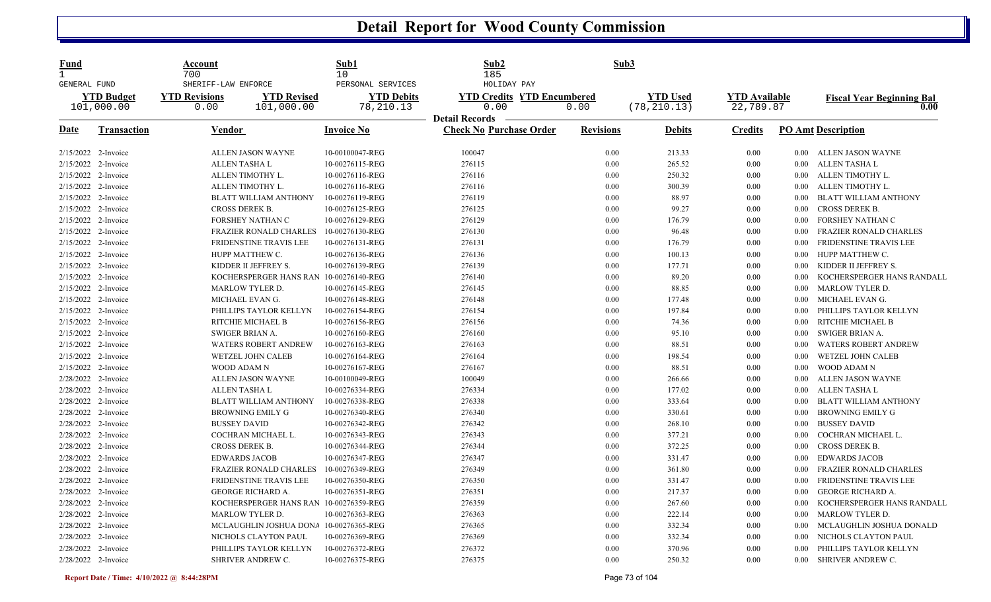| SHERIFF-LAW ENFORCE<br>PERSONAL SERVICES<br>HOLIDAY PAY<br>GENERAL FUND<br><b>YTD Used</b><br><b>YTD Available</b><br><b>YTD Budget</b><br><b>YTD Revisions</b><br><b>YTD Revised</b><br><b>YTD Debits</b><br><b>YTD Credits YTD Encumbered</b><br>101,000.00<br>101,000.00<br>78,210.13<br>0.00<br>0.00<br>(78, 210.13)<br>22,789.87<br>0.00<br><b>Detail Records</b> | <b>Fiscal Year Beginning Bal</b><br>0.00 |
|------------------------------------------------------------------------------------------------------------------------------------------------------------------------------------------------------------------------------------------------------------------------------------------------------------------------------------------------------------------------|------------------------------------------|
|                                                                                                                                                                                                                                                                                                                                                                        |                                          |
| <b>Revisions</b><br><b>PO Amt Description</b><br><b>Date</b><br><b>Transaction</b><br><b>Invoice No</b><br><b>Check No Purchase Order</b><br><u>Vendor</u><br><b>Debits</b><br><b>Credits</b>                                                                                                                                                                          |                                          |
| ALLEN JASON WAYNE<br>10-00100047-REG<br>100047<br>0.00<br>213.33<br>2/15/2022 2-Invoice<br>0.00<br>0.00 ALLEN JASON WAYNE                                                                                                                                                                                                                                              |                                          |
| 265.52<br><b>ALLEN TASHA L</b><br>10-00276115-REG<br>276115<br>0.00<br>0.00<br>ALLEN TASHA L<br>$2/15/2022$ 2-Invoice<br>$0.00\,$                                                                                                                                                                                                                                      |                                          |
| 2/15/2022 2-Invoice<br>250.32<br>ALLEN TIMOTHY L.<br>ALLEN TIMOTHY L.<br>10-00276116-REG<br>276116<br>0.00<br>0.00<br>$0.00\,$                                                                                                                                                                                                                                         |                                          |
| 2/15/2022 2-Invoice<br>10-00276116-REG<br>276116<br>300.39<br>0.00<br>ALLEN TIMOTHY L.<br>ALLEN TIMOTHY L.<br>0.00<br>$0.00\,$                                                                                                                                                                                                                                         |                                          |
| 88.97<br>2/15/2022 2-Invoice<br><b>BLATT WILLIAM ANTHONY</b><br>10-00276119-REG<br>276119<br>0.00<br>0.00<br>BLATT WILLIAM ANTHONY<br>$0.00\,$                                                                                                                                                                                                                         |                                          |
| CROSS DEREK B.<br>2/15/2022 2-Invoice<br>CROSS DEREK B.<br>10-00276125-REG<br>276125<br>0.00<br>99.27<br>0.00<br>$0.00\,$                                                                                                                                                                                                                                              |                                          |
| 2/15/2022 2-Invoice<br>10-00276129-REG<br>276129<br>176.79<br>0.00<br>FORSHEY NATHAN C<br>FORSHEY NATHAN C<br>0.00<br>$0.00\,$                                                                                                                                                                                                                                         |                                          |
| 2/15/2022 2-Invoice<br>10-00276130-REG<br>276130<br>96.48<br>0.00<br>FRAZIER RONALD CHARLES<br>FRAZIER RONALD CHARLES<br>0.00<br>$0.00\,$                                                                                                                                                                                                                              |                                          |
| 2/15/2022 2-Invoice<br>FRIDENSTINE TRAVIS LEE<br>10-00276131-REG<br>276131<br>0.00<br>176.79<br>0.00<br>FRIDENSTINE TRAVIS LEE<br>$0.00\,$                                                                                                                                                                                                                             |                                          |
| 100.13<br>2/15/2022 2-Invoice<br>HUPP MATTHEW C.<br>10-00276136-REG<br>276136<br>0.00<br>0.00<br>$0.00\,$<br>HUPP MATTHEW C.                                                                                                                                                                                                                                           |                                          |
| 2/15/2022 2-Invoice<br>10-00276139-REG<br>276139<br>177.71<br>KIDDER II JEFFREY S.<br>KIDDER II JEFFREY S.<br>0.00<br>0.00<br>$0.00\,$                                                                                                                                                                                                                                 |                                          |
| 2/15/2022 2-Invoice<br>89.20<br>KOCHERSPERGER HANS RAN 10-00276140-REG<br>276140<br>0.00<br>0.00<br>$0.00\,$                                                                                                                                                                                                                                                           | KOCHERSPERGER HANS RANDALL               |
| 2/15/2022 2-Invoice<br>MARLOW TYLER D.<br>10-00276145-REG<br>276145<br>0.00<br>88.85<br>0.00<br>MARLOW TYLER D.<br>$0.00\,$                                                                                                                                                                                                                                            |                                          |
| 2/15/2022 2-Invoice<br>10-00276148-REG<br>276148<br>0.00<br>177.48<br>0.00<br>MICHAEL EVAN G.<br>MICHAEL EVAN G.<br>0.00                                                                                                                                                                                                                                               |                                          |
| 2/15/2022 2-Invoice<br>PHILLIPS TAYLOR KELLYN<br>PHILLIPS TAYLOR KELLYN<br>10-00276154-REG<br>276154<br>0.00<br>197.84<br>0.00<br>$0.00\,$                                                                                                                                                                                                                             |                                          |
| 2/15/2022 2-Invoice<br>RITCHIE MICHAEL B<br>10-00276156-REG<br>276156<br>0.00<br>74.36<br>0.00<br>RITCHIE MICHAEL B<br>$0.00\,$                                                                                                                                                                                                                                        |                                          |
| 2/15/2022 2-Invoice<br><b>SWIGER BRIAN A.</b><br>10-00276160-REG<br>276160<br>0.00<br>95.10<br>0.00<br><b>SWIGER BRIAN A.</b><br>$0.00\,$                                                                                                                                                                                                                              |                                          |
| 2/15/2022 2-Invoice<br><b>WATERS ROBERT ANDREW</b><br>10-00276163-REG<br>276163<br>0.00<br>88.51<br>0.00<br><b>WATERS ROBERT ANDREW</b><br>$0.00\,$                                                                                                                                                                                                                    |                                          |
| 198.54<br>2/15/2022 2-Invoice<br>WETZEL JOHN CALEB<br>10-00276164-REG<br>276164<br>0.00<br>0.00<br><b>WETZEL JOHN CALEB</b><br>$0.00\,$                                                                                                                                                                                                                                |                                          |
| 2/15/2022 2-Invoice<br>88.51<br>WOOD ADAM N<br>WOOD ADAM N<br>10-00276167-REG<br>276167<br>0.00<br>0.00<br>$0.00\,$                                                                                                                                                                                                                                                    |                                          |
| 2/28/2022 2-Invoice<br>ALLEN JASON WAYNE<br>10-00100049-REG<br>100049<br>266.66<br>ALLEN JASON WAYNE<br>0.00<br>0.00<br>$0.00\,$                                                                                                                                                                                                                                       |                                          |
| 177.02<br>2/28/2022 2-Invoice<br><b>ALLEN TASHA L</b><br>10-00276334-REG<br>276334<br>0.00<br>0.00<br>ALLEN TASHA L<br>$0.00\,$                                                                                                                                                                                                                                        |                                          |
| 2/28/2022 2-Invoice<br>333.64<br>BLATT WILLIAM ANTHONY<br>10-00276338-REG<br>276338<br>0.00<br>0.00<br><b>BLATT WILLIAM ANTHONY</b><br>$0.00\,$                                                                                                                                                                                                                        |                                          |
| 2/28/2022 2-Invoice<br><b>BROWNING EMILY G</b><br><b>BROWNING EMILY G</b><br>10-00276340-REG<br>276340<br>0.00<br>330.61<br>0.00<br>$0.00\,$                                                                                                                                                                                                                           |                                          |
| 2/28/2022 2-Invoice<br><b>BUSSEY DAVID</b><br>10-00276342-REG<br>276342<br>0.00<br>268.10<br>0.00<br><b>BUSSEY DAVID</b><br>$0.00\,$                                                                                                                                                                                                                                   |                                          |
| 2/28/2022 2-Invoice<br>377.21<br>COCHRAN MICHAEL L.<br>10-00276343-REG<br>276343<br>0.00<br>0.00<br>COCHRAN MICHAEL L.<br>$0.00\,$                                                                                                                                                                                                                                     |                                          |
| 372.25<br>2/28/2022 2-Invoice<br>CROSS DEREK B.<br>10-00276344-REG<br>276344<br>0.00<br>0.00<br><b>CROSS DEREK B.</b><br>$0.00\,$                                                                                                                                                                                                                                      |                                          |
| 331.47<br>2/28/2022 2-Invoice<br><b>EDWARDS JACOB</b><br>10-00276347-REG<br>276347<br>0.00<br><b>EDWARDS JACOB</b><br>0.00<br>$0.00\,$                                                                                                                                                                                                                                 |                                          |
| 2/28/2022 2-Invoice<br>10-00276349-REG<br>361.80<br>FRAZIER RONALD CHARLES<br><b>FRAZIER RONALD CHARLES</b><br>276349<br>0.00<br>0.00<br>$0.00\,$                                                                                                                                                                                                                      |                                          |
| 2/28/2022 2-Invoice<br>276350<br>331.47<br>0.00<br>FRIDENSTINE TRAVIS LEE<br>FRIDENSTINE TRAVIS LEE<br>10-00276350-REG<br>0.00<br>$0.00\,$                                                                                                                                                                                                                             |                                          |
| 2/28/2022 2-Invoice<br><b>GEORGE RICHARD A.</b><br>10-00276351-REG<br>276351<br>0.00<br>217.37<br>0.00<br><b>GEORGE RICHARD A.</b><br>$0.00\,$                                                                                                                                                                                                                         |                                          |
| 2/28/2022 2-Invoice<br>267.60<br>KOCHERSPERGER HANS RAN 10-00276359-REG<br>276359<br>0.00<br>0.00<br>$0.00\,$                                                                                                                                                                                                                                                          | KOCHERSPERGER HANS RANDALL               |
| 2/28/2022 2-Invoice<br>MARLOW TYLER D.<br>10-00276363-REG<br>276363<br>0.00<br>222.14<br>0.00<br><b>MARLOW TYLER D.</b><br>$0.00\,$                                                                                                                                                                                                                                    |                                          |
| 2/28/2022 2-Invoice<br>MCLAUGHLIN JOSHUA DONA 10-00276365-REG<br>276365<br>0.00<br>332.34<br>0.00<br>MCLAUGHLIN JOSHUA DONALD<br>$0.00\,$                                                                                                                                                                                                                              |                                          |
| 2/28/2022 2-Invoice<br>NICHOLS CLAYTON PAUL<br>10-00276369-REG<br>276369<br>0.00<br>332.34<br>0.00<br>NICHOLS CLAYTON PAUL<br>$0.00\,$                                                                                                                                                                                                                                 |                                          |
| 370.96<br>PHILLIPS TAYLOR KELLYN<br>2/28/2022 2-Invoice<br>PHILLIPS TAYLOR KELLYN<br>10-00276372-REG<br>276372<br>0.00<br>0.00<br>0.00                                                                                                                                                                                                                                 |                                          |
| 2/28/2022 2-Invoice<br>276375<br>0.00<br>250.32<br>0.00<br>SHRIVER ANDREW C.<br>SHRIVER ANDREW C.<br>10-00276375-REG<br>$0.00\,$                                                                                                                                                                                                                                       |                                          |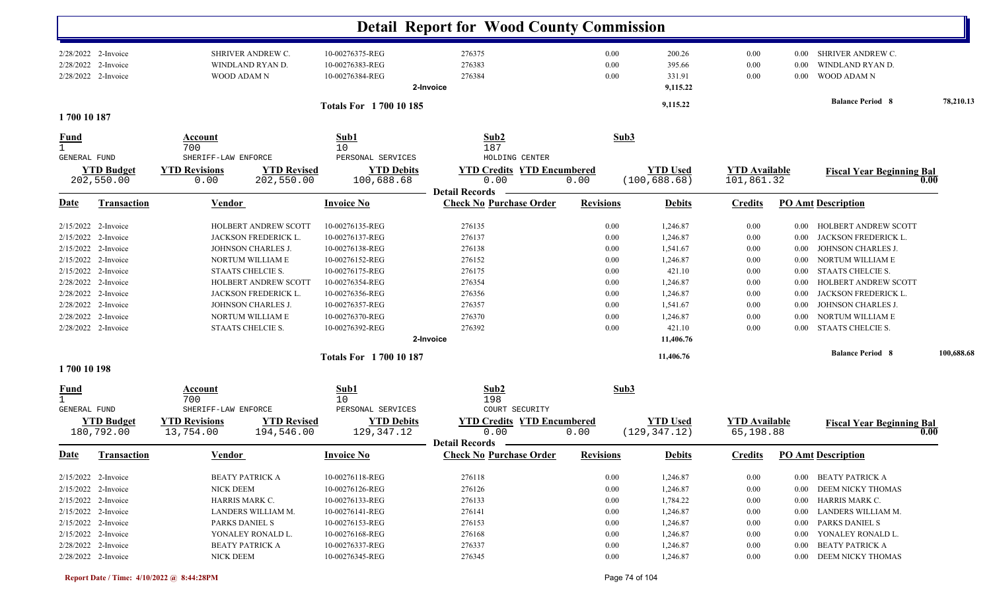|                                                                                                                                  |                                                                                                                                                                   |                                                                                                                                                                                                                                   |                                                                                                                                                                                                                           | <b>Detail Report for Wood County Commission</b>                                                               |                                                                              |                                                                                                                                            |                                                                                  |                                                                              |                                                                                                                                                                                                                                                       |            |
|----------------------------------------------------------------------------------------------------------------------------------|-------------------------------------------------------------------------------------------------------------------------------------------------------------------|-----------------------------------------------------------------------------------------------------------------------------------------------------------------------------------------------------------------------------------|---------------------------------------------------------------------------------------------------------------------------------------------------------------------------------------------------------------------------|---------------------------------------------------------------------------------------------------------------|------------------------------------------------------------------------------|--------------------------------------------------------------------------------------------------------------------------------------------|----------------------------------------------------------------------------------|------------------------------------------------------------------------------|-------------------------------------------------------------------------------------------------------------------------------------------------------------------------------------------------------------------------------------------------------|------------|
| 2/28/2022                                                                                                                        | 2/28/2022 2-Invoice<br>2-Invoice<br>2/28/2022 2-Invoice                                                                                                           | SHRIVER ANDREW C.<br>WINDLAND RYAN D.<br><b>WOOD ADAM N</b>                                                                                                                                                                       | 10-00276375-REG<br>10-00276383-REG<br>10-00276384-REG                                                                                                                                                                     | 276375<br>276383<br>276384<br>2-Invoice                                                                       | 0.00<br>0.00<br>0.00                                                         | 200.26<br>395.66<br>331.91<br>9,115.22                                                                                                     | $0.00\,$<br>0.00<br>0.00                                                         | $0.00\,$<br>0.00<br>0.00                                                     | SHRIVER ANDREW C.<br>WINDLAND RYAN D.<br>WOOD ADAM N                                                                                                                                                                                                  |            |
| 1700 10 187                                                                                                                      |                                                                                                                                                                   |                                                                                                                                                                                                                                   | Totals For 1700 10 185                                                                                                                                                                                                    |                                                                                                               |                                                                              | 9,115.22                                                                                                                                   |                                                                                  |                                                                              | <b>Balance Period 8</b>                                                                                                                                                                                                                               | 78,210.13  |
| <u>Fund</u>                                                                                                                      |                                                                                                                                                                   | Account                                                                                                                                                                                                                           | Sub1                                                                                                                                                                                                                      | Sub2                                                                                                          | Sub3                                                                         |                                                                                                                                            |                                                                                  |                                                                              |                                                                                                                                                                                                                                                       |            |
| GENERAL FUND                                                                                                                     | <b>YTD Budget</b><br>202,550.00                                                                                                                                   | 700<br>SHERIFF-LAW ENFORCE<br><b>YTD Revisions</b><br><b>YTD Revised</b><br>202,550.00<br>0.00                                                                                                                                    | 10<br>PERSONAL SERVICES<br><b>YTD Debits</b><br>100,688.68                                                                                                                                                                | 187<br>HOLDING CENTER<br><b>YTD Credits YTD Encumbered</b><br>0.00                                            | 0.00                                                                         | <b>YTD Used</b><br>(100, 688.68)                                                                                                           | <b>YTD</b> Available<br>101,861.32                                               |                                                                              | <b>Fiscal Year Beginning Bal</b>                                                                                                                                                                                                                      | 0.00       |
| <u>Date</u>                                                                                                                      | <b>Transaction</b>                                                                                                                                                | Vendor                                                                                                                                                                                                                            | <b>Invoice No</b>                                                                                                                                                                                                         | <b>Detail Records</b><br><b>Check No Purchase Order</b>                                                       | <b>Revisions</b>                                                             | <b>Debits</b>                                                                                                                              | <b>Credits</b>                                                                   |                                                                              | <b>PO Amt Description</b>                                                                                                                                                                                                                             |            |
| 2/15/2022<br>2/15/2022<br>2/15/2022<br>2/15/2022<br>2/15/2022<br>2/28/2022<br>2/28/2022<br>2/28/2022<br>2/28/2022<br>1700 10 198 | 2-Invoice<br>2-Invoice<br>2-Invoice<br>2-Invoice<br>2-Invoice<br>2-Invoice<br>2-Invoice<br>2-Invoice<br>2-Invoice<br>2/28/2022 2-Invoice                          | <b>HOLBERT ANDREW SCOTT</b><br>JACKSON FREDERICK L.<br>JOHNSON CHARLES J.<br>NORTUM WILLIAM E<br>STAATS CHELCIE S.<br>HOLBERT ANDREW SCOTT<br>JACKSON FREDERICK L.<br>JOHNSON CHARLES J.<br>NORTUM WILLIAM E<br>STAATS CHELCIE S. | 10-00276135-REG<br>10-00276137-REG<br>10-00276138-REG<br>10-00276152-REG<br>10-00276175-REG<br>10-00276354-REG<br>10-00276356-REG<br>10-00276357-REG<br>10-00276370-REG<br>10-00276392-REG<br><b>Totals For 170010187</b> | 276135<br>276137<br>276138<br>276152<br>276175<br>276354<br>276356<br>276357<br>276370<br>276392<br>2-Invoice | 0.00<br>0.00<br>0.00<br>0.00<br>0.00<br>0.00<br>0.00<br>0.00<br>0.00<br>0.00 | 1,246.87<br>1,246.87<br>1,541.67<br>1,246.87<br>421.10<br>1,246.87<br>1,246.87<br>1,541.67<br>1,246.87<br>421.10<br>11,406.76<br>11,406.76 | 0.00<br>0.00<br>0.00<br>$0.00\,$<br>0.00<br>0.00<br>0.00<br>0.00<br>0.00<br>0.00 | 0.00<br>0.00<br>0.00<br>0.00<br>0.00<br>0.00<br>0.00<br>0.00<br>0.00<br>0.00 | HOLBERT ANDREW SCOTT<br>JACKSON FREDERICK L.<br>JOHNSON CHARLES J.<br>NORTUM WILLIAM E<br>STAATS CHELCIE S.<br>HOLBERT ANDREW SCOTT<br>JACKSON FREDERICK L.<br>JOHNSON CHARLES J.<br>NORTUM WILLIAM E<br>STAATS CHELCIE S.<br><b>Balance Period 8</b> | 100,688.68 |
| <u>Fund</u><br>GENERAL FUND                                                                                                      | <b>YTD Budget</b><br>180,792.00                                                                                                                                   | Account<br>700<br>SHERIFF-LAW ENFORCE<br><b>YTD Revisions</b><br><b>YTD Revised</b><br>194,546.00<br>13,754.00                                                                                                                    | Sub1<br>10<br>PERSONAL SERVICES<br><b>YTD Debits</b><br>129,347.12                                                                                                                                                        | Sub2<br>198<br>COURT SECURITY<br><b>YTD Credits YTD Encumbered</b><br>0.00<br><b>Detail Records</b>           | Sub3<br>0.00                                                                 | <b>YTD</b> Used<br>(129, 347.12)                                                                                                           | <b>YTD Available</b><br>65,198.88                                                |                                                                              | <b>Fiscal Year Beginning Bal</b>                                                                                                                                                                                                                      | 0.00       |
|                                                                                                                                  | Date Transaction                                                                                                                                                  | <b>Vendor</b>                                                                                                                                                                                                                     | <b>Invoice No</b>                                                                                                                                                                                                         | <b>Check No Purchase Order Revisions</b>                                                                      |                                                                              | <b>Debits</b>                                                                                                                              |                                                                                  |                                                                              | <b>Credits</b> PO Amt Description                                                                                                                                                                                                                     |            |
|                                                                                                                                  | $2/15/2022$ 2-Invoice<br>2/15/2022 2-Invoice<br>2/15/2022 2-Invoice<br>2/15/2022 2-Invoice<br>2/15/2022 2-Invoice<br>$2/15/2022$ 2-Invoice<br>2/28/2022 2-Invoice | <b>BEATY PATRICK A</b><br>NICK DEEM<br>HARRIS MARK C.<br>LANDERS WILLIAM M.<br>PARKS DANIEL S<br>YONALEY RONALD L.<br><b>BEATY PATRICK A</b>                                                                                      | 10-00276118-REG<br>10-00276126-REG<br>10-00276133-REG<br>10-00276141-REG<br>10-00276153-REG<br>10-00276168-REG<br>10-00276337-REG                                                                                         | 276118<br>276126<br>276133<br>276141<br>276153<br>276168<br>276337                                            | $0.00\,$<br>$0.00\,$<br>$0.00\,$<br>0.00<br>0.00<br>0.00<br>0.00             | 1,246.87<br>1,246.87<br>1,784.22<br>1,246.87<br>1,246.87<br>1,246.87<br>1,246.87                                                           | $0.00\,$<br>$0.00\,$<br>0.00<br>0.00<br>0.00<br>0.00<br>0.00                     | $0.00\,$<br>$0.00\,$<br>$0.00\,$<br>$0.00\,$<br>$0.00\,$<br>$0.00\,$         | 0.00 BEATY PATRICK A<br>DEEM NICKY THOMAS<br>HARRIS MARK C.<br>LANDERS WILLIAM M.<br>PARKS DANIEL S<br>YONALEY RONALD L.<br>BEATY PATRICK A                                                                                                           |            |
|                                                                                                                                  | 2/28/2022 2-Invoice                                                                                                                                               | NICK DEEM                                                                                                                                                                                                                         | 10-00276345-REG                                                                                                                                                                                                           | 276345                                                                                                        | $0.00\,$                                                                     | 1,246.87                                                                                                                                   | 0.00                                                                             |                                                                              | 0.00 DEEM NICKY THOMAS                                                                                                                                                                                                                                |            |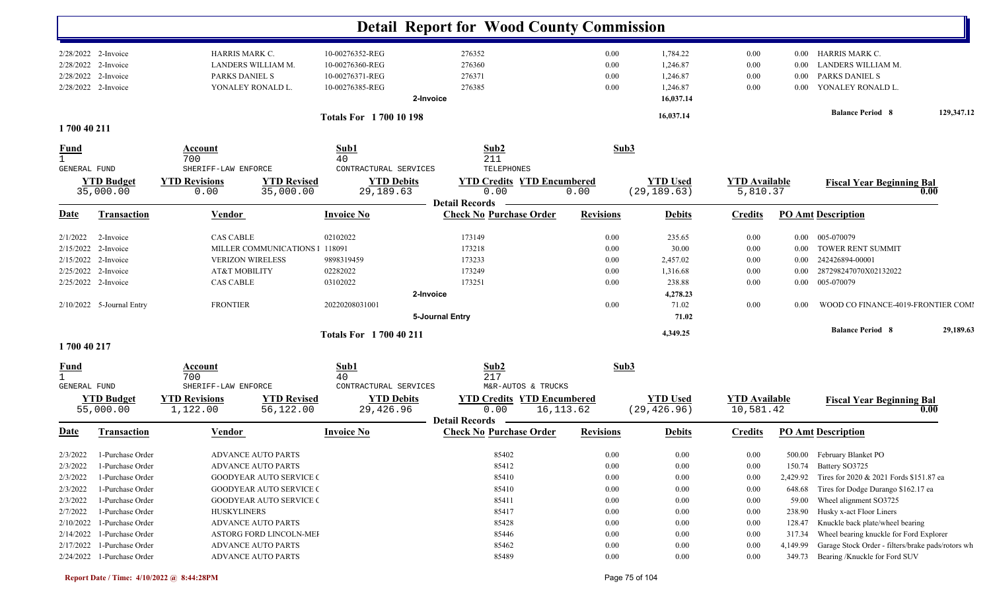|                             |                                            |                                      |                                 |                                    |                 | <b>Detail Report for Wood County Commission</b>                    |                  |                                 |                                   |                  |                                                   |            |
|-----------------------------|--------------------------------------------|--------------------------------------|---------------------------------|------------------------------------|-----------------|--------------------------------------------------------------------|------------------|---------------------------------|-----------------------------------|------------------|---------------------------------------------------|------------|
|                             | 2/28/2022 2-Invoice<br>2/28/2022 2-Invoice | HARRIS MARK C.<br>LANDERS WILLIAM M. |                                 | 10-00276352-REG<br>10-00276360-REG |                 | 276352<br>276360                                                   | 0.00<br>0.00     | 1,784.22<br>1,246.87            | 0.00<br>0.00                      | $0.00\,$<br>0.00 | HARRIS MARK C.<br>LANDERS WILLIAM M.              |            |
| 2/28/2022                   | 2-Invoice                                  | PARKS DANIEL S                       |                                 | 10-00276371-REG                    |                 | 276371                                                             | 0.00             | 1,246.87                        | 0.00                              | 0.00             | PARKS DANIEL S                                    |            |
|                             | 2/28/2022 2-Invoice                        | YONALEY RONALD L.                    |                                 | 10-00276385-REG                    |                 | 276385                                                             | 0.00             | 1,246.87                        | 0.00                              | $0.00\,$         | YONALEY RONALD L.                                 |            |
|                             |                                            |                                      |                                 |                                    | 2-Invoice       |                                                                    |                  | 16,037.14                       |                                   |                  |                                                   |            |
|                             |                                            |                                      |                                 | <b>Totals For 1700 10 198</b>      |                 |                                                                    |                  | 16,037.14                       |                                   |                  | <b>Balance Period 8</b>                           | 129,347.12 |
| 1700 40 211                 |                                            |                                      |                                 |                                    |                 |                                                                    |                  |                                 |                                   |                  |                                                   |            |
| $\frac{Fund}{1}$            |                                            | Account<br>700                       |                                 | Sub1<br>40                         |                 | Sub2<br>211                                                        |                  | Sub3                            |                                   |                  |                                                   |            |
| GENERAL FUND                |                                            | SHERIFF-LAW ENFORCE                  |                                 | CONTRACTURAL SERVICES              |                 | TELEPHONES                                                         |                  |                                 |                                   |                  |                                                   |            |
|                             | <b>YTD Budget</b>                          | <b>YTD Revisions</b>                 | <b>YTD Revised</b>              | <b>YTD Debits</b>                  |                 | <b>YTD Credits YTD Encumbered</b>                                  |                  | <b>YTD Used</b>                 | <b>YTD</b> Available              |                  | <b>Fiscal Year Beginning Bal</b>                  |            |
|                             | 35,000.00                                  | 0.00                                 | 35,000.00                       | 29,189.63                          |                 | 0.00<br><b>Detail Records</b>                                      | 0.00             | (29, 189.63)                    | 5,810.37                          |                  |                                                   | 0.00       |
| <b>Date</b>                 | <b>Transaction</b>                         | Vendor                               |                                 | <b>Invoice No</b>                  |                 | <b>Check No Purchase Order</b>                                     | <b>Revisions</b> | <b>Debits</b>                   | <b>Credits</b>                    |                  | <b>PO Amt Description</b>                         |            |
| 2/1/2022                    | 2-Invoice                                  | <b>CAS CABLE</b>                     |                                 | 02102022                           |                 | 173149                                                             | 0.00             | 235.65                          | 0.00                              | $0.00\,$         | 005-070079                                        |            |
|                             | 2/15/2022 2-Invoice                        |                                      | MILLER COMMUNICATIONS I         | 118091                             |                 | 173218                                                             | 0.00             | 30.00                           | 0.00                              | $0.00\,$         | TOWER RENT SUMMIT                                 |            |
|                             | 2/15/2022 2-Invoice                        | <b>VERIZON WIRELESS</b>              |                                 | 9898319459                         |                 | 173233                                                             | 0.00             | 2,457.02                        | 0.00                              | $0.00\,$         | 242426894-00001                                   |            |
|                             | 2/25/2022 2-Invoice                        | AT&T MOBILITY                        |                                 | 02282022                           |                 | 173249                                                             | 0.00             | 1,316.68                        | 0.00                              | 0.00             | 287298247070X02132022                             |            |
|                             | 2/25/2022 2-Invoice                        | <b>CAS CABLE</b>                     |                                 | 03102022                           |                 | 173251                                                             | 0.00             | 238.88                          | 0.00                              | $0.00\,$         | 005-070079                                        |            |
|                             |                                            |                                      |                                 |                                    | 2-Invoice       |                                                                    |                  | 4,278.23                        |                                   |                  |                                                   |            |
|                             | 2/10/2022 5-Journal Entry                  | <b>FRONTIER</b>                      |                                 | 20220208031001                     |                 |                                                                    | 0.00             | 71.02                           | 0.00                              | 0.00             | WOOD CO FINANCE-4019-FRONTIER COMI                |            |
|                             |                                            |                                      |                                 |                                    | 5-Journal Entry |                                                                    |                  | 71.02                           |                                   |                  |                                                   |            |
|                             |                                            |                                      |                                 | <b>Totals For 1700 40 211</b>      |                 |                                                                    |                  | 4,349.25                        |                                   |                  | <b>Balance Period 8</b>                           | 29,189.63  |
| 1700 40 217                 |                                            |                                      |                                 |                                    |                 |                                                                    |                  |                                 |                                   |                  |                                                   |            |
| <u>Fund</u><br>$\mathbf{1}$ |                                            | <b>Account</b><br>700                |                                 | Sub1<br>40                         |                 | Sub2<br>217                                                        |                  | Sub3                            |                                   |                  |                                                   |            |
| <b>GENERAL FUND</b>         |                                            | SHERIFF-LAW ENFORCE                  |                                 | CONTRACTURAL SERVICES              |                 | M&R-AUTOS & TRUCKS                                                 |                  |                                 |                                   |                  |                                                   |            |
|                             | <b>YTD Budget</b><br>55,000.00             | <b>YTD Revisions</b><br>1,122.00     | <b>YTD Revised</b><br>56,122.00 | <b>YTD Debits</b><br>29,426.96     |                 | <b>YTD Credits YTD Encumbered</b><br>0.00<br><b>Detail Records</b> | 16,113.62        | <b>YTD Used</b><br>(29, 426.96) | <b>YTD Available</b><br>10,581.42 |                  | <b>Fiscal Year Beginning Bal</b>                  | 0.00       |
| <u>Date</u>                 | <b>Transaction</b>                         | <b>Vendor</b>                        |                                 | <b>Invoice No</b>                  |                 | <b>Check No Purchase Order</b>                                     | <b>Revisions</b> | <b>Debits</b>                   | <b>Credits</b>                    |                  | <b>PO Amt Description</b>                         |            |
|                             | 2/3/2022 1-Purchase Order                  | ADVANCE AUTO PARTS                   |                                 |                                    |                 | 85402                                                              | $0.00\,$         | 0.00                            | 0.00                              |                  | 500.00 February Blanket PO                        |            |
| 2/3/2022                    | 1-Purchase Order                           | <b>ADVANCE AUTO PARTS</b>            |                                 |                                    |                 | 85412                                                              | 0.00             | 0.00                            | 0.00                              |                  | 150.74 Battery SO3725                             |            |
| 2/3/2022                    | 1-Purchase Order                           |                                      | <b>GOODYEAR AUTO SERVICE C</b>  |                                    |                 | 85410                                                              | 0.00             | 0.00                            | 0.00                              | 2,429.92         | Tires for 2020 & 2021 Fords \$151.87 ea           |            |
| 2/3/2022                    | 1-Purchase Order                           |                                      | <b>GOODYEAR AUTO SERVICE (</b>  |                                    |                 | 85410                                                              | 0.00             | 0.00                            | 0.00                              | 648.68           | Tires for Dodge Durango \$162.17 ea               |            |
| 2/3/2022                    | 1-Purchase Order                           |                                      | <b>GOODYEAR AUTO SERVICE (</b>  |                                    |                 | 85411                                                              | 0.00             | 0.00                            | $0.00\,$                          | 59.00            | Wheel alignment SO3725                            |            |
| 2/7/2022                    | 1-Purchase Order                           | <b>HUSKYLINERS</b>                   |                                 |                                    |                 | 85417                                                              | 0.00             | 0.00                            | $0.00\,$                          | 238.90           | Husky x-act Floor Liners                          |            |
| 2/10/2022                   | 1-Purchase Order                           | <b>ADVANCE AUTO PARTS</b>            |                                 |                                    |                 | 85428                                                              | 0.00             | 0.00                            | $0.00\,$                          | 128.47           | Knuckle back plate/wheel bearing                  |            |
|                             | $2/14/2022$ 1-Purchase Order               |                                      | ASTORG FORD LINCOLN-MEI         |                                    |                 | 85446                                                              | 0.00             | 0.00                            | 0.00                              | 317.34           | Wheel bearing knuckle for Ford Explorer           |            |
|                             | 2/17/2022 1-Purchase Order                 | <b>ADVANCE AUTO PARTS</b>            |                                 |                                    |                 | 85462                                                              | 0.00             | 0.00                            | 0.00                              | 4,149.99         | Garage Stock Order - filters/brake pads/rotors wh |            |
|                             | 2/24/2022 1-Purchase Order                 | ADVANCE AUTO PARTS                   |                                 |                                    |                 | 85489                                                              | $0.00\,$         | 0.00                            | $0.00\,$                          | 349.73           | Bearing /Knuckle for Ford SUV                     |            |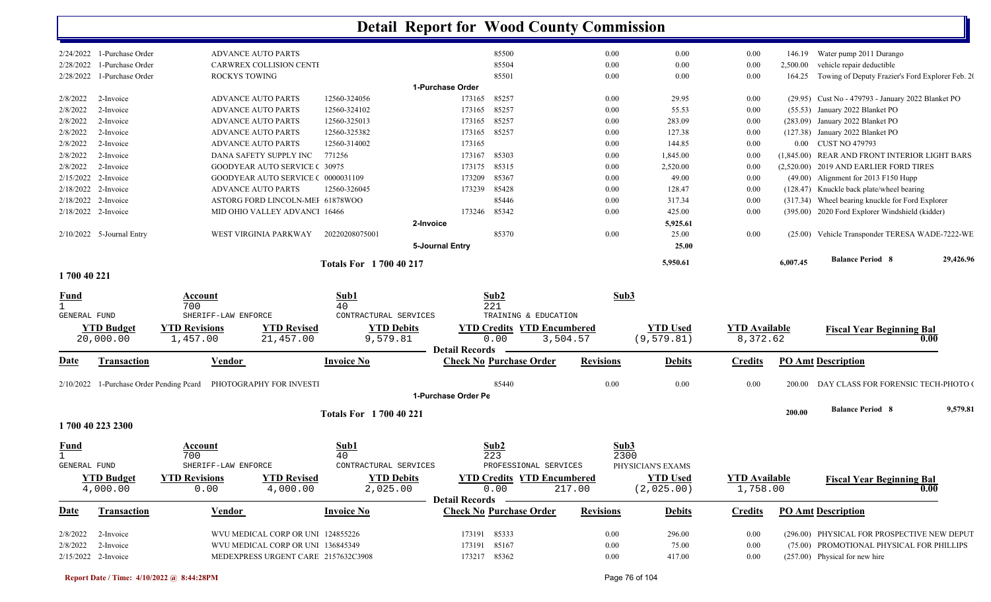|                     |                                          |                      |                                     |                               | <b>Detail Report for Wood County Commission</b> |                                   |                  |                   |                      |          |                                                    |           |
|---------------------|------------------------------------------|----------------------|-------------------------------------|-------------------------------|-------------------------------------------------|-----------------------------------|------------------|-------------------|----------------------|----------|----------------------------------------------------|-----------|
|                     | $2/24/2022$ 1-Purchase Order             |                      | <b>ADVANCE AUTO PARTS</b>           |                               |                                                 | 85500                             | 0.00             | 0.00              | 0.00                 | 146.19   | Water pump 2011 Durango                            |           |
| 2/28/2022           | 1-Purchase Order                         |                      | CARWREX COLLISION CENTI             |                               |                                                 | 85504                             | 0.00             | 0.00              | 0.00                 | 2,500.00 | vehicle repair deductible                          |           |
| 2/28/2022           | 1-Purchase Order                         | ROCKYS TOWING        |                                     |                               |                                                 | 85501                             | $0.00\,$         | 0.00              | 0.00                 | 164.25   | Towing of Deputy Frazier's Ford Explorer Feb. 20   |           |
|                     |                                          |                      |                                     |                               | 1-Purchase Order                                |                                   |                  |                   |                      |          |                                                    |           |
| 2/8/2022            | 2-Invoice                                |                      | <b>ADVANCE AUTO PARTS</b>           | 12560-324056                  | 173165                                          | 85257                             | $0.00\,$         | 29.95             | 0.00                 |          | (29.95) Cust No - 479793 - January 2022 Blanket PO |           |
| 2/8/2022            | 2-Invoice                                |                      | <b>ADVANCE AUTO PARTS</b>           | 12560-324102                  | 173165                                          | 85257                             | $0.00\,$         | 55.53             | 0.00                 |          | (55.53) January 2022 Blanket PO                    |           |
| 2/8/2022            | 2-Invoice                                |                      | ADVANCE AUTO PARTS                  | 12560-325013                  | 173165                                          | 85257                             | $0.00\,$         | 283.09            | 0.00                 |          | (283.09) January 2022 Blanket PO                   |           |
| 2/8/2022            | 2-Invoice                                |                      | <b>ADVANCE AUTO PARTS</b>           | 12560-325382                  | 173165                                          | 85257                             | $0.00\,$         | 127.38            | 0.00                 |          | (127.38) January 2022 Blanket PO                   |           |
| 2/8/2022            | 2-Invoice                                |                      | <b>ADVANCE AUTO PARTS</b>           | 12560-314002                  | 173165                                          |                                   | $0.00\,$         | 144.85            | 0.00                 |          | 0.00 CUST NO 479793                                |           |
| 2/8/2022            | 2-Invoice                                |                      | DANA SAFETY SUPPLY INC              | 771256                        | 173167                                          | 85303                             | $0.00\,$         | 1,845.00          | 0.00                 |          | (1,845.00) REAR AND FRONT INTERIOR LIGHT BARS      |           |
| 2/8/2022            | 2-Invoice                                |                      | <b>GOODYEAR AUTO SERVICE (30975</b> |                               | 173175                                          | 85315                             | $0.00\,$         | 2,520.00          | 0.00                 |          | (2,520.00) 2019 AND EARLIER FORD TIRES             |           |
|                     | 2/15/2022 2-Invoice                      |                      | GOODYEAR AUTO SERVICE ( 0000031109  |                               | 173209                                          | 85367                             | $0.00\,$         | 49.00             | 0.00                 |          | $(49.00)$ Alignment for 2013 F150 Hupp             |           |
|                     | 2/18/2022 2-Invoice                      |                      | <b>ADVANCE AUTO PARTS</b>           | 12560-326045                  | 173239                                          | 85428                             | 0.00             | 128.47            | 0.00                 |          | (128.47) Knuckle back plate/wheel bearing          |           |
|                     | 2/18/2022 2-Invoice                      |                      | ASTORG FORD LINCOLN-MEI 61878WOO    |                               |                                                 | 85446                             | $0.00\,$         | 317.34            | 0.00                 |          | (317.34) Wheel bearing knuckle for Ford Explorer   |           |
|                     | 2/18/2022 2-Invoice                      |                      | MID OHIO VALLEY ADVANCI 16466       |                               | 173246                                          | 85342                             | $0.00\,$         | 425.00            | 0.00                 |          | (395.00) 2020 Ford Explorer Windshield (kidder)    |           |
|                     |                                          |                      |                                     |                               | 2-Invoice                                       |                                   |                  | 5,925.61          |                      |          |                                                    |           |
|                     | 2/10/2022 5-Journal Entry                |                      | WEST VIRGINIA PARKWAY               | 20220208075001                |                                                 | 85370                             | $0.00\,$         | 25.00             | 0.00                 |          | (25.00) Vehicle Transponder TERESA WADE-7222-WE    |           |
|                     |                                          |                      |                                     |                               | 5-Journal Entry                                 |                                   |                  | 25.00             |                      |          |                                                    |           |
|                     |                                          |                      |                                     |                               |                                                 |                                   |                  |                   |                      |          | <b>Balance Period 8</b>                            | 29,426.96 |
| 1700 40 221         |                                          |                      |                                     | <b>Totals For 1700 40 217</b> |                                                 |                                   |                  | 5,950.61          |                      | 6,007.45 |                                                    |           |
|                     |                                          |                      |                                     |                               |                                                 |                                   |                  |                   |                      |          |                                                    |           |
| Fund                |                                          | Account              |                                     | Sub1                          |                                                 | Sub2                              |                  | Sub3              |                      |          |                                                    |           |
| $\mathbf{1}$        |                                          | 700                  |                                     | 40                            |                                                 | 221                               |                  |                   |                      |          |                                                    |           |
| <b>GENERAL FUND</b> |                                          | SHERIFF-LAW ENFORCE  |                                     | CONTRACTURAL SERVICES         |                                                 | TRAINING & EDUCATION              |                  |                   |                      |          |                                                    |           |
|                     | <b>YTD Budget</b>                        | <b>YTD Revisions</b> | <b>YTD Revised</b>                  | <b>YTD Debits</b>             |                                                 | <b>YTD Credits YTD Encumbered</b> |                  | <b>YTD Used</b>   | <b>YTD</b> Available |          | <b>Fiscal Year Beginning Bal</b>                   |           |
|                     | 20,000.00                                | 1,457.00             | 21,457.00                           | 9,579.81                      |                                                 | 0.00                              | 3,504.57         | (9, 579.81)       | 8,372.62             |          | 0.00                                               |           |
|                     |                                          |                      |                                     |                               | <b>Detail Records</b>                           |                                   |                  |                   |                      |          |                                                    |           |
| Date                | <b>Transaction</b>                       | <b>Vendor</b>        |                                     | <b>Invoice No</b>             |                                                 | <b>Check No Purchase Order</b>    | <b>Revisions</b> | <b>Debits</b>     | <b>Credits</b>       |          | <b>PO Amt Description</b>                          |           |
|                     |                                          |                      |                                     |                               |                                                 |                                   |                  |                   |                      |          |                                                    |           |
|                     | 2/10/2022 1-Purchase Order Pending Peard |                      | PHOTOGRAPHY FOR INVESTI             |                               | 1-Purchase Order Pe                             | 85440                             | 0.00             | 0.00              | 0.00                 | 200.00   | DAY CLASS FOR FORENSIC TECH-PHOTO (                |           |
|                     |                                          |                      |                                     |                               |                                                 |                                   |                  |                   |                      |          |                                                    |           |
|                     |                                          |                      |                                     | <b>Totals For 1700 40 221</b> |                                                 |                                   |                  |                   |                      | 200.00   | <b>Balance Period 8</b>                            | 9,579.81  |
|                     | 1700 40 223 2300                         |                      |                                     |                               |                                                 |                                   |                  |                   |                      |          |                                                    |           |
| Fund                |                                          | Account              |                                     | Sub1                          |                                                 | Sub <sub>2</sub>                  |                  | Sub3              |                      |          |                                                    |           |
| Τ.                  |                                          | 700                  |                                     | 40                            |                                                 | 223                               |                  | 2300              |                      |          |                                                    |           |
| GENERAL FUND        |                                          | SHERIFF-LAW ENFORCE  |                                     | CONTRACTURAL SERVICES         |                                                 | PROFESSIONAL SERVICES             |                  | PHYSICIAN'S EXAMS |                      |          |                                                    |           |
|                     | <b>YTD Budget</b>                        | <b>YTD Revisions</b> | <b>YTD Revised</b>                  | <b>YTD Debits</b>             |                                                 | <b>YTD Credits YTD Encumbered</b> |                  | <b>YTD Used</b>   | <b>YTD Available</b> |          |                                                    |           |
|                     | 4,000.00                                 | 0.00                 | 4,000.00                            | 2,025.00                      |                                                 | 0.00                              | 217.00           | (2,025.00)        | 1,758.00             |          | <b>Fiscal Year Beginning Bal</b><br>0.00           |           |
|                     |                                          |                      |                                     |                               | <b>Detail Records</b>                           |                                   |                  |                   |                      |          |                                                    |           |
| <u>Date</u>         | <b>Transaction</b>                       | <b>Vendor</b>        |                                     | <b>Invoice No</b>             |                                                 | <b>Check No Purchase Order</b>    | <b>Revisions</b> | <b>Debits</b>     | <b>Credits</b>       |          | <b>PO Amt Description</b>                          |           |
|                     |                                          |                      |                                     |                               |                                                 |                                   |                  |                   |                      |          |                                                    |           |
|                     |                                          |                      |                                     |                               |                                                 |                                   |                  |                   |                      |          |                                                    |           |
|                     | $2/8/2022$ 2-Invoice                     |                      | WVU MEDICAL CORP OR UNI 124855226   |                               |                                                 | 173191 85333                      | $0.00\,$         | 296.00            | 0.00                 |          | (296.00) PHYSICAL FOR PROSPECTIVE NEW DEPUT        |           |
| 2/8/2022            | 2-Invoice                                |                      | WVU MEDICAL CORP OR UNI 136845349   |                               |                                                 | 173191 85167                      | $0.00\,$         | 75.00             | 0.00                 |          | (75.00) PROMOTIONAL PHYSICAL FOR PHILLIPS          |           |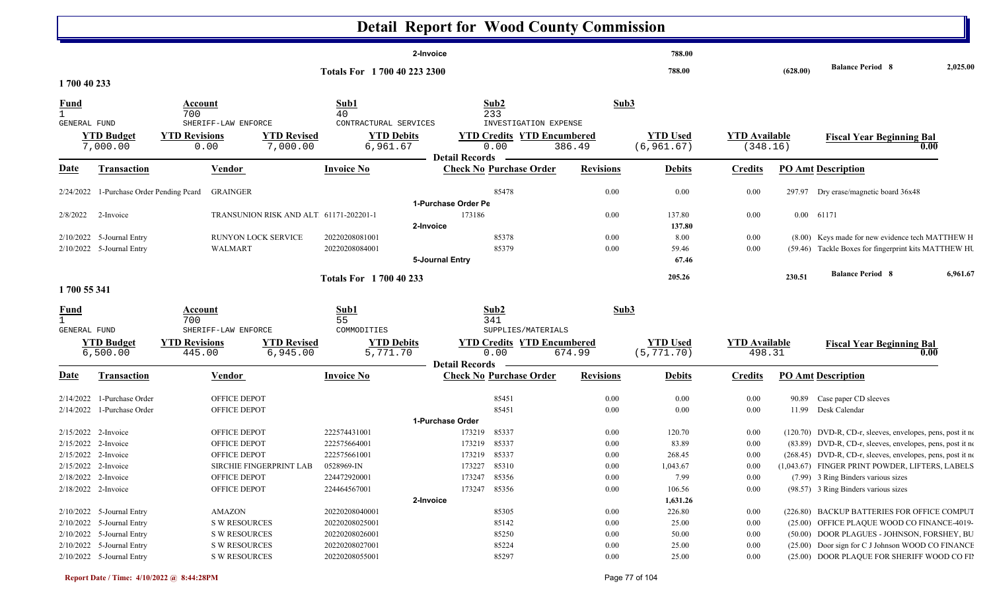|                                     |                                                        |                                                            |                                        |                                                              | <b>Detail Report for Wood County Commission</b> |                                                                           |                  |                                |                                  |          |                                                                                                          |          |
|-------------------------------------|--------------------------------------------------------|------------------------------------------------------------|----------------------------------------|--------------------------------------------------------------|-------------------------------------------------|---------------------------------------------------------------------------|------------------|--------------------------------|----------------------------------|----------|----------------------------------------------------------------------------------------------------------|----------|
|                                     |                                                        |                                                            |                                        |                                                              | 2-Invoice                                       |                                                                           |                  | 788.00                         |                                  |          |                                                                                                          |          |
| 1700 40 233                         |                                                        |                                                            |                                        | Totals For 1 700 40 223 2300                                 |                                                 |                                                                           |                  | 788.00                         |                                  | (628.00) | <b>Balance Period 8</b>                                                                                  | 2,025.00 |
| Fund                                |                                                        | Account                                                    |                                        | Sub1                                                         |                                                 | Sub2                                                                      | Sub3             |                                |                                  |          |                                                                                                          |          |
| <b>GENERAL FUND</b>                 | <b>YTD Budget</b><br>7,000.00                          | 700<br>SHERIFF-LAW ENFORCE<br><b>YTD Revisions</b><br>0.00 | <b>YTD Revised</b><br>7,000.00         | 40<br>CONTRACTURAL SERVICES<br><b>YTD Debits</b><br>6,961.67 |                                                 | 233<br>INVESTIGATION EXPENSE<br><b>YTD Credits YTD Encumbered</b><br>0.00 | 386.49           | <b>YTD</b> Used<br>(6, 961.67) | <b>YTD</b> Available<br>(348.16) |          | <b>Fiscal Year Beginning Bal</b><br>0.00                                                                 |          |
| Date                                | <b>Transaction</b>                                     | Vendor                                                     |                                        | <b>Invoice No</b>                                            | <b>Detail Records</b>                           | <b>Check No Purchase Order</b>                                            | <b>Revisions</b> | <b>Debits</b>                  | <b>Credits</b>                   |          | <b>PO Amt Description</b>                                                                                |          |
| 2/24/2022                           | 1-Purchase Order Pending Pcard                         | GRAINGER                                                   |                                        |                                                              |                                                 | 85478                                                                     | 0.00             | 0.00                           | 0.00                             |          | 297.97 Dry erase/magnetic board 36x48                                                                    |          |
| 2/8/2022                            | 2-Invoice                                              |                                                            | TRANSUNION RISK AND ALT 61171-202201-1 |                                                              | 1-Purchase Order Pe<br>173186<br>2-Invoice      |                                                                           | 0.00             | 137.80<br>137.80               | $0.00\,$                         |          | 0.00 61171                                                                                               |          |
|                                     | 2/10/2022 5-Journal Entry<br>2/10/2022 5-Journal Entry | <b>WALMART</b>                                             | RUNYON LOCK SERVICE                    | 20220208081001<br>20220208084001                             | 5-Journal Entry                                 | 85378<br>85379                                                            | 0.00<br>0.00     | 8.00<br>59.46<br>67.46         | $0.00\,$<br>$0.00\,$             |          | (8.00) Keys made for new evidence tech MATTHEW H<br>(59.46) Tackle Boxes for fingerprint kits MATTHEW HU |          |
| 1700 55 341                         |                                                        |                                                            |                                        | <b>Totals For 1700 40 233</b>                                |                                                 |                                                                           |                  | 205.26                         |                                  | 230.51   | <b>Balance Period 8</b>                                                                                  | 6,961.67 |
| <u>Fund</u>                         |                                                        | Account                                                    |                                        | Sub1                                                         |                                                 | Sub2                                                                      | Sub3             |                                |                                  |          |                                                                                                          |          |
| $\mathbf{1}$<br><b>GENERAL FUND</b> |                                                        | 700<br>SHERIFF-LAW ENFORCE                                 |                                        | 55<br>COMMODITIES                                            | 341                                             | SUPPLIES/MATERIALS                                                        |                  |                                |                                  |          |                                                                                                          |          |
|                                     | <b>YTD Budget</b><br>6,500.00                          | <b>YTD Revisions</b><br>445.00                             | <b>YTD Revised</b><br>6,945.00         | <b>YTD Debits</b><br>5,771.70                                |                                                 | <b>YTD Credits YTD Encumbered</b><br>0.00                                 | 674.99           | <b>YTD Used</b><br>(5, 771.70) | <b>YTD Available</b><br>498.31   |          | <b>Fiscal Year Beginning Bal</b><br>0.00                                                                 |          |
| <b>Date</b>                         | <b>Transaction</b>                                     | Vendor                                                     |                                        | <b>Invoice No</b>                                            | <b>Detail Records</b>                           | <b>Check No Purchase Order</b>                                            | <b>Revisions</b> | <b>Debits</b>                  | <b>Credits</b>                   |          | <b>PO Amt Description</b>                                                                                |          |
| 2/14/2022                           | 1-Purchase Order<br>2/14/2022 1-Purchase Order         | OFFICE DEPOT<br>OFFICE DEPOT                               |                                        |                                                              |                                                 | 85451<br>85451                                                            | 0.00<br>0.00     | 0.00<br>0.00                   | 0.00<br>0.00                     |          | 90.89 Case paper CD sleeves<br>11.99 Desk Calendar                                                       |          |
|                                     |                                                        |                                                            |                                        |                                                              | 1-Purchase Order                                |                                                                           |                  |                                |                                  |          |                                                                                                          |          |
|                                     | 2/15/2022 2-Invoice                                    | OFFICE DEPOT                                               |                                        | 222574431001                                                 | 173219                                          | 85337                                                                     | 0.00             | 120.70                         | 0.00                             |          | (120.70) DVD-R, CD-r, sleeves, envelopes, pens, post it no                                               |          |
|                                     | 2/15/2022 2-Invoice                                    | OFFICE DEPOT                                               |                                        | 222575664001                                                 | 173219 85337                                    |                                                                           | 0.00             | 83.89                          | $0.00\,$                         |          | (83.89) DVD-R, CD-r, sleeves, envelopes, pens, post it no                                                |          |
|                                     | 2/15/2022 2-Invoice                                    | OFFICE DEPOT                                               |                                        | 222575661001                                                 | 173219 85337                                    |                                                                           | $0.00\,$         | 268.45                         | $0.00\,$                         |          | (268.45) DVD-R, CD-r, sleeves, envelopes, pens, post it no                                               |          |
|                                     | 2/15/2022 2-Invoice                                    |                                                            | SIRCHIE FINGERPRINT LAB                | 0528969-IN                                                   | 173227 85310                                    |                                                                           | 0.00             | 1,043.67                       | 0.00                             |          | (1,043.67) FINGER PRINT POWDER, LIFTERS, LABELS                                                          |          |
|                                     | 2/18/2022 2-Invoice                                    | OFFICE DEPOT                                               |                                        | 224472920001                                                 | 173247                                          | 85356                                                                     | 0.00             | 7.99                           | $0.00\,$                         |          | (7.99) 3 Ring Binders various sizes                                                                      |          |
|                                     | 2/18/2022 2-Invoice                                    | OFFICE DEPOT                                               |                                        | 224464567001                                                 | 173247                                          | 85356                                                                     | 0.00             | 106.56                         | $0.00\,$                         |          | (98.57) 3 Ring Binders various sizes                                                                     |          |
|                                     |                                                        |                                                            |                                        |                                                              | 2-Invoice                                       |                                                                           |                  | 1,631.26                       |                                  |          |                                                                                                          |          |
|                                     | $2/10/2022$ 5-Journal Entry                            | <b>AMAZON</b>                                              |                                        | 20220208040001                                               |                                                 | 85305                                                                     | 0.00             | 226.80                         | $0.00\,$                         |          | (226.80) BACKUP BATTERIES FOR OFFICE COMPUT                                                              |          |
|                                     | $2/10/2022$ 5-Journal Entry                            | <b>S W RESOURCES</b>                                       |                                        | 20220208025001                                               |                                                 | 85142                                                                     | 0.00             | 25.00                          | $0.00\,$                         |          | (25.00) OFFICE PLAQUE WOOD CO FINANCE-4019-                                                              |          |
|                                     | 2/10/2022 5-Journal Entry                              | <b>S W RESOURCES</b>                                       |                                        | 20220208026001                                               |                                                 | 85250                                                                     | 0.00             | 50.00                          | $0.00\,$                         |          | (50.00) DOOR PLAGUES - JOHNSON, FORSHEY, BU                                                              |          |
|                                     | 2/10/2022 5-Journal Entry                              | <b>S W RESOURCES</b>                                       |                                        | 20220208027001                                               |                                                 | 85224                                                                     | 0.00             | 25.00                          | $0.00\,$                         |          | (25.00) Door sign for C J Johnson WOOD CO FINANCE                                                        |          |
|                                     | 2/10/2022 5-Journal Entry                              | <b>S W RESOURCES</b>                                       |                                        | 20220208055001                                               |                                                 | 85297                                                                     | 0.00             | 25.00                          | $0.00\,$                         |          | (25.00) DOOR PLAQUE FOR SHERIFF WOOD CO FII                                                              |          |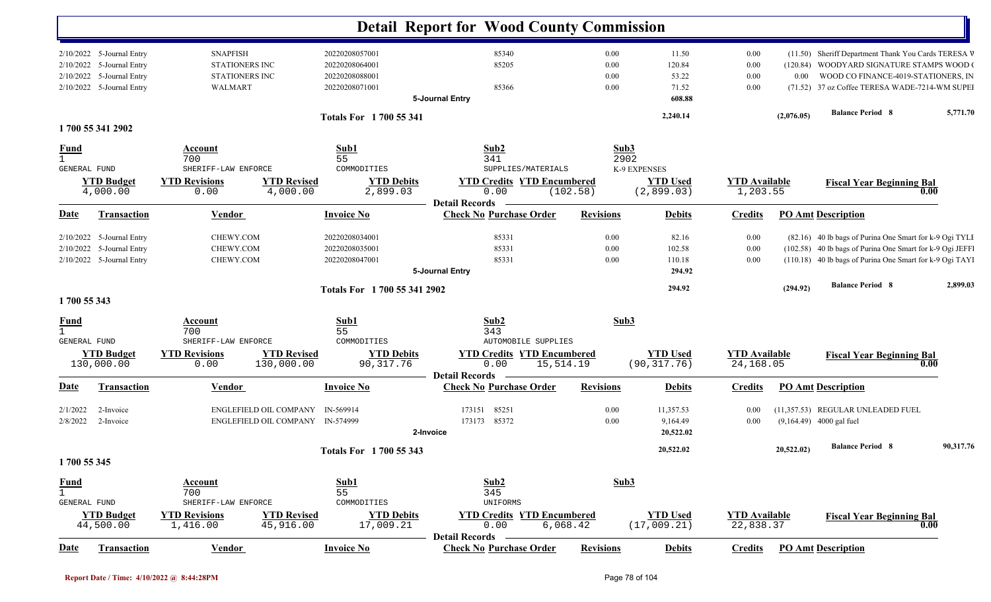|                             |                           |                       |                                  |                               | <b>Detail Report for Wood County Commission</b>         |                  |                 |                      |            |                                                          |           |
|-----------------------------|---------------------------|-----------------------|----------------------------------|-------------------------------|---------------------------------------------------------|------------------|-----------------|----------------------|------------|----------------------------------------------------------|-----------|
|                             | 2/10/2022 5-Journal Entry | <b>SNAPFISH</b>       |                                  | 20220208057001                | 85340                                                   | 0.00             | 11.50           | 0.00                 |            | (11.50) Sheriff Department Thank You Cards TERESA V      |           |
|                             | 2/10/2022 5-Journal Entry | <b>STATIONERS INC</b> |                                  | 20220208064001                | 85205                                                   | 0.00             | 120.84          | 0.00                 |            | (120.84) WOODYARD SIGNATURE STAMPS WOOD (                |           |
|                             | 2/10/2022 5-Journal Entry | <b>STATIONERS INC</b> |                                  | 20220208088001                |                                                         | 0.00             | 53.22           | 0.00                 | $0.00\,$   | WOOD CO FINANCE-4019-STATIONERS, IN                      |           |
|                             | 2/10/2022 5-Journal Entry | WALMART               |                                  | 20220208071001                | 85366                                                   | 0.00             | 71.52           | 0.00                 |            | (71.52) 37 oz Coffee TERESA WADE-7214-WM SUPEI           |           |
|                             |                           |                       |                                  |                               | 5-Journal Entry                                         |                  | 608.88          |                      |            |                                                          |           |
|                             |                           |                       |                                  | <b>Totals For 1700 55 341</b> |                                                         |                  | 2,240.14        |                      | (2,076.05) | <b>Balance Period 8</b>                                  | 5,771.70  |
|                             | 1700 55 341 2902          |                       |                                  |                               |                                                         |                  |                 |                      |            |                                                          |           |
| <b>Fund</b>                 |                           | Account               |                                  | Sub1                          | Sub2                                                    |                  | Sub3            |                      |            |                                                          |           |
|                             |                           | 700                   |                                  | 55                            | 341                                                     |                  | 2902            |                      |            |                                                          |           |
| <b>GENERAL FUND</b>         |                           | SHERIFF-LAW ENFORCE   |                                  | COMMODITIES                   | SUPPLIES/MATERIALS                                      |                  | K-9 EXPENSES    |                      |            |                                                          |           |
|                             | <b>YTD Budget</b>         | <b>YTD Revisions</b>  | <b>YTD Revised</b>               | <b>YTD Debits</b>             | <b>YTD Credits YTD Encumbered</b>                       |                  | <b>YTD Used</b> | <b>YTD Available</b> |            | <b>Fiscal Year Beginning Bal</b>                         |           |
|                             | 4,000.00                  | 0.00                  | 4,000.00                         | 2,899.03                      | 0.00                                                    | (102.58)         | (2,899.03)      | 1,203.55             |            | 0.00                                                     |           |
|                             |                           |                       |                                  |                               | <b>Detail Records</b>                                   |                  |                 |                      |            |                                                          |           |
| Date                        | <b>Transaction</b>        | <b>Vendor</b>         |                                  | <b>Invoice No</b>             | <b>Check No Purchase Order</b>                          | <b>Revisions</b> | <b>Debits</b>   | <b>Credits</b>       |            | <b>PO Amt Description</b>                                |           |
| 2/10/2022                   | 5-Journal Entry           | CHEWY.COM             |                                  | 20220208034001                | 85331                                                   | 0.00             | 82.16           | 0.00                 |            | (82.16) 40 lb bags of Purina One Smart for k-9 Ogi TYLI  |           |
| 2/10/2022                   | 5-Journal Entry           | CHEWY.COM             |                                  | 20220208035001                | 85331                                                   | 0.00             | 102.58          | 0.00                 |            | (102.58) 40 lb bags of Purina One Smart for k-9 Ogi JEFF |           |
|                             | 2/10/2022 5-Journal Entry | CHEWY.COM             |                                  | 20220208047001                | 85331                                                   | $0.00\,$         | 110.18          | 0.00                 |            | (110.18) 40 lb bags of Purina One Smart for k-9 Ogi TAYI |           |
|                             |                           |                       |                                  |                               | 5-Journal Entry                                         |                  | 294.92          |                      |            |                                                          |           |
|                             |                           |                       |                                  |                               |                                                         |                  |                 |                      |            | <b>Balance Period 8</b>                                  | 2,899.03  |
| 1700 55 343                 |                           |                       |                                  | Totals For 1700 55 341 2902   |                                                         |                  | 294.92          |                      | (294.92)   |                                                          |           |
|                             |                           | Account               |                                  | Sub1                          | Sub2                                                    |                  | Sub3            |                      |            |                                                          |           |
| <u>Fund</u><br>$\mathbf{1}$ |                           | 700                   |                                  | 55                            | 343                                                     |                  |                 |                      |            |                                                          |           |
| GENERAL FUND                |                           | SHERIFF-LAW ENFORCE   |                                  | COMMODITIES                   | AUTOMOBILE SUPPLIES                                     |                  |                 |                      |            |                                                          |           |
|                             | <b>YTD Budget</b>         | <b>YTD Revisions</b>  | <b>YTD Revised</b>               | <b>YTD Debits</b>             | <b>YTD Credits YTD Encumbered</b>                       |                  | <b>YTD Used</b> | <b>YTD</b> Available |            | <b>Fiscal Year Beginning Bal</b>                         |           |
|                             | 130,000.00                | 0.00                  | 130,000.00                       | 90, 317.76                    | 0.00                                                    | 15,514.19        | (90, 317.76)    | 24,168.05            |            | 0.00                                                     |           |
|                             |                           |                       |                                  |                               | <b>Detail Records</b>                                   |                  |                 |                      |            |                                                          |           |
| Date                        | <b>Transaction</b>        | <b>Vendor</b>         |                                  | <b>Invoice No</b>             | <b>Check No Purchase Order</b>                          | <b>Revisions</b> | <b>Debits</b>   | <b>Credits</b>       |            | <b>PO Amt Description</b>                                |           |
| 2/1/2022                    | 2-Invoice                 |                       | ENGLEFIELD OIL COMPANY           | IN-569914                     | 85251<br>173151                                         | 0.00             | 11,357.53       | 0.00                 |            | (11,357.53) REGULAR UNLEADED FUEL                        |           |
| 2/8/2022                    | 2-Invoice                 |                       | ENGLEFIELD OIL COMPANY IN-574999 |                               | 173173 85372                                            | 0.00             | 9,164.49        | 0.00                 |            | $(9,164.49)$ 4000 gal fuel                               |           |
|                             |                           |                       |                                  |                               | 2-Invoice                                               |                  | 20,522.02       |                      |            |                                                          |           |
|                             |                           |                       |                                  |                               |                                                         |                  |                 |                      |            | <b>Balance Period 8</b>                                  | 90,317.76 |
| 1700 55 345                 |                           |                       |                                  | <b>Totals For 1700 55 343</b> |                                                         |                  | 20,522.02       |                      | 20,522.02) |                                                          |           |
|                             |                           |                       |                                  |                               |                                                         |                  |                 |                      |            |                                                          |           |
| <b>Fund</b>                 |                           | <b>Account</b>        |                                  | Sub1                          | Sub2                                                    |                  | Sub3            |                      |            |                                                          |           |
| $\mathbf{1}$                |                           | 700                   |                                  | 55                            | 345                                                     |                  |                 |                      |            |                                                          |           |
| <b>GENERAL FUND</b>         |                           | SHERIFF-LAW ENFORCE   |                                  | COMMODITIES                   | UNIFORMS                                                |                  |                 |                      |            |                                                          |           |
|                             | <b>YTD Budget</b>         | <b>YTD Revisions</b>  | <b>YTD Revised</b>               | <b>YTD Debits</b>             | <b>YTD Credits YTD Encumbered</b>                       |                  | <b>YTD</b> Used | <b>YTD Available</b> |            | <b>Fiscal Year Beginning Bal</b>                         |           |
|                             | 44,500.00                 | 1,416.00              | 45,916.00                        | 17,009.21                     | 0.00                                                    | 6,068.42         | (17,009.21)     | 22,838.37            |            | $\boldsymbol{0.00}$                                      |           |
| Date                        | <b>Transaction</b>        | <b>Vendor</b>         |                                  | <b>Invoice No</b>             | <b>Detail Records</b><br><b>Check No Purchase Order</b> | <b>Revisions</b> | <b>Debits</b>   | <b>Credits</b>       |            | <b>PO Amt Description</b>                                |           |
|                             |                           |                       |                                  |                               |                                                         |                  |                 |                      |            |                                                          |           |

 $\mathbf{I}$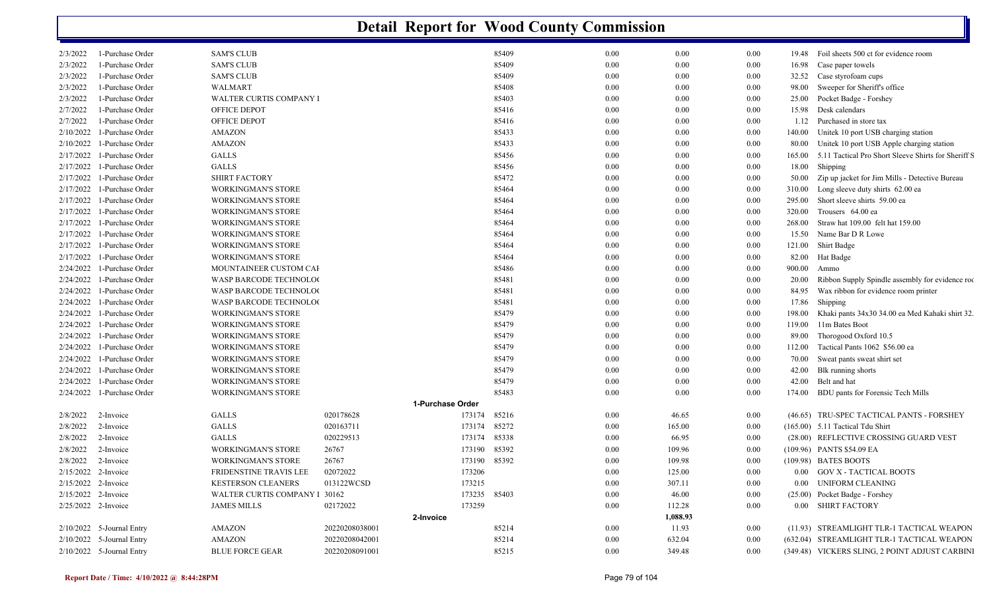| 2/3/2022            | 1-Purchase Order             | <b>SAM'S CLUB</b>              |                |                  | 85409 | 0.00     | 0.00     | 0.00     | 19.48    | Foil sheets 500 ct for evidence room                |
|---------------------|------------------------------|--------------------------------|----------------|------------------|-------|----------|----------|----------|----------|-----------------------------------------------------|
| 2/3/2022            | 1-Purchase Order             | <b>SAM'S CLUB</b>              |                |                  | 85409 | 0.00     | 0.00     | 0.00     | 16.98    | Case paper towels                                   |
| 2/3/2022            | 1-Purchase Order             | <b>SAM'S CLUB</b>              |                |                  | 85409 | 0.00     | 0.00     | $0.00\,$ | 32.52    | Case styrofoam cups                                 |
| 2/3/2022            | 1-Purchase Order             | WALMART                        |                |                  | 85408 | 0.00     | 0.00     | $0.00\,$ | 98.00    | Sweeper for Sheriff's office                        |
| 2/3/2022            | 1-Purchase Order             | <b>WALTER CURTIS COMPANY I</b> |                |                  | 85403 | 0.00     | 0.00     | 0.00     | 25.00    | Pocket Badge - Forshey                              |
| 2/7/2022            | 1-Purchase Order             | OFFICE DEPOT                   |                |                  | 85416 | 0.00     | 0.00     | 0.00     | 15.98    | Desk calendars                                      |
| 2/7/2022            | 1-Purchase Order             | OFFICE DEPOT                   |                |                  | 85416 | 0.00     | 0.00     | $0.00\,$ | 1.12     | Purchased in store tax                              |
| 2/10/2022           | 1-Purchase Order             | <b>AMAZON</b>                  |                |                  | 85433 | 0.00     | 0.00     | $0.00\,$ | 140.00   | Unitek 10 port USB charging station                 |
| 2/10/2022           | 1-Purchase Order             | <b>AMAZON</b>                  |                |                  | 85433 | 0.00     | 0.00     | 0.00     | 80.00    | Unitek 10 port USB Apple charging station           |
| 2/17/2022           | 1-Purchase Order             | <b>GALLS</b>                   |                |                  | 85456 | 0.00     | 0.00     | $0.00\,$ | 165.00   | 5.11 Tactical Pro Short Sleeve Shirts for Sheriff S |
| 2/17/2022           | 1-Purchase Order             | <b>GALLS</b>                   |                |                  | 85456 | 0.00     | 0.00     | 0.00     | 18.00    | Shipping                                            |
| 2/17/2022           | 1-Purchase Order             | <b>SHIRT FACTORY</b>           |                |                  | 85472 | 0.00     | 0.00     | 0.00     | 50.00    | Zip up jacket for Jim Mills - Detective Bureau      |
| 2/17/2022           | 1-Purchase Order             | <b>WORKINGMAN'S STORE</b>      |                |                  | 85464 | 0.00     | 0.00     | $0.00\,$ | 310.00   | Long sleeve duty shirts 62.00 ea                    |
| 2/17/2022           | 1-Purchase Order             | <b>WORKINGMAN'S STORE</b>      |                |                  | 85464 | 0.00     | 0.00     | 0.00     | 295.00   | Short sleeve shirts 59.00 ea                        |
| 2/17/2022           | 1-Purchase Order             | <b>WORKINGMAN'S STORE</b>      |                |                  | 85464 | 0.00     | 0.00     | $0.00\,$ | 320.00   | Trousers 64.00 ea                                   |
| 2/17/2022           | 1-Purchase Order             | <b>WORKINGMAN'S STORE</b>      |                |                  | 85464 | 0.00     | 0.00     | 0.00     | 268.00   | Straw hat 109.00 felt hat 159.00                    |
| 2/17/2022           | 1-Purchase Order             | <b>WORKINGMAN'S STORE</b>      |                |                  | 85464 | 0.00     | 0.00     | $0.00\,$ | 15.50    | Name Bar D R Lowe                                   |
| 2/17/2022           | 1-Purchase Order             | <b>WORKINGMAN'S STORE</b>      |                |                  | 85464 | 0.00     | 0.00     | $0.00\,$ | 121.00   | Shirt Badge                                         |
| 2/17/2022           | 1-Purchase Order             | <b>WORKINGMAN'S STORE</b>      |                |                  | 85464 | 0.00     | 0.00     | $0.00\,$ | 82.00    | Hat Badge                                           |
|                     | $2/24/2022$ 1-Purchase Order | MOUNTAINEER CUSTOM CAI         |                |                  | 85486 | 0.00     | 0.00     | $0.00\,$ | 900.00   | Ammo                                                |
| 2/24/2022           | 1-Purchase Order             | WASP BARCODE TECHNOLOG         |                |                  | 85481 | 0.00     | 0.00     | $0.00\,$ | 20.00    | Ribbon Supply Spindle assembly for evidence roo     |
| 2/24/2022           | 1-Purchase Order             | WASP BARCODE TECHNOLOG         |                |                  | 85481 | 0.00     | 0.00     | $0.00\,$ | 84.95    | Wax ribbon for evidence room printer                |
|                     | 2/24/2022 1-Purchase Order   | WASP BARCODE TECHNOLOG         |                |                  | 85481 | 0.00     | 0.00     | $0.00\,$ | 17.86    | Shipping                                            |
|                     | 2/24/2022 1-Purchase Order   | <b>WORKINGMAN'S STORE</b>      |                |                  | 85479 | 0.00     | 0.00     | $0.00\,$ | 198.00   | Khaki pants 34x30 34.00 ea Med Kahaki shirt 32.     |
| 2/24/2022           | 1-Purchase Order             | <b>WORKINGMAN'S STORE</b>      |                |                  | 85479 | 0.00     | 0.00     | 0.00     | 119.00   | 11m Bates Boot                                      |
|                     | 2/24/2022 1-Purchase Order   | <b>WORKINGMAN'S STORE</b>      |                |                  | 85479 | 0.00     | 0.00     | 0.00     | 89.00    | Thorogood Oxford 10.5                               |
| 2/24/2022           | 1-Purchase Order             | <b>WORKINGMAN'S STORE</b>      |                |                  | 85479 | 0.00     | 0.00     | $0.00\,$ | 112.00   | Tactical Pants 1062 \$56.00 ea                      |
| 2/24/2022           | 1-Purchase Order             | <b>WORKINGMAN'S STORE</b>      |                |                  | 85479 | 0.00     | 0.00     | 0.00     | 70.00    | Sweat pants sweat shirt set                         |
| 2/24/2022           | 1-Purchase Order             | <b>WORKINGMAN'S STORE</b>      |                |                  | 85479 | 0.00     | 0.00     | 0.00     | 42.00    | Blk running shorts                                  |
|                     | $2/24/2022$ 1-Purchase Order | <b>WORKINGMAN'S STORE</b>      |                |                  | 85479 | 0.00     | 0.00     | $0.00\,$ | 42.00    | Belt and hat                                        |
|                     | 2/24/2022 1-Purchase Order   | <b>WORKINGMAN'S STORE</b>      |                |                  | 85483 | 0.00     | 0.00     | 0.00     | 174.00   | BDU pants for Forensic Tech Mills                   |
|                     |                              |                                |                | 1-Purchase Order |       |          |          |          |          |                                                     |
| 2/8/2022            | 2-Invoice                    | <b>GALLS</b>                   | 020178628      | 173174           | 85216 | 0.00     | 46.65    | $0.00\,$ |          | (46.65) TRU-SPEC TACTICAL PANTS - FORSHEY           |
| 2/8/2022            | 2-Invoice                    | <b>GALLS</b>                   | 020163711      | 173174           | 85272 | 0.00     | 165.00   | 0.00     |          | $(165.00)$ 5.11 Tactical Tdu Shirt                  |
| 2/8/2022            | 2-Invoice                    | <b>GALLS</b>                   | 020229513      | 173174           | 85338 | 0.00     | 66.95    | 0.00     |          | (28.00) REFLECTIVE CROSSING GUARD VEST              |
| 2/8/2022            | 2-Invoice                    | <b>WORKINGMAN'S STORE</b>      | 26767          | 173190           | 85392 | 0.00     | 109.96   | 0.00     |          | (109.96) PANTS \$54.09 EA                           |
| 2/8/2022            | 2-Invoice                    | <b>WORKINGMAN'S STORE</b>      | 26767          | 173190           | 85392 | 0.00     | 109.98   | 0.00     |          | (109.98) BATES BOOTS                                |
| 2/15/2022 2-Invoice |                              | FRIDENSTINE TRAVIS LEE         | 02072022       | 173206           |       | 0.00     | 125.00   | 0.00     |          | 0.00 GOV X - TACTICAL BOOTS                         |
| 2/15/2022           | 2-Invoice                    | <b>KESTERSON CLEANERS</b>      | 013122WCSD     | 173215           |       | 0.00     | 307.11   | 0.00     | $0.00\,$ | <b>UNIFORM CLEANING</b>                             |
| 2/15/2022 2-Invoice |                              | WALTER CURTIS COMPANY 1 30162  |                | 173235           | 85403 | 0.00     | 46.00    | 0.00     |          | (25.00) Pocket Badge - Forshey                      |
| 2/25/2022 2-Invoice |                              | <b>JAMES MILLS</b>             | 02172022       | 173259           |       | 0.00     | 112.28   | 0.00     |          | 0.00 SHIRT FACTORY                                  |
|                     |                              |                                |                | 2-Invoice        |       |          | 1,088.93 |          |          |                                                     |
|                     | $2/10/2022$ 5-Journal Entry  | <b>AMAZON</b>                  | 20220208038001 |                  | 85214 | $0.00\,$ | 11.93    | $0.00\,$ |          | (11.93) STREAMLIGHT TLR-1 TACTICAL WEAPON           |
|                     | $2/10/2022$ 5-Journal Entry  | <b>AMAZON</b>                  | 20220208042001 |                  | 85214 | 0.00     | 632.04   | 0.00     |          | (632.04) STREAMLIGHT TLR-1 TACTICAL WEAPON          |
|                     | 2/10/2022 5-Journal Entry    | <b>BLUE FORCE GEAR</b>         | 20220208091001 |                  | 85215 | 0.00     | 349.48   | 0.00     |          | (349.48) VICKERS SLING, 2 POINT ADJUST CARBINI      |
|                     |                              |                                |                |                  |       |          |          |          |          |                                                     |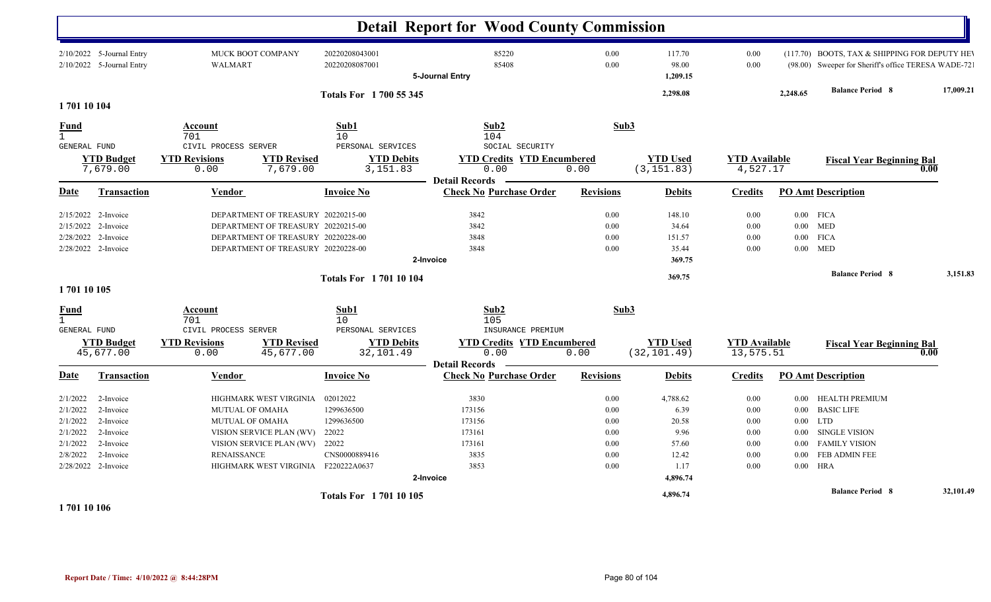|                                                                      |                                                                                                   |                                                                                                                                            |                                                                                                                                                      | <b>Detail Report for Wood County Commission</b>                           |                                                              |                                                                         |                                                      |                                                                              |                                                                                                                                  |           |
|----------------------------------------------------------------------|---------------------------------------------------------------------------------------------------|--------------------------------------------------------------------------------------------------------------------------------------------|------------------------------------------------------------------------------------------------------------------------------------------------------|---------------------------------------------------------------------------|--------------------------------------------------------------|-------------------------------------------------------------------------|------------------------------------------------------|------------------------------------------------------------------------------|----------------------------------------------------------------------------------------------------------------------------------|-----------|
|                                                                      | 2/10/2022 5-Journal Entry<br>2/10/2022 5-Journal Entry                                            | <b>MUCK BOOT COMPANY</b><br><b>WALMART</b>                                                                                                 | 20220208043001<br>20220208087001                                                                                                                     | 85220<br>85408<br>5-Journal Entry                                         | 0.00<br>0.00                                                 | 117.70<br>98.00<br>1,209.15                                             | 0.00<br>0.00                                         |                                                                              | (117.70) BOOTS, TAX & SHIPPING FOR DEPUTY HEY<br>(98.00) Sweeper for Sheriff's office TERESA WADE-72                             |           |
|                                                                      |                                                                                                   |                                                                                                                                            | <b>Totals For 1 700 55 345</b>                                                                                                                       |                                                                           |                                                              | 2,298.08                                                                |                                                      | 2,248.65                                                                     | <b>Balance Period 8</b>                                                                                                          | 17,009.21 |
| 170110104                                                            |                                                                                                   |                                                                                                                                            |                                                                                                                                                      |                                                                           |                                                              |                                                                         |                                                      |                                                                              |                                                                                                                                  |           |
| Fund<br>$\mathbf{1}$<br>GENERAL FUND                                 |                                                                                                   | Account<br>701<br>CIVIL PROCESS SERVER                                                                                                     | Sub1<br>10<br>PERSONAL SERVICES                                                                                                                      | Sub2<br>104<br>SOCIAL SECURITY                                            | Sub3                                                         |                                                                         |                                                      |                                                                              |                                                                                                                                  |           |
|                                                                      | <b>YTD Budget</b><br>7,679.00                                                                     | <b>YTD Revisions</b><br>0.00                                                                                                               | <b>YTD Revised</b><br><b>YTD Debits</b><br>7,679.00<br>3,151.83                                                                                      | <b>YTD Credits YTD Encumbered</b><br>0.00<br><b>Detail Records</b>        | 0.00                                                         | <b>YTD Used</b><br>(3, 151.83)                                          | <b>YTD Available</b><br>4,527.17                     |                                                                              | <b>Fiscal Year Beginning Bal</b><br>0.00                                                                                         |           |
| <b>Date</b>                                                          | <b>Transaction</b>                                                                                | Vendor                                                                                                                                     | <b>Invoice No</b>                                                                                                                                    | <b>Check No Purchase Order</b>                                            | <b>Revisions</b>                                             | <b>Debits</b>                                                           | <b>Credits</b>                                       |                                                                              | <b>PO Amt Description</b>                                                                                                        |           |
| 2/15/2022<br>2/15/2022<br>2/28/2022                                  | 2-Invoice<br>2-Invoice<br>2-Invoice<br>2/28/2022 2-Invoice                                        |                                                                                                                                            | DEPARTMENT OF TREASURY 20220215-00<br>DEPARTMENT OF TREASURY 20220215-00<br>DEPARTMENT OF TREASURY 20220228-00<br>DEPARTMENT OF TREASURY 20220228-00 | 3842<br>3842<br>3848<br>3848<br>2-Invoice                                 | 0.00<br>0.00<br>0.00<br>0.00                                 | 148.10<br>34.64<br>151.57<br>35.44<br>369.75                            | 0.00<br>0.00<br>0.00<br>0.00                         | 0.00<br>$0.00\,$                                                             | $0.00$ FICA<br><b>MED</b><br>$0.00$ FICA<br><b>MED</b>                                                                           |           |
| 170110105                                                            |                                                                                                   |                                                                                                                                            | <b>Totals For 170110104</b>                                                                                                                          |                                                                           |                                                              | 369.75                                                                  |                                                      |                                                                              | <b>Balance Period 8</b>                                                                                                          | 3.151.83  |
| Fund<br>$\mathbf{1}$<br><b>GENERAL FUND</b>                          |                                                                                                   | Account<br>701<br>CIVIL PROCESS SERVER                                                                                                     | Sub1<br>10<br>PERSONAL SERVICES                                                                                                                      | Sub2<br>105<br>INSURANCE PREMIUM                                          | Sub3                                                         |                                                                         |                                                      |                                                                              |                                                                                                                                  |           |
|                                                                      | <b>YTD Budget</b><br>45,677.00                                                                    | <b>YTD Revisions</b><br>0.00                                                                                                               | <b>YTD Revised</b><br><b>YTD Debits</b><br>45,677.00<br>32,101.49                                                                                    | <b>YTD Credits YTD Encumbered</b><br>0.00<br><b>Detail Records</b>        | 0.00                                                         | <b>YTD Used</b><br>(32, 101.49)                                         | <b>YTD Available</b><br>13,575.51                    |                                                                              | <b>Fiscal Year Beginning Bal</b><br>0.00                                                                                         |           |
| Date                                                                 | Transaction                                                                                       | Vendor                                                                                                                                     | <b>Invoice No</b>                                                                                                                                    | <b>Check No Purchase Order</b>                                            | <b>Revisions</b>                                             | <b>Debits</b>                                                           | <b>Credits</b>                                       |                                                                              | <b>PO Amt Description</b>                                                                                                        |           |
| 2/1/2022<br>2/1/2022<br>2/1/2022<br>2/1/2022<br>2/1/2022<br>2/8/2022 | 2-Invoice<br>2-Invoice<br>2-Invoice<br>2-Invoice<br>2-Invoice<br>2-Invoice<br>2/28/2022 2-Invoice | HIGHMARK WEST VIRGINIA<br>MUTUAL OF OMAHA<br>MUTUAL OF OMAHA<br>VISION SERVICE PLAN (WV)<br>VISION SERVICE PLAN (WV)<br><b>RENAISSANCE</b> | 02012022<br>1299636500<br>1299636500<br>22022<br>22022<br>CNS0000889416<br>HIGHMARK WEST VIRGINIA F220222A0637                                       | 3830<br>173156<br>173156<br>173161<br>173161<br>3835<br>3853<br>2-Invoice | 0.00<br>$0.00\,$<br>$0.00\,$<br>0.00<br>0.00<br>0.00<br>0.00 | 4,788.62<br>6.39<br>20.58<br>9.96<br>57.60<br>12.42<br>1.17<br>4,896.74 | 0.00<br>0.00<br>0.00<br>0.00<br>0.00<br>0.00<br>0.00 | $0.00\,$<br>$0.00\,$<br>$0.00\,$<br>$0.00\,$<br>0.00<br>$0.00\,$<br>$0.00\,$ | <b>HEALTH PREMIUM</b><br><b>BASIC LIFE</b><br><b>LTD</b><br><b>SINGLE VISION</b><br><b>FAMILY VISION</b><br>FEB ADMIN FEE<br>HRA |           |
|                                                                      |                                                                                                   |                                                                                                                                            | <b>Totals For 170110105</b>                                                                                                                          |                                                                           |                                                              | 4,896.74                                                                |                                                      |                                                                              | <b>Balance Period 8</b>                                                                                                          | 32,101.49 |

**1 701 10 106**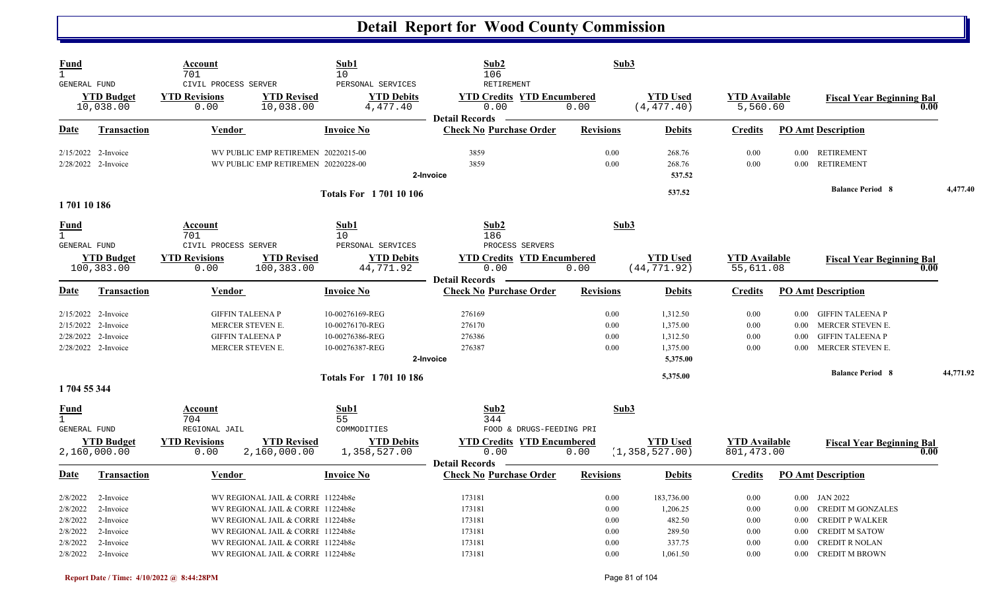| <b>Fund</b><br>$\mathbf{1}$<br><b>GENERAL FUND</b>       |                                                                                            | Account<br>701<br>CIVIL PROCESS SERVER                          |                                                                                                                                                                                       | Sub1<br>10<br>PERSONAL SERVICES                                          | Sub <sub>2</sub><br>106<br><b>RETIREMENT</b>                                                     | Sub3                                 |                                                          |                                      |                                  |                                                                                                                         |           |
|----------------------------------------------------------|--------------------------------------------------------------------------------------------|-----------------------------------------------------------------|---------------------------------------------------------------------------------------------------------------------------------------------------------------------------------------|--------------------------------------------------------------------------|--------------------------------------------------------------------------------------------------|--------------------------------------|----------------------------------------------------------|--------------------------------------|----------------------------------|-------------------------------------------------------------------------------------------------------------------------|-----------|
|                                                          | <b>YTD Budget</b><br>10,038.00                                                             | <b>YTD Revisions</b><br>0.00                                    | <b>YTD Revised</b><br>10,038.00                                                                                                                                                       | <b>YTD Debits</b><br>4,477.40                                            | <b>YTD Credits YTD Encumbered</b><br>0.00<br><b>Detail Records</b>                               | 0.00                                 | <b>YTD Used</b><br>(4, 477.40)                           | <b>YTD Available</b><br>5,560.60     |                                  | <b>Fiscal Year Beginning Bal</b><br>0.00                                                                                |           |
| Date                                                     | <b>Transaction</b>                                                                         | <b>Vendor</b>                                                   |                                                                                                                                                                                       | <b>Invoice No</b>                                                        | <b>Check No Purchase Order</b>                                                                   | <b>Revisions</b>                     | <b>Debits</b>                                            | <b>Credits</b>                       |                                  | <b>PO Amt Description</b>                                                                                               |           |
|                                                          | 2/15/2022 2-Invoice<br>2/28/2022 2-Invoice                                                 |                                                                 | WV PUBLIC EMP RETIREMEN 20220215-00<br>WV PUBLIC EMP RETIREMEN 20220228-00                                                                                                            |                                                                          | 3859<br>3859<br>2-Invoice                                                                        | 0.00<br>0.00                         | 268.76<br>268.76<br>537.52                               | 0.00<br>0.00                         | $0.00\,$                         | 0.00 RETIREMENT<br><b>RETIREMENT</b>                                                                                    |           |
| 170110186                                                |                                                                                            |                                                                 |                                                                                                                                                                                       | <b>Totals For 170110106</b>                                              |                                                                                                  |                                      | 537.52                                                   |                                      |                                  | <b>Balance Period 8</b>                                                                                                 | 4,477.40  |
| <b>Fund</b><br>$\mathbf{1}$                              |                                                                                            | Account<br>701                                                  |                                                                                                                                                                                       | Sub1<br>10                                                               | Sub2<br>186                                                                                      | Sub3                                 |                                                          |                                      |                                  |                                                                                                                         |           |
| <b>GENERAL FUND</b>                                      | <b>YTD Budget</b><br>100,383.00                                                            | CIVIL PROCESS SERVER<br><b>YTD Revisions</b><br>0.00            | <b>YTD Revised</b><br>100,383.00                                                                                                                                                      | PERSONAL SERVICES<br><b>YTD Debits</b><br>44,771.92                      | PROCESS SERVERS<br><b>YTD Credits YTD Encumbered</b><br>0.00<br><b>Detail Records</b>            | 0.00                                 | <b>YTD</b> Used<br>(44, 771.92)                          | <b>YTD</b> Available<br>55,611.08    |                                  | <b>Fiscal Year Beginning Bal</b><br>0.00                                                                                |           |
| Date                                                     | Transaction                                                                                | <b>Vendor</b>                                                   |                                                                                                                                                                                       | <b>Invoice No</b>                                                        | <b>Check No Purchase Order</b>                                                                   | <b>Revisions</b>                     | <b>Debits</b>                                            | <b>Credits</b>                       |                                  | <b>PO Amt Description</b>                                                                                               |           |
|                                                          | 2/15/2022 2-Invoice<br>$2/15/2022$ 2-Invoice<br>2/28/2022 2-Invoice<br>2/28/2022 2-Invoice | <b>GIFFIN TALEENA P</b><br><b>GIFFIN TALEENA P</b>              | MERCER STEVEN E.<br>MERCER STEVEN E.                                                                                                                                                  | 10-00276169-REG<br>10-00276170-REG<br>10-00276386-REG<br>10-00276387-REG | 276169<br>276170<br>276386<br>276387<br>2-Invoice                                                | 0.00<br>0.00<br>0.00<br>0.00         | 1,312.50<br>1,375.00<br>1,312.50<br>1,375.00<br>5,375.00 | 0.00<br>0.00<br>0.00<br>0.00         | $0.00\,$<br>0.00<br>0.00<br>0.00 | <b>GIFFIN TALEENA P</b><br>MERCER STEVEN E.<br><b>GIFFIN TALEENA P</b><br>MERCER STEVEN E.                              |           |
| 1 704 55 344                                             |                                                                                            |                                                                 |                                                                                                                                                                                       | <b>Totals For 170110186</b>                                              |                                                                                                  |                                      | 5,375.00                                                 |                                      |                                  | <b>Balance Period 8</b>                                                                                                 | 44,771.92 |
| <b>Fund</b><br>$\mathbf{1}$<br><b>GENERAL FUND</b>       | <b>YTD Budget</b><br>2,160,000.00                                                          | Account<br>704<br>REGIONAL JAIL<br><b>YTD Revisions</b><br>0.00 | <b>YTD Revised</b><br>2,160,000.00                                                                                                                                                    | Sub1<br>55<br>COMMODITIES<br><b>YTD Debits</b><br>1,358,527.00           | Sub <sub>2</sub><br>344<br>FOOD & DRUGS-FEEDING PRI<br><b>YTD Credits YTD Encumbered</b><br>0.00 | Sub3<br>0.00                         | <b>YTD</b> Used<br>(1, 358, 527.00)                      | <b>YTD</b> Available<br>801,473.00   |                                  | <b>Fiscal Year Beginning Bal</b><br>0.00                                                                                |           |
| <u>Date</u>                                              | <b>Transaction</b>                                                                         | Vendor                                                          |                                                                                                                                                                                       | <b>Invoice No</b>                                                        | <b>Detail Records</b><br><b>Check No Purchase Order</b>                                          | <b>Revisions</b>                     | <b>Debits</b>                                            | <b>Credits</b>                       |                                  | <b>PO Amt Description</b>                                                                                               |           |
| 2/8/2022<br>2/8/2022<br>2/8/2022<br>2/8/2022<br>2/8/2022 | 2-Invoice<br>2-Invoice<br>2-Invoice<br>2-Invoice<br>2-Invoice                              |                                                                 | WV REGIONAL JAIL & CORRI 11224b8e<br>WV REGIONAL JAIL & CORRI 11224b8e<br>WV REGIONAL JAIL & CORRI 11224b8e<br>WV REGIONAL JAIL & CORRI 11224b8e<br>WV REGIONAL JAIL & CORRI 11224b8e |                                                                          | 173181<br>173181<br>173181<br>173181<br>173181                                                   | 0.00<br>0.00<br>0.00<br>0.00<br>0.00 | 183,736.00<br>1,206.25<br>482.50<br>289.50<br>337.75     | 0.00<br>0.00<br>0.00<br>0.00<br>0.00 | 0.00<br>$0.00\,$<br>0.00<br>0.00 | $0.00$ JAN 2022<br><b>CREDIT M GONZALES</b><br><b>CREDIT P WALKER</b><br><b>CREDIT M SATOW</b><br><b>CREDIT R NOLAN</b> |           |
| 2/8/2022                                                 | 2-Invoice                                                                                  |                                                                 | WV REGIONAL JAIL & CORRI 11224b8e                                                                                                                                                     |                                                                          | 173181                                                                                           | 0.00                                 | 1,061.50                                                 | 0.00                                 | 0.00                             | <b>CREDIT M BROWN</b>                                                                                                   |           |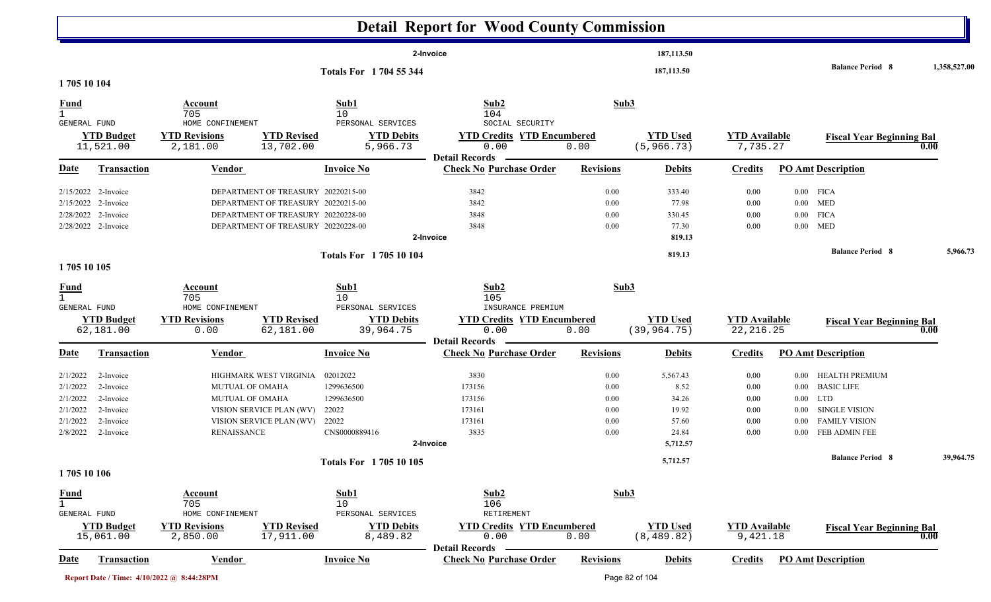|                                             |                                                                                          |                                                                                                                                                      |                                 |                                 | <b>Detail Report for Wood County Commission</b>                    |                              |                                              |                                    |          |                                                        |              |
|---------------------------------------------|------------------------------------------------------------------------------------------|------------------------------------------------------------------------------------------------------------------------------------------------------|---------------------------------|---------------------------------|--------------------------------------------------------------------|------------------------------|----------------------------------------------|------------------------------------|----------|--------------------------------------------------------|--------------|
|                                             |                                                                                          |                                                                                                                                                      |                                 |                                 | 2-Invoice                                                          |                              | 187,113.50                                   |                                    |          |                                                        |              |
|                                             |                                                                                          |                                                                                                                                                      |                                 | Totals For 1704 55 344          |                                                                    |                              | 187,113.50                                   |                                    |          | <b>Balance Period 8</b>                                | 1,358,527.00 |
| 1705 10 104                                 |                                                                                          |                                                                                                                                                      |                                 |                                 |                                                                    |                              |                                              |                                    |          |                                                        |              |
| <b>Fund</b><br>$\mathbf{1}$<br>GENERAL FUND |                                                                                          | Account<br>705<br>HOME CONFINEMENT                                                                                                                   |                                 | Sub1<br>10<br>PERSONAL SERVICES | Sub2<br>104<br>SOCIAL SECURITY                                     | Sub3                         |                                              |                                    |          |                                                        |              |
|                                             | <b>YTD Budget</b><br>11,521.00                                                           | <b>YTD Revisions</b><br>2,181.00                                                                                                                     | <b>YTD Revised</b><br>13,702.00 | <b>YTD Debits</b><br>5,966.73   | <b>YTD Credits YTD Encumbered</b><br>0.00<br><b>Detail Records</b> | 0.00                         | <b>YTD Used</b><br>(5, 966.73)               | <b>YTD</b> Available<br>7,735.27   |          | <b>Fiscal Year Beginning Bal</b><br>0.00               |              |
| <u>Date</u>                                 | <b>Transaction</b>                                                                       | <b>Vendor</b>                                                                                                                                        |                                 | <b>Invoice No</b>               | <b>Check No Purchase Order</b>                                     | <b>Revisions</b>             | <b>Debits</b>                                | <b>Credits</b>                     |          | <b>PO Amt Description</b>                              |              |
|                                             | 2/15/2022 2-Invoice<br>2/15/2022 2-Invoice<br>2/28/2022 2-Invoice<br>2/28/2022 2-Invoice | DEPARTMENT OF TREASURY 20220215-00<br>DEPARTMENT OF TREASURY 20220215-00<br>DEPARTMENT OF TREASURY 20220228-00<br>DEPARTMENT OF TREASURY 20220228-00 |                                 |                                 | 3842<br>3842<br>3848<br>3848<br>2-Invoice                          | 0.00<br>0.00<br>0.00<br>0.00 | 333.40<br>77.98<br>330.45<br>77.30<br>819.13 | 0.00<br>0.00<br>0.00<br>0.00       | $0.00\,$ | $0.00$ FICA<br>$0.00$ MED<br>$0.00$ FICA<br><b>MED</b> |              |
| 1705 10 105                                 |                                                                                          |                                                                                                                                                      |                                 | <b>Totals For 170510104</b>     |                                                                    |                              | 819.13                                       |                                    |          | <b>Balance Period 8</b>                                | 5,966.73     |
| <b>Fund</b>                                 |                                                                                          | Account<br>705                                                                                                                                       |                                 | Sub1<br>10                      | Sub2<br>105                                                        | Sub <sub>3</sub>             |                                              |                                    |          |                                                        |              |
| GENERAL FUND                                |                                                                                          | HOME CONFINEMENT                                                                                                                                     |                                 | PERSONAL SERVICES               | INSURANCE PREMIUM                                                  |                              |                                              |                                    |          |                                                        |              |
|                                             | <b>YTD Budget</b><br>62,181.00                                                           | <b>YTD Revisions</b><br>0.00                                                                                                                         | <b>YTD Revised</b><br>62,181.00 | <b>YTD Debits</b><br>39,964.75  | <b>YTD Credits YTD Encumbered</b><br>0.00                          | 0.00                         | <b>YTD Used</b><br>(39, 964.75)              | <b>YTD</b> Available<br>22, 216.25 |          | <b>Fiscal Year Beginning Bal</b><br>0.00               |              |
| <u>Date</u>                                 | <b>Transaction</b>                                                                       | Vendor                                                                                                                                               |                                 | <b>Invoice No</b>               | <b>Detail Records</b><br><b>Check No Purchase Order</b>            | <b>Revisions</b>             | <b>Debits</b>                                | <b>Credits</b>                     |          | <b>PO Amt Description</b>                              |              |
| 2/1/2022                                    | 2-Invoice                                                                                | HIGHMARK WEST VIRGINIA                                                                                                                               |                                 | 02012022                        | 3830                                                               | 0.00                         | 5,567.43                                     | 0.00                               |          | 0.00 HEALTH PREMIUM                                    |              |
| 2/1/2022                                    | 2-Invoice                                                                                | <b>MUTUAL OF OMAHA</b>                                                                                                                               |                                 | 1299636500                      | 173156                                                             | 0.00                         | 8.52                                         | 0.00                               | $0.00\,$ | <b>BASIC LIFE</b>                                      |              |
| 2/1/2022                                    | 2-Invoice                                                                                | <b>MUTUAL OF OMAHA</b>                                                                                                                               |                                 | 1299636500                      | 173156                                                             | 0.00                         | 34.26                                        | 0.00                               |          | $0.00$ LTD                                             |              |
| 2/1/2022                                    | 2-Invoice                                                                                | VISION SERVICE PLAN (WV)                                                                                                                             |                                 | 22022                           | 173161                                                             | 0.00                         | 19.92                                        | 0.00                               | $0.00\,$ | SINGLE VISION                                          |              |
| 2/1/2022                                    | 2-Invoice                                                                                | VISION SERVICE PLAN (WV)                                                                                                                             |                                 | 22022                           | 173161                                                             | 0.00                         | 57.60                                        | 0.00                               | $0.00\,$ | <b>FAMILY VISION</b>                                   |              |
| 2/8/2022                                    | 2-Invoice                                                                                | <b>RENAISSANCE</b>                                                                                                                                   |                                 | CNS0000889416                   | 3835                                                               | 0.00                         | 24.84                                        | 0.00                               | $0.00\,$ | FEB ADMIN FEE                                          |              |
|                                             |                                                                                          |                                                                                                                                                      |                                 | Totals For 1705 10 105          | 2-Invoice                                                          |                              | 5,712.57<br>5,712.57                         |                                    |          | <b>Balance Period 8</b>                                | 39,964.75    |
| 1705 10 106                                 |                                                                                          |                                                                                                                                                      |                                 |                                 |                                                                    |                              |                                              |                                    |          |                                                        |              |
| <b>Fund</b><br>GENERAL FUND                 |                                                                                          | Account<br>705<br>HOME CONFINEMENT                                                                                                                   |                                 | Sub1<br>10<br>PERSONAL SERVICES | Sub2<br>106<br>RETIREMENT                                          | Sub3                         |                                              |                                    |          |                                                        |              |
|                                             | <b>YTD Budget</b><br>15,061.00                                                           | <b>YTD Revisions</b><br>2,850.00                                                                                                                     | <b>YTD Revised</b><br>17,911.00 | <b>YTD Debits</b><br>8,489.82   | <b>YTD Credits YTD Encumbered</b><br>0.00                          | 0.00                         | <b>YTD</b> Used<br>(8, 489.82)               | <b>YTD</b> Available<br>9,421.18   |          | <b>Fiscal Year Beginning Bal</b><br>0.00               |              |
| <b>Date</b>                                 | <b>Transaction</b>                                                                       | <b>Vendor</b>                                                                                                                                        |                                 | <b>Invoice No</b>               | <b>Detail Records</b><br><b>Check No Purchase Order</b>            | <b>Revisions</b>             | <b>Debits</b>                                | <b>Credits</b>                     |          | <b>PO Amt Description</b>                              |              |
|                                             |                                                                                          | Report Date / Time: 4/10/2022 @ 8:44:28PM                                                                                                            |                                 |                                 |                                                                    |                              | Page 82 of 104                               |                                    |          |                                                        |              |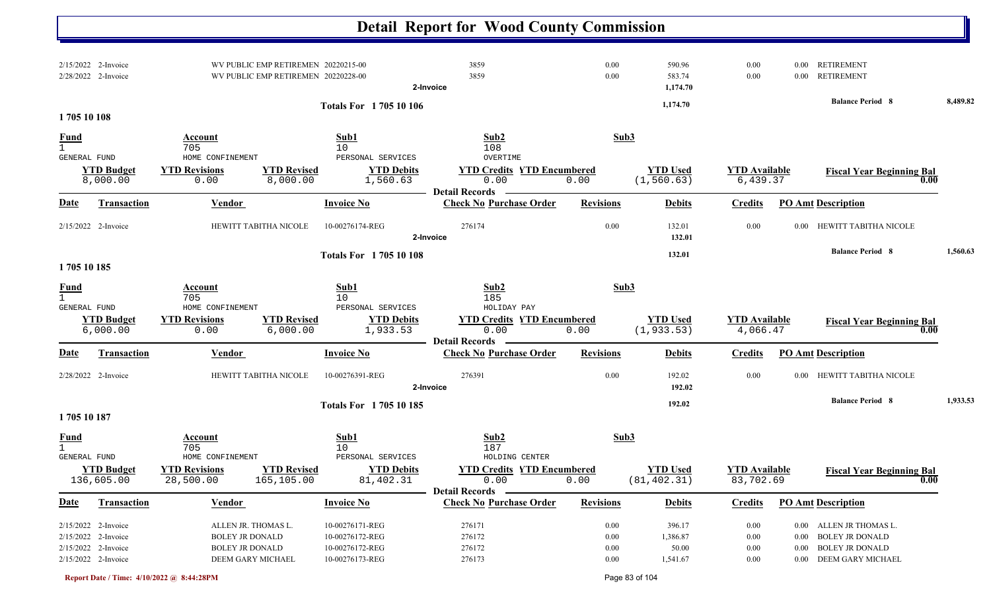|                     |                                                                                          |                                                                                              |                                                                            |                                                                          | <b>Detail Report for Wood County Commission</b>                                      |                                          |                                         |                                          |                      |                                                                                                       |          |
|---------------------|------------------------------------------------------------------------------------------|----------------------------------------------------------------------------------------------|----------------------------------------------------------------------------|--------------------------------------------------------------------------|--------------------------------------------------------------------------------------|------------------------------------------|-----------------------------------------|------------------------------------------|----------------------|-------------------------------------------------------------------------------------------------------|----------|
|                     | 2/15/2022 2-Invoice<br>2/28/2022 2-Invoice                                               |                                                                                              | WV PUBLIC EMP RETIREMEN 20220215-00<br>WV PUBLIC EMP RETIREMEN 20220228-00 |                                                                          | 3859<br>3859<br>2-Invoice                                                            | 0.00<br>0.00                             | 590.96<br>583.74<br>1,174.70            | 0.00<br>0.00                             | 0.00<br>$0.00\,$     | <b>RETIREMENT</b><br><b>RETIREMENT</b>                                                                |          |
|                     |                                                                                          |                                                                                              |                                                                            | <b>Totals For 170510106</b>                                              |                                                                                      |                                          | 1,174.70                                |                                          |                      | <b>Balance Period 8</b>                                                                               | 8,489.82 |
| 1705 10 108         |                                                                                          |                                                                                              |                                                                            |                                                                          |                                                                                      |                                          |                                         |                                          |                      |                                                                                                       |          |
| <b>Fund</b>         |                                                                                          | Account<br>705                                                                               |                                                                            | Sub1<br>10                                                               | Sub2<br>108                                                                          | Sub3                                     |                                         |                                          |                      |                                                                                                       |          |
| <b>GENERAL FUND</b> | <b>YTD Budget</b><br>8,000.00                                                            | HOME CONFINEMENT<br><b>YTD Revisions</b><br>0.00                                             | <b>YTD Revised</b><br>8,000.00                                             | PERSONAL SERVICES<br><b>YTD Debits</b><br>1,560.63                       | OVERTIME<br><b>YTD Credits YTD Encumbered</b><br>0.00<br><b>Detail Records</b>       | 0.00                                     | <b>YTD Used</b><br>(1, 560.63)          | <b>YTD Available</b><br>6,439.37         |                      | <b>Fiscal Year Beginning Bal</b><br>0.00                                                              |          |
| <u>Date</u>         | <b>Transaction</b>                                                                       | <b>Vendor</b>                                                                                |                                                                            | <b>Invoice No</b>                                                        | <b>Check No Purchase Order</b>                                                       | <b>Revisions</b>                         | <b>Debits</b>                           | <b>Credits</b>                           |                      | <b>PO Amt Description</b>                                                                             |          |
|                     | 2/15/2022 2-Invoice                                                                      | HEWITT TABITHA NICOLE                                                                        |                                                                            | 10-00276174-REG                                                          | 276174<br>2-Invoice                                                                  | 0.00                                     | 132.01<br>132.01                        | 0.00                                     | 0.00                 | HEWITT TABITHA NICOLE                                                                                 |          |
| 1705 10 185         |                                                                                          |                                                                                              |                                                                            | <b>Totals For 170510108</b>                                              |                                                                                      |                                          | 132.01                                  |                                          |                      | <b>Balance Period 8</b>                                                                               | 1,560.63 |
| <b>Fund</b>         |                                                                                          | Account<br>705                                                                               |                                                                            | Sub1<br>10                                                               | Sub2<br>185                                                                          | Sub3                                     |                                         |                                          |                      |                                                                                                       |          |
| <b>GENERAL FUND</b> | <b>YTD Budget</b><br>6,000.00                                                            | HOME CONFINEMENT<br><b>YTD Revisions</b><br>0.00                                             | <b>YTD Revised</b><br>6,000.00                                             | PERSONAL SERVICES<br><b>YTD Debits</b><br>1,933.53                       | HOLIDAY PAY<br><b>YTD Credits YTD Encumbered</b><br>0.00<br><b>Detail Records</b>    | 0.00                                     | <b>YTD Used</b><br>(1, 933.53)          | <b>YTD Available</b><br>4,066.47         |                      | <b>Fiscal Year Beginning Bal</b><br>0.00                                                              |          |
| Date                | <b>Transaction</b>                                                                       | <b>Vendor</b>                                                                                |                                                                            | <b>Invoice No</b>                                                        | <b>Check No Purchase Order</b>                                                       | <b>Revisions</b>                         | <b>Debits</b>                           | <b>Credits</b>                           |                      | <b>PO Amt Description</b>                                                                             |          |
|                     | 2/28/2022 2-Invoice                                                                      | HEWITT TABITHA NICOLE                                                                        |                                                                            | 10-00276391-REG                                                          | 276391<br>2-Invoice                                                                  | 0.00                                     | 192.02<br>192.02                        | 0.00                                     |                      | 0.00 HEWITT TABITHA NICOLE                                                                            |          |
| 1705 10 187         |                                                                                          |                                                                                              |                                                                            | <b>Totals For 170510185</b>                                              |                                                                                      |                                          | 192.02                                  |                                          |                      | <b>Balance Period 8</b>                                                                               | 1,933.53 |
| <u>Fund</u>         |                                                                                          | Account<br>705                                                                               |                                                                            | Sub1<br>10                                                               | Sub2<br>187                                                                          | Sub3                                     |                                         |                                          |                      |                                                                                                       |          |
| GENERAL FUND        | <b>YTD Budget</b><br>136,605.00                                                          | HOME CONFINEMENT<br><b>YTD Revisions</b><br>28,500.00                                        | <b>YTD Revised</b><br>165,105.00                                           | PERSONAL SERVICES<br><b>YTD Debits</b><br>81,402.31                      | HOLDING CENTER<br><b>YTD Credits YTD Encumbered</b><br>0.00<br><b>Detail Records</b> | 0.00                                     | <b>YTD Used</b><br>(81, 402.31)         | <b>YTD</b> Available<br>83,702.69        |                      | <b>Fiscal Year Beginning Bal</b><br>0.00                                                              |          |
| <b>Date</b>         | Transaction                                                                              | <b>Vendor</b>                                                                                |                                                                            | <b>Invoice No</b>                                                        | <b>Check No Purchase Order</b>                                                       | <b>Revisions</b>                         | <b>Debits</b>                           | <b>Credits</b>                           |                      | <b>PO Amt Description</b>                                                                             |          |
|                     | 2/15/2022 2-Invoice<br>2/15/2022 2-Invoice<br>2/15/2022 2-Invoice<br>2/15/2022 2-Invoice | ALLEN JR. THOMAS L.<br><b>BOLEY JR DONALD</b><br><b>BOLEY JR DONALD</b><br>DEEM GARY MICHAEL |                                                                            | 10-00276171-REG<br>10-00276172-REG<br>10-00276172-REG<br>10-00276173-REG | 276171<br>276172<br>276172<br>276173                                                 | $0.00\,$<br>0.00<br>$0.00\,$<br>$0.00\,$ | 396.17<br>1,386.87<br>50.00<br>1,541.67 | $0.00\,$<br>0.00<br>$0.00\,$<br>$0.00\,$ | $0.00\,$<br>$0.00\,$ | 0.00 ALLEN JR THOMAS L.<br><b>BOLEY JR DONALD</b><br><b>BOLEY JR DONALD</b><br>0.00 DEEM GARY MICHAEL |          |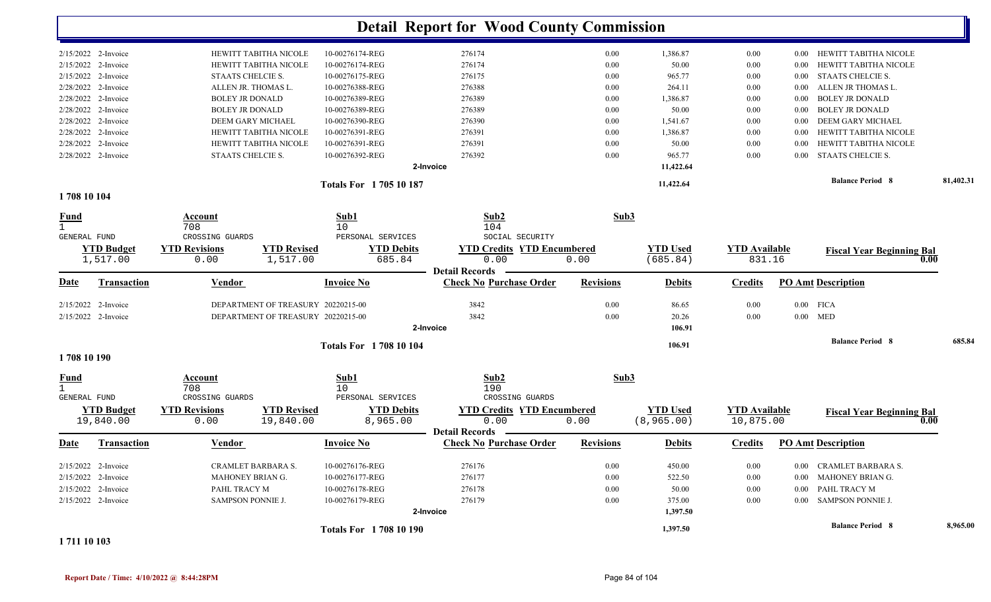|                             |                    |                          |                                    |                               | <b>Detail Report for Wood County Commission</b> |                  |                 |                      |          |                                  |           |
|-----------------------------|--------------------|--------------------------|------------------------------------|-------------------------------|-------------------------------------------------|------------------|-----------------|----------------------|----------|----------------------------------|-----------|
| 2/15/2022 2-Invoice         |                    |                          | HEWITT TABITHA NICOLE              | 10-00276174-REG               | 276174                                          | 0.00             | 1,386.87        | $0.00\,$             | $0.00\,$ | HEWITT TABITHA NICOLE            |           |
| 2/15/2022 2-Invoice         |                    |                          | HEWITT TABITHA NICOLE              | 10-00276174-REG               | 276174                                          | 0.00             | 50.00           | 0.00                 | 0.00     | HEWITT TABITHA NICOLE            |           |
| 2/15/2022 2-Invoice         |                    | STAATS CHELCIE S.        |                                    | 10-00276175-REG               | 276175                                          | 0.00             | 965.77          | $0.00\,$             | $0.00\,$ | <b>STAATS CHELCIE S.</b>         |           |
| 2/28/2022                   | 2-Invoice          | ALLEN JR. THOMAS L.      |                                    | 10-00276388-REG               | 276388                                          | 0.00             | 264.11          | $0.00\,$             | 0.00     | ALLEN JR THOMAS L.               |           |
| 2/28/2022 2-Invoice         |                    | <b>BOLEY JR DONALD</b>   |                                    | 10-00276389-REG               | 276389                                          | 0.00             | 1,386.87        | $0.00\,$             | 0.00     | <b>BOLEY JR DONALD</b>           |           |
| 2/28/2022 2-Invoice         |                    | <b>BOLEY JR DONALD</b>   |                                    | 10-00276389-REG               | 276389                                          | 0.00             | 50.00           | $0.00\,$             | 0.00     | <b>BOLEY JR DONALD</b>           |           |
| 2/28/2022                   | 2-Invoice          | DEEM GARY MICHAEL        |                                    | 10-00276390-REG               | 276390                                          | 0.00             | 1,541.67        | 0.00                 | 0.00     | <b>DEEM GARY MICHAEL</b>         |           |
| 2/28/2022 2-Invoice         |                    |                          | HEWITT TABITHA NICOLE              | 10-00276391-REG               | 276391                                          | 0.00             | 1,386.87        | 0.00                 | 0.00     | HEWITT TABITHA NICOLE            |           |
| 2/28/2022 2-Invoice         |                    |                          | HEWITT TABITHA NICOLE              | 10-00276391-REG               | 276391                                          | 0.00             | 50.00           | 0.00                 | 0.00     | HEWITT TABITHA NICOLE            |           |
| 2/28/2022 2-Invoice         |                    | STAATS CHELCIE S.        |                                    | 10-00276392-REG               | 276392                                          | 0.00             | 965.77          | 0.00                 | 0.00     | <b>STAATS CHELCIE S.</b>         |           |
|                             |                    |                          |                                    |                               | 2-Invoice                                       |                  | 11,422.64       |                      |          |                                  |           |
|                             |                    |                          |                                    | <b>Totals For 170510187</b>   |                                                 |                  | 11,422.64       |                      |          | <b>Balance Period 8</b>          | 81,402.31 |
| 1708 10 104                 |                    |                          |                                    |                               |                                                 |                  |                 |                      |          |                                  |           |
| <b>Fund</b>                 |                    | Account<br>708           |                                    | Sub1<br>10                    | Sub2<br>104                                     | Sub3             |                 |                      |          |                                  |           |
| <b>GENERAL FUND</b>         |                    | CROSSING GUARDS          |                                    | PERSONAL SERVICES             | SOCIAL SECURITY                                 |                  |                 |                      |          |                                  |           |
|                             | <b>YTD Budget</b>  | <b>YTD Revisions</b>     | <b>YTD Revised</b>                 | <b>YTD Debits</b>             | <b>YTD Credits YTD Encumbered</b>               |                  | <b>YTD Used</b> | <b>YTD</b> Available |          | <b>Fiscal Year Beginning Bal</b> |           |
|                             | 1,517.00           | 0.00                     | 1,517.00                           | 685.84                        | 0.00                                            | 0.00             | (685.84)        | 831.16               |          | 0.00                             |           |
|                             |                    |                          |                                    |                               | <b>Detail Records</b>                           |                  |                 |                      |          |                                  |           |
| Date                        | <b>Transaction</b> | <b>Vendor</b>            |                                    | <b>Invoice No</b>             | <b>Check No Purchase Order</b>                  | <b>Revisions</b> | <b>Debits</b>   | <b>Credits</b>       |          | <b>PO Amt Description</b>        |           |
| 2/15/2022 2-Invoice         |                    |                          | DEPARTMENT OF TREASURY 20220215-00 |                               | 3842                                            | 0.00             | 86.65           | 0.00                 |          | $0.00$ FICA                      |           |
| 2/15/2022 2-Invoice         |                    |                          | DEPARTMENT OF TREASURY 20220215-00 |                               | 3842                                            | 0.00             | 20.26           | 0.00                 |          | $0.00$ MED                       |           |
|                             |                    |                          |                                    |                               | 2-Invoice                                       |                  | 106.91          |                      |          |                                  |           |
|                             |                    |                          |                                    | <b>Totals For 1708 10 104</b> |                                                 |                  | 106.91          |                      |          | <b>Balance Period 8</b>          | 685.84    |
| 1708 10 190                 |                    |                          |                                    |                               |                                                 |                  |                 |                      |          |                                  |           |
| <b>Fund</b><br>$\mathbf{1}$ |                    | <b>Account</b><br>708    |                                    | Sub1<br>10                    | Sub2<br>190                                     | Sub3             |                 |                      |          |                                  |           |
| <b>GENERAL FUND</b>         |                    | CROSSING GUARDS          |                                    | PERSONAL SERVICES             | CROSSING GUARDS                                 |                  |                 |                      |          |                                  |           |
|                             | <b>YTD Budget</b>  | <b>YTD Revisions</b>     | <b>YTD Revised</b>                 | <b>YTD Debits</b>             | <b>YTD Credits YTD Encumbered</b>               |                  | <b>YTD Used</b> | <b>YTD Available</b> |          | <b>Fiscal Year Beginning Bal</b> |           |
|                             | 19,840.00          | 0.00                     | 19,840.00                          | 8,965.00                      | 0.00<br><b>Detail Records</b>                   | 0.00             | (8, 965.00)     | 10,875.00            |          | 0.00                             |           |
| <u>Date</u>                 | Transaction        | Vendor                   |                                    | <b>Invoice No</b>             | <b>Check No Purchase Order</b>                  | <b>Revisions</b> | <b>Debits</b>   | <b>Credits</b>       |          | <b>PO Amt Description</b>        |           |
| $2/15/2022$ 2-Invoice       |                    | CRAMLET BARBARA S.       |                                    | 10-00276176-REG               | 276176                                          | 0.00             | 450.00          | $0.00\,$             |          | 0.00 CRAMLET BARBARA S.          |           |
| 2/15/2022 2-Invoice         |                    | MAHONEY BRIAN G.         |                                    | 10-00276177-REG               | 276177                                          | 0.00             | 522.50          | $0.00\,$             |          | 0.00 MAHONEY BRIAN G.            |           |
| 2/15/2022 2-Invoice         |                    | PAHL TRACY M             |                                    | 10-00276178-REG               | 276178                                          | 0.00             | 50.00           | $0.00\,$             |          | 0.00 PAHL TRACY M                |           |
| 2/15/2022 2-Invoice         |                    | <b>SAMPSON PONNIE J.</b> |                                    | 10-00276179-REG               | 276179                                          | 0.00             | 375.00          | $0.00\,$             |          | 0.00 SAMPSON PONNIE J.           |           |
|                             |                    |                          |                                    |                               | 2-Invoice                                       |                  | 1,397.50        |                      |          |                                  |           |
|                             |                    |                          |                                    | <b>Totals For 1708 10 190</b> |                                                 |                  | 1,397.50        |                      |          | <b>Balance Period 8</b>          | 8,965.00  |

**1 711 10 103**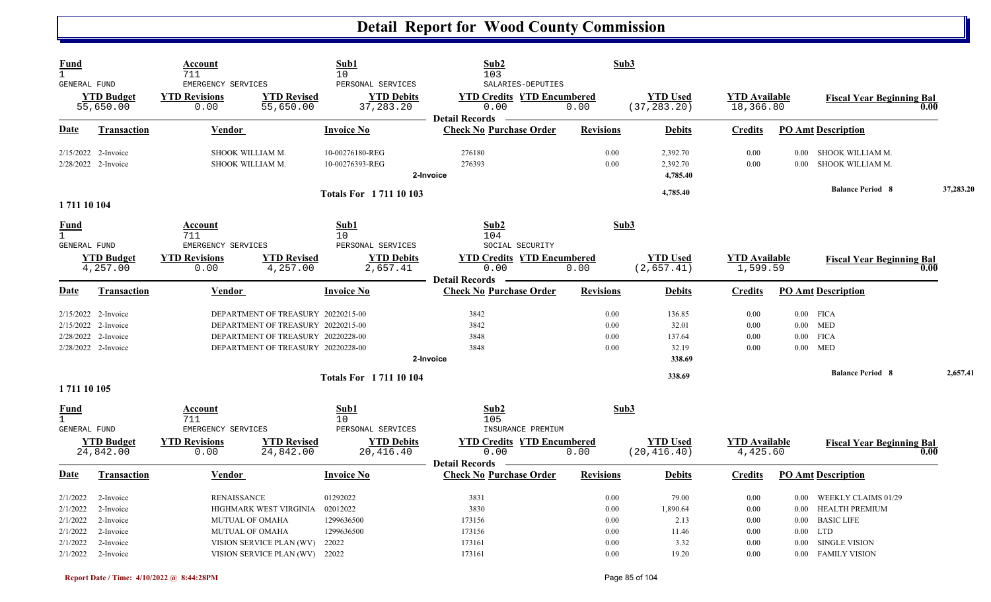| Fund<br>$\mathbf{1}$<br><b>GENERAL FUND</b>        |                                                                                          | <b>Account</b><br>711<br>EMERGENCY SERVICES              |                                                                                                                                                      | Sub1<br>10<br>PERSONAL SERVICES                  | Sub2<br>103<br>SALARIES-DEPUTIES                                   | Sub3                         |                                              |                                   |                                                                                                                             |           |
|----------------------------------------------------|------------------------------------------------------------------------------------------|----------------------------------------------------------|------------------------------------------------------------------------------------------------------------------------------------------------------|--------------------------------------------------|--------------------------------------------------------------------|------------------------------|----------------------------------------------|-----------------------------------|-----------------------------------------------------------------------------------------------------------------------------|-----------|
|                                                    | <b>YTD Budget</b><br>55,650.00                                                           | <b>YTD Revisions</b><br>0.00                             | <b>YTD Revised</b><br>55,650.00                                                                                                                      | <b>YTD Debits</b><br>37, 283. 20                 | <b>YTD Credits YTD Encumbered</b><br>0.00<br><b>Detail Records</b> | 0.00                         | <b>YTD Used</b><br>(37, 283.20)              | <b>YTD</b> Available<br>18,366.80 | <b>Fiscal Year Beginning Bal</b>                                                                                            | 0.00      |
| <b>Date</b>                                        | Transaction                                                                              | Vendor                                                   |                                                                                                                                                      | <b>Invoice No</b>                                | <b>Check No Purchase Order</b>                                     | <b>Revisions</b>             | <b>Debits</b>                                | <b>Credits</b>                    | <b>PO Amt Description</b>                                                                                                   |           |
|                                                    | 2/15/2022 2-Invoice<br>2/28/2022 2-Invoice                                               | SHOOK WILLIAM M.<br>SHOOK WILLIAM M.                     |                                                                                                                                                      | 10-00276180-REG<br>10-00276393-REG               | 276180<br>276393<br>2-Invoice                                      | 0.00<br>0.00                 | 2,392.70<br>2,392.70<br>4,785.40             | 0.00<br>0.00                      | SHOOK WILLIAM M.<br>$0.00\,$<br>SHOOK WILLIAM M.<br>0.00                                                                    |           |
| 1 711 10 104                                       |                                                                                          |                                                          |                                                                                                                                                      | <b>Totals For 171110103</b>                      |                                                                    |                              | 4,785.40                                     |                                   | <b>Balance Period 8</b>                                                                                                     | 37,283.20 |
| <u>Fund</u><br>$\mathbf{1}$<br><b>GENERAL FUND</b> |                                                                                          | Account<br>711<br>EMERGENCY SERVICES                     |                                                                                                                                                      | Sub1<br>10<br>PERSONAL SERVICES                  | Sub2<br>104<br>SOCIAL SECURITY                                     |                              | Sub3                                         |                                   |                                                                                                                             |           |
|                                                    | <b>YTD Budget</b><br>4,257.00                                                            | <b>YTD Revisions</b><br>0.00                             | <b>YTD Revised</b><br>4,257.00                                                                                                                       | <b>YTD Debits</b><br>2,657.41                    | <b>YTD Credits YTD Encumbered</b><br>0.00<br><b>Detail Records</b> | 0.00                         | <b>YTD</b> Used<br>(2,657.41)                | <b>YTD</b> Available<br>1,599.59  | <b>Fiscal Year Beginning Bal</b>                                                                                            | 0.00      |
| <b>Date</b>                                        | <b>Transaction</b>                                                                       | Vendor                                                   |                                                                                                                                                      | <b>Invoice No</b>                                | <b>Check No Purchase Order</b>                                     | <b>Revisions</b>             | <b>Debits</b>                                | <b>Credits</b>                    | <b>PO Amt Description</b>                                                                                                   |           |
|                                                    | 2/15/2022 2-Invoice<br>2/15/2022 2-Invoice<br>2/28/2022 2-Invoice<br>2/28/2022 2-Invoice |                                                          | DEPARTMENT OF TREASURY 20220215-00<br>DEPARTMENT OF TREASURY 20220215-00<br>DEPARTMENT OF TREASURY 20220228-00<br>DEPARTMENT OF TREASURY 20220228-00 |                                                  | 3842<br>3842<br>3848<br>3848<br>2-Invoice                          | 0.00<br>0.00<br>0.00<br>0.00 | 136.85<br>32.01<br>137.64<br>32.19<br>338.69 | 0.00<br>0.00<br>0.00<br>0.00      | $0.00$ FICA<br>$0.00$ MED<br>$0.00\,$<br><b>FICA</b><br>$0.00$ MED                                                          |           |
| 1 711 10 105                                       |                                                                                          |                                                          |                                                                                                                                                      | <b>Totals For 171110104</b>                      |                                                                    |                              | 338.69                                       |                                   | <b>Balance Period 8</b>                                                                                                     | 2,657.41  |
| <u>Fund</u><br>$\mathbf{1}$<br>GENERAL FUND        |                                                                                          | Account<br>711<br>EMERGENCY SERVICES                     |                                                                                                                                                      | Sub1<br>10<br>PERSONAL SERVICES                  | Sub2<br>105<br>INSURANCE PREMIUM                                   |                              | Sub3                                         |                                   |                                                                                                                             |           |
|                                                    | <b>YTD Budget</b><br>24,842.00                                                           | <b>YTD Revisions</b><br>0.00                             | <b>YTD Revised</b><br>24,842.00                                                                                                                      | <b>YTD Debits</b><br>20,416.40                   | <b>YTD Credits YTD Encumbered</b><br>0.00<br><b>Detail Records</b> | 0.00                         | <b>YTD</b> Used<br>(20, 416.40)              | <b>YTD Available</b><br>4,425.60  | <b>Fiscal Year Beginning Bal</b>                                                                                            | 0.00      |
| <b>Date</b>                                        | <b>Transaction</b>                                                                       | <b>Vendor</b>                                            |                                                                                                                                                      | <b>Invoice No</b>                                | <b>Check No Purchase Order</b>                                     | <b>Revisions</b>             | <b>Debits</b>                                | <b>Credits</b>                    | <b>PO Amt Description</b>                                                                                                   |           |
| 2/1/2022<br>2/1/2022<br>2/1/2022<br>2/1/2022       | 2-Invoice<br>2-Invoice<br>2-Invoice<br>2-Invoice                                         | <b>RENAISSANCE</b><br>MUTUAL OF OMAHA<br>MUTUAL OF OMAHA | HIGHMARK WEST VIRGINIA                                                                                                                               | 01292022<br>02012022<br>1299636500<br>1299636500 | 3831<br>3830<br>173156<br>173156                                   | 0.00<br>0.00<br>0.00<br>0.00 | 79.00<br>1,890.64<br>2.13<br>11.46           | 0.00<br>0.00<br>0.00<br>0.00      | WEEKLY CLAIMS 01/29<br>$0.00\,$<br><b>HEALTH PREMIUM</b><br>0.00<br><b>BASIC LIFE</b><br>$0.00\,$<br>$0.00\,$<br><b>LTD</b> |           |
| 2/1/2022<br>2/1/2022                               | 2-Invoice<br>2-Invoice                                                                   |                                                          | VISION SERVICE PLAN (WV)<br>VISION SERVICE PLAN (WV) 22022                                                                                           | 22022                                            | 173161<br>173161                                                   | 0.00<br>0.00                 | 3.32<br>19.20                                | 0.00<br>0.00                      | <b>SINGLE VISION</b><br>0.00<br>0.00 FAMILY VISION                                                                          |           |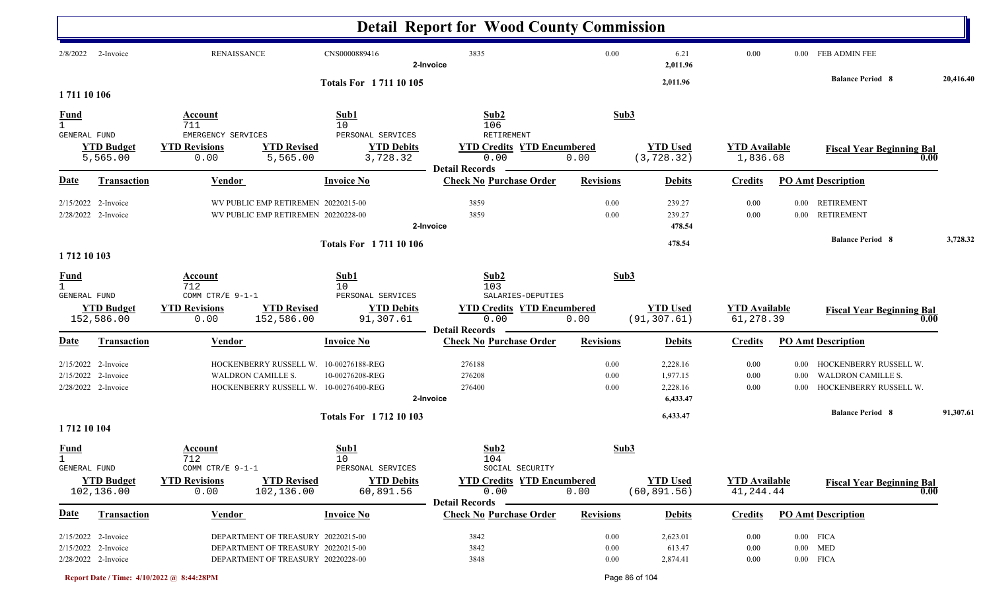|                                             |                                                                     |                                                                                                                |                                                                   | <b>Detail Report for Wood County Commission</b>                               |                          |                                              |                                   |                              |                                                                               |           |
|---------------------------------------------|---------------------------------------------------------------------|----------------------------------------------------------------------------------------------------------------|-------------------------------------------------------------------|-------------------------------------------------------------------------------|--------------------------|----------------------------------------------|-----------------------------------|------------------------------|-------------------------------------------------------------------------------|-----------|
| 2/8/2022                                    | 2-Invoice                                                           | RENAISSANCE                                                                                                    | CNS0000889416                                                     | 3835<br>2-Invoice                                                             | 0.00                     | 6.21<br>2,011.96                             | 0.00                              |                              | 0.00 FEB ADMIN FEE                                                            |           |
| 1711 10 106                                 |                                                                     |                                                                                                                | <b>Totals For 171110105</b>                                       |                                                                               |                          | 2,011.96                                     |                                   |                              | <b>Balance Period 8</b>                                                       | 20,416.40 |
| $\frac{Fund}{1}$<br>GENERAL FUND            |                                                                     | Account<br>711<br>EMERGENCY SERVICES                                                                           | Sub1<br>10<br>PERSONAL SERVICES                                   | Sub2<br>106<br>RETIREMENT                                                     | Sub3                     |                                              |                                   |                              |                                                                               |           |
|                                             | <b>YTD Budget</b><br>5,565.00                                       | <b>YTD Revisions</b><br><b>YTD Revised</b><br>5,565.00<br>0.00                                                 | <b>YTD Debits</b><br>3,728.32                                     | <b>YTD Credits YTD Encumbered</b><br>0.00<br><b>Detail Records</b>            | 0.00                     | <b>YTD Used</b><br>(3, 728.32)               | <b>YTD Available</b><br>1,836.68  |                              | <b>Fiscal Year Beginning Bal</b><br>0.00                                      |           |
| Date                                        | Transaction                                                         | Vendor                                                                                                         | <b>Invoice No</b>                                                 | <b>Check No Purchase Order</b>                                                | <b>Revisions</b>         | <b>Debits</b>                                | <b>Credits</b>                    |                              | <b>PO Amt Description</b>                                                     |           |
|                                             | 2/15/2022 2-Invoice<br>2/28/2022 2-Invoice                          | WV PUBLIC EMP RETIREMEN 20220215-00<br>WV PUBLIC EMP RETIREMEN 20220228-00                                     |                                                                   | 3859<br>3859<br>2-Invoice                                                     | 0.00<br>0.00             | 239.27<br>239.27<br>478.54                   | 0.00<br>0.00                      | $0.00\,$<br>$0.00\,$         | <b>RETIREMENT</b><br><b>RETIREMENT</b>                                        |           |
| 1712 10 103                                 |                                                                     |                                                                                                                | <b>Totals For 171110106</b>                                       |                                                                               |                          | 478.54                                       |                                   |                              | <b>Balance Period 8</b>                                                       | 3,728.32  |
| <b>Fund</b><br>$\mathbf{1}$<br>GENERAL FUND | <b>YTD Budget</b><br>152,586.00                                     | Account<br>712<br>COMM CTR/E 9-1-1<br><b>YTD Revisions</b><br><b>YTD Revised</b><br>152,586.00<br>0.00         | Sub1<br>10<br>PERSONAL SERVICES<br><b>YTD Debits</b><br>91,307.61 | Sub2<br>103<br>SALARIES-DEPUTIES<br><b>YTD Credits YTD Encumbered</b><br>0.00 | Sub3<br>0.00             | <b>YTD Used</b><br>(91, 307.61)              | <b>YTD</b> Available<br>61,278.39 |                              | <b>Fiscal Year Beginning Bal</b><br>0.00                                      |           |
| Date                                        | Transaction                                                         | <b>Vendor</b>                                                                                                  | <b>Invoice No</b>                                                 | <b>Detail Records</b><br><b>Check No Purchase Order</b>                       | <b>Revisions</b>         | <b>Debits</b>                                | <b>Credits</b>                    |                              | <b>PO Amt Description</b>                                                     |           |
|                                             | $2/15/2022$ 2-Invoice<br>2/15/2022 2-Invoice<br>2/28/2022 2-Invoice | HOCKENBERRY RUSSELL W.<br><b>WALDRON CAMILLE S.</b><br>HOCKENBERRY RUSSELL W. 10-00276400-REG                  | 10-00276188-REG<br>10-00276208-REG                                | 276188<br>276208<br>276400<br>2-Invoice                                       | 0.00<br>0.00<br>0.00     | 2,228.16<br>1,977.15<br>2,228.16<br>6,433.47 | 0.00<br>0.00<br>0.00              | $0.00\,$<br>0.00<br>$0.00\,$ | HOCKENBERRY RUSSELL W.<br><b>WALDRON CAMILLE S.</b><br>HOCKENBERRY RUSSELL W. |           |
| 1712 10 104                                 |                                                                     |                                                                                                                | <b>Totals For 171210103</b>                                       |                                                                               |                          | 6,433.47                                     |                                   |                              | <b>Balance Period 8</b>                                                       | 91,307.61 |
| <b>Fund</b><br><b>GENERAL FUND</b>          |                                                                     | <b>Account</b><br>712<br>COMM CTR/E 9-1-1                                                                      | Sub1<br>10<br>PERSONAL SERVICES                                   | Sub2<br>104<br>SOCIAL SECURITY                                                | Sub3                     |                                              |                                   |                              |                                                                               |           |
|                                             | <b>YTD Budget</b><br>102,136.00                                     | <b>YTD Revisions</b><br><b>YTD Revised</b><br>0.00<br>102,136.00                                               | <b>YTD Debits</b><br>60,891.56                                    | <b>YTD Credits YTD Encumbered</b><br>0.00<br><b>Detail Records</b>            | 0.00                     | <b>YTD Used</b><br>(60, 891.56)              | <b>YTD Available</b><br>41,244.44 |                              | <b>Fiscal Year Beginning Bal</b><br>0.00                                      |           |
| <u>Date</u>                                 | Transaction                                                         | <b>Vendor</b>                                                                                                  | <b>Invoice No</b>                                                 | <b>Check No Purchase Order</b>                                                | <b>Revisions</b>         | <b>Debits</b>                                | <b>Credits</b>                    |                              | <b>PO Amt Description</b>                                                     |           |
|                                             | 2/15/2022 2-Invoice<br>2/15/2022 2-Invoice<br>2/28/2022 2-Invoice   | DEPARTMENT OF TREASURY 20220215-00<br>DEPARTMENT OF TREASURY 20220215-00<br>DEPARTMENT OF TREASURY 20220228-00 |                                                                   | 3842<br>3842<br>3848                                                          | 0.00<br>0.00<br>$0.00\,$ | 2,623.01<br>613.47<br>2,874.41               | 0.00<br>0.00<br>$0.00\,$          |                              | $0.00$ FICA<br>$0.00$ MED<br>$0.00$ FICA                                      |           |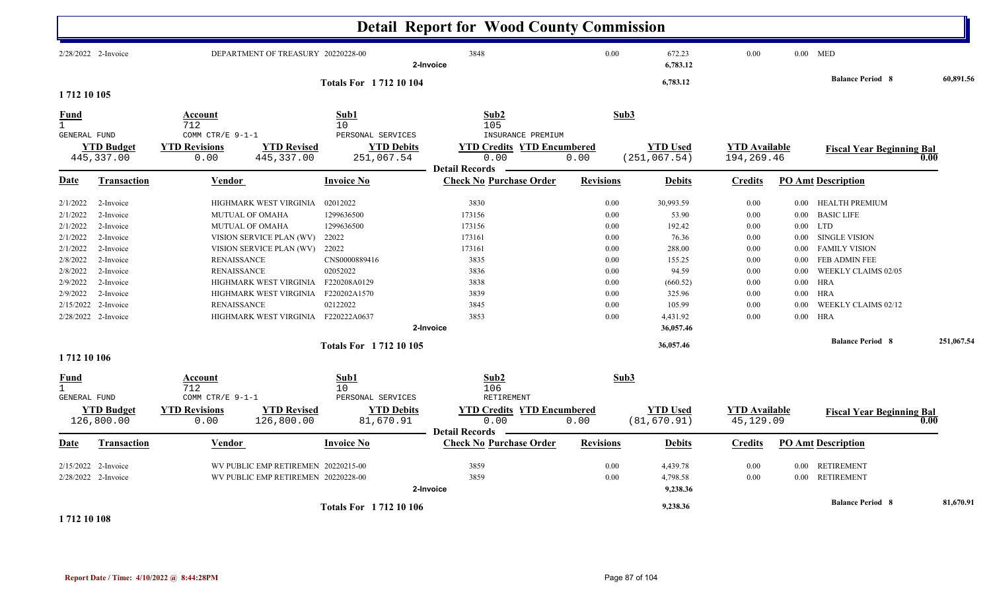|                                                                                                                                                             |                                                                                                                                |                                                                    |                                                                                                                                                                                                                                                  |                                                                                                                                | <b>Detail Report for Wood County Commission</b>                                                           |                                                                                          |                                                                                                                                          |                                                                                              |                                                                                                              |                                                                                                                                                                                                                                       |            |
|-------------------------------------------------------------------------------------------------------------------------------------------------------------|--------------------------------------------------------------------------------------------------------------------------------|--------------------------------------------------------------------|--------------------------------------------------------------------------------------------------------------------------------------------------------------------------------------------------------------------------------------------------|--------------------------------------------------------------------------------------------------------------------------------|-----------------------------------------------------------------------------------------------------------|------------------------------------------------------------------------------------------|------------------------------------------------------------------------------------------------------------------------------------------|----------------------------------------------------------------------------------------------|--------------------------------------------------------------------------------------------------------------|---------------------------------------------------------------------------------------------------------------------------------------------------------------------------------------------------------------------------------------|------------|
| 2/28/2022 2-Invoice                                                                                                                                         |                                                                                                                                |                                                                    | DEPARTMENT OF TREASURY 20220228-00                                                                                                                                                                                                               |                                                                                                                                | 3848<br>2-Invoice                                                                                         | 0.00                                                                                     | 672.23<br>6,783.12                                                                                                                       | $0.00\,$                                                                                     |                                                                                                              | $0.00$ MED                                                                                                                                                                                                                            |            |
| 1 712 10 105                                                                                                                                                |                                                                                                                                |                                                                    |                                                                                                                                                                                                                                                  | <b>Totals For 171210104</b>                                                                                                    |                                                                                                           |                                                                                          | 6,783.12                                                                                                                                 |                                                                                              |                                                                                                              | <b>Balance Period 8</b>                                                                                                                                                                                                               | 60,891.56  |
| <b>Fund</b><br>$\mathbf{1}$                                                                                                                                 |                                                                                                                                | Account<br>712                                                     |                                                                                                                                                                                                                                                  | Sub1<br>10 <sup>°</sup>                                                                                                        | Sub2<br>105                                                                                               | Sub3                                                                                     |                                                                                                                                          |                                                                                              |                                                                                                              |                                                                                                                                                                                                                                       |            |
| <b>GENERAL FUND</b><br>445,337.00                                                                                                                           | <b>YTD Budget</b>                                                                                                              | COMM CTR/E $9-1-1$<br><b>YTD Revisions</b><br>0.00                 | <b>YTD Revised</b><br>445, 337.00                                                                                                                                                                                                                | PERSONAL SERVICES<br><b>YTD Debits</b><br>251,067.54                                                                           | INSURANCE PREMIUM<br><b>YTD Credits YTD Encumbered</b><br>0.00                                            | 0.00                                                                                     | <b>YTD Used</b><br>(251, 067.54)                                                                                                         | <b>YTD</b> Available<br>194,269.46                                                           |                                                                                                              | <b>Fiscal Year Beginning Bal</b>                                                                                                                                                                                                      | 0.00       |
| Date                                                                                                                                                        | <b>Transaction</b>                                                                                                             | Vendor                                                             |                                                                                                                                                                                                                                                  | <b>Invoice No</b>                                                                                                              | <b>Detail Records</b><br><b>Check No Purchase Order</b>                                                   | <b>Revisions</b>                                                                         | <b>Debits</b>                                                                                                                            | <b>Credits</b>                                                                               |                                                                                                              | <b>PO Amt Description</b>                                                                                                                                                                                                             |            |
| 2/1/2022<br>2/1/2022<br>2/1/2022<br>2/1/2022<br>2/1/2022<br>2/8/2022<br>2/8/2022<br>2/9/2022<br>2/9/2022<br>2/15/2022<br>2/28/2022 2-Invoice<br>1712 10 106 | 2-Invoice<br>2-Invoice<br>2-Invoice<br>2-Invoice<br>2-Invoice<br>2-Invoice<br>2-Invoice<br>2-Invoice<br>2-Invoice<br>2-Invoice | <b>RENAISSANCE</b><br><b>RENAISSANCE</b><br><b>RENAISSANCE</b>     | HIGHMARK WEST VIRGINIA<br><b>MUTUAL OF OMAHA</b><br>MUTUAL OF OMAHA<br>VISION SERVICE PLAN (WV)<br>VISION SERVICE PLAN (WV)<br>HIGHMARK WEST VIRGINIA F220208A0129<br>HIGHMARK WEST VIRGINIA F220202A1570<br>HIGHMARK WEST VIRGINIA F220222A0637 | 02012022<br>1299636500<br>1299636500<br>22022<br>22022<br>CNS0000889416<br>02052022<br>02122022<br><b>Totals For 171210105</b> | 3830<br>173156<br>173156<br>173161<br>173161<br>3835<br>3836<br>3838<br>3839<br>3845<br>3853<br>2-Invoice | 0.00<br>0.00<br>0.00<br>$0.00\,$<br>0.00<br>0.00<br>0.00<br>0.00<br>0.00<br>0.00<br>0.00 | 30,993.59<br>53.90<br>192.42<br>76.36<br>288.00<br>155.25<br>94.59<br>(660.52)<br>325.96<br>105.99<br>4,431.92<br>36,057.46<br>36,057.46 | 0.00<br>0.00<br>$0.00\,$<br>0.00<br>0.00<br>$0.00\,$<br>0.00<br>0.00<br>0.00<br>0.00<br>0.00 | $0.00\,$<br>$0.00\,$<br>$0.00\,$<br>$0.00\,$<br>$0.00\,$<br>0.00<br>$0.00\,$<br>$0.00\,$<br>0.00<br>$0.00\,$ | HEALTH PREMIUM<br><b>BASIC LIFE</b><br>$0.00$ LTD<br><b>SINGLE VISION</b><br><b>FAMILY VISION</b><br>FEB ADMIN FEE<br>WEEKLY CLAIMS 02/05<br><b>HRA</b><br><b>HRA</b><br>WEEKLY CLAIMS 02/12<br><b>HRA</b><br><b>Balance Period 8</b> | 251,067.54 |
| <u>Fund</u><br>$\mathbf{1}$<br><b>GENERAL FUND</b><br>126,800.00                                                                                            | <b>YTD Budget</b>                                                                                                              | Account<br>712<br>COMM CTR/E 9-1-1<br><b>YTD Revisions</b><br>0.00 | <b>YTD Revised</b><br>126,800.00                                                                                                                                                                                                                 | Sub1<br>10<br>PERSONAL SERVICES<br><b>YTD Debits</b><br>81,670.91                                                              | Sub2<br>106<br>RETIREMENT<br><b>YTD Credits YTD Encumbered</b><br>0.00                                    | Sub3<br>0.00                                                                             | <b>YTD Used</b><br>(81, 670.91)                                                                                                          | <b>YTD Available</b><br>45,129.09                                                            |                                                                                                              | <b>Fiscal Year Beginning Bal</b>                                                                                                                                                                                                      | 0.00       |
| Date                                                                                                                                                        | Transaction                                                                                                                    | <b>Vendor</b>                                                      |                                                                                                                                                                                                                                                  | Invoice No                                                                                                                     | <b>Detail Records</b><br><b>Check No Purchase Order</b>                                                   | <b>Revisions</b>                                                                         | <b>Debits</b>                                                                                                                            | <b>Credits</b>                                                                               |                                                                                                              | <b>PO Amt Description</b>                                                                                                                                                                                                             |            |
| 2/15/2022 2-Invoice<br>2/28/2022 2-Invoice                                                                                                                  |                                                                                                                                |                                                                    | WV PUBLIC EMP RETIREMEN 20220215-00<br>WV PUBLIC EMP RETIREMEN 20220228-00                                                                                                                                                                       |                                                                                                                                | 3859<br>3859<br>2-Invoice                                                                                 | 0.00<br>0.00                                                                             | 4,439.78<br>4,798.58<br>9,238.36                                                                                                         | 0.00<br>0.00                                                                                 | $0.00\,$<br>$0.00\,$                                                                                         | <b>RETIREMENT</b><br><b>RETIREMENT</b>                                                                                                                                                                                                |            |
| 1 712 10 108                                                                                                                                                |                                                                                                                                |                                                                    |                                                                                                                                                                                                                                                  | <b>Totals For 171210106</b>                                                                                                    |                                                                                                           |                                                                                          | 9,238.36                                                                                                                                 |                                                                                              |                                                                                                              | <b>Balance Period 8</b>                                                                                                                                                                                                               | 81,670.91  |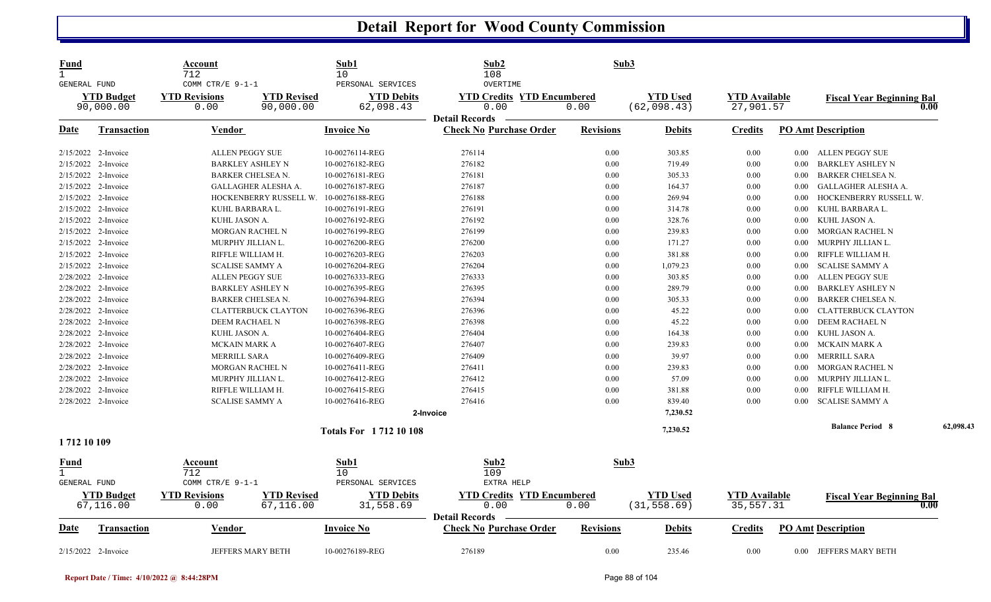| <b>Fund</b><br>$\mathbf{1}$<br>GENERAL FUND        |                                | Account<br>712<br>COMM CTR/E $9-1-1$                            | Sub1<br>10<br>PERSONAL SERVICES | Sub2<br>108<br>OVERTIME                                            | Sub3             |                                 |                                   |          |                                          |           |
|----------------------------------------------------|--------------------------------|-----------------------------------------------------------------|---------------------------------|--------------------------------------------------------------------|------------------|---------------------------------|-----------------------------------|----------|------------------------------------------|-----------|
|                                                    | <b>YTD Budget</b><br>90,000.00 | <b>YTD Revisions</b><br><b>YTD Revised</b><br>90,000.00<br>0.00 | <b>YTD Debits</b><br>62,098.43  | <b>YTD Credits YTD Encumbered</b><br>0.00                          | 0.00             | <b>YTD Used</b><br>(62,098.43)  | <b>YTD Available</b><br>27,901.57 |          | <b>Fiscal Year Beginning Bal</b><br>0.00 |           |
| <u>Date</u>                                        | <b>Transaction</b>             | <b>Vendor</b>                                                   | <b>Invoice No</b>               | <b>Detail Records</b><br><b>Check No Purchase Order</b>            | <b>Revisions</b> | <b>Debits</b>                   | <b>Credits</b>                    |          | <b>PO Amt Description</b>                |           |
| 2/15/2022 2-Invoice                                |                                | <b>ALLEN PEGGY SUE</b>                                          | 10-00276114-REG                 | 276114                                                             | 0.00             | 303.85                          | 0.00                              |          | 0.00 ALLEN PEGGY SUE                     |           |
| 2/15/2022 2-Invoice                                |                                | <b>BARKLEY ASHLEY N</b>                                         | 10-00276182-REG                 | 276182                                                             | 0.00             | 719.49                          | 0.00                              | 0.00     | BARKLEY ASHLEY N                         |           |
| 2/15/2022 2-Invoice                                |                                | <b>BARKER CHELSEA N.</b>                                        | 10-00276181-REG                 | 276181                                                             | 0.00             | 305.33                          | 0.00                              | 0.00     | <b>BARKER CHELSEA N.</b>                 |           |
| 2/15/2022 2-Invoice                                |                                | GALLAGHER ALESHA A.                                             | 10-00276187-REG                 | 276187                                                             | 0.00             | 164.37                          | 0.00                              | 0.00     | GALLAGHER ALESHA A.                      |           |
| 2/15/2022 2-Invoice                                |                                | HOCKENBERRY RUSSELL W.                                          | 10-00276188-REG                 | 276188                                                             | 0.00             | 269.94                          | 0.00                              | 0.00     | HOCKENBERRY RUSSELL W.                   |           |
| 2/15/2022 2-Invoice                                |                                | KUHL BARBARA L.                                                 | 10-00276191-REG                 | 276191                                                             | 0.00             | 314.78                          | 0.00                              | 0.00     | KUHL BARBARA L.                          |           |
| 2/15/2022 2-Invoice                                |                                | KUHL JASON A.                                                   | 10-00276192-REG                 | 276192                                                             | 0.00             | 328.76                          | 0.00                              | $0.00\,$ | KUHL JASON A.                            |           |
|                                                    | 2/15/2022 2-Invoice            | <b>MORGAN RACHEL N</b>                                          | 10-00276199-REG                 | 276199                                                             | 0.00             | 239.83                          | 0.00                              | 0.00     | MORGAN RACHEL N                          |           |
| 2/15/2022 2-Invoice                                |                                | MURPHY JILLIAN L.                                               | 10-00276200-REG                 | 276200                                                             | 0.00             | 171.27                          | 0.00                              | 0.00     | MURPHY JILLIAN L.                        |           |
| 2/15/2022 2-Invoice                                |                                | RIFFLE WILLIAM H.                                               | 10-00276203-REG                 | 276203                                                             | 0.00             | 381.88                          | 0.00                              | 0.00     | RIFFLE WILLIAM H.                        |           |
| 2/15/2022 2-Invoice                                |                                | <b>SCALISE SAMMY A</b>                                          | 10-00276204-REG                 | 276204                                                             | 0.00             | 1,079.23                        | 0.00                              | 0.00     | <b>SCALISE SAMMY A</b>                   |           |
| 2/28/2022 2-Invoice                                |                                | <b>ALLEN PEGGY SUE</b>                                          | 10-00276333-REG                 | 276333                                                             | 0.00             | 303.85                          | 0.00                              | 0.00     | <b>ALLEN PEGGY SUE</b>                   |           |
| 2/28/2022 2-Invoice                                |                                | <b>BARKLEY ASHLEY N</b>                                         | 10-00276395-REG                 | 276395                                                             | 0.00             | 289.79                          | 0.00                              | 0.00     | BARKLEY ASHLEY N                         |           |
| 2/28/2022 2-Invoice                                |                                | <b>BARKER CHELSEA N.</b>                                        | 10-00276394-REG                 | 276394                                                             | 0.00             | 305.33                          | 0.00                              | 0.00     | <b>BARKER CHELSEA N</b>                  |           |
| 2/28/2022 2-Invoice                                |                                | <b>CLATTERBUCK CLAYTON</b>                                      | 10-00276396-REG                 | 276396                                                             | 0.00             | 45.22                           | 0.00                              | 0.00     | <b>CLATTERBUCK CLAYTON</b>               |           |
| 2/28/2022 2-Invoice                                |                                | DEEM RACHAEL N                                                  | 10-00276398-REG                 | 276398                                                             | 0.00             | 45.22                           | 0.00                              | 0.00     | DEEM RACHAEL N                           |           |
| 2/28/2022 2-Invoice                                |                                | KUHL JASON A.                                                   | 10-00276404-REG                 | 276404                                                             | 0.00             | 164.38                          | 0.00                              | 0.00     | KUHL JASON A.                            |           |
| 2/28/2022 2-Invoice                                |                                | <b>MCKAIN MARK A</b>                                            | 10-00276407-REG                 | 276407                                                             | 0.00             | 239.83                          | 0.00                              | 0.00     | MCKAIN MARK A                            |           |
| 2/28/2022 2-Invoice                                |                                | <b>MERRILL SARA</b>                                             | 10-00276409-REG                 | 276409                                                             | 0.00             | 39.97                           | 0.00                              | $0.00\,$ | <b>MERRILL SARA</b>                      |           |
|                                                    | 2/28/2022 2-Invoice            | <b>MORGAN RACHEL N</b>                                          | 10-00276411-REG                 | 276411                                                             | 0.00             | 239.83                          | 0.00                              | 0.00     | MORGAN RACHEL N                          |           |
| 2/28/2022 2-Invoice                                |                                | MURPHY JILLIAN L.                                               | 10-00276412-REG                 | 276412                                                             | 0.00             | 57.09                           | 0.00                              | 0.00     | MURPHY JILLIAN L.                        |           |
| 2/28/2022 2-Invoice                                |                                | RIFFLE WILLIAM H.                                               | 10-00276415-REG                 | 276415                                                             | 0.00             | 381.88                          | 0.00                              | 0.00     | RIFFLE WILLIAM H.                        |           |
| 2/28/2022 2-Invoice                                |                                | <b>SCALISE SAMMY A</b>                                          | 10-00276416-REG                 | 276416                                                             | 0.00             | 839.40                          | 0.00                              | 0.00     | <b>SCALISE SAMMY A</b>                   |           |
|                                                    |                                |                                                                 |                                 | 2-Invoice                                                          |                  | 7,230.52                        |                                   |          |                                          |           |
|                                                    |                                |                                                                 | <b>Totals For 171210108</b>     |                                                                    |                  | 7,230.52                        |                                   |          | <b>Balance Period 8</b>                  | 62,098.43 |
| 1 712 10 109                                       |                                |                                                                 |                                 |                                                                    |                  |                                 |                                   |          |                                          |           |
| <u>Fund</u><br>$\mathbf{1}$<br><b>GENERAL FUND</b> |                                | Account<br>712<br>COMM CTR/E 9-1-1                              | Sub1<br>10<br>PERSONAL SERVICES | Sub2<br>109<br>EXTRA HELP                                          | Sub3             |                                 |                                   |          |                                          |           |
|                                                    | <b>YTD Budget</b><br>67,116.00 | <b>YTD Revisions</b><br><b>YTD Revised</b><br>67,116.00<br>0.00 | <b>YTD Debits</b><br>31,558.69  | <b>YTD Credits YTD Encumbered</b><br>0.00<br><b>Detail Records</b> | 0.00             | <b>YTD</b> Used<br>(31, 558.69) | <b>YTD Available</b><br>35,557.31 |          | <b>Fiscal Year Beginning Bal</b><br>0.00 |           |
| Date                                               | <b>Transaction</b>             | <b>Vendor</b>                                                   | <b>Invoice No</b>               | <b>Check No Purchase Order</b>                                     | <b>Revisions</b> | <b>Debits</b>                   | <b>Credits</b>                    |          | <b>PO Amt Description</b>                |           |
| 2/15/2022 2-Invoice                                |                                | <b>JEFFERS MARY BETH</b>                                        | 10-00276189-REG                 | 276189                                                             | 0.00             | 235.46                          | 0.00                              |          | 0.00 JEFFERS MARY BETH                   |           |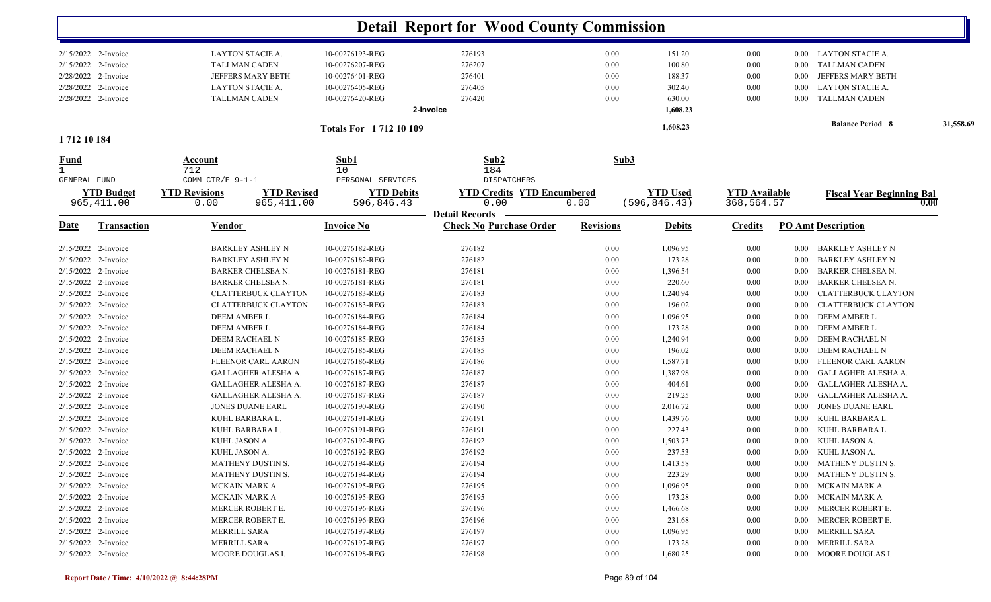|                     |                                  |                                                                  |                                 | <b>Detail Report for Wood County Commission</b>         |                  |                                  |                                    |          |                                          |           |
|---------------------|----------------------------------|------------------------------------------------------------------|---------------------------------|---------------------------------------------------------|------------------|----------------------------------|------------------------------------|----------|------------------------------------------|-----------|
|                     | 2/15/2022 2-Invoice              | LAYTON STACIE A.                                                 | 10-00276193-REG                 | 276193                                                  | 0.00             | 151.20                           | $0.00\,$                           |          | 0.00 LAYTON STACIE A.                    |           |
| 2/15/2022 2-Invoice |                                  | <b>TALLMAN CADEN</b>                                             | 10-00276207-REG                 | 276207                                                  | 0.00             | 100.80                           | 0.00                               | $0.00\,$ | <b>TALLMAN CADEN</b>                     |           |
|                     | 2/28/2022 2-Invoice              | JEFFERS MARY BETH                                                | 10-00276401-REG                 | 276401                                                  | 0.00             | 188.37                           | 0.00                               | $0.00\,$ | JEFFERS MARY BETH                        |           |
|                     | 2/28/2022 2-Invoice              | LAYTON STACIE A.                                                 | 10-00276405-REG                 | 276405                                                  | 0.00             | 302.40                           | 0.00                               | $0.00\,$ | <b>LAYTON STACIE A.</b>                  |           |
|                     | 2/28/2022 2-Invoice              | <b>TALLMAN CADEN</b>                                             | 10-00276420-REG                 | 276420                                                  | 0.00             | 630.00                           | 0.00                               | $0.00\,$ | <b>TALLMAN CADEN</b>                     |           |
|                     |                                  |                                                                  |                                 | 2-Invoice                                               |                  | 1,608.23                         |                                    |          |                                          |           |
| 1712 10 184         |                                  |                                                                  | Totals For 1712 10 109          |                                                         |                  | 1,608.23                         |                                    |          | <b>Balance Period 8</b>                  | 31,558.69 |
| <b>Fund</b>         |                                  | Account                                                          | Sub1                            | Sub2                                                    | Sub3             |                                  |                                    |          |                                          |           |
| GENERAL FUND        |                                  | 712<br>COMM CTR/E 9-1-1                                          | 10<br>PERSONAL SERVICES         | 184<br><b>DISPATCHERS</b>                               |                  |                                  |                                    |          |                                          |           |
|                     | <b>YTD Budget</b><br>965, 411.00 | <b>YTD Revised</b><br><b>YTD Revisions</b><br>965,411.00<br>0.00 | <b>YTD Debits</b><br>596,846.43 | <b>YTD Credits YTD Encumbered</b><br>0.00               | 0.00             | <b>YTD Used</b><br>(596, 846.43) | <b>YTD Available</b><br>368,564.57 |          | <b>Fiscal Year Beginning Bal</b><br>0.00 |           |
| <u>Date</u>         | <b>Transaction</b>               | <b>Vendor</b>                                                    | <b>Invoice No</b>               | <b>Detail Records</b><br><b>Check No Purchase Order</b> | <b>Revisions</b> | <b>Debits</b>                    | <b>Credits</b>                     |          | <b>PO Amt Description</b>                |           |
|                     |                                  |                                                                  |                                 |                                                         |                  |                                  |                                    |          |                                          |           |
| 2/15/2022 2-Invoice |                                  | <b>BARKLEY ASHLEY N</b>                                          | 10-00276182-REG                 | 276182                                                  | 0.00             | 1,096.95                         | 0.00                               | $0.00\,$ | <b>BARKLEY ASHLEY N</b>                  |           |
| 2/15/2022 2-Invoice |                                  | <b>BARKLEY ASHLEY N</b>                                          | 10-00276182-REG                 | 276182                                                  | 0.00             | 173.28                           | 0.00                               | $0.00\,$ | <b>BARKLEY ASHLEY N</b>                  |           |
| 2/15/2022 2-Invoice |                                  | <b>BARKER CHELSEA N.</b>                                         | 10-00276181-REG                 | 276181                                                  | 0.00             | 1,396.54                         | 0.00                               | $0.00\,$ | <b>BARKER CHELSEA N.</b>                 |           |
|                     | 2/15/2022 2-Invoice              | <b>BARKER CHELSEA N.</b>                                         | 10-00276181-REG                 | 276181                                                  | 0.00             | 220.60                           | 0.00                               | $0.00\,$ | <b>BARKER CHELSEA N.</b>                 |           |
| 2/15/2022 2-Invoice |                                  | <b>CLATTERBUCK CLAYTON</b>                                       | 10-00276183-REG                 | 276183                                                  | 0.00             | 1,240.94                         | 0.00                               | 0.00     | <b>CLATTERBUCK CLAYTON</b>               |           |
|                     | 2/15/2022 2-Invoice              | <b>CLATTERBUCK CLAYTON</b>                                       | 10-00276183-REG                 | 276183                                                  | 0.00             | 196.02                           | 0.00                               | $0.00\,$ | <b>CLATTERBUCK CLAYTON</b>               |           |
|                     | 2/15/2022 2-Invoice              | DEEM AMBER L                                                     | 10-00276184-REG                 | 276184                                                  | 0.00             | 1,096.95                         | 0.00                               | $0.00\,$ | <b>DEEM AMBER L</b>                      |           |
|                     | 2/15/2022 2-Invoice              | DEEM AMBER L                                                     | 10-00276184-REG                 | 276184                                                  | 0.00             | 173.28                           | 0.00                               | $0.00\,$ | <b>DEEM AMBER L</b>                      |           |
|                     | 2/15/2022 2-Invoice              | DEEM RACHAEL N                                                   | 10-00276185-REG                 | 276185                                                  | 0.00             | 1,240.94                         | 0.00                               | $0.00\,$ | DEEM RACHAEL N                           |           |
|                     | 2/15/2022 2-Invoice              | DEEM RACHAEL N                                                   | 10-00276185-REG                 | 276185                                                  | 0.00             | 196.02                           | 0.00                               | $0.00\,$ | DEEM RACHAEL N                           |           |
|                     | 2/15/2022 2-Invoice              | FLEENOR CARL AARON                                               | 10-00276186-REG                 | 276186                                                  | 0.00             | 1,587.71                         | 0.00                               | $0.00\,$ | FLEENOR CARL AARON                       |           |
|                     | 2/15/2022 2-Invoice              | GALLAGHER ALESHA A.                                              | 10-00276187-REG                 | 276187                                                  | 0.00             | 1,387.98                         | 0.00                               | 0.00     | GALLAGHER ALESHA A.                      |           |
|                     | 2/15/2022 2-Invoice              | GALLAGHER ALESHA A.                                              | 10-00276187-REG                 | 276187                                                  | 0.00             | 404.61                           | 0.00                               | 0.00     | GALLAGHER ALESHA A.                      |           |
| 2/15/2022 2-Invoice |                                  | GALLAGHER ALESHA A.                                              | 10-00276187-REG                 | 276187                                                  | 0.00             | 219.25                           | 0.00                               | 0.00     | GALLAGHER ALESHA A.                      |           |
| 2/15/2022 2-Invoice |                                  | <b>JONES DUANE EARL</b>                                          | 10-00276190-REG                 | 276190                                                  | 0.00             | 2,016.72                         | 0.00                               | $0.00\,$ | <b>JONES DUANE EARL</b>                  |           |
| 2/15/2022 2-Invoice |                                  | KUHL BARBARA L.                                                  | 10-00276191-REG                 | 276191                                                  | 0.00             | 1,439.76                         | 0.00                               | $0.00\,$ | KUHL BARBARA L.                          |           |
| 2/15/2022 2-Invoice |                                  | KUHL BARBARA L.                                                  | 10-00276191-REG                 | 276191                                                  | 0.00             | 227.43                           | 0.00                               | 0.00     | KUHL BARBARA L.                          |           |
| 2/15/2022 2-Invoice |                                  | KUHL JASON A.                                                    | 10-00276192-REG                 | 276192                                                  | 0.00             | 1,503.73                         | 0.00                               | $0.00\,$ | KUHL JASON A.                            |           |
|                     | 2/15/2022 2-Invoice              | KUHL JASON A.                                                    | 10-00276192-REG                 | 276192                                                  | $0.00\,$         | 237.53                           | 0.00                               |          | 0.00 KUHL JASON A.                       |           |
|                     | $2/15/2022$ 2-Invoice            | <b>MATHENY DUSTIN S.</b>                                         | 10-00276194-REG                 | 276194                                                  | 0.00             | 1,413.58                         | $0.00\,$                           |          | 0.00 MATHENY DUSTIN S.                   |           |
| 2/15/2022 2-Invoice |                                  | MATHENY DUSTIN S.                                                | 10-00276194-REG                 | 276194                                                  | 0.00             | 223.29                           | 0.00                               |          | 0.00 MATHENY DUSTIN S.                   |           |
| 2/15/2022 2-Invoice |                                  | MCKAIN MARK A                                                    | 10-00276195-REG                 | 276195                                                  | 0.00             | 1,096.95                         | $0.00\,$                           |          | 0.00 MCKAIN MARK A                       |           |
|                     | 2/15/2022 2-Invoice              | MCKAIN MARK A                                                    | 10-00276195-REG                 | 276195                                                  | 0.00             | 173.28                           | $0.00\,$                           |          | 0.00 MCKAIN MARK A                       |           |
|                     | 2/15/2022 2-Invoice              | MERCER ROBERT E.                                                 | 10-00276196-REG                 | 276196                                                  | $0.00\,$         | 1,466.68                         | 0.00                               | $0.00\,$ | MERCER ROBERT E.                         |           |
|                     | 2/15/2022 2-Invoice              | MERCER ROBERT E.                                                 | 10-00276196-REG                 | 276196                                                  | $0.00\,$         | 231.68                           | 0.00                               | $0.00\,$ | MERCER ROBERT E.                         |           |
|                     | 2/15/2022 2-Invoice              | MERRILL SARA                                                     | 10-00276197-REG                 | 276197                                                  | $0.00\,$         | 1,096.95                         | 0.00                               | $0.00\,$ | MERRILL SARA                             |           |
|                     | $2/15/2022$ 2-Invoice            | MERRILL SARA                                                     | 10-00276197-REG                 | 276197                                                  | $0.00\,$         | 173.28                           | 0.00                               |          | 0.00 MERRILL SARA                        |           |
|                     | 2/15/2022 2-Invoice              | MOORE DOUGLAS I.                                                 | 10-00276198-REG                 | 276198                                                  | $0.00\,$         | 1,680.25                         | $0.00\,$                           |          | 0.00 MOORE DOUGLAS I.                    |           |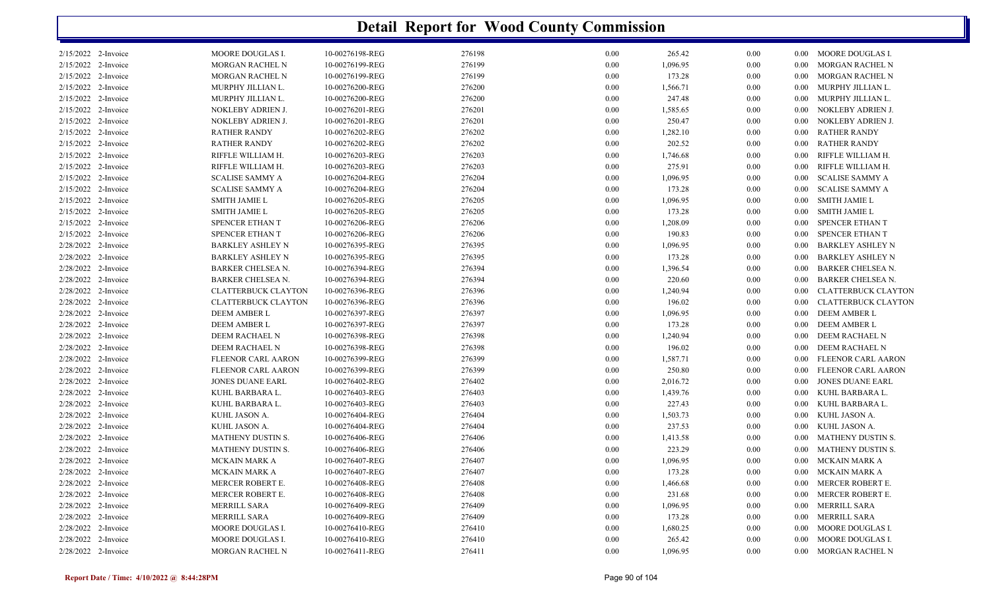|                        |                            |                 | <b>Detail Report for Wood County Commission</b> |          |          |          |          |                            |
|------------------------|----------------------------|-----------------|-------------------------------------------------|----------|----------|----------|----------|----------------------------|
| $2/15/2022$ 2-Invoice  | MOORE DOUGLAS I.           | 10-00276198-REG | 276198                                          | $0.00\,$ | 265.42   | 0.00     | $0.00\,$ | MOORE DOUGLAS I.           |
| 2/15/2022 2-Invoice    | MORGAN RACHEL N            | 10-00276199-REG | 276199                                          | 0.00     | 1,096.95 | 0.00     | $0.00\,$ | MORGAN RACHEL N            |
| 2/15/2022 2-Invoice    | MORGAN RACHEL N            | 10-00276199-REG | 276199                                          | 0.00     | 173.28   | 0.00     | 0.00     | <b>MORGAN RACHEL N</b>     |
| 2/15/2022 2-Invoice    | MURPHY JILLIAN L.          | 10-00276200-REG | 276200                                          | $0.00\,$ | 1,566.71 | 0.00     | 0.00     | MURPHY JILLIAN L.          |
| 2/15/2022 2-Invoice    | MURPHY JILLIAN L.          | 10-00276200-REG | 276200                                          | 0.00     | 247.48   | 0.00     | 0.00     | MURPHY JILLIAN L.          |
| 2/15/2022 2-Invoice    | NOKLEBY ADRIEN J.          | 10-00276201-REG | 276201                                          | $0.00\,$ | 1,585.65 | $0.00\,$ | 0.00     | NOKLEBY ADRIEN J.          |
| 2/15/2022 2-Invoice    | NOKLEBY ADRIEN J.          | 10-00276201-REG | 276201                                          | $0.00\,$ | 250.47   | 0.00     | 0.00     | NOKLEBY ADRIEN J.          |
| 2/15/2022 2-Invoice    | <b>RATHER RANDY</b>        | 10-00276202-REG | 276202                                          | 0.00     | 1,282.10 | 0.00     | 0.00     | <b>RATHER RANDY</b>        |
| 2/15/2022 2-Invoice    | <b>RATHER RANDY</b>        | 10-00276202-REG | 276202                                          | 0.00     | 202.52   | 0.00     | 0.00     | <b>RATHER RANDY</b>        |
| 2/15/2022 2-Invoice    | RIFFLE WILLIAM H.          | 10-00276203-REG | 276203                                          | $0.00\,$ | 1,746.68 | 0.00     | 0.00     | RIFFLE WILLIAM H.          |
| 2/15/2022 2-Invoice    | RIFFLE WILLIAM H.          | 10-00276203-REG | 276203                                          | 0.00     | 275.91   | 0.00     | 0.00     | RIFFLE WILLIAM H.          |
| 2/15/2022 2-Invoice    | <b>SCALISE SAMMY A</b>     | 10-00276204-REG | 276204                                          | 0.00     | 1,096.95 | 0.00     | 0.00     | <b>SCALISE SAMMY A</b>     |
| 2/15/2022<br>2-Invoice | <b>SCALISE SAMMY A</b>     | 10-00276204-REG | 276204                                          | $0.00\,$ | 173.28   | 0.00     | $0.00\,$ | <b>SCALISE SAMMY A</b>     |
| 2/15/2022 2-Invoice    | <b>SMITH JAMIE L</b>       | 10-00276205-REG | 276205                                          | 0.00     | 1,096.95 | 0.00     | $0.00\,$ | <b>SMITH JAMIE L</b>       |
| 2/15/2022 2-Invoice    | <b>SMITH JAMIE L</b>       | 10-00276205-REG | 276205                                          | 0.00     | 173.28   | 0.00     | 0.00     | <b>SMITH JAMIE L</b>       |
| 2/15/2022 2-Invoice    | SPENCER ETHAN T            | 10-00276206-REG | 276206                                          | $0.00\,$ | 1,208.09 | 0.00     | $0.00\,$ | SPENCER ETHAN T            |
| 2/15/2022 2-Invoice    | SPENCER ETHAN T            | 10-00276206-REG | 276206                                          | 0.00     | 190.83   | 0.00     | 0.00     | SPENCER ETHAN T            |
| 2/28/2022 2-Invoice    | <b>BARKLEY ASHLEY N</b>    | 10-00276395-REG | 276395                                          | $0.00\,$ | 1,096.95 | $0.00\,$ | 0.00     | <b>BARKLEY ASHLEY N</b>    |
| 2/28/2022 2-Invoice    | <b>BARKLEY ASHLEY N</b>    | 10-00276395-REG | 276395                                          | 0.00     | 173.28   | $0.00\,$ | 0.00     | <b>BARKLEY ASHLEY N</b>    |
| 2/28/2022 2-Invoice    | BARKER CHELSEA N.          | 10-00276394-REG | 276394                                          | 0.00     | 1,396.54 | 0.00     | 0.00     | <b>BARKER CHELSEA N.</b>   |
| 2/28/2022 2-Invoice    | BARKER CHELSEA N.          | 10-00276394-REG | 276394                                          | 0.00     | 220.60   | $0.00\,$ | 0.00     | <b>BARKER CHELSEA N.</b>   |
| 2/28/2022 2-Invoice    | <b>CLATTERBUCK CLAYTON</b> | 10-00276396-REG | 276396                                          | $0.00\,$ | 1,240.94 | $0.00\,$ | 0.00     | <b>CLATTERBUCK CLAYTON</b> |
| 2/28/2022 2-Invoice    | <b>CLATTERBUCK CLAYTON</b> | 10-00276396-REG | 276396                                          | 0.00     | 196.02   | 0.00     | 0.00     | <b>CLATTERBUCK CLAYTON</b> |
| 2/28/2022 2-Invoice    | <b>DEEM AMBER L</b>        | 10-00276397-REG | 276397                                          | 0.00     | 1,096.95 | $0.00\,$ | 0.00     | <b>DEEM AMBER L</b>        |
| 2/28/2022 2-Invoice    | DEEM AMBER L               | 10-00276397-REG | 276397                                          | $0.00\,$ | 173.28   | 0.00     | $0.00\,$ | DEEM AMBER L               |
| 2/28/2022 2-Invoice    | DEEM RACHAEL N             | 10-00276398-REG | 276398                                          | 0.00     | 1,240.94 | 0.00     | 0.00     | DEEM RACHAEL N             |
| 2/28/2022 2-Invoice    | DEEM RACHAEL N             | 10-00276398-REG | 276398                                          | $0.00\,$ | 196.02   | 0.00     | 0.00     | DEEM RACHAEL N             |
| 2/28/2022 2-Invoice    | FLEENOR CARL AARON         | 10-00276399-REG | 276399                                          | $0.00\,$ | 1,587.71 | 0.00     | 0.00     | FLEENOR CARL AARON         |
| 2/28/2022 2-Invoice    | FLEENOR CARL AARON         | 10-00276399-REG | 276399                                          | 0.00     | 250.80   | 0.00     | 0.00     | FLEENOR CARL AARON         |
| 2/28/2022 2-Invoice    | <b>JONES DUANE EARL</b>    | 10-00276402-REG | 276402                                          | 0.00     | 2,016.72 | $0.00\,$ | 0.00     | JONES DUANE EARL           |
| 2/28/2022 2-Invoice    | KUHL BARBARA L.            | 10-00276403-REG | 276403                                          | $0.00\,$ | 1,439.76 | 0.00     | 0.00     | KUHL BARBARA L.            |
| 2/28/2022 2-Invoice    | KUHL BARBARA L.            | 10-00276403-REG | 276403                                          | 0.00     | 227.43   | 0.00     | 0.00     | KUHL BARBARA L.            |
| 2/28/2022 2-Invoice    | KUHL JASON A.              | 10-00276404-REG | 276404                                          | 0.00     | 1,503.73 | 0.00     | 0.00     | KUHL JASON A.              |
| 2/28/2022 2-Invoice    | KUHL JASON A.              | 10-00276404-REG | 276404                                          | $0.00\,$ | 237.53   | 0.00     | 0.00     | KUHL JASON A.              |
| 2/28/2022 2-Invoice    | <b>MATHENY DUSTIN S.</b>   | 10-00276406-REG | 276406                                          | 0.00     | 1,413.58 | 0.00     | 0.00     | MATHENY DUSTIN S.          |
| 2/28/2022 2-Invoice    | <b>MATHENY DUSTIN S.</b>   | 10-00276406-REG | 276406                                          | 0.00     | 223.29   | 0.00     | $0.00\,$ | <b>MATHENY DUSTIN S.</b>   |
| $2/28/2022$ 2-Invoice  | MCKAIN MARK A              | 10-00276407-REG | 276407                                          | $0.00\,$ | 1,096.95 | $0.00\,$ |          | 0.00 MCKAIN MARK A         |
| 2/28/2022 2-Invoice    | MCKAIN MARK A              | 10-00276407-REG | 276407                                          | $0.00\,$ | 173.28   | 0.00     | $0.00\,$ | MCKAIN MARK A              |
| 2/28/2022 2-Invoice    | MERCER ROBERT E.           |                 |                                                 |          |          |          |          | MERCER ROBERT E.           |
|                        |                            | 10-00276408-REG | 276408                                          | $0.00\,$ | 1,466.68 | 0.00     | $0.00\,$ |                            |
| $2/28/2022$ 2-Invoice  | MERCER ROBERT E.           | 10-00276408-REG | 276408                                          | $0.00\,$ | 231.68   | 0.00     | $0.00\,$ | MERCER ROBERT E.           |
| 2/28/2022 2-Invoice    | MERRILL SARA               | 10-00276409-REG | 276409                                          | $0.00\,$ | 1,096.95 | 0.00     | $0.00\,$ | MERRILL SARA               |
| $2/28/2022$ 2-Invoice  | MERRILL SARA               | 10-00276409-REG | 276409                                          | $0.00\,$ | 173.28   | 0.00     | $0.00\,$ | MERRILL SARA               |
| 2/28/2022 2-Invoice    | MOORE DOUGLAS I.           | 10-00276410-REG | 276410                                          | $0.00\,$ | 1,680.25 | 0.00     | 0.00     | MOORE DOUGLAS I.           |
| 2/28/2022 2-Invoice    | MOORE DOUGLAS I.           | 10-00276410-REG | 276410                                          | $0.00\,$ | 265.42   | 0.00     | $0.00\,$ | MOORE DOUGLAS I.           |
| 2/28/2022 2-Invoice    | MORGAN RACHEL N            | 10-00276411-REG | 276411                                          | $0.00\,$ | 1,096.95 | 0.00     |          | 0.00 MORGAN RACHEL N       |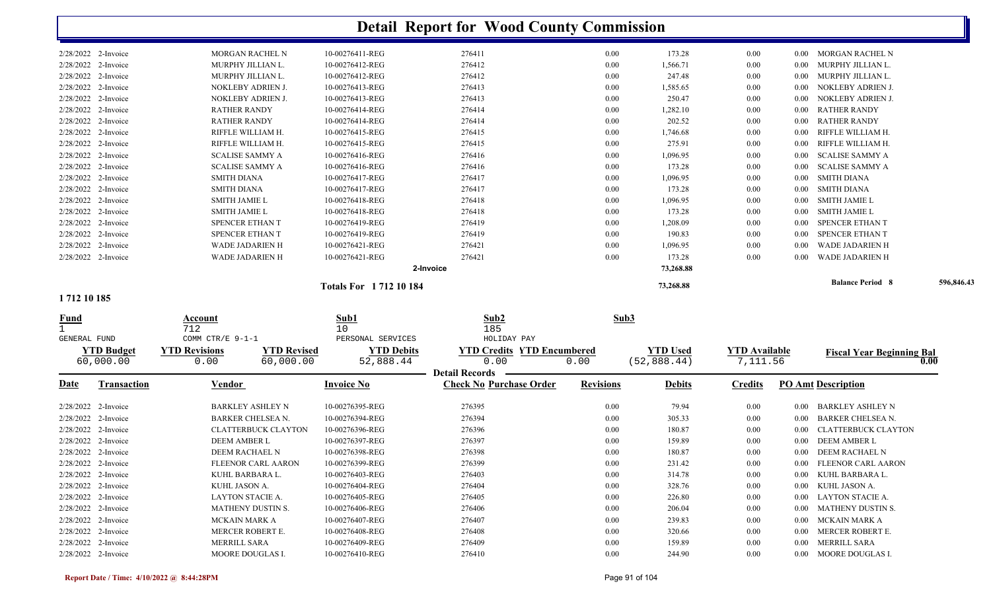|              |                     |                            |                    |                             | <b>Detail Report for Wood County Commission</b>         |                  |                 |                      |          |                                  |            |
|--------------|---------------------|----------------------------|--------------------|-----------------------------|---------------------------------------------------------|------------------|-----------------|----------------------|----------|----------------------------------|------------|
|              | 2/28/2022 2-Invoice | <b>MORGAN RACHEL N</b>     |                    | 10-00276411-REG             | 276411                                                  | 0.00             | 173.28          | 0.00                 | $0.00\,$ | MORGAN RACHEL N                  |            |
|              | 2/28/2022 2-Invoice | MURPHY JILLIAN L.          |                    | 10-00276412-REG             | 276412                                                  | 0.00             | 1,566.71        | 0.00                 | $0.00\,$ | MURPHY JILLIAN L.                |            |
|              | 2/28/2022 2-Invoice | MURPHY JILLIAN L.          |                    | 10-00276412-REG             | 276412                                                  | 0.00             | 247.48          | 0.00                 | $0.00\,$ | MURPHY JILLIAN L.                |            |
|              | 2/28/2022 2-Invoice | NOKLEBY ADRIEN J.          |                    | 10-00276413-REG             | 276413                                                  | $0.00\,$         | 1,585.65        | 0.00                 | 0.00     | NOKLEBY ADRIEN J.                |            |
|              | 2/28/2022 2-Invoice | NOKLEBY ADRIEN J.          |                    | 10-00276413-REG             | 276413                                                  | 0.00             | 250.47          | 0.00                 | 0.00     | NOKLEBY ADRIEN J.                |            |
|              | 2/28/2022 2-Invoice | <b>RATHER RANDY</b>        |                    | 10-00276414-REG             | 276414                                                  | 0.00             | 1,282.10        | 0.00                 | 0.00     | <b>RATHER RANDY</b>              |            |
|              | 2/28/2022 2-Invoice | <b>RATHER RANDY</b>        |                    | 10-00276414-REG             | 276414                                                  | $0.00\,$         | 202.52          | 0.00                 | 0.00     | <b>RATHER RANDY</b>              |            |
|              | 2/28/2022 2-Invoice | RIFFLE WILLIAM H.          |                    | 10-00276415-REG             | 276415                                                  | 0.00             | 1,746.68        | 0.00                 | 0.00     | RIFFLE WILLIAM H.                |            |
|              | 2/28/2022 2-Invoice | RIFFLE WILLIAM H.          |                    | 10-00276415-REG             | 276415                                                  | 0.00             | 275.91          | 0.00                 | 0.00     | RIFFLE WILLIAM H                 |            |
|              | 2/28/2022 2-Invoice | <b>SCALISE SAMMY A</b>     |                    | 10-00276416-REG             | 276416                                                  | 0.00             | 1,096.95        | 0.00                 | $0.00\,$ | <b>SCALISE SAMMY A</b>           |            |
|              | 2/28/2022 2-Invoice | <b>SCALISE SAMMY A</b>     |                    | 10-00276416-REG             | 276416                                                  | 0.00             | 173.28          | 0.00                 | $0.00\,$ | <b>SCALISE SAMMY A</b>           |            |
|              | 2/28/2022 2-Invoice | <b>SMITH DIANA</b>         |                    | 10-00276417-REG             | 276417                                                  | $0.00\,$         | 1,096.95        | 0.00                 | $0.00\,$ | <b>SMITH DIANA</b>               |            |
|              | 2/28/2022 2-Invoice | <b>SMITH DIANA</b>         |                    | 10-00276417-REG             | 276417                                                  | $0.00\,$         | 173.28          | 0.00                 | $0.00\,$ | <b>SMITH DIANA</b>               |            |
|              | 2/28/2022 2-Invoice | <b>SMITH JAMIE L</b>       |                    | 10-00276418-REG             | 276418                                                  | 0.00             | 1,096.95        | 0.00                 | $0.00\,$ | <b>SMITH JAMIE L</b>             |            |
|              | 2/28/2022 2-Invoice | <b>SMITH JAMIE L</b>       |                    | 10-00276418-REG             | 276418                                                  | $0.00\,$         | 173.28          | 0.00                 | $0.00\,$ | SMITH JAMIE L                    |            |
|              | 2/28/2022 2-Invoice | <b>SPENCER ETHAN T</b>     |                    | 10-00276419-REG             | 276419                                                  | $0.00\,$         | 1,208.09        | 0.00                 | $0.00\,$ | SPENCER ETHAN T                  |            |
|              | 2/28/2022 2-Invoice | SPENCER ETHAN T            |                    | 10-00276419-REG             | 276419                                                  | 0.00             | 190.83          | 0.00                 | 0.00     | SPENCER ETHAN T                  |            |
|              | 2/28/2022 2-Invoice | WADE JADARIEN H            |                    | 10-00276421-REG             | 276421                                                  | 0.00             | 1,096.95        | 0.00                 | 0.00     | <b>WADE JADARIEN H</b>           |            |
|              | 2/28/2022 2-Invoice | WADE JADARIEN H            |                    | 10-00276421-REG             | 276421                                                  | $0.00\,$         | 173.28          | 0.00                 | 0.00     | <b>WADE JADARIEN H</b>           |            |
|              |                     |                            |                    |                             | 2-Invoice                                               |                  | 73,268.88       |                      |          |                                  |            |
|              |                     |                            |                    | <b>Totals For 171210184</b> |                                                         |                  | 73,268.88       |                      |          | <b>Balance Period 8</b>          | 596,846.43 |
| 1712 10 185  |                     |                            |                    |                             |                                                         |                  |                 |                      |          |                                  |            |
| <u>Fund</u>  |                     | Account<br>712             |                    | Sub1<br>10                  | Sub2<br>185                                             | Sub3             |                 |                      |          |                                  |            |
| GENERAL FUND |                     | COMM CTR/E 9-1-1           |                    | PERSONAL SERVICES           | HOLIDAY PAY                                             |                  |                 |                      |          |                                  |            |
|              | <b>YTD Budget</b>   | <b>YTD Revisions</b>       | <b>YTD Revised</b> | <b>YTD Debits</b>           | <b>YTD Credits YTD Encumbered</b>                       |                  | <b>YTD Used</b> | <b>YTD Available</b> |          | <b>Fiscal Year Beginning Bal</b> |            |
|              | 60,000.00           | 0.00                       | 60,000.00          | 52,888.44                   | 0.00                                                    | 0.00             | (52, 888.44)    | 7,111.56             |          |                                  | 0.00       |
| Date         | <b>Transaction</b>  | <u>Vendor</u>              |                    | <b>Invoice No</b>           | <b>Detail Records</b><br><b>Check No Purchase Order</b> | <b>Revisions</b> | <b>Debits</b>   | <b>Credits</b>       |          | <b>PO Amt Description</b>        |            |
|              | 2/28/2022 2-Invoice | <b>BARKLEY ASHLEY N</b>    |                    | 10-00276395-REG             | 276395                                                  | 0.00             | 79.94           | 0.00                 | $0.00\,$ | <b>BARKLEY ASHLEY N</b>          |            |
|              | 2/28/2022 2-Invoice | <b>BARKER CHELSEA N.</b>   |                    | 10-00276394-REG             | 276394                                                  | 0.00             | 305.33          | 0.00                 | 0.00     | <b>BARKER CHELSEA N.</b>         |            |
|              | 2/28/2022 2-Invoice | <b>CLATTERBUCK CLAYTON</b> |                    | 10-00276396-REG             | 276396                                                  | $0.00\,$         | 180.87          | 0.00                 | $0.00\,$ | CLATTERBUCK CLAYTON              |            |
|              | 2/28/2022 2-Invoice | DEEM AMBER L               |                    | 10-00276397-REG             | 276397                                                  | 0.00             | 159.89          | 0.00                 | $0.00\,$ | <b>DEEM AMBER L</b>              |            |
|              | 2/28/2022 2-Invoice | DEEM RACHAEL N             |                    | 10-00276398-REG             | 276398                                                  | $0.00\,$         | 180.87          | $0.00\,$             |          | 0.00 DEEM RACHAEL N              |            |
|              | 2/28/2022 2-Invoice | FLEENOR CARL AARON         |                    | 10-00276399-REG             | 276399                                                  | $0.00\,$         | 231.42          | 0.00                 |          | 0.00 FLEENOR CARL AARON          |            |
|              | 2/28/2022 2-Invoice | KUHL BARBARA L.            |                    | 10-00276403-REG             | 276403                                                  | $0.00\,$         | 314.78          | 0.00                 |          | 0.00 KUHL BARBARA L.             |            |
|              | 2/28/2022 2-Invoice | KUHL JASON A.              |                    | 10-00276404-REG             | 276404                                                  | $0.00\,$         | 328.76          | 0.00                 |          | 0.00 KUHL JASON A.               |            |
|              | 2/28/2022 2-Invoice | LAYTON STACIE A.           |                    | 10-00276405-REG             | 276405                                                  | $0.00\,$         | 226.80          | $0.00\,$             |          | 0.00 LAYTON STACIE A.            |            |
|              | 2/28/2022 2-Invoice | MATHENY DUSTIN S.          |                    | 10-00276406-REG             | 276406                                                  | $0.00\,$         | 206.04          | $0.00\,$             |          | 0.00 MATHENY DUSTIN S.           |            |
|              | 2/28/2022 2-Invoice | <b>MCKAIN MARK A</b>       |                    | 10-00276407-REG             | 276407                                                  | $0.00\,$         | 239.83          | 0.00                 |          | 0.00 MCKAIN MARK A               |            |
|              | 2/28/2022 2-Invoice | MERCER ROBERT E.           |                    | 10-00276408-REG             | 276408                                                  | $0.00\,$         | 320.66          | $0.00\,$             |          | 0.00 MERCER ROBERT E.            |            |
|              | 2/28/2022 2-Invoice | MERRILL SARA               |                    | 10-00276409-REG             | 276409                                                  | $0.00\,$         | 159.89          | $0.00\,$             |          | 0.00 MERRILL SARA                |            |
|              | 2/28/2022 2-Invoice | MOORE DOUGLAS I.           |                    | 10-00276410-REG             | 276410                                                  | 0.00             | 244.90          | 0.00                 |          | 0.00 MOORE DOUGLAS I.            |            |
|              |                     |                            |                    |                             |                                                         |                  |                 |                      |          |                                  |            |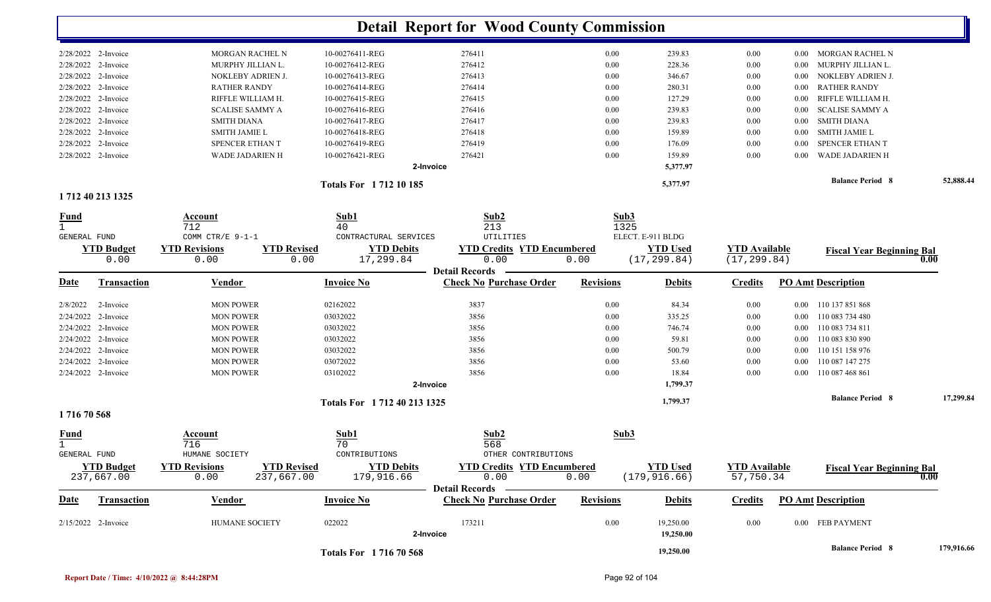|                                            |                                                                  |                                        | <b>Detail Report for Wood County Commission</b> |                  |                                  |                                      |          |                                              |           |
|--------------------------------------------|------------------------------------------------------------------|----------------------------------------|-------------------------------------------------|------------------|----------------------------------|--------------------------------------|----------|----------------------------------------------|-----------|
| 2/28/2022 2-Invoice                        | MORGAN RACHEL N                                                  | 10-00276411-REG                        | 276411                                          | 0.00             | 239.83                           | 0.00                                 |          | 0.00 MORGAN RACHEL N                         |           |
| 2/28/2022 2-Invoice                        | MURPHY JILLIAN L.                                                | 10-00276412-REG                        | 276412                                          | 0.00             | 228.36                           | 0.00                                 | $0.00\,$ | MURPHY JILLIAN L.                            |           |
| 2/28/2022 2-Invoice                        | NOKLEBY ADRIEN J.                                                | 10-00276413-REG                        | 276413                                          | 0.00             | 346.67                           | 0.00                                 | $0.00\,$ | NOKLEBY ADRIEN J.                            |           |
| 2/28/2022 2-Invoice                        | <b>RATHER RANDY</b>                                              | 10-00276414-REG                        | 276414                                          | 0.00             | 280.31                           | 0.00                                 | $0.00\,$ | <b>RATHER RANDY</b>                          |           |
| 2/28/2022 2-Invoice                        | RIFFLE WILLIAM H.                                                | 10-00276415-REG                        | 276415                                          | 0.00             | 127.29                           | 0.00                                 | $0.00\,$ | RIFFLE WILLIAM H.                            |           |
| 2/28/2022 2-Invoice                        | <b>SCALISE SAMMY A</b>                                           | 10-00276416-REG                        | 276416                                          | 0.00             | 239.83                           | 0.00                                 | $0.00\,$ | <b>SCALISE SAMMY A</b>                       |           |
| 2/28/2022 2-Invoice                        | <b>SMITH DIANA</b>                                               | 10-00276417-REG                        | 276417                                          | 0.00             | 239.83                           | 0.00                                 | $0.00\,$ | <b>SMITH DIANA</b>                           |           |
| 2/28/2022 2-Invoice                        | <b>SMITH JAMIE L</b>                                             | 10-00276418-REG                        | 276418                                          | 0.00             | 159.89                           | 0.00                                 | $0.00\,$ | <b>SMITH JAMIE L</b>                         |           |
| 2/28/2022 2-Invoice                        | SPENCER ETHAN T                                                  | 10-00276419-REG                        | 276419                                          | 0.00             | 176.09                           | 0.00                                 | $0.00\,$ | SPENCER ETHAN T                              |           |
| 2/28/2022 2-Invoice                        | WADE JADARIEN H                                                  | 10-00276421-REG                        | 276421                                          | 0.00             | 159.89                           | 0.00                                 | 0.00     | WADE JADARIEN H                              |           |
|                                            |                                                                  |                                        | 2-Invoice                                       |                  | 5,377.97                         |                                      |          |                                              |           |
|                                            |                                                                  | <b>Totals For 171210185</b>            |                                                 |                  | 5,377.97                         |                                      |          | <b>Balance Period 8</b>                      | 52,888.44 |
| 1712 40 213 1325                           |                                                                  |                                        |                                                 |                  |                                  |                                      |          |                                              |           |
| <b>Fund</b>                                | Account                                                          | Sub1                                   | Sub2                                            | Sub3             |                                  |                                      |          |                                              |           |
|                                            | 712<br>COMM CTR/E 9-1-1                                          | 40<br>CONTRACTURAL SERVICES            | 213<br>UTILITIES                                | 1325             |                                  |                                      |          |                                              |           |
| GENERAL FUND                               |                                                                  |                                        |                                                 |                  | ELECT. E-911 BLDG                |                                      |          |                                              |           |
| <b>YTD Budget</b><br>0.00                  | <b>YTD Revisions</b><br><b>YTD Revised</b><br>0.00               | <b>YTD Debits</b><br>0.00<br>17,299.84 | <b>YTD Credits YTD Encumbered</b><br>0.00       | 0.00             | <b>YTD Used</b><br>(17, 299.84)  | <b>YTD Available</b><br>(17, 299.84) |          | <b>Fiscal Year Beginning Bal</b>             | 0.00      |
|                                            |                                                                  |                                        | <b>Detail Records</b>                           |                  |                                  |                                      |          |                                              |           |
| Date<br><b>Transaction</b>                 | <u>Vendor</u>                                                    | <b>Invoice No</b>                      | <b>Check No Purchase Order</b>                  | <b>Revisions</b> | <b>Debits</b>                    | <b>Credits</b>                       |          | <b>PO Amt Description</b>                    |           |
| 2/8/2022                                   |                                                                  |                                        |                                                 | 0.00             |                                  |                                      |          |                                              |           |
| 2-Invoice                                  | <b>MON POWER</b>                                                 | 02162022                               | 3837                                            |                  | 84.34                            | 0.00                                 |          | 0.00 110 137 851 868                         |           |
| 2/24/2022 2-Invoice<br>2/24/2022 2-Invoice | <b>MON POWER</b>                                                 | 03032022<br>03032022                   | 3856<br>3856                                    | 0.00<br>0.00     | 335.25<br>746.74                 | 0.00                                 |          | 0.00 110 083 734 480<br>0.00 110 083 734 811 |           |
| 2/24/2022 2-Invoice                        | <b>MON POWER</b><br><b>MON POWER</b>                             | 03032022                               | 3856                                            | 0.00             | 59.81                            | 0.00<br>0.00                         |          | 0.00 110 083 830 890                         |           |
| 2/24/2022 2-Invoice                        | <b>MON POWER</b>                                                 | 03032022                               | 3856                                            | 0.00             | 500.79                           |                                      | $0.00\,$ | 110 151 158 976                              |           |
| 2/24/2022 2-Invoice                        | <b>MON POWER</b>                                                 | 03072022                               | 3856                                            | 0.00             | 53.60                            | 0.00<br>0.00                         | $0.00\,$ | 110 087 147 275                              |           |
| 2/24/2022 2-Invoice                        | <b>MON POWER</b>                                                 | 03102022                               | 3856                                            | 0.00             | 18.84                            | 0.00                                 |          | 0.00 110 087 468 861                         |           |
|                                            |                                                                  |                                        | 2-Invoice                                       |                  | 1,799.37                         |                                      |          |                                              |           |
|                                            |                                                                  | Totals For 1712 40 213 1325            |                                                 |                  | 1,799.37                         |                                      |          | <b>Balance Period 8</b>                      | 17,299.84 |
| 171670568                                  |                                                                  |                                        |                                                 |                  |                                  |                                      |          |                                              |           |
| Fund                                       | Account                                                          | Sub1                                   | Sub2                                            | Sub3             |                                  |                                      |          |                                              |           |
|                                            | 716                                                              | 70                                     | 568                                             |                  |                                  |                                      |          |                                              |           |
| <b>GENERAL FUND</b>                        | HUMANE SOCIETY                                                   | CONTRIBUTIONS                          | OTHER CONTRIBUTIONS                             |                  |                                  |                                      |          |                                              |           |
| <b>YTD Budget</b><br>237,667.00            | <b>YTD Revisions</b><br><b>YTD Revised</b><br>0.00<br>237,667.00 | <b>YTD Debits</b><br>179,916.66        | <b>YTD Credits YTD Encumbered</b><br>0.00       | 0.00             | <b>YTD Used</b><br>(179, 916.66) | <b>YTD Available</b><br>57,750.34    |          | <b>Fiscal Year Beginning Bal</b>             | 0.00      |
|                                            |                                                                  |                                        | <b>Detail Records</b>                           |                  |                                  |                                      |          |                                              |           |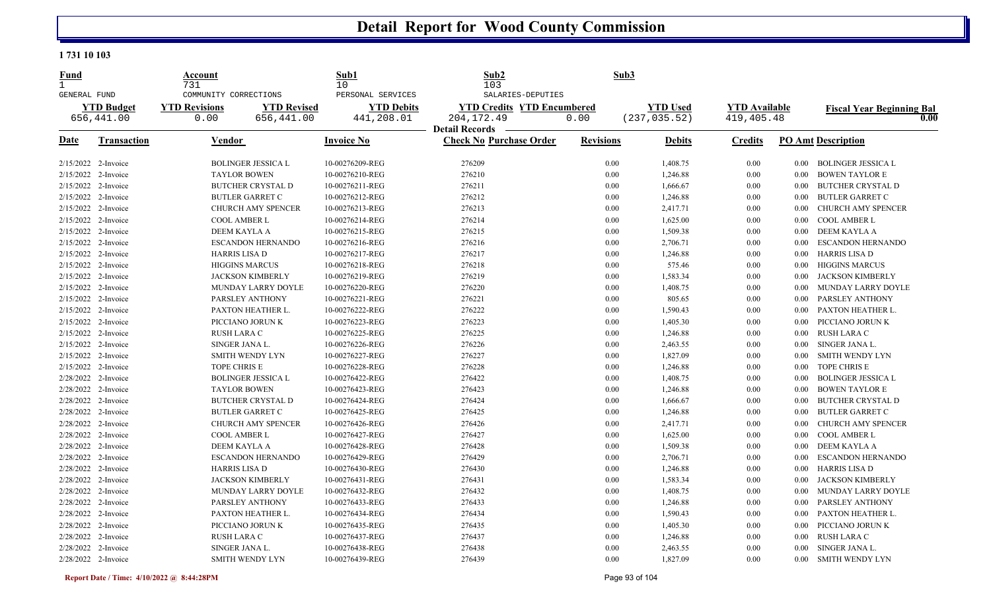### **1 731 10 103**

| <u>Fund</u><br>$\mathbf{1}$<br><b>GENERAL FUND</b> |                       | <u>Account</u><br>731<br>COMMUNITY CORRECTIONS |                           | Sub1<br>10<br>PERSONAL SERVICES | Sub2<br>103<br>SALARIES-DEPUTIES                        | Sub <sub>3</sub> |                 |                      |          |                                  |
|----------------------------------------------------|-----------------------|------------------------------------------------|---------------------------|---------------------------------|---------------------------------------------------------|------------------|-----------------|----------------------|----------|----------------------------------|
|                                                    | <b>YTD Budget</b>     | <b>YTD Revisions</b>                           | <b>YTD Revised</b>        | <b>YTD Debits</b>               | <b>YTD Credits YTD Encumbered</b>                       |                  | <b>YTD Used</b> | <b>YTD Available</b> |          | <b>Fiscal Year Beginning Bal</b> |
|                                                    | 656,441.00            | 0.00                                           | 656,441.00                | 441,208.01                      | 204, 172. 49                                            | 0.00             | (237, 035.52)   | 419, 405. 48         |          | 0.00                             |
| Date                                               | <b>Transaction</b>    | Vendor                                         |                           | <b>Invoice No</b>               | <b>Detail Records</b><br><b>Check No Purchase Order</b> | <b>Revisions</b> | <b>Debits</b>   | <b>Credits</b>       |          | <b>PO Amt Description</b>        |
|                                                    | $2/15/2022$ 2-Invoice |                                                | <b>BOLINGER JESSICA L</b> | 10-00276209-REG                 | 276209                                                  | 0.00             | 1,408.75        | 0.00                 | $0.00\,$ | <b>BOLINGER JESSICA L</b>        |
|                                                    | 2/15/2022 2-Invoice   |                                                | <b>TAYLOR BOWEN</b>       | 10-00276210-REG                 | 276210                                                  | 0.00             | 1,246.88        | 0.00                 | 0.00     | <b>BOWEN TAYLOR E</b>            |
|                                                    | 2/15/2022 2-Invoice   |                                                | <b>BUTCHER CRYSTAL D</b>  | 10-00276211-REG                 | 276211                                                  | 0.00             | 1,666.67        | 0.00                 | 0.00     | <b>BUTCHER CRYSTAL D</b>         |
|                                                    | 2/15/2022 2-Invoice   |                                                | <b>BUTLER GARRET C</b>    | 10-00276212-REG                 | 276212                                                  | 0.00             | 1,246.88        | 0.00                 | 0.00     | <b>BUTLER GARRET C</b>           |
|                                                    | 2/15/2022 2-Invoice   |                                                | CHURCH AMY SPENCER        | 10-00276213-REG                 | 276213                                                  | 0.00             | 2,417.71        | 0.00                 | $0.00\,$ | <b>CHURCH AMY SPENCER</b>        |
|                                                    | 2/15/2022 2-Invoice   | COOL AMBER L                                   |                           | 10-00276214-REG                 | 276214                                                  | 0.00             | 1,625.00        | 0.00                 | $0.00\,$ | COOL AMBER L                     |
|                                                    | 2/15/2022 2-Invoice   |                                                | DEEM KAYLA A              | 10-00276215-REG                 | 276215                                                  | 0.00             | 1,509.38        | 0.00                 | 0.00     | DEEM KAYLA A                     |
|                                                    | 2/15/2022 2-Invoice   |                                                | <b>ESCANDON HERNANDO</b>  | 10-00276216-REG                 | 276216                                                  | 0.00             | 2,706.71        | 0.00                 | 0.00     | <b>ESCANDON HERNANDO</b>         |
|                                                    | 2/15/2022 2-Invoice   | <b>HARRIS LISA D</b>                           |                           | 10-00276217-REG                 | 276217                                                  | 0.00             | 1,246.88        | 0.00                 | 0.00     | <b>HARRIS LISA D</b>             |
|                                                    | 2/15/2022 2-Invoice   |                                                | <b>HIGGINS MARCUS</b>     | 10-00276218-REG                 | 276218                                                  | 0.00             | 575.46          | 0.00                 | 0.00     | <b>HIGGINS MARCUS</b>            |
|                                                    | 2/15/2022 2-Invoice   |                                                | <b>JACKSON KIMBERLY</b>   | 10-00276219-REG                 | 276219                                                  | 0.00             | 1,583.34        | 0.00                 | 0.00     | <b>JACKSON KIMBERLY</b>          |
|                                                    | 2/15/2022 2-Invoice   |                                                | MUNDAY LARRY DOYLE        | 10-00276220-REG                 | 276220                                                  | 0.00             | 1,408.75        | 0.00                 | 0.00     | MUNDAY LARRY DOYLE               |
|                                                    | 2/15/2022 2-Invoice   |                                                | PARSLEY ANTHONY           | 10-00276221-REG                 | 276221                                                  | 0.00             | 805.65          | 0.00                 | 0.00     | PARSLEY ANTHONY                  |
|                                                    | 2/15/2022 2-Invoice   |                                                | PAXTON HEATHER L.         | 10-00276222-REG                 | 276222                                                  | 0.00             | 1,590.43        | 0.00                 | 0.00     | PAXTON HEATHER L.                |
|                                                    | 2/15/2022 2-Invoice   |                                                | PICCIANO JORUN K          | 10-00276223-REG                 | 276223                                                  | 0.00             | 1,405.30        | 0.00                 | 0.00     | PICCIANO JORUN K                 |
|                                                    | 2/15/2022 2-Invoice   | <b>RUSH LARA C</b>                             |                           | 10-00276225-REG                 | 276225                                                  | 0.00             | 1,246.88        | 0.00                 | $0.00\,$ | <b>RUSH LARA C</b>               |
|                                                    | 2/15/2022 2-Invoice   | SINGER JANA L.                                 |                           | 10-00276226-REG                 | 276226                                                  | 0.00             | 2,463.55        | 0.00                 | 0.00     | SINGER JANA L.                   |
|                                                    | 2/15/2022 2-Invoice   |                                                | SMITH WENDY LYN           | 10-00276227-REG                 | 276227                                                  | 0.00             | 1,827.09        | 0.00                 | $0.00\,$ | <b>SMITH WENDY LYN</b>           |
|                                                    | 2/15/2022 2-Invoice   | TOPE CHRIS E                                   |                           | 10-00276228-REG                 | 276228                                                  | 0.00             | 1,246.88        | 0.00                 | 0.00     | TOPE CHRIS E                     |
|                                                    | 2/28/2022 2-Invoice   |                                                | <b>BOLINGER JESSICA L</b> | 10-00276422-REG                 | 276422                                                  | 0.00             | 1,408.75        | 0.00                 | 0.00     | <b>BOLINGER JESSICA L</b>        |
|                                                    | 2/28/2022 2-Invoice   |                                                | <b>TAYLOR BOWEN</b>       | 10-00276423-REG                 | 276423                                                  | 0.00             | 1,246.88        | 0.00                 | 0.00     | <b>BOWEN TAYLOR E</b>            |
|                                                    | 2/28/2022 2-Invoice   |                                                | <b>BUTCHER CRYSTAL D</b>  | 10-00276424-REG                 | 276424                                                  | 0.00             | 1,666.67        | 0.00                 | 0.00     | <b>BUTCHER CRYSTAL D</b>         |
|                                                    | 2/28/2022 2-Invoice   |                                                | <b>BUTLER GARRET C</b>    | 10-00276425-REG                 | 276425                                                  | 0.00             | 1,246.88        | 0.00                 | 0.00     | <b>BUTLER GARRET C</b>           |
|                                                    | 2/28/2022 2-Invoice   |                                                | CHURCH AMY SPENCER        | 10-00276426-REG                 | 276426                                                  | 0.00             | 2,417.71        | 0.00                 | 0.00     | CHURCH AMY SPENCER               |
|                                                    | 2/28/2022 2-Invoice   | COOL AMBER L                                   |                           | 10-00276427-REG                 | 276427                                                  | 0.00             | 1,625.00        | 0.00                 | 0.00     | COOL AMBER L                     |
|                                                    | 2/28/2022 2-Invoice   | DEEM KAYLA A                                   |                           | 10-00276428-REG                 | 276428                                                  | 0.00             | 1,509.38        | 0.00                 | 0.00     | DEEM KAYLA A                     |
|                                                    | 2/28/2022 2-Invoice   |                                                | <b>ESCANDON HERNANDO</b>  | 10-00276429-REG                 | 276429                                                  | 0.00             | 2,706.71        | 0.00                 | 0.00     | <b>ESCANDON HERNANDO</b>         |
|                                                    | 2/28/2022 2-Invoice   | <b>HARRIS LISA D</b>                           |                           | 10-00276430-REG                 | 276430                                                  | 0.00             | 1,246.88        | 0.00                 | $0.00\,$ | <b>HARRIS LISA D</b>             |
|                                                    | 2/28/2022 2-Invoice   |                                                | <b>JACKSON KIMBERLY</b>   | 10-00276431-REG                 | 276431                                                  | 0.00             | 1,583.34        | 0.00                 | 0.00     | <b>JACKSON KIMBERLY</b>          |
|                                                    | 2/28/2022 2-Invoice   |                                                | MUNDAY LARRY DOYLE        | 10-00276432-REG                 | 276432                                                  | 0.00             | 1,408.75        | 0.00                 | 0.00     | MUNDAY LARRY DOYLE               |
|                                                    | 2/28/2022 2-Invoice   |                                                | PARSLEY ANTHONY           | 10-00276433-REG                 | 276433                                                  | 0.00             | 1,246.88        | 0.00                 | 0.00     | PARSLEY ANTHONY                  |
|                                                    | 2/28/2022 2-Invoice   |                                                | PAXTON HEATHER L.         | 10-00276434-REG                 | 276434                                                  | 0.00             | 1,590.43        | 0.00                 | $0.00\,$ | PAXTON HEATHER L.                |
|                                                    | 2/28/2022 2-Invoice   |                                                | PICCIANO JORUN K          | 10-00276435-REG                 | 276435                                                  | 0.00             | 1,405.30        | 0.00                 | 0.00     | PICCIANO JORUN K                 |
|                                                    | 2/28/2022 2-Invoice   | <b>RUSH LARA C</b>                             |                           | 10-00276437-REG                 | 276437                                                  | 0.00             | 1,246.88        | 0.00                 | 0.00     | <b>RUSH LARA C</b>               |
|                                                    | 2/28/2022 2-Invoice   |                                                | SINGER JANA L.            | 10-00276438-REG                 | 276438                                                  | 0.00             | 2,463.55        | 0.00                 | 0.00     | SINGER JANA L.                   |
|                                                    |                       |                                                |                           |                                 |                                                         |                  |                 |                      |          |                                  |
|                                                    | 2/28/2022 2-Invoice   |                                                | <b>SMITH WENDY LYN</b>    | 10-00276439-REG                 | 276439                                                  | 0.00             | 1,827.09        | 0.00                 | $0.00\,$ | <b>SMITH WENDY LYN</b>           |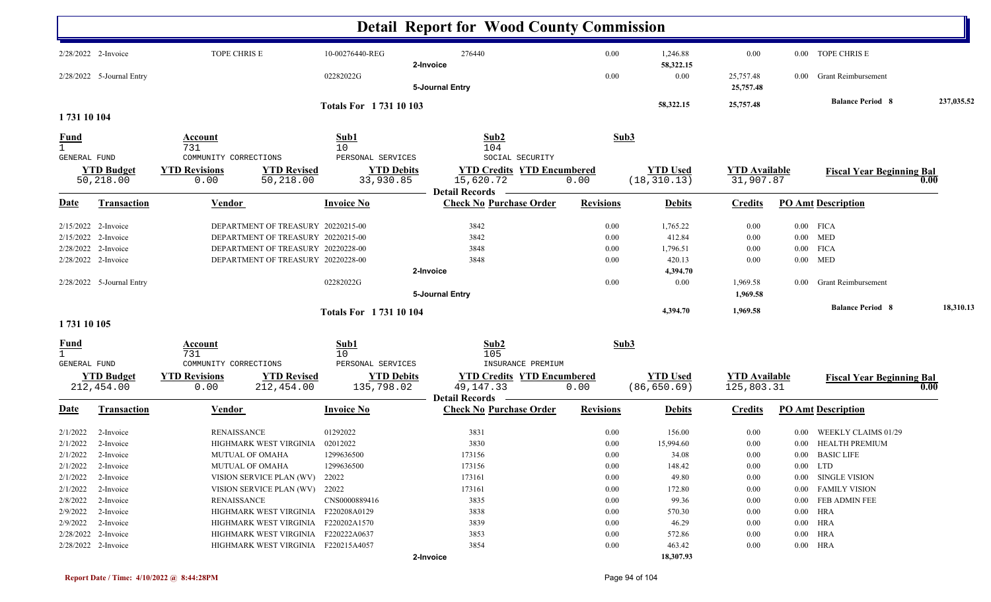|                             |                                 |                                                                  |                                 | <b>Detail Report for Wood County Commission</b>                           |                  |                                 |                                    |          |                                  |            |
|-----------------------------|---------------------------------|------------------------------------------------------------------|---------------------------------|---------------------------------------------------------------------------|------------------|---------------------------------|------------------------------------|----------|----------------------------------|------------|
|                             | 2/28/2022 2-Invoice             | TOPE CHRIS E                                                     | 10-00276440-REG                 | 276440                                                                    | 0.00             | 1,246.88                        | 0.00                               |          | 0.00 TOPE CHRIS E                |            |
|                             | 2/28/2022 5-Journal Entry       |                                                                  | 02282022G                       | 2-Invoice<br>5-Journal Entry                                              | 0.00             | 58,322.15<br>0.00               | 25,757.48<br>25,757.48             | $0.00\,$ | <b>Grant Reimbursement</b>       |            |
|                             |                                 |                                                                  | Totals For 1731 10 103          |                                                                           |                  | 58,322.15                       | 25,757.48                          |          | <b>Balance Period 8</b>          | 237,035.52 |
| 1731 10 104                 |                                 |                                                                  |                                 |                                                                           |                  |                                 |                                    |          |                                  |            |
| <b>Fund</b><br>$\mathbf{1}$ |                                 | Account<br>731                                                   | Sub1<br>10                      | Sub2<br>104                                                               | Sub3             |                                 |                                    |          |                                  |            |
| <b>GENERAL FUND</b>         |                                 | COMMUNITY CORRECTIONS                                            | PERSONAL SERVICES               | SOCIAL SECURITY                                                           |                  |                                 |                                    |          |                                  |            |
|                             | <b>YTD Budget</b><br>50,218.00  | <b>YTD Revised</b><br><b>YTD Revisions</b><br>50,218.00<br>0.00  | <b>YTD Debits</b><br>33,930.85  | <b>YTD Credits YTD Encumbered</b><br>15,620.72<br><b>Detail Records</b>   | 0.00             | <b>YTD</b> Used<br>(18, 310.13) | <b>YTD</b> Available<br>31,907.87  |          | <b>Fiscal Year Beginning Bal</b> | 0.00       |
| <u>Date</u>                 | <b>Transaction</b>              | <b>Vendor</b>                                                    | <b>Invoice No</b>               | <b>Check No Purchase Order</b>                                            | <b>Revisions</b> | <b>Debits</b>                   | <b>Credits</b>                     |          | <b>PO Amt Description</b>        |            |
|                             | 2/15/2022 2-Invoice             | DEPARTMENT OF TREASURY 20220215-00                               |                                 | 3842                                                                      | 0.00             | 1,765.22                        | 0.00                               |          | $0.00$ FICA                      |            |
|                             | 2/15/2022 2-Invoice             | DEPARTMENT OF TREASURY 20220215-00                               |                                 | 3842                                                                      | 0.00             | 412.84                          | 0.00                               |          | $0.00$ MED                       |            |
|                             | 2/28/2022 2-Invoice             | DEPARTMENT OF TREASURY 20220228-00                               |                                 | 3848                                                                      | 0.00             | 1,796.51                        | 0.00                               |          | $0.00$ FICA                      |            |
|                             | 2/28/2022 2-Invoice             | DEPARTMENT OF TREASURY 20220228-00                               |                                 | 3848                                                                      | 0.00             | 420.13                          | 0.00                               |          | $0.00$ MED                       |            |
|                             |                                 |                                                                  |                                 | 2-Invoice                                                                 |                  | 4,394.70                        |                                    |          |                                  |            |
|                             | 2/28/2022 5-Journal Entry       |                                                                  | 02282022G                       |                                                                           | 0.00             | 0.00                            | 1,969.58                           | $0.00\,$ | <b>Grant Reimbursement</b>       |            |
|                             |                                 |                                                                  |                                 | 5-Journal Entry                                                           |                  |                                 | 1,969.58                           |          |                                  |            |
|                             |                                 |                                                                  | <b>Totals For 173110104</b>     |                                                                           |                  | 4,394.70                        | 1,969.58                           |          | <b>Balance Period 8</b>          | 18,310.13  |
| 1731 10 105                 |                                 |                                                                  |                                 |                                                                           |                  |                                 |                                    |          |                                  |            |
| <b>Fund</b><br>$\mathbf{1}$ |                                 | <b>Account</b><br>731                                            | Sub1<br>10                      | Sub2<br>105                                                               | Sub3             |                                 |                                    |          |                                  |            |
| GENERAL FUND                |                                 | COMMUNITY CORRECTIONS                                            | PERSONAL SERVICES               | INSURANCE PREMIUM                                                         |                  |                                 |                                    |          |                                  |            |
|                             | <b>YTD Budget</b><br>212,454.00 | <b>YTD Revisions</b><br><b>YTD Revised</b><br>212,454.00<br>0.00 | <b>YTD Debits</b><br>135,798.02 | <b>YTD Credits YTD Encumbered</b><br>49, 147. 33<br><b>Detail Records</b> | 0.00             | <b>YTD</b> Used<br>(86, 650.69) | <b>YTD</b> Available<br>125,803.31 |          | <b>Fiscal Year Beginning Bal</b> | 0.00       |
| <u>Date</u>                 | <b>Transaction</b>              | Vendor                                                           | <b>Invoice No</b>               | <b>Check No Purchase Order</b>                                            | <b>Revisions</b> | <b>Debits</b>                   | <b>Credits</b>                     |          | <b>PO Amt Description</b>        |            |
| 2/1/2022                    | 2-Invoice                       | <b>RENAISSANCE</b>                                               | 01292022                        | 3831                                                                      | 0.00             | 156.00                          | 0.00                               | $0.00\,$ | WEEKLY CLAIMS 01/29              |            |
| 2/1/2022                    | 2-Invoice                       | HIGHMARK WEST VIRGINIA                                           | 02012022                        | 3830                                                                      | 0.00             | 15,994.60                       | 0.00                               |          | 0.00 HEALTH PREMIUM              |            |
|                             | $2/1/2022$ 2-Invoice            | MUTUAL OF OMAHA                                                  | 1299636500                      | 173156                                                                    | $0.00\,$         | 34.08                           | 0.00                               |          | 0.00 BASIC LIFE                  |            |
|                             | $2/1/2022$ 2-Invoice            | MUTUAL OF OMAHA                                                  | 1299636500                      | 173156                                                                    | 0.00             | 148.42                          | 0.00                               |          | $0.00$ LTD                       |            |
|                             | 2/1/2022 2-Invoice              | VISION SERVICE PLAN (WV)                                         | 22022                           | 173161                                                                    | $0.00\,$         | 49.80                           | 0.00                               |          | 0.00 SINGLE VISION               |            |
|                             | $2/1/2022$ 2-Invoice            | VISION SERVICE PLAN (WV) 22022                                   |                                 | 173161                                                                    | 0.00             | 172.80                          | 0.00                               |          | 0.00 FAMILY VISION               |            |
|                             | 2/8/2022 2-Invoice              | RENAISSANCE                                                      | CNS0000889416                   | 3835                                                                      | 0.00             | 99.36                           | 0.00                               |          | 0.00 FEB ADMIN FEE               |            |
|                             | $2/9/2022$ 2-Invoice            | HIGHMARK WEST VIRGINIA F220208A0129                              |                                 | 3838                                                                      | 0.00             | 570.30                          | $0.00\,$                           |          | $0.00$ HRA                       |            |
|                             | $2/9/2022$ 2-Invoice            | HIGHMARK WEST VIRGINIA F220202A1570                              |                                 | 3839                                                                      | 0.00             | 46.29                           | $0.00\,$                           |          | $0.00$ HRA                       |            |
|                             | 2/28/2022 2-Invoice             | HIGHMARK WEST VIRGINIA F220222A0637                              |                                 | 3853                                                                      | 0.00             | 572.86                          | $0.00\,$                           |          | $0.00$ HRA                       |            |
|                             | 2/28/2022 2-Invoice             | HIGHMARK WEST VIRGINIA F220215A4057                              |                                 | 3854                                                                      | 0.00             | 463.42                          | $0.00\,$                           |          | $0.00$ HRA                       |            |
|                             |                                 |                                                                  |                                 | 2-Invoice                                                                 |                  | 18,307.93                       |                                    |          |                                  |            |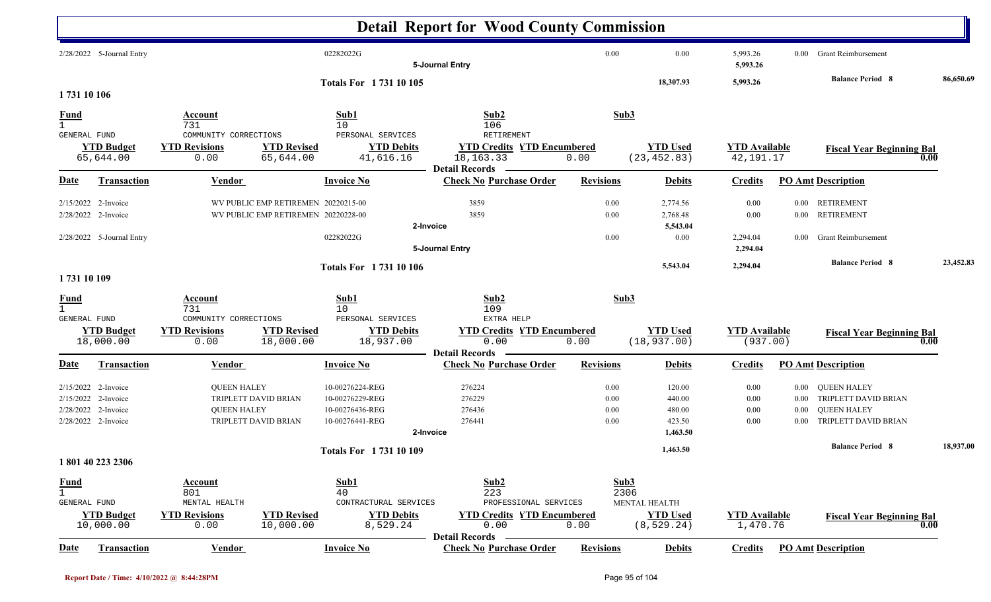|                                             |                                                                        |                                                                        |                                                                            |                                                                          | <b>Detail Report for Wood County Commission</b>                                               |                              |                                                                 |                                   |          |                                                                                           |           |
|---------------------------------------------|------------------------------------------------------------------------|------------------------------------------------------------------------|----------------------------------------------------------------------------|--------------------------------------------------------------------------|-----------------------------------------------------------------------------------------------|------------------------------|-----------------------------------------------------------------|-----------------------------------|----------|-------------------------------------------------------------------------------------------|-----------|
|                                             | 2/28/2022 5-Journal Entry                                              |                                                                        |                                                                            | 02282022G                                                                | 5-Journal Entry                                                                               | 0.00                         | 0.00                                                            | 5,993.26<br>5,993.26              |          | 0.00 Grant Reimbursement                                                                  |           |
| 1731 10 106                                 |                                                                        |                                                                        |                                                                            | Totals For 1731 10 105                                                   |                                                                                               |                              | 18,307.93                                                       | 5,993.26                          |          | <b>Balance Period 8</b>                                                                   | 86,650.69 |
| <u>Fund</u><br>$\mathbf{1}$                 |                                                                        | Account<br>731                                                         |                                                                            | Sub1<br>10                                                               | Sub2<br>106                                                                                   |                              | Sub3                                                            |                                   |          |                                                                                           |           |
| GENERAL FUND                                | <b>YTD Budget</b><br>65,644.00                                         | COMMUNITY CORRECTIONS<br><b>YTD Revisions</b><br>0.00                  | <b>YTD Revised</b><br>65,644.00                                            | PERSONAL SERVICES<br><b>YTD Debits</b><br>41,616.16                      | RETIREMENT<br><b>YTD Credits YTD Encumbered</b><br>18, 163. 33<br><b>Detail Records</b>       | 0.00                         | <b>YTD Used</b><br>(23, 452.83)                                 | <b>YTD</b> Available<br>42,191.17 |          | <b>Fiscal Year Beginning Bal</b>                                                          | 0.00      |
| <b>Date</b>                                 | <b>Transaction</b>                                                     | <b>Vendor</b>                                                          |                                                                            | <b>Invoice No</b>                                                        | <b>Check No Purchase Order</b>                                                                | <b>Revisions</b>             | <b>Debits</b>                                                   | <b>Credits</b>                    |          | <b>PO Amt Description</b>                                                                 |           |
| 2/15/2022                                   | 2-Invoice<br>2/28/2022 2-Invoice<br>2/28/2022 5-Journal Entry          |                                                                        | WV PUBLIC EMP RETIREMEN 20220215-00<br>WV PUBLIC EMP RETIREMEN 20220228-00 | 02282022G                                                                | 3859<br>3859<br>2-Invoice                                                                     | 0.00<br>0.00<br>0.00         | 2,774.56<br>2,768.48<br>5,543.04<br>0.00                        | 0.00<br>0.00<br>2,294.04          |          | 0.00 RETIREMENT<br>0.00 RETIREMENT<br>0.00 Grant Reimbursement                            |           |
|                                             |                                                                        |                                                                        |                                                                            |                                                                          | 5-Journal Entry                                                                               |                              |                                                                 | 2,294.04                          |          | <b>Balance Period 8</b>                                                                   | 23,452.83 |
| 1731 10 109                                 |                                                                        |                                                                        |                                                                            | <b>Totals For 173110106</b>                                              |                                                                                               |                              | 5,543.04                                                        | 2,294.04                          |          |                                                                                           |           |
| <b>Fund</b><br>$\mathbf{1}$<br>GENERAL FUND |                                                                        | <b>Account</b><br>731<br>COMMUNITY CORRECTIONS                         |                                                                            | Sub1<br>10<br>PERSONAL SERVICES                                          | Sub2<br>109<br>EXTRA HELP                                                                     |                              | Sub3                                                            |                                   |          |                                                                                           |           |
|                                             | <b>YTD Budget</b><br>18,000.00                                         | <b>YTD Revisions</b><br>0.00                                           | <b>YTD Revised</b><br>18,000.00                                            | <b>YTD Debits</b><br>18,937.00                                           | <b>YTD Credits YTD Encumbered</b><br>0.00<br><b>Detail Records</b>                            | 0.00                         | <b>YTD Used</b><br>(18, 937.00)                                 | <b>YTD Available</b><br>(937.00)  |          | <b>Fiscal Year Beginning Bal</b>                                                          | 0.00      |
| Date                                        | <b>Transaction</b>                                                     | <b>Vendor</b>                                                          |                                                                            | <b>Invoice No</b>                                                        | <b>Check No Purchase Order</b>                                                                | <b>Revisions</b>             | <b>Debits</b>                                                   | <b>Credits</b>                    |          | <b>PO Amt Description</b>                                                                 |           |
| 2/15/2022<br>2/28/2022                      | $2/15/2022$ 2-Invoice<br>2-Invoice<br>2-Invoice<br>2/28/2022 2-Invoice | <b>QUEEN HALEY</b><br><b>QUEEN HALEY</b>                               | TRIPLETT DAVID BRIAN<br>TRIPLETT DAVID BRIAN                               | 10-00276224-REG<br>10-00276229-REG<br>10-00276436-REG<br>10-00276441-REG | 276224<br>276229<br>276436<br>276441<br>2-Invoice                                             | 0.00<br>0.00<br>0.00<br>0.00 | 120.00<br>440.00<br>480.00<br>423.50<br>1,463.50                | 0.00<br>0.00<br>0.00<br>0.00      | $0.00\,$ | 0.00 QUEEN HALEY<br>0.00 TRIPLETT DAVID BRIAN<br>QUEEN HALEY<br>0.00 TRIPLETT DAVID BRIAN |           |
|                                             | 1801 40 223 2306                                                       |                                                                        |                                                                            | <b>Totals For 173110109</b>                                              |                                                                                               |                              | 1,463.50                                                        |                                   |          | <b>Balance Period 8</b>                                                                   | 18,937.00 |
| <b>Fund</b><br>$\mathbf{1}$<br>GENERAL FUND | <b>YTD Budget</b><br>10,000.00                                         | <b>Account</b><br>801<br>MENTAL HEALTH<br><b>YTD Revisions</b><br>0.00 | <b>YTD Revised</b><br>10,000.00                                            | Sub1<br>40<br>CONTRACTURAL SERVICES<br><b>YTD Debits</b><br>8,529.24     | Sub <sub>2</sub><br>223<br>PROFESSIONAL SERVICES<br><b>YTD Credits YTD Encumbered</b><br>0.00 | 0.00                         | Sub3<br>2306<br>MENTAL HEALTH<br><b>YTD Used</b><br>(8, 529.24) | <b>YTD Available</b><br>1,470.76  |          | <b>Fiscal Year Beginning Bal</b>                                                          | 0.00      |
| <b>Date</b>                                 | Transaction                                                            | <b>Vendor</b>                                                          |                                                                            | <b>Invoice No</b>                                                        | <b>Detail Records</b><br><b>Check No Purchase Order</b>                                       | <b>Revisions</b>             | <b>Debits</b>                                                   | <b>Credits</b>                    |          | <b>PO Amt Description</b>                                                                 |           |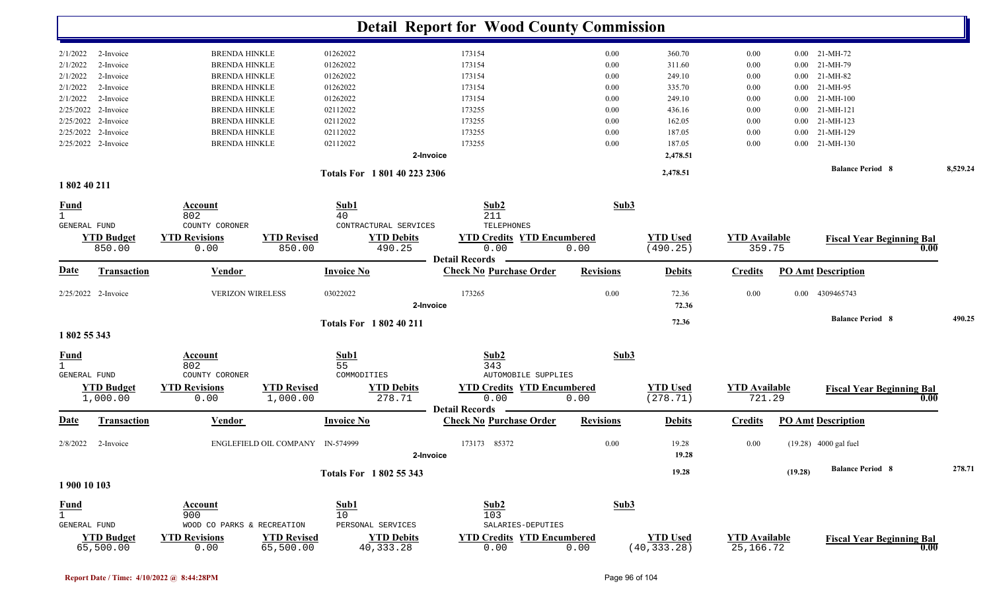|                                   |                         |                                         | <b>Detail Report for Wood County Commission</b>         |                  |                 |                      |          |                                  |          |
|-----------------------------------|-------------------------|-----------------------------------------|---------------------------------------------------------|------------------|-----------------|----------------------|----------|----------------------------------|----------|
|                                   |                         |                                         |                                                         |                  |                 |                      |          |                                  |          |
| 2/1/2022<br>2-Invoice             | <b>BRENDA HINKLE</b>    | 01262022                                | 173154                                                  | 0.00             | 360.70          | 0.00                 | 0.00     | 21-MH-72                         |          |
| 2/1/2022<br>2-Invoice             | <b>BRENDA HINKLE</b>    | 01262022                                | 173154                                                  | 0.00             | 311.60          | 0.00                 | 0.00     | 21-MH-79                         |          |
| 2/1/2022<br>2-Invoice             | <b>BRENDA HINKLE</b>    | 01262022                                | 173154                                                  | 0.00             | 249.10          | 0.00                 | $0.00\,$ | 21-MH-82                         |          |
| 2/1/2022<br>2-Invoice             | <b>BRENDA HINKLE</b>    | 01262022                                | 173154                                                  | 0.00             | 335.70          | 0.00                 | $0.00\,$ | 21-MH-95                         |          |
| 2/1/2022<br>2-Invoice             | <b>BRENDA HINKLE</b>    | 01262022                                | 173154                                                  | 0.00             | 249.10          | 0.00                 | $0.00\,$ | 21-MH-100                        |          |
| 2/25/2022<br>2-Invoice            | <b>BRENDA HINKLE</b>    | 02112022                                | 173255                                                  | 0.00             | 436.16          | 0.00                 |          | $0.00$ 21-MH-121                 |          |
| 2/25/2022 2-Invoice               | <b>BRENDA HINKLE</b>    | 02112022                                | 173255                                                  | 0.00             | 162.05          | 0.00                 |          | $0.00$ 21-MH-123                 |          |
| 2/25/2022<br>2-Invoice            | <b>BRENDA HINKLE</b>    | 02112022                                | 173255                                                  | 0.00             | 187.05          | 0.00                 | $0.00\,$ | 21-MH-129                        |          |
| 2/25/2022 2-Invoice               | <b>BRENDA HINKLE</b>    | 02112022                                | 173255                                                  | 0.00             | 187.05          | 0.00                 | 0.00     | 21-MH-130                        |          |
|                                   |                         |                                         | 2-Invoice                                               |                  | 2,478.51        |                      |          |                                  |          |
|                                   |                         | Totals For 1801 40 223 2306             |                                                         |                  | 2,478.51        |                      |          | <b>Balance Period 8</b>          | 8,529.24 |
| 1 802 40 211                      |                         |                                         |                                                         |                  |                 |                      |          |                                  |          |
| <u>Fund</u>                       | Account                 | Sub1                                    | Sub2                                                    | Sub3             |                 |                      |          |                                  |          |
| $\mathbf{1}$                      | 802                     | 40                                      | 211                                                     |                  |                 |                      |          |                                  |          |
| GENERAL FUND                      | COUNTY CORONER          | CONTRACTURAL SERVICES                   | TELEPHONES                                              |                  |                 |                      |          |                                  |          |
| <b>YTD Budget</b>                 | <b>YTD Revisions</b>    | <b>YTD Revised</b><br><b>YTD Debits</b> | <b>YTD Credits YTD Encumbered</b>                       |                  | <b>YTD Used</b> | <b>YTD Available</b> |          | <b>Fiscal Year Beginning Bal</b> |          |
| 850.00                            | 0.00                    | 490.25<br>850.00                        | 0.00                                                    | 0.00             | (490.25)        | 359.75               |          |                                  | 0.00     |
| <u>Date</u><br><b>Transaction</b> | <b>Vendor</b>           | <b>Invoice No</b>                       | <b>Detail Records</b><br><b>Check No Purchase Order</b> | <b>Revisions</b> | <b>Debits</b>   | <b>Credits</b>       |          | <b>PO Amt Description</b>        |          |
| 2/25/2022 2-Invoice               | <b>VERIZON WIRELESS</b> | 03022022                                | 173265                                                  | 0.00             | 72.36           | 0.00                 | $0.00\,$ | 4309465743                       |          |
|                                   |                         |                                         | 2-Invoice                                               |                  | 72.36           |                      |          |                                  |          |
|                                   |                         | <b>Totals For 1802 40 211</b>           |                                                         |                  | 72.36           |                      |          | <b>Balance Period 8</b>          | 490.25   |
| 1802 55 343                       |                         |                                         |                                                         |                  |                 |                      |          |                                  |          |
|                                   | <b>Account</b>          | Sub1                                    | Sub2                                                    | Sub3             |                 |                      |          |                                  |          |
| <u>Fund</u><br>$\mathbf{1}$       | 802                     | 55                                      | 343                                                     |                  |                 |                      |          |                                  |          |
| GENERAL FUND                      | COUNTY CORONER          | COMMODITIES                             | <b>AUTOMOBILE SUPPLIES</b>                              |                  |                 |                      |          |                                  |          |
| <b>YTD Budget</b>                 | <b>YTD Revisions</b>    | <b>YTD Revised</b><br><b>YTD Debits</b> | <b>YTD Credits YTD Encumbered</b>                       |                  | <b>YTD</b> Used | <b>YTD Available</b> |          | <b>Fiscal Year Beginning Bal</b> |          |
| 1,000.00                          | 0.00                    | 1,000.00<br>278.71                      | 0.00                                                    | 0.00             | (278.71)        | 721.29               |          |                                  | 0.00     |
|                                   |                         |                                         | <b>Detail Records</b>                                   |                  |                 |                      |          |                                  |          |
| <u>Date</u><br><b>Transaction</b> | <b>Vendor</b>           | <b>Invoice No</b>                       | <b>Check No Purchase Order</b>                          | <b>Revisions</b> | <b>Debits</b>   | <b>Credits</b>       |          | <b>PO Amt Description</b>        |          |
| 2/8/2022<br>2-Invoice             |                         | ENGLEFIELD OIL COMPANY IN-574999        | 173173 85372                                            | 0.00             | 19.28           | 0.00                 |          | $(19.28)$ 4000 gal fuel          |          |
|                                   |                         |                                         | 2-Invoice                                               |                  | 19.28           |                      |          |                                  |          |
|                                   |                         |                                         |                                                         |                  | 19.28           |                      | (19.28)  | <b>Balance Period 8</b>          | 278.71   |
| 1 900 10 103                      |                         | <b>Totals For 1802 55 343</b>           |                                                         |                  |                 |                      |          |                                  |          |
|                                   |                         |                                         |                                                         |                  |                 |                      |          |                                  |          |
| <b>Fund</b>                       | <b>Account</b>          | Sub1                                    | Sub2                                                    | Sub3             |                 |                      |          |                                  |          |
| $\overline{1}$<br>GENERAL FUND    | 900<br>WOOD CO PARKS &  | 10<br>RECREATION<br>PERSONAL SERVICES   | 103<br>SALARIES-DEPUTIES                                |                  |                 |                      |          |                                  |          |
| <b>YTD Budget</b>                 | <b>YTD Revisions</b>    | <b>YTD Revised</b><br><b>YTD Debits</b> | <b>YTD Credits YTD Encumbered</b>                       |                  | <b>YTD Used</b> | <b>YTD Available</b> |          |                                  |          |
| 65,500.00                         | 0.00                    | 65,500.00<br>40,333.28                  | 0.00                                                    | 0.00             | (40, 333.28)    | 25, 166. 72          |          | <b>Fiscal Year Beginning Bal</b> | 0.00     |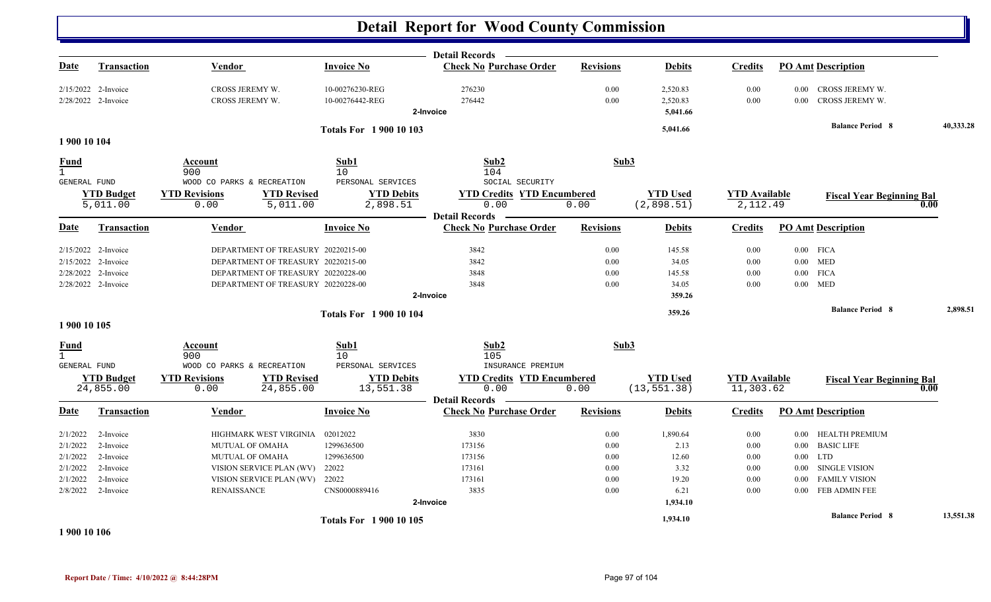|                                    |                                            |                                                                 |                                    | Detail Records <b>Theory</b>              |                  |                                  |                                   |                                                                     |           |
|------------------------------------|--------------------------------------------|-----------------------------------------------------------------|------------------------------------|-------------------------------------------|------------------|----------------------------------|-----------------------------------|---------------------------------------------------------------------|-----------|
| Date                               | <b>Transaction</b>                         | Vendor                                                          | <b>Invoice No</b>                  | <b>Check No Purchase Order</b>            | <b>Revisions</b> | <b>Debits</b>                    | <b>Credits</b>                    | <b>PO Amt Description</b>                                           |           |
|                                    | 2/15/2022 2-Invoice<br>2/28/2022 2-Invoice | CROSS JEREMY W.<br>CROSS JEREMY W.                              | 10-00276230-REG<br>10-00276442-REG | 276230<br>276442<br>2-Invoice             | 0.00<br>0.00     | 2,520.83<br>2,520.83<br>5,041.66 | 0.00<br>0.00                      | CROSS JEREMY W.<br>$0.00\,$<br>CROSS JEREMY W.<br>0.00 <sub>1</sub> |           |
|                                    |                                            |                                                                 |                                    |                                           |                  |                                  |                                   | <b>Balance Period 8</b>                                             | 40,333.28 |
|                                    |                                            |                                                                 | <b>Totals For 1 900 10 103</b>     |                                           |                  | 5,041.66                         |                                   |                                                                     |           |
| 1 900 10 104                       |                                            |                                                                 |                                    |                                           |                  |                                  |                                   |                                                                     |           |
| <b>Fund</b><br><b>GENERAL FUND</b> |                                            | Account<br>900<br>WOOD CO PARKS & RECREATION                    | Sub1<br>10<br>PERSONAL SERVICES    | Sub2<br>104<br>SOCIAL SECURITY            | Sub3             |                                  |                                   |                                                                     |           |
|                                    | <b>YTD Budget</b>                          | <b>YTD Revisions</b><br><b>YTD Revised</b>                      | <b>YTD Debits</b>                  | <b>YTD Credits YTD Encumbered</b>         |                  | <b>YTD Used</b>                  | <b>YTD</b> Available              | <b>Fiscal Year Beginning Bal</b>                                    |           |
|                                    | 5,011.00                                   | 5,011.00<br>0.00                                                | 2,898.51                           | 0.00                                      | 0.00             | (2,898.51)                       | 2,112.49                          |                                                                     | 0.00      |
|                                    |                                            |                                                                 |                                    | <b>Detail Records</b>                     |                  |                                  |                                   |                                                                     |           |
| <b>Date</b>                        | <b>Transaction</b>                         | <b>Vendor</b>                                                   | <b>Invoice No</b>                  | <b>Check No Purchase Order</b>            | <b>Revisions</b> | <b>Debits</b>                    | <b>Credits</b>                    | <b>PO Amt Description</b>                                           |           |
|                                    | 2/15/2022 2-Invoice                        | DEPARTMENT OF TREASURY 20220215-00                              |                                    | 3842                                      | 0.00             | 145.58                           | 0.00                              | $0.00$ FICA                                                         |           |
|                                    | 2/15/2022 2-Invoice                        | DEPARTMENT OF TREASURY 20220215-00                              |                                    | 3842                                      | 0.00             | 34.05                            | 0.00                              | $0.00$ MED                                                          |           |
| 2/28/2022 2-Invoice                |                                            | DEPARTMENT OF TREASURY 20220228-00                              |                                    | 3848                                      | 0.00             | 145.58                           | 0.00                              | $0.00$ FICA                                                         |           |
|                                    | 2/28/2022 2-Invoice                        | DEPARTMENT OF TREASURY 20220228-00                              |                                    | 3848                                      | 0.00             | 34.05                            | 0.00                              | $0.00$ MED                                                          |           |
|                                    |                                            |                                                                 |                                    | 2-Invoice                                 |                  | 359.26                           |                                   |                                                                     |           |
|                                    |                                            |                                                                 | <b>Totals For 190010104</b>        |                                           |                  | 359.26                           |                                   | <b>Balance Period 8</b>                                             | 2,898.51  |
| 1 900 10 105                       |                                            |                                                                 |                                    |                                           |                  |                                  |                                   |                                                                     |           |
| <b>Fund</b>                        |                                            | Account                                                         | Sub1                               | Sub <sub>2</sub>                          | Sub3             |                                  |                                   |                                                                     |           |
| $\mathbf{1}$                       |                                            | 900                                                             | 10                                 | 105                                       |                  |                                  |                                   |                                                                     |           |
| <b>GENERAL FUND</b>                |                                            | WOOD CO PARKS & RECREATION                                      | PERSONAL SERVICES                  | INSURANCE PREMIUM                         |                  |                                  |                                   |                                                                     |           |
|                                    | <b>YTD Budget</b><br>24,855.00             | <b>YTD Revised</b><br><b>YTD Revisions</b><br>24,855.00<br>0.00 | <b>YTD Debits</b><br>13,551.38     | <b>YTD Credits YTD Encumbered</b><br>0.00 | 0.00             | <b>YTD</b> Used<br>(13, 551.38)  | <b>YTD</b> Available<br>11,303.62 | <b>Fiscal Year Beginning Bal</b>                                    | 0.00      |
|                                    |                                            |                                                                 |                                    | <b>Detail Records</b>                     |                  |                                  |                                   |                                                                     |           |
| <b>Date</b>                        | Transaction                                | Vendor                                                          | <b>Invoice No</b>                  | <b>Check No Purchase Order</b>            | <b>Revisions</b> | <b>Debits</b>                    | <b>Credits</b>                    | <b>PO Amt Description</b>                                           |           |
| 2/1/2022                           | 2-Invoice                                  | HIGHMARK WEST VIRGINIA                                          | 02012022                           | 3830                                      | 0.00             | 1,890.64                         | $0.00\,$                          | 0.00 HEALTH PREMIUM                                                 |           |
| 2/1/2022                           | 2-Invoice                                  | <b>MUTUAL OF OMAHA</b>                                          | 1299636500                         | 173156                                    | 0.00             | 2.13                             | 0.00                              | 0.00 BASIC LIFE                                                     |           |
| 2/1/2022                           | 2-Invoice                                  | <b>MUTUAL OF OMAHA</b>                                          | 1299636500                         | 173156                                    | 0.00             | 12.60                            | 0.00                              | $0.00$ LTD                                                          |           |
| 2/1/2022                           | 2-Invoice                                  | VISION SERVICE PLAN (WV)                                        | 22022                              | 173161                                    | 0.00             | 3.32                             | 0.00                              | <b>SINGLE VISION</b><br>$0.00\,$                                    |           |
| 2/1/2022                           | 2-Invoice                                  | VISION SERVICE PLAN (WV) 22022                                  |                                    | 173161                                    | 0.00             | 19.20                            | 0.00                              | 0.00 FAMILY VISION                                                  |           |
| 2/8/2022                           | 2-Invoice                                  | <b>RENAISSANCE</b>                                              | CNS0000889416                      | 3835                                      | 0.00             | 6.21                             | 0.00                              | 0.00 FEB ADMIN FEE                                                  |           |
|                                    |                                            |                                                                 |                                    | 2-Invoice                                 |                  | 1,934.10                         |                                   |                                                                     |           |
|                                    |                                            |                                                                 | <b>Totals For 1 900 10 105</b>     |                                           |                  | 1,934.10                         |                                   | <b>Balance Period 8</b>                                             | 13,551.38 |

**1 900 10 106**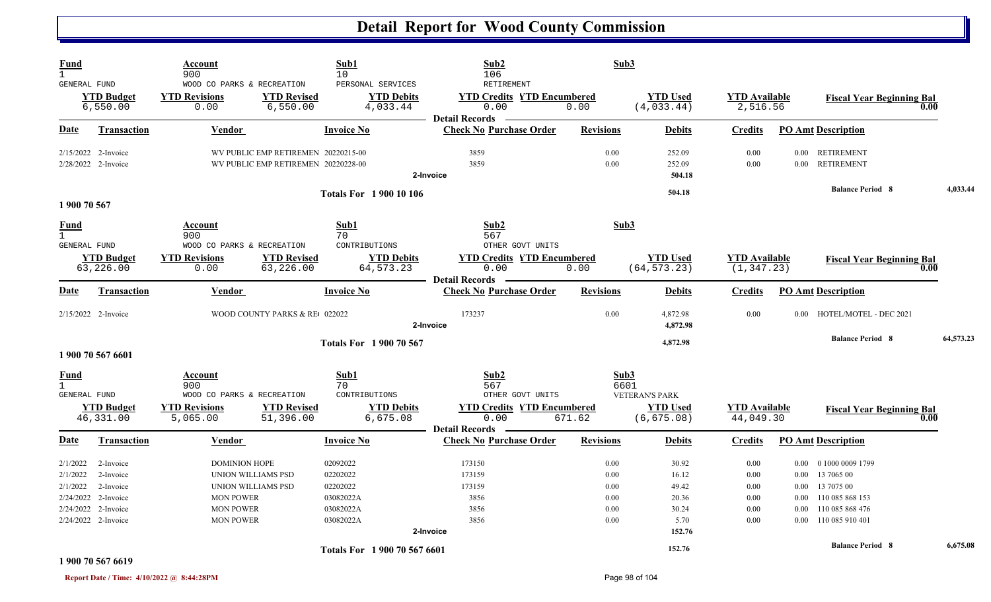| Fund<br>$\mathbf{1}$<br>GENERAL FUND                       |                                                                                      | Account<br>900<br>WOOD CO PARKS & RECREATION                                                                                 |                                                                            | Sub1<br>10<br>PERSONAL SERVICES                                         | Sub2<br>106<br>RETIREMENT                                            | Sub3                                         |                                                             |                                              |                                      |                                                                                                                 |           |
|------------------------------------------------------------|--------------------------------------------------------------------------------------|------------------------------------------------------------------------------------------------------------------------------|----------------------------------------------------------------------------|-------------------------------------------------------------------------|----------------------------------------------------------------------|----------------------------------------------|-------------------------------------------------------------|----------------------------------------------|--------------------------------------|-----------------------------------------------------------------------------------------------------------------|-----------|
|                                                            | <b>YTD Budget</b><br>6,550.00                                                        | <b>YTD Revisions</b><br>0.00                                                                                                 | <b>YTD Revised</b><br>6,550.00                                             | <b>YTD Debits</b><br>4,033.44                                           | <b>YTD Credits YTD Encumbered</b><br>0.00<br><b>Detail Records</b>   | 0.00                                         | <b>YTD Used</b><br>(4,033.44)                               | <b>YTD Available</b><br>2,516.56             |                                      | <b>Fiscal Year Beginning Bal</b><br>0.00                                                                        |           |
| <b>Date</b>                                                | Transaction                                                                          | <b>Vendor</b>                                                                                                                |                                                                            | <b>Invoice No</b>                                                       | <b>Check No Purchase Order</b>                                       | <b>Revisions</b>                             | <b>Debits</b>                                               | <b>Credits</b>                               |                                      | <b>PO Amt Description</b>                                                                                       |           |
|                                                            | 2/15/2022 2-Invoice<br>2/28/2022 2-Invoice                                           |                                                                                                                              | WV PUBLIC EMP RETIREMEN 20220215-00<br>WV PUBLIC EMP RETIREMEN 20220228-00 |                                                                         | 3859<br>3859<br>2-Invoice                                            | 0.00<br>0.00                                 | 252.09<br>252.09<br>504.18                                  | 0.00<br>0.00                                 | $0.00\,$<br>0.00                     | <b>RETIREMENT</b><br><b>RETIREMENT</b>                                                                          |           |
|                                                            |                                                                                      |                                                                                                                              |                                                                            | <b>Totals For 1 900 10 106</b>                                          |                                                                      |                                              | 504.18                                                      |                                              |                                      | <b>Balance Period 8</b>                                                                                         | 4,033.44  |
| 1 900 70 567                                               |                                                                                      |                                                                                                                              |                                                                            |                                                                         |                                                                      |                                              |                                                             |                                              |                                      |                                                                                                                 |           |
| <b>Fund</b><br>$\mathbf{1}$<br><b>GENERAL FUND</b>         |                                                                                      | Sub1<br>Account<br>900<br>70<br>WOOD CO PARKS & RECREATION<br>CONTRIBUTIONS                                                  |                                                                            | Sub2<br>567<br>OTHER GOVT UNITS                                         | Sub3                                                                 |                                              |                                                             |                                              |                                      |                                                                                                                 |           |
|                                                            | <b>YTD Budget</b><br>63,226.00                                                       | <b>YTD Revisions</b><br>0.00                                                                                                 | <b>YTD Revised</b><br>63,226.00                                            | <b>YTD Debits</b><br>64, 573. 23                                        | <b>YTD Credits YTD Encumbered</b><br>0.00<br><b>Detail Records</b>   | 0.00                                         | <b>YTD Used</b><br>(64, 573.23)                             | <b>YTD Available</b><br>(1, 347.23)          |                                      | <b>Fiscal Year Beginning Bal</b><br>0.00                                                                        |           |
| Date                                                       | Transaction                                                                          | <b>Vendor</b>                                                                                                                |                                                                            | <b>Invoice No</b>                                                       | <b>Check No Purchase Order</b>                                       | <b>Revisions</b>                             | <b>Debits</b>                                               | <b>Credits</b>                               |                                      | <b>PO Amt Description</b>                                                                                       |           |
|                                                            | $2/15/2022$ 2-Invoice                                                                |                                                                                                                              | WOOD COUNTY PARKS & RE 022022                                              |                                                                         | 173237<br>2-Invoice                                                  | 0.00                                         | 4,872.98<br>4,872.98                                        | 0.00                                         | $0.00 -$                             | HOTEL/MOTEL - DEC 2021                                                                                          |           |
|                                                            | 1 900 70 567 6601                                                                    |                                                                                                                              |                                                                            | <b>Totals For 1900 70 567</b>                                           |                                                                      |                                              | 4,872.98                                                    |                                              |                                      | <b>Balance Period 8</b>                                                                                         | 64,573.23 |
| Fund<br>$\mathbf{1}$<br>GENERAL FUND                       | <b>YTD Budget</b>                                                                    | Account<br>900<br>WOOD CO PARKS & RECREATION<br><b>YTD Revisions</b>                                                         | <b>YTD Revised</b>                                                         | Sub1<br>70<br>CONTRIBUTIONS<br><b>YTD Debits</b>                        | Sub2<br>567<br>OTHER GOVT UNITS<br><b>YTD Credits YTD Encumbered</b> | Sub3<br>6601                                 | <b>VETERAN'S PARK</b><br><b>YTD Used</b>                    | <b>YTD Available</b>                         |                                      | <b>Fiscal Year Beginning Bal</b>                                                                                |           |
|                                                            | 46,331.00                                                                            | 5,065.00                                                                                                                     | 51,396.00                                                                  | 6,675.08                                                                | 0.00<br><b>Detail Records</b>                                        | 671.62                                       | (6, 675.08)                                                 | 44,049.30                                    |                                      | 0.00                                                                                                            |           |
| Date                                                       | Transaction                                                                          | <b>Vendor</b>                                                                                                                |                                                                            | <b>Invoice No</b>                                                       | <b>Check No Purchase Order</b>                                       | <b>Revisions</b>                             | <b>Debits</b>                                               | <b>Credits</b>                               |                                      | <b>PO Amt Description</b>                                                                                       |           |
| 2/1/2022<br>2/1/2022<br>2/1/2022<br>2/24/2022<br>2/24/2022 | 2-Invoice<br>2-Invoice<br>2-Invoice<br>2-Invoice<br>2-Invoice<br>2/24/2022 2-Invoice | <b>DOMINION HOPE</b><br>UNION WILLIAMS PSD<br>UNION WILLIAMS PSD<br><b>MON POWER</b><br><b>MON POWER</b><br><b>MON POWER</b> |                                                                            | 02092022<br>02202022<br>02202022<br>03082022A<br>03082022A<br>03082022A | 173150<br>173159<br>173159<br>3856<br>3856<br>3856<br>2-Invoice      | 0.00<br>0.00<br>0.00<br>0.00<br>0.00<br>0.00 | 30.92<br>16.12<br>49.42<br>20.36<br>30.24<br>5.70<br>152.76 | 0.00<br>0.00<br>0.00<br>0.00<br>0.00<br>0.00 | $0.00\,$<br>0.00<br>0.00<br>$0.00\,$ | 0 1000 0009 1799<br>13 7065 00<br>0.00 13 7075 00<br>110 085 868 153<br>110 085 868 476<br>0.00 110 085 910 401 |           |
|                                                            |                                                                                      |                                                                                                                              |                                                                            | Totals For 1 900 70 567 6601                                            |                                                                      |                                              | 152.76                                                      |                                              |                                      | <b>Balance Period 8</b>                                                                                         | 6,675.08  |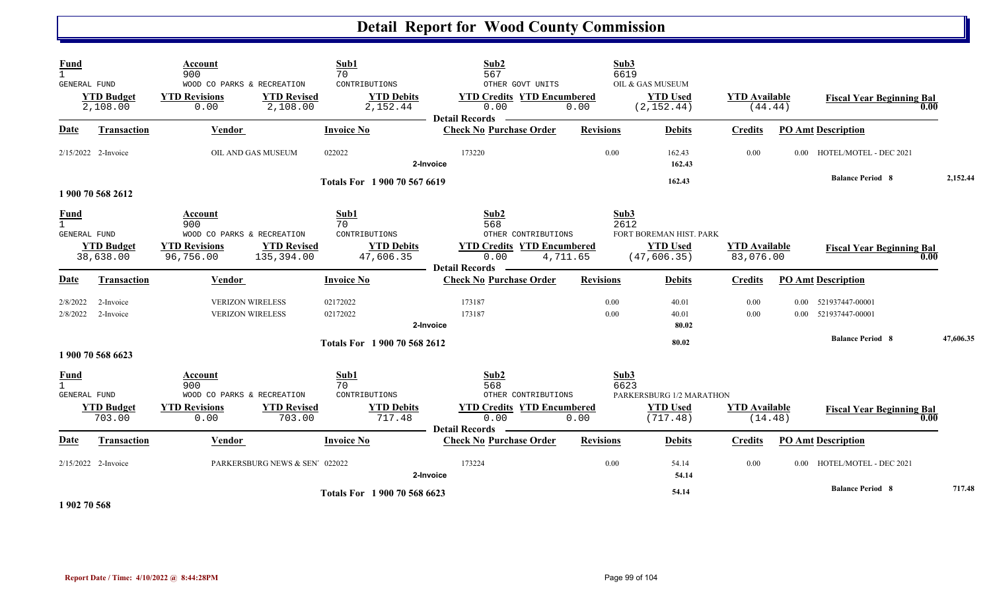| <b>Fund</b><br>$\mathbf{1}$<br>GENERAL FUND        | <b>YTD Budget</b><br>2,108.00                       | Account<br>900<br>WOOD CO PARKS & RECREATION<br><b>YTD Revisions</b><br>0.00      | Sub1<br>70<br>CONTRIBUTIONS<br><b>YTD Debits</b><br><b>YTD Revised</b><br>2,108.00<br>2,152.44    | Sub2<br>567<br>OTHER GOVT UNITS<br><b>YTD Credits YTD Encumbered</b><br>0.00                                         | Sub3<br>6619<br>0.00 | OIL & GAS MUSEUM<br><b>YTD Used</b><br>(2, 152.44)         | <b>YTD</b> Available<br>(44.44)   |                | <b>Fiscal Year Beginning Bal</b><br>0.00                           |           |
|----------------------------------------------------|-----------------------------------------------------|-----------------------------------------------------------------------------------|---------------------------------------------------------------------------------------------------|----------------------------------------------------------------------------------------------------------------------|----------------------|------------------------------------------------------------|-----------------------------------|----------------|--------------------------------------------------------------------|-----------|
| Date                                               | <b>Transaction</b>                                  | Vendor                                                                            | <b>Invoice No</b>                                                                                 | <b>Detail Records</b><br><b>Check No Purchase Order</b>                                                              | <b>Revisions</b>     | <b>Debits</b>                                              | <b>Credits</b>                    |                | <b>PO Amt Description</b>                                          |           |
|                                                    | 2/15/2022 2-Invoice                                 | OIL AND GAS MUSEUM                                                                | 022022                                                                                            | 173220<br>2-Invoice                                                                                                  | 0.00                 | 162.43<br>162.43                                           | 0.00                              |                | 0.00 HOTEL/MOTEL - DEC 2021                                        |           |
|                                                    |                                                     |                                                                                   | Totals For 1900 70 567 6619                                                                       |                                                                                                                      |                      | 162.43                                                     |                                   |                | <b>Balance Period 8</b>                                            | 2,152.44  |
| <b>Fund</b><br>$\mathbf{1}$<br><b>GENERAL FUND</b> | 1 900 70 568 2612<br><b>YTD Budget</b><br>38,638.00 | Account<br>900<br>WOOD CO PARKS & RECREATION<br><b>YTD Revisions</b><br>96,756.00 | Sub1<br>70<br>CONTRIBUTIONS<br><b>YTD Revised</b><br><b>YTD Debits</b><br>135,394.00<br>47,606.35 | Sub2<br>568<br>OTHER CONTRIBUTIONS<br><b>YTD Credits YTD Encumbered</b><br>0.00<br>4,711.65<br><b>Detail Records</b> | Sub3<br>2612         | FORT BOREMAN HIST. PARK<br><b>YTD Used</b><br>(47, 606.35) | <b>YTD Available</b><br>83,076.00 |                | <b>Fiscal Year Beginning Bal</b><br>0.00                           |           |
| <b>Date</b>                                        | Transaction                                         | Vendor                                                                            | <b>Invoice No</b>                                                                                 | <b>Check No Purchase Order</b>                                                                                       | <b>Revisions</b>     | <b>Debits</b>                                              | <b>Credits</b>                    |                | <b>PO Amt Description</b>                                          |           |
| 2/8/2022<br>2/8/2022                               | 2-Invoice<br>2-Invoice                              | <b>VERIZON WIRELESS</b><br><b>VERIZON WIRELESS</b>                                | 02172022<br>02172022                                                                              | 173187<br>173187<br>2-Invoice                                                                                        | 0.00<br>0.00         | 40.01<br>40.01<br>80.02<br>80.02                           | 0.00<br>0.00                      | $0.00 -$       | 521937447-00001<br>0.00 521937447-00001<br><b>Balance Period 8</b> | 47,606.35 |
|                                                    | 1 900 70 568 6623                                   |                                                                                   | Totals For 1 900 70 568 2612                                                                      |                                                                                                                      |                      |                                                            |                                   |                |                                                                    |           |
| <b>Fund</b><br>$\mathbf{1}$<br><b>GENERAL FUND</b> | <b>YTD Budget</b><br>703.00                         | Account<br>900<br>WOOD CO PARKS & RECREATION<br><b>YTD Revisions</b><br>0.00      | Sub1<br>70<br>CONTRIBUTIONS<br><b>YTD Revised</b><br><b>YTD Debits</b><br>717.48<br>703.00        | Sub2<br>568<br>OTHER CONTRIBUTIONS<br><b>YTD Credits YTD Encumbered</b><br>0.00<br><b>Detail Records</b>             | Sub3<br>6623<br>0.00 | PARKERSBURG 1/2 MARATHON<br><b>YTD Used</b><br>(717.48)    | <b>YTD</b> Available<br>(14.48)   |                | <b>Fiscal Year Beginning Bal</b><br>0.00                           |           |
| Date                                               | <b>Transaction</b>                                  | Vendor                                                                            | <b>Invoice No</b>                                                                                 | <b>Check No Purchase Order</b>                                                                                       | <b>Revisions</b>     | <b>Debits</b>                                              | <b>Credits</b>                    |                | <b>PO Amt Description</b>                                          |           |
|                                                    | 2/15/2022 2-Invoice                                 | PARKERSBURG NEWS & SEN' 022022                                                    |                                                                                                   | 173224<br>2-Invoice                                                                                                  | 0.00                 | 54.14<br>54.14                                             | 0.00                              | $0.00^{\circ}$ | HOTEL/MOTEL - DEC 2021                                             |           |
| .                                                  |                                                     |                                                                                   | Totals For 1 900 70 568 6623                                                                      |                                                                                                                      |                      | 54.14                                                      |                                   |                | <b>Balance Period 8</b>                                            | 717.48    |

**1 902 70 568**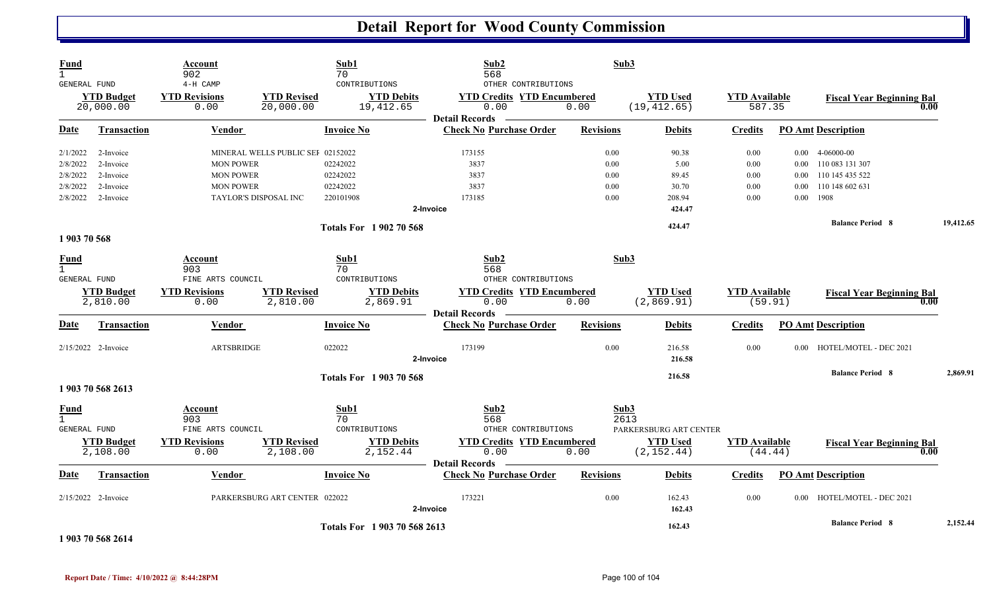| Fund<br>$\mathbf{1}$<br>GENERAL FUND |                                | Account<br>902<br>4-H CAMP   |                                   | Sub1<br>70<br>CONTRIBUTIONS    | Sub2<br>568<br>OTHER CONTRIBUTIONS                                         | Sub3             |                                 |                      |                                |                                          |           |
|--------------------------------------|--------------------------------|------------------------------|-----------------------------------|--------------------------------|----------------------------------------------------------------------------|------------------|---------------------------------|----------------------|--------------------------------|------------------------------------------|-----------|
|                                      | <b>YTD Budget</b><br>20,000.00 | <b>YTD Revisions</b><br>0.00 | <b>YTD Revised</b><br>20,000.00   | <b>YTD Debits</b><br>19,412.65 | <b>YTD Credits YTD Encumbered</b><br>0.00<br>0.00<br><b>Detail Records</b> |                  | <b>YTD Used</b><br>(19, 412.65) |                      | <b>YTD Available</b><br>587.35 | <b>Fiscal Year Beginning Bal</b><br>0.00 |           |
| Date                                 | Transaction                    | Vendor                       |                                   | <b>Invoice No</b>              | <b>Check No Purchase Order</b>                                             | <b>Revisions</b> | <b>Debits</b>                   | <b>Credits</b>       |                                | <b>PO Amt Description</b>                |           |
| 2/1/2022                             | 2-Invoice                      |                              | MINERAL WELLS PUBLIC SEI 02152022 |                                | 173155                                                                     | 0.00             | 90.38                           | 0.00                 |                                | $0.00 \quad 4-06000-00$                  |           |
| 2/8/2022                             | 2-Invoice                      | <b>MON POWER</b>             |                                   | 02242022                       | 3837                                                                       | 0.00             | 5.00                            | $0.00\,$             | $0.00\,$                       | 110 083 131 307                          |           |
| 2/8/2022                             | 2-Invoice                      | <b>MON POWER</b>             |                                   | 02242022                       | 3837                                                                       | 0.00             | 89.45                           | 0.00                 | 0.00                           | 110 145 435 522                          |           |
| 2/8/2022                             | 2-Invoice                      | <b>MON POWER</b>             |                                   | 02242022                       | 3837                                                                       | 0.00             | 30.70                           | 0.00                 | 0.00                           | 110 148 602 631                          |           |
| 2/8/2022                             | 2-Invoice                      | <b>TAYLOR'S DISPOSAL INC</b> |                                   | 220101908                      | 173185                                                                     | 0.00             | 208.94                          | 0.00                 |                                | $0.00$ 1908                              |           |
|                                      |                                |                              |                                   |                                | 2-Invoice                                                                  |                  | 424.47                          |                      |                                |                                          |           |
|                                      |                                |                              |                                   | <b>Totals For 1902 70 568</b>  |                                                                            |                  | 424.47                          |                      |                                | <b>Balance Period 8</b>                  | 19,412.65 |
| 1903 70 568                          |                                |                              |                                   |                                |                                                                            |                  |                                 |                      |                                |                                          |           |
| Fund<br>$\mathbf{1}$                 |                                | Account<br>903               |                                   | Sub1                           | Sub2                                                                       | Sub3             |                                 |                      |                                |                                          |           |
| <b>GENERAL FUND</b>                  |                                | FINE ARTS COUNCIL            |                                   | 70<br>CONTRIBUTIONS            | 568<br>OTHER CONTRIBUTIONS                                                 |                  |                                 |                      |                                |                                          |           |
|                                      | <b>YTD Budget</b>              | <b>YTD Revisions</b>         | <b>YTD Revised</b>                | <b>YTD Debits</b>              | <b>YTD Credits YTD Encumbered</b>                                          |                  | <b>YTD Used</b>                 | <b>YTD Available</b> |                                |                                          |           |
|                                      | 2,810.00                       | 0.00                         | 2,810.00                          | 2,869.91                       | 0.00                                                                       | 0.00             | (2,869.91)                      | (59.91)              |                                | <b>Fiscal Year Beginning Bal</b><br>0.00 |           |
| Date                                 | <b>Transaction</b>             | Vendor                       |                                   | <b>Invoice No</b>              | <b>Detail Records</b><br><b>Check No Purchase Order</b>                    | <b>Revisions</b> | <b>Debits</b>                   | <b>Credits</b>       |                                | <b>PO Amt Description</b>                |           |
|                                      | 2/15/2022 2-Invoice            | <b>ARTSBRIDGE</b>            |                                   | 022022                         | 173199                                                                     | 0.00             | 216.58                          | 0.00                 | $0.00 -$                       | HOTEL/MOTEL - DEC 2021                   |           |
|                                      |                                |                              |                                   |                                | 2-Invoice                                                                  |                  | 216.58                          |                      |                                |                                          |           |
|                                      |                                |                              |                                   | <b>Totals For 1903 70 568</b>  |                                                                            |                  | 216.58                          |                      |                                | <b>Balance Period 8</b>                  | 2,869.91  |
|                                      | 1 903 70 568 2613              |                              |                                   |                                |                                                                            |                  |                                 |                      |                                |                                          |           |
| <b>Fund</b>                          |                                | Account                      |                                   | Sub1                           | Sub <sub>2</sub>                                                           |                  | Sub3                            |                      |                                |                                          |           |
| $\mathbf{1}$                         |                                | 903                          |                                   | 70                             | 568                                                                        |                  | 2613                            |                      |                                |                                          |           |
| <b>GENERAL FUND</b>                  |                                | FINE ARTS COUNCIL            |                                   | CONTRIBUTIONS                  | OTHER CONTRIBUTIONS                                                        |                  | PARKERSBURG ART CENTER          |                      |                                |                                          |           |
|                                      | <b>YTD Budget</b><br>2,108.00  | <b>YTD Revisions</b><br>0.00 | <b>YTD Revised</b><br>2,108.00    | <b>YTD Debits</b><br>2,152.44  | <b>YTD Credits YTD Encumbered</b><br>0.00                                  | 0.00             | <b>YTD Used</b><br>(2, 152.44)  | <b>YTD</b> Available | (44.44)                        | <b>Fiscal Year Beginning Bal</b><br>0.00 |           |
|                                      |                                |                              |                                   |                                | <b>Detail Records</b>                                                      |                  |                                 |                      |                                |                                          |           |
| Date                                 | Transaction                    | Vendor                       |                                   | <b>Invoice No</b>              | <b>Check No Purchase Order</b>                                             | <b>Revisions</b> | <b>Debits</b>                   | <b>Credits</b>       |                                | <b>PO Amt Description</b>                |           |
|                                      | 2/15/2022 2-Invoice            |                              | PARKERSBURG ART CENTER 022022     |                                | 173221<br>2-Invoice                                                        | 0.00             | 162.43<br>162.43                | 0.00                 | $0.00 -$                       | HOTEL/MOTEL - DEC 2021                   |           |
|                                      |                                |                              |                                   | Totals For 1903 70 568 2613    |                                                                            |                  | 162.43                          |                      |                                | <b>Balance Period 8</b>                  | 2,152.44  |

**1 903 70 568 2614**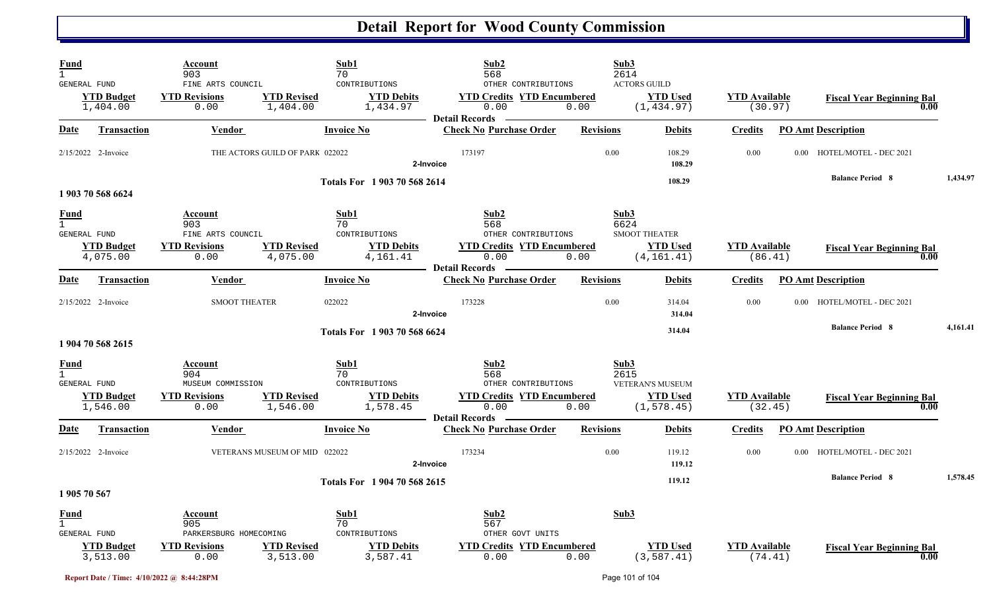| Fund                        | <b>GENERAL FUND</b><br><b>YTD Budget</b><br>1,404.00 | Account<br>903<br>FINE ARTS COUNCIL<br><b>YTD Revisions</b><br>0.00 | Sub1<br>70<br><b>YTD Revised</b><br>1,404.00 | CONTRIBUTIONS<br><b>YTD Debits</b><br>1,434.97 | Sub2<br>568<br>OTHER CONTRIBUTIONS<br><b>YTD Credits YTD Encumbered</b><br>0.00                                      | 0.00             | Sub3<br>2614<br><b>ACTORS GUILD</b><br><b>YTD Used</b><br>(1, 434.97)  | <b>YTD Available</b><br>(30.97) |          | <b>Fiscal Year Beginning Bal</b> | 0.00     |
|-----------------------------|------------------------------------------------------|---------------------------------------------------------------------|----------------------------------------------|------------------------------------------------|----------------------------------------------------------------------------------------------------------------------|------------------|------------------------------------------------------------------------|---------------------------------|----------|----------------------------------|----------|
| Date                        | <b>Transaction</b>                                   | Vendor                                                              | <b>Invoice No</b>                            |                                                | <b>Detail Records</b><br><b>Check No Purchase Order</b>                                                              | <b>Revisions</b> | <b>Debits</b>                                                          | <b>Credits</b>                  |          | <b>PO Amt Description</b>        |          |
|                             | 2/15/2022 2-Invoice                                  |                                                                     | THE ACTORS GUILD OF PARK 022022              | 2-Invoice                                      | 173197                                                                                                               | 0.00             | 108.29<br>108.29                                                       | 0.00                            |          | 0.00 HOTEL/MOTEL - DEC 2021      |          |
|                             | 1 903 70 568 6624                                    |                                                                     |                                              | Totals For 1 903 70 568 2614                   |                                                                                                                      |                  | 108.29                                                                 |                                 |          | <b>Balance Period 8</b>          | 1,434.97 |
| <b>Fund</b><br>$\mathbf{1}$ | GENERAL FUND<br><b>YTD Budget</b><br>4,075.00        | Account<br>903<br>FINE ARTS COUNCIL<br><b>YTD Revisions</b><br>0.00 | Sub1<br>70<br><b>YTD Revised</b><br>4,075.00 | CONTRIBUTIONS<br><b>YTD Debits</b><br>4,161.41 | Sub <sub>2</sub><br>568<br>OTHER CONTRIBUTIONS<br><b>YTD Credits YTD Encumbered</b><br>0.00<br><b>Detail Records</b> | 0.00             | Sub3<br>6624<br><b>SMOOT THEATER</b><br><b>YTD Used</b><br>(4, 161.41) | <b>YTD Available</b><br>(86.41) |          | <b>Fiscal Year Beginning Bal</b> | 0.00     |
| Date                        | Transaction                                          | Vendor                                                              | <b>Invoice No</b>                            |                                                | <b>Check No Purchase Order</b>                                                                                       | <b>Revisions</b> | <b>Debits</b>                                                          | <b>Credits</b>                  |          | <b>PO Amt Description</b>        |          |
|                             | $2/15/2022$ 2-Invoice                                | <b>SMOOT THEATER</b>                                                | 022022                                       | 2-Invoice                                      | 173228                                                                                                               | 0.00             | 314.04<br>314.04                                                       | 0.00                            |          | 0.00 HOTEL/MOTEL - DEC 2021      |          |
|                             | 1 904 70 568 2615                                    |                                                                     |                                              | Totals For 1903 70 568 6624                    |                                                                                                                      |                  | 314.04                                                                 |                                 |          | <b>Balance Period 8</b>          | 4,161.41 |
| Fund<br>$\overline{1}$      | GENERAL FUND                                         | Account<br>904<br>MUSEUM COMMISSION                                 | Sub1<br>70                                   | CONTRIBUTIONS                                  | Sub <sub>2</sub><br>568<br>OTHER CONTRIBUTIONS                                                                       |                  | Sub3<br>2615<br>VETERAN'S MUSEUM                                       |                                 |          |                                  |          |
|                             | <b>YTD Budget</b><br>1,546.00                        | <b>YTD Revisions</b><br>0.00                                        | <b>YTD Revised</b><br>1,546.00               | <b>YTD Debits</b><br>1,578.45                  | <b>YTD Credits YTD Encumbered</b><br>0.00<br><b>Detail Records</b>                                                   | 0.00             | <b>YTD Used</b><br>(1, 578.45)                                         | <b>YTD</b> Available<br>(32.45) |          | <b>Fiscal Year Beginning Bal</b> | 0.00     |
| Date                        | <b>Transaction</b>                                   | <b>Vendor</b>                                                       | <b>Invoice No</b>                            |                                                | <b>Check No Purchase Order</b>                                                                                       | <b>Revisions</b> | <b>Debits</b>                                                          | <b>Credits</b>                  |          | <b>PO Amt Description</b>        |          |
|                             | 2/15/2022 2-Invoice                                  |                                                                     | VETERANS MUSEUM OF MID 022022                | 2-Invoice                                      | 173234                                                                                                               | 0.00             | 119.12<br>119.12                                                       | 0.00                            | $0.00 -$ | HOTEL/MOTEL - DEC 2021           |          |
|                             | 1 905 70 567                                         |                                                                     |                                              | Totals For 1904 70 568 2615                    |                                                                                                                      |                  | 119.12                                                                 |                                 |          | <b>Balance Period 8</b>          | 1,578.45 |
| <b>Fund</b>                 | GENERAL FUND                                         | Account<br>905<br>PARKERSBURG HOMECOMING                            | Sub1<br>70                                   | CONTRIBUTIONS                                  | Sub <sub>2</sub><br>567<br>OTHER GOVT UNITS                                                                          |                  | Sub3                                                                   |                                 |          |                                  |          |
|                             | <b>YTD Budget</b><br>3,513.00                        | <b>YTD Revisions</b><br>0.00                                        | <b>YTD Revised</b><br>3,513.00               | <b>YTD Debits</b><br>3,587.41                  | <b>YTD Credits YTD Encumbered</b><br>0.00                                                                            | 0.00             | <b>YTD Used</b><br>(3, 587.41)                                         | <b>YTD Available</b><br>(74.41) |          | <b>Fiscal Year Beginning Bal</b> | 0.00     |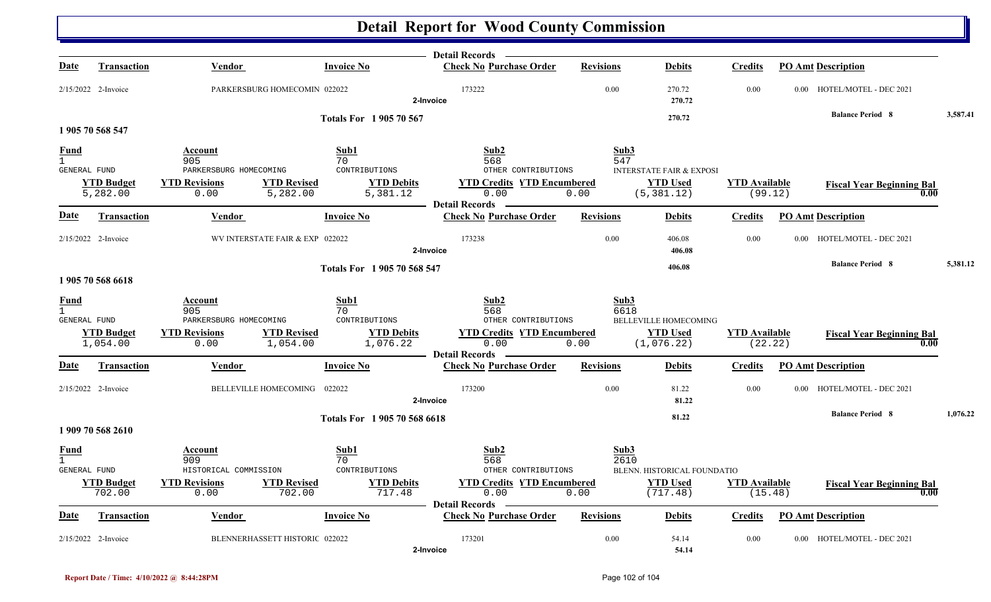|                                             |                               |                                                |                                 |                               | <b>Detail Records</b>                                              |                  |                                                 |                                 |         |                                  |          |
|---------------------------------------------|-------------------------------|------------------------------------------------|---------------------------------|-------------------------------|--------------------------------------------------------------------|------------------|-------------------------------------------------|---------------------------------|---------|----------------------------------|----------|
| Date                                        | <b>Transaction</b>            | Vendor                                         |                                 | <b>Invoice No</b>             | <b>Check No Purchase Order</b>                                     | <b>Revisions</b> | <b>Debits</b>                                   | <b>Credits</b>                  |         | <b>PO Amt Description</b>        |          |
|                                             | 2/15/2022 2-Invoice           |                                                | PARKERSBURG HOMECOMIN 022022    |                               | 173222<br>2-Invoice                                                | 0.00             | 270.72<br>270.72                                | 0.00                            |         | 0.00 HOTEL/MOTEL - DEC 2021      |          |
|                                             |                               |                                                |                                 | <b>Totals For 1905 70 567</b> |                                                                    |                  | 270.72                                          |                                 |         | <b>Balance Period 8</b>          | 3,587.41 |
|                                             | 1 905 70 568 547              |                                                |                                 |                               |                                                                    |                  |                                                 |                                 |         |                                  |          |
| Fund                                        |                               | Account                                        |                                 | Sub1                          | Sub2                                                               | Sub3             |                                                 |                                 |         |                                  |          |
| $\mathbf{1}$<br>GENERAL FUND                |                               | 905<br>PARKERSBURG HOMECOMING                  |                                 | 70<br>CONTRIBUTIONS           | 568<br>OTHER CONTRIBUTIONS                                         | 547              | <b>INTERSTATE FAIR &amp; EXPOSI</b>             |                                 |         |                                  |          |
|                                             | <b>YTD Budget</b><br>5,282.00 | <b>YTD Revisions</b><br>0.00                   | <b>YTD Revised</b><br>5,282.00  | <b>YTD Debits</b><br>5,381.12 | <b>YTD Credits YTD Encumbered</b><br>0.00<br><b>Detail Records</b> | 0.00             | <b>YTD Used</b><br>(5, 381.12)                  | <b>YTD Available</b>            | (99.12) | <b>Fiscal Year Beginning Bal</b> | 0.00     |
| Date                                        | Transaction                   | Vendor                                         |                                 | <b>Invoice No</b>             | <b>Check No Purchase Order</b>                                     | <b>Revisions</b> | <b>Debits</b>                                   | <b>Credits</b>                  |         | <b>PO Amt Description</b>        |          |
|                                             | 2/15/2022 2-Invoice           |                                                | WV INTERSTATE FAIR & EXP 022022 |                               | 173238<br>2-Invoice                                                | 0.00             | 406.08<br>406.08                                | 0.00                            |         | 0.00 HOTEL/MOTEL - DEC 2021      |          |
|                                             | 1 905 70 568 6618             |                                                |                                 | Totals For 1 905 70 568 547   |                                                                    |                  | 406.08                                          |                                 |         | <b>Balance Period 8</b>          | 5,381.12 |
| Fund                                        |                               | Account                                        |                                 | Sub1                          | Sub2                                                               | Sub3             |                                                 |                                 |         |                                  |          |
| $\overline{1}$                              |                               | 905                                            |                                 | 70<br>CONTRIBUTIONS           | 568                                                                |                  | 6618                                            |                                 |         |                                  |          |
| GENERAL FUND                                | <b>YTD Budget</b>             | PARKERSBURG HOMECOMING<br><b>YTD Revisions</b> | <b>YTD Revised</b>              | <b>YTD Debits</b>             | OTHER CONTRIBUTIONS<br><b>YTD Credits YTD Encumbered</b>           |                  | <b>BELLEVILLE HOMECOMING</b><br><b>YTD Used</b> | <b>YTD</b> Available            |         | <b>Fiscal Year Beginning Bal</b> |          |
|                                             | 1,054.00                      | 0.00                                           | 1,054.00                        | 1,076.22                      | 0.00                                                               | 0.00             | (1,076.22)                                      |                                 | (22.22) |                                  | 0.00     |
| <u>Date</u>                                 | <b>Transaction</b>            | Vendor                                         |                                 | <b>Invoice No</b>             | <b>Detail Records</b><br><b>Check No Purchase Order</b>            | <b>Revisions</b> | <b>Debits</b>                                   | <b>Credits</b>                  |         | <b>PO Amt Description</b>        |          |
|                                             | 2/15/2022 2-Invoice           |                                                | BELLEVILLE HOMECOMING 022022    |                               | 173200<br>2-Invoice                                                | 0.00             | 81.22<br>81.22                                  | 0.00                            |         | 0.00 HOTEL/MOTEL - DEC 2021      |          |
|                                             |                               |                                                |                                 | Totals For 1 905 70 568 6618  |                                                                    |                  | 81.22                                           |                                 |         | <b>Balance Period 8</b>          | 1,076.22 |
|                                             | 1 909 70 568 2610             |                                                |                                 |                               |                                                                    |                  |                                                 |                                 |         |                                  |          |
| <b>Fund</b><br>$\mathbf{1}$<br>GENERAL FUND |                               | Account<br>909<br>HISTORICAL COMMISSION        |                                 | Sub1<br>70<br>CONTRIBUTIONS   | Sub2<br>568<br>OTHER CONTRIBUTIONS                                 | Sub3             | 2610<br>BLENN. HISTORICAL FOUNDATIO             |                                 |         |                                  |          |
|                                             | <b>YTD Budget</b><br>702.00   | <b>YTD Revisions</b><br>0.00                   | <b>YTD Revised</b><br>702.00    | <b>YTD Debits</b><br>717.48   | <b>YTD Credits YTD Encumbered</b><br>0.00<br><b>Detail Records</b> | 0.00             | <b>YTD Used</b><br>(717.48)                     | <b>YTD Available</b><br>(15.48) |         | <b>Fiscal Year Beginning Bal</b> | 0.00     |
| Date                                        | <b>Transaction</b>            | Vendor                                         |                                 | <b>Invoice No</b>             | <b>Check No Purchase Order</b>                                     | <b>Revisions</b> | <b>Debits</b>                                   | <b>Credits</b>                  |         | <b>PO Amt Description</b>        |          |
|                                             | $2/15/2022$ 2-Invoice         |                                                | BLENNERHASSETT HISTORIC 022022  |                               | 173201<br>2-Invoice                                                | 0.00             | 54.14<br>54.14                                  | 0.00                            |         | 0.00 HOTEL/MOTEL - DEC 2021      |          |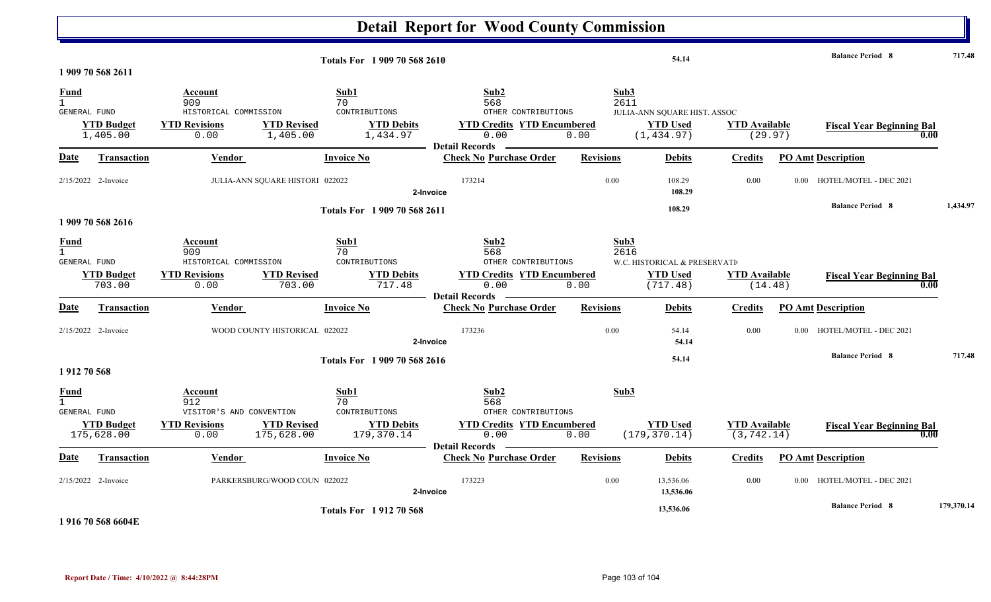|                                             |                                 |                                                                            |                                                                 |                                          | <b>Detail Report for Wood County Commission</b>                                                          |                          |                                                             |                                     |          |                                                   |            |
|---------------------------------------------|---------------------------------|----------------------------------------------------------------------------|-----------------------------------------------------------------|------------------------------------------|----------------------------------------------------------------------------------------------------------|--------------------------|-------------------------------------------------------------|-------------------------------------|----------|---------------------------------------------------|------------|
|                                             | 1 909 70 568 2611               |                                                                            |                                                                 | Totals For 1 909 70 568 2610             |                                                                                                          |                          | 54.14                                                       |                                     |          | <b>Balance Period 8</b>                           | 717.48     |
| <b>Fund</b><br>$\mathbf{1}$<br>GENERAL FUND | <b>YTD Budget</b>               | Account<br>909<br>HISTORICAL COMMISSION<br><b>YTD Revisions</b>            | Sub1<br>70<br>CONTRIBUTIONS<br><b>YTD Revised</b>               | <b>YTD Debits</b>                        | Sub2<br>568<br>OTHER CONTRIBUTIONS<br><b>YTD Credits YTD Encumbered</b>                                  | Sub3<br>2611             | JULIA-ANN SQUARE HIST. ASSOC<br><b>YTD Used</b>             | <b>YTD</b> Available                |          | <b>Fiscal Year Beginning Bal</b>                  |            |
| <b>Date</b>                                 | 1,405.00<br>Transaction         | 0.00<br>Vendor                                                             | 1,405.00<br><b>Invoice No</b>                                   | 1,434.97                                 | 0.00<br><b>Detail Records</b><br><b>Check No Purchase Order</b>                                          | 0.00<br><b>Revisions</b> | (1, 434.97)<br><b>Debits</b>                                | (29.97)<br>Credits                  |          | <b>PO Amt Description</b>                         | 0.00       |
|                                             | 2/15/2022 2-Invoice             |                                                                            | JULIA-ANN SQUARE HISTORI 022022                                 | 2-Invoice                                | 173214                                                                                                   | 0.00                     | 108.29<br>108.29                                            | 0.00                                | $0.00 -$ | HOTEL/MOTEL - DEC 2021                            |            |
|                                             | 1 909 70 568 2616               |                                                                            |                                                                 | Totals For 1 909 70 568 2611             |                                                                                                          |                          | 108.29                                                      |                                     |          | <b>Balance Period 8</b>                           | 1,434.97   |
| <u>Fund</u><br>1<br>GENERAL FUND            | <b>YTD Budget</b><br>703.00     | Account<br>909<br>HISTORICAL COMMISSION<br><b>YTD Revisions</b><br>0.00    | Sub1<br>70<br>CONTRIBUTIONS<br><b>YTD Revised</b><br>703.00     | <b>YTD Debits</b><br>717.48              | Sub2<br>568<br>OTHER CONTRIBUTIONS<br><b>YTD Credits YTD Encumbered</b><br>0.00<br><b>Detail Records</b> | Sub3<br>2616<br>0.00     | W.C. HISTORICAL & PRESERVATI<br><b>YTD Used</b><br>(717.48) | <b>YTD Available</b><br>(14.48)     |          | <b>Fiscal Year Beginning Bal</b>                  | 0.00       |
| Date                                        | <b>Transaction</b>              | <b>Vendor</b>                                                              | <b>Invoice No</b>                                               |                                          | <b>Check No Purchase Order</b>                                                                           | <b>Revisions</b>         | <b>Debits</b>                                               | <b>Credits</b>                      |          | <b>PO Amt Description</b>                         |            |
|                                             | 2/15/2022 2-Invoice             |                                                                            | WOOD COUNTY HISTORICAL 022022                                   | 2-Invoice<br>Totals For 1909 70 568 2616 | 173236                                                                                                   | 0.00                     | 54.14<br>54.14<br>54.14                                     | 0.00                                | $0.00\,$ | HOTEL/MOTEL - DEC 2021<br><b>Balance Period 8</b> | 717.48     |
| 1912 70 568<br>Fund<br>GENERAL FUND         | <b>YTD Budget</b><br>175,628.00 | Account<br>912<br>VISITOR'S AND CONVENTION<br><b>YTD Revisions</b><br>0.00 | Sub1<br>70<br>CONTRIBUTIONS<br><b>YTD Revised</b><br>175,628.00 | <b>YTD Debits</b><br>179,370.14          | Sub2<br>568<br>OTHER CONTRIBUTIONS<br><b>YTD Credits YTD Encumbered</b><br>0.00<br><b>Detail Records</b> | Sub3<br>0.00             | <b>YTD Used</b><br>(179, 370.14)                            | <b>YTD Available</b><br>(3, 742.14) |          | <b>Fiscal Year Beginning Bal</b>                  | 0.00       |
| Date                                        | <b>Transaction</b>              | <b>Vendor</b>                                                              | <b>Invoice No</b>                                               |                                          | <b>Check No Purchase Order</b>                                                                           | <b>Revisions</b>         | <b>Debits</b>                                               | <b>Credits</b>                      |          | <b>PO Amt Description</b>                         |            |
|                                             | 2/15/2022 2-Invoice             |                                                                            | PARKERSBURG/WOOD COUN 022022                                    | 2-Invoice                                | 173223                                                                                                   | 0.00                     | 13,536.06<br>13,536.06                                      | 0.00                                | $0.00\,$ | HOTEL/MOTEL - DEC 2021                            |            |
|                                             | المستناد والمادا مساويات        |                                                                            |                                                                 | <b>Totals For 191270568</b>              |                                                                                                          |                          | 13,536.06                                                   |                                     |          | <b>Balance Period 8</b>                           | 179,370.14 |

**1 916 70 568 6604E**